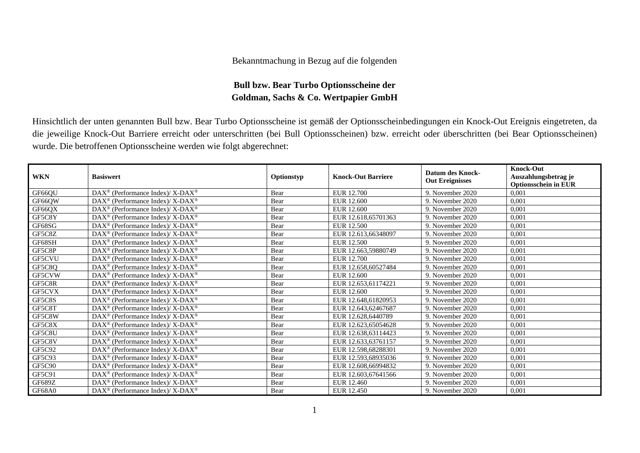## Bekanntmachung in Bezug auf die folgenden

## **Bull bzw. Bear Turbo Optionsscheine der Goldman, Sachs & Co. Wertpapier GmbH**

Hinsichtlich der unten genannten Bull bzw. Bear Turbo Optionsscheine ist gemäß der Optionsscheinbedingungen ein Knock-Out Ereignis eingetreten, da die jeweilige Knock-Out Barriere erreicht oder unterschritten (bei Bull Optionsscheinen) bzw. erreicht oder überschritten (bei Bear Optionsscheinen) wurde. Die betroffenen Optionsscheine werden wie folgt abgerechnet:

| <b>WKN</b>    | <b>Basiswert</b>                                            | Optionstyp | <b>Knock-Out Barriere</b> | <b>Datum des Knock-</b><br><b>Out Ereignisses</b> | <b>Knock-Out</b><br>Auszahlungsbetrag je<br><b>Optionsschein in EUR</b> |
|---------------|-------------------------------------------------------------|------------|---------------------------|---------------------------------------------------|-------------------------------------------------------------------------|
| GF66QU        | DAX <sup>®</sup> (Performance Index)/ X-DAX <sup>®</sup>    | Bear       | EUR 12.700                | 9. November 2020                                  | 0,001                                                                   |
| GF66QW        | $DAX^{\circledast}$ (Performance Index)/ X-DAX <sup>®</sup> | Bear       | <b>EUR 12.600</b>         | 9. November 2020                                  | 0,001                                                                   |
| GF66QX        | DAX <sup>®</sup> (Performance Index)/ X-DAX <sup>®</sup>    | Bear       | EUR 12.600                | 9. November 2020                                  | 0,001                                                                   |
| GF5C8Y        | $DAX^{\circledast}$ (Performance Index)/ X-DAX <sup>®</sup> | Bear       | EUR 12.618,65701363       | 9. November 2020                                  | 0,001                                                                   |
| GF68SG        | $DAX^{\circledast}$ (Performance Index)/ X-DAX <sup>®</sup> | Bear       | EUR 12.500                | 9. November 2020                                  | 0,001                                                                   |
| GF5C8Z        | $DAX^{\circledast}$ (Performance Index)/ X-DAX <sup>®</sup> | Bear       | EUR 12.613,66348097       | 9. November 2020                                  | 0,001                                                                   |
| GF68SH        | DAX <sup>®</sup> (Performance Index)/ X-DAX <sup>®</sup>    | Bear       | EUR 12.500                | 9. November 2020                                  | 0,001                                                                   |
| GF5C8P        | $DAX^{\circledast}$ (Performance Index)/ X-DAX <sup>®</sup> | Bear       | EUR 12.663,59880749       | 9. November 2020                                  | 0,001                                                                   |
| GF5CVU        | $DAX^{\circledast}$ (Performance Index)/ X-DAX <sup>®</sup> | Bear       | EUR 12.700                | 9. November 2020                                  | 0,001                                                                   |
| GF5C8Q        | DAX <sup>®</sup> (Performance Index)/ X-DAX <sup>®</sup>    | Bear       | EUR 12.658,60527484       | 9. November 2020                                  | 0,001                                                                   |
| GF5CVW        | $DAX^{\circledast}$ (Performance Index)/ X-DAX <sup>®</sup> | Bear       | <b>EUR 12.600</b>         | 9. November 2020                                  | 0,001                                                                   |
| GF5C8R        | $DAX^{\circledast}$ (Performance Index)/ X-DAX <sup>®</sup> | Bear       | EUR 12.653,61174221       | 9. November 2020                                  | 0,001                                                                   |
| GF5CVX        | $DAX^{\circledast}$ (Performance Index)/ X-DAX <sup>®</sup> | Bear       | EUR 12.600                | 9. November 2020                                  | 0,001                                                                   |
| GF5C8S        | $DAX^{\circledast}$ (Performance Index)/ X-DAX <sup>®</sup> | Bear       | EUR 12.648,61820953       | 9. November 2020                                  | 0,001                                                                   |
| GF5C8T        | DAX <sup>®</sup> (Performance Index)/ X-DAX <sup>®</sup>    | Bear       | EUR 12.643,62467687       | 9. November 2020                                  | 0,001                                                                   |
| GF5C8W        | $DAX^{\circledast}$ (Performance Index)/ X-DAX <sup>®</sup> | Bear       | EUR 12.628,6440789        | 9. November 2020                                  | 0,001                                                                   |
| GF5C8X        | DAX <sup>®</sup> (Performance Index)/ X-DAX <sup>®</sup>    | Bear       | EUR 12.623,65054628       | 9. November 2020                                  | 0,001                                                                   |
| GF5C8U        | DAX <sup>®</sup> (Performance Index)/ X-DAX <sup>®</sup>    | Bear       | EUR 12.638,63114423       | 9. November 2020                                  | 0,001                                                                   |
| GF5C8V        | DAX <sup>®</sup> (Performance Index)/ X-DAX <sup>®</sup>    | Bear       | EUR 12.633,63761157       | 9. November 2020                                  | 0,001                                                                   |
| GF5C92        | DAX <sup>®</sup> (Performance Index)/ X-DAX <sup>®</sup>    | Bear       | EUR 12.598,68288301       | 9. November 2020                                  | 0,001                                                                   |
| GF5C93        | $DAX^{\circledast}$ (Performance Index)/ X-DAX <sup>®</sup> | Bear       | EUR 12.593.68935036       | 9. November 2020                                  | 0,001                                                                   |
| <b>GF5C90</b> | $DAX^{\circledast}$ (Performance Index)/ X-DAX <sup>®</sup> | Bear       | EUR 12.608,66994832       | 9. November 2020                                  | 0,001                                                                   |
| GF5C91        | $DAX^{\circledast}$ (Performance Index)/ X-DAX <sup>®</sup> | Bear       | EUR 12.603,67641566       | 9. November 2020                                  | 0,001                                                                   |
| GF689Z        | $DAX^{\circledast}$ (Performance Index)/ X-DAX <sup>®</sup> | Bear       | EUR 12.460                | 9. November 2020                                  | 0,001                                                                   |
| GF68A0        | DAX <sup>®</sup> (Performance Index)/ X-DAX <sup>®</sup>    | Bear       | EUR 12.450                | 9. November 2020                                  | 0,001                                                                   |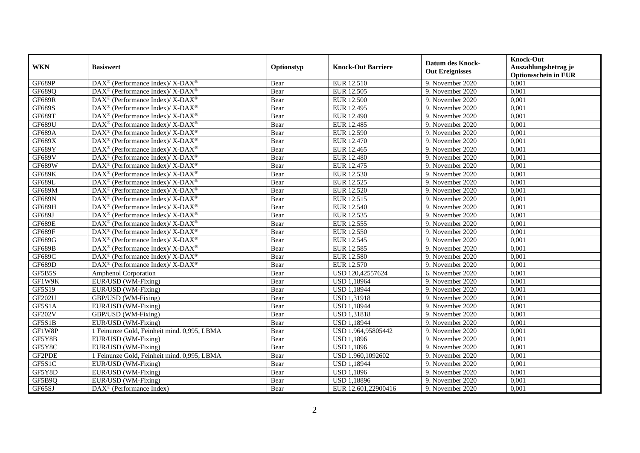|               | <b>Basiswert</b>                                                         | Optionstyp | <b>Knock-Out Barriere</b> | <b>Datum des Knock-</b><br><b>Out Ereignisses</b> | <b>Knock-Out</b>                     |
|---------------|--------------------------------------------------------------------------|------------|---------------------------|---------------------------------------------------|--------------------------------------|
| <b>WKN</b>    |                                                                          |            |                           |                                                   | Auszahlungsbetrag je                 |
| GF689P        | DAX <sup>®</sup> (Performance Index)/ X-DAX <sup>®</sup>                 |            |                           |                                                   | <b>Optionsschein in EUR</b><br>0,001 |
|               |                                                                          | Bear       | EUR 12.510                | 9. November 2020                                  |                                      |
| GF689Q        | $\text{DAX}^{\circledR}$ (Performance Index)/ X-DAX <sup>®</sup>         | Bear       | EUR 12.505                | 9. November 2020                                  | 0,001                                |
| <b>GF689R</b> | $\text{DAX}^{\circledR}$ (Performance Index)/ X-DAX <sup>®</sup>         | Bear       | <b>EUR 12.500</b>         | 9. November 2020                                  | 0,001                                |
| <b>GF689S</b> | DAX <sup>®</sup> (Performance Index)/ X-DAX <sup>®</sup>                 | Bear       | EUR 12.495                | 9. November 2020                                  | 0,001                                |
| GF689T        | DAX <sup>®</sup> (Performance Index)/ X-DAX <sup>®</sup>                 | Bear       | EUR 12.490                | 9. November 2020                                  | 0,001                                |
| <b>GF689U</b> | DAX <sup>®</sup> (Performance Index)/ X-DAX <sup>®</sup>                 | Bear       | EUR 12.485                | 9. November 2020                                  | 0,001                                |
| <b>GF689A</b> | $\overline{\text{DAX}^{\otimes}}$ (Performance Index)/X-DAX <sup>®</sup> | Bear       | EUR 12.590                | 9. November 2020                                  | 0,001                                |
| <b>GF689X</b> | DAX <sup>®</sup> (Performance Index)/ X-DAX <sup>®</sup>                 | Bear       | EUR 12.470                | 9. November 2020                                  | 0,001                                |
| GF689Y        | $\text{DAX}^{\circledR}$ (Performance Index)/ X-DAX <sup>®</sup>         | Bear       | EUR 12.465                | 9. November 2020                                  | 0,001                                |
| GF689V        | DAX <sup>®</sup> (Performance Index)/ X-DAX <sup>®</sup>                 | Bear       | <b>EUR 12.480</b>         | 9. November 2020                                  | 0,001                                |
| <b>GF689W</b> | DAX <sup>®</sup> (Performance Index)/ X-DAX <sup>®</sup>                 | Bear       | EUR 12.475                | 9. November 2020                                  | 0,001                                |
| <b>GF689K</b> | DAX <sup>®</sup> (Performance Index)/ X-DAX <sup>®</sup>                 | Bear       | EUR 12.530                | 9. November 2020                                  | 0,001                                |
| <b>GF689L</b> | $\text{DAX}^{\circledR}$ (Performance Index)/ X-DAX <sup>®</sup>         | Bear       | EUR 12.525                | 9. November 2020                                  | 0,001                                |
| <b>GF689M</b> | $DAX^{\circledcirc}$ (Performance Index)/ X-DAX <sup>®</sup>             | Bear       | EUR 12.520                | 9. November 2020                                  | 0,001                                |
| GF689N        | $\text{DAX}^{\circledR}$ (Performance Index)/ X-DAX <sup>®</sup>         | Bear       | EUR 12.515                | 9. November 2020                                  | 0,001                                |
| GF689H        | DAX <sup>®</sup> (Performance Index)/ X-DAX <sup>®</sup>                 | Bear       | EUR 12.540                | 9. November 2020                                  | 0,001                                |
| GF689J        | DAX <sup>®</sup> (Performance Index)/ X-DAX <sup>®</sup>                 | Bear       | EUR 12.535                | 9. November 2020                                  | 0,001                                |
| <b>GF689E</b> | $\text{DAX}^{\circledR}$ (Performance Index)/ X-DAX <sup>®</sup>         | Bear       | EUR 12.555                | 9. November 2020                                  | 0,001                                |
| GF689F        | $\text{DAX}^{\circledR}$ (Performance Index)/ X-DAX <sup>®</sup>         | Bear       | EUR 12.550                | 9. November 2020                                  | 0,001                                |
| GF689G        | DAX <sup>®</sup> (Performance Index)/ X-DAX <sup>®</sup>                 | Bear       | EUR 12.545                | 9. November 2020                                  | 0,001                                |
| GF689B        | $\overline{\text{DAX}^{\otimes}}$ (Performance Index)/X-DAX <sup>®</sup> | Bear       | EUR 12.585                | 9. November 2020                                  | 0,001                                |
| <b>GF689C</b> | $\text{DAX}^{\circledR}$ (Performance Index)/ X-DAX <sup>®</sup>         | Bear       | EUR 12.580                | 9. November 2020                                  | 0,001                                |
| <b>GF689D</b> | DAX <sup>®</sup> (Performance Index)/ X-DAX <sup>®</sup>                 | Bear       | <b>EUR 12.570</b>         | 9. November 2020                                  | 0,001                                |
| GF5B5S        | <b>Amphenol Corporation</b>                                              | Bear       | USD 120,42557624          | 6. November 2020                                  | 0,001                                |
| GF1W9K        | EUR/USD (WM-Fixing)                                                      | Bear       | <b>USD 1,18964</b>        | 9. November 2020                                  | 0,001                                |
| GF5S19        | EUR/USD (WM-Fixing)                                                      | Bear       | <b>USD 1,18944</b>        | 9. November 2020                                  | 0,001                                |
| <b>GF202U</b> | GBP/USD (WM-Fixing)                                                      | Bear       | <b>USD 1,31918</b>        | 9. November 2020                                  | 0,001                                |
| GF5S1A        | EUR/USD (WM-Fixing)                                                      | Bear       | <b>USD 1,18944</b>        | 9. November 2020                                  | 0,001                                |
| <b>GF202V</b> | GBP/USD (WM-Fixing)                                                      | Bear       | <b>USD 1,31818</b>        | 9. November 2020                                  | 0,001                                |
| GF5S1B        | EUR/USD (WM-Fixing)                                                      | Bear       | <b>USD 1,18944</b>        | 9. November 2020                                  | 0,001                                |
| GF1W8P        | 1 Feinunze Gold, Feinheit mind. 0,995, LBMA                              | Bear       | USD 1.964,95805442        | 9. November 2020                                  | 0,001                                |
| GF5Y8B        | EUR/USD (WM-Fixing)                                                      | Bear       | <b>USD 1,1896</b>         | 9. November 2020                                  | 0,001                                |
| GF5Y8C        | EUR/USD (WM-Fixing)                                                      | Bear       | <b>USD 1,1896</b>         | 9. November 2020                                  | 0,001                                |
| GF2PDE        | 1 Feinunze Gold, Feinheit mind. 0,995, LBMA                              | Bear       | USD 1.960,1092602         | 9. November 2020                                  | 0,001                                |
| GF5S1C        | EUR/USD (WM-Fixing)                                                      | Bear       | <b>USD 1,18944</b>        | 9. November 2020                                  | 0,001                                |
| GF5Y8D        | EUR/USD (WM-Fixing)                                                      | Bear       | <b>USD 1,1896</b>         | 9. November 2020                                  | 0,001                                |
| GF5B9Q        | EUR/USD (WM-Fixing)                                                      | Bear       | <b>USD 1,18896</b>        | 9. November 2020                                  | 0,001                                |
| GF65SJ        | $\overline{\text{DAX}}^{\textcircled{}}$ (Performance Index)             | Bear       | EUR 12.601,22900416       | 9. November 2020                                  | 0,001                                |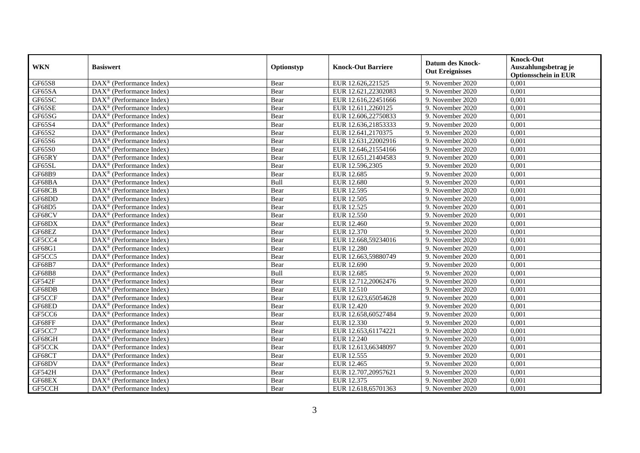| <b>WKN</b>    | <b>Basiswert</b>                                            | Optionstyp | <b>Knock-Out Barriere</b> | <b>Datum des Knock-</b><br><b>Out Ereignisses</b> | <b>Knock-Out</b><br>Auszahlungsbetrag je<br><b>Optionsschein in EUR</b> |
|---------------|-------------------------------------------------------------|------------|---------------------------|---------------------------------------------------|-------------------------------------------------------------------------|
| GF65S8        | $\overline{\text{DAX}}^{\textcirc}$ (Performance Index)     | Bear       | EUR 12.626,221525         | 9. November 2020                                  | 0,001                                                                   |
| GF65SA        | $\text{DAX}^{\textcircled{}}$ (Performance Index)           | Bear       | EUR 12.621,22302083       | 9. November 2020                                  | 0,001                                                                   |
| GF65SC        | DAX <sup>®</sup> (Performance Index)                        | Bear       | EUR 12.616,22451666       | 9. November 2020                                  | 0,001                                                                   |
| GF65SE        | $\text{DAX}^{\textcircled{}}$ (Performance Index)           | Bear       | EUR 12.611,2260125        | 9. November 2020                                  | 0,001                                                                   |
| GF65SG        | $\text{DAX}^{\textcircled{}}$ (Performance Index)           | Bear       | EUR 12.606,22750833       | 9. November 2020                                  | 0,001                                                                   |
| GF65S4        | $\text{DAX}^{\textcircled{}}$ (Performance Index)           | Bear       | EUR 12.636,21853333       | 9. November 2020                                  | 0,001                                                                   |
| GF65S2        | $\text{DAX}^{\textcircled{}}$ (Performance Index)           | Bear       | EUR 12.641,2170375        | 9. November 2020                                  | 0,001                                                                   |
| GF65S6        | $\text{DAX}^{\textcircled{}}$ (Performance Index)           | Bear       | EUR 12.631,22002916       | 9. November 2020                                  | 0,001                                                                   |
| GF65S0        | $\text{DAX}^{\textcircled{}}$ (Performance Index)           | Bear       | EUR 12.646,21554166       | 9. November 2020                                  | 0,001                                                                   |
| GF65RY        | DAX <sup>®</sup> (Performance Index)                        | Bear       | EUR 12.651,21404583       | 9. November 2020                                  | 0,001                                                                   |
| GF65SL        | DAX <sup>®</sup> (Performance Index)                        | Bear       | EUR 12.596,2305           | 9. November 2020                                  | 0,001                                                                   |
| <b>GF68B9</b> | DAX <sup>®</sup> (Performance Index)                        | Bear       | EUR 12.685                | 9. November 2020                                  | 0,001                                                                   |
| GF68BA        | $\text{DAX}^{\textcircled{n}}$ (Performance Index)          | Bull       | <b>EUR 12.680</b>         | 9. November 2020                                  | 0,001                                                                   |
| GF68CB        | $DAX^{\circledR}$ (Performance Index)                       | Bear       | EUR 12.595                | 9. November 2020                                  | 0,001                                                                   |
| GF68DD        | DAX <sup>®</sup> (Performance Index)                        | Bear       | EUR 12.505                | 9. November 2020                                  | 0,001                                                                   |
| GF68D5        | DAX <sup>®</sup> (Performance Index)                        | Bear       | EUR 12.525                | 9. November 2020                                  | 0,001                                                                   |
| GF68CV        | $\text{DAX}^{\textcircled{}}$ (Performance Index)           | Bear       | EUR 12.550                | 9. November 2020                                  | 0,001                                                                   |
| GF68DX        | $\overline{\text{DAX}^{\otimes}}$ (Performance Index)       | Bear       | EUR 12.460                | 9. November 2020                                  | 0,001                                                                   |
| GF68EZ        | $\text{DAX}^{\textcircled{}}$ (Performance Index)           | Bear       | EUR 12.370                | 9. November 2020                                  | 0,001                                                                   |
| GF5CC4        | $\text{DAX}^{\textcircled{}}$ (Performance Index)           | Bear       | EUR 12.668,59234016       | 9. November 2020                                  | 0,001                                                                   |
| GF68G1        | DAX <sup>®</sup> (Performance Index)                        | Bear       | <b>EUR 12.280</b>         | 9. November 2020                                  | 0,001                                                                   |
| GF5CC5        | $DAX^{\circledR}$ (Performance Index)                       | Bear       | EUR 12.663,59880749       | 9. November 2020                                  | 0,001                                                                   |
| <b>GF68B7</b> | $\overline{\text{DAX}}^{\textcirc}$ (Performance Index)     | Bear       | EUR 12.690                | 9. November 2020                                  | 0,001                                                                   |
| <b>GF68B8</b> | $\text{DAX}^{\textcircled{}}$ (Performance Index)           | Bull       | EUR 12.685                | 9. November 2020                                  | 0,001                                                                   |
| GF542F        | $\text{DAX}^{\textcircled{}}$ (Performance Index)           | Bear       | EUR 12.712,20062476       | 9. November 2020                                  | 0,001                                                                   |
| GF68DB        | $\text{DAX}^{\circledast}$ (Performance Index)              | Bear       | EUR 12.510                | 9. November 2020                                  | 0,001                                                                   |
| GF5CCF        | DAX <sup>®</sup> (Performance Index)                        | Bear       | EUR 12.623,65054628       | 9. November 2020                                  | 0,001                                                                   |
| GF68ED        | $\overline{\text{DAX}^{\otimes}}$ (Performance Index)       | Bear       | EUR 12.420                | 9. November 2020                                  | 0,001                                                                   |
| GF5CC6        | DAX <sup>®</sup> (Performance Index)                        | Bear       | EUR 12.658,60527484       | 9. November 2020                                  | 0,001                                                                   |
| GF68FF        | $DAX^{\circledR}$ (Performance Index)                       | Bear       | EUR 12.330                | 9. November 2020                                  | 0.001                                                                   |
| GF5CC7        | $\text{DAX}^{\textcircled{}}$ (Performance Index)           | Bear       | EUR 12.653,61174221       | 9. November 2020                                  | 0,001                                                                   |
| GF68GH        | $\text{DAX}^{\textcircled{}}$ (Performance Index)           | Bear       | <b>EUR 12.240</b>         | 9. November 2020                                  | 0,001                                                                   |
| GF5CCK        | $\overline{\text{DAX}^{\otimes}}$ (Performance Index)       | Bear       | EUR 12.613,66348097       | 9. November 2020                                  | 0,001                                                                   |
| GF68CT        | $\overline{\text{DAX}^{\otimes}(\text{Performance Index})}$ | Bear       | EUR 12.555                | 9. November 2020                                  | 0,001                                                                   |
| GF68DV        | $\text{DAX}^{\textcircled{}}$ (Performance Index)           | Bear       | EUR 12.465                | 9. November 2020                                  | 0,001                                                                   |
| GF542H        | DAX <sup>®</sup> (Performance Index)                        | Bear       | EUR 12.707,20957621       | 9. November 2020                                  | 0,001                                                                   |
| GF68EX        | $DAX^{\circledcirc}$ (Performance Index)                    | Bear       | EUR 12.375                | 9. November 2020                                  | 0,001                                                                   |
| GF5CCH        | $\text{DAX}^{\textcircled{}}$ (Performance Index)           | Bear       | EUR 12.618,65701363       | 9. November 2020                                  | 0,001                                                                   |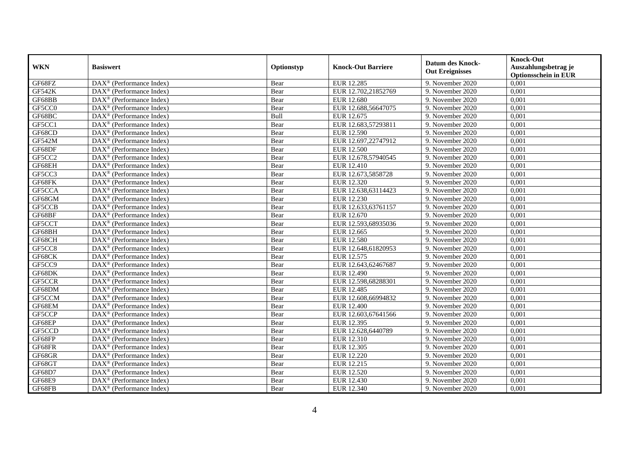| <b>WKN</b>    | <b>Basiswert</b>                                        | Optionstyp | <b>Knock-Out Barriere</b> | <b>Datum des Knock-</b><br><b>Out Ereignisses</b> | <b>Knock-Out</b><br>Auszahlungsbetrag je<br><b>Optionsschein in EUR</b> |
|---------------|---------------------------------------------------------|------------|---------------------------|---------------------------------------------------|-------------------------------------------------------------------------|
| GF68FZ        | $\overline{\text{DAX}^{\otimes}}$ (Performance Index)   | Bear       | EUR 12.285                | 9. November 2020                                  | 0,001                                                                   |
| <b>GF542K</b> | $\text{DAX}^{\textcircled{}}$ (Performance Index)       | Bear       | EUR 12.702,21852769       | 9. November 2020                                  | 0,001                                                                   |
| GF68BB        | DAX <sup>®</sup> (Performance Index)                    | Bear       | <b>EUR 12.680</b>         | 9. November 2020                                  | 0,001                                                                   |
| GF5CC0        | $DAX^{\circledast}$ (Performance Index)                 | Bear       | EUR 12.688,56647075       | 9. November 2020                                  | 0,001                                                                   |
| GF68BC        | DAX <sup>®</sup> (Performance Index)                    | Bull       | EUR 12.675                | 9. November 2020                                  | 0,001                                                                   |
| GF5CC1        | $\text{DAX}^{\textcircled{}}$ (Performance Index)       | Bear       | EUR 12.683,57293811       | 9. November 2020                                  | 0,001                                                                   |
| GF68CD        | $\text{DAX}^{\textcircled{}}$ (Performance Index)       | Bear       | EUR 12.590                | 9. November 2020                                  | 0,001                                                                   |
| <b>GF542M</b> | $DAX^{\circledR}$ (Performance Index)                   | Bear       | EUR 12.697,22747912       | 9. November 2020                                  | 0,001                                                                   |
| GF68DF        | $\text{DAX}^{\textcircled{}}$ (Performance Index)       | Bear       | <b>EUR 12.500</b>         | 9. November 2020                                  | 0,001                                                                   |
| GF5CC2        | $DAX^{\circledR}$ (Performance Index)                   | Bear       | EUR 12.678,57940545       | 9. November 2020                                  | 0,001                                                                   |
| GF68EH        | DAX <sup>®</sup> (Performance Index)                    | Bear       | <b>EUR 12.410</b>         | 9. November 2020                                  | 0,001                                                                   |
| GF5CC3        | $\overline{\text{DAX}^{\otimes}}$ (Performance Index)   | Bear       | EUR 12.673,5858728        | 9. November 2020                                  | 0,001                                                                   |
| GF68FK        | $\text{DAX}^{\textcircled{}}$ (Performance Index)       | Bear       | EUR 12.320                | 9. November 2020                                  | 0,001                                                                   |
| GF5CCA        | DAX <sup>®</sup> (Performance Index)                    | Bear       | EUR 12.638,63114423       | 9. November 2020                                  | 0,001                                                                   |
| GF68GM        | $DAX^{\circledast}$ (Performance Index)                 | Bear       | EUR 12.230                | 9. November 2020                                  | 0,001                                                                   |
| GF5CCB        | DAX <sup>®</sup> (Performance Index)                    | Bear       | EUR 12.633,63761157       | 9. November 2020                                  | 0,001                                                                   |
| GF68BF        | DAX <sup>®</sup> (Performance Index)                    | Bear       | EUR 12.670                | 9. November 2020                                  | 0,001                                                                   |
| GF5CCT        | $DAX^{\circledR}$ (Performance Index)                   | Bear       | EUR 12.593.68935036       | 9. November 2020                                  | 0.001                                                                   |
| GF68BH        | $\overline{\text{DAX}}^{\textcirc}$ (Performance Index) | Bear       | EUR 12.665                | 9. November 2020                                  | 0,001                                                                   |
| GF68CH        | DAX <sup>®</sup> (Performance Index)                    | Bear       | <b>EUR 12.580</b>         | 9. November 2020                                  | 0,001                                                                   |
| GF5CC8        | DAX <sup>®</sup> (Performance Index)                    | Bear       | EUR 12.648,61820953       | 9. November 2020                                  | 0,001                                                                   |
| GF68CK        | $\overline{\text{DAX}^{\otimes}}$ (Performance Index)   | Bear       | EUR 12.575                | 9. November 2020                                  | 0,001                                                                   |
| GF5CC9        | $\text{DAX}^{\textcircled{}}$ (Performance Index)       | Bear       | EUR 12.643,62467687       | 9. November 2020                                  | 0,001                                                                   |
| GF68DK        | DAX <sup>®</sup> (Performance Index)                    | Bear       | EUR 12.490                | 9. November 2020                                  | 0,001                                                                   |
| GF5CCR        | $\overline{\text{DAX}^{\otimes}}$ (Performance Index)   | Bear       | EUR 12.598,68288301       | 9. November 2020                                  | 0,001                                                                   |
| GF68DM        | $DAX^{\circledast}$ (Performance Index)                 | Bear       | EUR 12.485                | 9. November 2020                                  | 0,001                                                                   |
| GF5CCM        | DAX <sup>®</sup> (Performance Index)                    | Bear       | EUR 12.608,66994832       | 9. November 2020                                  | 0,001                                                                   |
| GF68EM        | $DAX^{\circledR}$ (Performance Index)                   | Bear       | EUR 12.400                | 9. November 2020                                  | 0,001                                                                   |
| GF5CCP        | $\text{DAX}^{\textcircled{}}$ (Performance Index)       | Bear       | EUR 12.603,67641566       | 9. November 2020                                  | 0,001                                                                   |
| GF68EP        | $\text{DAX}^{\textcircled{}}$ (Performance Index)       | Bear       | EUR 12.395                | 9. November 2020                                  | 0,001                                                                   |
| GF5CCD        | DAX <sup>®</sup> (Performance Index)                    | Bear       | EUR 12.628,6440789        | 9. November 2020                                  | 0,001                                                                   |
| GF68FP        | DAX <sup>®</sup> (Performance Index)                    | Bear       | EUR 12.310                | 9. November 2020                                  | 0,001                                                                   |
| GF68FR        | $\overline{\text{DAX}^{\otimes}}$ (Performance Index)   | Bear       | <b>EUR 12.305</b>         | 9. November 2020                                  | 0,001                                                                   |
| GF68GR        | $\overline{\text{DAX}^{\otimes}}$ (Performance Index)   | Bear       | EUR 12.220                | 9. November 2020                                  | 0,001                                                                   |
| GF68GT        | $\text{DAX}^{\circledast}$ (Performance Index)          | Bear       | EUR 12.215                | 9. November 2020                                  | 0,001                                                                   |
| GF68D7        | DAX <sup>®</sup> (Performance Index)                    | Bear       | EUR 12.520                | 9. November 2020                                  | 0,001                                                                   |
| <b>GF68E9</b> | $DAX^{\circledast}$ (Performance Index)                 | Bear       | EUR 12.430                | 9. November 2020                                  | 0,001                                                                   |
| GF68FB        | $\overline{\text{DAX}}^{\textcirc}$ (Performance Index) | Bear       | EUR 12.340                | 9. November 2020                                  | 0,001                                                                   |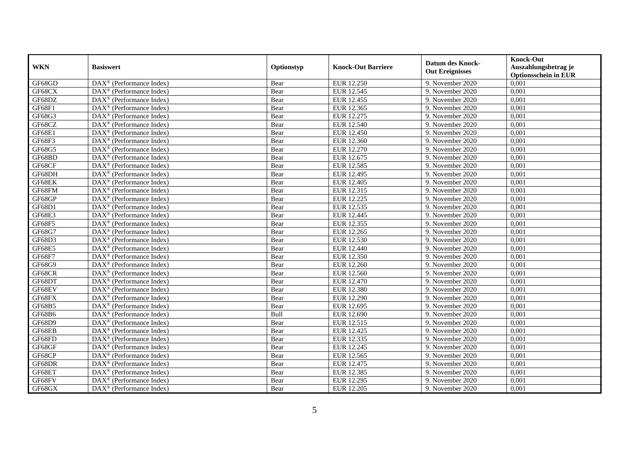| <b>WKN</b>    | <b>Basiswert</b>                                              | Optionstyp | <b>Knock-Out Barriere</b> | <b>Datum des Knock-</b><br><b>Out Ereignisses</b> | <b>Knock-Out</b><br>Auszahlungsbetrag je<br><b>Optionsschein in EUR</b> |
|---------------|---------------------------------------------------------------|------------|---------------------------|---------------------------------------------------|-------------------------------------------------------------------------|
| GF68GD        | $\overline{\text{DAX}}^{\textcirc}$ (Performance Index)       | Bear       | EUR 12.250                | 9. November 2020                                  | 0,001                                                                   |
| GF68CX        | $DAX^{\otimes}$ (Performance Index)                           | Bear       | EUR 12.545                | 9. November 2020                                  | 0,001                                                                   |
| GF68DZ        | $\text{DAX}^{\circledR}$ (Performance Index)                  | Bear       | EUR 12.455                | 9. November 2020                                  | 0,001                                                                   |
| GF68F1        | $\text{DAX}^{\otimes}$ (Performance Index)                    | Bear       | EUR 12.365                | 9. November 2020                                  | 0,001                                                                   |
| GF68G3        | DAX <sup>®</sup> (Performance Index)                          | Bear       | EUR 12.275                | 9. November 2020                                  | 0,001                                                                   |
| GF68CZ        | $\overline{\text{DAX}^{\otimes}}$ (Performance Index)         | Bear       | EUR 12.540                | 9. November 2020                                  | 0,001                                                                   |
| GF68E1        | $\text{DAX}^{\otimes}$ (Performance Index)                    | Bear       | EUR 12.450                | 9. November 2020                                  | 0,001                                                                   |
| GF68F3        | $DAX^{\otimes}$ (Performance Index)                           | Bear       | EUR 12.360                | 9. November 2020                                  | 0,001                                                                   |
| GF68G5        | $DAX^{\otimes}$ (Performance Index)                           | Bear       | <b>EUR 12.270</b>         | 9. November 2020                                  | 0,001                                                                   |
| GF68BD        | $DAX^{\otimes}$ (Performance Index)                           | Bear       | EUR 12.675                | 9. November 2020                                  | 0,001                                                                   |
| GF68CF        | DAX <sup>®</sup> (Performance Index)                          | Bear       | EUR 12.585                | 9. November 2020                                  | 0,001                                                                   |
| GF68DH        | $\overline{\text{DAX}^{\otimes}}$ (Performance Index)         | Bear       | EUR 12.495                | 9. November 2020                                  | 0,001                                                                   |
| GF68EK        | $\text{DAX}^{\otimes}$ (Performance Index)                    | Bear       | EUR 12.405                | 9. November 2020                                  | 0,001                                                                   |
| GF68FM        | $\text{DAX}^{\otimes}$ (Performance Index)                    | Bear       | EUR 12.315                | 9. November 2020                                  | 0,001                                                                   |
| GF68GP        | DAX <sup>®</sup> (Performance Index)                          | Bear       | EUR 12.225                | 9. November 2020                                  | 0,001                                                                   |
| GF68D1        | DAX <sup>®</sup> (Performance Index)                          | Bear       | EUR 12.535                | 9. November 2020                                  | 0,001                                                                   |
| <b>GF68E3</b> | DAX <sup>®</sup> (Performance Index)                          | Bear       | EUR 12.445                | 9. November 2020                                  | 0,001                                                                   |
| <b>GF68F5</b> | $\text{DAX}^{\circledR}$ (Performance Index)                  | Bear       | EUR 12.355                | 9. November 2020                                  | 0,001                                                                   |
| GF68G7        | $\overline{\text{DAX}}^{\textcirc}$ (Performance Index)       | Bear       | EUR 12.265                | 9. November 2020                                  | 0,001                                                                   |
| GF68D3        | DAX <sup>®</sup> (Performance Index)                          | Bear       | EUR 12.530                | 9. November 2020                                  | 0,001                                                                   |
| <b>GF68E5</b> | $\overline{\text{DAX}^{\otimes}}$ (Performance Index)         | Bear       | EUR 12.440                | 9. November 2020                                  | 0,001                                                                   |
| GF68F7        | $\overline{\text{DAX}^{\otimes}}$ (Performance Index)         | Bear       | EUR 12.350                | 9. November 2020                                  | 0,001                                                                   |
| GF68G9        | $\text{DAX}^{\otimes}$ (Performance Index)                    | Bear       | EUR 12.260                | 9. November 2020                                  | 0,001                                                                   |
| GF68CR        | DAX <sup>®</sup> (Performance Index)                          | Bear       | <b>EUR 12.560</b>         | 9. November 2020                                  | 0,001                                                                   |
| GF68DT        | $\text{DAX}^{\circledR}$ (Performance Index)                  | Bear       | EUR 12.470                | 9. November 2020                                  | 0,001                                                                   |
| GF68EV        | DAX <sup>®</sup> (Performance Index)                          | Bear       | EUR 12.380                | 9. November 2020                                  | 0,001                                                                   |
| GF68FX        | DAX <sup>®</sup> (Performance Index)                          | Bear       | EUR 12.290                | 9. November 2020                                  | 0,001                                                                   |
| GF68B5        | $DAX^{\otimes}$ (Performance Index)                           | Bear       | EUR 12.695                | 9. November 2020                                  | 0.001                                                                   |
| GF68B6        | $DAX^{\otimes}$ (Performance Index)                           | Bull       | EUR 12.690                | 9. November 2020                                  | 0,001                                                                   |
| GF68D9        | $DAX^{\otimes}$ (Performance Index)                           | Bear       | EUR 12.515                | 9. November 2020                                  | 0,001                                                                   |
| GF68EB        | DAX <sup>®</sup> (Performance Index)                          | Bear       | EUR 12.425                | 9. November 2020                                  | 0,001                                                                   |
| GF68FD        | $\overline{\text{DA}}X^{\textcircled{e}}$ (Performance Index) | Bear       | EUR 12.335                | 9. November 2020                                  | 0,001                                                                   |
| GF68GF        | $\overline{\text{DAX}^{\otimes}}$ (Performance Index)         | Bear       | EUR 12.245                | 9. November 2020                                  | 0,001                                                                   |
| GF68CP        | $\text{DAX}^{\otimes}$ (Performance Index)                    | Bear       | EUR 12.565                | 9. November 2020                                  | 0,001                                                                   |
| GF68DR        | $\text{DAX}^{\otimes}$ (Performance Index)                    | Bear       | EUR 12.475                | 9. November 2020                                  | 0,001                                                                   |
| GF68ET        | $\text{DAX}^{\otimes}$ (Performance Index)                    | Bear       | EUR 12.385                | 9. November 2020                                  | 0,001                                                                   |
| GF68FV        | $\text{DAX}^{\otimes}$ (Performance Index)                    | Bear       | EUR 12.295                | 9. November 2020                                  | 0,001                                                                   |
| GF68GX        | DAX <sup>®</sup> (Performance Index)                          | Bear       | EUR 12.205                | 9. November 2020                                  | 0,001                                                                   |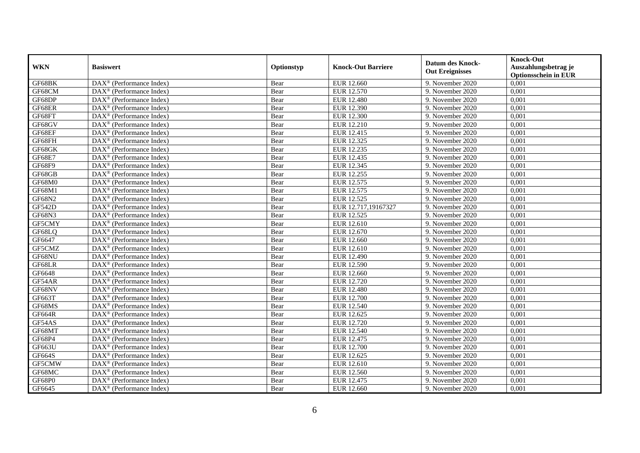| <b>WKN</b>    | <b>Basiswert</b>                                              | Optionstyp | <b>Knock-Out Barriere</b> | <b>Datum des Knock-</b><br><b>Out Ereignisses</b> | <b>Knock-Out</b><br>Auszahlungsbetrag je<br><b>Optionsschein in EUR</b> |
|---------------|---------------------------------------------------------------|------------|---------------------------|---------------------------------------------------|-------------------------------------------------------------------------|
| GF68BK        | $\overline{\text{DAX}}^{\textcirc}$ (Performance Index)       | Bear       | EUR 12.660                | 9. November 2020                                  | 0,001                                                                   |
| GF68CM        | $DAX^{\otimes}$ (Performance Index)                           | Bear       | EUR 12.570                | 9. November 2020                                  | 0,001                                                                   |
| GF68DP        | $\text{DAX}^{\circledR}$ (Performance Index)                  | Bear       | <b>EUR 12.480</b>         | 9. November 2020                                  | 0,001                                                                   |
| GF68ER        | $\text{DAX}^{\otimes}$ (Performance Index)                    | Bear       | EUR 12.390                | 9. November 2020                                  | 0,001                                                                   |
| GF68FT        | DAX <sup>®</sup> (Performance Index)                          | Bear       | <b>EUR 12.300</b>         | 9. November 2020                                  | 0,001                                                                   |
| GF68GV        | $\overline{\text{DAX}^{\otimes}}$ (Performance Index)         | Bear       | EUR 12.210                | 9. November 2020                                  | 0,001                                                                   |
| GF68EF        | $\text{DAX}^{\otimes}$ (Performance Index)                    | Bear       | EUR 12.415                | 9. November 2020                                  | 0,001                                                                   |
| GF68FH        | $DAX^{\otimes}$ (Performance Index)                           | Bear       | EUR 12.325                | 9. November 2020                                  | 0,001                                                                   |
| GF68GK        | $DAX^{\otimes}$ (Performance Index)                           | Bear       | EUR 12.235                | 9. November 2020                                  | 0,001                                                                   |
| <b>GF68E7</b> | $DAX^{\otimes}$ (Performance Index)                           | Bear       | EUR 12.435                | 9. November 2020                                  | 0,001                                                                   |
| GF68F9        | DAX <sup>®</sup> (Performance Index)                          | Bear       | EUR 12.345                | 9. November 2020                                  | 0,001                                                                   |
| GF68GB        | $\overline{\text{DAX}^{\otimes}}$ (Performance Index)         | Bear       | EUR 12.255                | 9. November 2020                                  | 0,001                                                                   |
| GF68M0        | $\text{DAX}^{\otimes}$ (Performance Index)                    | Bear       | EUR 12.575                | 9. November 2020                                  | 0,001                                                                   |
| GF68M1        | $\text{DAX}^{\otimes}$ (Performance Index)                    | Bear       | EUR 12.575                | 9. November 2020                                  | 0,001                                                                   |
| GF68N2        | DAX <sup>®</sup> (Performance Index)                          | Bear       | EUR 12.525                | 9. November 2020                                  | 0,001                                                                   |
| <b>GF542D</b> | DAX <sup>®</sup> (Performance Index)                          | Bear       | EUR 12.717,19167327       | 9. November 2020                                  | 0,001                                                                   |
| GF68N3        | DAX <sup>®</sup> (Performance Index)                          | Bear       | EUR 12.525                | 9. November 2020                                  | 0,001                                                                   |
| GF5CMY        | $\text{DAX}^{\circledR}$ (Performance Index)                  | Bear       | EUR 12.610                | 9. November 2020                                  | 0,001                                                                   |
| GF68LQ        | DAX <sup>®</sup> (Performance Index)                          | Bear       | EUR 12.670                | 9. November 2020                                  | 0,001                                                                   |
| GF6647        | DAX <sup>®</sup> (Performance Index)                          | Bear       | EUR 12.660                | 9. November 2020                                  | 0,001                                                                   |
| GF5CMZ        | $\overline{\text{DAX}^{\otimes}}$ (Performance Index)         | Bear       | EUR 12.610                | 9. November 2020                                  | 0,001                                                                   |
| GF68NU        | $\overline{\text{DAX}^{\otimes}}$ (Performance Index)         | Bear       | EUR 12.490                | 9. November 2020                                  | 0,001                                                                   |
| GF68LR        | $\text{DAX}^{\otimes}$ (Performance Index)                    | Bear       | EUR 12.590                | 9. November 2020                                  | 0,001                                                                   |
| GF6648        | DAX <sup>®</sup> (Performance Index)                          | Bear       | EUR 12.660                | 9. November 2020                                  | 0,001                                                                   |
| GF54AR        | $\text{DAX}^{\circledR}$ (Performance Index)                  | Bear       | EUR 12.720                | 9. November 2020                                  | 0,001                                                                   |
| GF68NV        | DAX <sup>®</sup> (Performance Index)                          | Bear       | EUR 12.480                | 9. November 2020                                  | 0,001                                                                   |
| GF663T        | DAX <sup>®</sup> (Performance Index)                          | Bear       | <b>EUR 12.700</b>         | 9. November 2020                                  | 0,001                                                                   |
| GF68MS        | $DAX^{\otimes}$ (Performance Index)                           | Bear       | EUR 12.540                | 9. November 2020                                  | 0.001                                                                   |
| GF664R        | $DAX^{\otimes}$ (Performance Index)                           | Bear       | EUR 12.625                | 9. November 2020                                  | 0,001                                                                   |
| GF54AS        | $DAX^{\otimes}$ (Performance Index)                           | Bear       | <b>EUR 12.720</b>         | 9. November 2020                                  | 0,001                                                                   |
| GF68MT        | DAX <sup>®</sup> (Performance Index)                          | Bear       | <b>EUR 12.540</b>         | 9. November 2020                                  | 0,001                                                                   |
| GF68P4        | $\overline{\text{DA}}X^{\textcircled{e}}$ (Performance Index) | Bear       | EUR 12.475                | 9. November 2020                                  | 0,001                                                                   |
| GF663U        | $\overline{\text{DAX}^{\otimes}}$ (Performance Index)         | Bear       | <b>EUR 12.700</b>         | 9. November 2020                                  | 0,001                                                                   |
| GF664S        | $\text{DAX}^{\otimes}$ (Performance Index)                    | Bear       | EUR 12.625                | 9. November 2020                                  | 0,001                                                                   |
| GF5CMW        | $\text{DAX}^{\otimes}$ (Performance Index)                    | Bear       | EUR 12.610                | 9. November 2020                                  | 0,001                                                                   |
| GF68MC        | $\text{DAX}^{\otimes}$ (Performance Index)                    | Bear       | EUR 12.560                | 9. November 2020                                  | 0,001                                                                   |
| GF68P0        | $\text{DAX}^{\otimes}$ (Performance Index)                    | Bear       | EUR 12.475                | 9. November 2020                                  | 0,001                                                                   |
| GF6645        | DAX <sup>®</sup> (Performance Index)                          | Bear       | EUR 12.660                | 9. November 2020                                  | 0,001                                                                   |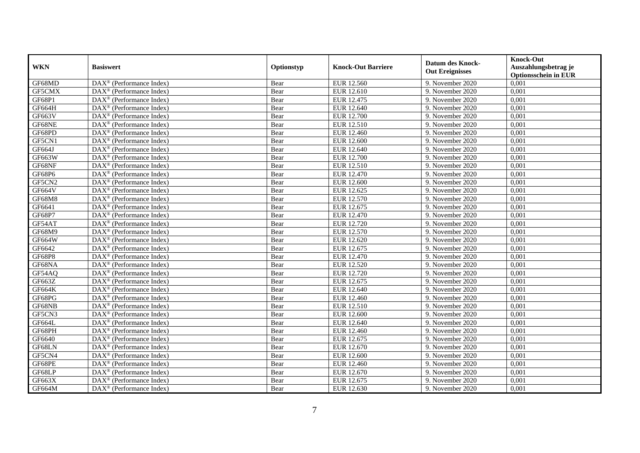| <b>WKN</b>    | <b>Basiswert</b>                                            | Optionstyp | <b>Knock-Out Barriere</b> | <b>Datum des Knock-</b><br><b>Out Ereignisses</b> | <b>Knock-Out</b><br>Auszahlungsbetrag je<br><b>Optionsschein in EUR</b> |
|---------------|-------------------------------------------------------------|------------|---------------------------|---------------------------------------------------|-------------------------------------------------------------------------|
| GF68MD        | $\overline{\text{DAX}}^{\textcirc}$ (Performance Index)     | Bear       | EUR 12.560                | 9. November 2020                                  | 0,001                                                                   |
| GF5CMX        | $\text{DAX}^{\textcircled{}}$ (Performance Index)           | Bear       | EUR 12.610                | 9. November 2020                                  | 0,001                                                                   |
| GF68P1        | DAX <sup>®</sup> (Performance Index)                        | Bear       | EUR 12.475                | 9. November 2020                                  | 0,001                                                                   |
| GF664H        | DAX <sup>®</sup> (Performance Index)                        | Bear       | EUR 12.640                | 9. November 2020                                  | 0,001                                                                   |
| GF663V        | $\text{DAX}^{\textcircled{}}$ (Performance Index)           | Bear       | <b>EUR 12.700</b>         | 9. November 2020                                  | 0,001                                                                   |
| GF68NE        | $\text{DAX}^{\textcircled{}}$ (Performance Index)           | Bear       | EUR 12.510                | 9. November 2020                                  | 0,001                                                                   |
| GF68PD        | $\overline{\text{DAX}^{\otimes}}$ (Performance Index)       | Bear       | EUR 12.460                | 9. November 2020                                  | 0,001                                                                   |
| GF5CN1        | $\text{DAX}^{\textcircled{}}$ (Performance Index)           | Bear       | <b>EUR 12.600</b>         | 9. November 2020                                  | 0,001                                                                   |
| GF664J        | $\text{DAX}^{\textcircled{}}$ (Performance Index)           | Bear       | EUR 12.640                | 9. November 2020                                  | 0,001                                                                   |
| GF663W        | DAX <sup>®</sup> (Performance Index)                        | Bear       | <b>EUR 12.700</b>         | 9. November 2020                                  | 0,001                                                                   |
| GF68NF        | DAX <sup>®</sup> (Performance Index)                        | Bear       | EUR 12.510                | 9. November 2020                                  | 0,001                                                                   |
| GF68P6        | DAX <sup>®</sup> (Performance Index)                        | Bear       | EUR 12.470                | 9. November 2020                                  | 0,001                                                                   |
| GF5CN2        | $\text{DAX}^{\textcircled{n}}$ (Performance Index)          | Bear       | <b>EUR 12.600</b>         | 9. November 2020                                  | 0,001                                                                   |
| <b>GF664V</b> | $DAX^{\circledR}$ (Performance Index)                       | Bear       | EUR 12.625                | 9. November 2020                                  | 0,001                                                                   |
| GF68M8        | DAX <sup>®</sup> (Performance Index)                        | Bear       | EUR 12.570                | 9. November 2020                                  | 0,001                                                                   |
| GF6641        | DAX <sup>®</sup> (Performance Index)                        | Bear       | EUR 12.675                | 9. November 2020                                  | 0,001                                                                   |
| GF68P7        | $\text{DAX}^{\textcircled{}}$ (Performance Index)           | Bear       | EUR 12.470                | 9. November 2020                                  | 0,001                                                                   |
| GF54AT        | $\overline{\text{DAX}^{\otimes}}$ (Performance Index)       | Bear       | EUR 12.720                | 9. November 2020                                  | 0,001                                                                   |
| GF68M9        | $\text{DAX}^{\textcircled{}}$ (Performance Index)           | Bear       | EUR 12.570                | 9. November 2020                                  | 0,001                                                                   |
| GF664W        | $\text{DAX}^{\textcircled{}}$ (Performance Index)           | Bear       | EUR 12.620                | 9. November 2020                                  | 0,001                                                                   |
| GF6642        | DAX <sup>®</sup> (Performance Index)                        | Bear       | EUR 12.675                | 9. November 2020                                  | 0,001                                                                   |
| <b>GF68P8</b> | $DAX^{\circledR}$ (Performance Index)                       | Bear       | <b>EUR 12.470</b>         | 9. November 2020                                  | 0,001                                                                   |
| GF68NA        | $\overline{\text{DAX}}^{\textcirc}$ (Performance Index)     | Bear       | EUR 12.520                | 9. November 2020                                  | 0,001                                                                   |
| GF54AQ        | $\text{DAX}^{\textcircled{}}$ (Performance Index)           | Bear       | <b>EUR 12.720</b>         | 9. November 2020                                  | 0,001                                                                   |
| GF663Z        | $\text{DAX}^{\textcircled{}}$ (Performance Index)           | Bear       | EUR 12.675                | 9. November 2020                                  | 0,001                                                                   |
| GF664K        | $\text{DAX}^{\circledast}$ (Performance Index)              | Bear       | EUR 12.640                | 9. November 2020                                  | 0,001                                                                   |
| GF68PG        | DAX <sup>®</sup> (Performance Index)                        | Bear       | EUR 12.460                | 9. November 2020                                  | 0,001                                                                   |
| GF68NB        | $\overline{\text{DAX}^{\otimes}}$ (Performance Index)       | Bear       | EUR 12.510                | 9. November 2020                                  | 0,001                                                                   |
| GF5CN3        | DAX <sup>®</sup> (Performance Index)                        | Bear       | EUR 12.600                | 9. November 2020                                  | 0,001                                                                   |
| GF664L        | $DAX^{\circledR}$ (Performance Index)                       | Bear       | EUR 12.640                | 9. November 2020                                  | 0.001                                                                   |
| GF68PH        | $\text{DAX}^{\textcircled{}}$ (Performance Index)           | Bear       | EUR 12.460                | 9. November 2020                                  | 0,001                                                                   |
| GF6640        | $\text{DAX}^{\textcircled{}}$ (Performance Index)           | Bear       | EUR 12.675                | 9. November 2020                                  | 0,001                                                                   |
| GF68LN        | $\overline{\text{DAX}^{\otimes}}$ (Performance Index)       | Bear       | EUR 12.670                | 9. November 2020                                  | 0,001                                                                   |
| GF5CN4        | $\overline{\text{DAX}^{\otimes}(\text{Performance Index})}$ | Bear       | EUR 12.600                | 9. November 2020                                  | 0,001                                                                   |
| GF68PE        | DAX <sup>®</sup> (Performance Index)                        | Bear       | EUR 12.460                | 9. November 2020                                  | 0,001                                                                   |
| GF68LP        | DAX <sup>®</sup> (Performance Index)                        | Bear       | EUR 12.670                | 9. November 2020                                  | 0,001                                                                   |
| GF663X        | $DAX^{\circledcirc}$ (Performance Index)                    | Bear       | EUR 12.675                | 9. November 2020                                  | 0,001                                                                   |
| GF664M        | $\overline{\text{DAX}^{\otimes}(\text{Performance Index})}$ | Bear       | EUR 12.630                | 9. November 2020                                  | 0,001                                                                   |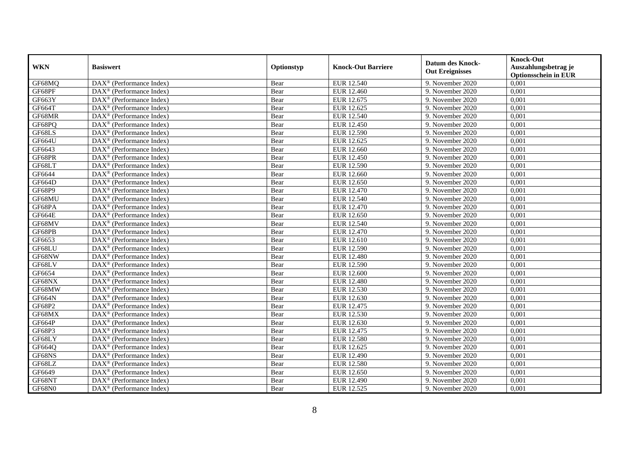| <b>WKN</b>    | <b>Basiswert</b>                                        | Optionstyp | <b>Knock-Out Barriere</b> | <b>Datum des Knock-</b><br><b>Out Ereignisses</b> | <b>Knock-Out</b><br>Auszahlungsbetrag je<br><b>Optionsschein in EUR</b> |
|---------------|---------------------------------------------------------|------------|---------------------------|---------------------------------------------------|-------------------------------------------------------------------------|
| GF68MQ        | $\overline{\text{DAX}}^{\textcirc}$ (Performance Index) | Bear       | EUR 12.540                | 9. November 2020                                  | 0,001                                                                   |
| GF68PF        | $\text{DAX}^{\textcircled{}}$ (Performance Index)       | Bear       | EUR 12.460                | 9. November 2020                                  | 0,001                                                                   |
| GF663Y        | DAX <sup>®</sup> (Performance Index)                    | Bear       | EUR 12.675                | 9. November 2020                                  | 0,001                                                                   |
| GF664T        | $\text{DAX}^{\textcircled{}}$ (Performance Index)       | Bear       | EUR 12.625                | 9. November 2020                                  | 0,001                                                                   |
| GF68MR        | DAX <sup>®</sup> (Performance Index)                    | Bear       | EUR 12.540                | 9. November 2020                                  | 0,001                                                                   |
| GF68PQ        | DAX <sup>®</sup> (Performance Index)                    | Bear       | EUR 12.450                | 9. November 2020                                  | 0,001                                                                   |
| GF68LS        | $\text{DAX}^{\textcircled{}}$ (Performance Index)       | Bear       | EUR 12.590                | 9. November 2020                                  | 0,001                                                                   |
| <b>GF664U</b> | $\text{DAX}^{\textcircled{}}$ (Performance Index)       | Bear       | EUR 12.625                | 9. November 2020                                  | 0,001                                                                   |
| GF6643        | $\text{DAX}^{\textcircled{}}$ (Performance Index)       | Bear       | <b>EUR 12.660</b>         | 9. November 2020                                  | 0,001                                                                   |
| GF68PR        | $\text{DAX}^{\textcircled{}}$ (Performance Index)       | Bear       | EUR 12.450                | 9. November 2020                                  | 0,001                                                                   |
| GF68LT        | DAX <sup>®</sup> (Performance Index)                    | Bear       | EUR 12.590                | 9. November 2020                                  | 0,001                                                                   |
| GF6644        | $\overline{\text{DAX}^{\otimes}}$ (Performance Index)   | Bear       | <b>EUR 12.660</b>         | 9. November 2020                                  | 0,001                                                                   |
| GF664D        | $\overline{\text{DAX}^{\otimes}}$ (Performance Index)   | Bear       | EUR 12.650                | 9. November 2020                                  | 0,001                                                                   |
| GF68P9        | $\text{DAX}^{\textcircled{}}$ (Performance Index)       | Bear       | EUR 12.470                | 9. November 2020                                  | 0,001                                                                   |
| GF68MU        | DAX <sup>®</sup> (Performance Index)                    | Bear       | EUR 12.540                | 9. November 2020                                  | 0,001                                                                   |
| GF68PA        | DAX <sup>®</sup> (Performance Index)                    | Bear       | EUR 12.470                | 9. November 2020                                  | 0,001                                                                   |
| <b>GF664E</b> | $\text{DAX}^{\textcircled{}}$ (Performance Index)       | Bear       | EUR 12.650                | 9. November 2020                                  | 0,001                                                                   |
| GF68MV        | $DAX^{\circledR}$ (Performance Index)                   | Bear       | EUR 12.540                | 9. November 2020                                  | 0,001                                                                   |
| GF68PB        | $\text{DAX}^{\textcircled{}}$ (Performance Index)       | Bear       | <b>EUR 12.470</b>         | 9. November 2020                                  | 0,001                                                                   |
| GF6653        | $\overline{\text{DAX}^{\otimes}}$ (Performance Index)   | Bear       | EUR 12.610                | 9. November 2020                                  | 0,001                                                                   |
| GF68LU        | $\overline{\text{DAX}^{\otimes}}$ (Performance Index)   | Bear       | EUR 12.590                | 9. November 2020                                  | 0,001                                                                   |
| GF68NW        | $\text{DAX}^{\textcircled{}}$ (Performance Index)       | Bear       | <b>EUR 12.480</b>         | 9. November 2020                                  | 0,001                                                                   |
| GF68LV        | $\overline{\text{DAX}}^{\textcirc}$ (Performance Index) | Bear       | EUR 12.590                | 9. November 2020                                  | 0,001                                                                   |
| GF6654        | $\overline{\text{DAX}^{\otimes}}$ (Performance Index)   | Bear       | <b>EUR 12.600</b>         | 9. November 2020                                  | 0,001                                                                   |
| GF68NX        | DAX <sup>®</sup> (Performance Index)                    | Bear       | <b>EUR 12.480</b>         | 9. November 2020                                  | 0,001                                                                   |
| GF68MW        | $\text{DAX}^{\textcircled{n}}$ (Performance Index)      | Bear       | EUR 12.530                | 9. November 2020                                  | 0,001                                                                   |
| GF664N        | $\text{DAX}^{\textcircled{}}$ (Performance Index)       | Bear       | EUR 12.630                | 9. November 2020                                  | 0,001                                                                   |
| GF68P2        | $DAX^{\circledR}$ (Performance Index)                   | Bear       | EUR 12.475                | 9. November 2020                                  | 0,001                                                                   |
| GF68MX        | $\text{DAX}^{\textcircled{}}$ (Performance Index)       | Bear       | EUR 12.530                | 9. November 2020                                  | 0,001                                                                   |
| <b>GF664P</b> | $\text{DAX}^{\textcircled{}}$ (Performance Index)       | Bear       | EUR 12.630                | 9. November 2020                                  | 0,001                                                                   |
| GF68P3        | DAX <sup>®</sup> (Performance Index)                    | Bear       | EUR 12.475                | 9. November 2020                                  | 0,001                                                                   |
| GF68LY        | DAX <sup>®</sup> (Performance Index)                    | Bear       | <b>EUR 12.580</b>         | 9. November 2020                                  | 0,001                                                                   |
| GF664Q        | $\overline{\text{DAX}^{\otimes}}$ (Performance Index)   | Bear       | EUR 12.625                | 9. November 2020                                  | 0,001                                                                   |
| GF68NS        | $\overline{\text{DAX}^{\otimes}}$ (Performance Index)   | Bear       | <b>EUR 12.490</b>         | 9. November 2020                                  | 0,001                                                                   |
| GF68LZ        | $\text{DAX}^{\textcircled{}}$ (Performance Index)       | Bear       | <b>EUR 12.580</b>         | 9. November 2020                                  | 0,001                                                                   |
| GF6649        | $\text{DAX}^{\textcircled{}}$ (Performance Index)       | Bear       | EUR 12.650                | 9. November 2020                                  | 0,001                                                                   |
| GF68NT        | $\text{DAX}^{\textcircled{}}$ (Performance Index)       | Bear       | EUR 12.490                | 9. November 2020                                  | 0,001                                                                   |
| GF68N0        | $\overline{\text{DAX}}^{\textcirc}$ (Performance Index) | Bear       | EUR 12.525                | 9. November 2020                                  | 0,001                                                                   |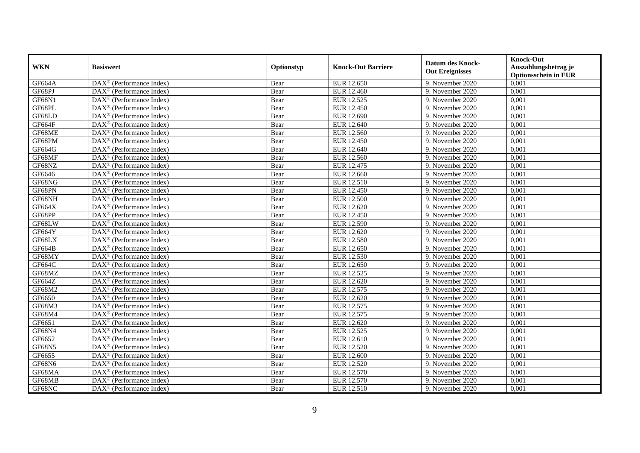| <b>WKN</b>    | <b>Basiswert</b>                                        | Optionstyp | <b>Knock-Out Barriere</b> | <b>Datum des Knock-</b><br><b>Out Ereignisses</b> | <b>Knock-Out</b><br>Auszahlungsbetrag je<br><b>Optionsschein in EUR</b> |
|---------------|---------------------------------------------------------|------------|---------------------------|---------------------------------------------------|-------------------------------------------------------------------------|
| <b>GF664A</b> | $\overline{\text{DAX}}^{\textcirc}$ (Performance Index) | Bear       | EUR 12.650                | 9. November 2020                                  | 0,001                                                                   |
| GF68PJ        | $\text{DAX}^{\textcircled{}}$ (Performance Index)       | Bear       | EUR 12.460                | 9. November 2020                                  | 0,001                                                                   |
| GF68N1        | DAX <sup>®</sup> (Performance Index)                    | Bear       | EUR 12.525                | 9. November 2020                                  | 0,001                                                                   |
| GF68PL        | $\text{DAX}^{\textcircled{}}$ (Performance Index)       | Bear       | EUR 12.450                | 9. November 2020                                  | 0,001                                                                   |
| GF68LD        | DAX <sup>®</sup> (Performance Index)                    | Bear       | EUR 12.690                | 9. November 2020                                  | 0,001                                                                   |
| GF664F        | DAX <sup>®</sup> (Performance Index)                    | Bear       | EUR 12.640                | 9. November 2020                                  | 0,001                                                                   |
| GF68ME        | $\text{DAX}^{\textcircled{}}$ (Performance Index)       | Bear       | EUR 12.560                | 9. November 2020                                  | 0,001                                                                   |
| GF68PM        | $\text{DAX}^{\textcircled{}}$ (Performance Index)       | Bear       | EUR 12.450                | 9. November 2020                                  | 0,001                                                                   |
| GF664G        | $\text{DAX}^{\textcircled{}}$ (Performance Index)       | Bear       | EUR 12.640                | 9. November 2020                                  | 0,001                                                                   |
| GF68MF        | $\text{DAX}^{\textcircled{}}$ (Performance Index)       | Bear       | EUR 12.560                | 9. November 2020                                  | 0,001                                                                   |
| GF68NZ        | DAX <sup>®</sup> (Performance Index)                    | Bear       | EUR 12.475                | 9. November 2020                                  | 0,001                                                                   |
| GF6646        | $\overline{\text{DAX}^{\otimes}}$ (Performance Index)   | Bear       | <b>EUR 12.660</b>         | 9. November 2020                                  | 0,001                                                                   |
| GF68NG        | $\overline{\text{DAX}^{\otimes}}$ (Performance Index)   | Bear       | EUR 12.510                | 9. November 2020                                  | 0,001                                                                   |
| GF68PN        | $\text{DAX}^{\textcircled{}}$ (Performance Index)       | Bear       | EUR 12.450                | 9. November 2020                                  | 0,001                                                                   |
| GF68NH        | DAX <sup>®</sup> (Performance Index)                    | Bear       | EUR 12.500                | 9. November 2020                                  | 0,001                                                                   |
| GF664X        | DAX <sup>®</sup> (Performance Index)                    | Bear       | EUR 12.620                | 9. November 2020                                  | 0,001                                                                   |
| GF68PP        | $\text{DAX}^{\textcircled{}}$ (Performance Index)       | Bear       | EUR 12.450                | 9. November 2020                                  | 0,001                                                                   |
| GF68LW        | $DAX^{\circledR}$ (Performance Index)                   | Bear       | EUR 12.590                | 9. November 2020                                  | 0,001                                                                   |
| GF664Y        | $\text{DAX}^{\textcircled{}}$ (Performance Index)       | Bear       | EUR 12.620                | 9. November 2020                                  | 0,001                                                                   |
| GF68LX        | $\overline{\text{DAX}^{\otimes}}$ (Performance Index)   | Bear       | EUR 12.580                | 9. November 2020                                  | 0,001                                                                   |
| GF664B        | $\overline{\text{DAX}^{\otimes}}$ (Performance Index)   | Bear       | EUR 12.650                | 9. November 2020                                  | 0,001                                                                   |
| GF68MY        | $\text{DAX}^{\textcircled{}}$ (Performance Index)       | Bear       | EUR 12.530                | 9. November 2020                                  | 0,001                                                                   |
| GF664C        | $\overline{\text{DAX}^{\otimes}}$ (Performance Index)   | Bear       | EUR 12.650                | 9. November 2020                                  | 0,001                                                                   |
| GF68MZ        | $\overline{\text{DAX}^{\otimes}}$ (Performance Index)   | Bear       | EUR 12.525                | 9. November 2020                                  | 0,001                                                                   |
| GF664Z        | DAX <sup>®</sup> (Performance Index)                    | Bear       | EUR 12.620                | 9. November 2020                                  | 0,001                                                                   |
| GF68M2        | $\text{DAX}^{\textcircled{n}}$ (Performance Index)      | Bear       | EUR 12.575                | 9. November 2020                                  | 0,001                                                                   |
| GF6650        | $\text{DAX}^{\textcircled{}}$ (Performance Index)       | Bear       | EUR 12.620                | 9. November 2020                                  | 0,001                                                                   |
| GF68M3        | $DAX^{\circledR}$ (Performance Index)                   | Bear       | EUR 12.575                | 9. November 2020                                  | 0,001                                                                   |
| GF68M4        | $\text{DAX}^{\textcircled{}}$ (Performance Index)       | Bear       | EUR 12.575                | 9. November 2020                                  | 0,001                                                                   |
| GF6651        | $\text{DAX}^{\textcircled{}}$ (Performance Index)       | Bear       | EUR 12.620                | 9. November 2020                                  | 0,001                                                                   |
| GF68N4        | DAX <sup>®</sup> (Performance Index)                    | Bear       | EUR 12.525                | 9. November 2020                                  | 0,001                                                                   |
| GF6652        | DAX <sup>®</sup> (Performance Index)                    | Bear       | EUR 12.610                | 9. November 2020                                  | 0,001                                                                   |
| <b>GF68N5</b> | $\overline{\text{DAX}^{\otimes}}$ (Performance Index)   | Bear       | EUR 12.520                | 9. November 2020                                  | 0,001                                                                   |
| GF6655        | $\overline{\text{DAX}^{\otimes}}$ (Performance Index)   | Bear       | EUR 12.600                | 9. November 2020                                  | 0,001                                                                   |
| GF68N6        | $\text{DAX}^{\textcircled{}}$ (Performance Index)       | Bear       | EUR 12.520                | 9. November 2020                                  | 0,001                                                                   |
| GF68MA        | $\text{DAX}^{\textcircled{}}$ (Performance Index)       | Bear       | EUR 12.570                | 9. November 2020                                  | 0,001                                                                   |
| GF68MB        | $\text{DAX}^{\textcircled{}}$ (Performance Index)       | Bear       | EUR 12.570                | 9. November 2020                                  | 0,001                                                                   |
| GF68NC        | $\overline{\text{DAX}}^{\textcirc}$ (Performance Index) | Bear       | EUR 12.510                | 9. November 2020                                  | 0,001                                                                   |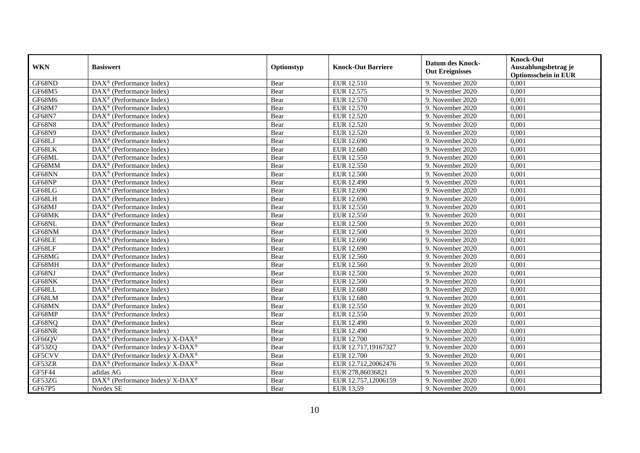|               | <b>Basiswert</b>                                                         | Optionstyp | <b>Knock-Out Barriere</b> | <b>Datum des Knock-</b><br><b>Out Ereignisses</b> | <b>Knock-Out</b>            |
|---------------|--------------------------------------------------------------------------|------------|---------------------------|---------------------------------------------------|-----------------------------|
| <b>WKN</b>    |                                                                          |            |                           |                                                   | Auszahlungsbetrag je        |
|               |                                                                          |            |                           |                                                   | <b>Optionsschein in EUR</b> |
| GF68ND        | $\overline{\text{DAX}}^{\textcircled{}}$ (Performance Index)             | Bear       | EUR 12.510                | 9. November 2020                                  | 0,001                       |
| GF68M5        | $\text{DAX}^{\textcircled{}}$ (Performance Index)                        | Bear       | EUR 12.575                | 9. November 2020                                  | 0,001                       |
| GF68M6        | $DAX^{\circledR}$ (Performance Index)                                    | Bear       | EUR 12.570                | 9. November 2020                                  | 0,001                       |
| GF68M7        | $DAX^{\circledR}$ (Performance Index)                                    | Bear       | EUR 12.570                | 9. November 2020                                  | 0,001                       |
| <b>GF68N7</b> | $\overline{\text{DAX}}^{\textcircled{}}$ (Performance Index)             | Bear       | <b>EUR 12.520</b>         | 9. November 2020                                  | 0,001                       |
| GF68N8        | $\text{DAX}^{\textcircled{}}$ (Performance Index)                        | Bear       | EUR 12.520                | 9. November 2020                                  | 0,001                       |
| <b>GF68N9</b> | $\text{DAX}^{\textcircled{}}$ (Performance Index)                        | Bear       | <b>EUR 12.520</b>         | 9. November 2020                                  | 0,001                       |
| GF68LJ        | $\overline{\text{DAX}^{\otimes}}$ (Performance Index)                    | Bear       | EUR 12.690                | 9. November 2020                                  | 0,001                       |
| GF68LK        | $\text{DAX}^{\textcircled{}}$ (Performance Index)                        | Bear       | EUR 12.680                | 9. November 2020                                  | 0,001                       |
| GF68ML        | $\text{DAX}^{\textcircled{}}$ (Performance Index)                        | Bear       | EUR 12.550                | 9. November 2020                                  | 0,001                       |
| GF68MM        | $DAX^{\circledR}$ (Performance Index)                                    | Bear       | EUR 12.550                | 9. November 2020                                  | 0,001                       |
| GF68NN        | $\overline{\text{DAX}}^{\textcirc}$ (Performance Index)                  | Bear       | <b>EUR 12.500</b>         | 9. November 2020                                  | 0,001                       |
| GF68NP        | $\overline{\text{DAX}^{\otimes}}$ (Performance Index)                    | Bear       | EUR 12.490                | 9. November 2020                                  | 0,001                       |
| GF68LG        | $\text{DAX}^{\textcircled{}}$ (Performance Index)                        | Bear       | EUR 12.690                | 9. November 2020                                  | 0,001                       |
| GF68LH        | $\text{DAX}^{\textcircled{}}$ (Performance Index)                        | Bear       | EUR 12.690                | 9. November 2020                                  | 0,001                       |
| GF68MJ        | $\text{DAX}^{\textcircled{}}$ (Performance Index)                        | Bear       | EUR 12.550                | 9. November 2020                                  | 0,001                       |
| GF68MK        | DAX <sup>®</sup> (Performance Index)                                     | Bear       | EUR 12.550                | 9. November 2020                                  | 0,001                       |
| GF68NL        | $DAX^{\circledR}$ (Performance Index)                                    | Bear       | EUR 12.500                | 9. November 2020                                  | 0,001                       |
| GF68NM        | $\text{DAX}^{\textcircled{}}$ (Performance Index)                        | Bear       | <b>EUR 12.500</b>         | 9. November 2020                                  | 0,001                       |
| GF68LE        | DAX <sup>®</sup> (Performance Index)                                     | Bear       | EUR 12.690                | 9. November 2020                                  | 0,001                       |
| GF68LF        | $\overline{\text{DAX}^{\otimes}}$ (Performance Index)                    | Bear       | EUR 12.690                | 9. November 2020                                  | 0,001                       |
| GF68MG        | $\overline{\text{DAX}^{\otimes}}$ (Performance Index)                    | Bear       | EUR 12.560                | 9. November 2020                                  | 0,001                       |
| GF68MH        | DAX <sup>®</sup> (Performance Index)                                     | Bear       | EUR 12.560                | 9. November 2020                                  | 0,001                       |
| GF68NJ        | $\overline{\text{DAX}^{\otimes}}$ (Performance Index)                    | Bear       | <b>EUR 12.500</b>         | 9. November 2020                                  | 0,001                       |
| GF68NK        | DAX <sup>®</sup> (Performance Index)                                     | Bear       | <b>EUR 12.500</b>         | 9. November 2020                                  | 0.001                       |
| GF68LL        | $\text{DAX}^{\textcircled{}}$ (Performance Index)                        | Bear       | <b>EUR 12.680</b>         | 9. November 2020                                  | 0,001                       |
| GF68LM        | $\overline{\text{DAX}^{\otimes}}$ (Performance Index)                    | Bear       | <b>EUR 12.680</b>         | 9. November 2020                                  | 0,001                       |
| GF68MN        | $\text{DAX}^{\textcircled{}}$ (Performance Index)                        | Bear       | EUR 12.550                | 9. November 2020                                  | 0,001                       |
| GF68MP        | $\overline{\text{DAX}^{\otimes}}$ (Performance Index)                    | Bear       | EUR 12.550                | 9. November 2020                                  | 0,001                       |
| GF68NQ        | $\text{DAX}^{\textcircled{}}$ (Performance Index)                        | Bear       | EUR 12.490                | 9. November 2020                                  | 0,001                       |
| GF68NR        | $\text{DAX}^{\textcircled{}}$ (Performance Index)                        | Bear       | EUR 12.490                | 9. November 2020                                  | 0,001                       |
| GF66QV        | $\text{DAX}^{\circledR}$ (Performance Index)/ X-DAX <sup>®</sup>         | Bear       | EUR 12.700                | 9. November 2020                                  | 0,001                       |
| GF53ZQ        | DAX <sup>®</sup> (Performance Index)/ X-DAX <sup>®</sup>                 | Bear       | EUR 12.717,19167327       | 9. November 2020                                  | 0,001                       |
| GF5CVV        | DAX <sup>®</sup> (Performance Index)/ X-DAX <sup>®</sup>                 | Bear       | <b>EUR 12.700</b>         | 9. November 2020                                  | 0,001                       |
| GF53ZR        | DAX <sup>®</sup> (Performance Index)/ X-DAX <sup>®</sup>                 | Bear       | EUR 12.712,20062476       | 9. November 2020                                  | 0,001                       |
| GF5F44        | adidas AG                                                                | Bear       | EUR 278,86036821          | 9. November 2020                                  | 0,001                       |
| GF53ZG        | $\overline{\text{DAX}^{\otimes}}$ (Performance Index)/X-DAX <sup>®</sup> | Bear       | EUR 12.757,12006159       | 9. November 2020                                  | 0,001                       |
| GF67P5        | Nordex SE                                                                | Bear       | EUR 13,59                 | 9. November 2020                                  | 0,001                       |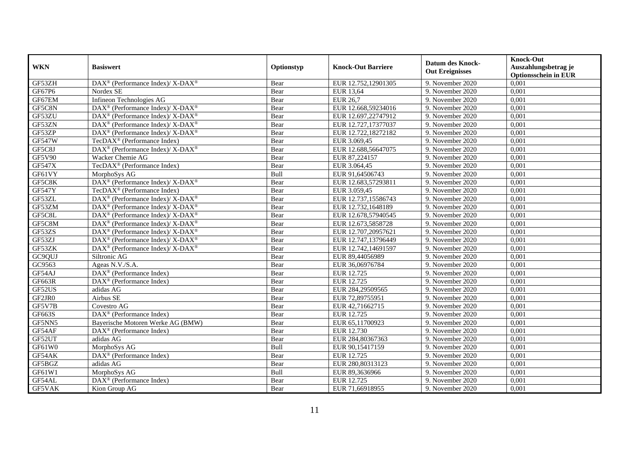|               | <b>Basiswert</b>                                                 | Optionstyp | <b>Knock-Out Barriere</b> | <b>Datum des Knock-</b> | <b>Knock-Out</b>            |
|---------------|------------------------------------------------------------------|------------|---------------------------|-------------------------|-----------------------------|
| <b>WKN</b>    |                                                                  |            |                           | <b>Out Ereignisses</b>  | Auszahlungsbetrag je        |
|               |                                                                  |            |                           |                         | <b>Optionsschein in EUR</b> |
| GF53ZH        | DAX <sup>®</sup> (Performance Index)/ X-DAX <sup>®</sup>         | Bear       | EUR 12.752,12901305       | 9. November 2020        | 0,001                       |
| GF67P6        | Nordex SE                                                        | Bear       | <b>EUR 13,64</b>          | 9. November 2020        | 0,001                       |
| GF67EM        | Infineon Technologies AG                                         | Bear       | <b>EUR 26,7</b>           | 9. November 2020        | 0,001                       |
| GF5C8N        | $\text{DAX}^{\circledR}$ (Performance Index)/ X-DAX <sup>®</sup> | Bear       | EUR 12.668,59234016       | 9. November 2020        | 0,001                       |
| GF53ZU        | DAX <sup>®</sup> (Performance Index)/ X-DAX <sup>®</sup>         | Bear       | EUR 12.697,22747912       | 9. November 2020        | 0,001                       |
| GF53ZN        | $DAX^{\circledast}$ (Performance Index)/ X-DAX <sup>®</sup>      | Bear       | EUR 12.727,17377037       | 9. November 2020        | 0,001                       |
| GF53ZP        | $DAX^{\circledast}$ (Performance Index)/ X-DAX <sup>®</sup>      | Bear       | EUR 12.722,18272182       | 9. November 2020        | 0,001                       |
| <b>GF547W</b> | $TecDAX^{\circledast}$ (Performance Index)                       | Bear       | EUR 3.069,45              | 9. November 2020        | 0,001                       |
| GF5C8J        | DAX <sup>®</sup> (Performance Index)/ X-DAX <sup>®</sup>         | Bear       | EUR 12.688,56647075       | 9. November 2020        | 0,001                       |
| <b>GF5V90</b> | Wacker Chemie AG                                                 | Bear       | EUR 87,224157             | 9. November 2020        | 0,001                       |
| <b>GF547X</b> | TecDAX <sup>®</sup> (Performance Index)                          | Bear       | EUR 3.064,45              | 9. November 2020        | 0,001                       |
| GF61VY        | MorphoSys AG                                                     | Bull       | EUR 91,64506743           | 9. November 2020        | 0,001                       |
| GF5C8K        | DAX <sup>®</sup> (Performance Index)/ X-DAX <sup>®</sup>         | Bear       | EUR 12.683,57293811       | 9. November 2020        | 0,001                       |
| <b>GF547Y</b> | TecDAX <sup>®</sup> (Performance Index)                          | Bear       | EUR 3.059,45              | 9. November 2020        | 0,001                       |
| GF53ZL        | $\text{DAX}^{\circledR}$ (Performance Index)/ X-DAX <sup>®</sup> | Bear       | EUR 12.737,15586743       | 9. November 2020        | 0,001                       |
| GF53ZM        | DAX <sup>®</sup> (Performance Index)/ X-DAX <sup>®</sup>         | Bear       | EUR 12.732,1648189        | 9. November 2020        | 0,001                       |
| GF5C8L        | $\text{DAX}^{\circledR}$ (Performance Index)/ X-DAX <sup>®</sup> | Bear       | EUR 12.678,57940545       | 9. November 2020        | 0,001                       |
| GF5C8M        | $DAX^{\circledcirc}$ (Performance Index)/X-DAX <sup>®</sup>      | Bear       | EUR 12.673,5858728        | 9. November 2020        | 0,001                       |
| GF53ZS        | DAX <sup>®</sup> (Performance Index)/ X-DAX <sup>®</sup>         | Bear       | EUR 12.707,20957621       | 9. November 2020        | 0,001                       |
| GF53ZJ        | DAX <sup>®</sup> (Performance Index)/ X-DAX <sup>®</sup>         | Bear       | EUR 12.747,13796449       | 9. November 2020        | 0,001                       |
| GF53ZK        | $\text{DAX}^{\circledR}$ (Performance Index)/ X-DAX <sup>®</sup> | Bear       | EUR 12.742,14691597       | 9. November 2020        | 0,001                       |
| GC9QUJ        | Siltronic AG                                                     | Bear       | EUR 89,44056989           | 9. November 2020        | 0,001                       |
| GC9563        | Ageas N.V./S.A.                                                  | Bear       | EUR 36,06976784           | 9. November 2020        | 0,001                       |
| GF54AJ        | DAX <sup>®</sup> (Performance Index)                             | Bear       | EUR 12.725                | 9. November 2020        | 0,001                       |
| GF663R        | $DAX^{\circledR}$ (Performance Index)                            | Bear       | EUR 12.725                | 9. November 2020        | 0.001                       |
| GF52US        | adidas AG                                                        | Bear       | EUR 284,29509565          | 9. November 2020        | 0,001                       |
| GF2JR0        | Airbus SE                                                        | Bear       | EUR 72,89755951           | 9. November 2020        | 0,001                       |
| GF5V7B        | Covestro AG                                                      | Bear       | EUR 42,71662715           | 9. November 2020        | 0,001                       |
| GF663S        | DAX <sup>®</sup> (Performance Index)                             | Bear       | EUR 12.725                | 9. November 2020        | 0,001                       |
| GF5NN5        | Bayerische Motoren Werke AG (BMW)                                | Bear       | EUR 65,11700923           | 9. November 2020        | 0,001                       |
| GF54AF        | $\text{DAX}^{\textcircled{n}}$ (Performance Index)               | Bear       | EUR 12.730                | 9. November 2020        | 0,001                       |
| GF52UT        | adidas AG                                                        | Bear       | EUR 284,80367363          | 9. November 2020        | 0,001                       |
| GF61W0        | MorphoSys AG                                                     | Bull       | EUR 90,15417159           | 9. November 2020        | 0,001                       |
| GF54AK        | DAX <sup>®</sup> (Performance Index)                             | Bear       | EUR 12.725                | 9. November 2020        | 0,001                       |
| GF5BGZ        | adidas AG                                                        | Bear       | EUR 280,80313123          | 9. November 2020        | 0,001                       |
| GF61W1        | MorphoSys AG                                                     | Bull       | EUR 89,3636966            | 9. November 2020        | 0,001                       |
| GF54AL        | $DAX^{\circledast}$ (Performance Index)                          | Bear       | EUR 12.725                | 9. November 2020        | 0,001                       |
| GF5VAK        | Kion Group AG                                                    | Bear       | EUR 71,66918955           | 9. November 2020        | 0,001                       |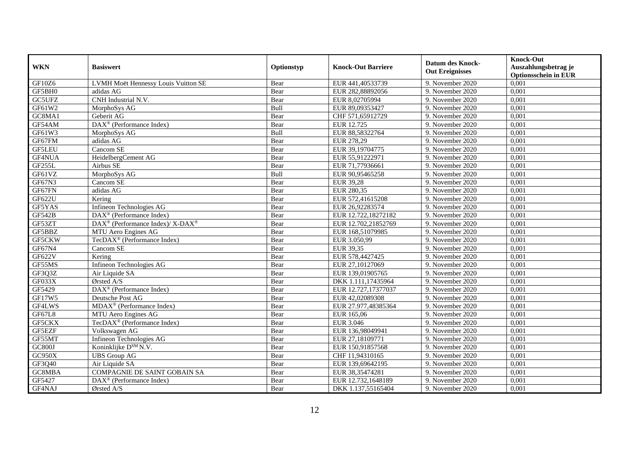|               | <b>Basiswert</b>                                             | Optionstyp | <b>Knock-Out Barriere</b> | <b>Datum des Knock-</b><br><b>Out Ereignisses</b> | <b>Knock-Out</b>            |
|---------------|--------------------------------------------------------------|------------|---------------------------|---------------------------------------------------|-----------------------------|
| <b>WKN</b>    |                                                              |            |                           |                                                   | Auszahlungsbetrag je        |
|               |                                                              |            |                           |                                                   | <b>Optionsschein in EUR</b> |
| GF10Z6        | LVMH Moët Hennessy Louis Vuitton SE                          | Bear       | EUR 441,40533739          | 9. November 2020                                  | 0,001                       |
| GF5BH0        | adidas AG                                                    | Bear       | EUR 282,88892056          | 9. November 2020                                  | 0,001                       |
| GC5UFZ        | CNH Industrial N.V.                                          | Bear       | EUR 8,02705994            | 9. November 2020                                  | 0,001                       |
| GF61W2        | MorphoSys AG                                                 | Bull       | EUR 89,09353427           | 9. November 2020                                  | 0,001                       |
| GC8MA1        | Geberit AG                                                   | Bear       | CHF 571,65912729          | 9. November 2020                                  | 0,001                       |
| GF54AM        | DAX <sup>®</sup> (Performance Index)                         | Bear       | EUR 12.725                | 9. November 2020                                  | 0,001                       |
| GF61W3        | MorphoSys AG                                                 | Bull       | EUR 88,58322764           | 9. November 2020                                  | 0,001                       |
| GF67FM        | adidas AG                                                    | Bear       | EUR 278,29                | 9. November 2020                                  | 0,001                       |
| <b>GF5LEU</b> | Cancom SE                                                    | Bear       | EUR 39,19704775           | 9. November 2020                                  | 0,001                       |
| GF4NUA        | HeidelbergCement AG                                          | Bear       | EUR 55,91222971           | 9. November 2020                                  | 0,001                       |
| GF255L        | Airbus SE                                                    | Bear       | EUR 71,77936661           | 9. November 2020                                  | 0.001                       |
| GF61VZ        | MorphoSys AG                                                 | Bull       | EUR 90,95465258           | 9. November 2020                                  | 0,001                       |
| GF67N3        | Cancom SE                                                    | Bear       | <b>EUR 39,28</b>          | 9. November 2020                                  | 0,001                       |
| GF67FN        | adidas AG                                                    | Bear       | <b>EUR 280,35</b>         | 9. November 2020                                  | 0,001                       |
| GF622U        | Kering                                                       | Bear       | EUR 572,41615208          | 9. November 2020                                  | 0,001                       |
| GF5YAS        | Infineon Technologies AG                                     | Bear       | EUR 26,92283574           | 9. November 2020                                  | 0,001                       |
| <b>GF542B</b> | DAX <sup>®</sup> (Performance Index)                         | Bear       | EUR 12.722,18272182       | 9. November 2020                                  | 0,001                       |
| GF53ZT        | $DAX^{\circledcirc}$ (Performance Index)/ X-DAX <sup>®</sup> | Bear       | EUR 12.702.21852769       | 9. November 2020                                  | 0.001                       |
| GF5BBZ        | MTU Aero Engines AG                                          | Bear       | EUR 168,51079985          | 9. November 2020                                  | 0,001                       |
| GF5CKW        | TecDAX <sup>®</sup> (Performance Index)                      | Bear       | EUR 3.050,99              | 9. November 2020                                  | 0,001                       |
| GF67N4        | Cancom SE                                                    | Bear       | EUR 39,35                 | 9. November 2020                                  | 0,001                       |
| GF622V        | Kering                                                       | Bear       | EUR 578,4427425           | 9. November 2020                                  | 0,001                       |
| GF55MS        | <b>Infineon Technologies AG</b>                              | Bear       | EUR 27,10127069           | 9. November 2020                                  | 0,001                       |
| GF3Q3Z        | Air Liquide SA                                               | Bear       | EUR 139,01905765          | 9. November 2020                                  | 0,001                       |
| GF033X        | $O$ rsted $A/S$                                              | Bear       | DKK 1.111,17435964        | 9. November 2020                                  | 0.001                       |
| GF5429        | DAX <sup>®</sup> (Performance Index)                         | Bear       | EUR 12.727,17377037       | 9. November 2020                                  | 0,001                       |
| GF17W5        | Deutsche Post AG                                             | Bear       | EUR 42,02089308           | 9. November 2020                                  | 0,001                       |
| GF4LWS        | MDAX <sup>®</sup> (Performance Index)                        | Bear       | EUR 27.977,48385364       | 9. November 2020                                  | 0,001                       |
| GF67L8        | MTU Aero Engines AG                                          | Bear       | EUR 165,06                | 9. November 2020                                  | 0,001                       |
| GF5CKX        | TecDAX <sup>®</sup> (Performance Index)                      | Bear       | EUR 3.046                 | 9. November 2020                                  | 0,001                       |
| GF5EZF        | Volkswagen AG                                                | Bear       | EUR 136,98049941          | 9. November 2020                                  | 0,001                       |
| GF55MT        | Infineon Technologies AG                                     | Bear       | EUR 27,18109771           | 9. November 2020                                  | 0,001                       |
| GC800J        | Koninklijke D <sup>SM</sup> N.V.                             | Bear       | EUR 150,91857568          | 9. November 2020                                  | 0,001                       |
| GC950X        | <b>UBS</b> Group AG                                          | Bear       | CHF 11,94310165           | 9. November 2020                                  | 0,001                       |
| GF3Q40        | Air Liquide SA                                               | Bear       | EUR 139,69642195          | 9. November 2020                                  | 0,001                       |
| GC8MBA        | COMPAGNIE DE SAINT GOBAIN SA                                 | Bear       | EUR 38,35474281           | 9. November 2020                                  | 0,001                       |
| GF5427        | $DAX^{\circledast}$ (Performance Index)                      | Bear       | EUR 12.732,1648189        | 9. November 2020                                  | 0,001                       |
| GF4NAJ        | Ørsted A/S                                                   | Bear       | DKK 1.137,55165404        | 9. November 2020                                  | 0,001                       |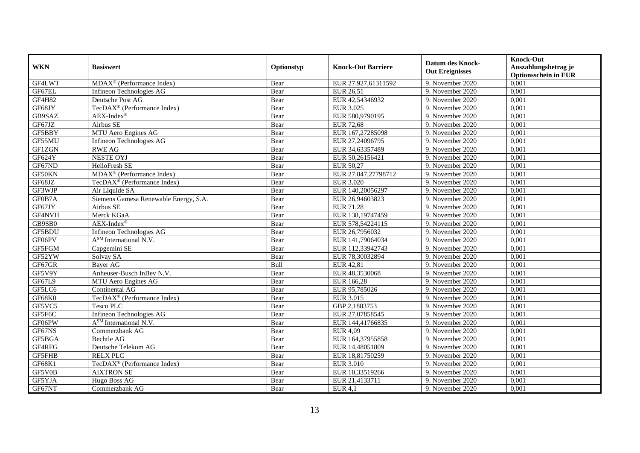| <b>WKN</b>    | <b>Basiswert</b>                        | Optionstyp | <b>Knock-Out Barriere</b> | <b>Datum des Knock-</b><br><b>Out Ereignisses</b> | <b>Knock-Out</b><br>Auszahlungsbetrag je<br><b>Optionsschein in EUR</b> |
|---------------|-----------------------------------------|------------|---------------------------|---------------------------------------------------|-------------------------------------------------------------------------|
| GF4LWT        | $MDAX^{\circledR}$ (Performance Index)  | Bear       | EUR 27.927,61311592       | 9. November 2020                                  | 0,001                                                                   |
| GF67EL        | Infineon Technologies AG                | Bear       | EUR 26,51                 | 9. November 2020                                  | 0,001                                                                   |
| GF4H82        | Deutsche Post AG                        | Bear       | EUR 42,54346932           | 9. November 2020                                  | 0,001                                                                   |
| GF68JY        | TecDAX <sup>®</sup> (Performance Index) | Bear       | <b>EUR 3.025</b>          | 9. November 2020                                  | 0,001                                                                   |
| GB9SAZ        | AEX-Index®                              | Bear       | EUR 580,9790195           | 9. November $2020$                                | 0,001                                                                   |
| GF67JZ        | Airbus SE                               | Bear       | EUR $72,68$               | 9. November 2020                                  | 0,001                                                                   |
| GF5BBY        | MTU Aero Engines AG                     | Bear       | EUR 167,27285098          | 9. November 2020                                  | 0,001                                                                   |
| GF55MU        | Infineon Technologies AG                | Bear       | EUR 27,24096795           | 9. November 2020                                  | 0,001                                                                   |
| GF1ZGN        | <b>RWE AG</b>                           | Bear       | EUR 34,63357489           | 9. November 2020                                  | 0,001                                                                   |
| GF624Y        | <b>NESTE OYJ</b>                        | Bear       | EUR 50,26156421           | 9. November 2020                                  | 0,001                                                                   |
| GF67ND        | HelloFresh SE                           | Bear       | <b>EUR 50,27</b>          | 9. November 2020                                  | 0,001                                                                   |
| GF50KN        | MDAX <sup>®</sup> (Performance Index)   | Bear       | EUR 27.847,27798712       | 9. November 2020                                  | 0,001                                                                   |
| GF68JZ        | TecDAX <sup>®</sup> (Performance Index) | Bear       | <b>EUR 3.020</b>          | 9. November 2020                                  | 0,001                                                                   |
| GF3WJP        | Air Liquide SA                          | Bear       | EUR 140,20056297          | 9. November 2020                                  | 0,001                                                                   |
| GF0B7A        | Siemens Gamesa Renewable Energy, S.A.   | Bear       | EUR 26,94603823           | 9. November 2020                                  | 0,001                                                                   |
| GF67JY        | Airbus SE                               | Bear       | <b>EUR 71,28</b>          | 9. November 2020                                  | 0,001                                                                   |
| GF4NVH        | Merck KGaA                              | Bear       | EUR 138,19747459          | 9. November 2020                                  | 0,001                                                                   |
| GB9SB0        | $AEX-Index^{\circledR}$                 | Bear       | EUR 578,54224115          | 9. November 2020                                  | 0,001                                                                   |
| GF5BDU        | Infineon Technologies AG                | Bear       | EUR 26,7956032            | 9. November 2020                                  | 0,001                                                                   |
| GF06PV        | $\overline{A^{SM}}$ International N.V.  | Bear       | EUR 141,79064034          | 9. November 2020                                  | 0,001                                                                   |
| GF5FGM        | Capgemini SE                            | Bear       | EUR 112,33942743          | 9. November 2020                                  | 0,001                                                                   |
| GF52YW        | Solvay SA                               | Bear       | EUR 78,30032894           | 9. November 2020                                  | 0,001                                                                   |
| GF67GR        | <b>Bayer AG</b>                         | Bull       | EUR 42,81                 | 9. November 2020                                  | 0,001                                                                   |
| GF5V9Y        | Anheuser-Busch InBev N.V.               | Bear       | EUR 48,3530068            | 9. November 2020                                  | 0,001                                                                   |
| GF67L9        | MTU Aero Engines AG                     | Bear       | EUR 166,28                | 9. November 2020                                  | 0,001                                                                   |
| GF5LC6        | Continental AG                          | Bear       | EUR 95,785026             | 9. November 2020                                  | 0,001                                                                   |
| GF68K0        | TecDAX <sup>®</sup> (Performance Index) | Bear       | EUR 3.015                 | 9. November 2020                                  | 0,001                                                                   |
| GF5VC5        | <b>Tesco PLC</b>                        | Bear       | GBP 2,1883753             | 9. November 2020                                  | 0.001                                                                   |
| GF5F6C        | Infineon Technologies AG                | Bear       | EUR 27,07858545           | 9. November 2020                                  | 0,001                                                                   |
| GF06PW        | A <sup>SM</sup> International N.V.      | Bear       | EUR 144,41766835          | 9. November 2020                                  | 0,001                                                                   |
| GF67NS        | Commerzbank AG                          | Bear       | <b>EUR 4,09</b>           | 9. November 2020                                  | 0,001                                                                   |
| GF5BGA        | Bechtle AG                              | Bear       | EUR 164,37955858          | 9. November 2020                                  | 0,001                                                                   |
| GF4RFG        | Deutsche Telekom AG                     | Bear       | EUR 14,48051809           | 9. November 2020                                  | 0,001                                                                   |
| <b>GF5FHB</b> | <b>RELX PLC</b>                         | Bear       | EUR 18,81750259           | 9. November 2020                                  | 0,001                                                                   |
| GF68K1        | TecDAX <sup>®</sup> (Performance Index) | Bear       | EUR 3.010                 | 9. November 2020                                  | 0,001                                                                   |
| GF5V0B        | <b>AIXTRON SE</b>                       | Bear       | EUR 10,33519266           | 9. November 2020                                  | 0,001                                                                   |
| GF5YJA        | Hugo Boss AG                            | Bear       | EUR 21,4133711            | 9. November 2020                                  | 0,001                                                                   |
| GF67NT        | Commerzbank AG                          | Bear       | <b>EUR 4,1</b>            | 9. November 2020                                  | 0,001                                                                   |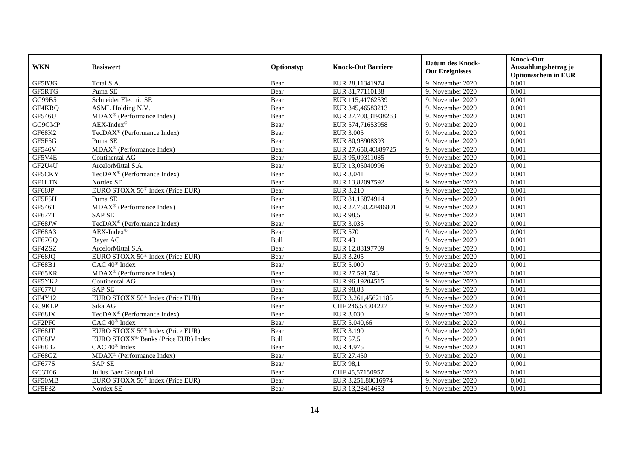| <b>WKN</b>                | <b>Basiswert</b>                                | Optionstyp  | <b>Knock-Out Barriere</b> | <b>Datum des Knock-</b><br><b>Out Ereignisses</b> | <b>Knock-Out</b><br>Auszahlungsbetrag je<br><b>Optionsschein in EUR</b> |
|---------------------------|-------------------------------------------------|-------------|---------------------------|---------------------------------------------------|-------------------------------------------------------------------------|
| GF5B3G                    | Total S.A.                                      | Bear        | EUR 28,11341974           | 9. November 2020                                  | 0,001                                                                   |
| GF5RTG                    | Puma SE                                         | Bear        | EUR 81,77110138           | 9. November 2020                                  | 0,001                                                                   |
| GC99B5                    | Schneider Electric SE                           | Bear        | EUR 115,41762539          | 9. November 2020                                  | 0,001                                                                   |
| GF4KRQ                    | ASML Holding N.V.                               | Bear        | EUR 345,46583213          | 9. November 2020                                  | 0,001                                                                   |
| GF546U                    | MDAX <sup>®</sup> (Performance Index)           | Bear        | EUR 27.700,31938263       | 9. November 2020                                  | 0,001                                                                   |
| $G C 9$ $\overline{G MP}$ | $AEX-Index^{\circledR}$                         | Bear        | EUR 574,71653958          | 9. November 2020                                  | 0,001                                                                   |
| GF68K2                    | TecDAX <sup>®</sup> (Performance Index)         | Bear        | <b>EUR 3.005</b>          | 9. November 2020                                  | 0,001                                                                   |
| GF5F5G                    | Puma SE                                         | Bear        | EUR 80,98908393           | 9. November 2020                                  | 0,001                                                                   |
| <b>GF546V</b>             | MDAX <sup>®</sup> (Performance Index)           | Bear        | EUR 27.650,40889725       | 9. November 2020                                  | 0,001                                                                   |
| GF5V4E                    | Continental AG                                  | Bear        | EUR 95,09311085           | 9. November 2020                                  | 0,001                                                                   |
| GF2U4U                    | ArcelorMittal S.A.                              | Bear        | EUR 13,05040996           | 9. November 2020                                  | 0,001                                                                   |
| GF5CKY                    | TecDAX <sup>®</sup> (Performance Index)         | Bear        | <b>EUR 3.041</b>          | 9. November 2020                                  | 0,001                                                                   |
| <b>GF1LTN</b>             | Nordex SE                                       | Bear        | EUR 13,82097592           | 9. November 2020                                  | 0,001                                                                   |
| GF68JP                    | EURO STOXX 50 <sup>®</sup> Index (Price EUR)    | Bear        | EUR 3.210                 | 9. November 2020                                  | 0,001                                                                   |
| GF5F5H                    | Puma SE                                         | Bear        | EUR 81,16874914           | 9. November 2020                                  | 0,001                                                                   |
| <b>GF546T</b>             | MDAX <sup>®</sup> (Performance Index)           | Bear        | EUR 27.750,22986801       | 9. November 2020                                  | 0,001                                                                   |
| GF677T                    | <b>SAP SE</b>                                   | Bear        | <b>EUR 98,5</b>           | 9. November 2020                                  | 0,001                                                                   |
| GF68JW                    | TecDAX <sup>®</sup> (Performance Index)         | Bear        | <b>EUR 3.035</b>          | 9. November 2020                                  | 0,001                                                                   |
| GF68A3                    | $AEX-Index^{\circledR}$                         | Bear        | <b>EUR 570</b>            | 9. November 2020                                  | 0,001                                                                   |
| GF67GQ                    | Bayer AG                                        | Bull        | <b>EUR 43</b>             | 9. November 2020                                  | 0,001                                                                   |
| GF4ZSZ                    | ArcelorMittal S.A.                              | Bear        | EUR 12,88197709           | 9. November 2020                                  | 0,001                                                                   |
| GF68JQ                    | EURO STOXX 50 <sup>®</sup> Index (Price EUR)    | Bear        | <b>EUR 3.205</b>          | 9. November 2020                                  | 0,001                                                                   |
| GF68B1                    | CAC 40 <sup>®</sup> Index                       | Bear        | <b>EUR 5.000</b>          | 9. November 2020                                  | 0,001                                                                   |
| GF65XR                    | MDAX <sup>®</sup> (Performance Index)           | Bear        | EUR 27.591,743            | 9. November 2020                                  | 0,001                                                                   |
| GF5YK2                    | Continental AG                                  | Bear        | EUR 96,19204515           | 9. November 2020                                  | 0,001                                                                   |
| <b>GF677U</b>             | <b>SAP SE</b>                                   | Bear        | EUR 98,83                 | 9. November 2020                                  | 0,001                                                                   |
| GF4Y12                    | EURO STOXX 50 <sup>®</sup> Index (Price EUR)    | Bear        | EUR 3.261,45621185        | 9. November 2020                                  | 0,001                                                                   |
| GC9KLP                    | Sika AG                                         | Bear        | CHF 246,58304227          | 9. November 2020                                  | 0,001                                                                   |
| GF68JX                    | TecDAX <sup>®</sup> (Performance Index)         | Bear        | EUR 3.030                 | 9. November 2020                                  | 0,001                                                                   |
| GF2PF0                    | $CAC 40$ <sup>®</sup> Index                     | Bear        | EUR 5.040.66              | 9. November 2020                                  | 0.001                                                                   |
| GF68JT                    | EURO STOXX 50 <sup>®</sup> Index (Price EUR)    | Bear        | <b>EUR 3.190</b>          | 9. November 2020                                  | 0,001                                                                   |
| GF68JV                    | EURO STOXX <sup>®</sup> Banks (Price EUR) Index | <b>Bull</b> | <b>EUR 57,5</b>           | 9. November 2020                                  | 0,001                                                                   |
| GF68B2                    | CAC 40 <sup>®</sup> Index                       | Bear        | <b>EUR 4.975</b>          | 9. November 2020                                  | 0,001                                                                   |
| GF68GZ                    | MDAX <sup>®</sup> (Performance Index)           | Bear        | EUR 27.450                | 9. November 2020                                  | 0,001                                                                   |
| GF677S                    | <b>SAPSE</b>                                    | Bear        | <b>EUR 98,1</b>           | 9. November 2020                                  | 0,001                                                                   |
| GC3T06                    | Julius Baer Group Ltd                           | Bear        | CHF 45,57150957           | 9. November 2020                                  | 0,001                                                                   |
| GF50MB                    | EURO STOXX 50 <sup>®</sup> Index (Price EUR)    | Bear        | EUR 3.251,80016974        | 9. November 2020                                  | 0,001                                                                   |
| GF5F3Z                    | Nordex SE                                       | Bear        | EUR 13,28414653           | 9. November 2020                                  | 0,001                                                                   |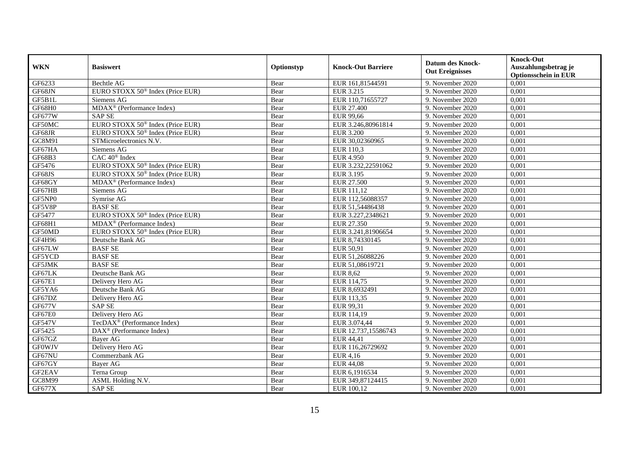|               | <b>Basiswert</b>                                           | Optionstyp | <b>Knock-Out Barriere</b> | <b>Datum des Knock-</b> | <b>Knock-Out</b>            |
|---------------|------------------------------------------------------------|------------|---------------------------|-------------------------|-----------------------------|
| <b>WKN</b>    |                                                            |            |                           | <b>Out Ereignisses</b>  | Auszahlungsbetrag je        |
|               |                                                            |            |                           |                         | <b>Optionsschein in EUR</b> |
| GF6233        | Bechtle AG                                                 | Bear       | EUR 161,81544591          | 9. November 2020        | 0,001                       |
| GF68JN        | EURO STOXX 50 <sup>®</sup> Index (Price EUR)               | Bear       | EUR 3.215                 | 9. November 2020        | 0,001                       |
| GF5B1L        | Siemens AG                                                 | Bear       | EUR 110,71655727          | 9. November 2020        | 0,001                       |
| GF68H0        | $\overline{\text{MD}}$ AX <sup>®</sup> (Performance Index) | Bear       | EUR 27.400                | 9. November 2020        | 0.001                       |
| <b>GF677W</b> | <b>SAPSE</b>                                               | Bear       | <b>EUR 99,66</b>          | 9. November 2020        | 0,001                       |
| GF50MC        | EURO STOXX 50 <sup>®</sup> Index (Price EUR)               | Bear       | EUR 3.246,80961814        | 9. November 2020        | 0,001                       |
| GF68JR        | EURO STOXX 50 <sup>®</sup> Index (Price EUR)               | Bear       | <b>EUR 3.200</b>          | 9. November 2020        | 0,001                       |
| GC8M91        | STMicroelectronics N.V.                                    | Bear       | EUR 30,02360965           | 9. November 2020        | 0,001                       |
| GF67HA        | Siemens AG                                                 | Bear       | EUR 110,3                 | 9. November 2020        | 0,001                       |
| GF68B3        | CAC 40 <sup>®</sup> Index                                  | Bear       | <b>EUR 4.950</b>          | 9. November 2020        | 0,001                       |
| GF5476        | EURO STOXX 50 <sup>®</sup> Index (Price EUR)               | Bear       | EUR 3.232,22591062        | 9. November 2020        | 0,001                       |
| GF68JS        | EURO STOXX $50^{\circ}$ Index (Price EUR)                  | Bear       | <b>EUR 3.195</b>          | 9. November 2020        | 0,001                       |
| GF68GY        | $MDAX^{\circledR}$ (Performance Index)                     | Bear       | <b>EUR 27.500</b>         | 9. November 2020        | 0,001                       |
| GF67HB        | Siemens AG                                                 | Bear       | EUR 111,12                | 9. November 2020        | 0,001                       |
| GF5NP0        | Symrise AG                                                 | Bear       | EUR 112,56088357          | 9. November 2020        | 0,001                       |
| GF5V8P        | <b>BASFSE</b>                                              | Bear       | EUR 51,54486438           | 9. November 2020        | 0,001                       |
| GF5477        | EURO STOXX 50 <sup>®</sup> Index (Price EUR)               | Bear       | EUR 3.227,2348621         | 9. November 2020        | 0,001                       |
| <b>GF68H1</b> | $MDAX^{\circledR}$ (Performance Index)                     | Bear       | EUR 27.350                | 9. November 2020        | 0,001                       |
| GF50MD        | EURO STOXX 50 <sup>®</sup> Index (Price EUR)               | Bear       | EUR 3.241,81906654        | 9. November 2020        | 0,001                       |
| GF4H96        | Deutsche Bank AG                                           | Bear       | EUR 8,74330145            | 9. November 2020        | 0,001                       |
| GF67LW        | <b>BASF SE</b>                                             | Bear       | EUR 50,91                 | 9. November 2020        | 0,001                       |
| GF5YCD        | <b>BASFSE</b>                                              | Bear       | EUR 51,26088226           | 9. November 2020        | 0,001                       |
| GF5JMK        | <b>BASFSE</b>                                              | Bear       | EUR 51,08619721           | 9. November 2020        | 0,001                       |
| GF67LK        | Deutsche Bank AG                                           | Bear       | <b>EUR 8,62</b>           | 9. November 2020        | 0,001                       |
| <b>GF67E1</b> | Delivery Hero AG                                           | Bear       | EUR 114.75                | 9. November 2020        | 0,001                       |
| GF5YA6        | Deutsche Bank AG                                           | Bear       | EUR 8,6932491             | 9. November 2020        | 0,001                       |
| GF67DZ        | Delivery Hero AG                                           | Bear       | EUR 113,35                | 9. November 2020        | 0,001                       |
| <b>GF677V</b> | <b>SAP SE</b>                                              | Bear       | EUR 99,31                 | 9. November 2020        | 0,001                       |
| GF67E0        | Delivery Hero AG                                           | Bear       | EUR 114,19                | 9. November 2020        | 0,001                       |
| <b>GF547V</b> | TecDAX <sup>®</sup> (Performance Index)                    | Bear       | EUR 3.074,44              | 9. November 2020        | 0,001                       |
| GF5425        | $\text{DAX}^{\otimes}$ (Performance Index)                 | Bear       | EUR 12.737,15586743       | 9. November 2020        | 0,001                       |
| GF67GZ        | <b>Baver AG</b>                                            | Bear       | <b>EUR 44,41</b>          | 9. November 2020        | 0,001                       |
| <b>GFOWJV</b> | Delivery Hero AG                                           | Bear       | EUR 116,26729692          | 9. November 2020        | 0,001                       |
| GF67NU        | Commerzbank AG                                             | Bear       | <b>EUR 4,16</b>           | 9. November 2020        | 0,001                       |
| GF67GY        | Bayer AG                                                   | Bear       | <b>EUR 44,08</b>          | 9. November 2020        | 0,001                       |
| GF2EAV        | Terna Group                                                | Bear       | EUR 6,1916534             | 9. November 2020        | 0,001                       |
| GC8M99        | ASML Holding N.V.                                          | Bear       | EUR 349,87124415          | 9. November 2020        | 0,001                       |
| GF677X        | <b>SAP SE</b>                                              | Bear       | EUR 100,12                | 9. November 2020        | 0,001                       |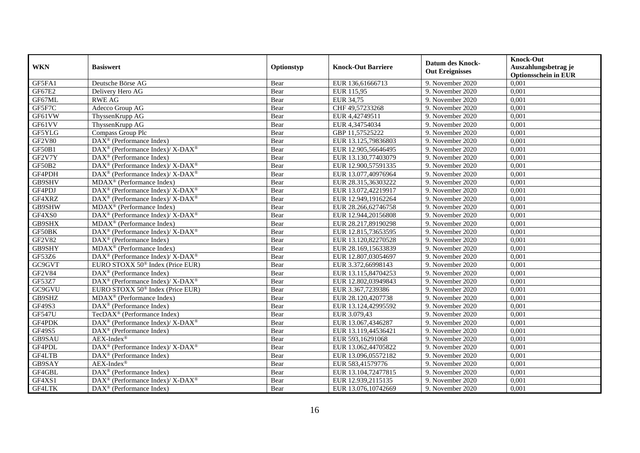| <b>WKN</b>    | <b>Basiswert</b>                                              | Optionstyp | <b>Knock-Out Barriere</b> | <b>Datum des Knock-</b><br><b>Out Ereignisses</b> | <b>Knock-Out</b><br>Auszahlungsbetrag je<br><b>Optionsschein in EUR</b> |
|---------------|---------------------------------------------------------------|------------|---------------------------|---------------------------------------------------|-------------------------------------------------------------------------|
| GF5FA1        | Deutsche Börse AG                                             | Bear       | EUR 136,61666713          | 9. November 2020                                  | 0,001                                                                   |
| GF67E2        | Delivery Hero AG                                              | Bear       | EUR 115,95                | 9. November 2020                                  | 0,001                                                                   |
| GF67ML        | <b>RWE AG</b>                                                 | Bear       | EUR 34,75                 | 9. November 2020                                  | 0,001                                                                   |
| GF5F7C        | Adecco Group AG                                               | Bear       | CHF 49,57233268           | 9. November 2020                                  | 0,001                                                                   |
| GF61VW        | ThyssenKrupp AG                                               | Bear       | EUR 4,42749511            | 9. November 2020                                  | 0,001                                                                   |
| GF61VV        | ThyssenKrupp AG                                               | Bear       | EUR 4,34754034            | 9. November 2020                                  | 0,001                                                                   |
| GF5YLG        | Compass Group Plc                                             | Bear       | GBP 11,57525222           | 9. November 2020                                  | 0,001                                                                   |
| <b>GF2V80</b> | $\text{DAX}^{\otimes}$ (Performance Index)                    | Bear       | EUR 13.125,79836803       | 9. November 2020                                  | 0,001                                                                   |
| GF50B1        | $DAX^{\circledast}$ (Performance Index)/ X-DAX <sup>®</sup>   | Bear       | EUR 12.905,56646495       | 9. November 2020                                  | 0,001                                                                   |
| GF2V7Y        | DAX <sup>®</sup> (Performance Index)                          | Bear       | EUR 13.130,77403079       | 9. November 2020                                  | 0,001                                                                   |
| GF50B2        | DAX <sup>®</sup> (Performance Index)/ X-DAX <sup>®</sup>      | Bear       | EUR 12.900,57591335       | 9. November 2020                                  | 0,001                                                                   |
| GF4PDH        | DAX <sup>®</sup> (Performance Index)/ X-DAX <sup>®</sup>      | Bear       | EUR 13.077,40976964       | 9. November 2020                                  | 0,001                                                                   |
| GB9SHV        | $MDAX^{\circledcirc}$ (Performance Index)                     | Bear       | EUR 28.315,36303222       | 9. November 2020                                  | 0,001                                                                   |
| GF4PDJ        | DAX <sup>®</sup> (Performance Index)/ X-DAX <sup>®</sup>      | Bear       | EUR 13.072,42219917       | 9. November 2020                                  | 0,001                                                                   |
| GF4XRZ        | DAX <sup>®</sup> (Performance Index)/ X-DAX <sup>®</sup>      | Bear       | EUR 12.949,19162264       | 9. November 2020                                  | 0,001                                                                   |
| GB9SHW        | MDAX <sup>®</sup> (Performance Index)                         | Bear       | EUR 28.266,62746758       | 9. November 2020                                  | 0,001                                                                   |
| GF4XS0        | DAX <sup>®</sup> (Performance Index)/ X-DAX <sup>®</sup>      | Bear       | EUR 12.944,20156808       | 9. November 2020                                  | 0,001                                                                   |
| GB9SHX        | $MDAX^{\circledR}$ (Performance Index)                        | Bear       | EUR 28.217,89190298       | 9. November 2020                                  | 0,001                                                                   |
| GF50BK        | DAX <sup>®</sup> (Performance Index)/ X-DAX <sup>®</sup>      | Bear       | EUR 12.815,73653595       | 9. November 2020                                  | 0,001                                                                   |
| GF2V82        | $\text{DAX}^{\otimes}$ (Performance Index)                    | Bear       | EUR 13.120,82270528       | 9. November 2020                                  | 0,001                                                                   |
| GB9SHY        | $MDAX^{\circledR}$ (Performance Index)                        | Bear       | EUR 28.169,15633839       | 9. November 2020                                  | 0,001                                                                   |
| GF53Z6        | DAX <sup>®</sup> (Performance Index)/ X-DAX <sup>®</sup>      | Bear       | EUR 12.807,03054697       | 9. November 2020                                  | 0,001                                                                   |
| GC9GVT        | EURO STOXX 50 <sup>®</sup> Index (Price EUR)                  | Bear       | EUR 3.372,66998143        | 9. November 2020                                  | 0,001                                                                   |
| <b>GF2V84</b> | $\text{DAX}^{\otimes}$ (Performance Index)                    | Bear       | EUR 13.115,84704253       | 9. November 2020                                  | 0,001                                                                   |
| GF53Z7        | DAX <sup>®</sup> (Performance Index)/ X-DAX <sup>®</sup>      | Bear       | EUR 12.802,03949843       | 9. November 2020                                  | 0,001                                                                   |
| GC9GVU        | EURO STOXX $50^{\circ}$ Index (Price EUR)                     | Bear       | EUR 3.367,7239386         | 9. November 2020                                  | 0,001                                                                   |
| GB9SHZ        | MDAX <sup>®</sup> (Performance Index)                         | Bear       | EUR 28.120,4207738        | 9. November 2020                                  | 0,001                                                                   |
| GF49S3        | $\overline{\text{DAX}^{\textcircled{0}}}$ (Performance Index) | Bear       | EUR 13.124,42995592       | 9. November 2020                                  | 0,001                                                                   |
| <b>GF547U</b> | TecDAX <sup>®</sup> (Performance Index)                       | Bear       | EUR 3.079,43              | 9. November 2020                                  | 0,001                                                                   |
| GF4PDK        | DAX <sup>®</sup> (Performance Index)/ X-DAX <sup>®</sup>      | Bear       | EUR 13.067,4346287        | 9. November 2020                                  | 0.001                                                                   |
| GF49S5        | DAX <sup>®</sup> (Performance Index)                          | Bear       | EUR 13.119,44536421       | 9. November 2020                                  | 0,001                                                                   |
| GB9SAU        | AEX-Index®                                                    | Bear       | EUR 593,16291068          | 9. November 2020                                  | 0,001                                                                   |
| GF4PDL        | DAX <sup>®</sup> (Performance Index)/ X-DAX <sup>®</sup>      | Bear       | EUR 13.062,44705822       | 9. November 2020                                  | 0,001                                                                   |
| GF4LTB        | DAX <sup>®</sup> (Performance Index)                          | Bear       | EUR 13.096,05572182       | 9. November 2020                                  | 0,001                                                                   |
| GB9SAY        | $AEX-Index^{\circledR}$                                       | Bear       | EUR 583,41579776          | 9. November 2020                                  | 0,001                                                                   |
| GF4GBL        | $\text{DAX}^{\otimes}$ (Performance Index)                    | Bear       | EUR 13.104,72477815       | 9. November 2020                                  | 0,001                                                                   |
| GF4XS1        | $DAX^{\circledast}$ (Performance Index)/ X-DAX <sup>®</sup>   | Bear       | EUR 12.939,2115135        | 9. November 2020                                  | 0,001                                                                   |
| GF4LTK        | $\overline{\text{DAX}^{\otimes}}$ (Performance Index)         | Bear       | EUR 13.076,10742669       | 9. November 2020                                  | 0,001                                                                   |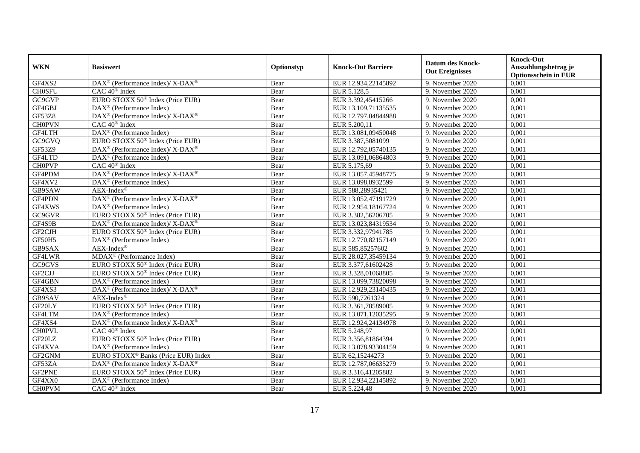|               | <b>Basiswert</b>                                             | Optionstyp | <b>Knock-Out Barriere</b> | <b>Datum des Knock-</b><br><b>Out Ereignisses</b> | <b>Knock-Out</b>                     |
|---------------|--------------------------------------------------------------|------------|---------------------------|---------------------------------------------------|--------------------------------------|
| <b>WKN</b>    |                                                              |            |                           |                                                   | Auszahlungsbetrag je                 |
| GF4XS2        |                                                              |            |                           |                                                   | <b>Optionsschein in EUR</b><br>0,001 |
|               | DAX <sup>®</sup> (Performance Index)/ X-DAX <sup>®</sup>     | Bear       | EUR 12.934,22145892       | 9. November 2020                                  |                                      |
| <b>CH0SFU</b> | CAC 40 <sup>®</sup> Index                                    | Bear       | EUR 5.128,5               | 9. November 2020                                  | 0,001                                |
| GC9GVP        | EURO STOXX 50 <sup>®</sup> Index (Price EUR)                 | Bear       | EUR 3.392,45415266        | 9. November 2020                                  | 0,001                                |
| GF4GBJ        | $\text{DAX}^{\circledR}$ (Performance Index)                 | Bear       | EUR 13.109,71135535       | 9. November 2020                                  | 0.001                                |
| <b>GF53Z8</b> | DAX <sup>®</sup> (Performance Index)/ X-DAX <sup>®</sup>     | Bear       | EUR 12.797,04844988       | 9. November 2020                                  | 0,001                                |
| <b>CH0PVN</b> | $CAC 40$ <sup>®</sup> Index                                  | Bear       | EUR 5.200,11              | 9. November 2020                                  | 0,001                                |
| GF4LTH        | DAX <sup>®</sup> (Performance Index)                         | Bear       | EUR 13.081,09450048       | 9. November 2020                                  | 0,001                                |
| GC9GVQ        | EURO STOXX 50 <sup>®</sup> Index (Price EUR)                 | Bear       | EUR 3.387,5081099         | 9. November 2020                                  | 0,001                                |
| GF53Z9        | DAX <sup>®</sup> (Performance Index)/ X-DAX <sup>®</sup>     | Bear       | EUR 12.792,05740135       | 9. November 2020                                  | 0,001                                |
| GF4LTD        | $\text{DAX}^{\otimes}$ (Performance Index)                   | Bear       | EUR 13.091,06864803       | 9. November 2020                                  | 0,001                                |
| <b>CH0PVP</b> | $CAC 40^{\circledast}$ Index                                 | Bear       | EUR 5.175,69              | 9. November 2020                                  | 0,001                                |
| GF4PDM        | DAX <sup>®</sup> (Performance Index)/ X-DAX <sup>®</sup>     | Bear       | EUR 13.057,45948775       | 9. November 2020                                  | 0,001                                |
| GF4XV2        | DAX <sup>®</sup> (Performance Index)                         | Bear       | EUR 13.098,8932599        | 9. November 2020                                  | 0,001                                |
| GB9SAW        | $AEX-Index^{\circledR}$                                      | Bear       | EUR 588,28935421          | 9. November 2020                                  | 0,001                                |
| GF4PDN        | DAX <sup>®</sup> (Performance Index)/X-DAX <sup>®</sup>      | Bear       | EUR 13.052,47191729       | 9. November 2020                                  | 0,001                                |
| GF4XWS        | DAX <sup>®</sup> (Performance Index)                         | Bear       | EUR 12.954,18167724       | 9. November 2020                                  | 0,001                                |
| G C 9 G V R   | EURO STOXX 50 <sup>®</sup> Index (Price EUR)                 | Bear       | EUR 3.382,56206705        | 9. November 2020                                  | 0,001                                |
| GF4S9B        | $DAX^{\circledcirc}$ (Performance Index)/ X-DAX <sup>®</sup> | Bear       | EUR 13.023,84319534       | 9. November 2020                                  | 0,001                                |
| GF2CJH        | EURO STOXX 50 <sup>®</sup> Index (Price EUR)                 | Bear       | EUR 3.332,97941785        | 9. November 2020                                  | 0,001                                |
| GF50H5        | $\text{DAX}^{\otimes}$ (Performance Index)                   | Bear       | EUR 12.770,82157149       | 9. November 2020                                  | 0,001                                |
| GB9SAX        | AEX-Index®                                                   | Bear       | EUR 585,85257602          | 9. November 2020                                  | 0,001                                |
| GF4LWR        | MDAX <sup>®</sup> (Performance Index)                        | Bear       | EUR 28.027,35459134       | 9. November 2020                                  | 0,001                                |
| GC9GVS        | EURO STOXX 50 <sup>®</sup> Index (Price EUR)                 | Bear       | EUR 3.377,61602428        | 9. November 2020                                  | 0,001                                |
| GF2CJJ        | EURO STOXX 50 <sup>®</sup> Index (Price EUR)                 | Bear       | EUR 3.328,01068805        | 9. November 2020                                  | 0,001                                |
| GF4GBN        | $\text{DAX}^{\circledR}$ (Performance Index)                 | Bear       | EUR 13.099,73820098       | 9. November 2020                                  | 0.001                                |
| GF4XS3        | DAX <sup>®</sup> (Performance Index)/ X-DAX <sup>®</sup>     | Bear       | EUR 12.929,23140435       | 9. November 2020                                  | 0,001                                |
| GB9SAV        | $AEX-Index^{\circledR}$                                      | Bear       | EUR 590,7261324           | 9. November 2020                                  | 0,001                                |
| GF20LY        | EURO STOXX 50 <sup>®</sup> Index (Price EUR)                 | Bear       | EUR 3.361,78589005        | 9. November 2020                                  | 0,001                                |
| GF4LTM        | $DAX^{\otimes}$ (Performance Index)                          | Bear       | EUR 13.071,12035295       | 9. November 2020                                  | 0,001                                |
| GF4XS4        | DAX <sup>®</sup> (Performance Index)/ X-DAX <sup>®</sup>     | Bear       | EUR 12.924,24134978       | 9. November 2020                                  | 0,001                                |
| <b>CHOPVL</b> | $CAC 40^{\circledast}$ Index                                 | Bear       | EUR 5.248,97              | 9. November 2020                                  | 0,001                                |
| GF20LZ        | EURO STOXX 50 <sup>®</sup> Index (Price EUR)                 | Bear       | EUR 3.356,81864394        | 9. November 2020                                  | 0,001                                |
| GF4XVA        | $\overline{\text{DAX}^{\otimes}}$ (Performance Index)        | Bear       | EUR 13.078,93304159       | 9. November 2020                                  | 0,001                                |
| GF2GNM        | EURO STOXX <sup>®</sup> Banks (Price EUR) Index              | Bear       | EUR 62,15244273           | 9. November 2020                                  | 0,001                                |
| GF53ZA        | DAX <sup>®</sup> (Performance Index)/ X-DAX <sup>®</sup>     | Bear       | EUR 12.787,06635279       | 9. November 2020                                  | 0,001                                |
| GF2PNE        | EURO STOXX $50^{\circ}$ Index (Price EUR)                    | Bear       | EUR 3.316,41205882        | 9. November 2020                                  | 0,001                                |
| GF4XX0        | $\overline{\text{DAX}}^{\textcirc}$ (Performance Index)      | Bear       | EUR 12.934,22145892       | 9. November 2020                                  | 0,001                                |
| <b>CH0PVM</b> | CAC 40 <sup>®</sup> Index                                    | Bear       | EUR 5.224,48              | 9. November 2020                                  | 0,001                                |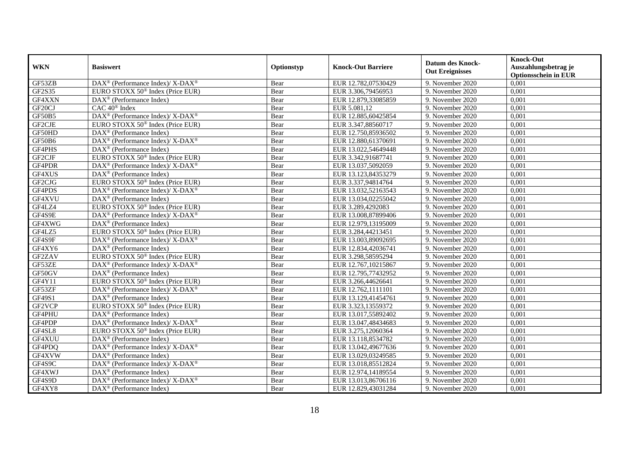| <b>WKN</b>          | <b>Basiswert</b>                                                          | Optionstyp | <b>Knock-Out Barriere</b> | <b>Datum des Knock-</b><br><b>Out Ereignisses</b> | <b>Knock-Out</b><br>Auszahlungsbetrag je<br><b>Optionsschein in EUR</b> |
|---------------------|---------------------------------------------------------------------------|------------|---------------------------|---------------------------------------------------|-------------------------------------------------------------------------|
| GF53ZB              | DAX <sup>®</sup> (Performance Index)/ X-DAX <sup>®</sup>                  | Bear       | EUR 12.782,07530429       | 9. November 2020                                  | 0,001                                                                   |
| GF2S35              | EURO STOXX 50 <sup>®</sup> Index (Price EUR)                              | Bear       | EUR 3.306,79456953        | 9. November 2020                                  | 0,001                                                                   |
| GF4XXN              | $\text{DAX}^{\otimes}$ (Performance Index)                                | Bear       | EUR 12.879,33085859       | 9. November 2020                                  | 0,001                                                                   |
| GF <sub>20</sub> CJ | CAC 40 <sup>®</sup> Index                                                 | Bear       | EUR 5.081,12              | 9. November 2020                                  | 0,001                                                                   |
| GF50B5              | DAX <sup>®</sup> (Performance Index)/ X-DAX <sup>®</sup>                  | Bear       | EUR 12.885,60425854       | 9. November 2020                                  | 0,001                                                                   |
| GF2CJE              | EURO STOXX 50 <sup>®</sup> Index (Price EUR)                              | Bear       | EUR 3.347,88560717        | 9. November 2020                                  | 0,001                                                                   |
| GF50HD              | $\overline{\text{DAX}}^{\textcirc}$ (Performance Index)                   | Bear       | EUR 12.750,85936502       | 9. November 2020                                  | 0,001                                                                   |
| GF50B6              | $DAX^{\circledast}$ (Performance Index)/ $\overline{X-DAX^{\circledast}}$ | Bear       | EUR 12.880,61370691       | 9. November 2020                                  | 0,001                                                                   |
| GF4PHS              | $DAX^{\otimes}$ (Performance Index)                                       | Bear       | EUR 13.022,54649448       | 9. November 2020                                  | 0,001                                                                   |
| GF2CJF              | EURO STOXX 50 <sup>®</sup> Index (Price EUR)                              | Bear       | EUR 3.342,91687741        | 9. November 2020                                  | 0,001                                                                   |
| GF4PDR              | DAX <sup>®</sup> (Performance Index)/ X-DAX <sup>®</sup>                  | Bear       | EUR 13.037,5092059        | 9. November 2020                                  | 0,001                                                                   |
| GF4XUS              | DAX <sup>®</sup> (Performance Index)                                      | Bear       | EUR 13.123,84353279       | 9. November 2020                                  | 0,001                                                                   |
| GF2CJG              | EURO STOXX 50 <sup>®</sup> Index (Price EUR)                              | Bear       | EUR 3.337,94814764        | 9. November 2020                                  | 0,001                                                                   |
| GF4PDS              | DAX <sup>®</sup> (Performance Index)/ X-DAX <sup>®</sup>                  | Bear       | EUR 13.032,52163543       | 9. November 2020                                  | 0,001                                                                   |
| GF4XVU              | DAX <sup>®</sup> (Performance Index)                                      | Bear       | EUR 13.034,02255042       | 9. November 2020                                  | 0,001                                                                   |
| GF4LZ4              | EURO STOXX 50 <sup>®</sup> Index (Price EUR)                              | Bear       | EUR 3.289,4292083         | 9. November 2020                                  | 0,001                                                                   |
| GF4S9E              | DAX <sup>®</sup> (Performance Index)/ X-DAX <sup>®</sup>                  | Bear       | EUR 13.008,87899406       | 9. November 2020                                  | 0,001                                                                   |
| GF4XWG              | DAX <sup>®</sup> (Performance Index)                                      | Bear       | EUR 12.979,13195009       | 9. November 2020                                  | 0,001                                                                   |
| GF4LZ5              | EURO STOXX 50 <sup>®</sup> Index (Price EUR)                              | Bear       | EUR 3.284,44213451        | 9. November 2020                                  | 0,001                                                                   |
| GF4S9F              | DAX <sup>®</sup> (Performance Index)/ X-DAX <sup>®</sup>                  | Bear       | EUR 13.003,89092695       | 9. November 2020                                  | 0,001                                                                   |
| GF4XY6              | DAX <sup>®</sup> (Performance Index)                                      | Bear       | EUR 12.834,42036741       | 9. November 2020                                  | 0,001                                                                   |
| GF2ZAV              | EURO STOXX $50^{\circ}$ Index (Price EUR)                                 | Bear       | EUR 3.298,58595294        | 9. November 2020                                  | 0,001                                                                   |
| GF53ZE              | DAX <sup>®</sup> (Performance Index)/ X-DAX <sup>®</sup>                  | Bear       | EUR 12.767,10215867       | 9. November 2020                                  | 0,001                                                                   |
| GF50GV              | $\text{DAX}^{\otimes}$ (Performance Index)                                | Bear       | EUR 12.795,77432952       | 9. November 2020                                  | 0,001                                                                   |
| GF4Y11              | EURO STOXX 50 <sup>®</sup> Index (Price EUR)                              | Bear       | EUR 3.266,44626641        | 9. November 2020                                  | 0,001                                                                   |
| GF53ZF              | DAX <sup>®</sup> (Performance Index)/ X-DAX <sup>®</sup>                  | Bear       | EUR 12.762,1111101        | 9. November 2020                                  | 0,001                                                                   |
| GF49S1              | DAX <sup>®</sup> (Performance Index)                                      | Bear       | EUR 13.129,41454761       | 9. November 2020                                  | 0,001                                                                   |
| GF2VCP              | EURO STOXX 50 <sup>®</sup> Index (Price EUR)                              | Bear       | EUR 3.323,13559372        | 9. November 2020                                  | 0,001                                                                   |
| GF4PHU              | $\text{DAX}^{\otimes}$ (Performance Index)                                | Bear       | EUR 13.017,55892402       | 9. November 2020                                  | 0,001                                                                   |
| GF4PDP              | $DAX^{\circledast}$ (Performance Index)/ $\overline{X-DAX^{\circledast}}$ | Bear       | EUR 13.047,48434683       | 9. November 2020                                  | 0.001                                                                   |
| GF4SL8              | EURO STOXX 50 <sup>®</sup> Index (Price EUR)                              | Bear       | EUR 3.275,12060364        | 9. November 2020                                  | 0,001                                                                   |
| GF4XUU              | DAX <sup>®</sup> (Performance Index)                                      | Bear       | EUR 13.118,8534782        | 9. November 2020                                  | 0,001                                                                   |
| GF4PDQ              | DAX <sup>®</sup> (Performance Index)/X-DAX <sup>®</sup>                   | Bear       | EUR 13.042,49677636       | 9. November 2020                                  | 0,001                                                                   |
| GF4XVW              | $\overline{\text{DAX}^{\circledast}(\text{Performance Index})}$           | Bear       | EUR 13.029,03249585       | 9. November 2020                                  | 0,001                                                                   |
| GF4S9C              | DAX <sup>®</sup> (Performance Index)/ X-DAX <sup>®</sup>                  | Bear       | EUR 13.018,85512824       | 9. November 2020                                  | 0,001                                                                   |
| GF4XWJ              | $\text{DAX}^{\otimes}$ (Performance Index)                                | Bear       | EUR 12.974,14189554       | 9. November 2020                                  | 0,001                                                                   |
| GF4S9D              | $DAX^{\circledast}$ (Performance Index)/ X-DAX <sup>®</sup>               | Bear       | EUR 13.013,86706116       | 9. November 2020                                  | 0,001                                                                   |
| GF4XY8              | $\overline{\text{DAX}^{\otimes}}$ (Performance Index)                     | Bear       | EUR 12.829,43031284       | 9. November 2020                                  | 0,001                                                                   |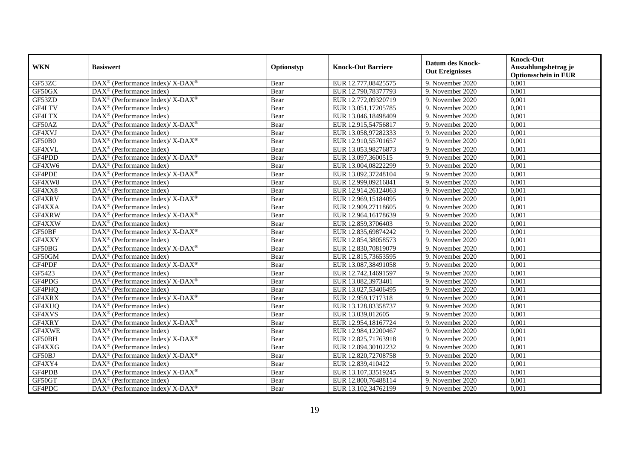| <b>WKN</b> | <b>Basiswert</b>                                                                        | Optionstyp | <b>Knock-Out Barriere</b> | <b>Datum des Knock-</b><br><b>Out Ereignisses</b> | <b>Knock-Out</b><br>Auszahlungsbetrag je<br><b>Optionsschein in EUR</b> |
|------------|-----------------------------------------------------------------------------------------|------------|---------------------------|---------------------------------------------------|-------------------------------------------------------------------------|
| GF53ZC     | DAX <sup>®</sup> (Performance Index)/ X-DAX <sup>®</sup>                                | Bear       | EUR 12.777,08425575       | 9. November 2020                                  | 0,001                                                                   |
| GF50GX     | $DAX^{\circledR}$ (Performance Index)                                                   | Bear       | EUR 12.790,78377793       | 9. November 2020                                  | 0,001                                                                   |
| GF53ZD     | $\text{DAX}^{\circledR}$ (Performance Index)/ X-DAX <sup>®</sup>                        | Bear       | EUR 12.772,09320719       | 9. November 2020                                  | 0,001                                                                   |
| GF4LTV     | $\text{DAX}^{\textcircled{}}$ (Performance Index)                                       | Bear       | EUR 13.051,17205785       | 9. November 2020                                  | 0,001                                                                   |
| GF4LTX     | $\text{DAX}^{\textcircled{}}$ (Performance Index)                                       | Bear       | EUR 13.046,18498409       | 9. November 2020                                  | 0,001                                                                   |
| GF50AZ     | DAX <sup>®</sup> (Performance Index)/ X-DAX <sup>®</sup>                                | Bear       | EUR 12.915,54756817       | 9. November 2020                                  | 0,001                                                                   |
| GF4XVJ     | $\text{DAX}^{\textcircled{}}$ (Performance Index)                                       | Bear       | EUR 13.058,97282333       | 9. November 2020                                  | 0,001                                                                   |
| GF50B0     | DAX <sup>®</sup> (Performance Index)/ X-DAX <sup>®</sup>                                | Bear       | EUR 12.910,55701657       | 9. November 2020                                  | 0,001                                                                   |
| GF4XVL     | $DAX^{\circledR}$ (Performance Index)                                                   | Bear       | EUR 13.053,98276873       | 9. November 2020                                  | 0,001                                                                   |
| GF4PDD     | $\text{DAX}^{\circledR}$ (Performance Index)/ X-DAX <sup>®</sup>                        | Bear       | EUR 13.097,3600515        | 9. November 2020                                  | 0,001                                                                   |
| GF4XW6     | DAX <sup>®</sup> (Performance Index)                                                    | Bear       | EUR 13.004,08222299       | 9. November 2020                                  | 0,001                                                                   |
| GF4PDE     | DAX <sup>®</sup> (Performance Index)/ X-DAX <sup>®</sup>                                | Bear       | EUR 13.092,37248104       | 9. November 2020                                  | 0,001                                                                   |
| GF4XW8     | $\text{DAX}^{\textcircled{n}}$ (Performance Index)                                      | Bear       | EUR 12.999,09216841       | 9. November 2020                                  | 0,001                                                                   |
| GF4XX8     | $DAX^{\circledR}$ (Performance Index)                                                   | Bear       | EUR 12.914,26124063       | 9. November 2020                                  | 0,001                                                                   |
| GF4XRV     | DAX <sup>®</sup> (Performance Index)/ X-DAX <sup>®</sup>                                | Bear       | EUR 12.969,15184095       | 9. November 2020                                  | 0,001                                                                   |
| GF4XXA     | DAX <sup>®</sup> (Performance Index)                                                    | Bear       | EUR 12.909,27118605       | 9. November 2020                                  | 0,001                                                                   |
| GF4XRW     | DAX <sup>®</sup> (Performance Index)/X-DAX <sup>®</sup>                                 | Bear       | EUR 12.964,16178639       | 9. November 2020                                  | 0,001                                                                   |
| GF4XXW     | $\text{DAX}^{\textcircled{}}$ (Performance Index)                                       | Bear       | EUR 12.859,3706403        | 9. November 2020                                  | 0,001                                                                   |
| GF50BF     | $\text{DAX}^{\circledR}$ (Performance Index)/ X-DAX <sup>®</sup>                        | Bear       | EUR 12.835,69874242       | 9. November 2020                                  | 0,001                                                                   |
| GF4XXY     | $\text{DAX}^{\textcircled{}}$ (Performance Index)                                       | Bear       | EUR 12.854,38058573       | 9. November 2020                                  | 0,001                                                                   |
| GF50BG     | DAX <sup>®</sup> (Performance Index)/ X-DAX <sup>®</sup>                                | Bear       | EUR 12.830,70819079       | 9. November 2020                                  | 0,001                                                                   |
| GF50GM     | $DAX^{\circledR}$ (Performance Index)                                                   | Bear       | EUR 12.815,73653595       | 9. November 2020                                  | 0,001                                                                   |
| GF4PDF     | DAX <sup>®</sup> (Performance Index)/ X-DAX <sup>®</sup>                                | Bear       | EUR 13.087,38491058       | 9. November 2020                                  | 0,001                                                                   |
| GF5423     | $\text{DAX}^{\textcircled{}}$ (Performance Index)                                       | Bear       | EUR 12.742,14691597       | 9. November 2020                                  | 0,001                                                                   |
| GF4PDG     | $DAX^{\circledast}$ (Performance Index)/ X-DAX <sup>®</sup>                             | Bear       | EUR 13.082,3973401        | 9. November 2020                                  | 0,001                                                                   |
| GF4PHQ     | $\text{DAX}^{\textcircled{}}$ (Performance Index)                                       | Bear       | EUR 13.027,53406495       | 9. November 2020                                  | 0,001                                                                   |
| GF4XRX     | DAX <sup>®</sup> (Performance Index)/ X-DAX <sup>®</sup>                                | Bear       | EUR 12.959,1717318        | 9. November 2020                                  | 0,001                                                                   |
| GF4XUQ     | $\overline{\text{DAX}^{\otimes}}$ (Performance Index)                                   | Bear       | EUR 13.128,83358737       | 9. November 2020                                  | 0,001                                                                   |
| GF4XVS     | $\overline{\text{DAX}^{\otimes}}$ (Performance Index)                                   | Bear       | EUR 13.039,012605         | 9. November 2020                                  | 0,001                                                                   |
| GF4XRY     | $DAX^{\circledcirc}$ (Performance Index)/ X-DAX <sup>®</sup>                            | Bear       | EUR 12.954,18167724       | 9. November 2020                                  | 0.001                                                                   |
| GF4XWE     | $\text{DAX}^{\textcircled{}}$ (Performance Index)                                       | Bear       | EUR 12.984,12200467       | 9. November 2020                                  | 0,001                                                                   |
| GF50BH     | $\text{DAX}^{\circledast}$ (Performance Index)/ $\overline{\text{X-DAX}^{\circledast}}$ | Bear       | EUR 12.825,71763918       | 9. November 2020                                  | 0,001                                                                   |
| GF4XXG     | $\overline{\text{DAX}^{\otimes}}$ (Performance Index)                                   | Bear       | EUR 12.894,30102232       | 9. November 2020                                  | 0,001                                                                   |
| GF50BJ     | DAX <sup>®</sup> (Performance Index)/ X-DAX <sup>®</sup>                                | Bear       | EUR 12.820,72708758       | 9. November 2020                                  | 0,001                                                                   |
| GF4XY4     | $\text{DAX}^{\textcircled{n}}$ (Performance Index)                                      | Bear       | EUR 12.839,410422         | 9. November 2020                                  | 0,001                                                                   |
| GF4PDB     | $\text{DAX}^{\circledR}$ (Performance Index)/ X-DAX <sup>®</sup>                        | Bear       | EUR 13.107,33519245       | 9. November 2020                                  | 0,001                                                                   |
| GF50GT     | $\text{DAX}^{\textcircled{n}}$ (Performance Index)                                      | Bear       | EUR 12.800,76488114       | 9. November 2020                                  | 0,001                                                                   |
| GF4PDC     | $\text{DAX}^{\circledR}$ (Performance Index)/ X-DAX <sup>®</sup>                        | Bear       | EUR 13.102,34762199       | 9. November 2020                                  | 0,001                                                                   |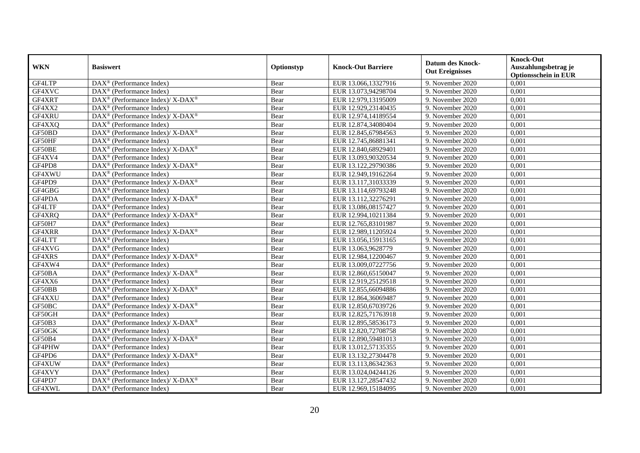| <b>WKN</b> | <b>Basiswert</b>                                                                        | Optionstyp | <b>Knock-Out Barriere</b> | <b>Datum des Knock-</b><br><b>Out Ereignisses</b> | <b>Knock-Out</b><br>Auszahlungsbetrag je<br><b>Optionsschein in EUR</b> |
|------------|-----------------------------------------------------------------------------------------|------------|---------------------------|---------------------------------------------------|-------------------------------------------------------------------------|
| GF4LTP     | $\overline{\text{DAX}}^{\textcircled{}}$ (Performance Index)                            | Bear       | EUR 13.066,13327916       | 9. November 2020                                  | 0,001                                                                   |
| GF4XVC     | $\text{DAX}^{\textcircled{}}$ (Performance Index)                                       | Bear       | EUR 13.073,94298704       | 9. November 2020                                  | 0,001                                                                   |
| GF4XRT     | $\text{DAX}^{\circledast}$ (Performance Index)/ X-DAX <sup>®</sup>                      | Bear       | EUR 12.979,13195009       | 9. November 2020                                  | 0,001                                                                   |
| GF4XX2     | $\text{DAX}^{\textcircled{}}$ (Performance Index)                                       | Bear       | EUR 12.929,23140435       | 9. November 2020                                  | 0,001                                                                   |
| GF4XRU     | DAX <sup>®</sup> (Performance Index)/ X-DAX <sup>®</sup>                                | Bear       | EUR 12.974,14189554       | 9. November 2020                                  | 0,001                                                                   |
| GF4XXQ     | $\text{DAX}^{\textcircled{}}$ (Performance Index)                                       | Bear       | EUR 12.874,34080404       | 9. November 2020                                  | 0,001                                                                   |
| GF50BD     | DAX <sup>®</sup> (Performance Index)/ X-DAX <sup>®</sup>                                | Bear       | EUR 12.845,67984563       | 9. November 2020                                  | 0,001                                                                   |
| GF50HF     | $\text{DAX}^{\textcircled{}}$ (Performance Index)                                       | Bear       | EUR 12.745,86881341       | 9. November 2020                                  | 0,001                                                                   |
| GF50BE     | DAX <sup>®</sup> (Performance Index)/ X-DAX <sup>®</sup>                                | Bear       | EUR 12.840,68929401       | 9. November 2020                                  | 0,001                                                                   |
| GF4XV4     | $\text{DAX}^{\textcircled{}}$ (Performance Index)                                       | Bear       | EUR 13.093,90320534       | 9. November 2020                                  | 0,001                                                                   |
| GF4PD8     | DAX <sup>®</sup> (Performance Index)/ X-DAX <sup>®</sup>                                | Bear       | EUR 13.122,29790386       | 9. November 2020                                  | 0,001                                                                   |
| GF4XWU     | DAX <sup>®</sup> (Performance Index)                                                    | Bear       | EUR 12.949,19162264       | 9. November 2020                                  | 0,001                                                                   |
| GF4PD9     | $\text{DAX}^{\circledast}$ (Performance Index)/ X-DAX <sup>®</sup>                      | Bear       | EUR 13.117,31033339       | 9. November 2020                                  | 0,001                                                                   |
| GF4GBG     | $DAX^{\circledR}$ (Performance Index)                                                   | Bear       | EUR 13.114,69793248       | 9. November 2020                                  | 0,001                                                                   |
| GF4PDA     | DAX <sup>®</sup> (Performance Index)/ X-DAX <sup>®</sup>                                | Bear       | EUR 13.112,32276291       | 9. November 2020                                  | 0,001                                                                   |
| GF4LTF     | DAX <sup>®</sup> (Performance Index)                                                    | Bear       | EUR 13.086,08157427       | 9. November 2020                                  | 0,001                                                                   |
| GF4XRQ     | DAX <sup>®</sup> (Performance Index)/X-DAX <sup>®</sup>                                 | Bear       | EUR 12.994,10211384       | 9. November 2020                                  | 0,001                                                                   |
| GF50H7     | $\text{DAX}^{\textcircled{}}$ (Performance Index)                                       | Bear       | EUR 12.765,83101987       | 9. November 2020                                  | 0,001                                                                   |
| GF4XRR     | $\text{DAX}^{\circledast}$ (Performance Index)/ X-DAX <sup>®</sup>                      | Bear       | EUR 12.989,11205924       | 9. November 2020                                  | 0,001                                                                   |
| GF4LTT     | $\text{DAX}^{\textcircled{}}$ (Performance Index)                                       | Bear       | EUR 13.056,15913165       | 9. November 2020                                  | 0,001                                                                   |
| GF4XVG     | DAX <sup>®</sup> (Performance Index)                                                    | Bear       | EUR 13.063,9628779        | 9. November 2020                                  | 0,001                                                                   |
| GF4XRS     | $\text{DAX}^{\circledast}$ (Performance Index)/ $\overline{\text{X-DAX}^{\circledast}}$ | Bear       | EUR 12.984,12200467       | 9. November 2020                                  | 0,001                                                                   |
| GF4XW4     | $\overline{\text{DAX}}^{\textcirc}$ (Performance Index)                                 | Bear       | EUR 13.009,07227756       | 9. November 2020                                  | 0,001                                                                   |
| GF50BA     | $DAX^{\circledast}$ (Performance Index)/ X-DAX <sup>®</sup>                             | Bear       | EUR 12.860,65150047       | 9. November 2020                                  | 0,001                                                                   |
| GF4XX6     | $\text{DAX}^{\textcircled{}}$ (Performance Index)                                       | Bear       | EUR 12.919,25129518       | 9. November 2020                                  | 0,001                                                                   |
| GF50BB     | $\text{DAX}^{\circledast}$ (Performance Index)/ X-DAX <sup>®</sup>                      | Bear       | EUR 12.855,66094886       | 9. November 2020                                  | 0,001                                                                   |
| GF4XXU     | DAX <sup>®</sup> (Performance Index)                                                    | Bear       | EUR 12.864,36069487       | 9. November 2020                                  | 0,001                                                                   |
| GF50BC     | DAX <sup>®</sup> (Performance Index)/X-DAX <sup>®</sup>                                 | Bear       | EUR 12.850,67039726       | 9. November 2020                                  | 0,001                                                                   |
| GF50GH     | $\text{DAX}^{\textcircled{n}}$ (Performance Index)                                      | Bear       | EUR 12.825,71763918       | 9. November 2020                                  | 0,001                                                                   |
| GF50B3     | $DAX^{\circledcirc}$ (Performance Index)/ X-DAX <sup>®</sup>                            | Bear       | EUR 12.895,58536173       | 9. November 2020                                  | 0.001                                                                   |
| GF50GK     | $\text{DAX}^{\textcircled{}}$ (Performance Index)                                       | Bear       | EUR 12.820,72708758       | 9. November 2020                                  | 0,001                                                                   |
| GF50B4     | DAX <sup>®</sup> (Performance Index)/ X-DAX <sup>®</sup>                                | Bear       | EUR 12.890,59481013       | 9. November 2020                                  | 0,001                                                                   |
| GF4PHW     | $\overline{\text{DAX}^{\otimes}}$ (Performance Index)                                   | Bear       | EUR 13.012,57135355       | 9. November 2020                                  | 0,001                                                                   |
| GF4PD6     | DAX <sup>®</sup> (Performance Index)/ X-DAX <sup>®</sup>                                | Bear       | EUR 13.132,27304478       | 9. November 2020                                  | 0,001                                                                   |
| GF4XUW     | $\text{DAX}^{\textcircled{}}$ (Performance Index)                                       | Bear       | EUR 13.113,86342363       | 9. November 2020                                  | 0,001                                                                   |
| GF4XVY     | DAX <sup>®</sup> (Performance Index)                                                    | Bear       | EUR 13.024,04244126       | 9. November 2020                                  | 0,001                                                                   |
| GF4PD7     | DAX <sup>®</sup> (Performance Index)/ X-DAX <sup>®</sup>                                | Bear       | EUR 13.127,28547432       | 9. November 2020                                  | 0,001                                                                   |
| GF4XWL     | $\text{DAX}^{\textcircled{}}$ (Performance Index)                                       | Bear       | EUR 12.969,15184095       | 9. November 2020                                  | 0,001                                                                   |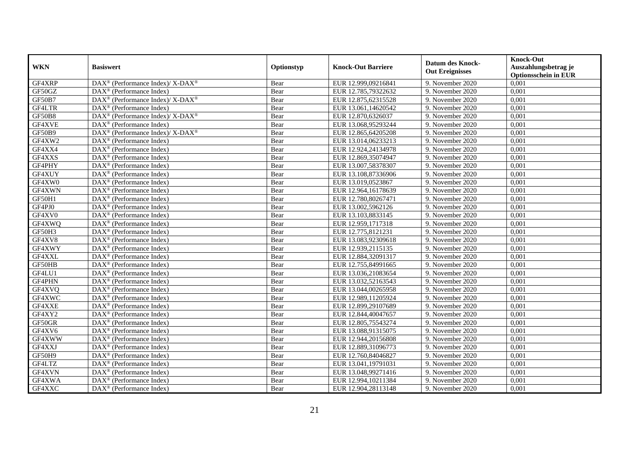| <b>WKN</b>    | <b>Basiswert</b>                                                | Optionstyp | <b>Knock-Out Barriere</b> | <b>Datum des Knock-</b><br><b>Out Ereignisses</b> | <b>Knock-Out</b><br>Auszahlungsbetrag je<br><b>Optionsschein in EUR</b> |
|---------------|-----------------------------------------------------------------|------------|---------------------------|---------------------------------------------------|-------------------------------------------------------------------------|
| GF4XRP        | DAX <sup>®</sup> (Performance Index)/ X-DAX <sup>®</sup>        | Bear       | EUR 12.999,09216841       | 9. November 2020                                  | 0,001                                                                   |
| GF50GZ        | $\text{DAX}^{\textcircled{}}$ (Performance Index)               | Bear       | EUR 12.785,79322632       | 9. November 2020                                  | 0,001                                                                   |
| GF50B7        | DAX <sup>®</sup> (Performance Index)/ X-DAX <sup>®</sup>        | Bear       | EUR 12.875,62315528       | 9. November 2020                                  | 0,001                                                                   |
| GF4LTR        | $\text{DAX}^{\otimes}$ (Performance Index)                      | Bear       | EUR 13.061,14620542       | 9. November 2020                                  | 0,001                                                                   |
| <b>GF50B8</b> | DAX <sup>®</sup> (Performance Index)/ X-DAX <sup>®</sup>        | Bear       | EUR 12.870,6326037        | 9. November 2020                                  | 0,001                                                                   |
| GF4XVE        | $\text{DAX}^{\textcircled{}}$ (Performance Index)               | Bear       | EUR 13.068,95293244       | 9. November 2020                                  | 0,001                                                                   |
| GF50B9        | DAX <sup>®</sup> (Performance Index)/ X-DAX <sup>®</sup>        | Bear       | EUR 12.865,64205208       | 9. November 2020                                  | 0,001                                                                   |
| GF4XW2        | $\text{DAX}^{\textcircled{}}$ (Performance Index)               | Bear       | EUR 13.014,06233213       | 9. November 2020                                  | 0,001                                                                   |
| GF4XX4        | $DAX^{\otimes}$ (Performance Index)                             | Bear       | EUR 12.924,24134978       | 9. November 2020                                  | 0,001                                                                   |
| GF4XXS        | $\text{DAX}^{\otimes}$ (Performance Index)                      | Bear       | EUR 12.869,35074947       | 9. November 2020                                  | 0,001                                                                   |
| GF4PHY        | DAX <sup>®</sup> (Performance Index)                            | Bear       | EUR 13.007,58378307       | 9. November 2020                                  | 0,001                                                                   |
| GF4XUY        | DAX <sup>®</sup> (Performance Index)                            | Bear       | EUR 13.108,87336906       | 9. November 2020                                  | 0,001                                                                   |
| GF4XW0        | $\text{DAX}^{\circledast}$ (Performance Index)                  | Bear       | EUR 13.019,0523867        | 9. November 2020                                  | 0,001                                                                   |
| GF4XWN        | $\text{DAX}^{\circledR}$ (Performance Index)                    | Bear       | EUR 12.964,16178639       | 9. November 2020                                  | 0,001                                                                   |
| GF50H1        | $\overline{\text{DAX}}^{\textcirc}$ (Performance Index)         | Bear       | EUR 12.780,80267471       | 9. November 2020                                  | 0,001                                                                   |
| GF4PJ0        | DAX <sup>®</sup> (Performance Index)                            | Bear       | EUR 13.002,5962126        | 9. November 2020                                  | 0,001                                                                   |
| GF4XV0        | $\text{DAX}^{\textcircled{}}$ (Performance Index)               | Bear       | EUR 13.103,8833145        | 9. November 2020                                  | 0,001                                                                   |
| GF4XWQ        | $\overline{\text{DAX}^{\otimes}}$ (Performance Index)           | Bear       | EUR 12.959,1717318        | 9. November 2020                                  | 0,001                                                                   |
| GF50H3        | $\text{DAX}^{\otimes}$ (Performance Index)                      | Bear       | EUR 12.775,8121231        | 9. November 2020                                  | 0,001                                                                   |
| GF4XV8        | $\text{DAX}^{\otimes}$ (Performance Index)                      | Bear       | EUR 13.083,92309618       | 9. November 2020                                  | 0,001                                                                   |
| GF4XWY        | $\text{DAX}^{\otimes}$ (Performance Index)                      | Bear       | EUR 12.939,2115135        | 9. November 2020                                  | 0,001                                                                   |
| GF4XXL        | $\text{DAX}^{\circledR}$ (Performance Index)                    | Bear       | EUR 12.884,32091317       | 9. November 2020                                  | 0,001                                                                   |
| GF50HB        | DAX <sup>®</sup> (Performance Index)                            | Bear       | EUR 12.755,84991665       | 9. November 2020                                  | 0,001                                                                   |
| GF4LU1        | $\text{DAX}^{\textcircled{}}$ (Performance Index)               | Bear       | EUR 13.036,21083654       | 9. November 2020                                  | 0,001                                                                   |
| GF4PHN        | $DAX^{\otimes}$ (Performance Index)                             | Bear       | EUR 13.032,52163543       | 9. November 2020                                  | 0,001                                                                   |
| GF4XVQ        | $\text{DAX}^{\otimes}$ (Performance Index)                      | Bear       | EUR 13.044,00265958       | 9. November 2020                                  | 0,001                                                                   |
| GF4XWC        | DAX <sup>®</sup> (Performance Index)                            | Bear       | EUR 12.989,11205924       | 9. November 2020                                  | 0,001                                                                   |
| GF4XXE        | $\overline{\text{DAX}^{\otimes}}$ (Performance Index)           | Bear       | EUR 12.899,29107689       | 9. November 2020                                  | 0,001                                                                   |
| GF4XY2        | $\text{DAX}^{\otimes}$ (Performance Index)                      | Bear       | EUR 12.844,40047657       | 9. November 2020                                  | 0,001                                                                   |
| GF50GR        | $\text{DAX}^{\circledR}$ (Performance Index)                    | Bear       | EUR 12.805,75543274       | 9. November 2020                                  | 0.001                                                                   |
| GF4XV6        | $DAX^{\otimes}$ (Performance Index)                             | Bear       | EUR 13.088,91315075       | 9. November 2020                                  | 0,001                                                                   |
| GF4XWW        | $DAX^{\otimes}$ (Performance Index)                             | Bear       | EUR 12.944,20156808       | 9. November 2020                                  | 0,001                                                                   |
| GF4XXJ        | $\overline{\text{DAX}^{\otimes}}$ (Performance Index)           | Bear       | EUR 12.889,31096773       | 9. November 2020                                  | 0,001                                                                   |
| GF50H9        | $\overline{\text{DAX}^{\circledast}(\text{Performance Index})}$ | Bear       | EUR 12.760,84046827       | 9. November 2020                                  | 0,001                                                                   |
| GF4LTZ        | $\text{DAX}^{\otimes}$ (Performance Index)                      | Bear       | EUR 13.041,19791031       | 9. November 2020                                  | 0,001                                                                   |
| GF4XVN        | DAX <sup>®</sup> (Performance Index)                            | Bear       | EUR 13.048,99271416       | 9. November 2020                                  | 0,001                                                                   |
| GF4XWA        | $DAX^{\circledcirc}$ (Performance Index)                        | Bear       | EUR 12.994,10211384       | 9. November 2020                                  | 0,001                                                                   |
| GF4XXC        | $\overline{\text{DAX}^{\otimes}}$ (Performance Index)           | Bear       | EUR 12.904,28113148       | 9. November 2020                                  | 0,001                                                                   |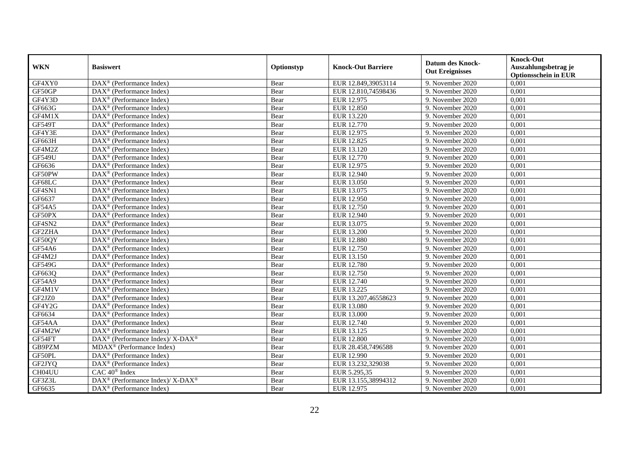| <b>WKN</b>    | <b>Basiswert</b>                                                          | Optionstyp | <b>Knock-Out Barriere</b> | <b>Datum des Knock-</b><br><b>Out Ereignisses</b> | <b>Knock-Out</b><br>Auszahlungsbetrag je<br><b>Optionsschein in EUR</b> |
|---------------|---------------------------------------------------------------------------|------------|---------------------------|---------------------------------------------------|-------------------------------------------------------------------------|
| GF4XY0        | $\overline{\text{DAX}}^{\textcirc}$ (Performance Index)                   | Bear       | EUR 12.849,39053114       | 9. November 2020                                  | 0,001                                                                   |
| GF50GP        | $DAX^{\otimes}$ (Performance Index)                                       | Bear       | EUR 12.810,74598436       | 9. November 2020                                  | 0,001                                                                   |
| GF4Y3D        | DAX <sup>®</sup> (Performance Index)                                      | Bear       | EUR 12.975                | 9. November 2020                                  | 0,001                                                                   |
| GF663G        | DAX <sup>®</sup> (Performance Index)                                      | Bear       | EUR 12.850                | 9. November 2020                                  | 0,001                                                                   |
| GF4M1X        | DAX <sup>®</sup> (Performance Index)                                      | Bear       | EUR 13.220                | 9. November 2020                                  | 0,001                                                                   |
| <b>GF549T</b> | $\text{DAX}^{\textcircled{}}$ (Performance Index)                         | Bear       | EUR 12.770                | 9. November 2020                                  | 0,001                                                                   |
| GF4Y3E        | $\overline{\text{DAX}}^{\textcirc}$ (Performance Index)                   | Bear       | EUR 12.975                | 9. November 2020                                  | 0,001                                                                   |
| GF663H        | $DAX^{\otimes}$ (Performance Index)                                       | Bear       | EUR 12.825                | 9. November 2020                                  | 0,001                                                                   |
| GF4M2Z        | $DAX^{\otimes}$ (Performance Index)                                       | Bear       | EUR 13.120                | 9. November 2020                                  | 0,001                                                                   |
| <b>GF549U</b> | DAX <sup>®</sup> (Performance Index)                                      | Bear       | EUR 12.770                | 9. November 2020                                  | 0,001                                                                   |
| GF6636        | DAX <sup>®</sup> (Performance Index)                                      | Bear       | EUR 12.975                | 9. November 2020                                  | 0,001                                                                   |
| GF50PW        | DAX <sup>®</sup> (Performance Index)                                      | Bear       | EUR 12.940                | 9. November 2020                                  | 0,001                                                                   |
| GF68LC        | $\text{DAX}^{\circledast}$ (Performance Index)                            | Bear       | EUR 13.050                | 9. November 2020                                  | 0,001                                                                   |
| GF4SN1        | $\text{DAX}^{\circledR}$ (Performance Index)                              | Bear       | EUR 13.075                | 9. November 2020                                  | 0,001                                                                   |
| GF6637        | $\overline{\text{DAX}}^{\textcirc}$ (Performance Index)                   | Bear       | EUR 12.950                | 9. November 2020                                  | 0,001                                                                   |
| GF54A5        | DAX <sup>®</sup> (Performance Index)                                      | Bear       | <b>EUR 12.750</b>         | 9. November 2020                                  | 0,001                                                                   |
| GF50PX        | $\text{DAX}^{\textcircled{}}$ (Performance Index)                         | Bear       | EUR 12.940                | 9. November 2020                                  | 0,001                                                                   |
| GF4SN2        | $\overline{\text{DAX}^{\otimes}}$ (Performance Index)                     | Bear       | EUR 13.075                | 9. November 2020                                  | 0,001                                                                   |
| GF2ZHA        | $\overline{\text{DAX}^{\otimes}}$ (Performance Index)                     | Bear       | <b>EUR 13.200</b>         | 9. November 2020                                  | 0,001                                                                   |
| GF50QY        | $\text{DAX}^{\otimes}$ (Performance Index)                                | Bear       | <b>EUR 12.880</b>         | 9. November 2020                                  | 0,001                                                                   |
| GF54A6        | $\text{DAX}^{\otimes}$ (Performance Index)                                | Bear       | EUR 12.750                | 9. November 2020                                  | 0,001                                                                   |
| GF4M2J        | $\text{DAX}^{\circledR}$ (Performance Index)                              | Bear       | EUR 13.150                | 9. November 2020                                  | 0,001                                                                   |
| GF549G        | DAX <sup>®</sup> (Performance Index)                                      | Bear       | <b>EUR 12.780</b>         | 9. November 2020                                  | 0,001                                                                   |
| GF663Q        | $\text{DAX}^{\textcircled{}}$ (Performance Index)                         | Bear       | EUR 12.750                | 9. November 2020                                  | 0,001                                                                   |
| <b>GF54A9</b> | $DAX^{\otimes}$ (Performance Index)                                       | Bear       | EUR 12.740                | 9. November 2020                                  | 0,001                                                                   |
| GF4M1V        | $\text{DAX}^{\otimes}$ (Performance Index)                                | Bear       | EUR 13.225                | 9. November 2020                                  | 0,001                                                                   |
| GF2JZ0        | DAX <sup>®</sup> (Performance Index)                                      | Bear       | EUR 13.207,46558623       | 9. November 2020                                  | 0,001                                                                   |
| GF4Y2G        | $\overline{\text{DAX}^{\otimes}}$ (Performance Index)                     | Bear       | EUR 13.080                | 9. November 2020                                  | 0,001                                                                   |
| GF6634        | DAX <sup>®</sup> (Performance Index)                                      | Bear       | <b>EUR 13.000</b>         | 9. November 2020                                  | 0,001                                                                   |
| GF54AA        | $\text{DAX}^{\circledR}$ (Performance Index)                              | Bear       | EUR 12.740                | 9. November 2020                                  | 0,001                                                                   |
| GF4M2W        | $\text{DAX}^{\textcircled{}}$ (Performance Index)                         | Bear       | EUR 13.125                | 9. November 2020                                  | 0,001                                                                   |
| GF54FT        | $DAX^{\circledast}$ (Performance Index)/ $\overline{X-DAX^{\circledast}}$ | Bear       | <b>EUR 12.800</b>         | 9. November 2020                                  | 0,001                                                                   |
| GB9PZM        | MDAX <sup>®</sup> (Performance Index)                                     | Bear       | EUR 28.458,7496588        | 9. November 2020                                  | 0,001                                                                   |
| GF50PL        | $\overline{\text{DAX}^{\circledast}(\text{Performance Index})}$           | Bear       | EUR 12.990                | 9. November 2020                                  | 0,001                                                                   |
| GF2JYQ        | DAX <sup>®</sup> (Performance Index)                                      | Bear       | EUR 13.232,329038         | 9. November 2020                                  | 0,001                                                                   |
| CH04UU        | $CAC 40$ <sup>®</sup> Index                                               | Bear       | EUR 5.295,35              | 9. November 2020                                  | 0,001                                                                   |
| GF3Z3L        | DAX <sup>®</sup> (Performance Index)/ X-DAX <sup>®</sup>                  | Bear       | EUR 13.155,38994312       | 9. November 2020                                  | 0,001                                                                   |
| GF6635        | $\overline{\text{DAX}^{\otimes}}$ (Performance Index)                     | Bear       | EUR 12.975                | 9. November 2020                                  | 0,001                                                                   |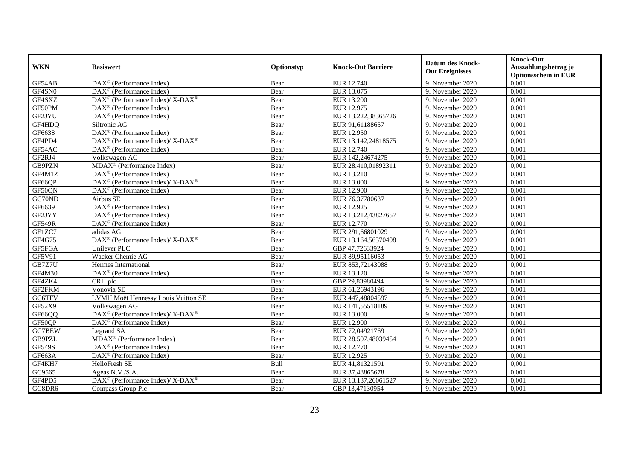|               | <b>Basiswert</b>                                              | Optionstyp | <b>Knock-Out Barriere</b> | <b>Datum des Knock-</b> | <b>Knock-Out</b>            |
|---------------|---------------------------------------------------------------|------------|---------------------------|-------------------------|-----------------------------|
| <b>WKN</b>    |                                                               |            |                           | <b>Out Ereignisses</b>  | Auszahlungsbetrag je        |
|               |                                                               |            |                           |                         | <b>Optionsschein in EUR</b> |
| GF54AB        | $\overline{\text{DAX}}^{\textcirc}$ (Performance Index)       | Bear       | EUR 12.740                | 9. November 2020        | 0,001                       |
| GF4SN0        | $DAX^{\otimes}$ (Performance Index)                           | Bear       | EUR 13.075                | 9. November 2020        | 0,001                       |
| GF4SXZ        | DAX <sup>®</sup> (Performance Index)/ X-DAX <sup>®</sup>      | Bear       | EUR 13.200                | 9. November 2020        | 0,001                       |
| GF50PM        | $\text{DAX}^{\circledR}$ (Performance Index)                  | Bear       | EUR 12.975                | 9. November 2020        | 0.001                       |
| GF2JYU        | $\overline{\text{DAX}^{\otimes}}$ (Performance Index)         | Bear       | EUR 13.222,38365726       | 9. November 2020        | 0,001                       |
| GF4HDO        | Siltronic AG                                                  | Bear       | EUR 91,61188657           | 9. November 2020        | 0,001                       |
| GF6638        | $\overline{\text{DAX}^{\textcircled{0}}}$ (Performance Index) | Bear       | EUR 12.950                | 9. November 2020        | 0,001                       |
| GF4PD4        | DAX <sup>®</sup> (Performance Index)/ X-DAX <sup>®</sup>      | Bear       | EUR 13.142,24818575       | 9. November 2020        | 0,001                       |
| GF54AC        | $\text{DAX}^{\otimes}$ (Performance Index)                    | Bear       | EUR 12.740                | 9. November 2020        | 0,001                       |
| GF2RJ4        | Volkswagen AG                                                 | Bear       | EUR 142,24674275          | 9. November 2020        | 0,001                       |
| GB9PZN        | MDAX <sup>®</sup> (Performance Index)                         | Bear       | EUR 28.410.01892311       | 9. November 2020        | 0,001                       |
| GF4M1Z        | DAX <sup>®</sup> (Performance Index)                          | Bear       | EUR 13.210                | 9. November 2020        | 0,001                       |
| GF66QP        | DAX <sup>®</sup> (Performance Index)/ X-DAX <sup>®</sup>      | Bear       | <b>EUR 13.000</b>         | 9. November 2020        | 0,001                       |
| GF50QN        | $\text{DAX}^{\circledR}$ (Performance Index)                  | Bear       | <b>EUR 12.900</b>         | 9. November 2020        | 0,001                       |
| GC70ND        | Airbus SE                                                     | Bear       | EUR 76,37780637           | 9. November 2020        | 0,001                       |
| GF6639        | DAX <sup>®</sup> (Performance Index)                          | Bear       | EUR 12.925                | 9. November 2020        | 0,001                       |
| GF2JYY        | DAX <sup>®</sup> (Performance Index)                          | Bear       | EUR 13.212,43827657       | 9. November 2020        | 0,001                       |
| <b>GF549R</b> | $\text{DAX}^{\circledR}$ (Performance Index)                  | Bear       | EUR 12.770                | 9. November 2020        | 0,001                       |
| GF1ZC7        | adidas AG                                                     | Bear       | EUR 291,66801029          | 9. November 2020        | 0,001                       |
| GF4G75        | DAX <sup>®</sup> (Performance Index)/ X-DAX <sup>®</sup>      | Bear       | EUR 13.164,56370408       | 9. November 2020        | 0,001                       |
| GF5FGA        | <b>Unilever PLC</b>                                           | Bear       | GBP 47,72633924           | 9. November 2020        | 0,001                       |
| GF5V91        | Wacker Chemie AG                                              | Bear       | EUR 89,95116053           | 9. November 2020        | 0,001                       |
| GB7Z7U        | Hermes International                                          | Bear       | EUR 853,72143088          | 9. November 2020        | 0,001                       |
| GF4M30        | DAX <sup>®</sup> (Performance Index)                          | Bear       | EUR 13.120                | 9. November 2020        | 0,001                       |
| GF4ZK4        | CRH plc                                                       | Bear       | GBP 29.83980494           | 9. November 2020        | 0,001                       |
| GF2FKM        | Vonovia SE                                                    | Bear       | EUR 61,26943196           | 9. November 2020        | 0,001                       |
| <b>GC6TFV</b> | LVMH Moët Hennessy Louis Vuitton SE                           | Bear       | EUR 447,48804597          | 9. November 2020        | 0,001                       |
| GF52X9        | Volkswagen AG                                                 | Bear       | EUR 141,55518189          | 9. November 2020        | 0,001                       |
| GF66QQ        | DAX <sup>®</sup> (Performance Index)/ X-DAX <sup>®</sup>      | Bear       | EUR 13.000                | 9. November 2020        | 0,001                       |
| GF50QP        | $\overline{\text{DAX}^{\otimes}}$ (Performance Index)         | Bear       | <b>EUR 12.900</b>         | 9. November 2020        | 0,001                       |
| GC7BEW        | Legrand SA                                                    | Bear       | EUR 72,04921769           | 9. November 2020        | 0,001                       |
| GB9PZL        | MDAX <sup>®</sup> (Performance Index)                         | Bear       | EUR 28.507.48039454       | 9. November 2020        | 0,001                       |
| <b>GF549S</b> | $DAX^{\otimes}$ (Performance Index)                           | Bear       | EUR 12.770                | 9. November 2020        | 0,001                       |
| GF663A        | DAX <sup>®</sup> (Performance Index)                          | Bear       | EUR 12.925                | 9. November 2020        | 0,001                       |
| GF4KH7        | HelloFresh SE                                                 | Bull       | EUR 41,81321591           | 9. November 2020        | 0,001                       |
| GC9565        | Ageas N.V./S.A.                                               | Bear       | EUR 37,48865678           | 9. November 2020        | 0,001                       |
| GF4PD5        | DAX <sup>®</sup> (Performance Index)/ X-DAX <sup>®</sup>      | Bear       | EUR 13.137,26061527       | 9. November 2020        | 0,001                       |
| GC8DR6        | Compass Group Plc                                             | Bear       | GBP 13,47130954           | 9. November 2020        | 0,001                       |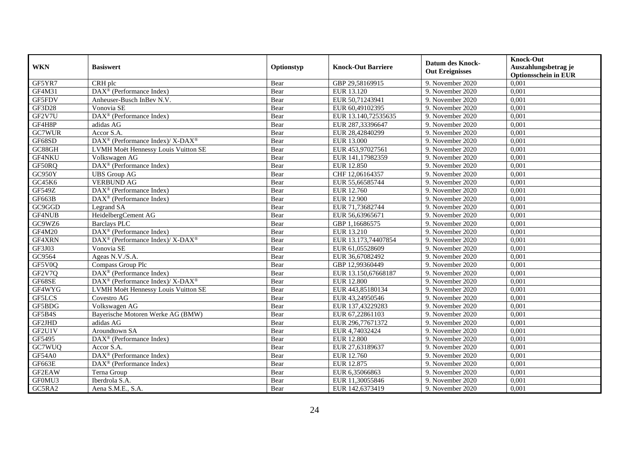| <b>WKN</b>    | <b>Basiswert</b>                                            | Optionstyp | <b>Knock-Out Barriere</b> | <b>Datum des Knock-</b><br><b>Out Ereignisses</b> | <b>Knock-Out</b><br>Auszahlungsbetrag je<br><b>Optionsschein in EUR</b> |
|---------------|-------------------------------------------------------------|------------|---------------------------|---------------------------------------------------|-------------------------------------------------------------------------|
| GF5YR7        | CRH plc                                                     | Bear       | GBP 29,58169915           | 9. November 2020                                  | 0,001                                                                   |
| GF4M31        | $\overline{\text{DAX}^{\otimes}}$ (Performance Index)       | Bear       | EUR 13.120                | 9. November 2020                                  | 0,001                                                                   |
| GF5FDV        | Anheuser-Busch InBev N.V.                                   | Bear       | EUR 50,71243941           | 9. November 2020                                  | 0,001                                                                   |
| GF3D28        | Vonovia SE                                                  | Bear       | EUR 60,49102395           | 9. November 2020                                  | 0,001                                                                   |
| GF2V7U        | DAX <sup>®</sup> (Performance Index)                        | Bear       | EUR 13.140,72535635       | 9. November 2020                                  | 0,001                                                                   |
| GF4H8P        | adidas AG                                                   | Bear       | EUR 287,33396647          | 9. November 2020                                  | 0,001                                                                   |
| GC7WUR        | Accor S.A.                                                  | Bear       | EUR 28,42840299           | 9. November 2020                                  | 0,001                                                                   |
| GF68SD        | $DAX^{\circledast}$ (Performance Index)/ X-DAX <sup>®</sup> | Bear       | EUR 13.000                | 9. November 2020                                  | 0,001                                                                   |
| GC88GH        | LVMH Moët Hennessy Louis Vuitton SE                         | Bear       | EUR 453,97027561          | 9. November 2020                                  | 0,001                                                                   |
| GF4NKU        | Volkswagen AG                                               | Bear       | EUR 141,17982359          | 9. November 2020                                  | 0,001                                                                   |
| GF50RQ        | DAX <sup>®</sup> (Performance Index)                        | Bear       | <b>EUR 12.850</b>         | 9. November 2020                                  | 0,001                                                                   |
| GC950Y        | <b>UBS</b> Group AG                                         | Bear       | CHF 12,06164357           | 9. November 2020                                  | 0,001                                                                   |
| GC45K6        | <b>VERBUND AG</b>                                           | Bear       | EUR 55,66585744           | 9. November 2020                                  | 0,001                                                                   |
| <b>GF549Z</b> | $\text{DAX}^{\otimes}$ (Performance Index)                  | Bear       | EUR 12.760                | 9. November 2020                                  | 0,001                                                                   |
| GF663B        | DAX <sup>®</sup> (Performance Index)                        | Bear       | <b>EUR 12.900</b>         | 9. November 2020                                  | 0,001                                                                   |
| GC9GGD        | Legrand SA                                                  | Bear       | EUR 71,73682744           | 9. November 2020                                  | 0,001                                                                   |
| <b>GF4NUB</b> | HeidelbergCement AG                                         | Bear       | EUR 56,63965671           | 9. November 2020                                  | 0,001                                                                   |
| GC9WZ6        | <b>Barclays PLC</b>                                         | Bear       | GBP 1.16686575            | 9. November 2020                                  | 0,001                                                                   |
| <b>GF4M20</b> | DAX <sup>®</sup> (Performance Index)                        | Bear       | EUR 13.210                | 9. November 2020                                  | 0,001                                                                   |
| GF4XRN        | DAX <sup>®</sup> (Performance Index)/ X-DAX <sup>®</sup>    | Bear       | EUR 13.173,74407854       | 9. November 2020                                  | 0,001                                                                   |
| GF3J03        | Vonovia SE                                                  | Bear       | EUR 61,05528609           | 9. November 2020                                  | 0,001                                                                   |
| GC9564        | Ageas N.V./S.A.                                             | Bear       | EUR 36,67082492           | 9. November 2020                                  | 0,001                                                                   |
| GF5V0Q        | Compass Group Plc                                           | Bear       | GBP 12,99360449           | 9. November 2020                                  | 0,001                                                                   |
| GF2V7Q        | DAX <sup>®</sup> (Performance Index)                        | Bear       | EUR 13.150,67668187       | 9. November 2020                                  | 0,001                                                                   |
| GF68SE        | DAX <sup>®</sup> (Performance Index)/ X-DAX <sup>®</sup>    | Bear       | <b>EUR 12.800</b>         | 9. November 2020                                  | 0,001                                                                   |
| GF4WYG        | LVMH Moët Hennessy Louis Vuitton SE                         | Bear       | EUR 443,85180134          | 9. November 2020                                  | 0,001                                                                   |
| GF5LCS        | Covestro AG                                                 | Bear       | EUR 43,24950546           | 9. November 2020                                  | 0,001                                                                   |
| GF5BDG        | Volkswagen AG                                               | Bear       | EUR 137,43229283          | 9. November 2020                                  | 0.001                                                                   |
| GF5B4S        | Bayerische Motoren Werke AG (BMW)                           | Bear       | EUR 67,22861103           | 9. November 2020                                  | 0,001                                                                   |
| GF2JHD        | adidas AG                                                   | Bear       | EUR 296,77671372          | 9. November 2020                                  | 0,001                                                                   |
| GF2U1V        | Aroundtown SA                                               | Bear       | EUR 4,74032424            | 9. November 2020                                  | 0,001                                                                   |
| GF5495        | DAX <sup>®</sup> (Performance Index)                        | Bear       | <b>EUR 12.800</b>         | 9. November 2020                                  | 0,001                                                                   |
| GC7WUQ        | Accor S.A.                                                  | Bear       | EUR 27,63189637           | 9. November 2020                                  | 0,001                                                                   |
| GF54A0        | DAX <sup>®</sup> (Performance Index)                        | Bear       | EUR 12.760                | 9. November 2020                                  | 0,001                                                                   |
| GF663E        | $\text{DAX}^{\otimes}$ (Performance Index)                  | Bear       | EUR 12.875                | 9. November 2020                                  | 0,001                                                                   |
| GF2EAW        | Terna Group                                                 | Bear       | EUR 6,35066863            | 9. November 2020                                  | 0,001                                                                   |
| GF0MU3        | Iberdrola S.A.                                              | Bear       | EUR 11,30055846           | 9. November 2020                                  | 0,001                                                                   |
| GC5RA2        | Aena S.M.E., S.A.                                           | Bear       | EUR 142,6373419           | 9. November 2020                                  | 0,001                                                                   |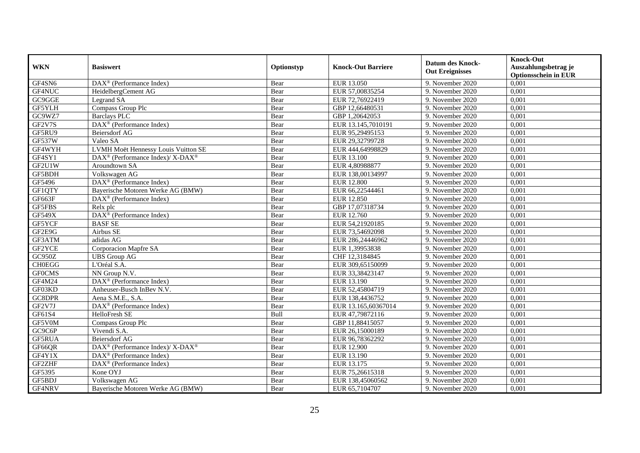| <b>WKN</b>    | <b>Basiswert</b>                                         | Optionstyp | <b>Knock-Out Barriere</b> | <b>Datum des Knock-</b><br><b>Out Ereignisses</b> | <b>Knock-Out</b><br>Auszahlungsbetrag je<br><b>Optionsschein in EUR</b> |
|---------------|----------------------------------------------------------|------------|---------------------------|---------------------------------------------------|-------------------------------------------------------------------------|
| GF4SN6        | $\overline{\text{DAX}^{\otimes}}$ (Performance Index)    | Bear       | EUR 13.050                | 9. November 2020                                  | 0,001                                                                   |
| GF4NUC        | HeidelbergCement AG                                      | Bear       | EUR 57,00835254           | 9. November 2020                                  | 0,001                                                                   |
| GC9GGE        | Legrand SA                                               | Bear       | EUR 72,76922419           | 9. November 2020                                  | 0,001                                                                   |
| GF5YLH        | Compass Group Plc                                        | Bear       | GBP 12,66480531           | 9. November 2020                                  | 0,001                                                                   |
| GC9WZ7        | <b>Barclays PLC</b>                                      | Bear       | GBP 1,20642053            | 9. November 2020                                  | 0,001                                                                   |
| GF2V7S        | DAX <sup>®</sup> (Performance Index)                     | Bear       | EUR 13.145,7010191        | 9. November 2020                                  | 0,001                                                                   |
| GF5RU9        | <b>Beiersdorf AG</b>                                     | Bear       | EUR 95,29495153           | 9. November 2020                                  | 0,001                                                                   |
| <b>GF537W</b> | Valeo SA                                                 | Bear       | EUR 29,32799728           | 9. November 2020                                  | 0,001                                                                   |
| GF4WYH        | LVMH Moët Hennessy Louis Vuitton SE                      | Bear       | EUR 444,64998829          | 9. November 2020                                  | 0,001                                                                   |
| GF4SY1        | DAX <sup>®</sup> (Performance Index)/ X-DAX <sup>®</sup> | Bear       | EUR 13.100                | 9. November 2020                                  | 0,001                                                                   |
| GF2U1W        | Aroundtown SA                                            | Bear       | EUR 4,80988877            | 9. November 2020                                  | 0,001                                                                   |
| GF5BDH        | Volkswagen AG                                            | Bear       | EUR 138,00134997          | 9. November 2020                                  | 0,001                                                                   |
| GF5496        | $\text{DAX}^{\circledast}$ (Performance Index)           | Bear       | <b>EUR 12.800</b>         | 9. November 2020                                  | 0,001                                                                   |
| GF1QTY        | Bayerische Motoren Werke AG (BMW)                        | Bear       | EUR 66,22544461           | 9. November 2020                                  | 0,001                                                                   |
| GF663F        | DAX <sup>®</sup> (Performance Index)                     | Bear       | <b>EUR 12.850</b>         | 9. November 2020                                  | 0,001                                                                   |
| GF5FBS        | Relx plc                                                 | Bear       | GBP 17,07318734           | 9. November 2020                                  | 0,001                                                                   |
| <b>GF549X</b> | $\overline{\text{DAX}}^{\textcirc}$ (Performance Index)  | Bear       | EUR 12.760                | 9. November 2020                                  | 0,001                                                                   |
| GF5YCF        | <b>BASFSE</b>                                            | Bear       | EUR 54,21920185           | 9. November 2020                                  | 0,001                                                                   |
| GF2E9G        | Airbus SE                                                | Bear       | EUR 73,54692098           | 9. November 2020                                  | 0,001                                                                   |
| GF3ATM        | adidas AG                                                | Bear       | EUR 286,24446962          | 9. November 2020                                  | 0,001                                                                   |
| GF2YCE        | Corporacion Mapfre SA                                    | Bear       | EUR 1,39953838            | 9. November 2020                                  | 0,001                                                                   |
| GC950Z        | <b>UBS</b> Group AG                                      | Bear       | CHF 12,3184845            | 9. November 2020                                  | 0,001                                                                   |
| <b>CH0EGG</b> | L'Oréal S.A.                                             | Bear       | EUR 309,65150099          | 9. November 2020                                  | 0,001                                                                   |
| <b>GFOCMS</b> | NN Group N.V.                                            | Bear       | EUR 33,38423147           | 9. November 2020                                  | 0,001                                                                   |
| GF4M24        | $\text{DAX}^{\textcircled{}}$ (Performance Index)        | Bear       | EUR 13.190                | 9. November 2020                                  | 0,001                                                                   |
| GF03KD        | Anheuser-Busch InBev N.V.                                | Bear       | EUR 52,45804719           | 9. November 2020                                  | 0,001                                                                   |
| GC8DPR        | Aena S.M.E., S.A.                                        | Bear       | EUR 138,4436752           | 9. November 2020                                  | 0,001                                                                   |
| GF2V7J        | DAX <sup>®</sup> (Performance Index)                     | Bear       | EUR 13.165,60367014       | 9. November 2020                                  | 0,001                                                                   |
| GF61S4        | HelloFresh SE                                            | Bull       | EUR 47,79872116           | 9. November 2020                                  | 0,001                                                                   |
| GF5V0M        | Compass Group Plc                                        | Bear       | GBP 11,88415057           | 9. November 2020                                  | 0.001                                                                   |
| GC9C6P        | Vivendi S.A.                                             | Bear       | EUR 26,15000189           | 9. November 2020                                  | 0,001                                                                   |
| GF5RUA        | <b>Beiersdorf AG</b>                                     | Bear       | EUR 96,78362292           | 9. November 2020                                  | 0,001                                                                   |
| GF66QR        | DAX <sup>®</sup> (Performance Index)/ X-DAX <sup>®</sup> | Bear       | <b>EUR 12.900</b>         | 9. November 2020                                  | 0,001                                                                   |
| GF4Y1X        | DAX <sup>®</sup> (Performance Index)                     | Bear       | EUR 13.190                | 9. November 2020                                  | 0,001                                                                   |
| <b>GF2ZHF</b> | DAX <sup>®</sup> (Performance Index)                     | Bear       | EUR 13.175                | 9. November 2020                                  | 0,001                                                                   |
| GF5395        | Kone OYJ                                                 | Bear       | EUR 75,26615318           | 9. November 2020                                  | 0,001                                                                   |
| GF5BDJ        | Volkswagen AG                                            | Bear       | EUR 138,45060562          | 9. November 2020                                  | 0,001                                                                   |
| GF4NRV        | Bayerische Motoren Werke AG (BMW)                        | Bear       | EUR 65,7104707            | 9. November 2020                                  | 0,001                                                                   |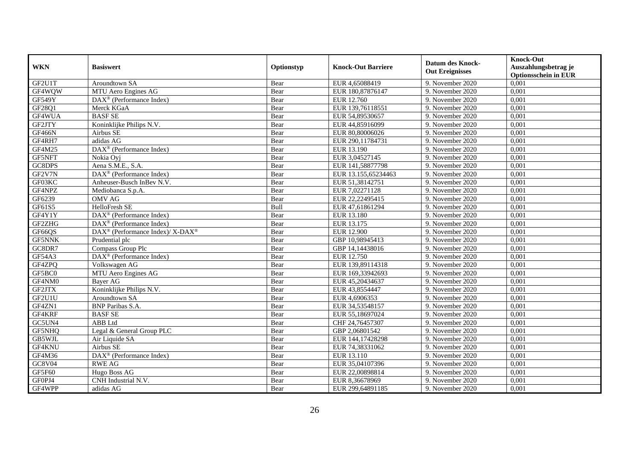| <b>WKN</b>    | <b>Basiswert</b>                                         | Optionstyp | <b>Knock-Out Barriere</b> | <b>Datum des Knock-</b><br><b>Out Ereignisses</b> | <b>Knock-Out</b><br>Auszahlungsbetrag je<br><b>Optionsschein in EUR</b> |
|---------------|----------------------------------------------------------|------------|---------------------------|---------------------------------------------------|-------------------------------------------------------------------------|
| GF2U1T        | Aroundtown SA                                            | Bear       | EUR 4,65088419            | 9. November 2020                                  | 0,001                                                                   |
| GF4WOW        | MTU Aero Engines AG                                      | Bear       | EUR 180,87876147          | 9. November 2020                                  | 0,001                                                                   |
| GF549Y        | $\text{DAX}^{\textcircled{}}$ (Performance Index)        | Bear       | EUR 12.760                | 9. November 2020                                  | 0,001                                                                   |
| GF28Q1        | Merck KGaA                                               | Bear       | EUR 139,76118551          | 9. November 2020                                  | 0,001                                                                   |
| GF4WUA        | <b>BASFSE</b>                                            | Bear       | EUR 54,89530657           | 9. November 2020                                  | 0,001                                                                   |
| GF2JTY        | Koninklijke Philips N.V.                                 | Bear       | EUR 44,85916099           | 9. November 2020                                  | 0,001                                                                   |
| GF466N        | Airbus SE                                                | Bear       | EUR 80,80006026           | 9. November 2020                                  | 0,001                                                                   |
| GF4RH7        | adidas AG                                                | Bear       | EUR 290,11784731          | 9. November 2020                                  | 0,001                                                                   |
| GF4M25        | DAX <sup>®</sup> (Performance Index)                     | Bear       | EUR 13.190                | 9. November 2020                                  | 0,001                                                                   |
| <b>GF5NFT</b> | Nokia Oyj                                                | Bear       | EUR 3,04527145            | 9. November 2020                                  | 0,001                                                                   |
| GC8DPS        | Aena S.M.E., S.A.                                        | Bear       | EUR 141,58877798          | 9. November 2020                                  | 0,001                                                                   |
| GF2V7N        | DAX <sup>®</sup> (Performance Index)                     | Bear       | EUR 13.155,65234463       | 9. November 2020                                  | 0,001                                                                   |
| GF03KC        | Anheuser-Busch InBev N.V.                                | Bear       | EUR 51,38142751           | 9. November 2020                                  | 0,001                                                                   |
| GF4NPZ        | Mediobanca S.p.A.                                        | Bear       | EUR 7,02271128            | 9. November 2020                                  | 0,001                                                                   |
| GF6239        | <b>OMV AG</b>                                            | Bear       | EUR 22,22495415           | 9. November 2020                                  | 0,001                                                                   |
| GF61S5        | HelloFresh SE                                            | Bull       | EUR 47,61861294           | 9. November 2020                                  | 0,001                                                                   |
| GF4Y1Y        | DAX <sup>®</sup> (Performance Index)                     | Bear       | EUR 13.180                | 9. November 2020                                  | 0,001                                                                   |
| GF2ZHG        | $\text{DAX}^{\textcircled{}}$ (Performance Index)        | Bear       | EUR 13.175                | 9. November 2020                                  | 0,001                                                                   |
| GF66QS        | DAX <sup>®</sup> (Performance Index)/ X-DAX <sup>®</sup> | Bear       | <b>EUR 12.900</b>         | 9. November 2020                                  | 0,001                                                                   |
| <b>GF5NNK</b> | Prudential plc                                           | Bear       | GBP 10,98945413           | 9. November 2020                                  | 0,001                                                                   |
| GC8DR7        | Compass Group Plc                                        | Bear       | GBP 14,14438016           | 9. November 2020                                  | 0,001                                                                   |
| GF54A3        | DAX <sup>®</sup> (Performance Index)                     | Bear       | EUR 12.750                | 9. November 2020                                  | 0,001                                                                   |
| GF4ZPQ        | Volkswagen AG                                            | Bear       | EUR 139,89114318          | 9. November 2020                                  | 0,001                                                                   |
| GF5BC0        | MTU Aero Engines AG                                      | Bear       | EUR 169,33942693          | 9. November 2020                                  | 0,001                                                                   |
| GF4NM0        | <b>Bayer AG</b>                                          | Bear       | EUR 45,20434637           | 9. November 2020                                  | 0,001                                                                   |
| GF2JTX        | Koninklijke Philips N.V.                                 | Bear       | EUR 43,8554447            | 9. November 2020                                  | 0,001                                                                   |
| GF2U1U        | Aroundtown SA                                            | Bear       | EUR 4,6906353             | 9. November 2020                                  | 0,001                                                                   |
| GF4ZN1        | <b>BNP</b> Paribas S.A.                                  | Bear       | EUR 34,53548157           | 9. November 2020                                  | 0,001                                                                   |
| GF4KRF        | <b>BASFSE</b>                                            | Bear       | EUR 55,18697024           | 9. November 2020                                  | 0,001                                                                   |
| GC5UN4        | ABB Ltd                                                  | Bear       | CHF 24,76457307           | 9. November 2020                                  | 0.001                                                                   |
| GF5NHQ        | Legal & General Group PLC                                | Bear       | GBP 2,06801542            | 9. November 2020                                  | 0,001                                                                   |
| GB5WJL        | Air Liquide SA                                           | Bear       | EUR 144,17428298          | 9. November 2020                                  | 0,001                                                                   |
| GF4KNU        | Airbus SE                                                | Bear       | EUR 74,38331062           | 9. November 2020                                  | 0,001                                                                   |
| GF4M36        | DAX <sup>®</sup> (Performance Index)                     | Bear       | EUR 13.110                | 9. November 2020                                  | 0,001                                                                   |
| GC8V04        | <b>RWE AG</b>                                            | Bear       | EUR 35,04107396           | 9. November 2020                                  | 0,001                                                                   |
| <b>GF5F60</b> | Hugo Boss AG                                             | Bear       | EUR 22,00898814           | 9. November 2020                                  | 0,001                                                                   |
| GF0PJ4        | CNH Industrial N.V.                                      | Bear       | EUR 8,36678969            | 9. November 2020                                  | 0,001                                                                   |
| GF4WPP        | adidas AG                                                | Bear       | EUR 299,64891185          | 9. November 2020                                  | 0,001                                                                   |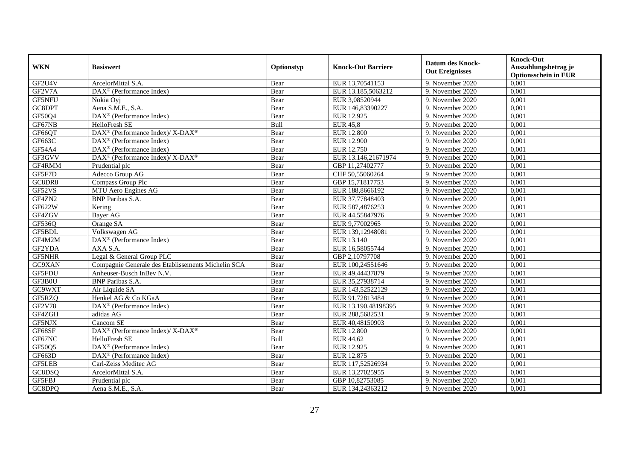| <b>WKN</b>    | <b>Basiswert</b>                                            | Optionstyp | <b>Knock-Out Barriere</b> | <b>Datum des Knock-</b><br><b>Out Ereignisses</b> | <b>Knock-Out</b><br>Auszahlungsbetrag je<br><b>Optionsschein in EUR</b> |
|---------------|-------------------------------------------------------------|------------|---------------------------|---------------------------------------------------|-------------------------------------------------------------------------|
| GF2U4V        | ArcelorMittal S.A.                                          | Bear       | EUR 13,70541153           | 9. November 2020                                  | 0,001                                                                   |
| GF2V7A        | $\overline{\text{DAX}^{\otimes}}$ (Performance Index)       | Bear       | EUR 13.185,5063212        | 9. November 2020                                  | 0,001                                                                   |
| GF5NFU        | Nokia Oyj                                                   | Bear       | EUR 3,08520944            | 9. November 2020                                  | 0,001                                                                   |
| GC8DPT        | Aena S.M.E., S.A.                                           | Bear       | EUR 146,83390227          | 9. November 2020                                  | 0,001                                                                   |
| GF50Q4        | DAX <sup>®</sup> (Performance Index)                        | Bear       | EUR 12.925                | 9. November 2020                                  | 0,001                                                                   |
| GF67NB        | HelloFresh SE                                               | Bull       | EUR $45,8$                | 9. November 2020                                  | 0,001                                                                   |
| GF66QT        | DAX <sup>®</sup> (Performance Index)/ X-DAX <sup>®</sup>    | Bear       | <b>EUR 12.800</b>         | 9. November 2020                                  | 0,001                                                                   |
| GF663C        | $\text{DAX}^{\textcircled{}}$ (Performance Index)           | Bear       | <b>EUR 12.900</b>         | 9. November 2020                                  | 0,001                                                                   |
| GF54A4        | $\text{DAX}^{\textcircled{}}$ (Performance Index)           | Bear       | EUR 12.750                | 9. November 2020                                  | 0,001                                                                   |
| GF3GVV        | DAX <sup>®</sup> (Performance Index)/ X-DAX <sup>®</sup>    | Bear       | EUR 13.146,21671974       | 9. November 2020                                  | 0,001                                                                   |
| GF4RMM        | Prudential plc                                              | Bear       | GBP 11,27402777           | 9. November 2020                                  | 0,001                                                                   |
| GF5F7D        | Adecco Group AG                                             | Bear       | CHF 50,55060264           | 9. November 2020                                  | 0,001                                                                   |
| GC8DR8        | Compass Group Plc                                           | Bear       | GBP 15,71817753           | 9. November 2020                                  | 0,001                                                                   |
| GF52VS        | MTU Aero Engines AG                                         | Bear       | EUR 188,8666192           | 9. November 2020                                  | 0,001                                                                   |
| GF4ZN2        | <b>BNP</b> Paribas S.A.                                     | Bear       | EUR 37,77848403           | 9. November 2020                                  | 0,001                                                                   |
| GF622W        | Kering                                                      | Bear       | EUR 587,4876253           | 9. November 2020                                  | 0,001                                                                   |
| GF4ZGV        | <b>Bayer AG</b>                                             | Bear       | EUR 44,55847976           | 9. November 2020                                  | 0,001                                                                   |
| GF536Q        | Orange SA                                                   | Bear       | EUR 9,77002965            | 9. November 2020                                  | 0,001                                                                   |
| GF5BDL        | Volkswagen AG                                               | Bear       | EUR 139,12948081          | 9. November 2020                                  | 0,001                                                                   |
| GF4M2M        | DAX <sup>®</sup> (Performance Index)                        | Bear       | EUR 13.140                | 9. November 2020                                  | 0,001                                                                   |
| GF2YDA        | AXA S.A.                                                    | Bear       | EUR 16,58055744           | 9. November 2020                                  | 0,001                                                                   |
| GF5NHR        | Legal & General Group PLC                                   | Bear       | GBP 2,10797708            | 9. November 2020                                  | 0,001                                                                   |
| GC9XAN        | Compagnie Generale des Etablissements Michelin SCA          | Bear       | EUR 100,24551646          | 9. November 2020                                  | 0,001                                                                   |
| GF5FDU        | Anheuser-Busch InBev N.V.                                   | Bear       | EUR 49,44437879           | 9. November 2020                                  | 0,001                                                                   |
| GF3B0U        | <b>BNP</b> Paribas S.A.                                     | Bear       | EUR 35,27938714           | 9. November 2020                                  | 0,001                                                                   |
| GC9WXT        | Air Liquide SA                                              | Bear       | EUR 143,52522129          | 9. November 2020                                  | 0,001                                                                   |
| GF5RZQ        | Henkel AG & Co KGaA                                         | Bear       | EUR 91,72813484           | 9. November 2020                                  | 0,001                                                                   |
| <b>GF2V78</b> | DAX <sup>®</sup> (Performance Index)                        | Bear       | EUR 13.190,48198395       | 9. November 2020                                  | 0,001                                                                   |
| GF4ZGH        | adidas AG                                                   | Bear       | EUR 288,5682531           | 9. November 2020                                  | 0,001                                                                   |
| GF5NJX        | Cancom SE                                                   | Bear       | EUR 40,48150903           | 9. November 2020                                  | 0.001                                                                   |
| GF68SF        | DAX <sup>®</sup> (Performance Index)/ X-DAX <sup>®</sup>    | Bear       | <b>EUR 12.800</b>         | 9. November 2020                                  | 0,001                                                                   |
| GF67NC        | HelloFresh SE                                               | Bull       | EUR 44,62                 | 9. November 2020                                  | 0,001                                                                   |
| GF50Q5        | DAX <sup>®</sup> (Performance Index)                        | Bear       | EUR 12.925                | 9. November 2020                                  | 0,001                                                                   |
| GF663D        | $\overline{\text{DAX}^{\otimes}(\text{Performance Index})}$ | Bear       | EUR 12.875                | 9. November 2020                                  | 0,001                                                                   |
| <b>GF5LEB</b> | Carl-Zeiss Meditec AG                                       | Bear       | EUR 117,52526934          | 9. November 2020                                  | 0,001                                                                   |
| GC8DSQ        | ArcelorMittal S.A.                                          | Bear       | EUR 13,27025955           | 9. November 2020                                  | 0,001                                                                   |
| GF5FBJ        | Prudential plc                                              | Bear       | GBP 10,82753085           | 9. November 2020                                  | 0,001                                                                   |
| GC8DPQ        | Aena S.M.E., S.A.                                           | Bear       | EUR 134,24363212          | 9. November 2020                                  | 0,001                                                                   |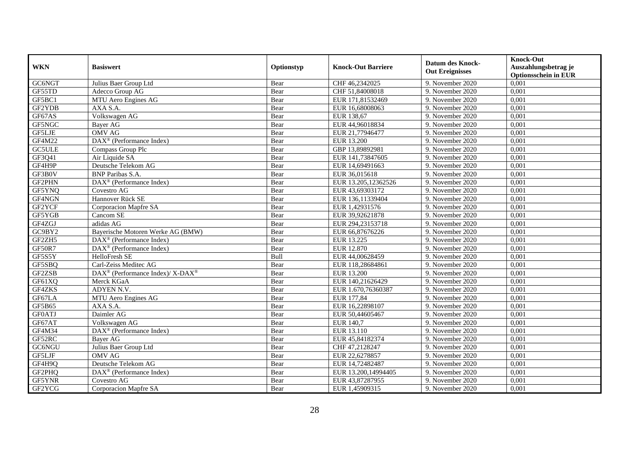| <b>WKN</b>    | <b>Basiswert</b>                                         | Optionstyp | <b>Knock-Out Barriere</b> | <b>Datum des Knock-</b><br><b>Out Ereignisses</b> | <b>Knock-Out</b><br>Auszahlungsbetrag je<br><b>Optionsschein in EUR</b> |
|---------------|----------------------------------------------------------|------------|---------------------------|---------------------------------------------------|-------------------------------------------------------------------------|
| GC6NGT        | Julius Baer Group Ltd                                    | Bear       | CHF 46,2342025            | 9. November 2020                                  | 0,001                                                                   |
| GF55TD        | Adecco Group AG                                          | Bear       | CHF 51,84008018           | 9. November 2020                                  | 0,001                                                                   |
| GF5BC1        | MTU Aero Engines AG                                      | Bear       | EUR 171,81532469          | 9. November 2020                                  | 0,001                                                                   |
| GF2YDB        | AXA S.A.                                                 | Bear       | EUR 16,68008063           | 9. November 2020                                  | 0,001                                                                   |
| GF67AS        | Volkswagen AG                                            | Bear       | EUR 138,67                | 9. November 2020                                  | 0,001                                                                   |
| GF5NGC        | Bayer AG                                                 | Bear       | EUR 44,96018834           | 9. November 2020                                  | 0,001                                                                   |
| GF5LJE        | <b>OMV AG</b>                                            | Bear       | EUR 21,77946477           | 9. November 2020                                  | 0,001                                                                   |
| <b>GF4M22</b> | $\text{DAX}^{\textcircled{}}$ (Performance Index)        | Bear       | <b>EUR 13.200</b>         | 9. November 2020                                  | 0,001                                                                   |
| <b>GC5ULE</b> | Compass Group Plc                                        | Bear       | GBP 13,89892981           | 9. November 2020                                  | 0,001                                                                   |
| GF3Q41        | Air Liquide SA                                           | Bear       | EUR 141,73847605          | 9. November 2020                                  | 0,001                                                                   |
| GF4H9P        | Deutsche Telekom AG                                      | Bear       | EUR 14,69491663           | 9. November 2020                                  | 0,001                                                                   |
| GF3B0V        | <b>BNP</b> Paribas S.A.                                  | Bear       | EUR 36,015618             | 9. November 2020                                  | 0,001                                                                   |
| GF2PHN        | $\overline{\text{DAX}^{\otimes}}$ (Performance Index)    | Bear       | EUR 13.205,12362526       | 9. November 2020                                  | 0,001                                                                   |
| GF5YNQ        | Covestro AG                                              | Bear       | EUR 43,69303172           | 9. November 2020                                  | 0,001                                                                   |
| GF4NGN        | Hannover Rück SE                                         | Bear       | EUR 136,11339404          | 9. November 2020                                  | 0,001                                                                   |
| GF2YCF        | Corporacion Mapfre SA                                    | Bear       | EUR 1,42931576            | 9. November 2020                                  | 0,001                                                                   |
| GF5YGB        | Cancom SE                                                | Bear       | EUR 39,92621878           | 9. November 2020                                  | 0,001                                                                   |
| GF4ZGJ        | adidas AG                                                | Bear       | EUR 294.23153718          | 9. November 2020                                  | 0,001                                                                   |
| GC9BY2        | Bayerische Motoren Werke AG (BMW)                        | Bear       | EUR 66,87676226           | 9. November 2020                                  | 0,001                                                                   |
| GF2ZH5        | $\text{DAX}^{\textcircled{}}$ (Performance Index)        | Bear       | EUR 13.225                | 9. November 2020                                  | 0,001                                                                   |
| <b>GF50R7</b> | DAX <sup>®</sup> (Performance Index)                     | Bear       | <b>EUR 12.870</b>         | 9. November 2020                                  | 0,001                                                                   |
| GF5S5Y        | HelloFresh SE                                            | Bull       | EUR 44,00628459           | 9. November 2020                                  | 0,001                                                                   |
| GF5SBQ        | Carl-Zeiss Meditec AG                                    | Bear       | EUR 118,28684861          | 9. November 2020                                  | 0,001                                                                   |
| GF2ZSB        | DAX <sup>®</sup> (Performance Index)/ X-DAX <sup>®</sup> | Bear       | EUR 13.200                | 9. November 2020                                  | 0,001                                                                   |
| GF61XQ        | Merck KGaA                                               | Bear       | EUR 140,21626429          | 9. November 2020                                  | 0,001                                                                   |
| GF4ZKS        | ADYEN N.V.                                               | Bear       | EUR 1.670,76360387        | 9. November 2020                                  | 0,001                                                                   |
| GF67LA        | MTU Aero Engines AG                                      | Bear       | EUR 177,84                | 9. November 2020                                  | 0,001                                                                   |
| GF5B65        | AXA S.A.                                                 | Bear       | EUR 16,22898107           | 9. November 2020                                  | 0,001                                                                   |
| <b>GF0ATJ</b> | Daimler AG                                               | Bear       | EUR 50,44605467           | 9. November 2020                                  | 0,001                                                                   |
| GF67AT        | Volkswagen AG                                            | Bear       | <b>EUR 140,7</b>          | 9. November 2020                                  | 0,001                                                                   |
| GF4M34        | DAX <sup>®</sup> (Performance Index)                     | Bear       | EUR 13.110                | 9. November 2020                                  | 0,001                                                                   |
| GF52RC        | Bayer AG                                                 | Bear       | EUR 45,84182374           | 9. November 2020                                  | 0,001                                                                   |
| GC6NGU        | Julius Baer Group Ltd                                    | Bear       | CHF 47,2128247            | 9. November 2020                                  | 0,001                                                                   |
| GF5LJF        | <b>OMV AG</b>                                            | Bear       | EUR 22,6278857            | 9. November 2020                                  | 0,001                                                                   |
| GF4H9Q        | Deutsche Telekom AG                                      | Bear       | EUR 14,72482487           | 9. November 2020                                  | 0,001                                                                   |
| GF2PHQ        | DAX <sup>®</sup> (Performance Index)                     | Bear       | EUR 13.200,14994405       | 9. November 2020                                  | 0,001                                                                   |
| GF5YNR        | Covestro AG                                              | Bear       | EUR 43,87287955           | 9. November 2020                                  | 0,001                                                                   |
| GF2YCG        | Corporacion Mapfre SA                                    | Bear       | EUR 1,45909315            | 9. November 2020                                  | 0,001                                                                   |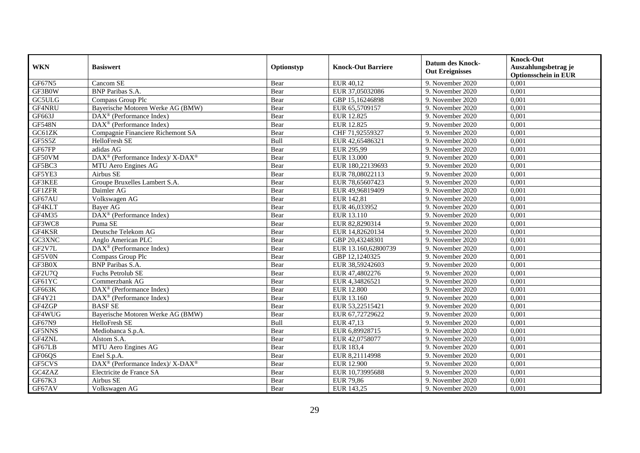|               | <b>Basiswert</b>                                                                          | Optionstyp   | <b>Knock-Out Barriere</b>       | <b>Datum des Knock-</b> | Knock-Out                                           |
|---------------|-------------------------------------------------------------------------------------------|--------------|---------------------------------|-------------------------|-----------------------------------------------------|
| <b>WKN</b>    |                                                                                           |              |                                 | <b>Out Ereignisses</b>  | Auszahlungsbetrag je<br><b>Optionsschein in EUR</b> |
| <b>GF67N5</b> | Cancom SE                                                                                 | Bear         | EUR 40,12                       | 9. November 2020        | 0,001                                               |
| GF3B0W        | <b>BNP</b> Paribas S.A.                                                                   | Bear         | EUR 37,05032086                 | 9. November 2020        | 0,001                                               |
| GC5ULG        | Compass Group Plc                                                                         | Bear         | GBP 15,16246898                 | 9. November 2020        | 0,001                                               |
| GF4NRU        | Bayerische Motoren Werke AG (BMW)                                                         | Bear         | EUR 65,5709157                  | 9. November 2020        | 0,001                                               |
| GF663J        | $\text{DAX}^{\circledast}$ (Performance Index)                                            | Bear         | EUR 12.825                      | 9. November 2020        | 0,001                                               |
| <b>GF548N</b> | $\overline{\text{DAX}^{\otimes}}$ (Performance Index)                                     | Bear         | <b>EUR 12.825</b>               | 9. November 2020        | 0,001                                               |
| GC61ZK        | Compagnie Financiere Richemont SA                                                         | Bear         | CHF 71,92559327                 | 9. November 2020        | 0,001                                               |
| GF5S5Z        | HelloFresh SE                                                                             | Bull         | EUR 42,65486321                 | 9. November 2020        | 0,001                                               |
| GF67FP        | adidas AG                                                                                 | Bear         | EUR 295,99                      | 9. November 2020        | 0,001                                               |
| GF50VM        | DAX <sup>®</sup> (Performance Index)/ X-DAX <sup>®</sup>                                  | Bear         | <b>EUR 13.000</b>               | 9. November 2020        | 0,001                                               |
| GF5BC3        | MTU Aero Engines AG                                                                       | Bear         | EUR 180,22139693                | 9. November 2020        | 0,001                                               |
| GF5YE3        | Airbus SE                                                                                 | Bear         | EUR 78,08022113                 | 9. November 2020        | 0,001                                               |
| GF3KEE        | Groupe Bruxelles Lambert S.A.                                                             | Bear         | EUR 78,65607423                 | 9. November 2020        | 0,001                                               |
| <b>GF1ZFR</b> | Daimler AG                                                                                | Bear         | EUR 49.96819409                 | 9. November 2020        | 0,001                                               |
| GF67AU        | Volkswagen AG                                                                             | Bear         | EUR 142,81                      | 9. November 2020        | 0,001                                               |
| GF4KLT        | Bayer AG                                                                                  | Bear         | EUR 46,033952                   | 9. November 2020        | 0,001                                               |
| GF4M35        | DAX <sup>®</sup> (Performance Index)                                                      | Bear         | EUR 13.110                      | 9. November 2020        | 0,001                                               |
| GF3WC8        | Puma SE                                                                                   | Bear         | EUR 82,8290314                  | 9. November 2020        | 0,001                                               |
| GF4KSR        | Deutsche Telekom AG                                                                       | Bear         | EUR 14,82620134                 | 9. November 2020        | 0,001                                               |
| GC3XNC        | Anglo American PLC                                                                        | Bear         | GBP 20,43248301                 | 9. November 2020        | 0,001                                               |
| GF2V7L        | $\text{DAX}^{\textcircled{}}$ (Performance Index)                                         | Bear         | EUR 13.160,62800739             | 9. November 2020        | 0,001                                               |
| GF5V0N        | Compass Group Plc                                                                         | Bear         | GBP 12,1240325                  | 9. November 2020        | 0.001                                               |
| GF3B0X        | <b>BNP</b> Paribas S.A.                                                                   | Bear         | EUR 38,59242603                 | 9. November 2020        | 0,001                                               |
| GF2U7Q        | Fuchs Petrolub SE                                                                         | Bear         | EUR 47,4802276                  | 9. November 2020        | 0,001                                               |
| GF61YC        | Commerzbank AG                                                                            |              |                                 | 9. November 2020        | 0,001                                               |
| GF663K        |                                                                                           | Bear<br>Bear | EUR 4,34826521                  | 9. November 2020        | 0,001                                               |
| GF4Y21        | $\text{DAX}^{\textcircled{}}$ (Performance Index)<br>DAX <sup>®</sup> (Performance Index) |              | <b>EUR 12.800</b><br>EUR 13.160 | 9. November 2020        | 0,001                                               |
| GF4ZGP        |                                                                                           | Bear         |                                 |                         |                                                     |
|               | <b>BASFSE</b>                                                                             | Bear         | EUR 53,22515421                 | 9. November 2020        | 0,001                                               |
| GF4WUG        | Bayerische Motoren Werke AG (BMW)                                                         | Bear         | EUR 67,72729622                 | 9. November 2020        | 0,001                                               |
| GF67N9        | HelloFresh SE                                                                             | Bull         | EUR 47,13                       | 9. November 2020        | 0,001                                               |
| GF5NNS        | Mediobanca S.p.A.                                                                         | Bear         | EUR 6,89928715                  | 9. November 2020        | 0,001                                               |
| GF4ZNL        | Alstom S.A.                                                                               | Bear         | EUR 42,0758077                  | 9. November 2020        | 0,001                                               |
| GF67LB        | MTU Aero Engines AG                                                                       | Bear         | <b>EUR 183,4</b>                | 9. November 2020        | 0,001                                               |
| GF06QS        | Enel S.p.A.                                                                               | Bear         | EUR 8,21114998                  | 9. November 2020        | 0,001                                               |
| GF5CVS        | DAX <sup>®</sup> (Performance Index)/ X-DAX <sup>®</sup>                                  | Bear         | <b>EUR 12.900</b>               | 9. November 2020        | 0,001                                               |
| GC4ZAZ        | Electricite de France SA                                                                  | Bear         | EUR 10,73995688                 | 9. November 2020        | 0,001                                               |
| GF67K3        | Airbus SE                                                                                 | Bear         | <b>EUR 79,86</b>                | 9. November 2020        | 0,001                                               |
| GF67AV        | Volkswagen AG                                                                             | Bear         | EUR 143,25                      | 9. November 2020        | 0,001                                               |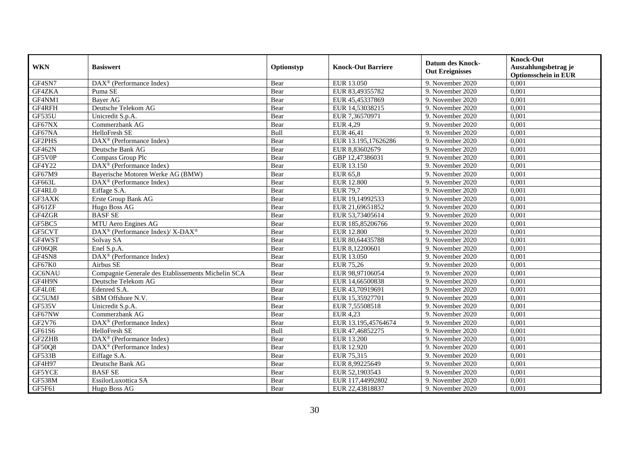| <b>WKN</b>    | <b>Basiswert</b>                                         | Optionstyp | <b>Knock-Out Barriere</b> | <b>Datum des Knock-</b><br><b>Out Ereignisses</b> | <b>Knock-Out</b><br>Auszahlungsbetrag je<br><b>Optionsschein in EUR</b> |
|---------------|----------------------------------------------------------|------------|---------------------------|---------------------------------------------------|-------------------------------------------------------------------------|
| GF4SN7        | $\overline{\text{DAX}}^{\textcirc}$ (Performance Index)  | Bear       | EUR 13.050                | 9. November 2020                                  | 0,001                                                                   |
| GF4ZKA        | Puma SE                                                  | Bear       | EUR 83,49355782           | 9. November 2020                                  | 0,001                                                                   |
| GF4NM1        | Bayer AG                                                 | Bear       | EUR 45,45337869           | 9. November 2020                                  | 0,001                                                                   |
| GF4RFH        | Deutsche Telekom AG                                      | Bear       | EUR 14,53038215           | 9. November 2020                                  | 0,001                                                                   |
| GF535U        | Unicredit S.p.A.                                         | Bear       | EUR 7,36570971            | 9. November 2020                                  | 0,001                                                                   |
| GF67NX        | Commerzbank AG                                           | Bear       | <b>EUR 4,29</b>           | 9. November 2020                                  | 0,001                                                                   |
| GF67NA        | HelloFresh SE                                            | Bull       | EUR 46,41                 | 9. November 2020                                  | 0,001                                                                   |
| GF2PHS        | DAX <sup>®</sup> (Performance Index)                     | Bear       | EUR 13.195,17626286       | 9. November 2020                                  | 0,001                                                                   |
| GF462N        | Deutsche Bank AG                                         | Bear       | EUR 8,83602679            | 9. November 2020                                  | 0,001                                                                   |
| GF5V0P        | Compass Group Plc                                        | Bear       | GBP 12,47386031           | 9. November 2020                                  | 0,001                                                                   |
| GF4Y22        | DAX <sup>®</sup> (Performance Index)                     | Bear       | EUR 13.150                | 9. November 2020                                  | 0,001                                                                   |
| GF67M9        | Bayerische Motoren Werke AG (BMW)                        | Bear       | <b>EUR 65,8</b>           | 9. November 2020                                  | 0,001                                                                   |
| GF663L        | DAX <sup>®</sup> (Performance Index)                     | Bear       | <b>EUR 12.800</b>         | 9. November 2020                                  | 0,001                                                                   |
| GF4RL0        | Eiffage S.A.                                             | Bear       | <b>EUR 79,7</b>           | 9. November 2020                                  | 0,001                                                                   |
| GF3AXK        | Erste Group Bank AG                                      | Bear       | EUR 19,14992533           | 9. November 2020                                  | 0,001                                                                   |
| GF61ZF        | Hugo Boss AG                                             | Bear       | EUR 21,69651852           | 9. November 2020                                  | 0,001                                                                   |
| GF4ZGR        | <b>BASFSE</b>                                            | Bear       | EUR 53,73405614           | 9. November 2020                                  | 0,001                                                                   |
| GF5BC5        | MTU Aero Engines AG                                      | Bear       | EUR 185,85206766          | 9. November 2020                                  | 0,001                                                                   |
| GF5CVT        | DAX <sup>®</sup> (Performance Index)/ X-DAX <sup>®</sup> | Bear       | <b>EUR 12.800</b>         | 9. November 2020                                  | 0,001                                                                   |
| GF4WST        | Solvay SA                                                | Bear       | EUR 80,64435788           | 9. November 2020                                  | 0,001                                                                   |
| GF06QR        | Enel S.p.A.                                              | Bear       | EUR 8,12200601            | 9. November 2020                                  | 0,001                                                                   |
| GF4SN8        | DAX <sup>®</sup> (Performance Index)                     | Bear       | EUR 13.050                | 9. November 2020                                  | 0,001                                                                   |
| GF67K0        | Airbus SE                                                | Bear       | <b>EUR 75,26</b>          | 9. November 2020                                  | 0,001                                                                   |
| GC6NAU        | Compagnie Generale des Etablissements Michelin SCA       | Bear       | EUR 98,97106054           | 9. November 2020                                  | 0,001                                                                   |
| GF4H9N        | Deutsche Telekom AG                                      | Bear       | EUR 14,66500838           | 9. November 2020                                  | 0,001                                                                   |
| GF4L0E        | Edenred S.A.                                             | Bear       | EUR 43,70919691           | 9. November 2020                                  | 0,001                                                                   |
| GC5UMJ        | SBM Offshore N.V.                                        | Bear       | EUR 15,35927701           | 9. November 2020                                  | 0,001                                                                   |
| <b>GF535V</b> | Unicredit S.p.A.                                         | Bear       | EUR 7,55508518            | 9. November 2020                                  | 0,001                                                                   |
| GF67NW        | Commerzbank AG                                           | Bear       | <b>EUR 4,23</b>           | 9. November 2020                                  | 0,001                                                                   |
| GF2V76        | $\overline{\text{DAX}^{\otimes}}$ (Performance Index)    | Bear       | EUR 13.195,45764674       | 9. November 2020                                  | 0,001                                                                   |
| GF61S6        | HelloFresh SE                                            | Bull       | EUR 47,46852275           | 9. November 2020                                  | 0,001                                                                   |
| GF2ZHB        | DAX <sup>®</sup> (Performance Index)                     | Bear       | EUR 13.200                | 9. November 2020                                  | 0,001                                                                   |
| GF50Q8        | DAX <sup>®</sup> (Performance Index)                     | Bear       | EUR 12.920                | 9. November 2020                                  | 0,001                                                                   |
| GF533B        | Eiffage S.A.                                             | Bear       | EUR 75,315                | 9. November 2020                                  | 0,001                                                                   |
| GF4H97        | Deutsche Bank AG                                         | Bear       | EUR 8,99225649            | 9. November 2020                                  | 0,001                                                                   |
| GF5YCE        | <b>BASFSE</b>                                            | Bear       | EUR 52,1903543            | 9. November 2020                                  | 0,001                                                                   |
| GF538M        | EssilorLuxottica SA                                      | Bear       | EUR 117,44992802          | 9. November 2020                                  | 0,001                                                                   |
| GF5F61        | Hugo Boss AG                                             | Bear       | EUR 22,43818837           | 9. November 2020                                  | 0,001                                                                   |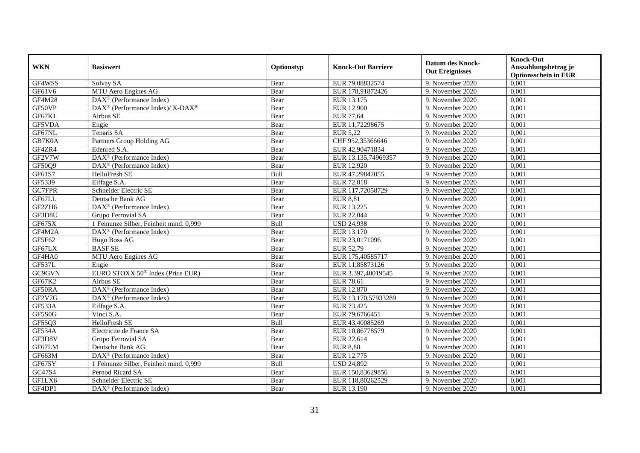| <b>WKN</b>    | <b>Basiswert</b>                                         | Optionstyp | <b>Knock-Out Barriere</b> | <b>Datum des Knock-</b><br><b>Out Ereignisses</b> | <b>Knock-Out</b><br>Auszahlungsbetrag je<br><b>Optionsschein in EUR</b> |
|---------------|----------------------------------------------------------|------------|---------------------------|---------------------------------------------------|-------------------------------------------------------------------------|
| GF4WSS        | Solvay SA                                                | Bear       | EUR 79,08832574           | 9. November 2020                                  | 0,001                                                                   |
| GF61V6        | MTU Aero Engines AG                                      | Bear       | EUR 178,91872426          | 9. November 2020                                  | 0,001                                                                   |
| <b>GF4M28</b> | $\text{DAX}^{\textcircled{}}$ (Performance Index)        | Bear       | EUR 13.175                | 9. November 2020                                  | 0,001                                                                   |
| GF50VP        | DAX <sup>®</sup> (Performance Index)/ X-DAX <sup>®</sup> | Bear       | <b>EUR 12.900</b>         | 9. November 2020                                  | 0,001                                                                   |
| GF67K1        | Airbus SE                                                | Bear       | <b>EUR 77,64</b>          | 9. November 2020                                  | 0,001                                                                   |
| GF5VDA        | Engie                                                    | Bear       | EUR 11,72298675           | 9. November 2020                                  | 0,001                                                                   |
| GF67NL        | Tenaris SA                                               | Bear       | <b>EUR 5,22</b>           | $\overline{9}$ . November 2020                    | 0,001                                                                   |
| GB7K0A        | Partners Group Holding AG                                | Bear       | CHF 952,35366646          | 9. November 2020                                  | 0,001                                                                   |
| GF4ZR4        | Edenred S.A.                                             | Bear       | EUR 42,90471834           | 9. November 2020                                  | 0,001                                                                   |
| GF2V7W        | DAX <sup>®</sup> (Performance Index)                     | Bear       | EUR 13.135,74969357       | 9. November 2020                                  | 0,001                                                                   |
| GF50Q9        | DAX <sup>®</sup> (Performance Index)                     | Bear       | EUR 12.920                | 9. November 2020                                  | 0,001                                                                   |
| GF61S7        | HelloFresh SE                                            | Bull       | EUR 47,29842055           | 9. November 2020                                  | 0,001                                                                   |
| GF5339        | Eiffage S.A.                                             | Bear       | EUR 72,018                | 9. November 2020                                  | 0,001                                                                   |
| GC7FPR        | Schneider Electric SE                                    | Bear       | EUR 117,72058729          | 9. November 2020                                  | 0,001                                                                   |
| GF67LL        | Deutsche Bank AG                                         | Bear       | <b>EUR 8,81</b>           | 9. November 2020                                  | 0,001                                                                   |
| GF2ZH6        | DAX <sup>®</sup> (Performance Index)                     | Bear       | EUR 13.225                | 9. November 2020                                  | 0,001                                                                   |
| GF3D8U        | Grupo Ferrovial SA                                       | Bear       | EUR 22,044                | 9. November 2020                                  | 0,001                                                                   |
| <b>GF675X</b> | 1 Feinunze Silber, Feinheit mind. 0.999                  | Bull       | <b>USD 24,938</b>         | 9. November 2020                                  | 0,001                                                                   |
| GF4M2A        | $\overline{\text{DAX}}^{\textcirc}$ (Performance Index)  | Bear       | EUR 13.170                | 9. November 2020                                  | 0,001                                                                   |
| GF5F62        | Hugo Boss AG                                             | Bear       | EUR 23,0171096            | 9. November 2020                                  | 0,001                                                                   |
| GF67LX        | <b>BASFSE</b>                                            | Bear       | EUR 52,79                 | 9. November 2020                                  | 0,001                                                                   |
| GF4HA0        | MTU Aero Engines AG                                      | Bear       | EUR 175,40585717          | 9. November 2020                                  | 0,001                                                                   |
| <b>GF537L</b> | Engie                                                    | Bear       | EUR 11,85873126           | 9. November 2020                                  | 0,001                                                                   |
| GC9GVN        | EURO STOXX 50 <sup>®</sup> Index (Price EUR)             | Bear       | EUR 3.397,40019545        | 9. November 2020                                  | 0,001                                                                   |
| GF67K2        | Airbus SE                                                | Bear       | EUR 78,61                 | 9. November 2020                                  | 0,001                                                                   |
| GF50RA        | DAX <sup>®</sup> (Performance Index)                     | Bear       | EUR 12.870                | 9. November 2020                                  | 0,001                                                                   |
| GF2V7G        | DAX <sup>®</sup> (Performance Index)                     | Bear       | EUR 13.170,57933289       | 9. November 2020                                  | 0,001                                                                   |
| GF533A        | Eiffage S.A.                                             | Bear       | EUR 73,425                | 9. November 2020                                  | 0,001                                                                   |
| GF5S0G        | Vinci S.A.                                               | Bear       | EUR 79,6766451            | 9. November 2020                                  | 0,001                                                                   |
| GF55Q3        | <b>HelloFresh SE</b>                                     | Bull       | EUR 43,40085269           | 9. November 2020                                  | 0,001                                                                   |
| <b>GF534A</b> | Electricite de France SA                                 | Bear       | EUR 10,86778579           | 9. November 2020                                  | 0,001                                                                   |
| GF3D8V        | Grupo Ferrovial SA                                       | Bear       | EUR 22,614                | 9. November 2020                                  | 0,001                                                                   |
| GF67LM        | Deutsche Bank AG                                         | Bear       | <b>EUR 8,88</b>           | 9. November 2020                                  | 0,001                                                                   |
| GF663M        | DAX <sup>®</sup> (Performance Index)                     | Bear       | EUR 12.775                | 9. November 2020                                  | 0,001                                                                   |
| GF675Y        | 1 Feinunze Silber, Feinheit mind. 0,999                  | Bull       | <b>USD 24,892</b>         | 9. November 2020                                  | 0,001                                                                   |
| GC47S4        | Pernod Ricard SA                                         | Bear       | EUR 150,83629856          | 9. November 2020                                  | 0,001                                                                   |
| GF1LX6        | Schneider Electric SE                                    | Bear       | EUR 118,80262529          | 9. November 2020                                  | 0,001                                                                   |
| GF4DP1        | DAX <sup>®</sup> (Performance Index)                     | Bear       | EUR 13.190                | 9. November 2020                                  | 0,001                                                                   |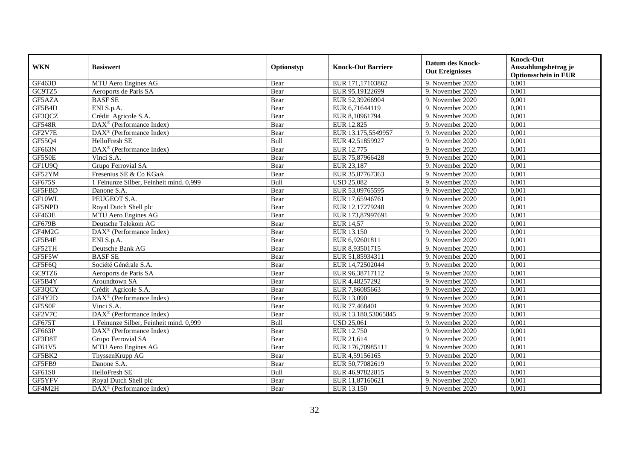| <b>WKN</b>    | <b>Basiswert</b>                                        | Optionstyp | <b>Knock-Out Barriere</b> | <b>Datum des Knock-</b><br><b>Out Ereignisses</b> | <b>Knock-Out</b><br>Auszahlungsbetrag je<br><b>Optionsschein in EUR</b> |
|---------------|---------------------------------------------------------|------------|---------------------------|---------------------------------------------------|-------------------------------------------------------------------------|
| GF463D        | MTU Aero Engines AG                                     | Bear       | EUR 171,17103862          | 9. November 2020                                  | 0,001                                                                   |
| GC9TZ5        | Aeroports de Paris SA                                   | Bear       | EUR 95,19122699           | 9. November 2020                                  | 0,001                                                                   |
| GF5AZA        | <b>BASF SE</b>                                          | Bear       | EUR 52,39266904           | 9. November 2020                                  | 0,001                                                                   |
| GF5B4D        | ENI S.p.A.                                              | Bear       | EUR 6,71644119            | 9. November 2020                                  | 0,001                                                                   |
| GF3QCZ        | Crédit Agricole S.A.                                    | Bear       | EUR 8,10961794            | 9. November 2020                                  | 0,001                                                                   |
| <b>GF548R</b> | $\overline{\text{DAX}^{\otimes}}$ (Performance Index)   | Bear       | <b>EUR 12.825</b>         | 9. November 2020                                  | 0,001                                                                   |
| GF2V7E        | $\overline{\text{DAX}}^{\textcirc}$ (Performance Index) | Bear       | EUR 13.175,5549957        | 9. November 2020                                  | 0,001                                                                   |
| GF55Q4        | HelloFresh SE                                           | Bull       | EUR 42,51859927           | 9. November 2020                                  | 0,001                                                                   |
| <b>GF663N</b> | DAX <sup>®</sup> (Performance Index)                    | Bear       | EUR 12.775                | 9. November 2020                                  | 0,001                                                                   |
| GF5S0E        | Vinci S.A.                                              | Bear       | EUR 75,87966428           | 9. November 2020                                  | 0,001                                                                   |
| GF1U9Q        | Grupo Ferrovial SA                                      | Bear       | EUR 23,187                | 9. November 2020                                  | 0,001                                                                   |
| GF52YM        | Fresenius SE & Co KGaA                                  | Bear       | EUR 35,87767363           | 9. November 2020                                  | 0,001                                                                   |
| GF675S        | 1 Feinunze Silber, Feinheit mind. 0,999                 | Bull       | <b>USD 25,082</b>         | 9. November 2020                                  | 0,001                                                                   |
| GF5FBD        | Danone S.A.                                             | Bear       | EUR 53,09765595           | 9. November 2020                                  | 0,001                                                                   |
| GF10WL        | PEUGEOT S.A.                                            | Bear       | EUR 17,65946761           | 9. November 2020                                  | 0,001                                                                   |
| GF5NPD        | Royal Dutch Shell plc                                   | Bear       | EUR 12,17279248           | 9. November 2020                                  | 0,001                                                                   |
| GF463E        | MTU Aero Engines AG                                     | Bear       | EUR 173,87997691          | 9. November 2020                                  | 0,001                                                                   |
| GF679B        | Deutsche Telekom AG                                     | Bear       | <b>EUR 14,57</b>          | 9. November 2020                                  | 0,001                                                                   |
| GF4M2G        | DAX <sup>®</sup> (Performance Index)                    | Bear       | EUR 13.150                | 9. November 2020                                  | 0,001                                                                   |
| GF5B4E        | ENI S.p.A.                                              | Bear       | EUR 6,92601811            | 9. November 2020                                  | 0,001                                                                   |
| GF52TH        | Deutsche Bank AG                                        | Bear       | EUR 8,93501715            | 9. November 2020                                  | 0,001                                                                   |
| GF5F5W        | <b>BASF SE</b>                                          | Bear       | EUR 51,85934311           | 9. November 2020                                  | 0,001                                                                   |
| GF5F6Q        | Société Générale S.A.                                   | Bear       | EUR 14,72502044           | 9. November 2020                                  | 0,001                                                                   |
| GC9TZ6        | Aeroports de Paris SA                                   | Bear       | EUR 96,38717112           | 9. November 2020                                  | 0,001                                                                   |
| GF5B4Y        | Aroundtown SA                                           | Bear       | EUR 4,48257292            | 9. November 2020                                  | 0,001                                                                   |
| GF3QCY        | Crédit Agricole S.A.                                    | Bear       | EUR 7,86085663            | 9. November 2020                                  | 0,001                                                                   |
| GF4Y2D        | $\overline{\text{DAX}^{\otimes}}$ (Performance Index)   | Bear       | EUR 13.090                | 9. November 2020                                  | 0,001                                                                   |
| GF5S0F        | Vinci S.A.                                              | Bear       | EUR 77,468401             | 9. November 2020                                  | 0,001                                                                   |
| GF2V7C        | DAX <sup>®</sup> (Performance Index)                    | Bear       | EUR 13.180,53065845       | 9. November 2020                                  | 0,001                                                                   |
| GF675T        | 1 Feinunze Silber, Feinheit mind. 0,999                 | Bull       | <b>USD 25,061</b>         | 9. November 2020                                  | 0.001                                                                   |
| GF663P        | $\text{DAX}^{\otimes}$ (Performance Index)              | Bear       | EUR 12.750                | 9. November 2020                                  | 0,001                                                                   |
| GF3D8T        | Grupo Ferrovial SA                                      | Bear       | EUR 21,614                | 9. November 2020                                  | 0,001                                                                   |
| GF61V5        | MTU Aero Engines AG                                     | Bear       | EUR 176,70985111          | 9. November 2020                                  | 0,001                                                                   |
| GF5BK2        | ThyssenKrupp AG                                         | Bear       | EUR 4,59156165            | 9. November 2020                                  | 0,001                                                                   |
| GF5FB9        | Danone S.A.                                             | Bear       | EUR 50,77082619           | 9. November 2020                                  | 0,001                                                                   |
| GF61S8        | HelloFresh SE                                           | Bull       | EUR 46,97822815           | 9. November 2020                                  | 0,001                                                                   |
| GF5YFV        | Royal Dutch Shell plc                                   | Bear       | EUR 11,87160621           | 9. November 2020                                  | 0,001                                                                   |
| GF4M2H        | $\overline{\text{DAX}}^{\textcirc}$ (Performance Index) | Bear       | EUR 13.150                | 9. November 2020                                  | 0,001                                                                   |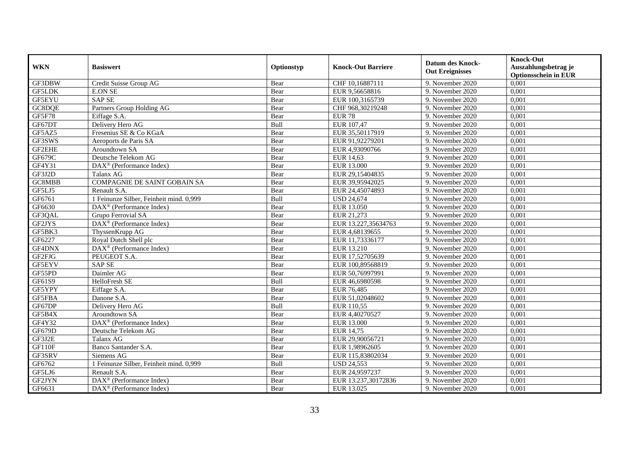| <b>WKN</b>    | <b>Basiswert</b>                                  | Optionstyp | <b>Knock-Out Barriere</b> | <b>Datum des Knock-</b><br><b>Out Ereignisses</b> | <b>Knock-Out</b><br>Auszahlungsbetrag je<br><b>Optionsschein in EUR</b> |
|---------------|---------------------------------------------------|------------|---------------------------|---------------------------------------------------|-------------------------------------------------------------------------|
| GF3DBW        | Credit Suisse Group AG                            | Bear       | CHF 10,16887111           | 9. November 2020                                  | 0,001                                                                   |
| <b>GF5LDK</b> | <b>E.ON SE</b>                                    | Bear       | EUR 9,56658816            | 9. November 2020                                  | 0,001                                                                   |
| GF5EYU        | <b>SAP SE</b>                                     | Bear       | EUR 100,3165739           | 9. November 2020                                  | 0,001                                                                   |
| GC8DQE        | Partners Group Holding AG                         | Bear       | CHF 968,30219248          | 9. November 2020                                  | 0,001                                                                   |
| GF5F78        | Eiffage S.A.                                      | Bear       | <b>EUR 78</b>             | 9. November 2020                                  | 0,001                                                                   |
| GF67DT        | Delivery Hero AG                                  | Bull       | EUR 107,47                | 9. November 2020                                  | 0,001                                                                   |
| GF5AZ5        | Fresenius SE & Co KGaA                            | Bear       | EUR 35,50117919           | 9. November 2020                                  | 0,001                                                                   |
| GF3SWS        | Aeroports de Paris SA                             | Bear       | EUR 91,92279201           | 9. November 2020                                  | 0,001                                                                   |
| GF2EHE        | Aroundtown SA                                     | Bear       | EUR 4,93090766            | 9. November 2020                                  | 0,001                                                                   |
| GF679C        | Deutsche Telekom AG                               | Bear       | <b>EUR 14,63</b>          | 9. November 2020                                  | 0,001                                                                   |
| GF4Y31        | DAX <sup>®</sup> (Performance Index)              | Bear       | <b>EUR 13.000</b>         | 9. November 2020                                  | 0,001                                                                   |
| GF3J2D        | Talanx AG                                         | Bear       | EUR 29,15404835           | 9. November 2020                                  | 0,001                                                                   |
| GC8MBB        | COMPAGNIE DE SAINT GOBAIN SA                      | Bear       | EUR 39,95942025           | 9. November 2020                                  | 0,001                                                                   |
| GF5LJ5        | Renault S.A.                                      | Bear       | EUR 24,45074893           | 9. November 2020                                  | 0,001                                                                   |
| GF6761        | 1 Feinunze Silber, Feinheit mind. 0,999           | Bull       | <b>USD 24,674</b>         | 9. November 2020                                  | 0,001                                                                   |
| GF6630        | DAX <sup>®</sup> (Performance Index)              | Bear       | EUR 13.050                | 9. November 2020                                  | 0,001                                                                   |
| GF3QAL        | Grupo Ferrovial SA                                | Bear       | EUR 21,273                | 9. November 2020                                  | 0,001                                                                   |
| GF2JYS        | $\text{DAX}^{\textcircled{}}$ (Performance Index) | Bear       | EUR 13.227,35634763       | 9. November 2020                                  | 0,001                                                                   |
| GF5BK3        | ThyssenKrupp AG                                   | Bear       | EUR 4,68139655            | 9. November 2020                                  | 0,001                                                                   |
| GF6227        | Royal Dutch Shell plc                             | Bear       | EUR 11,73336177           | 9. November 2020                                  | 0,001                                                                   |
| GF4DNX        | DAX <sup>®</sup> (Performance Index)              | Bear       | EUR 13.210                | 9. November 2020                                  | 0,001                                                                   |
| GF2FJG        | PEUGEOT S.A.                                      | Bear       | EUR 17,52705639           | 9. November 2020                                  | 0,001                                                                   |
| GF5EYV        | <b>SAPSE</b>                                      | Bear       | EUR 100,89568819          | 9. November 2020                                  | 0,001                                                                   |
| GF55PD        | Daimler AG                                        | Bear       | EUR 50,76997991           | 9. November 2020                                  | 0,001                                                                   |
| GF61S9        | HelloFresh SE                                     | Bull       | EUR 46,6980598            | 9. November 2020                                  | 0,001                                                                   |
| GF5YPY        | Eiffage S.A.                                      | Bear       | EUR 76,485                | 9. November 2020                                  | 0,001                                                                   |
| GF5FBA        | Danone S.A.                                       | Bear       | EUR 51,02048602           | 9. November 2020                                  | 0,001                                                                   |
| GF67DP        | Delivery Hero AG                                  | Bull       | EUR 110,55                | 9. November 2020                                  | 0,001                                                                   |
| GF5B4X        | Aroundtown SA                                     | Bear       | EUR 4,40270527            | 9. November 2020                                  | 0,001                                                                   |
| GF4Y32        | $\text{DAX}^{\textcircled{}}$ (Performance Index) | Bear       | <b>EUR 13.000</b>         | 9. November 2020                                  | 0,001                                                                   |
| GF679D        | Deutsche Telekom AG                               | Bear       | EUR 14,75                 | 9. November 2020                                  | 0,001                                                                   |
| GF3J2E        | Talanx AG                                         | Bear       | EUR 29,90056721           | 9. November 2020                                  | 0,001                                                                   |
| GF110F        | Banco Santander S.A.                              | Bear       | EUR 1,98962605            | 9. November 2020                                  | 0,001                                                                   |
| GF3SRV        | Siemens AG                                        | Bear       | EUR 115,83802034          | 9. November 2020                                  | 0,001                                                                   |
| GF6762        | 1 Feinunze Silber, Feinheit mind. 0,999           | Bull       | <b>USD 24,553</b>         | 9. November 2020                                  | 0,001                                                                   |
| GF5LJ6        | Renault S.A.                                      | Bear       | EUR 24,9597237            | 9. November 2020                                  | 0,001                                                                   |
| GF2JYN        | DAX <sup>®</sup> (Performance Index)              | Bear       | EUR 13.237,30172836       | 9. November 2020                                  | 0,001                                                                   |
| GF6631        | DAX <sup>®</sup> (Performance Index)              | Bear       | EUR 13.025                | 9. November 2020                                  | 0,001                                                                   |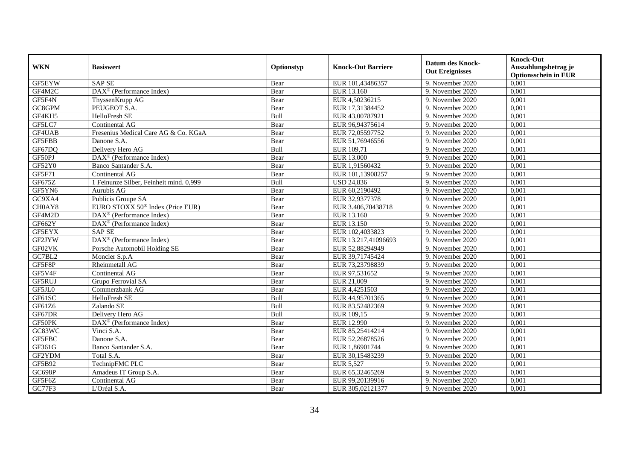| <b>WKN</b>    | <b>Basiswert</b>                                   | Optionstyp | <b>Knock-Out Barriere</b> | <b>Datum des Knock-</b><br><b>Out Ereignisses</b> | <b>Knock-Out</b><br>Auszahlungsbetrag je<br><b>Optionsschein in EUR</b> |
|---------------|----------------------------------------------------|------------|---------------------------|---------------------------------------------------|-------------------------------------------------------------------------|
| GF5EYW        | <b>SAPSE</b>                                       | Bear       | EUR 101,43486357          | 9. November 2020                                  | 0,001                                                                   |
| GF4M2C        | $\text{DAX}^{\textcircled{}}$ (Performance Index)  | Bear       | EUR 13.160                | 9. November 2020                                  | 0,001                                                                   |
| GF5F4N        | ThyssenKrupp AG                                    | Bear       | EUR 4,50236215            | 9. November 2020                                  | 0,001                                                                   |
| GC8GPM        | PEUGEOT S.A.                                       | Bear       | EUR 17,31384452           | 9. November 2020                                  | 0,001                                                                   |
| GF4KH5        | HelloFresh SE                                      | Bull       | EUR 43,00787921           | 9. November 2020                                  | 0,001                                                                   |
| GF5LC7        | Continental AG                                     | Bear       | EUR 96,94375614           | 9. November 2020                                  | 0,001                                                                   |
| GF4UAB        | Fresenius Medical Care AG & Co. KGaA               | Bear       | EUR 72,05597752           | 9. November 2020                                  | 0,001                                                                   |
| <b>GF5FBB</b> | Danone S.A.                                        | Bear       | EUR 51,76946556           | 9. November 2020                                  | 0,001                                                                   |
| GF67DQ        | Delivery Hero AG                                   | Bull       | EUR 109,71                | 9. November 2020                                  | 0,001                                                                   |
| GF50PJ        | DAX <sup>®</sup> (Performance Index)               | Bear       | EUR 13.000                | 9. November 2020                                  | 0,001                                                                   |
| GF52Y0        | Banco Santander S.A.                               | Bear       | EUR 1,91560432            | 9. November 2020                                  | 0,001                                                                   |
| GF5F71        | Continental AG                                     | Bear       | EUR 101,13908257          | 9. November 2020                                  | 0,001                                                                   |
| GF675Z        | 1 Feinunze Silber, Feinheit mind. 0,999            | Bull       | <b>USD 24,836</b>         | 9. November 2020                                  | 0,001                                                                   |
| GF5YN6        | Aurubis AG                                         | Bear       | EUR 60,2190492            | 9. November 2020                                  | 0,001                                                                   |
| GC9XA4        | Publicis Groupe SA                                 | Bear       | EUR 32,9377378            | 9. November 2020                                  | 0,001                                                                   |
| CH0AY8        | EURO STOXX 50 <sup>®</sup> Index (Price EUR)       | Bear       | EUR 3.406,70438718        | 9. November 2020                                  | 0,001                                                                   |
| GF4M2D        | $\text{DAX}^{\textcircled{}}$ (Performance Index)  | Bear       | EUR 13.160                | 9. November 2020                                  | 0,001                                                                   |
| GF662Y        | DAX <sup>®</sup> (Performance Index)               | Bear       | EUR 13.150                | 9. November 2020                                  | 0,001                                                                   |
| GF5EYX        | <b>SAP SE</b>                                      | Bear       | EUR 102,4033823           | 9. November 2020                                  | 0,001                                                                   |
| GF2JYW        | DAX <sup>®</sup> (Performance Index)               | Bear       | EUR 13.217,41096693       | 9. November 2020                                  | 0,001                                                                   |
| GF02VK        | Porsche Automobil Holding SE                       | Bear       | EUR 52,88294949           | 9. November 2020                                  | 0,001                                                                   |
| GC7BL2        | Moncler S.p.A                                      | Bear       | EUR 39,71745424           | 9. November 2020                                  | 0,001                                                                   |
| GF5F8P        | Rheinmetall AG                                     | Bear       | EUR 73,23798839           | 9. November 2020                                  | 0,001                                                                   |
| GF5V4F        | Continental AG                                     | Bear       | EUR 97,531652             | 9. November 2020                                  | 0,001                                                                   |
| GF5RUJ        | Grupo Ferrovial SA                                 | Bear       | EUR 21,009                | 9. November 2020                                  | 0,001                                                                   |
| GF5JL0        | Commerzbank AG                                     | Bear       | EUR 4,4251503             | 9. November 2020                                  | 0,001                                                                   |
| GF61SC        | HelloFresh SE                                      | Bull       | EUR 44,95701365           | 9. November 2020                                  | 0,001                                                                   |
| GF61Z6        | Zalando SE                                         | Bull       | EUR 83,52482369           | 9. November 2020                                  | 0,001                                                                   |
| GF67DR        | Delivery Hero AG                                   | Bull       | EUR 109,15                | 9. November 2020                                  | 0,001                                                                   |
| GF50PK        | $\text{DAX}^{\textcircled{n}}$ (Performance Index) | Bear       | EUR 12.990                | 9. November 2020                                  | 0.001                                                                   |
| GC83WC        | Vinci S.A.                                         | Bear       | EUR 85,25414214           | 9. November 2020                                  | 0,001                                                                   |
| GF5FBC        | Danone S.A.                                        | Bear       | EUR 52,26878526           | 9. November 2020                                  | 0,001                                                                   |
| GF361G        | Banco Santander S.A.                               | Bear       | EUR 1,86901744            | 9. November 2020                                  | 0,001                                                                   |
| GF2YDM        | Total S.A.                                         | Bear       | EUR 30,15483239           | 9. November 2020                                  | 0,001                                                                   |
| GF5B92        | TechnipFMC PLC                                     | Bear       | <b>EUR 5,527</b>          | 9. November 2020                                  | 0,001                                                                   |
| GC698P        | Amadeus IT Group S.A.                              | Bear       | EUR 65,32465269           | 9. November 2020                                  | 0,001                                                                   |
| GF5F6Z        | Continental AG                                     | Bear       | EUR 99,20139916           | 9. November 2020                                  | 0,001                                                                   |
| GC77F3        | L'Oréal S.A.                                       | Bear       | EUR 305,02121377          | 9. November 2020                                  | 0,001                                                                   |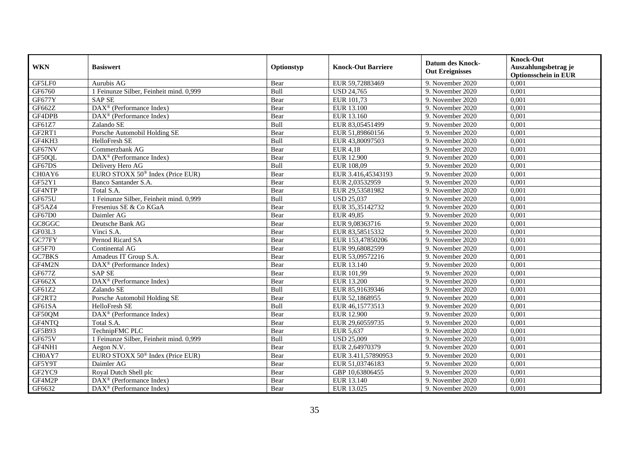| <b>WKN</b>                      | <b>Basiswert</b>                                      | Optionstyp  | <b>Knock-Out Barriere</b> | <b>Datum des Knock-</b><br><b>Out Ereignisses</b> | <b>Knock-Out</b><br>Auszahlungsbetrag je<br><b>Optionsschein in EUR</b> |
|---------------------------------|-------------------------------------------------------|-------------|---------------------------|---------------------------------------------------|-------------------------------------------------------------------------|
| GF5LF0                          | Aurubis AG                                            | Bear        | EUR 59,72883469           | 9. November 2020                                  | 0,001                                                                   |
| GF6760                          | 1 Feinunze Silber, Feinheit mind. 0,999               | Bull        | <b>USD 24,765</b>         | 9. November 2020                                  | 0,001                                                                   |
| <b>GF677Y</b>                   | <b>SAPSE</b>                                          | Bear        | EUR 101,73                | 9. November 2020                                  | 0,001                                                                   |
| GF662Z                          | DAX <sup>®</sup> (Performance Index)                  | Bear        | EUR 13.100                | 9. November 2020                                  | 0,001                                                                   |
| GF4DPB                          | DAX <sup>®</sup> (Performance Index)                  | Bear        | EUR 13.160                | 9. November 2020                                  | 0,001                                                                   |
| GF61Z7                          | Zalando SE                                            | <b>Bull</b> | EUR 83,05451499           | 9. November 2020                                  | 0.001                                                                   |
| GF2RT1                          | Porsche Automobil Holding SE                          | Bear        | EUR 51,89860156           | 9. November 2020                                  | 0,001                                                                   |
| GF4KH3                          | HelloFresh SE                                         | Bull        | EUR 43,80097503           | 9. November 2020                                  | 0,001                                                                   |
| GF67NV                          | Commerzbank AG                                        | Bear        | <b>EUR 4,18</b>           | 9. November 2020                                  | 0,001                                                                   |
| GF50QL                          | DAX <sup>®</sup> (Performance Index)                  | Bear        | <b>EUR 12.900</b>         | 9. November 2020                                  | 0,001                                                                   |
| GF67DS                          | Delivery Hero AG                                      | Bull        | EUR 108,09                | 9. November 2020                                  | 0,001                                                                   |
| CH <sub>0</sub> AY <sub>6</sub> | EURO STOXX 50 <sup>®</sup> Index (Price EUR)          | Bear        | EUR 3.416,45343193        | 9. November 2020                                  | 0,001                                                                   |
| GF52Y1                          | Banco Santander S.A.                                  | Bear        | EUR 2,03532959            | 9. November 2020                                  | 0,001                                                                   |
| GF4NTP                          | Total S.A.                                            | Bear        | EUR 29,53581982           | 9. November 2020                                  | 0,001                                                                   |
| GF675U                          | 1 Feinunze Silber, Feinheit mind. 0,999               | Bull        | <b>USD 25,037</b>         | 9. November 2020                                  | 0,001                                                                   |
| GF5AZ4                          | Fresenius SE & Co KGaA                                | Bear        | EUR 35,35142732           | 9. November 2020                                  | 0,001                                                                   |
| GF67D0                          | Daimler AG                                            | Bear        | EUR 49,85                 | 9. November 2020                                  | 0,001                                                                   |
| GC8GGC                          | Deutsche Bank AG                                      | Bear        | EUR 9,08363716            | 9. November 2020                                  | 0,001                                                                   |
| GF03L3                          | Vinci S.A.                                            | Bear        | EUR 83,58515332           | 9. November 2020                                  | 0,001                                                                   |
| GC77FY                          | Pernod Ricard SA                                      | Bear        | EUR 153,47850206          | 9. November 2020                                  | 0,001                                                                   |
| GF5F70                          | Continental AG                                        | Bear        | EUR 99,68082599           | 9. November 2020                                  | 0,001                                                                   |
| GC7BKS                          | Amadeus IT Group S.A.                                 | Bear        | EUR 53,09572216           | 9. November 2020                                  | 0,001                                                                   |
| GF4M2N                          | DAX <sup>®</sup> (Performance Index)                  | Bear        | EUR 13.140                | 9. November 2020                                  | 0,001                                                                   |
| GF677Z                          | <b>SAPSE</b>                                          | Bear        | EUR 101,99                | 9. November 2020                                  | 0,001                                                                   |
| GF662X                          | $DAX^{\otimes}$ (Performance Index)                   | Bear        | EUR 13.200                | 9. November 2020                                  | 0,001                                                                   |
| GF61Z2                          | Zalando SE                                            | Bull        | EUR 85,91639346           | 9. November 2020                                  | 0,001                                                                   |
| GF2RT2                          | Porsche Automobil Holding SE                          | Bear        | EUR 52,1868955            | 9. November 2020                                  | 0,001                                                                   |
| GF61SA                          | HelloFresh SE                                         | Bull        | EUR 46,15773513           | 9. November 2020                                  | 0,001                                                                   |
| GF50QM                          | DAX <sup>®</sup> (Performance Index)                  | Bear        | <b>EUR 12.900</b>         | 9. November 2020                                  | 0,001                                                                   |
| GF4NTQ                          | Total S.A.                                            | Bear        | EUR 29,60559735           | 9. November 2020                                  | 0.001                                                                   |
| GF5B93                          | TechnipFMC PLC                                        | Bear        | EUR 5,637                 | 9. November 2020                                  | 0,001                                                                   |
| GF675V                          | 1 Feinunze Silber, Feinheit mind. 0,999               | <b>Bull</b> | <b>USD 25,009</b>         | 9. November 2020                                  | 0,001                                                                   |
| GF4NH1                          | Aegon N.V.                                            | Bear        | EUR 2,64970379            | 9. November 2020                                  | 0,001                                                                   |
| CH0AY7                          | EURO STOXX 50 <sup>®</sup> Index (Price EUR)          | Bear        | EUR 3.411,57890953        | 9. November 2020                                  | 0,001                                                                   |
| GF5Y9T                          | Daimler AG                                            | Bear        | EUR 51,03746183           | 9. November 2020                                  | 0,001                                                                   |
| GF2YC9                          | Royal Dutch Shell plc                                 | Bear        | GBP 10,63806455           | 9. November 2020                                  | 0,001                                                                   |
| GF4M2P                          | $\text{DAX}^{\otimes}$ (Performance Index)            | Bear        | EUR 13.140                | 9. November 2020                                  | 0,001                                                                   |
| GF6632                          | $\overline{\text{DAX}^{\otimes}}$ (Performance Index) | Bear        | EUR 13.025                | 9. November 2020                                  | 0,001                                                                   |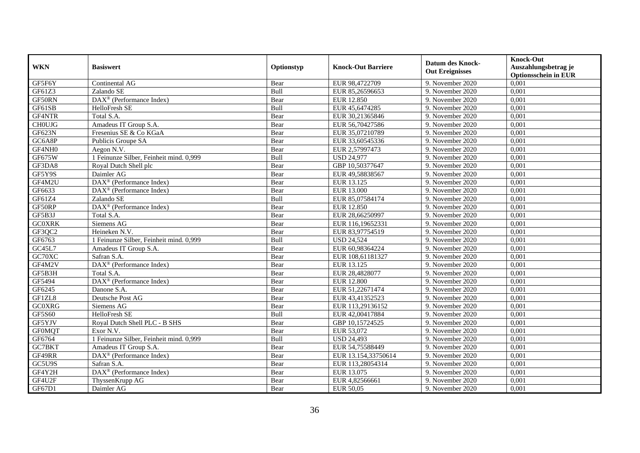| <b>WKN</b>    | <b>Basiswert</b>                                      | Optionstyp  | <b>Knock-Out Barriere</b> | <b>Datum des Knock-</b><br><b>Out Ereignisses</b> | <b>Knock-Out</b><br>Auszahlungsbetrag je<br><b>Optionsschein in EUR</b> |
|---------------|-------------------------------------------------------|-------------|---------------------------|---------------------------------------------------|-------------------------------------------------------------------------|
| GF5F6Y        | Continental AG                                        | Bear        | EUR 98,4722709            | 9. November 2020                                  | 0,001                                                                   |
| GF61Z3        | Zalando SE                                            | Bull        | EUR 85,26596653           | 9. November 2020                                  | 0,001                                                                   |
| GF50RN        | DAX <sup>®</sup> (Performance Index)                  | Bear        | EUR 12.850                | 9. November 2020                                  | 0,001                                                                   |
| GF61SB        | HelloFresh SE                                         | Bull        | EUR 45,6474285            | 9. November 2020                                  | 0,001                                                                   |
| GF4NTR        | Total S.A.                                            | Bear        | EUR 30,21365846           | 9. November 2020                                  | 0,001                                                                   |
| <b>CHOUJG</b> | Amadeus IT Group S.A.                                 | Bear        | EUR 56,70427586           | 9. November 2020                                  | 0,001                                                                   |
| GF623N        | Fresenius SE & Co KGaA                                | Bear        | EUR 35,07210789           | 9. November 2020                                  | 0,001                                                                   |
| GC6A8P        | Publicis Groupe SA                                    | Bear        | EUR 33,60545336           | 9. November 2020                                  | 0,001                                                                   |
| GF4NH0        | Aegon N.V.                                            | Bear        | EUR 2,57997473            | 9. November 2020                                  | 0,001                                                                   |
| GF675W        | 1 Feinunze Silber, Feinheit mind. 0,999               | Bull        | <b>USD 24,977</b>         | 9. November 2020                                  | 0,001                                                                   |
| GF3DA8        | Royal Dutch Shell plc                                 | Bear        | GBP 10,50377647           | 9. November 2020                                  | 0,001                                                                   |
| GF5Y9S        | Daimler AG                                            | Bear        | EUR 49,58838567           | 9. November 2020                                  | 0,001                                                                   |
| GF4M2U        | $\overline{\text{DAX}^{\otimes}}$ (Performance Index) | Bear        | EUR 13.125                | 9. November 2020                                  | 0,001                                                                   |
| GF6633        | DAX <sup>®</sup> (Performance Index)                  | Bear        | EUR 13.000                | 9. November 2020                                  | 0,001                                                                   |
| GF61Z4        | Zalando SE                                            | Bull        | EUR 85,07584174           | 9. November 2020                                  | 0,001                                                                   |
| GF50RP        | DAX <sup>®</sup> (Performance Index)                  | Bear        | EUR 12.850                | 9. November 2020                                  | 0,001                                                                   |
| GF5B3J        | Total S.A.                                            | Bear        | EUR 28,66250997           | 9. November 2020                                  | 0,001                                                                   |
| <b>GC0XRK</b> | Siemens AG                                            | Bear        | EUR 116,19652331          | 9. November 2020                                  | 0,001                                                                   |
| GF3QC2        | Heineken N.V.                                         | Bear        | EUR 83,97754519           | 9. November 2020                                  | 0,001                                                                   |
| GF6763        | 1 Feinunze Silber, Feinheit mind. 0,999               | Bull        | <b>USD 24,524</b>         | 9. November 2020                                  | 0,001                                                                   |
| GC45L7        | Amadeus IT Group S.A.                                 | Bear        | EUR 60,98364224           | 9. November 2020                                  | 0,001                                                                   |
| GC70XC        | Safran S.A.                                           | Bear        | EUR 108,61181327          | 9. November 2020                                  | 0,001                                                                   |
| GF4M2V        | DAX <sup>®</sup> (Performance Index)                  | Bear        | EUR 13.125                | 9. November 2020                                  | 0,001                                                                   |
| GF5B3H        | Total S.A.                                            | Bear        | EUR 28,4828077            | 9. November 2020                                  | 0,001                                                                   |
| GF5494        | $\overline{\text{DAX}^{\otimes}}$ (Performance Index) | Bear        | <b>EUR 12.800</b>         | 9. November 2020                                  | 0,001                                                                   |
| GF6245        | Danone S.A.                                           | Bear        | EUR 51,22671474           | 9. November 2020                                  | 0,001                                                                   |
| GF1ZL8        | Deutsche Post AG                                      | Bear        | EUR 43,41352523           | 9. November 2020                                  | 0,001                                                                   |
| <b>GC0XRG</b> | Siemens AG                                            | Bear        | EUR 113,29136152          | 9. November 2020                                  | 0,001                                                                   |
| GF5S60        | HelloFresh SE                                         | Bull        | EUR 42,00417884           | 9. November 2020                                  | 0,001                                                                   |
| GF5YJV        | Royal Dutch Shell PLC - B SHS                         | Bear        | GBP 10.15724525           | 9. November 2020                                  | 0.001                                                                   |
| <b>GF0MQT</b> | Exor N.V.                                             | Bear        | EUR 53,072                | 9. November 2020                                  | 0,001                                                                   |
| GF6764        | 1 Feinunze Silber, Feinheit mind. 0,999               | <b>Bull</b> | <b>USD 24,493</b>         | 9. November 2020                                  | 0,001                                                                   |
| GC7BKT        | Amadeus IT Group S.A.                                 | Bear        | EUR 54,75588449           | 9. November 2020                                  | 0,001                                                                   |
| GF49RR        | DAX <sup>®</sup> (Performance Index)                  | Bear        | EUR 13.154,33750614       | 9. November 2020                                  | 0,001                                                                   |
| GC5U9S        | Safran S.A.                                           | Bear        | EUR 113,28054314          | 9. November 2020                                  | 0,001                                                                   |
| GF4Y2H        | DAX <sup>®</sup> (Performance Index)                  | Bear        | EUR 13.075                | 9. November 2020                                  | 0,001                                                                   |
| GF4U2F        | ThyssenKrupp AG                                       | Bear        | EUR 4,82566661            | 9. November 2020                                  | 0,001                                                                   |
| GF67D1        | Daimler AG                                            | Bear        | EUR 50,05                 | 9. November 2020                                  | 0,001                                                                   |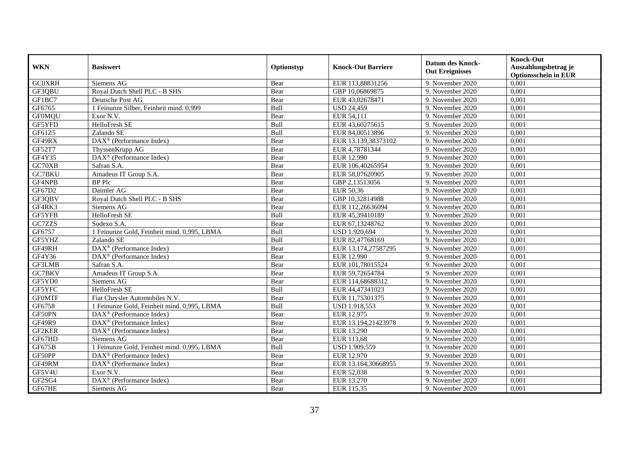| <b>WKN</b>    | <b>Basiswert</b>                                        | Optionstyp | <b>Knock-Out Barriere</b> | <b>Datum des Knock-</b><br><b>Out Ereignisses</b> | <b>Knock-Out</b><br>Auszahlungsbetrag je<br><b>Optionsschein in EUR</b> |
|---------------|---------------------------------------------------------|------------|---------------------------|---------------------------------------------------|-------------------------------------------------------------------------|
| <b>GC0XRH</b> | Siemens AG                                              | Bear       | EUR 113,88831256          | 9. November 2020                                  | 0,001                                                                   |
| GF3QBU        | Royal Dutch Shell PLC - B SHS                           | Bear       | GBP 10,06869875           | 9. November 2020                                  | 0,001                                                                   |
| GF1BC7        | Deutsche Post AG                                        | Bear       | EUR 43,02678471           | 9. November 2020                                  | 0,001                                                                   |
| GF6765        | 1 Feinunze Silber, Feinheit mind. 0,999                 | Bull       | <b>USD 24,459</b>         | 9. November 2020                                  | 0,001                                                                   |
| <b>GF0MQU</b> | Exor N.V.                                               | Bear       | EUR 54,111                | 9. November $2020$                                | 0,001                                                                   |
| GF5YFD        | HelloFresh SE                                           | Bull       | EUR 43,60275615           | 9. November 2020                                  | 0,001                                                                   |
| GF61Z5        | Zalando SE                                              | Bull       | EUR 84,00513896           | 9. November 2020                                  | 0,001                                                                   |
| GF49RX        | DAX <sup>®</sup> (Performance Index)                    | Bear       | EUR 13.139,38373102       | 9. November 2020                                  | 0,001                                                                   |
| GF52T7        | ThyssenKrupp AG                                         | Bear       | EUR 4,78781344            | 9. November 2020                                  | 0,001                                                                   |
| GF4Y35        | DAX <sup>®</sup> (Performance Index)                    | Bear       | EUR 12.990                | 9. November 2020                                  | 0,001                                                                   |
| GC70XB        | Safran S.A.                                             | Bear       | EUR 106,40265954          | 9. November 2020                                  | 0,001                                                                   |
| GC7BKU        | Amadeus IT Group S.A.                                   | Bear       | EUR 58,07620905           | 9. November 2020                                  | 0,001                                                                   |
| GF4NPB        | <b>BP</b> Plc                                           | Bear       | GBP 2,13513056            | 9. November 2020                                  | 0,001                                                                   |
| GF67D2        | Daimler AG                                              | Bear       | EUR 50,36                 | 9. November 2020                                  | 0,001                                                                   |
| GF3QBV        | Royal Dutch Shell PLC - B SHS                           | Bear       | GBP 10,32814988           | 9. November 2020                                  | 0,001                                                                   |
| GF4RK3        | Siemens AG                                              | Bear       | EUR 112,26636094          | 9. November 2020                                  | 0,001                                                                   |
| GF5YFB        | HelloFresh SE                                           | Bull       | EUR 45,39410189           | 9. November 2020                                  | 0,001                                                                   |
| GC7ZZS        | Sodexo S.A.                                             | Bear       | EUR 67,13248762           | 9. November 2020                                  | 0,001                                                                   |
| GF6757        | 1 Feinunze Gold, Feinheit mind. 0,995, LBMA             | Bull       | USD 1.920,694             | 9. November 2020                                  | 0,001                                                                   |
| GF5YHZ        | Zalando SE                                              | Bull       | EUR 82,47768169           | 9. November 2020                                  | 0,001                                                                   |
| GF49RH        | DAX <sup>®</sup> (Performance Index)                    | Bear       | EUR 13.174,27587295       | 9. November 2020                                  | 0,001                                                                   |
| GF4Y36        | $\text{DAX}^{\textcircled{}}$ (Performance Index)       | Bear       | <b>EUR 12.990</b>         | 9. November 2020                                  | 0,001                                                                   |
| GF3LMB        | Safran S.A.                                             | Bear       | EUR 101,78015524          | 9. November 2020                                  | 0,001                                                                   |
| GC7BKV        | Amadeus IT Group S.A.                                   | Bear       | EUR 59,72654784           | 9. November 2020                                  | 0,001                                                                   |
| GF5YD0        | Siemens AG                                              | Bear       | EUR 114,68688312          | 9. November 2020                                  | 0,001                                                                   |
| GF5YFC        | HelloFresh SE                                           | Bull       | EUR 44,47341023           | 9. November 2020                                  | 0,001                                                                   |
| <b>GFOMTF</b> | Fiat Chrysler Automobiles N.V.                          | Bear       | EUR 11,75301375           | 9. November 2020                                  | 0,001                                                                   |
| GF6758        | 1 Feinunze Gold, Feinheit mind. 0,995, LBMA             | Bull       | USD 1.918,553             | 9. November 2020                                  | 0,001                                                                   |
| GF50PN        | $\text{DAX}^{\textcircled{}}$ (Performance Index)       | Bear       | EUR 12.975                | 9. November 2020                                  | 0,001                                                                   |
| GF49R9        | $\overline{\text{DAX}}^{\textcirc}$ (Performance Index) | Bear       | EUR 13.194,21423978       | 9. November 2020                                  | 0,001                                                                   |
| GF2KER        | DAX <sup>®</sup> (Performance Index)                    | Bear       | EUR 13.290                | 9. November 2020                                  | 0,001                                                                   |
| GF67HD        | Siemens AG                                              | Bear       | EUR 113,68                | 9. November 2020                                  | 0,001                                                                   |
| GF675B        | 1 Feinunze Gold, Feinheit mind. 0,995, LBMA             | Bull       | USD 1.909,559             | 9. November 2020                                  | 0,001                                                                   |
| GF50PP        | $\overline{\text{DAX}^{\otimes}}$ (Performance Index)   | Bear       | EUR 12.970                | 9. November 2020                                  | 0,001                                                                   |
| GF49RM        | $\text{DAX}^{\textcircled{}}$ (Performance Index)       | Bear       | EUR 13.164,30668955       | 9. November 2020                                  | 0,001                                                                   |
| GF5V4U        | Exor N.V.                                               | Bear       | EUR 52,038                | 9. November 2020                                  | 0,001                                                                   |
| GF2SG4        | DAX <sup>®</sup> (Performance Index)                    | Bear       | EUR 13.270                | 9. November 2020                                  | 0,001                                                                   |
| GF67HE        | Siemens AG                                              | Bear       | EUR 115,35                | 9. November 2020                                  | 0,001                                                                   |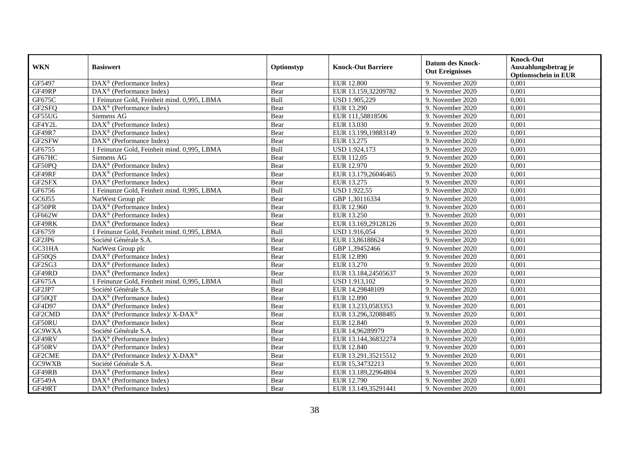| <b>WKN</b>    | <b>Basiswert</b>                                                         | Optionstyp | <b>Knock-Out Barriere</b> | <b>Datum des Knock-</b><br><b>Out Ereignisses</b> | <b>Knock-Out</b><br>Auszahlungsbetrag je<br><b>Optionsschein in EUR</b> |
|---------------|--------------------------------------------------------------------------|------------|---------------------------|---------------------------------------------------|-------------------------------------------------------------------------|
| GF5497        | $\overline{\text{DAX}}^{\textcirc}$ (Performance Index)                  | Bear       | <b>EUR 12.800</b>         | 9. November 2020                                  | 0,001                                                                   |
| GF49RP        | $\text{DAX}^{\otimes}$ (Performance Index)                               | Bear       | EUR 13.159,32209782       | 9. November 2020                                  | 0,001                                                                   |
| GF675C        | 1 Feinunze Gold, Feinheit mind. 0,995, LBMA                              | Bull       | USD 1.905,229             | 9. November 2020                                  | 0,001                                                                   |
| GF2SFQ        | $\overline{\text{DAX}^{\otimes}}$ (Performance Index)                    | Bear       | EUR 13.290                | 9. November 2020                                  | 0,001                                                                   |
| GF55UG        | Siemens AG                                                               | Bear       | EUR 111,58818506          | 9. November $2020$                                | 0,001                                                                   |
| GF4Y2L        | DAX <sup>®</sup> (Performance Index)                                     | Bear       | EUR 13.030                | 9. November 2020                                  | 0,001                                                                   |
| <b>GF49R7</b> | $\text{DAX}^{\otimes}$ (Performance Index)                               | Bear       | EUR 13.199,19883149       | 9. November 2020                                  | 0,001                                                                   |
| GF2SFW        | $DAX^{\otimes}$ (Performance Index)                                      | Bear       | EUR 13.275                | 9. November 2020                                  | 0,001                                                                   |
| GF6755        | 1 Feinunze Gold, Feinheit mind. 0,995, LBMA                              | Bull       | <b>USD 1.924,173</b>      | 9. November 2020                                  | 0,001                                                                   |
| GF67HC        | Siemens AG                                                               | Bear       | EUR 112,05                | 9. November 2020                                  | 0,001                                                                   |
| GF50PQ        | DAX <sup>®</sup> (Performance Index)                                     | Bear       | EUR 12.970                | 9. November 2020                                  | 0,001                                                                   |
| GF49RF        | DAX <sup>®</sup> (Performance Index)                                     | Bear       | EUR 13.179,26046465       | 9. November 2020                                  | 0,001                                                                   |
| GF2SFX        | $DAX^{\otimes}$ (Performance Index)                                      | Bear       | EUR 13.275                | 9. November 2020                                  | 0,001                                                                   |
| GF6756        | 1 Feinunze Gold, Feinheit mind. 0,995, LBMA                              | Bull       | <b>USD 1.922,55</b>       | 9. November 2020                                  | 0,001                                                                   |
| GC6J55        | NatWest Group plc                                                        | Bear       | GBP 1,30116334            | 9. November 2020                                  | 0,001                                                                   |
| GF50PR        | DAX <sup>®</sup> (Performance Index)                                     | Bear       | EUR 12.960                | 9. November 2020                                  | 0,001                                                                   |
| GF662W        | DAX <sup>®</sup> (Performance Index)                                     | Bear       | EUR 13.250                | 9. November 2020                                  | 0,001                                                                   |
| GF49RK        | $\text{DAX}^{\circledR}$ (Performance Index)                             | Bear       | EUR 13.169,29128126       | 9. November 2020                                  | 0,001                                                                   |
| GF6759        | 1 Feinunze Gold, Feinheit mind. 0,995, LBMA                              | Bull       | USD 1.916,054             | 9. November 2020                                  | 0,001                                                                   |
| GF2JP6        | Société Générale S.A.                                                    | Bear       | EUR 13,86188624           | 9. November 2020                                  | 0,001                                                                   |
| GC31HA        | NatWest Group plc                                                        | Bear       | GBP 1,39452466            | 9. November 2020                                  | 0,001                                                                   |
| GF50QS        | DAX <sup>®</sup> (Performance Index)                                     | Bear       | <b>EUR 12.890</b>         | 9. November 2020                                  | 0,001                                                                   |
| GF2SG3        | $DAX^{\otimes}$ (Performance Index)                                      | Bear       | EUR 13.270                | 9. November 2020                                  | 0,001                                                                   |
| GF49RD        | DAX <sup>®</sup> (Performance Index)                                     | Bear       | EUR 13.184,24505637       | 9. November 2020                                  | 0,001                                                                   |
| GF675A        | 1 Feinunze Gold, Feinheit mind. 0,995, LBMA                              | Bull       | USD 1.913,102             | 9. November 2020                                  | 0,001                                                                   |
| GF2JP7        | Société Générale S.A.                                                    | Bear       | EUR 14,29848109           | 9. November 2020                                  | 0,001                                                                   |
| GF50QT        | DAX <sup>®</sup> (Performance Index)                                     | Bear       | <b>EUR 12.890</b>         | 9. November 2020                                  | 0,001                                                                   |
| <b>GF4D97</b> | $DAX^{\otimes}$ (Performance Index)                                      | Bear       | EUR 13.233,0583353        | 9. November 2020                                  | 0.001                                                                   |
| GF2CMD        | $DAX^{\circledast}$ (Performance Index)/ X-DAX <sup>®</sup>              | Bear       | EUR 13.296,32088485       | 9. November 2020                                  | 0,001                                                                   |
| GF50RU        | $DAX^{\otimes}$ (Performance Index)                                      | Bear       | <b>EUR 12.840</b>         | 9. November 2020                                  | 0,001                                                                   |
| GC9WXA        | Société Générale S.A.                                                    | Bear       | EUR 14,96289979           | 9. November 2020                                  | 0,001                                                                   |
| GF49RV        | $\text{DAX}^{\otimes}$ (Performance Index)                               | Bear       | EUR 13.144,36832274       | 9. November 2020                                  | 0,001                                                                   |
| GF50RV        | $DAX^{\otimes}$ (Performance Index)                                      | Bear       | EUR 12.840                | 9. November 2020                                  | 0,001                                                                   |
| GF2CME        | $\overline{\text{DAX}^{\otimes}}$ (Performance Index)/X-DAX <sup>®</sup> | Bear       | EUR 13.291,35215512       | 9. November 2020                                  | 0,001                                                                   |
| GC9WXB        | Société Générale S.A.                                                    | Bear       | EUR 15,34732213           | 9. November 2020                                  | 0,001                                                                   |
| GF49RB        | $\text{DAX}^{\otimes}$ (Performance Index)                               | Bear       | EUR 13.189,22964804       | 9. November 2020                                  | 0,001                                                                   |
| <b>GF549A</b> | $\text{DAX}^{\otimes}$ (Performance Index)                               | Bear       | EUR 12.790                | 9. November 2020                                  | 0,001                                                                   |
| GF49RT        | $\text{DAX}^{\otimes}$ (Performance Index)                               | Bear       | EUR 13.149,35291441       | 9. November 2020                                  | 0,001                                                                   |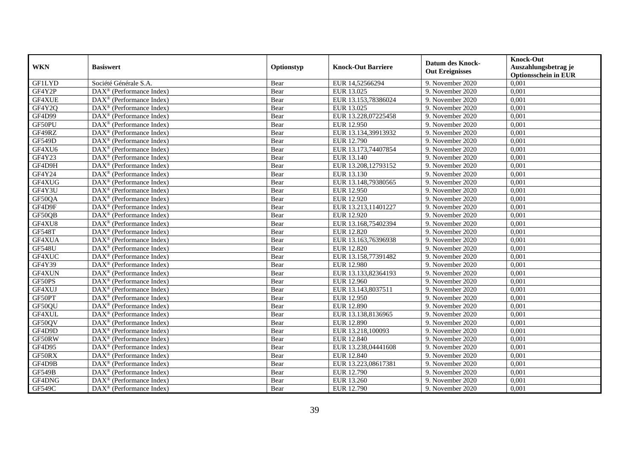| <b>WKN</b>    | <b>Basiswert</b>                                      | Optionstyp | <b>Knock-Out Barriere</b> | <b>Datum des Knock-</b><br><b>Out Ereignisses</b> | Knock-Out<br>Auszahlungsbetrag je<br><b>Optionsschein in EUR</b> |
|---------------|-------------------------------------------------------|------------|---------------------------|---------------------------------------------------|------------------------------------------------------------------|
| <b>GFILYD</b> | Société Générale S.A.                                 | Bear       | EUR 14,52566294           | 9. November 2020                                  | 0,001                                                            |
| GF4Y2P        | $DAX^{\otimes}$ (Performance Index)                   | Bear       | EUR 13.025                | 9. November 2020                                  | 0,001                                                            |
| GF4XUE        | $DAX^{\otimes}$ (Performance Index)                   | Bear       | EUR 13.153,78386024       | 9. November 2020                                  | 0,001                                                            |
| GF4Y2Q        | $\text{DAX}^{\otimes}$ (Performance Index)            | Bear       | EUR 13.025                | 9. November 2020                                  | 0,001                                                            |
| <b>GF4D99</b> | DAX <sup>®</sup> (Performance Index)                  | Bear       | EUR 13.228,07225458       | 9. November 2020                                  | 0,001                                                            |
| GF50PU        | $\overline{\text{DAX}^{\otimes}}$ (Performance Index) | Bear       | EUR 12.950                | 9. November 2020                                  | 0,001                                                            |
| GF49RZ        | DAX <sup>®</sup> (Performance Index)                  | Bear       | EUR 13.134,39913932       | 9. November 2020                                  | 0,001                                                            |
| <b>GF549D</b> | $\text{DAX}^{\otimes}$ (Performance Index)            | Bear       | EUR 12.790                | 9. November 2020                                  | 0,001                                                            |
| GF4XU6        | $\text{DAX}^{\circledR}$ (Performance Index)          | Bear       | EUR 13.173,74407854       | 9. November 2020                                  | 0,001                                                            |
| GF4Y23        | $\text{DAX}^{\otimes}$ (Performance Index)            | Bear       | EUR 13.140                | 9. November 2020                                  | 0,001                                                            |
| GF4D9H        | DAX <sup>®</sup> (Performance Index)                  | Bear       | EUR 13.208,12793152       | 9. November 2020                                  | 0,001                                                            |
| GF4Y24        | DAX <sup>®</sup> (Performance Index)                  | Bear       | EUR 13.130                | 9. November 2020                                  | 0,001                                                            |
| GF4XUG        | $DAX^{\circledast}$ (Performance Index)               | Bear       | EUR 13.148,79380565       | 9. November 2020                                  | 0,001                                                            |
| GF4Y3U        | DAX <sup>®</sup> (Performance Index)                  | Bear       | EUR 12.950                | 9. November 2020                                  | 0,001                                                            |
| GF50QA        | $\text{DAX}^{\otimes}$ (Performance Index)            | Bear       | EUR 12.920                | 9. November 2020                                  | 0,001                                                            |
| GF4D9F        | DAX <sup>®</sup> (Performance Index)                  | Bear       | EUR 13.213,11401227       | 9. November 2020                                  | 0,001                                                            |
| GF50QB        | $DAX^{\circledast}$ (Performance Index)               | Bear       | EUR 12.920                | 9. November 2020                                  | 0,001                                                            |
| GF4XU8        | $\overline{\text{DAX}^{\otimes}}$ (Performance Index) | Bear       | EUR 13.168,75402394       | 9. November 2020                                  | 0,001                                                            |
| <b>GF548T</b> | $\text{DAX}^{\otimes}$ (Performance Index)            | Bear       | <b>EUR 12.820</b>         | 9. November 2020                                  | 0,001                                                            |
| GF4XUA        | $\text{DAX}^{\otimes}$ (Performance Index)            | Bear       | EUR 13.163,76396938       | 9. November 2020                                  | 0,001                                                            |
| <b>GF548U</b> | DAX <sup>®</sup> (Performance Index)                  | Bear       | <b>EUR 12.820</b>         | 9. November 2020                                  | 0,001                                                            |
| GF4XUC        | $\overline{\text{DAX}^{\otimes}}$ (Performance Index) | Bear       | EUR 13.158,77391482       | 9. November 2020                                  | 0,001                                                            |
| GF4Y39        | DAX <sup>®</sup> (Performance Index)                  | Bear       | <b>EUR 12.980</b>         | 9. November 2020                                  | 0,001                                                            |
| GF4XUN        | $\text{DAX}^{\circledast}$ (Performance Index)        | Bear       | EUR 13.133,82364193       | 9. November 2020                                  | 0,001                                                            |
| GF50PS        | DAX <sup>®</sup> (Performance Index)                  | Bear       | EUR 12.960                | 9. November 2020                                  | 0,001                                                            |
| GF4XUJ        | $\text{DAX}^{\otimes}$ (Performance Index)            | Bear       | EUR 13.143,8037511        | 9. November 2020                                  | 0,001                                                            |
| GF50PT        | $DAX^{\otimes}$ (Performance Index)                   | Bear       | EUR 12.950                | 9. November 2020                                  | 0,001                                                            |
| GF50QU        | $DAX^{\otimes}$ (Performance Index)                   | Bear       | EUR 12.890                | 9. November 2020                                  | 0,001                                                            |
| GF4XUL        | $\overline{\text{DAX}^{\otimes}}$ (Performance Index) | Bear       | EUR 13.138,8136965        | 9. November 2020                                  | 0,001                                                            |
| GF50QV        | $DAX^{\otimes}$ (Performance Index)                   | Bear       | <b>EUR 12.890</b>         | 9. November 2020                                  | 0,001                                                            |
| GF4D9D        | $\text{DAX}^{\otimes}$ (Performance Index)            | Bear       | EUR 13.218,100093         | 9. November 2020                                  | 0,001                                                            |
| GF50RW        | $\text{DAX}^{\circledast}$ (Performance Index)        | Bear       | EUR 12.840                | 9. November 2020                                  | 0,001                                                            |
| GF4D95        | $\overline{\text{DAX}^{\otimes}}$ (Performance Index) | Bear       | EUR 13.238,04441608       | 9. November 2020                                  | 0,001                                                            |
| GF50RX        | $\text{DAX}^{\otimes}$ (Performance Index)            | Bear       | EUR 12.840                | 9. November 2020                                  | 0,001                                                            |
| GF4D9B        | $\text{DAX}^{\otimes}$ (Performance Index)            | Bear       | EUR 13.223,08617381       | 9. November 2020                                  | 0,001                                                            |
| <b>GF549B</b> | $\text{DAX}^{\otimes}$ (Performance Index)            | Bear       | EUR 12.790                | 9. November 2020                                  | 0,001                                                            |
| GF4DNG        | $\text{DAX}^{\otimes}$ (Performance Index)            | Bear       | EUR 13.260                | 9. November 2020                                  | 0,001                                                            |
| <b>GF549C</b> | $\text{DAX}^{\otimes}$ (Performance Index)            | Bear       | EUR 12.790                | 9. November 2020                                  | 0,001                                                            |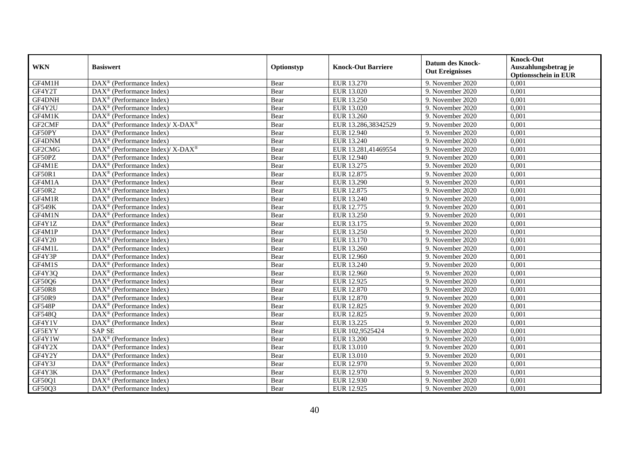| <b>WKN</b>    | <b>Basiswert</b>                                            | Optionstyp | <b>Knock-Out Barriere</b> | <b>Datum des Knock-</b><br><b>Out Ereignisses</b> | <b>Knock-Out</b><br>Auszahlungsbetrag je<br><b>Optionsschein in EUR</b> |
|---------------|-------------------------------------------------------------|------------|---------------------------|---------------------------------------------------|-------------------------------------------------------------------------|
| GF4M1H        | $\overline{\text{DAX}}^{\textcirc}$ (Performance Index)     | Bear       | EUR 13.270                | 9. November 2020                                  | 0,001                                                                   |
| GF4Y2T        | $\text{DAX}^{\textcircled{}}$ (Performance Index)           | Bear       | EUR 13.020                | 9. November 2020                                  | 0,001                                                                   |
| GF4DNH        | DAX <sup>®</sup> (Performance Index)                        | Bear       | EUR 13.250                | 9. November 2020                                  | 0,001                                                                   |
| GF4Y2U        | $\text{DAX}^{\textcircled{}}$ (Performance Index)           | Bear       | EUR 13.020                | 9. November 2020                                  | 0,001                                                                   |
| GF4M1K        | DAX <sup>®</sup> (Performance Index)                        | Bear       | EUR 13.260                | 9. November 2020                                  | 0,001                                                                   |
| GF2CMF        | DAX <sup>®</sup> (Performance Index)/ X-DAX <sup>®</sup>    | Bear       | EUR 13.286,38342529       | 9. November 2020                                  | 0,001                                                                   |
| GF50PY        | $\text{DAX}^{\textcircled{}}$ (Performance Index)           | Bear       | EUR 12.940                | 9. November 2020                                  | 0,001                                                                   |
| GF4DNM        | $\text{DAX}^{\textcircled{}}$ (Performance Index)           | Bear       | EUR 13.240                | 9. November 2020                                  | 0,001                                                                   |
| GF2CMG        | $DAX^{\circledast}$ (Performance Index)/ X-DAX <sup>®</sup> | Bear       | EUR 13.281,41469554       | 9. November 2020                                  | 0,001                                                                   |
| GF50PZ        | $\text{DAX}^{\textcircled{}}$ (Performance Index)           | Bear       | EUR 12.940                | 9. November 2020                                  | 0,001                                                                   |
| GF4M1E        | DAX <sup>®</sup> (Performance Index)                        | Bear       | EUR 13.275                | 9. November 2020                                  | 0,001                                                                   |
| GF50R1        | $\overline{\text{DAX}^{\otimes}}$ (Performance Index)       | Bear       | EUR 12.875                | 9. November 2020                                  | 0,001                                                                   |
| GF4M1A        | $\overline{\text{DAX}^{\otimes}}$ (Performance Index)       | Bear       | EUR 13.290                | 9. November 2020                                  | 0,001                                                                   |
| <b>GF50R2</b> | $\text{DAX}^{\textcircled{}}$ (Performance Index)           | Bear       | EUR 12.875                | 9. November 2020                                  | 0,001                                                                   |
| GF4M1R        | DAX <sup>®</sup> (Performance Index)                        | Bear       | EUR 13.240                | 9. November 2020                                  | 0,001                                                                   |
| <b>GF549K</b> | DAX <sup>®</sup> (Performance Index)                        | Bear       | EUR 12.775                | 9. November 2020                                  | 0,001                                                                   |
| GF4M1N        | DAX <sup>®</sup> (Performance Index)                        | Bear       | EUR 13.250                | 9. November 2020                                  | 0,001                                                                   |
| GF4Y1Z        | $DAX^{\circledR}$ (Performance Index)                       | Bear       | EUR 13.175                | 9. November 2020                                  | 0,001                                                                   |
| GF4M1P        | $\text{DAX}^{\textcircled{}}$ (Performance Index)           | Bear       | EUR 13.250                | 9. November 2020                                  | 0,001                                                                   |
| GF4Y20        | $\overline{\text{DAX}^{\otimes}}$ (Performance Index)       | Bear       | EUR 13.170                | 9. November 2020                                  | 0,001                                                                   |
| GF4M1L        | $\text{DAX}^{\textcircled{}}$ (Performance Index)           | Bear       | EUR 13.260                | 9. November 2020                                  | 0,001                                                                   |
| GF4Y3P        | $\text{DAX}^{\textcircled{}}$ (Performance Index)           | Bear       | <b>EUR 12.960</b>         | 9. November 2020                                  | 0,001                                                                   |
| GF4M1S        | $\overline{\text{DAX}^{\otimes}}$ (Performance Index)       | Bear       | EUR 13.240                | 9. November 2020                                  | 0,001                                                                   |
| GF4Y3Q        | $\overline{\text{DAX}^{\otimes}}$ (Performance Index)       | Bear       | EUR 12.960                | 9. November 2020                                  | 0,001                                                                   |
| GF50Q6        | DAX <sup>®</sup> (Performance Index)                        | Bear       | EUR 12.925                | 9. November 2020                                  | 0,001                                                                   |
| <b>GF50R8</b> | DAX <sup>®</sup> (Performance Index)                        | Bear       | EUR 12.870                | 9. November 2020                                  | 0,001                                                                   |
| GF50R9        | $\text{DAX}^{\textcircled{}}$ (Performance Index)           | Bear       | EUR 12.870                | 9. November 2020                                  | 0,001                                                                   |
| <b>GF548P</b> | $DAX^{\circledR}$ (Performance Index)                       | Bear       | EUR 12.825                | 9. November 2020                                  | 0,001                                                                   |
| GF548Q        | $\text{DAX}^{\textcircled{}}$ (Performance Index)           | Bear       | EUR 12.825                | 9. November 2020                                  | 0,001                                                                   |
| GF4Y1V        | DAX <sup>®</sup> (Performance Index)                        | Bear       | EUR 13.225                | 9. November 2020                                  | 0,001                                                                   |
| GF5EYY        | <b>SAPSE</b>                                                | Bear       | EUR 102,9525424           | 9. November 2020                                  | 0,001                                                                   |
| GF4Y1W        | DAX <sup>®</sup> (Performance Index)                        | Bear       | <b>EUR 13.200</b>         | 9. November 2020                                  | 0,001                                                                   |
| GF4Y2X        | $\text{DAX}^{\textcircled{}}$ (Performance Index)           | Bear       | EUR 13.010                | 9. November 2020                                  | 0,001                                                                   |
| GF4Y2Y        | $\overline{\text{DAX}^{\otimes}}$ (Performance Index)       | Bear       | EUR 13.010                | 9. November 2020                                  | 0,001                                                                   |
| GF4Y3J        | $\text{DAX}^{\textcircled{}}$ (Performance Index)           | Bear       | EUR 12.970                | 9. November 2020                                  | 0,001                                                                   |
| GF4Y3K        | $\text{DAX}^{\textcircled{}}$ (Performance Index)           | Bear       | EUR 12.970                | 9. November 2020                                  | 0,001                                                                   |
| GF50Q1        | $\text{DAX}^{\textcircled{}}$ (Performance Index)           | Bear       | EUR 12.930                | 9. November 2020                                  | 0,001                                                                   |
| GF50Q3        | $\overline{\text{DAX}}^{\textcirc}$ (Performance Index)     | Bear       | EUR 12.925                | 9. November 2020                                  | 0,001                                                                   |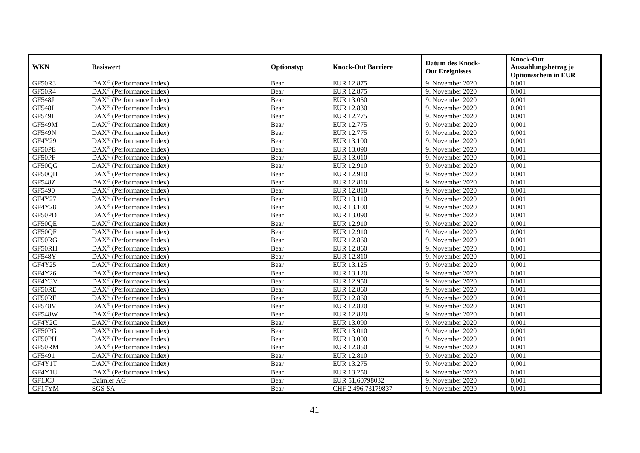|               | <b>Basiswert</b>                                                | Optionstyp | <b>Knock-Out Barriere</b> | <b>Datum des Knock-</b><br><b>Out Ereignisses</b> | <b>Knock-Out</b>            |
|---------------|-----------------------------------------------------------------|------------|---------------------------|---------------------------------------------------|-----------------------------|
| <b>WKN</b>    |                                                                 |            |                           |                                                   | Auszahlungsbetrag je        |
|               |                                                                 |            |                           |                                                   | <b>Optionsschein in EUR</b> |
| GF50R3        | DAX <sup>®</sup> (Performance Index)                            | Bear       | EUR 12.875                | 9. November 2020                                  | 0,001                       |
| GF50R4        | $\text{DAX}^{\otimes}$ (Performance Index)                      | Bear       | EUR 12.875                | 9. November 2020                                  | 0,001                       |
| GF548J        | $\text{DAX}^{\circledR}$ (Performance Index)                    | Bear       | EUR 13.050                | 9. November 2020                                  | 0,001                       |
| <b>GF548L</b> | DAX <sup>®</sup> (Performance Index)                            | Bear       | EUR 12.830                | 9. November 2020                                  | 0,001                       |
| <b>GF549L</b> | $\overline{\text{DAX}}^{\textcirc}$ (Performance Index)         | Bear       | EUR 12.775                | 9. November 2020                                  | 0,001                       |
| GF549M        | $\text{DAX}^{\otimes}$ (Performance Index)                      | Bear       | EUR 12.775                | 9. November 2020                                  | 0,001                       |
| <b>GF549N</b> | $DAX^{\otimes}$ (Performance Index)                             | Bear       | EUR 12.775                | 9. November 2020                                  | 0,001                       |
| GF4Y29        | $\overline{\text{DAX}^{\otimes}}$ (Performance Index)           | Bear       | EUR 13.100                | 9. November 2020                                  | 0,001                       |
| GF50PE        | $\text{DAX}^{\otimes}$ (Performance Index)                      | Bear       | EUR 13.090                | 9. November 2020                                  | 0,001                       |
| GF50PF        | $\text{DAX}^{\otimes}$ (Performance Index)                      | Bear       | EUR 13.010                | 9. November 2020                                  | 0,001                       |
| GF50QG        | $\text{DAX}^{\circledR}$ (Performance Index)                    | Bear       | EUR 12.910                | 9. November 2020                                  | 0,001                       |
| GF50QH        | $\overline{\text{DAX}}^{\textcirc}$ (Performance Index)         | Bear       | EUR 12.910                | 9. November 2020                                  | 0,001                       |
| <b>GF548Z</b> | DAX <sup>®</sup> (Performance Index)                            | Bear       | <b>EUR 12.810</b>         | 9. November 2020                                  | 0,001                       |
| GF5490        | $\text{DAX}^{\circledR}$ (Performance Index)                    | Bear       | EUR 12.810                | 9. November 2020                                  | 0,001                       |
| GF4Y27        | $\text{DAX}^{\otimes}$ (Performance Index)                      | Bear       | EUR 13.110                | 9. November 2020                                  | 0,001                       |
| <b>GF4Y28</b> | $\text{DAX}^{\otimes}$ (Performance Index)                      | Bear       | EUR 13.100                | 9. November 2020                                  | 0,001                       |
| GF50PD        | DAX <sup>®</sup> (Performance Index)                            | Bear       | EUR 13.090                | 9. November 2020                                  | 0,001                       |
| GF50OE        | $\text{DAX}^{\circledR}$ (Performance Index)                    | Bear       | EUR 12.910                | 9. November 2020                                  | 0,001                       |
| GF50QF        | DAX <sup>®</sup> (Performance Index)                            | Bear       | EUR 12.910                | 9. November 2020                                  | 0,001                       |
| GF50RG        | DAX <sup>®</sup> (Performance Index)                            | Bear       | <b>EUR 12.860</b>         | 9. November 2020                                  | 0,001                       |
| GF50RH        | $\text{DAX}^{\otimes}$ (Performance Index)                      | Bear       | <b>EUR 12.860</b>         | 9. November 2020                                  | 0,001                       |
| <b>GF548Y</b> | $\overline{\text{DAX}^{\otimes}}$ (Performance Index)           | Bear       | EUR 12.810                | 9. November 2020                                  | 0,001                       |
| GF4Y25        | DAX <sup>®</sup> (Performance Index)                            | Bear       | EUR 13.125                | 9. November 2020                                  | 0,001                       |
| GF4Y26        | $\overline{\text{DAX}^{\otimes}}$ (Performance Index)           | Bear       | EUR 13.120                | 9. November 2020                                  | 0,001                       |
| GF4Y3V        | DAX <sup>®</sup> (Performance Index)                            | Bear       | EUR 12.950                | 9. November 2020                                  | 0,001                       |
| GF50RE        | $\text{DAX}^{\otimes}$ (Performance Index)                      | Bear       | <b>EUR 12.860</b>         | 9. November 2020                                  | 0,001                       |
| GF50RF        | $\overline{\text{DAX}^{\otimes}}$ (Performance Index)           | Bear       | <b>EUR 12.860</b>         | 9. November 2020                                  | 0,001                       |
| <b>GF548V</b> | $\text{DAX}^{\otimes}$ (Performance Index)                      | Bear       | <b>EUR 12.820</b>         | 9. November 2020                                  | 0,001                       |
| <b>GF548W</b> | $\overline{\text{DAX}^{\otimes}}$ (Performance Index)           | Bear       | EUR 12.820                | 9. November 2020                                  | 0,001                       |
| GF4Y2C        | DAX <sup>®</sup> (Performance Index)                            | Bear       | EUR 13.090                | 9. November 2020                                  | 0,001                       |
| GF50PG        | $\text{DAX}^{\otimes}$ (Performance Index)                      | Bear       | EUR 13.010                | 9. November 2020                                  | 0,001                       |
| GF50PH        | $\text{DAX}^{\circledR}$ (Performance Index)                    | Bear       | <b>EUR 13.000</b>         | 9. November 2020                                  | 0,001                       |
| GF50RM        | $\overline{\text{DAX}^{\otimes}}$ (Performance Index)           | Bear       | EUR 12.850                | 9. November 2020                                  | 0,001                       |
| GF5491        | $\overline{\text{DAX}^{\circledast}(\text{Performance Index})}$ | Bear       | EUR 12.810                | 9. November 2020                                  | 0,001                       |
| GF4Y1T        | $\overline{\text{DAX}^{\otimes}}$ (Performance Index)           | Bear       | EUR 13.275                | 9. November 2020                                  | 0,001                       |
| GF4Y1U        | DAX <sup>®</sup> (Performance Index)                            | Bear       | EUR 13.250                | 9. November 2020                                  | 0,001                       |
| GF1JCJ        | Daimler AG                                                      | Bear       | EUR 51,60798032           | 9. November 2020                                  | 0,001                       |
| GF17YM        | <b>SGS SA</b>                                                   | Bear       | CHF 2.496,73179837        | 9. November 2020                                  | 0,001                       |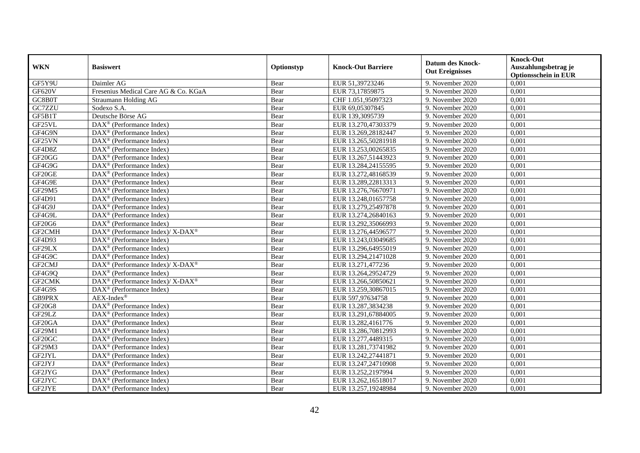|               | <b>Basiswert</b>                                                | Optionstyp | <b>Knock-Out Barriere</b> | <b>Datum des Knock-</b><br><b>Out Ereignisses</b> | <b>Knock-Out</b>            |
|---------------|-----------------------------------------------------------------|------------|---------------------------|---------------------------------------------------|-----------------------------|
| <b>WKN</b>    |                                                                 |            |                           |                                                   | Auszahlungsbetrag je        |
|               |                                                                 |            |                           |                                                   | <b>Optionsschein in EUR</b> |
| GF5Y9U        | Daimler AG                                                      | Bear       | EUR 51,39723246           | 9. November 2020                                  | 0,001                       |
| <b>GF620V</b> | Fresenius Medical Care AG & Co. KGaA                            | Bear       | EUR 73,17859875           | 9. November 2020                                  | 0,001                       |
| GC8B0T        | Straumann Holding AG                                            | Bear       | CHF 1.051,95097323        | 9. November 2020                                  | 0,001                       |
| GC7ZZU        | Sodexo S.A.                                                     | Bear       | EUR 69,05307845           | 9. November 2020                                  | 0,001                       |
| GF5B1T        | Deutsche Börse AG                                               | Bear       | EUR 139,3095739           | 9. November 2020                                  | 0,001                       |
| GF25VL        | DAX <sup>®</sup> (Performance Index)                            | Bear       | EUR 13.270,47303379       | 9. November 2020                                  | 0,001                       |
| GF4G9N        | $DAX^{\otimes}$ (Performance Index)                             | Bear       | EUR 13.269,28182447       | 9. November 2020                                  | 0,001                       |
| GF25VN        | $\overline{\text{DAX}^{\otimes}}$ (Performance Index)           | Bear       | EUR 13.265,50281918       | 9. November 2020                                  | 0,001                       |
| GF4D8Z        | $\text{DAX}^{\otimes}$ (Performance Index)                      | Bear       | EUR 13.253,00265835       | 9. November 2020                                  | 0,001                       |
| GF20GG        | DAX <sup>®</sup> (Performance Index)                            | Bear       | EUR 13.267,51443923       | 9. November 2020                                  | 0,001                       |
| GF4G9G        | $\overline{\text{DAX}}^{\textcirc}$ (Performance Index)         | Bear       | EUR 13.284,24155595       | 9. November 2020                                  | 0.001                       |
| GF20GE        | DAX <sup>®</sup> (Performance Index)                            | Bear       | EUR 13.272,48168539       | 9. November 2020                                  | 0,001                       |
| GF4G9E        | $DAX^{\otimes}$ (Performance Index)                             | Bear       | EUR 13.289,22813313       | 9. November 2020                                  | 0,001                       |
| GF29M5        | $DAX^{\otimes}$ (Performance Index)                             | Bear       | EUR 13.276,76670971       | 9. November 2020                                  | 0,001                       |
| GF4D91        | $\text{DAX}^{\otimes}$ (Performance Index)                      | Bear       | EUR 13.248,01657758       | 9. November 2020                                  | 0,001                       |
| GF4G9J        | DAX <sup>®</sup> (Performance Index)                            | Bear       | EUR 13.279,25497878       | 9. November 2020                                  | 0,001                       |
| GF4G9L        | DAX <sup>®</sup> (Performance Index)                            | Bear       | EUR 13.274,26840163       | 9. November 2020                                  | 0,001                       |
| <b>GF20G6</b> | DAX <sup>®</sup> (Performance Index)                            | Bear       | EUR 13.292.35066993       | 9. November 2020                                  | 0,001                       |
| GF2CMH        | DAX <sup>®</sup> (Performance Index)/ X-DAX <sup>®</sup>        | Bear       | EUR 13.276,44596577       | 9. November 2020                                  | 0,001                       |
| GF4D93        | DAX <sup>®</sup> (Performance Index)                            | Bear       | EUR 13.243,03049685       | 9. November 2020                                  | 0,001                       |
| GF29LX        | DAX <sup>®</sup> (Performance Index)                            | Bear       | EUR 13.296,64955019       | 9. November 2020                                  | 0,001                       |
| GF4G9C        | $DAX^{\circledast}$ (Performance Index)                         | Bear       | EUR 13.294,21471028       | 9. November 2020                                  | 0,001                       |
| GF2CMJ        | DAX <sup>®</sup> (Performance Index)/ X-DAX <sup>®</sup>        | Bear       | EUR 13.271,477236         | 9. November 2020                                  | 0,001                       |
| GF4G9Q        | $\text{DAX}^{\circledast}$ (Performance Index)                  | Bear       | EUR 13.264,29524729       | 9. November 2020                                  | 0,001                       |
| GF2CMK        | $DAX^{\circledcirc}$ (Performance Index)/ X-DAX <sup>®</sup>    | Bear       | EUR 13.266,50850621       | 9. November 2020                                  | 0,001                       |
| GF4G9S        | DAX <sup>®</sup> (Performance Index)                            | Bear       | EUR 13.259,30867015       | 9. November 2020                                  | 0,001                       |
| <b>GB9PRX</b> | $AEX-Index^{\circledR}$                                         | Bear       | EUR 597,97634758          | 9. November 2020                                  | 0,001                       |
| <b>GF20G8</b> | $\overline{\text{DAX}^{\otimes}}$ (Performance Index)           | Bear       | EUR 13.287,3834238        | 9. November 2020                                  | 0,001                       |
| GF29LZ        | $\overline{\text{DAX}^{\otimes}}$ (Performance Index)           | Bear       | EUR 13.291,67884005       | 9. November 2020                                  | 0,001                       |
| GF20GA        | DAX <sup>®</sup> (Performance Index)                            | Bear       | EUR 13.282,4161776        | 9. November 2020                                  | 0,001                       |
| GF29M1        | $\text{DAX}^{\otimes}$ (Performance Index)                      | Bear       | EUR 13.286,70812993       | 9. November 2020                                  | 0,001                       |
| GF20GC        | $\text{DAX}^{\circledR}$ (Performance Index)                    | Bear       | EUR 13.277,4489315        | 9. November 2020                                  | 0,001                       |
| GF29M3        | $DAX^{\otimes}$ (Performance Index)                             | Bear       | EUR 13.281,73741982       | 9. November 2020                                  | 0,001                       |
| GF2JYL        | $\overline{\text{DAX}^{\circledast}(\text{Performance Index})}$ | Bear       | EUR 13.242,27441871       | 9. November 2020                                  | 0,001                       |
| GF2JYJ        | $\overline{\text{DAX}^{\otimes}}$ (Performance Index)           | Bear       | EUR 13.247,24710908       | 9. November 2020                                  | 0,001                       |
| GF2JYG        | $\text{DAX}^{\circledR}$ (Performance Index)                    | Bear       | EUR 13.252,2197994        | 9. November 2020                                  | 0,001                       |
| GF2JYC        | $\text{DAX}^{\otimes}$ (Performance Index)                      | Bear       | EUR 13.262,16518017       | 9. November 2020                                  | 0,001                       |
| GF2JYE        | $\overline{\text{DAX}^{\otimes}}$ (Performance Index)           | Bear       | EUR 13.257,19248984       | 9. November 2020                                  | 0,001                       |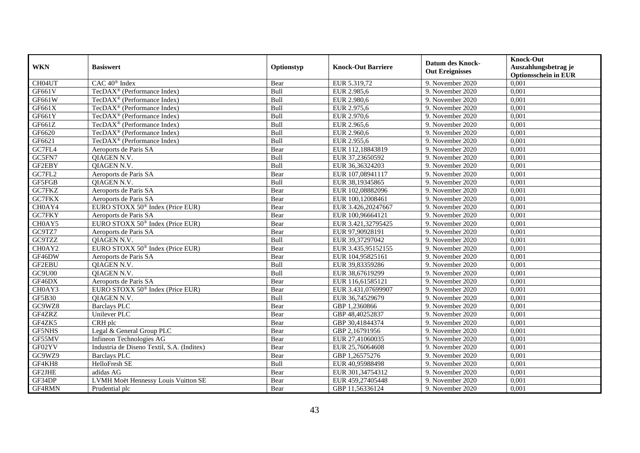| <b>WKN</b>         | <b>Basiswert</b>                             | Optionstyp | <b>Knock-Out Barriere</b> | <b>Datum des Knock-</b><br><b>Out Ereignisses</b> | <b>Knock-Out</b><br>Auszahlungsbetrag je<br><b>Optionsschein in EUR</b> |
|--------------------|----------------------------------------------|------------|---------------------------|---------------------------------------------------|-------------------------------------------------------------------------|
| CH04UT             | CAC 40 <sup>®</sup> Index                    | Bear       | EUR 5.319,72              | 9. November 2020                                  | 0,001                                                                   |
| GF661V             | TecDAX <sup>®</sup> (Performance Index)      | Bull       | EUR 2.985,6               | 9. November 2020                                  | 0,001                                                                   |
| GF661W             | TecDAX <sup>®</sup> (Performance Index)      | Bull       | EUR 2.980,6               | 9. November 2020                                  | 0,001                                                                   |
| GF661X             | TecDAX <sup>®</sup> (Performance Index)      | Bull       | EUR 2.975,6               | 9. November 2020                                  | 0,001                                                                   |
| GF661Y             | TecDAX <sup>®</sup> (Performance Index)      | Bull       | EUR 2.970,6               | 9. November 2020                                  | 0,001                                                                   |
| GF661Z             | TecDAX <sup>®</sup> (Performance Index)      | Bull       | EUR 2.965,6               | 9. November 2020                                  | 0,001                                                                   |
| GF6620             | TecDAX <sup>®</sup> (Performance Index)      | Bull       | EUR 2.960,6               | 9. November 2020                                  | 0,001                                                                   |
| GF6621             | TecDAX <sup>®</sup> (Performance Index)      | Bull       | EUR 2.955,6               | 9. November 2020                                  | 0,001                                                                   |
| GC7FL4             | Aeroports de Paris SA                        | Bear       | EUR 112,18843819          | 9. November 2020                                  | 0,001                                                                   |
| GC5FN7             | QIAGEN N.V.                                  | Bull       | EUR 37,23650592           | 9. November 2020                                  | 0,001                                                                   |
| GF2EBY             | QIAGEN N.V.                                  | Bull       | EUR 36,36324203           | 9. November 2020                                  | 0,001                                                                   |
| G <sub>CTFL2</sub> | Aeroports de Paris SA                        | Bear       | EUR 107,08941117          | 9. November 2020                                  | 0,001                                                                   |
| GF5FGB             | <b>OIAGEN N.V.</b>                           | Bull       | EUR 38,19345865           | 9. November 2020                                  | 0,001                                                                   |
| GC7FKZ             | Aeroports de Paris SA                        | Bear       | EUR 102,08882096          | 9. November 2020                                  | 0,001                                                                   |
| GC7FKX             | Aeroports de Paris SA                        | Bear       | EUR 100,12008461          | 9. November 2020                                  | 0,001                                                                   |
| CH0AY4             | EURO STOXX 50 <sup>®</sup> Index (Price EUR) | Bear       | EUR 3.426,20247667        | 9. November 2020                                  | 0,001                                                                   |
| GC7FKY             | Aeroports de Paris SA                        | Bear       | EUR 100,96664121          | 9. November 2020                                  | 0,001                                                                   |
| CH0AY5             | EURO STOXX 50 <sup>®</sup> Index (Price EUR) | Bear       | EUR 3.421,32795425        | 9. November 2020                                  | 0,001                                                                   |
| GC9TZ7             | Aeroports de Paris SA                        | Bear       | EUR 97,90928191           | 9. November 2020                                  | 0,001                                                                   |
| GC9TZZ             | QIAGEN N.V.                                  | Bull       | EUR 39,37297042           | 9. November 2020                                  | 0,001                                                                   |
| CH0AY2             | EURO STOXX 50 <sup>®</sup> Index (Price EUR) | Bear       | EUR 3.435,95152155        | 9. November 2020                                  | 0,001                                                                   |
| GF46DW             | Aeroports de Paris SA                        | Bear       | EUR 104,95825161          | 9. November 2020                                  | 0,001                                                                   |
| GF2EBU             | QIAGEN N.V.                                  | Bull       | EUR 39,83359286           | 9. November 2020                                  | 0,001                                                                   |
| GC9U00             | <b>OIAGEN N.V.</b>                           | Bull       | EUR 38,67619299           | 9. November 2020                                  | 0,001                                                                   |
| GF46DX             | Aeroports de Paris SA                        | Bear       | EUR 116,61585121          | 9. November 2020                                  | 0,001                                                                   |
| CH0AY3             | EURO STOXX 50 <sup>®</sup> Index (Price EUR) | Bear       | EUR 3.431,07699907        | 9. November 2020                                  | 0,001                                                                   |
| <b>GF5B30</b>      | QIAGEN N.V.                                  | Bull       | EUR 36,74529679           | 9. November 2020                                  | 0,001                                                                   |
| GC9WZ8             | <b>Barclays PLC</b>                          | Bear       | GBP 1,2360866             | 9. November 2020                                  | 0,001                                                                   |
| GF4ZRZ             | Unilever PLC                                 | Bear       | GBP 48,40252837           | 9. November 2020                                  | 0,001                                                                   |
| GF4ZK5             | CRH plc                                      | Bear       | GBP 30,41844374           | 9. November 2020                                  | 0.001                                                                   |
| <b>GF5NHS</b>      | Legal & General Group PLC                    | Bear       | GBP 2,16791956            | 9. November 2020                                  | 0,001                                                                   |
| GF55MV             | Infineon Technologies AG                     | Bear       | EUR 27,41060035           | 9. November 2020                                  | 0,001                                                                   |
| GF02YV             | Industria de Diseno Textil, S.A. (Inditex)   | Bear       | EUR 25,76064608           | 9. November 2020                                  | 0,001                                                                   |
| GC9WZ9             | <b>Barclays PLC</b>                          | Bear       | GBP 1,26575276            | 9. November 2020                                  | 0,001                                                                   |
| GF4KH8             | HelloFresh SE                                | Bull       | EUR 40,95988498           | 9. November 2020                                  | 0,001                                                                   |
| GF2JHE             | adidas AG                                    | Bear       | EUR 301,34754312          | 9. November 2020                                  | 0,001                                                                   |
| GF34DP             | LVMH Moët Hennessy Louis Vuitton SE          | Bear       | EUR 459,27405448          | 9. November 2020                                  | 0,001                                                                   |
| GF4RMN             | Prudential plc                               | Bear       | GBP 11,56336124           | 9. November 2020                                  | 0,001                                                                   |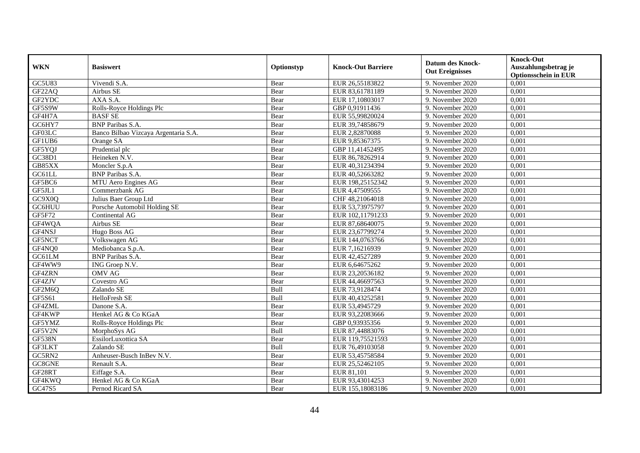| <b>WKN</b>    | <b>Basiswert</b>                     | Optionstyp | <b>Knock-Out Barriere</b> | <b>Datum des Knock-</b><br><b>Out Ereignisses</b> | <b>Knock-Out</b><br>Auszahlungsbetrag je<br><b>Optionsschein in EUR</b> |
|---------------|--------------------------------------|------------|---------------------------|---------------------------------------------------|-------------------------------------------------------------------------|
| GC5U83        | Vivendi S.A.                         | Bear       | EUR 26,55183822           | 9. November 2020                                  | 0,001                                                                   |
| GF22AQ        | Airbus SE                            | Bear       | EUR 83,61781189           | 9. November 2020                                  | 0,001                                                                   |
| GF2YDC        | AXA S.A.                             | Bear       | EUR 17,10803017           | 9. November 2020                                  | 0,001                                                                   |
| GF5S9W        | Rolls-Royce Holdings Plc             | Bear       | GBP 0,91911436            | 9. November 2020                                  | 0,001                                                                   |
| GF4H7A        | <b>BASFSE</b>                        | Bear       | EUR 55,99820024           | 9. November 2020                                  | 0,001                                                                   |
| GC6HY7        | <b>BNP</b> Paribas S.A.              | Bear       | EUR 39,74858679           | 9. November 2020                                  | 0,001                                                                   |
| GF03LC        | Banco Bilbao Vizcaya Argentaria S.A. | Bear       | EUR 2,82870088            | 9. November 2020                                  | 0,001                                                                   |
| GF1UB6        | Orange SA                            | Bear       | EUR 9,85367375            | 9. November 2020                                  | 0,001                                                                   |
| GF5YQJ        | Prudential plc                       | Bear       | GBP 11,41452495           | 9. November 2020                                  | 0,001                                                                   |
| GC38D1        | Heineken N.V.                        | Bear       | EUR 86,78262914           | 9. November 2020                                  | 0,001                                                                   |
| GB85XX        | Moncler S.p.A                        | Bear       | EUR 40,31234394           | 9. November 2020                                  | 0,001                                                                   |
| GC61LL        | <b>BNP</b> Paribas S.A.              | Bear       | EUR 40,52663282           | 9. November 2020                                  | 0,001                                                                   |
| GF5BC6        | MTU Aero Engines AG                  | Bear       | EUR 198,25152342          | 9. November 2020                                  | 0,001                                                                   |
| GF5JL1        | Commerzbank AG                       | Bear       | EUR 4,47509555            | 9. November 2020                                  | 0,001                                                                   |
| GC9X0Q        | Julius Baer Group Ltd                | Bear       | CHF 48,21064018           | 9. November 2020                                  | 0,001                                                                   |
| GC6HUU        | Porsche Automobil Holding SE         | Bear       | EUR 53,73975797           | 9. November 2020                                  | 0,001                                                                   |
| GF5F72        | Continental AG                       | Bear       | EUR 102,11791233          | 9. November 2020                                  | 0,001                                                                   |
| GF4WQA        | Airbus SE                            | Bear       | EUR 87,68640075           | 9. November 2020                                  | 0,001                                                                   |
| GF4NSJ        | Hugo Boss AG                         | Bear       | EUR 23,67799274           | 9. November 2020                                  | 0,001                                                                   |
| GF5NCT        | Volkswagen AG                        | Bear       | EUR 144,0763766           | 9. November 2020                                  | 0,001                                                                   |
| GF4NQ0        | Mediobanca S.p.A.                    | Bear       | EUR 7,16216939            | 9. November 2020                                  | 0,001                                                                   |
| GC61LM        | <b>BNP</b> Paribas S.A.              | Bear       | EUR 42,4527289            | 9. November 2020                                  | 0,001                                                                   |
| GF4WW9        | ING Groep N.V.                       | Bear       | EUR 6,64675262            | 9. November 2020                                  | 0,001                                                                   |
| GF4ZRN        | <b>OMV AG</b>                        | Bear       | EUR 23,20536182           | 9. November 2020                                  | 0,001                                                                   |
| GF4ZJV        | Covestro AG                          | Bear       | EUR 44,46697563           | 9. November 2020                                  | 0,001                                                                   |
| GF2M6Q        | Zalando SE                           | Bull       | EUR 73,9128474            | 9. November 2020                                  | 0,001                                                                   |
| GF5S61        | HelloFresh SE                        | Bull       | EUR 40,43252581           | 9. November 2020                                  | 0,001                                                                   |
| GF4ZML        | Danone S.A.                          | Bear       | EUR 53,4945729            | 9. November 2020                                  | 0,001                                                                   |
| GF4KWP        | Henkel AG & Co KGaA                  | Bear       | EUR 93,22083666           | 9. November 2020                                  | 0,001                                                                   |
| GF5YMZ        | Rolls-Royce Holdings Plc             | Bear       | GBP 0.93935356            | 9. November 2020                                  | 0.001                                                                   |
| GF5V2N        | MorphoSys AG                         | Bull       | EUR 87,44883076           | 9. November 2020                                  | 0,001                                                                   |
| <b>GF538N</b> | EssilorLuxottica SA                  | Bear       | EUR 119,75521593          | 9. November 2020                                  | 0,001                                                                   |
| GF3LKT        | Zalando SE                           | Bull       | EUR 76,49103058           | 9. November 2020                                  | 0,001                                                                   |
| GC5RN2        | Anheuser-Busch InBev N.V.            | Bear       | EUR 53,45758584           | 9. November 2020                                  | 0,001                                                                   |
| GC8GNE        | Renault S.A.                         | Bear       | EUR 25,52462105           | 9. November 2020                                  | 0,001                                                                   |
| GF28RT        | Eiffage S.A.                         | Bear       | EUR 81,101                | 9. November 2020                                  | 0,001                                                                   |
| GF4KWQ        | Henkel AG & Co KGaA                  | Bear       | EUR 93,43014253           | 9. November 2020                                  | 0,001                                                                   |
| GC47S5        | Pernod Ricard SA                     | Bear       | EUR 155,18083186          | 9. November 2020                                  | 0,001                                                                   |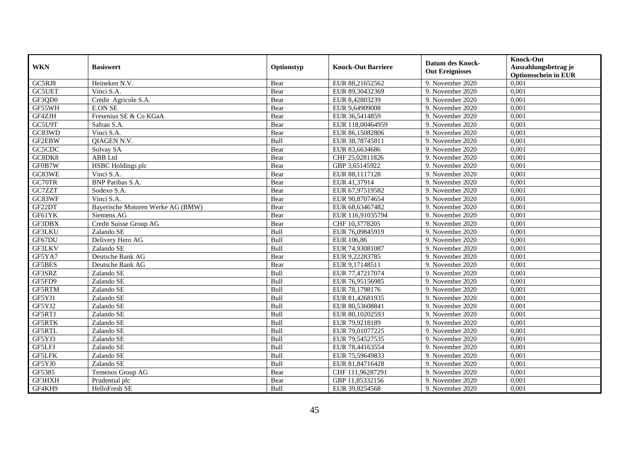|               |                                   | Optionstyp |                           | <b>Datum des Knock-</b> | <b>Knock-Out</b>            |
|---------------|-----------------------------------|------------|---------------------------|-------------------------|-----------------------------|
| <b>WKN</b>    | <b>Basiswert</b>                  |            | <b>Knock-Out Barriere</b> | <b>Out Ereignisses</b>  | Auszahlungsbetrag je        |
|               |                                   |            |                           |                         | <b>Optionsschein in EUR</b> |
| GC5RJ8        | Heineken N.V.                     | Bear       | EUR 88,21652562           | 9. November 2020        | 0,001                       |
| <b>GC5UET</b> | Vinci S.A.                        | Bear       | EUR 89,30432369           | 9. November 2020        | 0,001                       |
| GF3QD0        | Crédit Agricole S.A.              | Bear       | EUR 8,42803239            | 9. November 2020        | 0,001                       |
| GF55WH        | <b>E.ON SE</b>                    | Bear       | EUR 9,64909008            | 9. November 2020        | 0,001                       |
| GF4ZJH        | Fresenius SE & Co KGaA            | Bear       | EUR 36,5414859            | 9. November 2020        | 0,001                       |
| GC5U9T        | Safran S.A.                       | Bear       | EUR 118,00464959          | 9. November 2020        | 0,001                       |
| GC83WD        | Vinci S.A.                        | Bear       | EUR 86,15082806           | 9. November 2020        | 0,001                       |
| GF2EBW        | QIAGEN N.V.                       | Bull       | EUR 38,78745811           | 9. November 2020        | 0,001                       |
| GC5CDC        | Solvay SA                         | Bear       | EUR 83,6634686            | 9. November 2020        | 0,001                       |
| GC8DK8        | ABB Ltd                           | Bear       | CHF 25,02811826           | 9. November 2020        | 0,001                       |
| GF0B7W        | <b>HSBC</b> Holdings plc          | Bear       | GBP 3,65145922            | 9. November 2020        | 0,001                       |
| GC83WE        | Vinci S.A.                        | Bear       | EUR 88,1117128            | 9. November 2020        | 0,001                       |
| GC70TR        | <b>BNP</b> Paribas S.A.           | Bear       | EUR 41,37914              | 9. November 2020        | 0,001                       |
| GC7ZZT        | Sodexo S.A.                       | Bear       | EUR 67,97519582           | 9. November 2020        | 0,001                       |
| GC83WF        | Vinci S.A.                        | Bear       | EUR 90,87074654           | 9. November 2020        | 0,001                       |
| GF22DT        | Bayerische Motoren Werke AG (BMW) | Bear       | EUR 68,63467482           | 9. November 2020        | 0,001                       |
| GF61YK        | Siemens AG                        | Bear       | EUR 116,91035794          | 9. November 2020        | 0,001                       |
| GF3DBX        | Credit Suisse Group AG            | Bear       | CHF 10,3778205            | 9. November 2020        | 0,001                       |
| GF3LKU        | Zalando SE                        | Bull       | EUR 76,09845919           | 9. November 2020        | 0,001                       |
| GF67DU        | Delivery Hero AG                  | Bull       | EUR 106,86                | 9. November 2020        | 0,001                       |
| GF3LKV        | Zalando SE                        | Bull       | EUR 74,93081087           | 9. November 2020        | 0,001                       |
| GF5YA7        | Deutsche Bank AG                  | Bear       | EUR 9,22283785            | 9. November 2020        | 0,001                       |
| <b>GF5BES</b> | Deutsche Bank AG                  | Bear       | EUR 9,17148511            | 9. November 2020        | 0,001                       |
| GF3SRZ        | Zalando SE                        | Bull       | EUR 77,47217074           | 9. November 2020        | 0,001                       |
| GF5FD9        | Zalando SE                        | Bull       | EUR 76,95156985           | 9. November 2020        | 0,001                       |
| GF5RTM        | Zalando SE                        | Bull       | EUR 78,1798176            | 9. November 2020        | 0,001                       |
| GF5YJ1        | Zalando SE                        | Bull       | EUR 81,42681935           | 9. November 2020        | 0,001                       |
| GF5YJ2        | Zalando SE                        | Bull       | EUR 80,53608841           | 9. November 2020        | 0,001                       |
| GF5RTJ        | Zalando SE                        | Bull       | EUR 80,10202593           | 9. November 2020        | 0,001                       |
| <b>GF5RTK</b> | Zalando SE                        | Bull       | EUR 79,9218189            | 9. November 2020        | 0,001                       |
| GF5RTL        | Zalando SE                        | Bull       | EUR 79,01077225           | 9. November 2020        | 0,001                       |
| GF5YJ3        | Zalando SE                        | Bull       | EUR 79,54527535           | 9. November 2020        | 0,001                       |
| GF5LFJ        | Zalando SE                        | Bull       | EUR 78,44163554           | 9. November 2020        | 0,001                       |
| <b>GF5LFK</b> | Zalando SE                        | Bull       | EUR 75,59649833           | 9. November 2020        | 0,001                       |
| GF5YJ0        | Zalando SE                        | Bull       | EUR 81,84716428           | 9. November 2020        | 0,001                       |
| GF5385        | Temenos Group AG                  | Bear       | CHF 111,96287291          | 9. November 2020        | 0,001                       |
| GF3HXH        | Prudential plc                    | Bear       | GBP 11,85332156           | 9. November 2020        | 0,001                       |
| GF4KH9        | HelloFresh SE                     | Bull       | EUR 39,8254568            | 9. November 2020        | 0,001                       |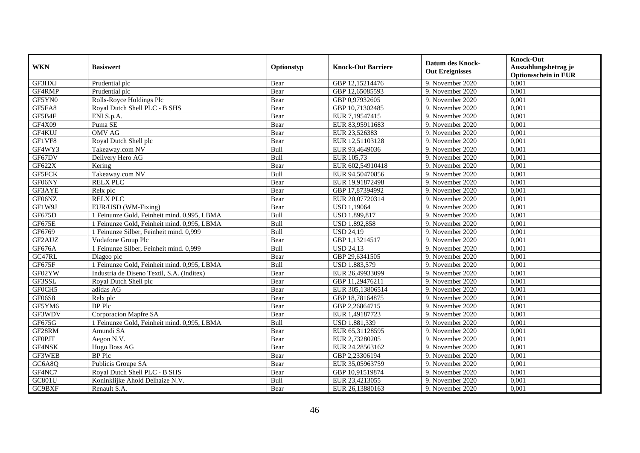| <b>WKN</b>    | <b>Basiswert</b>                            | Optionstyp | <b>Knock-Out Barriere</b> | <b>Datum des Knock-</b><br><b>Out Ereignisses</b> | <b>Knock-Out</b><br>Auszahlungsbetrag je<br><b>Optionsschein in EUR</b> |
|---------------|---------------------------------------------|------------|---------------------------|---------------------------------------------------|-------------------------------------------------------------------------|
| GF3HXJ        | Prudential plc                              | Bear       | GBP 12,15214476           | 9. November 2020                                  | 0,001                                                                   |
| GF4RMP        | Prudential plc                              | Bear       | GBP 12,65085593           | 9. November 2020                                  | 0,001                                                                   |
| GF5YN0        | Rolls-Royce Holdings Plc                    | Bear       | GBP 0,97932605            | 9. November 2020                                  | 0,001                                                                   |
| GF5FA8        | Royal Dutch Shell PLC - B SHS               | Bear       | GBP 10,71302485           | 9. November 2020                                  | 0,001                                                                   |
| GF5B4F        | ENI S.p.A.                                  | Bear       | EUR 7,19547415            | 9. November 2020                                  | 0,001                                                                   |
| GF4X09        | Puma SE                                     | Bear       | EUR 83,95911683           | 9. November 2020                                  | 0,001                                                                   |
| GF4KUJ        | <b>OMV AG</b>                               | Bear       | EUR 23,526383             | 9. November 2020                                  | 0,001                                                                   |
| GF1VF8        | Royal Dutch Shell plc                       | Bear       | EUR 12,51103128           | 9. November 2020                                  | 0,001                                                                   |
| GF4WY3        | Takeaway.com NV                             | Bull       | EUR 93,4649036            | 9. November 2020                                  | 0,001                                                                   |
| GF67DV        | Delivery Hero AG                            | Bull       | EUR 105,73                | 9. November 2020                                  | 0,001                                                                   |
| GF622X        | Kering                                      | Bear       | EUR 602,54910418          | 9. November 2020                                  | 0,001                                                                   |
| <b>GF5FCK</b> | Takeaway.com NV                             | Bull       | EUR 94,50470856           | 9. November 2020                                  | 0,001                                                                   |
| GF06NY        | <b>RELX PLC</b>                             | Bear       | EUR 19,91872498           | 9. November 2020                                  | 0,001                                                                   |
| GF3AYE        | Relx plc                                    | Bear       | GBP 17,87394992           | 9. November 2020                                  | 0,001                                                                   |
| GF06NZ        | <b>RELX PLC</b>                             | Bear       | EUR 20,07720314           | 9. November 2020                                  | 0,001                                                                   |
| GF1W9J        | EUR/USD (WM-Fixing)                         | Bear       | <b>USD 1,19064</b>        | 9. November 2020                                  | 0,001                                                                   |
| GF675D        | 1 Feinunze Gold, Feinheit mind. 0,995, LBMA | Bull       | USD 1.899,817             | 9. November 2020                                  | 0,001                                                                   |
| GF675E        | 1 Feinunze Gold, Feinheit mind. 0,995, LBMA | Bull       | USD 1.892,858             | 9. November 2020                                  | 0,001                                                                   |
| GF6769        | 1 Feinunze Silber, Feinheit mind. 0,999     | Bull       | <b>USD 24,19</b>          | 9. November 2020                                  | 0,001                                                                   |
| GF2AUZ        | Vodafone Group Plc                          | Bear       | GBP 1,13214517            | 9. November 2020                                  | 0,001                                                                   |
| GF676A        | 1 Feinunze Silber, Feinheit mind. 0,999     | Bull       | <b>USD 24,13</b>          | 9. November 2020                                  | 0,001                                                                   |
| GC47RL        | Diageo plc                                  | Bear       | GBP 29,6341505            | 9. November 2020                                  | 0.001                                                                   |
| GF675F        | 1 Feinunze Gold, Feinheit mind. 0,995, LBMA | Bull       | USD 1.883,579             | 9. November 2020                                  | 0,001                                                                   |
| GF02YW        | Industria de Diseno Textil, S.A. (Inditex)  | Bear       | EUR 26,49933099           | 9. November 2020                                  | 0,001                                                                   |
| GF3SSL        | Royal Dutch Shell plc                       | Bear       | GBP 11,29476211           | 9. November 2020                                  | 0,001                                                                   |
| GF0CH5        | adidas AG                                   | Bear       | EUR 305,13806514          | 9. November 2020                                  | 0,001                                                                   |
| GF06S8        | Relx plc                                    | Bear       | GBP 18,78164875           | 9. November 2020                                  | 0,001                                                                   |
| GF5YM6        | <b>BP</b> Plc                               | Bear       | GBP 2,26864715            | 9. November 2020                                  | 0,001                                                                   |
| GF3WDV        | Corporacion Mapfre SA                       | Bear       | EUR 1,49187723            | 9. November 2020                                  | 0,001                                                                   |
| GF675G        | 1 Feinunze Gold, Feinheit mind. 0,995, LBMA | Bull       | USD 1.881,339             | 9. November 2020                                  | 0.001                                                                   |
| GF28RM        | Amundi SA                                   | Bear       | EUR 65,31128595           | 9. November 2020                                  | 0,001                                                                   |
| <b>GFOPJT</b> | Aegon N.V.                                  | Bear       | EUR 2,73280205            | 9. November 2020                                  | 0,001                                                                   |
| GF4NSK        | Hugo Boss AG                                | Bear       | EUR 24,28563162           | 9. November 2020                                  | 0,001                                                                   |
| GF3WEB        | <b>BP</b> Plc                               | Bear       | GBP 2,23306194            | 9. November 2020                                  | 0,001                                                                   |
| GC6A8Q        | Publicis Groupe SA                          | Bear       | EUR 35,05963759           | 9. November 2020                                  | 0,001                                                                   |
| GF4NC7        | Royal Dutch Shell PLC - B SHS               | Bear       | GBP 10,91519874           | 9. November 2020                                  | 0,001                                                                   |
| GC801U        | Koninklijke Ahold Delhaize N.V.             | Bull       | EUR 23,4213055            | 9. November 2020                                  | 0,001                                                                   |
| GC9BXF        | Renault S.A.                                | Bear       | EUR 26,13880163           | 9. November 2020                                  | 0,001                                                                   |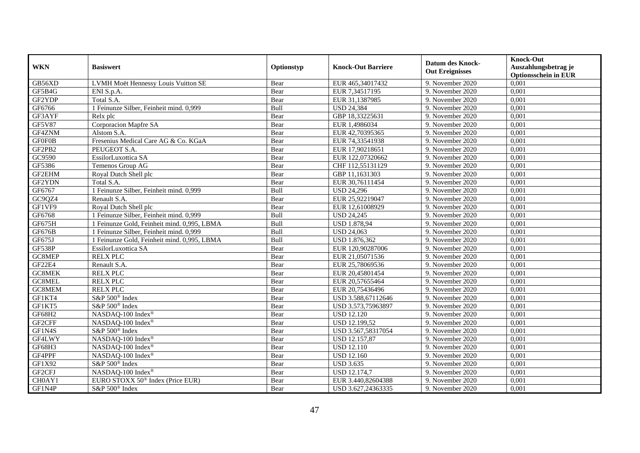| <b>WKN</b>    | <b>Basiswert</b>                             | Optionstyp | <b>Knock-Out Barriere</b> | <b>Datum des Knock-</b><br><b>Out Ereignisses</b> | <b>Knock-Out</b><br>Auszahlungsbetrag je<br><b>Optionsschein in EUR</b> |
|---------------|----------------------------------------------|------------|---------------------------|---------------------------------------------------|-------------------------------------------------------------------------|
| GB56XD        | LVMH Moët Hennessy Louis Vuitton SE          | Bear       | EUR 465,34017432          | 9. November 2020                                  | 0,001                                                                   |
| GF5B4G        | ENI S.p.A.                                   | Bear       | EUR 7,34517195            | 9. November 2020                                  | 0,001                                                                   |
| GF2YDP        | Total S.A.                                   | Bear       | EUR 31,1387985            | 9. November 2020                                  | 0,001                                                                   |
| GF6766        | 1 Feinunze Silber, Feinheit mind. 0,999      | Bull       | <b>USD 24,384</b>         | 9. November 2020                                  | 0,001                                                                   |
| GF3AYF        | Relx plc                                     | Bear       | GBP 18,33225631           | 9. November $2020$                                | 0,001                                                                   |
| <b>GF5V87</b> | Corporacion Mapfre SA                        | Bear       | EUR 1,4986034             | 9. November 2020                                  | 0,001                                                                   |
| GF4ZNM        | Alstom S.A.                                  | Bear       | EUR 42,70395365           | 9. November 2020                                  | 0,001                                                                   |
| <b>GF0F0B</b> | Fresenius Medical Care AG & Co. KGaA         | Bear       | EUR 74,33541938           | 9. November 2020                                  | 0,001                                                                   |
| GF2PB2        | PEUGEOT S.A.                                 | Bear       | EUR 17,90218651           | 9. November 2020                                  | 0,001                                                                   |
| GC9590        | EssilorLuxottica SA                          | Bear       | EUR 122,07320662          | 9. November 2020                                  | 0,001                                                                   |
| GF5386        | Temenos Group AG                             | Bear       | CHF 112,55131129          | 9. November 2020                                  | 0,001                                                                   |
| GF2EHM        | Royal Dutch Shell plc                        | Bear       | GBP 11,1631303            | 9. November 2020                                  | 0,001                                                                   |
| GF2YDN        | Total S.A.                                   | Bear       | EUR 30,76111454           | 9. November 2020                                  | 0,001                                                                   |
| GF6767        | 1 Feinunze Silber, Feinheit mind. 0,999      | Bull       | <b>USD 24,296</b>         | 9. November 2020                                  | 0,001                                                                   |
| GC9QZ4        | Renault S.A.                                 | Bear       | EUR 25,92219047           | 9. November 2020                                  | 0,001                                                                   |
| GF1VF9        | Royal Dutch Shell plc                        | Bear       | EUR 12,61008929           | 9. November 2020                                  | 0,001                                                                   |
| GF6768        | 1 Feinunze Silber, Feinheit mind. 0,999      | Bull       | <b>USD 24,245</b>         | 9. November 2020                                  | 0,001                                                                   |
| <b>GF675H</b> | 1 Feinunze Gold, Feinheit mind. 0,995, LBMA  | Bull       | <b>USD 1.878,94</b>       | 9. November 2020                                  | 0,001                                                                   |
| GF676B        | 1 Feinunze Silber, Feinheit mind. 0,999      | Bull       | <b>USD 24,063</b>         | 9. November 2020                                  | 0,001                                                                   |
| GF675J        | 1 Feinunze Gold, Feinheit mind. 0,995, LBMA  | Bull       | USD 1.876,362             | 9. November 2020                                  | 0,001                                                                   |
| <b>GF538P</b> | EssilorLuxottica SA                          | Bear       | EUR 120,90287006          | 9. November 2020                                  | 0,001                                                                   |
| GC8MEP        | <b>RELX PLC</b>                              | Bear       | EUR 21,05071536           | 9. November 2020                                  | 0,001                                                                   |
| <b>GF22E4</b> | Renault S.A.                                 | Bear       | EUR 25,78069536           | 9. November 2020                                  | 0,001                                                                   |
| GC8MEK        | <b>RELX PLC</b>                              | Bear       | EUR 20,45801454           | 9. November 2020                                  | 0,001                                                                   |
| GC8MEL        | <b>RELX PLC</b>                              | Bear       | EUR 20,57655464           | 9. November 2020                                  | 0,001                                                                   |
| GC8MEM        | <b>RELX PLC</b>                              | Bear       | EUR 20,75436496           | 9. November 2020                                  | 0,001                                                                   |
| GF1KT4        | S&P 500 <sup>®</sup> Index                   | Bear       | USD 3.588,67112646        | 9. November 2020                                  | 0,001                                                                   |
| GF1KT5        | S&P 500 <sup>®</sup> Index                   | Bear       | USD 3.573,75963897        | 9. November 2020                                  | 0.001                                                                   |
| GF68H2        | NASDAQ-100 Index®                            | Bear       | <b>USD 12.120</b>         | 9. November 2020                                  | 0,001                                                                   |
| GF2CFF        | NASDAQ-100 Index®                            | Bear       | <b>USD 12.199,52</b>      | 9. November 2020                                  | 0,001                                                                   |
| GF1N4S        | S&P 500® Index                               | Bear       | USD 3.567,58317054        | 9. November 2020                                  | 0,001                                                                   |
| GF4LWY        | NASDAQ-100 Index®                            | Bear       | USD 12.157,87             | 9. November 2020                                  | 0,001                                                                   |
| GF68H3        | NASDAQ-100 Index®                            | Bear       | <b>USD 12.110</b>         | 9. November 2020                                  | 0,001                                                                   |
| GF4PPF        | NASDAQ-100 Index®                            | Bear       | <b>USD 12.160</b>         | 9. November 2020                                  | 0,001                                                                   |
| GF1X92        | S&P 500 <sup>®</sup> Index                   | Bear       | <b>USD 3.635</b>          | 9. November 2020                                  | 0,001                                                                   |
| GF2CFJ        | NASDAQ-100 Index <sup>®</sup>                | Bear       | <b>USD 12.174,7</b>       | 9. November 2020                                  | 0,001                                                                   |
| CH0AY1        | EURO STOXX 50 <sup>®</sup> Index (Price EUR) | Bear       | EUR 3.440,82604388        | 9. November 2020                                  | 0,001                                                                   |
| GF1N4P        | S&P 500 <sup>®</sup> Index                   | Bear       | USD 3.627,24363335        | 9. November 2020                                  | 0,001                                                                   |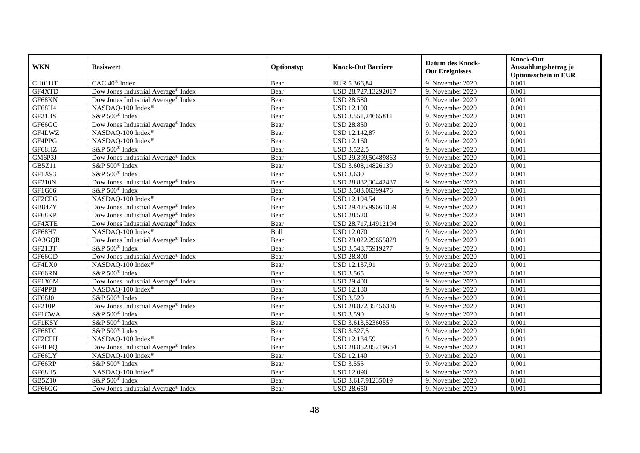| <b>WKN</b>    | <b>Basiswert</b>                                | Optionstyp | <b>Knock-Out Barriere</b> | <b>Datum des Knock-</b><br><b>Out Ereignisses</b> | <b>Knock-Out</b><br>Auszahlungsbetrag je<br><b>Optionsschein in EUR</b> |
|---------------|-------------------------------------------------|------------|---------------------------|---------------------------------------------------|-------------------------------------------------------------------------|
| CH01UT        | CAC 40 <sup>®</sup> Index                       | Bear       | EUR 5.366,84              | 9. November 2020                                  | 0,001                                                                   |
| GF4XTD        | Dow Jones Industrial Average <sup>®</sup> Index | Bear       | USD 28.727,13292017       | 9. November 2020                                  | 0,001                                                                   |
| GF68KN        | Dow Jones Industrial Average® Index             | Bear       | <b>USD 28.580</b>         | 9. November 2020                                  | 0,001                                                                   |
| GF68H4        | NASDAQ-100 Index®                               | Bear       | <b>USD 12.100</b>         | 9. November 2020                                  | 0,001                                                                   |
| GF21BS        | S&P 500 <sup>®</sup> Index                      | Bear       | USD 3.551,24665811        | 9. November 2020                                  | 0,001                                                                   |
| GF66GC        | Dow Jones Industrial Average <sup>®</sup> Index | Bear       | <b>USD 28.850</b>         | 9. November 2020                                  | 0,001                                                                   |
| GF4LWZ        | NASDAQ-100 Index®                               | Bear       | <b>USD 12.142,87</b>      | 9. November 2020                                  | 0,001                                                                   |
| GF4PPG        | NASDAQ-100 Index®                               | Bear       | <b>USD 12.160</b>         | 9. November 2020                                  | 0,001                                                                   |
| GF68HZ        | S&P 500 <sup>®</sup> Index                      | Bear       | <b>USD 3.522,5</b>        | 9. November 2020                                  | 0,001                                                                   |
| GM6P3J        | Dow Jones Industrial Average® Index             | Bear       | USD 29.399,50489863       | 9. November 2020                                  | 0,001                                                                   |
| <b>GB5Z11</b> | S&P 500 <sup>®</sup> Index                      | Bear       | USD 3.608,14826139        | 9. November 2020                                  | 0,001                                                                   |
| GF1X93        | S&P 500 <sup>®</sup> Index                      | Bear       | <b>USD 3.630</b>          | 9. November 2020                                  | 0,001                                                                   |
| <b>GF210N</b> | Dow Jones Industrial Average® Index             | Bear       | USD 28.882,30442487       | 9. November 2020                                  | 0,001                                                                   |
| GF1G06        | $S\&P 500^{\circ}$ Index                        | Bear       | USD 3.583,06399476        | 9. November 2020                                  | 0,001                                                                   |
| GF2CFG        | NASDAQ-100 Index®                               | Bear       | USD 12.194,54             | 9. November 2020                                  | 0,001                                                                   |
| <b>GB847Y</b> | Dow Jones Industrial Average® Index             | Bear       | USD 29.425,99661859       | 9. November 2020                                  | 0,001                                                                   |
| GF68KP        | Dow Jones Industrial Average® Index             | Bear       | <b>USD 28.520</b>         | 9. November 2020                                  | 0,001                                                                   |
| GF4XTE        | Dow Jones Industrial Average® Index             | Bear       | USD 28.717,14912194       | 9. November 2020                                  | 0,001                                                                   |
| GF68H7        | NASDAQ-100 Index®                               | Bull       | <b>USD 12.070</b>         | 9. November 2020                                  | 0,001                                                                   |
| GA3GQR        | Dow Jones Industrial Average® Index             | Bear       | USD 29.022,29655829       | 9. November 2020                                  | 0,001                                                                   |
| GF21BT        | S&P 500 <sup>®</sup> Index                      | Bear       | USD 3.548,75919277        | 9. November 2020                                  | 0,001                                                                   |
| GF66GD        | Dow Jones Industrial Average® Index             | Bear       | <b>USD 28.800</b>         | 9. November 2020                                  | 0,001                                                                   |
| GF4LX0        | NASDAQ-100 Index®                               | Bear       | <b>USD 12.137,91</b>      | 9. November 2020                                  | 0,001                                                                   |
| GF66RN        | S&P 500 <sup>®</sup> Index                      | Bear       | <b>USD 3.565</b>          | 9. November 2020                                  | 0,001                                                                   |
| GF1X0M        | Dow Jones Industrial Average® Index             | Bear       | <b>USD 29.400</b>         | 9. November 2020                                  | 0,001                                                                   |
| GF4PPB        | NASDAQ-100 Index®                               | Bear       | <b>USD 12.180</b>         | 9. November 2020                                  | 0,001                                                                   |
| <b>GF68J0</b> | S&P 500 <sup>®</sup> Index                      | Bear       | <b>USD 3.520</b>          | 9. November 2020                                  | 0,001                                                                   |
| GF210P        | Dow Jones Industrial Average® Index             | Bear       | USD 28.872,35456336       | 9. November 2020                                  | 0,001                                                                   |
| <b>GF1CWA</b> | S&P 500 <sup>®</sup> Index                      | Bear       | <b>USD 3.590</b>          | 9. November 2020                                  | 0,001                                                                   |
| GF1KSY        | S&P 500 <sup>®</sup> Index                      | Bear       | USD 3.613,5236055         | 9. November 2020                                  | 0,001                                                                   |
| GF68TC        | S&P 500 <sup>®</sup> Index                      | Bear       | <b>USD 3.527,5</b>        | 9. November 2020                                  | 0,001                                                                   |
| GF2CFH        | NASDAQ-100 Index®                               | Bear       | USD 12.184,59             | 9. November 2020                                  | 0,001                                                                   |
| GF4LPQ        | Dow Jones Industrial Average <sup>®</sup> Index | Bear       | USD 28.852,85219664       | 9. November 2020                                  | 0,001                                                                   |
| GF66LY        | NASDAQ-100 Index®                               | Bear       | <b>USD 12.140</b>         | 9. November 2020                                  | 0,001                                                                   |
| GF66RP        | S&P 500 <sup>®</sup> Index                      | Bear       | <b>USD 3.555</b>          | 9. November 2020                                  | 0,001                                                                   |
| GF68H5        | NASDAQ-100 Index®                               | Bear       | <b>USD 12.090</b>         | 9. November 2020                                  | 0,001                                                                   |
| <b>GB5Z10</b> | S&P 500 <sup>®</sup> Index                      | Bear       | USD 3.617,91235019        | 9. November 2020                                  | 0,001                                                                   |
| GF66GG        | Dow Jones Industrial Average® Index             | Bear       | <b>USD 28.650</b>         | 9. November 2020                                  | 0,001                                                                   |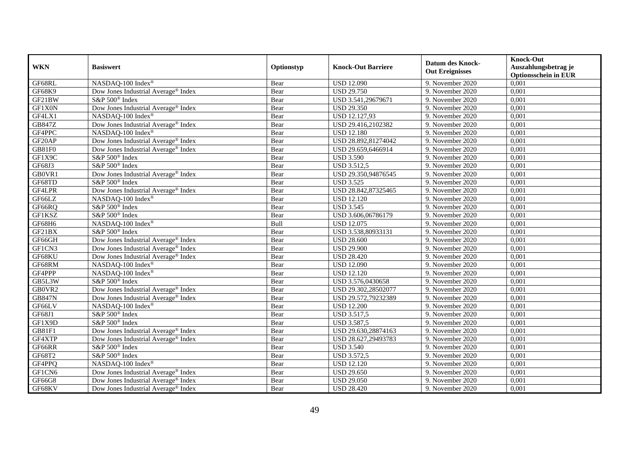| <b>WKN</b>    | <b>Basiswert</b>                                | Optionstyp | <b>Knock-Out Barriere</b> | <b>Datum des Knock-</b><br><b>Out Ereignisses</b> | <b>Knock-Out</b><br>Auszahlungsbetrag je<br><b>Optionsschein in EUR</b> |
|---------------|-------------------------------------------------|------------|---------------------------|---------------------------------------------------|-------------------------------------------------------------------------|
| GF68RL        | NASDAQ-100 Index®                               | Bear       | <b>USD 12.090</b>         | 9. November 2020                                  | 0,001                                                                   |
| <b>GF68K9</b> | Dow Jones Industrial Average® Index             | Bear       | <b>USD 29.750</b>         | 9. November 2020                                  | 0,001                                                                   |
| GF21BW        | S&P 500 <sup>®</sup> Index                      | Bear       | USD 3.541,29679671        | 9. November 2020                                  | 0,001                                                                   |
| GF1X0N        | Dow Jones Industrial Average® Index             | Bear       | <b>USD 29.350</b>         | 9. November 2020                                  | 0,001                                                                   |
| GF4LX1        | NASDAQ-100 Index®                               | Bear       | USD 12.127,93             | 9. November 2020                                  | 0,001                                                                   |
| GB847Z        | Dow Jones Industrial Average <sup>®</sup> Index | Bear       | USD 29.416,2102382        | 9. November 2020                                  | 0,001                                                                   |
| GF4PPC        | NASDAQ-100 Index®                               | Bear       | <b>USD 12.180</b>         | 9. November 2020                                  | 0,001                                                                   |
| GF20AP        | Dow Jones Industrial Average® Index             | Bear       | USD 28.892,81274042       | 9. November 2020                                  | 0,001                                                                   |
| GB81F0        | Dow Jones Industrial Average® Index             | Bear       | USD 29.659,6466914        | 9. November 2020                                  | 0,001                                                                   |
| GF1X9C        | S&P 500 <sup>®</sup> Index                      | Bear       | <b>USD 3.590</b>          | 9. November 2020                                  | 0,001                                                                   |
| GF68J3        | S&P 500 <sup>®</sup> Index                      | Bear       | <b>USD 3.512,5</b>        | 9. November 2020                                  | 0,001                                                                   |
| GB0VR1        | Dow Jones Industrial Average® Index             | Bear       | USD 29.350,94876545       | 9. November 2020                                  | 0,001                                                                   |
| GF68TD        | S&P 500® Index                                  | Bear       | <b>USD 3.525</b>          | 9. November 2020                                  | 0,001                                                                   |
| GF4LPR        | Dow Jones Industrial Average® Index             | Bear       | USD 28.842,87325465       | 9. November 2020                                  | 0,001                                                                   |
| GF66LZ        | NASDAQ-100 Index®                               | Bear       | <b>USD 12.120</b>         | 9. November 2020                                  | 0,001                                                                   |
| GF66RQ        | S&P 500 <sup>®</sup> Index                      | Bear       | <b>USD 3.545</b>          | 9. November 2020                                  | 0,001                                                                   |
| GF1KSZ        | S&P 500 <sup>®</sup> Index                      | Bear       | USD 3.606,06786179        | 9. November 2020                                  | 0,001                                                                   |
| GF68H6        | NASDAQ-100 Index®                               | Bull       | <b>USD 12.075</b>         | 9. November 2020                                  | 0,001                                                                   |
| GF21BX        | S&P 500 <sup>®</sup> Index                      | Bear       | USD 3.538,80933131        | 9. November 2020                                  | 0,001                                                                   |
| GF66GH        | Dow Jones Industrial Average® Index             | Bear       | <b>USD 28.600</b>         | 9. November 2020                                  | 0,001                                                                   |
| GF1CN3        | Dow Jones Industrial Average® Index             | Bear       | <b>USD 29.900</b>         | 9. November 2020                                  | 0,001                                                                   |
| GF68KU        | Dow Jones Industrial Average® Index             | Bear       | <b>USD 28.420</b>         | 9. November 2020                                  | 0,001                                                                   |
| GF68RM        | NASDAQ-100 Index®                               | Bear       | <b>USD 12.090</b>         | 9. November 2020                                  | 0,001                                                                   |
| GF4PPP        | NASDAQ-100 Index®                               | Bear       | <b>USD 12.120</b>         | 9. November 2020                                  | 0,001                                                                   |
| GB5L3W        | S&P 500 <sup>®</sup> Index                      | Bear       | USD 3.576,0430658         | 9. November 2020                                  | 0,001                                                                   |
| GB0VR2        | Dow Jones Industrial Average® Index             | Bear       | USD 29.302,28502077       | 9. November 2020                                  | 0,001                                                                   |
| <b>GB847N</b> | Dow Jones Industrial Average® Index             | Bear       | USD 29.572,79232389       | 9. November 2020                                  | 0,001                                                                   |
| GF66LV        | NASDAQ-100 Index®                               | Bear       | <b>USD 12.200</b>         | 9. November 2020                                  | 0,001                                                                   |
| GF68J1        | S&P 500 <sup>®</sup> Index                      | Bear       | <b>USD 3.517,5</b>        | 9. November 2020                                  | 0,001                                                                   |
| GF1X9D        | S&P 500 <sup>®</sup> Index                      | Bear       | USD 3.587,5               | 9. November 2020                                  | 0,001                                                                   |
| GB81F1        | Dow Jones Industrial Average® Index             | Bear       | USD 29.630,28874163       | 9. November 2020                                  | 0,001                                                                   |
| GF4XTP        | Dow Jones Industrial Average® Index             | Bear       | USD 28.627,29493783       | 9. November 2020                                  | 0,001                                                                   |
| GF66RR        | S&P 500 <sup>®</sup> Index                      | Bear       | <b>USD 3.540</b>          | 9. November 2020                                  | 0,001                                                                   |
| GF68T2        | S&P 500 <sup>®</sup> Index                      | Bear       | <b>USD 3.572,5</b>        | 9. November 2020                                  | 0,001                                                                   |
| GF4PPQ        | NASDAQ-100 Index®                               | Bear       | <b>USD 12.120</b>         | 9. November 2020                                  | 0,001                                                                   |
| GF1CN6        | Dow Jones Industrial Average® Index             | Bear       | <b>USD 29.650</b>         | 9. November 2020                                  | 0,001                                                                   |
| GF66G8        | Dow Jones Industrial Average® Index             | Bear       | <b>USD 29.050</b>         | 9. November 2020                                  | 0,001                                                                   |
| GF68KV        | Dow Jones Industrial Average® Index             | Bear       | <b>USD 28.420</b>         | 9. November 2020                                  | 0,001                                                                   |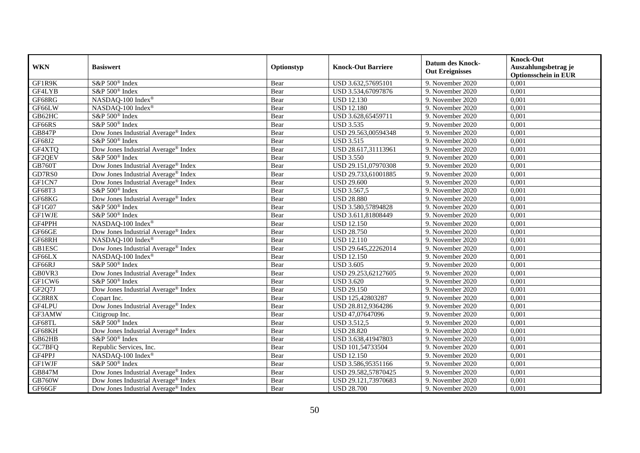| <b>WKN</b>    | <b>Basiswert</b>                                | Optionstyp | <b>Knock-Out Barriere</b> | <b>Datum des Knock-</b><br><b>Out Ereignisses</b> | <b>Knock-Out</b><br>Auszahlungsbetrag je<br><b>Optionsschein in EUR</b> |
|---------------|-------------------------------------------------|------------|---------------------------|---------------------------------------------------|-------------------------------------------------------------------------|
| GF1R9K        | S&P 500 <sup>®</sup> Index                      | Bear       | USD 3.632,57695101        | 9. November 2020                                  | 0,001                                                                   |
| GF4LYB        | S&P 500 <sup>®</sup> Index                      | Bear       | USD 3.534,67097876        | 9. November 2020                                  | 0,001                                                                   |
| GF68RG        | NASDAQ-100 Index®                               | Bear       | <b>USD 12.130</b>         | 9. November 2020                                  | 0,001                                                                   |
| GF66LW        | NASDAQ-100 Index®                               | Bear       | <b>USD 12.180</b>         | 9. November 2020                                  | 0,001                                                                   |
| GB62HC        | S&P 500 <sup>®</sup> Index                      | Bear       | USD 3.628,65459711        | 9. November 2020                                  | 0,001                                                                   |
| GF66RS        | S&P 500 <sup>®</sup> Index                      | Bear       | <b>USD 3.535</b>          | 9. November 2020                                  | 0,001                                                                   |
| <b>GB847P</b> | Dow Jones Industrial Average® Index             | Bear       | USD 29.563,00594348       | 9. November 2020                                  | 0,001                                                                   |
| GF68J2        | S&P 500 <sup>®</sup> Index                      | Bear       | <b>USD 3.515</b>          | 9. November 2020                                  | 0,001                                                                   |
| GF4XTQ        | Dow Jones Industrial Average <sup>®</sup> Index | Bear       | USD 28.617,31113961       | 9. November 2020                                  | 0,001                                                                   |
| GF2QEV        | $S\&P 500^{\circ}$ Index                        | Bear       | <b>USD 3.550</b>          | 9. November 2020                                  | 0,001                                                                   |
| <b>GB760T</b> | Dow Jones Industrial Average® Index             | Bear       | USD 29.151,07970308       | 9. November 2020                                  | 0,001                                                                   |
| GD7RS0        | Dow Jones Industrial Average® Index             | Bear       | USD 29.733,61001885       | 9. November 2020                                  | 0,001                                                                   |
| GF1CN7        | Dow Jones Industrial Average® Index             | Bear       | <b>USD 29.600</b>         | 9. November 2020                                  | 0,001                                                                   |
| GF68T3        | $S\&P 500^{\circ}$ Index                        | Bear       | USD 3.567,5               | 9. November 2020                                  | 0,001                                                                   |
| GF68KG        | Dow Jones Industrial Average® Index             | Bear       | <b>USD 28.880</b>         | 9. November 2020                                  | 0,001                                                                   |
| GF1G07        | S&P 500 <sup>®</sup> Index                      | Bear       | USD 3.580,57894828        | 9. November 2020                                  | 0,001                                                                   |
| <b>GF1WJE</b> | $S&P 500^{\circ}$ Index                         | Bear       | USD 3.611,81808449        | 9. November 2020                                  | 0,001                                                                   |
| GF4PPH        | NASDAQ-100 Index®                               | Bear       | <b>USD</b> 12.150         | 9. November 2020                                  | 0,001                                                                   |
| GF66GE        | Dow Jones Industrial Average® Index             | Bear       | <b>USD 28.750</b>         | 9. November 2020                                  | 0,001                                                                   |
| GF68RH        | NASDAQ-100 Index®                               | Bear       | <b>USD 12.110</b>         | 9. November 2020                                  | 0,001                                                                   |
| <b>GB1ESC</b> | Dow Jones Industrial Average <sup>®</sup> Index | Bear       | USD 29.645,22262014       | 9. November 2020                                  | 0,001                                                                   |
| GF66LX        | NASDAQ-100 Index®                               | Bear       | <b>USD 12.150</b>         | 9. November 2020                                  | 0,001                                                                   |
| GF66RJ        | S&P 500 <sup>®</sup> Index                      | Bear       | <b>USD 3.605</b>          | 9. November 2020                                  | 0,001                                                                   |
| GB0VR3        | Dow Jones Industrial Average® Index             | Bear       | USD 29.253,62127605       | 9. November 2020                                  | 0,001                                                                   |
| GF1CW6        | S&P 500 <sup>®</sup> Index                      | Bear       | <b>USD 3.620</b>          | 9. November 2020                                  | 0,001                                                                   |
| GF2Q7J        | Dow Jones Industrial Average® Index             | Bear       | <b>USD 29.150</b>         | 9. November 2020                                  | 0,001                                                                   |
| GC8R8X        | Copart Inc.                                     | Bear       | USD 125,42803287          | 9. November 2020                                  | 0,001                                                                   |
| GF4LPU        | Dow Jones Industrial Average® Index             | Bear       | USD 28.812,9364286        | 9. November 2020                                  | 0,001                                                                   |
| GF3AMW        | Citigroup Inc.                                  | Bear       | USD 47,07647096           | 9. November 2020                                  | 0,001                                                                   |
| GF68TL        | $S\&P 500^{\circ}$ Index                        | Bear       | <b>USD 3.512,5</b>        | 9. November 2020                                  | 0,001                                                                   |
| GF68KH        | Dow Jones Industrial Average® Index             | Bear       | <b>USD 28.820</b>         | 9. November 2020                                  | 0,001                                                                   |
| GB62HB        | S&P 500 <sup>®</sup> Index                      | Bear       | USD 3.638,41947803        | 9. November 2020                                  | 0,001                                                                   |
| GC7BFQ        | Republic Services, Inc.                         | Bear       | USD 101,54733504          | 9. November 2020                                  | 0,001                                                                   |
| GF4PPJ        | NASDAQ-100 Index®                               | Bear       | <b>USD 12.150</b>         | 9. November 2020                                  | 0,001                                                                   |
| <b>GF1WJF</b> | S&P 500 <sup>®</sup> Index                      | Bear       | USD 3.586,95351166        | 9. November 2020                                  | 0,001                                                                   |
| GB847M        | Dow Jones Industrial Average® Index             | Bear       | USD 29.582,57870425       | 9. November 2020                                  | 0,001                                                                   |
| <b>GB760W</b> | Dow Jones Industrial Average® Index             | Bear       | USD 29.121,73970683       | 9. November 2020                                  | 0,001                                                                   |
| GF66GF        | Dow Jones Industrial Average® Index             | Bear       | <b>USD 28.700</b>         | 9. November 2020                                  | 0,001                                                                   |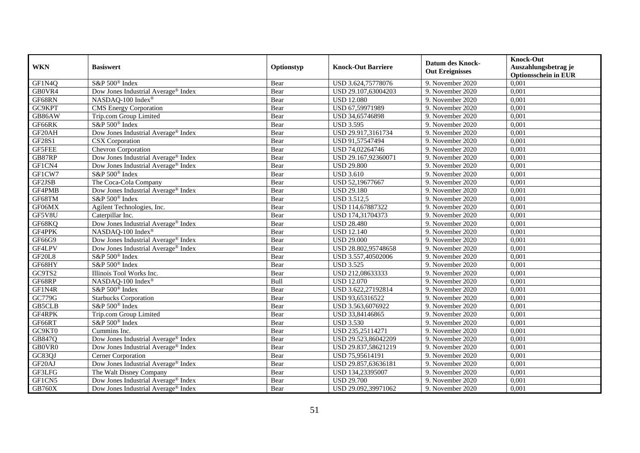| <b>WKN</b>          | <b>Basiswert</b>                                | Optionstyp | <b>Knock-Out Barriere</b> | <b>Datum des Knock-</b><br><b>Out Ereignisses</b> | <b>Knock-Out</b><br>Auszahlungsbetrag je<br><b>Optionsschein in EUR</b> |
|---------------------|-------------------------------------------------|------------|---------------------------|---------------------------------------------------|-------------------------------------------------------------------------|
| GF1N4Q              | S&P 500 <sup>®</sup> Index                      | Bear       | USD 3.624,75778076        | 9. November 2020                                  | 0,001                                                                   |
| GB0VR4              | Dow Jones Industrial Average® Index             | Bear       | USD 29.107,63004203       | 9. November 2020                                  | 0,001                                                                   |
| GF68RN              | NASDAQ-100 Index®                               | Bear       | <b>USD 12.080</b>         | 9. November 2020                                  | 0,001                                                                   |
| GC9KPT              | <b>CMS</b> Energy Corporation                   | Bear       | USD 67,59971989           | 9. November 2020                                  | 0,001                                                                   |
| GB86AW              | Trip.com Group Limited                          | Bear       | USD 34,65746898           | 9. November 2020                                  | 0,001                                                                   |
| GF66RK              | S&P 500 <sup>®</sup> Index                      | Bear       | <b>USD 3.595</b>          | 9. November 2020                                  | 0,001                                                                   |
| GF <sub>20</sub> AH | Dow Jones Industrial Average® Index             | Bear       | USD 29.917,3161734        | 9. November 2020                                  | 0,001                                                                   |
| GF28S1              | <b>CSX</b> Corporation                          | Bear       | USD 91,57547494           | 9. November 2020                                  | 0,001                                                                   |
| <b>GF5FEE</b>       | <b>Chevron Corporation</b>                      | Bear       | USD 74,02264746           | 9. November 2020                                  | 0,001                                                                   |
| GB87RP              | Dow Jones Industrial Average® Index             | Bear       | USD 29.167,92360071       | 9. November 2020                                  | 0,001                                                                   |
| GF1CN4              | Dow Jones Industrial Average® Index             | Bear       | <b>USD 29.800</b>         | 9. November 2020                                  | 0,001                                                                   |
| GF1CW7              | S&P 500 <sup>®</sup> Index                      | Bear       | <b>USD 3.610</b>          | 9. November 2020                                  | 0,001                                                                   |
| GF2JSB              | The Coca-Cola Company                           | Bear       | USD 52,19677667           | 9. November 2020                                  | 0,001                                                                   |
| GF4PMB              | Dow Jones Industrial Average® Index             | Bear       | <b>USD 29.180</b>         | 9. November 2020                                  | 0,001                                                                   |
| GF68TM              | S&P 500 <sup>®</sup> Index                      | Bear       | <b>USD 3.512,5</b>        | 9. November 2020                                  | 0,001                                                                   |
| GF06MX              | Agilent Technologies, Inc.                      | Bear       | USD 114,67887322          | 9. November 2020                                  | 0,001                                                                   |
| GF5V8U              | Caterpillar Inc.                                | Bear       | USD 174,31704373          | 9. November 2020                                  | 0,001                                                                   |
| GF68KQ              | Dow Jones Industrial Average® Index             | Bear       | <b>USD 28.480</b>         | 9. November 2020                                  | 0,001                                                                   |
| GF4PPK              | NASDAQ-100 Index®                               | Bear       | <b>USD 12.140</b>         | 9. November 2020                                  | 0,001                                                                   |
| GF66G9              | Dow Jones Industrial Average® Index             | Bear       | <b>USD 29.000</b>         | 9. November 2020                                  | 0,001                                                                   |
| GF4LPV              | Dow Jones Industrial Average® Index             | Bear       | USD 28.802,95748658       | 9. November 2020                                  | 0,001                                                                   |
| <b>GF20L8</b>       | S&P 500 <sup>®</sup> Index                      | Bear       | USD 3.557,40502006        | 9. November 2020                                  | 0,001                                                                   |
| GF68HY              | S&P 500 <sup>®</sup> Index                      | Bear       | <b>USD 3.525</b>          | 9. November 2020                                  | 0,001                                                                   |
| GC9TS2              | Illinois Tool Works Inc.                        | Bear       | USD 212,08633333          | 9. November 2020                                  | 0,001                                                                   |
| GF68RP              | NASDAQ-100 Index®                               | Bull       | <b>USD 12.070</b>         | 9. November 2020                                  | 0,001                                                                   |
| GF1N4R              | S&P 500 <sup>®</sup> Index                      | Bear       | USD 3.622,27192814        | 9. November 2020                                  | 0,001                                                                   |
| GC779G              | <b>Starbucks Corporation</b>                    | Bear       | USD 93,65316522           | 9. November 2020                                  | 0,001                                                                   |
| GB5CLB              | S&P 500 <sup>®</sup> Index                      | Bear       | USD 3.563,6076922         | 9. November 2020                                  | 0,001                                                                   |
| GF4RPK              | Trip.com Group Limited                          | Bear       | USD 33,84146865           | 9. November 2020                                  | 0,001                                                                   |
| GF66RT              | S&P 500 <sup>®</sup> Index                      | Bear       | <b>USD 3.530</b>          | 9. November 2020                                  | 0,001                                                                   |
| GC9KT0              | Cummins Inc.                                    | Bear       | USD 235,25114271          | 9. November 2020                                  | 0,001                                                                   |
| GB847Q              | Dow Jones Industrial Average <sup>®</sup> Index | Bear       | USD 29.523,86042209       | 9. November 2020                                  | 0,001                                                                   |
| GB0VR0              | Dow Jones Industrial Average® Index             | Bear       | USD 29.837,58621219       | 9. November 2020                                  | 0,001                                                                   |
| GC83QJ              | Cerner Corporation                              | Bear       | USD 75,95614191           | 9. November 2020                                  | 0,001                                                                   |
| GF20AJ              | Dow Jones Industrial Average® Index             | Bear       | USD 29.857,63636181       | 9. November 2020                                  | 0,001                                                                   |
| GF3LFG              | The Walt Disney Company                         | Bear       | USD 134,23395007          | 9. November 2020                                  | 0,001                                                                   |
| GF1CN5              | Dow Jones Industrial Average <sup>®</sup> Index | Bear       | <b>USD 29.700</b>         | 9. November 2020                                  | 0,001                                                                   |
| GB760X              | Dow Jones Industrial Average® Index             | Bear       | USD 29.092,39971062       | 9. November 2020                                  | 0,001                                                                   |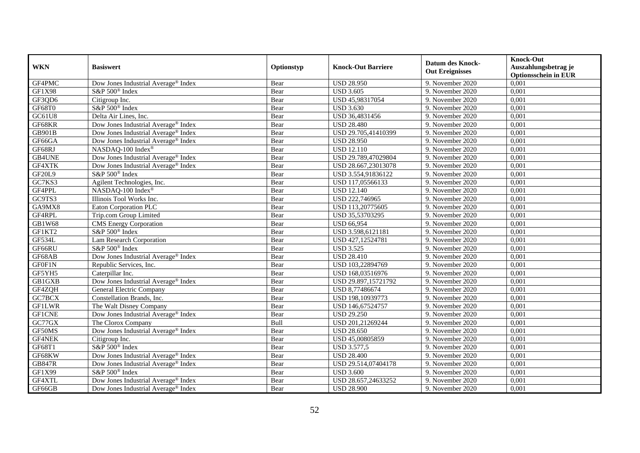| <b>WKN</b>    | <b>Basiswert</b>                                | Optionstyp | <b>Knock-Out Barriere</b> | <b>Datum des Knock-</b><br><b>Out Ereignisses</b> | <b>Knock-Out</b><br>Auszahlungsbetrag je<br><b>Optionsschein in EUR</b> |
|---------------|-------------------------------------------------|------------|---------------------------|---------------------------------------------------|-------------------------------------------------------------------------|
| GF4PMC        | Dow Jones Industrial Average® Index             | Bear       | <b>USD 28.950</b>         | 9. November 2020                                  | 0,001                                                                   |
| GF1X98        | S&P 500 <sup>®</sup> Index                      | Bear       | <b>USD 3.605</b>          | 9. November 2020                                  | 0,001                                                                   |
| GF3QD6        | Citigroup Inc.                                  | Bear       | USD 45,98317054           | 9. November 2020                                  | 0,001                                                                   |
| GF68T0        | S&P 500 <sup>®</sup> Index                      | Bear       | <b>USD 3.630</b>          | 9. November 2020                                  | 0,001                                                                   |
| GC61U8        | Delta Air Lines, Inc.                           | Bear       | USD 36,4831456            | 9. November 2020                                  | 0,001                                                                   |
| GF68KR        | Dow Jones Industrial Average® Index             | Bear       | <b>USD 28.480</b>         | 9. November 2020                                  | 0,001                                                                   |
| GB901B        | Dow Jones Industrial Average® Index             | Bear       | USD 29.705,41410399       | 9. November 2020                                  | 0,001                                                                   |
| GF66GA        | Dow Jones Industrial Average® Index             | Bear       | <b>USD 28.950</b>         | 9. November 2020                                  | 0,001                                                                   |
| GF68RJ        | NASDAQ-100 Index®                               | Bear       | <b>USD 12.110</b>         | 9. November 2020                                  | 0,001                                                                   |
| GB4UNE        | Dow Jones Industrial Average <sup>®</sup> Index | Bear       | USD 29.789,47029804       | 9. November 2020                                  | 0,001                                                                   |
| GF4XTK        | Dow Jones Industrial Average® Index             | Bear       | USD 28.667,23013078       | 9. November 2020                                  | 0,001                                                                   |
| <b>GF20L9</b> | S&P 500® Index                                  | Bear       | USD 3.554,91836122        | 9. November 2020                                  | 0,001                                                                   |
| GC7KS3        | Agilent Technologies, Inc.                      | Bear       | USD 117,05566133          | 9. November 2020                                  | 0,001                                                                   |
| GF4PPL        | NASDAQ-100 Index®                               | Bear       | <b>USD 12.140</b>         | 9. November 2020                                  | 0,001                                                                   |
| GC9TS3        | Illinois Tool Works Inc.                        | Bear       | USD 222,746965            | 9. November 2020                                  | 0,001                                                                   |
| GA9MX8        | Eaton Corporation PLC                           | Bear       | USD 113,20775605          | 9. November 2020                                  | 0,001                                                                   |
| GF4RPL        | Trip.com Group Limited                          | Bear       | USD 35,53703295           | 9. November 2020                                  | 0,001                                                                   |
| GB1W68        | <b>CMS</b> Energy Corporation                   | Bear       | <b>USD 66,954</b>         | 9. November 2020                                  | 0,001                                                                   |
| GF1KT2        | S&P 500 <sup>®</sup> Index                      | Bear       | USD 3.598,6121181         | 9. November 2020                                  | 0,001                                                                   |
| GF534L        | Lam Research Corporation                        | Bear       | USD 427,12524781          | 9. November 2020                                  | 0,001                                                                   |
| GF66RU        | S&P 500 <sup>®</sup> Index                      | Bear       | <b>USD 3.525</b>          | 9. November 2020                                  | 0,001                                                                   |
| GF68AB        | Dow Jones Industrial Average® Index             | Bear       | <b>USD 28.410</b>         | 9. November 2020                                  | 0,001                                                                   |
| GF0F1N        | Republic Services, Inc.                         | Bear       | USD 103,22894769          | 9. November 2020                                  | 0,001                                                                   |
| GF5YH5        | Caterpillar Inc.                                | Bear       | USD 168,03516976          | 9. November 2020                                  | 0,001                                                                   |
| <b>GB1GXB</b> | Dow Jones Industrial Average® Index             | Bear       | USD 29.897,15721792       | 9. November 2020                                  | 0,001                                                                   |
| GF4ZQH        | General Electric Company                        | Bear       | USD 8,77486674            | 9. November 2020                                  | 0,001                                                                   |
| GC7BCX        | Constellation Brands, Inc.                      | Bear       | USD 198,10939773          | 9. November 2020                                  | 0,001                                                                   |
| <b>GF1LWR</b> | The Walt Disney Company                         | Bear       | USD 146,67524757          | 9. November 2020                                  | 0,001                                                                   |
| <b>GF1CNE</b> | Dow Jones Industrial Average® Index             | Bear       | <b>USD 29.250</b>         | 9. November 2020                                  | 0,001                                                                   |
| GC77GX        | The Clorox Company                              | Bull       | USD 201,21269244          | 9. November 2020                                  | 0,001                                                                   |
| GF50MS        | Dow Jones Industrial Average® Index             | Bear       | <b>USD 28.650</b>         | 9. November 2020                                  | 0,001                                                                   |
| GF4NEK        | Citigroup Inc.                                  | Bear       | USD 45,00805859           | 9. November 2020                                  | 0,001                                                                   |
| GF68T1        | S&P 500 <sup>®</sup> Index                      | Bear       | <b>USD 3.577,5</b>        | 9. November 2020                                  | 0,001                                                                   |
| GF68KW        | Dow Jones Industrial Average® Index             | Bear       | <b>USD 28.400</b>         | 9. November 2020                                  | 0,001                                                                   |
| <b>GB847R</b> | Dow Jones Industrial Average® Index             | Bear       | USD 29.514,07404178       | 9. November 2020                                  | 0,001                                                                   |
| GF1X99        | S&P 500 <sup>®</sup> Index                      | Bear       | <b>USD 3.600</b>          | 9. November 2020                                  | 0,001                                                                   |
| GF4XTL        | Dow Jones Industrial Average <sup>®</sup> Index | Bear       | USD 28.657,24633252       | 9. November 2020                                  | 0,001                                                                   |
| GF66GB        | Dow Jones Industrial Average® Index             | Bear       | <b>USD 28.900</b>         | 9. November 2020                                  | 0,001                                                                   |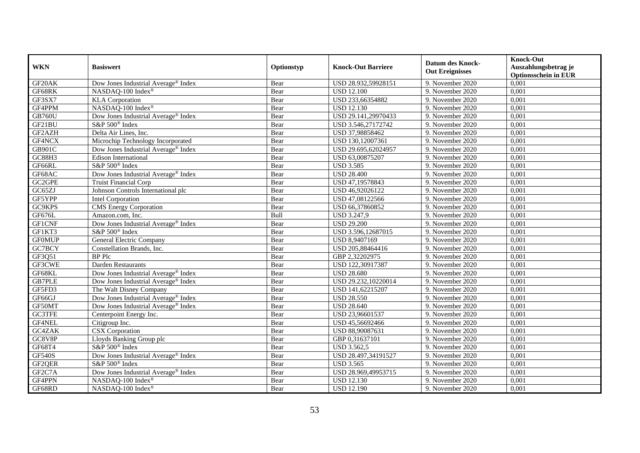|               | <b>Basiswert</b>                                | Optionstyp | <b>Knock-Out Barriere</b> | <b>Datum des Knock-</b> | <b>Knock-Out</b>                                    |
|---------------|-------------------------------------------------|------------|---------------------------|-------------------------|-----------------------------------------------------|
| <b>WKN</b>    |                                                 |            |                           | <b>Out Ereignisses</b>  | Auszahlungsbetrag je<br><b>Optionsschein in EUR</b> |
| GF20AK        | Dow Jones Industrial Average® Index             | Bear       | USD 28.932,59928151       | 9. November 2020        | 0,001                                               |
| GF68RK        | NASDAQ-100 Index®                               | Bear       | <b>USD 12.100</b>         | 9. November 2020        | 0,001                                               |
| GF3SX7        | <b>KLA</b> Corporation                          | Bear       | USD 233,66354882          | 9. November 2020        | 0,001                                               |
| GF4PPM        | NASDAQ-100 Index®                               | Bear       | <b>USD 12.130</b>         | 9. November 2020        | 0,001                                               |
| <b>GB760U</b> | Dow Jones Industrial Average <sup>®</sup> Index | Bear       | USD 29.141,29970433       | 9. November 2020        | 0,001                                               |
| GF21BU        | S&P 500 <sup>®</sup> Index                      | Bear       | USD 3.546,27172742        | 9. November 2020        | 0,001                                               |
| GF2AZH        | Delta Air Lines, Inc.                           | Bear       | USD 37,98858462           | 9. November 2020        | 0,001                                               |
| GF4NCX        | Microchip Technology Incorporated               | Bear       | USD 130,12007361          | 9. November 2020        | 0,001                                               |
| GB901C        | Dow Jones Industrial Average® Index             | Bear       | USD 29.695,62024957       | 9. November 2020        | 0,001                                               |
| GC88H3        | <b>Edison International</b>                     | Bear       | USD 63,00875207           | 9. November 2020        | 0,001                                               |
| GF66RL        | S&P 500 <sup>®</sup> Index                      | Bear       | <b>USD 3.585</b>          | 9. November 2020        | 0,001                                               |
| GF68AC        | Dow Jones Industrial Average® Index             | Bear       | <b>USD 28.400</b>         | 9. November 2020        | 0,001                                               |
| GC2GPE        | <b>Truist Financial Corp</b>                    | Bear       | USD 47,19578843           | 9. November 2020        | 0,001                                               |
| GC65ZJ        | Johnson Controls International plc              | Bear       | USD 46,92026122           | 9. November 2020        | 0,001                                               |
| GF5YPP        | Intel Corporation                               | Bear       | USD 47,08122566           | 9. November 2020        | 0,001                                               |
| GC9KPS        | <b>CMS</b> Energy Corporation                   | Bear       | USD 66,37860852           | 9. November 2020        | 0,001                                               |
| GF676L        | Amazon.com. Inc.                                | Bull       | USD 3.247,9               | 9. November 2020        | 0,001                                               |
| <b>GF1CNF</b> | Dow Jones Industrial Average® Index             | Bear       | <b>USD 29.200</b>         | 9. November 2020        | 0,001                                               |
| GF1KT3        | S&P 500 <sup>®</sup> Index                      | Bear       | USD 3.596,12687015        | 9. November 2020        | 0,001                                               |
| <b>GF0MUP</b> | General Electric Company                        | Bear       | USD 8,9407169             | 9. November 2020        | 0,001                                               |
| GC7BCY        | Constellation Brands, Inc.                      | Bear       | USD 205,88464416          | 9. November 2020        | 0,001                                               |
| GF3Q51        | BP Plc                                          | Bear       | GBP 2,32202975            | 9. November 2020        | 0,001                                               |
| GF3CWE        | Darden Restaurants                              | Bear       | USD 122,30917387          | 9. November 2020        | 0,001                                               |
| GF68KL        | Dow Jones Industrial Average® Index             | Bear       | <b>USD 28.680</b>         | 9. November 2020        | 0,001                                               |
| <b>GB7PLE</b> | Dow Jones Industrial Average <sup>®</sup> Index | Bear       | USD 29.232,10220014       | 9. November 2020        | 0,001                                               |
| GF5FD3        | The Walt Disney Company                         | Bear       | USD 141,62215207          | 9. November 2020        | 0,001                                               |
| GF66GJ        | Dow Jones Industrial Average <sup>®</sup> Index | Bear       | <b>USD 28.550</b>         | 9. November 2020        | 0,001                                               |
| GF50MT        | Dow Jones Industrial Average® Index             | Bear       | <b>USD 28.640</b>         | 9. November 2020        | 0,001                                               |
| <b>GC3TFE</b> | Centerpoint Energy Inc.                         | Bear       | USD 23,96601537           | 9. November 2020        | 0,001                                               |
| GF4NEL        | Citigroup Inc.                                  | Bear       | USD 45,56692466           | 9. November 2020        | 0,001                                               |
| GC4ZAK        | <b>CSX</b> Corporation                          | Bear       | USD 88,90087631           | 9. November 2020        | 0,001                                               |
| GC8V8P        | Lloyds Banking Group plc                        | Bear       | GBP 0,31637101            | 9. November 2020        | 0,001                                               |
| GF68T4        | S&P 500 <sup>®</sup> Index                      | Bear       | <b>USD 3.562,5</b>        | 9. November 2020        | 0,001                                               |
| <b>GF540S</b> | Dow Jones Industrial Average® Index             | Bear       | USD 28.497,34191527       | 9. November 2020        | 0,001                                               |
| GF2QER        | S&P 500 <sup>®</sup> Index                      | Bear       | <b>USD 3.565</b>          | 9. November 2020        | 0,001                                               |
| GF2C7A        | Dow Jones Industrial Average® Index             | Bear       | USD 28.969,49953715       | 9. November 2020        | 0,001                                               |
| GF4PPN        | NASDAQ-100 Index®                               | Bear       | <b>USD 12.130</b>         | 9. November 2020        | 0,001                                               |
| GF68RD        | NASDAQ-100 Index®                               | Bear       | <b>USD 12.190</b>         | 9. November 2020        | 0,001                                               |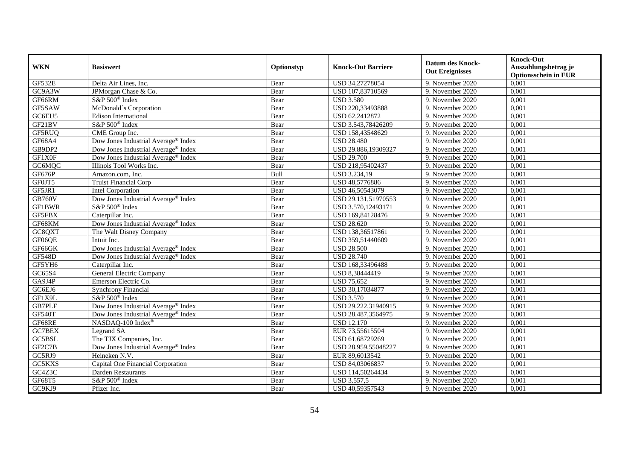| <b>WKN</b>    | <b>Basiswert</b>                                | Optionstyp | <b>Knock-Out Barriere</b> | <b>Datum des Knock-</b><br><b>Out Ereignisses</b> | <b>Knock-Out</b><br>Auszahlungsbetrag je<br><b>Optionsschein in EUR</b> |
|---------------|-------------------------------------------------|------------|---------------------------|---------------------------------------------------|-------------------------------------------------------------------------|
| GF532E        | Delta Air Lines, Inc.                           | Bear       | USD 34,27278054           | 9. November 2020                                  | 0,001                                                                   |
| GC9A3W        | JPMorgan Chase & Co.                            | Bear       | USD 107,83710569          | 9. November 2020                                  | 0,001                                                                   |
| GF66RM        | S&P 500 <sup>®</sup> Index                      | Bear       | <b>USD 3.580</b>          | 9. November 2020                                  | 0,001                                                                   |
| GF5SAW        | McDonald's Corporation                          | Bear       | USD 220,33493888          | 9. November 2020                                  | 0,001                                                                   |
| GC6EU5        | <b>Edison International</b>                     | Bear       | USD 62,2412872            | 9. November 2020                                  | 0,001                                                                   |
| GF21BV        | S&P 500 <sup>®</sup> Index                      | Bear       | USD 3.543,78426209        | 9. November 2020                                  | 0,001                                                                   |
| GF5RUQ        | CME Group Inc.                                  | Bear       | USD 158,43548629          | 9. November 2020                                  | 0,001                                                                   |
| GF68A4        | Dow Jones Industrial Average <sup>®</sup> Index | Bear       | <b>USD 28.480</b>         | 9. November 2020                                  | 0,001                                                                   |
| GB9DP2        | Dow Jones Industrial Average® Index             | Bear       | USD 29.886,19309327       | 9. November 2020                                  | 0,001                                                                   |
| GF1X0F        | Dow Jones Industrial Average® Index             | Bear       | <b>USD 29.700</b>         | 9. November 2020                                  | 0,001                                                                   |
| GC6MQC        | Illinois Tool Works Inc.                        | Bear       | USD 218,95402437          | 9. November 2020                                  | 0,001                                                                   |
| GF676P        | Amazon.com, Inc.                                | Bull       | USD 3.234,19              | 9. November 2020                                  | 0,001                                                                   |
| GF0JT5        | <b>Truist Financial Corp</b>                    | Bear       | USD 48,5776886            | 9. November 2020                                  | 0,001                                                                   |
| GF5JR1        | <b>Intel Corporation</b>                        | Bear       | USD 46,50543079           | 9. November 2020                                  | 0,001                                                                   |
| <b>GB760V</b> | Dow Jones Industrial Average® Index             | Bear       | USD 29.131,51970553       | 9. November 2020                                  | 0,001                                                                   |
| <b>GF1BWR</b> | S&P 500 <sup>®</sup> Index                      | Bear       | USD 3.570,12493171        | 9. November 2020                                  | 0,001                                                                   |
| GF5FBX        | Caterpillar Inc.                                | Bear       | USD 169,84128476          | 9. November 2020                                  | 0,001                                                                   |
| GF68KM        | Dow Jones Industrial Average® Index             | Bear       | <b>USD 28.620</b>         | 9. November 2020                                  | 0,001                                                                   |
| GC8QXT        | The Walt Disney Company                         | Bear       | USD 138,36517861          | 9. November 2020                                  | 0,001                                                                   |
| GF06QE        | Intuit Inc.                                     | Bear       | USD 359,51440609          | 9. November 2020                                  | 0,001                                                                   |
| GF66GK        | Dow Jones Industrial Average® Index             | Bear       | <b>USD 28.500</b>         | 9. November 2020                                  | 0,001                                                                   |
| <b>GF548D</b> | Dow Jones Industrial Average® Index             | Bear       | <b>USD 28.740</b>         | 9. November 2020                                  | 0,001                                                                   |
| GF5YH6        | Caterpillar Inc.                                | Bear       | USD 168,33496488          | 9. November 2020                                  | 0,001                                                                   |
| GC65S4        | General Electric Company                        | Bear       | USD 8,38444419            | 9. November 2020                                  | 0,001                                                                   |
| GA9J4P        | Emerson Electric Co.                            | Bear       | <b>USD 75,652</b>         | 9. November 2020                                  | 0,001                                                                   |
| GC6EJ6        | <b>Synchrony Financial</b>                      | Bear       | USD 30,17034877           | 9. November 2020                                  | 0,001                                                                   |
| GF1X9L        | S&P 500 <sup>®</sup> Index                      | Bear       | <b>USD 3.570</b>          | 9. November 2020                                  | 0,001                                                                   |
| GB7PLF        | Dow Jones Industrial Average® Index             | Bear       | USD 29.222,31940915       | 9. November 2020                                  | 0,001                                                                   |
| <b>GF540T</b> | Dow Jones Industrial Average® Index             | Bear       | USD 28.487,3564975        | 9. November 2020                                  | 0,001                                                                   |
| GF68RE        | NASDAQ-100 Index®                               | Bear       | <b>USD 12.170</b>         | 9. November 2020                                  | 0.001                                                                   |
| <b>GC7BEX</b> | Legrand SA                                      | Bear       | EUR 73,55615504           | 9. November 2020                                  | 0,001                                                                   |
| GC5BSL        | The TJX Companies, Inc.                         | Bear       | USD 61,68729269           | 9. November 2020                                  | 0,001                                                                   |
| GF2C7B        | Dow Jones Industrial Average® Index             | Bear       | USD 28.959,55048227       | 9. November 2020                                  | 0,001                                                                   |
| GC5RJ9        | Heineken N.V.                                   | Bear       | EUR 89,6013542            | 9. November 2020                                  | 0,001                                                                   |
| GC5KXS        | Capital One Financial Corporation               | Bear       | USD 84,03066837           | 9. November 2020                                  | 0,001                                                                   |
| GC4Z3C        | Darden Restaurants                              | Bear       | USD 114,50264434          | 9. November 2020                                  | 0,001                                                                   |
| GF68T5        | S&P 500 <sup>®</sup> Index                      | Bear       | <b>USD 3.557,5</b>        | 9. November 2020                                  | 0,001                                                                   |
| GC9KJ9        | Pfizer Inc.                                     | Bear       | USD 40,59357543           | 9. November 2020                                  | 0,001                                                                   |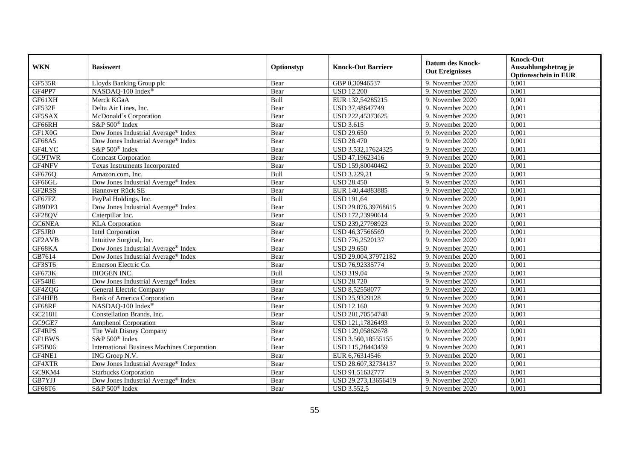| <b>WKN</b>    | <b>Basiswert</b>                                   | Optionstyp | <b>Knock-Out Barriere</b> | <b>Datum des Knock-</b><br><b>Out Ereignisses</b> | <b>Knock-Out</b><br>Auszahlungsbetrag je<br><b>Optionsschein in EUR</b> |
|---------------|----------------------------------------------------|------------|---------------------------|---------------------------------------------------|-------------------------------------------------------------------------|
| GF535R        | Lloyds Banking Group plc                           | Bear       | GBP 0,30946537            | 9. November 2020                                  | 0,001                                                                   |
| GF4PP7        | NASDAQ-100 Index®                                  | Bear       | <b>USD 12.200</b>         | 9. November 2020                                  | 0,001                                                                   |
| GF61XH        | Merck KGaA                                         | Bull       | EUR 132,54285215          | 9. November 2020                                  | 0,001                                                                   |
| GF532F        | Delta Air Lines, Inc.                              | Bear       | USD 37,48647749           | 9. November 2020                                  | 0,001                                                                   |
| GF5SAX        | McDonald's Corporation                             | Bear       | USD 222,45373625          | 9. November 2020                                  | 0,001                                                                   |
| GF66RH        | S&P 500 <sup>®</sup> Index                         | Bear       | <b>USD 3.615</b>          | 9. November 2020                                  | 0,001                                                                   |
| GF1X0G        | Dow Jones Industrial Average® Index                | Bear       | <b>USD 29.650</b>         | 9. November 2020                                  | 0,001                                                                   |
| GF68A5        | Dow Jones Industrial Average® Index                | Bear       | <b>USD 28.470</b>         | 9. November 2020                                  | 0,001                                                                   |
| GF4LYC        | S&P 500 <sup>®</sup> Index                         | Bear       | USD 3.532,17624325        | 9. November 2020                                  | 0,001                                                                   |
| <b>GC9TWR</b> | <b>Comcast Corporation</b>                         | Bear       | USD 47,19623416           | 9. November 2020                                  | 0,001                                                                   |
| GF4NFV        | Texas Instruments Incorporated                     | Bear       | USD 159,80040462          | 9. November 2020                                  | 0,001                                                                   |
| GF676Q        | Amazon.com, Inc.                                   | Bull       | USD 3.229,21              | 9. November 2020                                  | 0,001                                                                   |
| GF66GL        | Dow Jones Industrial Average® Index                | Bear       | <b>USD 28.450</b>         | 9. November 2020                                  | 0,001                                                                   |
| GF2RSS        | Hannover Rück SE                                   | Bear       | EUR 140,44883885          | 9. November 2020                                  | 0,001                                                                   |
| GF67FZ        | PayPal Holdings, Inc.                              | Bull       | <b>USD 191,64</b>         | 9. November 2020                                  | 0,001                                                                   |
| GB9DP3        | Dow Jones Industrial Average® Index                | Bear       | USD 29.876,39768615       | 9. November 2020                                  | 0,001                                                                   |
| GF28QV        | Caterpillar Inc.                                   | Bear       | USD 172,23990614          | 9. November 2020                                  | 0,001                                                                   |
| GC6NEA        | <b>KLA</b> Corporation                             | Bear       | USD 239,27798923          | 9. November 2020                                  | 0,001                                                                   |
| GF5JR0        | Intel Corporation                                  | Bear       | USD 46,37566569           | 9. November 2020                                  | 0,001                                                                   |
| GF2AVB        | Intuitive Surgical, Inc.                           | Bear       | USD 776,2520137           | 9. November 2020                                  | 0,001                                                                   |
| GF68KA        | Dow Jones Industrial Average <sup>®</sup> Index    | Bear       | <b>USD 29.650</b>         | 9. November 2020                                  | 0,001                                                                   |
| GB7614        | Dow Jones Industrial Average® Index                | Bear       | USD 29.004,37972182       | 9. November 2020                                  | 0,001                                                                   |
| GF3ST6        | Emerson Electric Co.                               | Bear       | USD 76,92335774           | 9. November 2020                                  | 0,001                                                                   |
| GF673K        | <b>BIOGEN INC.</b>                                 | Bull       | <b>USD 319,04</b>         | 9. November 2020                                  | 0,001                                                                   |
| <b>GF548E</b> | Dow Jones Industrial Average® Index                | Bear       | <b>USD 28.720</b>         | 9. November 2020                                  | 0,001                                                                   |
| GF4ZQG        | General Electric Company                           | Bear       | USD 8,52558077            | 9. November 2020                                  | 0,001                                                                   |
| GF4HFB        | <b>Bank of America Corporation</b>                 | Bear       | USD 25,9329128            | 9. November 2020                                  | 0,001                                                                   |
| GF68RF        | NASDAQ-100 Index®                                  | Bear       | <b>USD 12.160</b>         | 9. November 2020                                  | 0,001                                                                   |
| GC218H        | Constellation Brands, Inc.                         | Bear       | USD 201,70554748          | 9. November 2020                                  | 0,001                                                                   |
| GC9GE7        | <b>Amphenol Corporation</b>                        | Bear       | USD 121,17826493          | 9. November 2020                                  | 0,001                                                                   |
| GF4RPS        | The Walt Disney Company                            | Bear       | USD 129,05862678          | 9. November 2020                                  | 0,001                                                                   |
| <b>GF1BWS</b> | S&P 500 <sup>®</sup> Index                         | Bear       | USD 3.560,18555155        | 9. November 2020                                  | 0,001                                                                   |
| <b>GF5B06</b> | <b>International Business Machines Corporation</b> | Bear       | USD 115,28443459          | 9. November 2020                                  | 0,001                                                                   |
| GF4NE1        | ING Groep N.V.                                     | Bear       | EUR 6,76314546            | 9. November 2020                                  | 0,001                                                                   |
| GF4XTR        | Dow Jones Industrial Average® Index                | Bear       | USD 28.607,32734137       | 9. November 2020                                  | 0,001                                                                   |
| GC9KM4        | <b>Starbucks Corporation</b>                       | Bear       | USD 91,51632777           | 9. November 2020                                  | 0,001                                                                   |
| GB7YJJ        | Dow Jones Industrial Average <sup>®</sup> Index    | Bear       | USD 29.273,13656419       | 9. November 2020                                  | 0,001                                                                   |
| GF68T6        | S&P 500 <sup>®</sup> Index                         | Bear       | <b>USD 3.552,5</b>        | 9. November 2020                                  | 0,001                                                                   |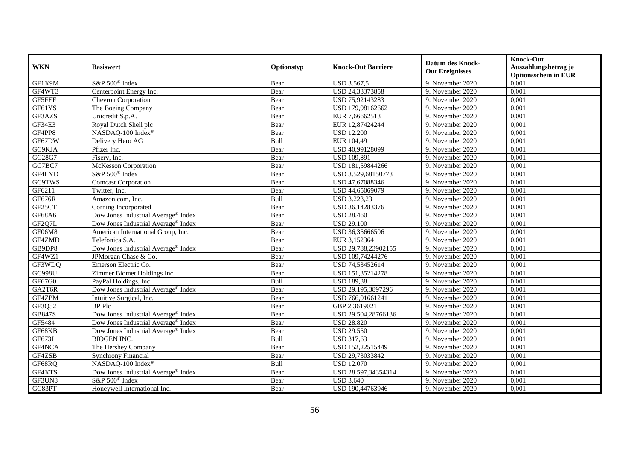| <b>WKN</b>    | <b>Basiswert</b>                                | Optionstyp | <b>Knock-Out Barriere</b> | <b>Datum des Knock-</b><br><b>Out Ereignisses</b> | <b>Knock-Out</b><br>Auszahlungsbetrag je<br><b>Optionsschein in EUR</b> |
|---------------|-------------------------------------------------|------------|---------------------------|---------------------------------------------------|-------------------------------------------------------------------------|
| GF1X9M        | S&P 500 <sup>®</sup> Index                      | Bear       | <b>USD 3.567,5</b>        | 9. November 2020                                  | 0,001                                                                   |
| GF4WT3        | Centerpoint Energy Inc.                         | Bear       | USD 24,33373858           | 9. November 2020                                  | 0,001                                                                   |
| GF5FEF        | Chevron Corporation                             | Bear       | USD 75,92143283           | 9. November 2020                                  | 0,001                                                                   |
| GF61YS        | The Boeing Company                              | Bear       | USD 179,98162662          | 9. November 2020                                  | 0,001                                                                   |
| GF3AZS        | Unicredit S.p.A.                                | Bear       | EUR 7,66662513            | 9. November 2020                                  | 0,001                                                                   |
| <b>GF34E3</b> | Royal Dutch Shell plc                           | Bear       | EUR 12,87424244           | 9. November 2020                                  | 0,001                                                                   |
| GF4PP8        | NASDAQ-100 Index®                               | Bear       | <b>USD 12.200</b>         | 9. November 2020                                  | 0,001                                                                   |
| GF67DW        | Delivery Hero AG                                | Bull       | EUR 104,49                | 9. November 2020                                  | 0,001                                                                   |
| GC9KJA        | Pfizer Inc.                                     | Bear       | USD 40,99128099           | 9. November 2020                                  | 0,001                                                                   |
| GC28G7        | Fiserv, Inc.                                    | Bear       | <b>USD 109,891</b>        | 9. November 2020                                  | 0,001                                                                   |
| GC7BC7        | McKesson Corporation                            | Bear       | USD 181,59844266          | 9. November 2020                                  | 0,001                                                                   |
| GF4LYD        | S&P 500 <sup>®</sup> Index                      | Bear       | USD 3.529,68150773        | 9. November 2020                                  | 0,001                                                                   |
| <b>GC9TWS</b> | Comcast Corporation                             | Bear       | USD 47,67088346           | 9. November 2020                                  | 0,001                                                                   |
| GF6211        | Twitter, Inc.                                   | Bear       | USD 44,65069079           | 9. November 2020                                  | 0,001                                                                   |
| GF676R        | Amazon.com, Inc.                                | Bull       | <b>USD 3.223,23</b>       | 9. November 2020                                  | 0,001                                                                   |
| GF25CT        | Corning Incorporated                            | Bear       | USD 36,14283376           | 9. November 2020                                  | 0,001                                                                   |
| GF68A6        | Dow Jones Industrial Average® Index             | Bear       | <b>USD 28.460</b>         | 9. November 2020                                  | 0,001                                                                   |
| GF2Q7L        | Dow Jones Industrial Average® Index             | Bear       | <b>USD 29.100</b>         | 9. November 2020                                  | 0,001                                                                   |
| GF06M8        | American International Group, Inc.              | Bear       | USD 36,35666506           | 9. November 2020                                  | 0,001                                                                   |
| GF4ZMD        | Telefonica S.A.                                 | Bear       | EUR 3,152364              | 9. November 2020                                  | 0,001                                                                   |
| GB9DP8        | Dow Jones Industrial Average® Index             | Bear       | USD 29.788,23902155       | 9. November 2020                                  | 0,001                                                                   |
| GF4WZ1        | JPMorgan Chase & Co.                            | Bear       | USD 109,74244276          | 9. November 2020                                  | 0,001                                                                   |
| GF3WDQ        | Emerson Electric Co.                            | Bear       | USD 74,53452614           | 9. November 2020                                  | 0,001                                                                   |
| <b>GC998U</b> | Zimmer Biomet Holdings Inc                      | Bear       | USD 151,35214278          | 9. November 2020                                  | 0,001                                                                   |
| GF67G0        | PayPal Holdings, Inc.                           | Bull       | <b>USD 189,38</b>         | 9. November 2020                                  | 0,001                                                                   |
| GA2T6R        | Dow Jones Industrial Average® Index             | Bear       | USD 29.195,3897296        | 9. November 2020                                  | 0,001                                                                   |
| GF4ZPM        | Intuitive Surgical, Inc.                        | Bear       | USD 766,01661241          | 9. November 2020                                  | 0,001                                                                   |
| GF3Q52        | <b>BP</b> Plc                                   | Bear       | GBP 2,3619021             | 9. November 2020                                  | 0,001                                                                   |
| GB847S        | Dow Jones Industrial Average® Index             | Bear       | USD 29.504,28766136       | 9. November 2020                                  | 0,001                                                                   |
| GF5484        | Dow Jones Industrial Average <sup>®</sup> Index | Bear       | <b>USD 28.820</b>         | 9. November 2020                                  | 0,001                                                                   |
| GF68KB        | Dow Jones Industrial Average® Index             | Bear       | <b>USD 29.550</b>         | 9. November 2020                                  | 0,001                                                                   |
| GF673L        | <b>BIOGEN INC.</b>                              | Bull       | USD 317,63                | 9. November 2020                                  | 0,001                                                                   |
| GF4NCA        | The Hershey Company                             | Bear       | USD 152,22515449          | 9. November 2020                                  | 0,001                                                                   |
| GF4ZSB        | <b>Synchrony Financial</b>                      | Bear       | USD 29,73033842           | 9. November 2020                                  | 0,001                                                                   |
| GF68RQ        | NASDAQ-100 Index®                               | Bull       | <b>USD 12.070</b>         | 9. November 2020                                  | 0,001                                                                   |
| GF4XTS        | Dow Jones Industrial Average® Index             | Bear       | USD 28.597,34354314       | 9. November 2020                                  | 0,001                                                                   |
| GF3UN8        | S&P 500 <sup>®</sup> Index                      | Bear       | <b>USD 3.640</b>          | 9. November 2020                                  | 0,001                                                                   |
| GC83PT        | Honeywell International Inc.                    | Bear       | USD 190,44763946          | 9. November 2020                                  | 0,001                                                                   |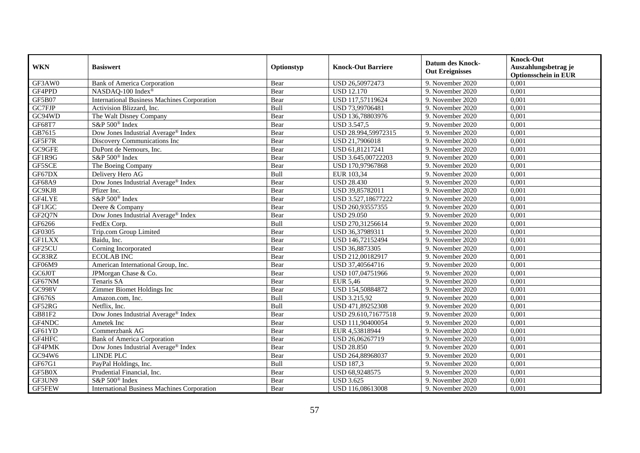| <b>WKN</b>    | <b>Basiswert</b>                                   | Optionstyp | <b>Knock-Out Barriere</b> | <b>Datum des Knock-</b><br><b>Out Ereignisses</b> | <b>Knock-Out</b><br>Auszahlungsbetrag je<br><b>Optionsschein in EUR</b> |
|---------------|----------------------------------------------------|------------|---------------------------|---------------------------------------------------|-------------------------------------------------------------------------|
| GF3AW0        | <b>Bank of America Corporation</b>                 | Bear       | USD 26,50972473           | 9. November 2020                                  | 0,001                                                                   |
| GF4PPD        | NASDAQ-100 Index®                                  | Bear       | <b>USD 12.170</b>         | 9. November 2020                                  | 0,001                                                                   |
| GF5B07        | <b>International Business Machines Corporation</b> | Bear       | USD 117,57119624          | 9. November 2020                                  | 0,001                                                                   |
| GC7FJP        | Activision Blizzard, Inc.                          | Bull       | USD 73,99706481           | 9. November 2020                                  | 0,001                                                                   |
| GC94WD        | The Walt Disney Company                            | Bear       | USD 136,78803976          | 9. November 2020                                  | 0,001                                                                   |
| GF68T7        | S&P 500 <sup>®</sup> Index                         | Bear       | <b>USD 3.547,5</b>        | 9. November 2020                                  | 0,001                                                                   |
| GB7615        | Dow Jones Industrial Average® Index                | Bear       | USD 28.994,59972315       | 9. November 2020                                  | 0,001                                                                   |
| GF5F7R        | Discovery Communications Inc                       | Bear       | USD 21,7906018            | 9. November 2020                                  | 0,001                                                                   |
| GC9GFE        | DuPont de Nemours, Inc.                            | Bear       | USD 61,81217241           | 9. November 2020                                  | 0,001                                                                   |
| GF1R9G        | S&P 500 <sup>®</sup> Index                         | Bear       | USD 3.645,00722203        | 9. November 2020                                  | 0,001                                                                   |
| GF5SCE        | The Boeing Company                                 | Bear       | USD 170,97967868          | 9. November 2020                                  | 0,001                                                                   |
| GF67DX        | Delivery Hero AG                                   | Bull       | EUR 103,34                | 9. November 2020                                  | 0,001                                                                   |
| GF68A9        | Dow Jones Industrial Average® Index                | Bear       | <b>USD 28.430</b>         | 9. November 2020                                  | 0,001                                                                   |
| GC9KJ8        | Pfizer Inc.                                        | Bear       | USD 39,85782011           | 9. November 2020                                  | 0,001                                                                   |
| GF4LYE        | S&P 500 <sup>®</sup> Index                         | Bear       | USD 3.527,18677222        | 9. November 2020                                  | 0,001                                                                   |
| GF1JGC        | Deere & Company                                    | Bear       | USD 260,93557355          | 9. November 2020                                  | 0,001                                                                   |
| GF2Q7N        | Dow Jones Industrial Average® Index                | Bear       | <b>USD 29.050</b>         | 9. November 2020                                  | 0,001                                                                   |
| GF6266        | FedEx Corp.                                        | Bull       | USD 270,31256614          | 9. November 2020                                  | 0,001                                                                   |
| GF0305        | Trip.com Group Limited                             | Bear       | USD 36,37989311           | 9. November 2020                                  | 0,001                                                                   |
| <b>GF1LXX</b> | Baidu, Inc.                                        | Bear       | USD 146,72152494          | 9. November 2020                                  | 0,001                                                                   |
| GF25CU        | Corning Incorporated                               | Bear       | USD 36,8873305            | 9. November 2020                                  | 0,001                                                                   |
| GC83RZ        | <b>ECOLAB INC</b>                                  | Bear       | USD 212,00182917          | 9. November 2020                                  | 0,001                                                                   |
| GF06M9        | American International Group, Inc.                 | Bear       | USD 37,40564716           | 9. November 2020                                  | 0,001                                                                   |
| GC6J0T        | JPMorgan Chase & Co.                               | Bear       | USD 107,04751966          | 9. November 2020                                  | 0,001                                                                   |
| GF67NM        | Tenaris SA                                         | Bear       | <b>EUR 5,46</b>           | 9. November 2020                                  | 0,001                                                                   |
| <b>GC998V</b> | Zimmer Biomet Holdings Inc                         | Bear       | USD 154,50884872          | 9. November 2020                                  | 0,001                                                                   |
| <b>GF676S</b> | Amazon.com, Inc.                                   | Bull       | USD 3.215,92              | 9. November 2020                                  | 0,001                                                                   |
| GF52RG        | Netflix, Inc.                                      | Bull       | USD 471,89252308          | 9. November 2020                                  | 0,001                                                                   |
| GB81F2        | Dow Jones Industrial Average® Index                | Bear       | USD 29.610,71677518       | 9. November 2020                                  | 0,001                                                                   |
| GF4NDC        | Ametek Inc                                         | Bear       | USD 111.90400054          | 9. November 2020                                  | 0.001                                                                   |
| GF61YD        | Commerzbank AG                                     | Bear       | EUR 4,53818944            | 9. November 2020                                  | 0,001                                                                   |
| GF4HFC        | <b>Bank of America Corporation</b>                 | Bear       | USD 26,06267719           | 9. November 2020                                  | 0,001                                                                   |
| GF4PMK        | Dow Jones Industrial Average® Index                | Bear       | <b>USD 28.850</b>         | 9. November 2020                                  | 0,001                                                                   |
| GC94W6        | <b>LINDE PLC</b>                                   | Bear       | USD 264,88968037          | 9. November 2020                                  | 0,001                                                                   |
| GF67G1        | PayPal Holdings, Inc.                              | Bull       | <b>USD 187,3</b>          | 9. November 2020                                  | 0,001                                                                   |
| GF5B0X        | Prudential Financial, Inc.                         | Bear       | USD 68,9248575            | 9. November 2020                                  | 0,001                                                                   |
| GF3UN9        | S&P 500 <sup>®</sup> Index                         | Bear       | <b>USD 3.625</b>          | 9. November 2020                                  | 0,001                                                                   |
| GF5FEW        | <b>International Business Machines Corporation</b> | Bear       | USD 116,08613008          | 9. November 2020                                  | 0,001                                                                   |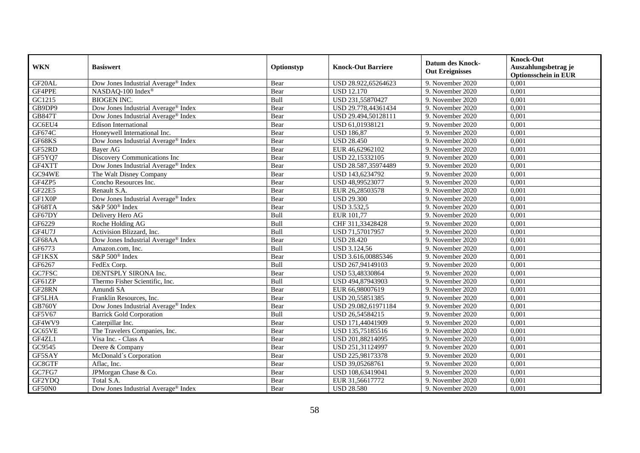| <b>WKN</b>    | <b>Basiswert</b>                                | Optionstyp | <b>Knock-Out Barriere</b> | <b>Datum des Knock-</b><br><b>Out Ereignisses</b> | <b>Knock-Out</b><br>Auszahlungsbetrag je<br><b>Optionsschein in EUR</b> |
|---------------|-------------------------------------------------|------------|---------------------------|---------------------------------------------------|-------------------------------------------------------------------------|
| GF20AL        | Dow Jones Industrial Average® Index             | Bear       | USD 28.922,65264623       | 9. November 2020                                  | 0,001                                                                   |
| GF4PPE        | NASDAQ-100 Index®                               | Bear       | <b>USD 12.170</b>         | 9. November 2020                                  | 0,001                                                                   |
| GC1215        | <b>BIOGEN INC.</b>                              | Bull       | USD 231,55870427          | 9. November 2020                                  | 0,001                                                                   |
| GB9DP9        | Dow Jones Industrial Average® Index             | Bear       | USD 29.778,44361434       | 9. November 2020                                  | 0,001                                                                   |
| <b>GB847T</b> | Dow Jones Industrial Average® Index             | Bear       | USD 29.494,50128111       | 9. November 2020                                  | 0,001                                                                   |
| G C6EU4       | <b>Edison International</b>                     | Bear       | USD 61,01938121           | 9. November 2020                                  | 0,001                                                                   |
| GF674C        | Honeywell International Inc.                    | Bear       | <b>USD 186,87</b>         | 9. November 2020                                  | 0,001                                                                   |
| GF68KS        | Dow Jones Industrial Average <sup>®</sup> Index | Bear       | <b>USD 28.450</b>         | 9. November 2020                                  | 0,001                                                                   |
| GF52RD        | <b>Baver AG</b>                                 | Bear       | EUR 46,62962102           | 9. November 2020                                  | 0,001                                                                   |
| GF5YQ7        | Discovery Communications Inc                    | Bear       | USD 22,15332105           | 9. November 2020                                  | 0,001                                                                   |
| GF4XTT        | Dow Jones Industrial Average® Index             | Bear       | USD 28.587,35974489       | 9. November 2020                                  | 0,001                                                                   |
| GC94WE        | The Walt Disney Company                         | Bear       | USD 143,6234792           | 9. November 2020                                  | 0,001                                                                   |
| GF4ZP5        | Concho Resources Inc.                           | Bear       | USD 48,99523077           | 9. November 2020                                  | 0,001                                                                   |
| GF22E5        | Renault S.A.                                    | Bear       | EUR 26,28503578           | 9. November 2020                                  | 0,001                                                                   |
| GF1X0P        | Dow Jones Industrial Average® Index             | Bear       | <b>USD 29.300</b>         | 9. November 2020                                  | 0,001                                                                   |
| GF68TA        | S&P 500 <sup>®</sup> Index                      | Bear       | <b>USD 3.532,5</b>        | 9. November 2020                                  | 0,001                                                                   |
| GF67DY        | Delivery Hero AG                                | Bull       | EUR 101,77                | 9. November 2020                                  | 0,001                                                                   |
| GF6229        | Roche Holding AG                                | Bull       | CHF 311,33428428          | 9. November 2020                                  | 0,001                                                                   |
| GF4U7J        | Activision Blizzard, Inc.                       | Bull       | USD 71,57017957           | 9. November 2020                                  | 0,001                                                                   |
| GF68AA        | Dow Jones Industrial Average® Index             | Bear       | <b>USD 28.420</b>         | 9. November 2020                                  | 0,001                                                                   |
| GF6773        | Amazon.com, Inc.                                | Bull       | USD 3.124,56              | 9. November 2020                                  | 0,001                                                                   |
| <b>GF1KSX</b> | S&P 500 <sup>®</sup> Index                      | Bear       | USD 3.616,00885346        | 9. November 2020                                  | 0,001                                                                   |
| GF6267        | FedEx Corp.                                     | Bull       | USD 267,94149103          | 9. November 2020                                  | 0,001                                                                   |
| GC7FSC        | DENTSPLY SIRONA Inc.                            | Bear       | USD 53,48330864           | 9. November 2020                                  | 0,001                                                                   |
| GF61ZP        | Thermo Fisher Scientific, Inc.                  | Bull       | USD 494,87943903          | 9. November 2020                                  | 0,001                                                                   |
| GF28RN        | Amundi SA                                       | Bear       | EUR 66,98007619           | 9. November 2020                                  | 0,001                                                                   |
| GF5LHA        | Franklin Resources, Inc.                        | Bear       | USD 20,55851385           | 9. November 2020                                  | 0,001                                                                   |
| <b>GB760Y</b> | Dow Jones Industrial Average® Index             | Bear       | USD 29.082,61971184       | 9. November 2020                                  | 0,001                                                                   |
| GF5V67        | <b>Barrick Gold Corporation</b>                 | Bull       | USD 26,54584215           | 9. November 2020                                  | 0,001                                                                   |
| GF4WV9        | Caterpillar Inc.                                | Bear       | USD 171,44041909          | 9. November 2020                                  | 0.001                                                                   |
| GC65VE        | The Travelers Companies, Inc.                   | Bear       | USD 135,75185516          | 9. November 2020                                  | 0,001                                                                   |
| GF4ZL1        | Visa Inc. - Class A                             | Bear       | USD 201,88214095          | 9. November 2020                                  | 0,001                                                                   |
| GC9545        | Deere & Company                                 | Bear       | USD 251,31124997          | 9. November 2020                                  | 0,001                                                                   |
| GF5SAY        | McDonald's Corporation                          | Bear       | USD 225,98173378          | 9. November 2020                                  | 0,001                                                                   |
| GC8GTF        | Aflac, Inc.                                     | Bear       | USD 39,05268761           | 9. November 2020                                  | 0,001                                                                   |
| GC7FG7        | JPMorgan Chase & Co.                            | Bear       | USD 108,63419041          | 9. November 2020                                  | 0,001                                                                   |
| GF2YDQ        | Total S.A.                                      | Bear       | EUR 31,56617772           | 9. November 2020                                  | 0,001                                                                   |
| GF50N0        | Dow Jones Industrial Average® Index             | Bear       | <b>USD 28.580</b>         | 9. November 2020                                  | 0,001                                                                   |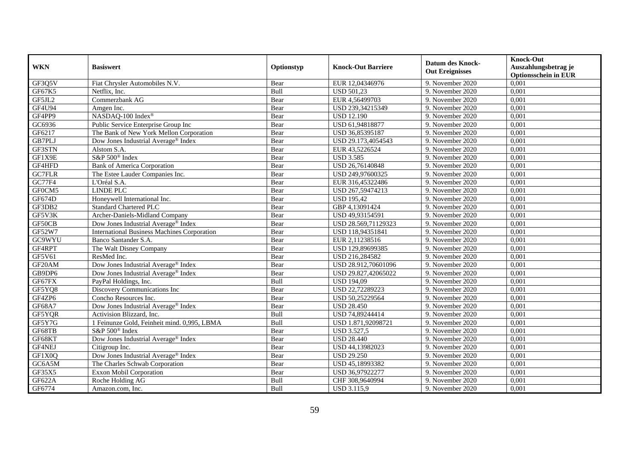| <b>WKN</b>    | <b>Basiswert</b>                                   | Optionstyp | <b>Knock-Out Barriere</b> | <b>Datum des Knock-</b><br><b>Out Ereignisses</b> | <b>Knock-Out</b><br>Auszahlungsbetrag je<br><b>Optionsschein in EUR</b> |
|---------------|----------------------------------------------------|------------|---------------------------|---------------------------------------------------|-------------------------------------------------------------------------|
| GF3Q5V        | Fiat Chrysler Automobiles N.V.                     | Bear       | EUR 12,04346976           | 9. November 2020                                  | 0,001                                                                   |
| GF67K5        | Netflix. Inc.                                      | Bull       | <b>USD 501,23</b>         | 9. November 2020                                  | 0,001                                                                   |
| GF5JL2        | Commerzbank AG                                     | Bear       | EUR 4,56499703            | 9. November 2020                                  | 0,001                                                                   |
| <b>GF4U94</b> | Amgen Inc.                                         | Bear       | USD 239,34215349          | 9. November 2020                                  | 0,001                                                                   |
| GF4PP9        | NASDAQ-100 Index®                                  | Bear       | <b>USD 12.190</b>         | 9. November 2020                                  | 0,001                                                                   |
| GC6936        | Public Service Enterprise Group Inc                | Bear       | USD 61,94818877           | 9. November 2020                                  | 0,001                                                                   |
| GF6217        | The Bank of New York Mellon Corporation            | Bear       | USD 36,85395187           | 9. November 2020                                  | 0,001                                                                   |
| <b>GB7PLJ</b> | Dow Jones Industrial Average® Index                | Bear       | USD 29.173,4054543        | 9. November 2020                                  | 0,001                                                                   |
| GF3STN        | Alstom S.A.                                        | Bear       | EUR 43,5226524            | 9. November 2020                                  | 0,001                                                                   |
| GF1X9E        | S&P 500 <sup>®</sup> Index                         | Bear       | <b>USD 3.585</b>          | 9. November 2020                                  | 0,001                                                                   |
| GF4HFD        | <b>Bank of America Corporation</b>                 | Bear       | USD 26,76140848           | 9. November 2020                                  | 0,001                                                                   |
| <b>GC7FLR</b> | The Estee Lauder Companies Inc.                    | Bear       | USD 249,97600325          | 9. November 2020                                  | 0,001                                                                   |
| GC77F4        | L'Oréal S.A.                                       | Bear       | EUR 316,45322486          | 9. November 2020                                  | 0,001                                                                   |
| GF0CM5        | <b>LINDE PLC</b>                                   | Bear       | USD 267,59474213          | 9. November 2020                                  | 0,001                                                                   |
| GF674D        | Honeywell International Inc.                       | Bear       | <b>USD 195,42</b>         | 9. November 2020                                  | 0,001                                                                   |
| GF3DB2        | <b>Standard Chartered PLC</b>                      | Bear       | GBP 4,13091424            | 9. November 2020                                  | 0,001                                                                   |
| GF5V3K        | Archer-Daniels-Midland Company                     | Bear       | USD 49,93154591           | 9. November 2020                                  | 0,001                                                                   |
| GF50CB        | Dow Jones Industrial Average® Index                | Bear       | USD 28.569.71129323       | 9. November 2020                                  | 0,001                                                                   |
| GF52W7        | <b>International Business Machines Corporation</b> | Bear       | USD 118,94351841          | 9. November 2020                                  | 0,001                                                                   |
| GC9WYU        | Banco Santander S.A.                               | Bear       | EUR 2,11238516            | 9. November 2020                                  | 0,001                                                                   |
| GF4RPT        | The Walt Disney Company                            | Bear       | USD 129,89699385          | 9. November 2020                                  | 0,001                                                                   |
| GF5V61        | ResMed Inc.                                        | Bear       | USD 216,284582            | 9. November 2020                                  | 0,001                                                                   |
| GF20AM        | Dow Jones Industrial Average <sup>®</sup> Index    | Bear       | USD 28.912,70601096       | 9. November 2020                                  | 0,001                                                                   |
| GB9DP6        | Dow Jones Industrial Average® Index                | Bear       | USD 29.827,42065022       | 9. November 2020                                  | 0,001                                                                   |
| GF67FX        | PayPal Holdings, Inc.                              | Bull       | <b>USD 194,09</b>         | 9. November 2020                                  | 0,001                                                                   |
| GF5YQ8        | Discovery Communications Inc                       | Bear       | USD 22,72289223           | 9. November 2020                                  | 0,001                                                                   |
| GF4ZP6        | Concho Resources Inc.                              | Bear       | USD 50,25229564           | 9. November 2020                                  | 0,001                                                                   |
| GF68A7        | Dow Jones Industrial Average® Index                | Bear       | <b>USD 28.450</b>         | 9. November 2020                                  | 0,001                                                                   |
| GF5YQR        | Activision Blizzard, Inc.                          | Bull       | USD 74,89244414           | 9. November 2020                                  | 0,001                                                                   |
| GF5Y7G        | 1 Feinunze Gold, Feinheit mind. 0,995, LBMA        | Bull       | USD 1.871,92098721        | 9. November 2020                                  | 0,001                                                                   |
| GF68TB        | S&P 500 <sup>®</sup> Index                         | Bear       | <b>USD 3.527,5</b>        | 9. November 2020                                  | 0,001                                                                   |
| GF68KT        | Dow Jones Industrial Average® Index                | Bear       | <b>USD 28.440</b>         | 9. November 2020                                  | 0,001                                                                   |
| GF4NEJ        | Citigroup Inc.                                     | Bear       | USD 44,13982023           | 9. November 2020                                  | 0,001                                                                   |
| GF1X0Q        | Dow Jones Industrial Average® Index                | Bear       | <b>USD 29.250</b>         | 9. November 2020                                  | 0,001                                                                   |
| GC6A5M        | The Charles Schwab Corporation                     | Bear       | USD 45,18993382           | 9. November 2020                                  | 0,001                                                                   |
| GF35X5        | Exxon Mobil Corporation                            | Bear       | USD 36,97922277           | 9. November 2020                                  | 0,001                                                                   |
| GF622A        | Roche Holding AG                                   | Bull       | CHF 308,9640994           | 9. November 2020                                  | 0,001                                                                   |
| GF6774        | Amazon.com, Inc.                                   | Bull       | <b>USD 3.115,9</b>        | 9. November 2020                                  | 0,001                                                                   |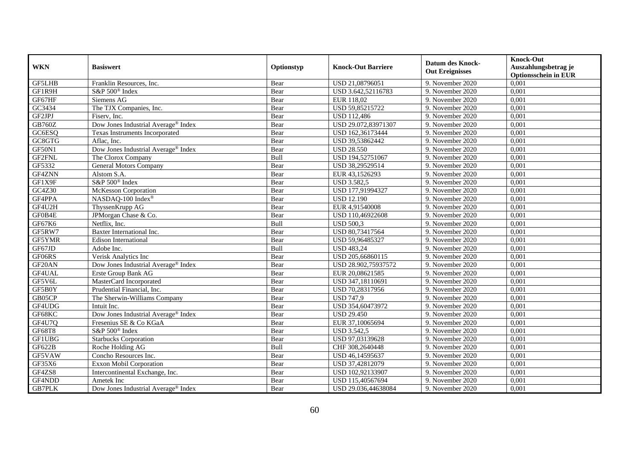| <b>WKN</b>          | <b>Basiswert</b>                                | Optionstyp | <b>Knock-Out Barriere</b> | <b>Datum des Knock-</b><br><b>Out Ereignisses</b> | <b>Knock-Out</b><br>Auszahlungsbetrag je<br><b>Optionsschein in EUR</b> |
|---------------------|-------------------------------------------------|------------|---------------------------|---------------------------------------------------|-------------------------------------------------------------------------|
| <b>GF5LHB</b>       | Franklin Resources, Inc.                        | Bear       | USD 21,08796051           | 9. November 2020                                  | 0,001                                                                   |
| GF1R9H              | S&P 500 <sup>®</sup> Index                      | Bear       | USD 3.642,52116783        | 9. November 2020                                  | 0,001                                                                   |
| GF67HF              | Siemens AG                                      | Bear       | EUR 118,02                | 9. November 2020                                  | 0,001                                                                   |
| GC3434              | The TJX Companies, Inc.                         | Bear       | USD 59,85215722           | 9. November 2020                                  | 0,001                                                                   |
| GF2JPJ              | Fiserv, Inc.                                    | Bear       | <b>USD 112,486</b>        | 9. November 2020                                  | 0,001                                                                   |
| GB760Z              | Dow Jones Industrial Average® Index             | Bear       | USD 29.072,83971307       | 9. November 2020                                  | 0,001                                                                   |
| GC6ESQ              | Texas Instruments Incorporated                  | Bear       | USD 162,36173444          | 9. November 2020                                  | 0,001                                                                   |
| GC8GTG              | Aflac, Inc.                                     | Bear       | USD 39,53862442           | 9. November 2020                                  | 0,001                                                                   |
| GF50N1              | Dow Jones Industrial Average <sup>®</sup> Index | Bear       | <b>USD 28.550</b>         | 9. November 2020                                  | 0,001                                                                   |
| GF2FNL              | The Clorox Company                              | Bull       | USD 194,52751067          | 9. November 2020                                  | 0,001                                                                   |
| GF5332              | General Motors Company                          | Bear       | USD 38,29529514           | 9. November 2020                                  | 0,001                                                                   |
| GF4ZNN              | Alstom S.A.                                     | Bear       | EUR 43,1526293            | 9. November 2020                                  | 0,001                                                                   |
| GF1X9F              | S&P 500 <sup>®</sup> Index                      | Bear       | <b>USD 3.582,5</b>        | 9. November 2020                                  | 0,001                                                                   |
| GC4Z30              | McKesson Corporation                            | Bear       | USD 177,91994327          | 9. November 2020                                  | 0,001                                                                   |
| GF4PPA              | NASDAQ-100 Index®                               | Bear       | <b>USD 12.190</b>         | 9. November 2020                                  | 0,001                                                                   |
| GF4U2H              | ThyssenKrupp AG                                 | Bear       | EUR 4,91540008            | 9. November 2020                                  | 0,001                                                                   |
| GF0B4E              | JPMorgan Chase & Co.                            | Bear       | USD 110,46922608          | 9. November 2020                                  | 0,001                                                                   |
| GF67K6              | Netflix, Inc.                                   | Bull       | <b>USD 500,3</b>          | 9. November 2020                                  | 0,001                                                                   |
| GF5RW7              | Baxter International Inc.                       | Bear       | USD 80,73417564           | 9. November 2020                                  | 0,001                                                                   |
| GF5YMR              | <b>Edison International</b>                     | Bear       | USD 59,96485327           | 9. November 2020                                  | 0,001                                                                   |
| GF67JD              | Adobe Inc.                                      | Bull       | <b>USD 483,24</b>         | 9. November 2020                                  | 0,001                                                                   |
| GF06RS              | Verisk Analytics Inc                            | Bear       | USD 205,66860115          | 9. November 2020                                  | 0,001                                                                   |
| GF <sub>20</sub> AN | Dow Jones Industrial Average <sup>®</sup> Index | Bear       | USD 28.902,75937572       | 9. November 2020                                  | 0,001                                                                   |
| GF4UAL              | Erste Group Bank AG                             | Bear       | EUR 20,08621585           | 9. November 2020                                  | 0,001                                                                   |
| GF5V6L              | MasterCard Incorporated                         | Bear       | USD 347,18110691          | 9. November 2020                                  | 0,001                                                                   |
| GF5B0Y              | Prudential Financial, Inc.                      | Bear       | USD 70,28317956           | 9. November 2020                                  | 0,001                                                                   |
| GB05CP              | The Sherwin-Williams Company                    | Bear       | <b>USD 747,9</b>          | 9. November 2020                                  | 0,001                                                                   |
| GF4UDG              | Intuit Inc.                                     | Bear       | USD 354,60473972          | 9. November 2020                                  | 0,001                                                                   |
| GF68KC              | Dow Jones Industrial Average® Index             | Bear       | <b>USD 29.450</b>         | 9. November 2020                                  | 0,001                                                                   |
| GF4U7Q              | Fresenius SE & Co KGaA                          | Bear       | EUR 37,10065694           | 9. November 2020                                  | 0,001                                                                   |
| <b>GF68T8</b>       | S&P 500 <sup>®</sup> Index                      | Bear       | <b>USD 3.542,5</b>        | 9. November 2020                                  | 0,001                                                                   |
| <b>GF1UBG</b>       | <b>Starbucks Corporation</b>                    | Bear       | USD 97,03139628           | 9. November 2020                                  | 0,001                                                                   |
| GF622B              | Roche Holding AG                                | Bull       | CHF 308,2640448           | 9. November 2020                                  | 0,001                                                                   |
| GF5VAW              | Concho Resources Inc.                           | Bear       | USD 46,14595637           | 9. November 2020                                  | 0,001                                                                   |
| GF35X6              | Exxon Mobil Corporation                         | Bear       | USD 37,42812079           | 9. November 2020                                  | 0,001                                                                   |
| GF4ZS8              | Intercontinental Exchange, Inc.                 | Bear       | USD 102,92133907          | 9. November 2020                                  | 0,001                                                                   |
| GF4NDD              | Ametek Inc                                      | Bear       | USD 115,40567694          | 9. November 2020                                  | 0,001                                                                   |
| <b>GB7PLK</b>       | Dow Jones Industrial Average <sup>®</sup> Index | Bear       | USD 29.036,44638084       | 9. November 2020                                  | 0,001                                                                   |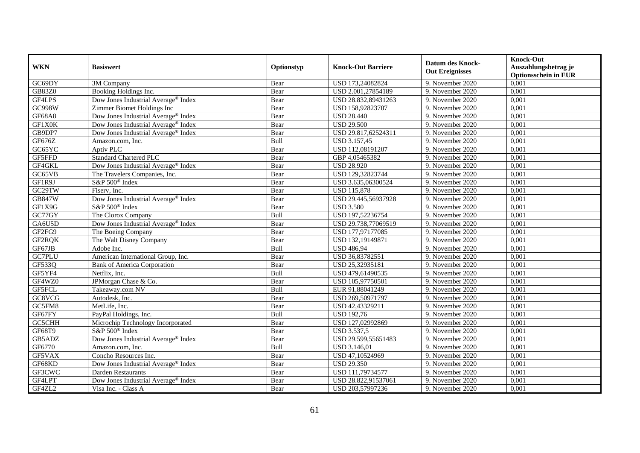| <b>WKN</b>    | <b>Basiswert</b>                                | Optionstyp | <b>Knock-Out Barriere</b> | <b>Datum des Knock-</b><br><b>Out Ereignisses</b> | <b>Knock-Out</b><br>Auszahlungsbetrag je<br><b>Optionsschein in EUR</b> |
|---------------|-------------------------------------------------|------------|---------------------------|---------------------------------------------------|-------------------------------------------------------------------------|
| GC69DY        | 3M Company                                      | Bear       | USD 173,24082824          | 9. November 2020                                  | 0,001                                                                   |
| GB83Z0        | Booking Holdings Inc.                           | Bear       | USD 2.001,27854189        | 9. November 2020                                  | 0,001                                                                   |
| GF4LPS        | Dow Jones Industrial Average® Index             | Bear       | USD 28.832,89431263       | 9. November 2020                                  | 0,001                                                                   |
| GC998W        | Zimmer Biomet Holdings Inc                      | Bear       | USD 158,92823707          | 9. November 2020                                  | 0,001                                                                   |
| <b>GF68A8</b> | Dow Jones Industrial Average <sup>®</sup> Index | Bear       | <b>USD 28.440</b>         | 9. November 2020                                  | 0,001                                                                   |
| GF1X0K        | Dow Jones Industrial Average® Index             | Bear       | <b>USD 29.500</b>         | 9. November 2020                                  | 0,001                                                                   |
| GB9DP7        | Dow Jones Industrial Average® Index             | Bear       | USD 29.817,62524311       | 9. November 2020                                  | 0,001                                                                   |
| GF676Z        | Amazon.com, Inc.                                | Bull       | USD 3.157,45              | 9. November 2020                                  | 0,001                                                                   |
| GC65YC        | Aptiv PLC                                       | Bear       | USD 112,08191207          | 9. November 2020                                  | 0,001                                                                   |
| GF5FFD        | <b>Standard Chartered PLC</b>                   | Bear       | GBP 4,05465382            | 9. November 2020                                  | 0,001                                                                   |
| GF4GKL        | Dow Jones Industrial Average® Index             | Bear       | <b>USD 28.920</b>         | 9. November 2020                                  | 0,001                                                                   |
| GC65VB        | The Travelers Companies, Inc.                   | Bear       | USD 129,32823744          | 9. November 2020                                  | 0,001                                                                   |
| GF1R9J        | S&P 500 <sup>®</sup> Index                      | Bear       | USD 3.635,06300524        | 9. November 2020                                  | 0,001                                                                   |
| GC29TW        | Fiserv, Inc.                                    | Bear       | <b>USD 115,878</b>        | 9. November 2020                                  | 0,001                                                                   |
| <b>GB847W</b> | Dow Jones Industrial Average® Index             | Bear       | USD 29.445,56937928       | 9. November 2020                                  | 0,001                                                                   |
| GF1X9G        | S&P 500 <sup>®</sup> Index                      | Bear       | <b>USD 3.580</b>          | 9. November 2020                                  | 0,001                                                                   |
| GC77GY        | The Clorox Company                              | Bull       | USD 197,52236754          | 9. November 2020                                  | 0,001                                                                   |
| GA6U5D        | Dow Jones Industrial Average® Index             | Bear       | USD 29.738,77069519       | 9. November 2020                                  | 0,001                                                                   |
| GF2FG9        | The Boeing Company                              | Bear       | USD 177,97177085          | 9. November 2020                                  | 0,001                                                                   |
| GF2RQK        | The Walt Disney Company                         | Bear       | USD 132,19149871          | 9. November 2020                                  | 0,001                                                                   |
| GF67JB        | Adobe Inc.                                      | Bull       | <b>USD 486,94</b>         | 9. November 2020                                  | 0,001                                                                   |
| GC7PLU        | American International Group, Inc.              | Bear       | USD 36,83782551           | 9. November 2020                                  | 0,001                                                                   |
| GF533Q        | <b>Bank of America Corporation</b>              | Bear       | USD 25,32935181           | 9. November 2020                                  | 0,001                                                                   |
| GF5YF4        | Netflix, Inc.                                   | Bull       | USD 479,61490535          | 9. November 2020                                  | 0,001                                                                   |
| GF4WZ0        | JPMorgan Chase & Co.                            | Bear       | USD 105,97750501          | 9. November 2020                                  | 0,001                                                                   |
| GF5FCL        | Takeaway.com NV                                 | Bull       | EUR 91,88041249           | 9. November 2020                                  | 0,001                                                                   |
| GCSVCG        | Autodesk, Inc.                                  | Bear       | USD 269,50971797          | 9. November 2020                                  | 0,001                                                                   |
| GC5FM8        | MetLife, Inc.                                   | Bear       | USD 42,43329211           | 9. November 2020                                  | 0,001                                                                   |
| GF67FY        | PayPal Holdings, Inc.                           | Bull       | <b>USD 192,76</b>         | 9. November 2020                                  | 0,001                                                                   |
| GC5CHH        | Microchip Technology Incorporated               | Bear       | USD 127,02992869          | 9. November 2020                                  | 0.001                                                                   |
| GF68T9        | S&P 500 <sup>®</sup> Index                      | Bear       | <b>USD 3.537,5</b>        | 9. November 2020                                  | 0,001                                                                   |
| GB5ADZ        | Dow Jones Industrial Average <sup>®</sup> Index | Bear       | USD 29.599,55651483       | 9. November 2020                                  | 0,001                                                                   |
| GF6770        | Amazon.com, Inc.                                | Bull       | USD 3.146,01              | 9. November 2020                                  | 0,001                                                                   |
| GF5VAX        | Concho Resources Inc.                           | Bear       | USD 47,10524969           | 9. November 2020                                  | 0,001                                                                   |
| GF68KD        | Dow Jones Industrial Average® Index             | Bear       | <b>USD 29.350</b>         | 9. November 2020                                  | 0,001                                                                   |
| GF3CWC        | Darden Restaurants                              | Bear       | USD 111,79734577          | 9. November 2020                                  | 0,001                                                                   |
| GF4LPT        | Dow Jones Industrial Average® Index             | Bear       | USD 28.822,91537061       | 9. November 2020                                  | 0,001                                                                   |
| GF4ZL2        | Visa Inc. - Class A                             | Bear       | USD 203,57997236          | 9. November 2020                                  | 0,001                                                                   |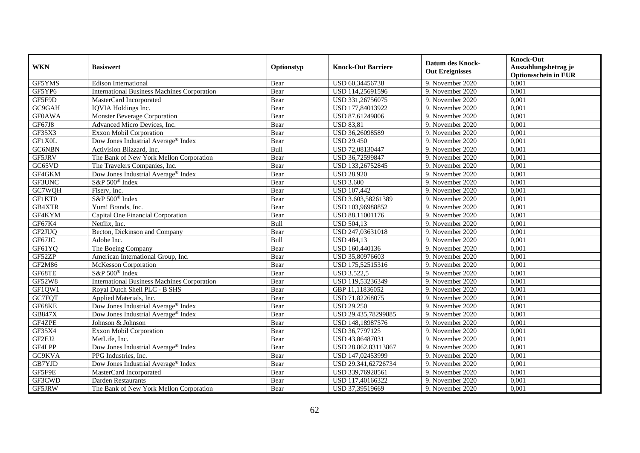| <b>WKN</b>    | <b>Basiswert</b>                                   | Optionstyp | <b>Knock-Out Barriere</b> | <b>Datum des Knock-</b><br><b>Out Ereignisses</b> | <b>Knock-Out</b><br>Auszahlungsbetrag je<br><b>Optionsschein in EUR</b> |
|---------------|----------------------------------------------------|------------|---------------------------|---------------------------------------------------|-------------------------------------------------------------------------|
| GF5YMS        | <b>Edison International</b>                        | Bear       | USD 60,34456738           | 9. November 2020                                  | 0,001                                                                   |
| GF5YP6        | <b>International Business Machines Corporation</b> | Bear       | USD 114,25691596          | 9. November 2020                                  | 0,001                                                                   |
| GF5F9D        | MasterCard Incorporated                            | Bear       | USD 331,26756075          | 9. November 2020                                  | 0,001                                                                   |
| GC9GAH        | IQVIA Holdings Inc.                                | Bear       | USD 177,84013922          | 9. November 2020                                  | 0,001                                                                   |
| <b>GF0AWA</b> | <b>Monster Beverage Corporation</b>                | Bear       | USD 87,61249806           | 9. November 2020                                  | 0,001                                                                   |
| GF67J8        | Advanced Micro Devices, Inc.                       | Bear       | <b>USD 83,81</b>          | 9. November 2020                                  | 0,001                                                                   |
| GF35X3        | Exxon Mobil Corporation                            | Bear       | USD 36,26098589           | 9. November 2020                                  | 0,001                                                                   |
| GF1X0L        | Dow Jones Industrial Average® Index                | Bear       | <b>USD 29.450</b>         | 9. November 2020                                  | 0,001                                                                   |
| GC6NBN        | Activision Blizzard, Inc.                          | Bull       | USD 72,08130447           | 9. November 2020                                  | 0,001                                                                   |
| GF5JRV        | The Bank of New York Mellon Corporation            | Bear       | USD 36,72599847           | 9. November 2020                                  | 0,001                                                                   |
| GC65VD        | The Travelers Companies, Inc.                      | Bear       | USD 133,26752845          | 9. November 2020                                  | 0,001                                                                   |
| GF4GKM        | Dow Jones Industrial Average <sup>®</sup> Index    | Bear       | <b>USD 28.920</b>         | 9. November 2020                                  | 0,001                                                                   |
| GF3UNC        | S&P 500 <sup>®</sup> Index                         | Bear       | <b>USD 3.600</b>          | 9. November 2020                                  | 0,001                                                                   |
| GC7WQH        | Fiserv, Inc.                                       | Bear       | <b>USD 107,442</b>        | 9. November 2020                                  | 0,001                                                                   |
| GF1KT0        | S&P 500 <sup>®</sup> Index                         | Bear       | USD 3.603,58261389        | 9. November 2020                                  | 0,001                                                                   |
| GB4XTR        | Yum! Brands, Inc.                                  | Bear       | USD 103,96988852          | 9. November 2020                                  | 0,001                                                                   |
| GF4KYM        | Capital One Financial Corporation                  | Bear       | USD 88,11001176           | 9. November 2020                                  | 0,001                                                                   |
| GF67K4        | Netflix, Inc.                                      | Bull       | <b>USD 504,13</b>         | 9. November 2020                                  | 0,001                                                                   |
| GF2JUQ        | Becton, Dickinson and Company                      | Bear       | USD 247,03631018          | 9. November 2020                                  | 0,001                                                                   |
| GF67JC        | Adobe Inc.                                         | Bull       | <b>USD 484,13</b>         | 9. November 2020                                  | 0,001                                                                   |
| GF61YQ        | The Boeing Company                                 | Bear       | USD 160,440136            | 9. November 2020                                  | 0,001                                                                   |
| GF52ZP        | American International Group, Inc.                 | Bear       | USD 35,80976603           | 9. November 2020                                  | 0,001                                                                   |
| GF2M86        | McKesson Corporation                               | Bear       | USD 175,52515316          | 9. November 2020                                  | 0,001                                                                   |
| GF68TE        | S&P 500 <sup>®</sup> Index                         | Bear       | <b>USD 3.522.5</b>        | 9. November 2020                                  | 0,001                                                                   |
| <b>GF52W8</b> | <b>International Business Machines Corporation</b> | Bear       | USD 119,53236349          | 9. November 2020                                  | 0,001                                                                   |
| GF1QW1        | Royal Dutch Shell PLC - B SHS                      | Bear       | GBP 11,11836052           | 9. November 2020                                  | 0,001                                                                   |
| GC7FQT        | Applied Materials, Inc.                            | Bear       | USD 71,82268075           | 9. November 2020                                  | 0,001                                                                   |
| GF68KE        | Dow Jones Industrial Average® Index                | Bear       | <b>USD 29.250</b>         | 9. November 2020                                  | 0,001                                                                   |
| GB847X        | Dow Jones Industrial Average® Index                | Bear       | USD 29.435,78299885       | 9. November 2020                                  | 0,001                                                                   |
| GF4ZPE        | Johnson & Johnson                                  | Bear       | USD 148,18987576          | 9. November 2020                                  | 0.001                                                                   |
| GF35X4        | Exxon Mobil Corporation                            | Bear       | USD 36,7797125            | 9. November 2020                                  | 0,001                                                                   |
| GF2EJ2        | MetLife, Inc.                                      | Bear       | USD 43,86487031           | 9. November 2020                                  | 0,001                                                                   |
| GF4LPP        | Dow Jones Industrial Average® Index                | Bear       | USD 28.862,83113867       | 9. November 2020                                  | 0,001                                                                   |
| GC9KVA        | PPG Industries, Inc.                               | Bear       | USD 147,02453999          | 9. November 2020                                  | 0,001                                                                   |
| GB7YJD        | Dow Jones Industrial Average® Index                | Bear       | USD 29.341,62726734       | 9. November 2020                                  | 0,001                                                                   |
| GF5F9E        | MasterCard Incorporated                            | Bear       | USD 339,76928561          | 9. November 2020                                  | 0,001                                                                   |
| GF3CWD        | Darden Restaurants                                 | Bear       | USD 117,40166322          | 9. November 2020                                  | 0,001                                                                   |
| GF5JRW        | The Bank of New York Mellon Corporation            | Bear       | USD 37,39519669           | 9. November 2020                                  | 0,001                                                                   |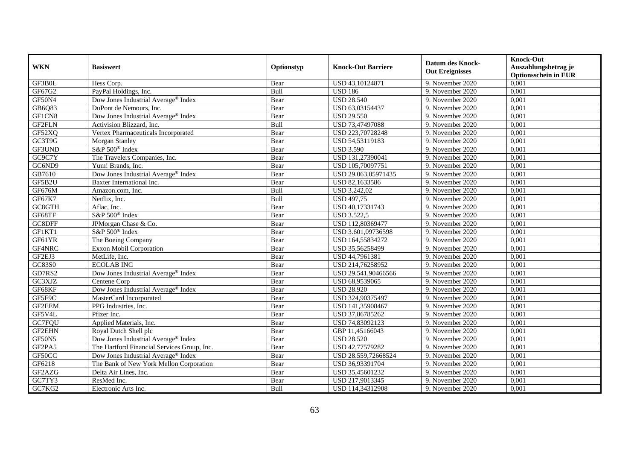| <b>WKN</b> | <b>Basiswert</b>                                | Optionstyp | <b>Knock-Out Barriere</b> | <b>Datum des Knock-</b><br><b>Out Ereignisses</b> | <b>Knock-Out</b><br>Auszahlungsbetrag je<br><b>Optionsschein in EUR</b> |
|------------|-------------------------------------------------|------------|---------------------------|---------------------------------------------------|-------------------------------------------------------------------------|
| GF3B0L     | Hess Corp.                                      | Bear       | USD 43,10124871           | 9. November 2020                                  | 0,001                                                                   |
| GF67G2     | PayPal Holdings, Inc.                           | Bull       | <b>USD 186</b>            | 9. November 2020                                  | 0,001                                                                   |
| GF50N4     | Dow Jones Industrial Average® Index             | Bear       | <b>USD 28.540</b>         | 9. November 2020                                  | 0,001                                                                   |
| GB6Q83     | DuPont de Nemours, Inc.                         | Bear       | USD 63,03154437           | 9. November 2020                                  | 0,001                                                                   |
| GF1CN8     | Dow Jones Industrial Average <sup>®</sup> Index | Bear       | <b>USD 29.550</b>         | 9. November 2020                                  | 0,001                                                                   |
| GF2FLN     | Activision Blizzard, Inc.                       | Bull       | USD 73,47497088           | 9. November 2020                                  | 0,001                                                                   |
| GF52XQ     | Vertex Pharmaceuticals Incorporated             | Bear       | USD 223,70728248          | 9. November 2020                                  | 0,001                                                                   |
| GC3T9G     | Morgan Stanley                                  | Bear       | USD 54,53119183           | 9. November 2020                                  | 0,001                                                                   |
| GF3UND     | S&P 500 <sup>®</sup> Index                      | Bear       | <b>USD 3.590</b>          | 9. November 2020                                  | 0,001                                                                   |
| GC9C7Y     | The Travelers Companies, Inc.                   | Bear       | USD 131,27390041          | 9. November 2020                                  | 0,001                                                                   |
| GC6ND9     | Yum! Brands, Inc.                               | Bear       | USD 105,70097751          | 9. November 2020                                  | 0,001                                                                   |
| GB7610     | Dow Jones Industrial Average® Index             | Bear       | USD 29.063,05971435       | 9. November 2020                                  | 0,001                                                                   |
| GF5B2U     | Baxter International Inc.                       | Bear       | USD 82,1633586            | 9. November 2020                                  | 0,001                                                                   |
| GF676M     | Amazon.com, Inc.                                | Bull       | <b>USD 3.242,02</b>       | 9. November 2020                                  | 0,001                                                                   |
| GF67K7     | Netflix, Inc.                                   | Bull       | <b>USD 497,75</b>         | 9. November 2020                                  | 0,001                                                                   |
| GC8GTH     | Aflac, Inc.                                     | Bear       | USD 40,17331743           | 9. November 2020                                  | 0,001                                                                   |
| GF68TF     | S&P 500® Index                                  | Bear       | <b>USD 3.522,5</b>        | 9. November 2020                                  | 0,001                                                                   |
| GC8DFF     | JPMorgan Chase & Co.                            | Bear       | USD 112,80369477          | 9. November 2020                                  | 0,001                                                                   |
| GF1KT1     | S&P 500 <sup>®</sup> Index                      | Bear       | USD 3.601,09736598        | 9. November 2020                                  | 0,001                                                                   |
| GF61YR     | The Boeing Company                              | Bear       | USD 164,55834272          | 9. November 2020                                  | 0,001                                                                   |
| GF4NRC     | Exxon Mobil Corporation                         | Bear       | USD 35,56258499           | 9. November 2020                                  | 0,001                                                                   |
| GF2EJ3     | MetLife, Inc.                                   | Bear       | USD 44,7961381            | 9. November 2020                                  | 0,001                                                                   |
| GC83S0     | <b>ECOLAB INC</b>                               | Bear       | USD 214,76258952          | 9. November 2020                                  | 0,001                                                                   |
| GD7RS2     | Dow Jones Industrial Average® Index             | Bear       | USD 29.541,90466566       | 9. November 2020                                  | 0,001                                                                   |
| GC3XJZ     | Centene Corp                                    | Bear       | USD 68,9539065            | 9. November 2020                                  | 0,001                                                                   |
| GF68KF     | Dow Jones Industrial Average® Index             | Bear       | <b>USD 28.920</b>         | 9. November 2020                                  | 0,001                                                                   |
| GF5F9C     | MasterCard Incorporated                         | Bear       | USD 324,90375497          | 9. November 2020                                  | 0,001                                                                   |
| GF2EEM     | PPG Industries, Inc.                            | Bear       | USD 141,35908467          | 9. November 2020                                  | 0,001                                                                   |
| GF5V4L     | Pfizer Inc.                                     | Bear       | USD 37,86785262           | 9. November 2020                                  | 0,001                                                                   |
| GC7FQU     | Applied Materials, Inc.                         | Bear       | USD 74,83092123           | 9. November 2020                                  | 0,001                                                                   |
| GF2EHN     | Royal Dutch Shell plc                           | Bear       | GBP 11,45166043           | 9. November 2020                                  | 0,001                                                                   |
| GF50N5     | Dow Jones Industrial Average <sup>®</sup> Index | Bear       | <b>USD 28.520</b>         | 9. November 2020                                  | 0,001                                                                   |
| GF2PA5     | The Hartford Financial Services Group, Inc.     | Bear       | USD 42,77579282           | 9. November 2020                                  | 0,001                                                                   |
| GF50CC     | Dow Jones Industrial Average® Index             | Bear       | USD 28.559,72668524       | 9. November 2020                                  | 0,001                                                                   |
| GF6218     | The Bank of New York Mellon Corporation         | Bear       | USD 36,93391704           | 9. November 2020                                  | 0,001                                                                   |
| GF2AZG     | Delta Air Lines, Inc.                           | Bear       | USD 35,45601232           | 9. November 2020                                  | 0,001                                                                   |
| GC7TY3     | ResMed Inc.                                     | Bear       | USD 217,9013345           | 9. November 2020                                  | 0,001                                                                   |
| GC7KG2     | Electronic Arts Inc.                            | Bull       | USD 114,34312908          | 9. November 2020                                  | 0,001                                                                   |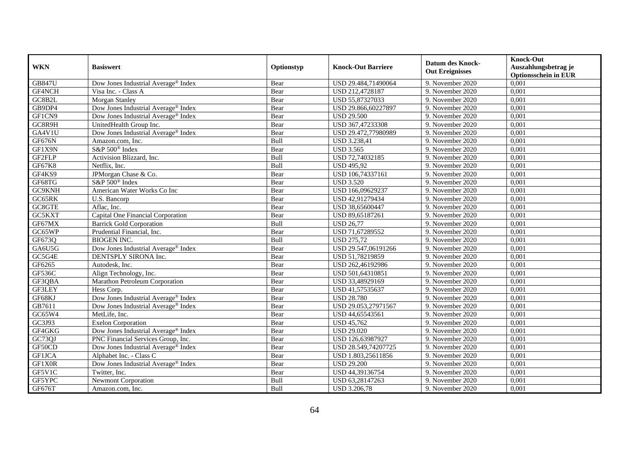| <b>WKN</b>    | <b>Basiswert</b>                                | Optionstyp | <b>Knock-Out Barriere</b> | <b>Datum des Knock-</b><br><b>Out Ereignisses</b> | <b>Knock-Out</b><br>Auszahlungsbetrag je<br><b>Optionsschein in EUR</b> |
|---------------|-------------------------------------------------|------------|---------------------------|---------------------------------------------------|-------------------------------------------------------------------------|
| <b>GB847U</b> | Dow Jones Industrial Average® Index             | Bear       | USD 29.484,71490064       | 9. November 2020                                  | 0,001                                                                   |
| GF4NCH        | Visa Inc. - Class A                             | Bear       | USD 212,4728187           | 9. November 2020                                  | 0,001                                                                   |
| GC8B2L        | Morgan Stanley                                  | Bear       | USD 55,87327033           | 9. November 2020                                  | 0,001                                                                   |
| GB9DP4        | Dow Jones Industrial Average® Index             | Bear       | USD 29.866,60227897       | 9. November 2020                                  | 0,001                                                                   |
| GF1CN9        | Dow Jones Industrial Average® Index             | Bear       | <b>USD 29.500</b>         | 9. November 2020                                  | 0,001                                                                   |
| GCSR9H        | UnitedHealth Group Inc.                         | Bear       | USD 367,47233308          | 9. November 2020                                  | 0,001                                                                   |
| GA4V1U        | Dow Jones Industrial Average <sup>®</sup> Index | Bear       | USD 29.472,77980989       | 9. November 2020                                  | 0,001                                                                   |
| GF676N        | Amazon.com, Inc.                                | Bull       | USD 3.238,41              | 9. November 2020                                  | 0,001                                                                   |
| GF1X9N        | S&P 500 <sup>®</sup> Index                      | Bear       | <b>USD 3.565</b>          | 9. November 2020                                  | 0,001                                                                   |
| GF2FLP        | Activision Blizzard, Inc.                       | Bull       | USD 72,74032185           | 9. November 2020                                  | 0,001                                                                   |
| GF67K8        | Netflix, Inc.                                   | Bull       | <b>USD 495,92</b>         | 9. November 2020                                  | 0,001                                                                   |
| GF4KS9        | JPMorgan Chase & Co.                            | Bear       | USD 106,74337161          | 9. November 2020                                  | 0,001                                                                   |
| GF68TG        | S&P 500 <sup>®</sup> Index                      | Bear       | <b>USD 3.520</b>          | 9. November 2020                                  | 0,001                                                                   |
| GC9KNH        | American Water Works Co Inc                     | Bear       | USD 166,09629237          | 9. November 2020                                  | 0,001                                                                   |
| GC65RK        | U.S. Bancorp                                    | Bear       | USD 42,91279434           | 9. November 2020                                  | 0,001                                                                   |
| GC8GTE        | Aflac, Inc.                                     | Bear       | USD 38,65600447           | 9. November 2020                                  | 0,001                                                                   |
| GC5KXT        | Capital One Financial Corporation               | Bear       | USD 89,65187261           | 9. November 2020                                  | 0,001                                                                   |
| GF67MX        | <b>Barrick Gold Corporation</b>                 | Bull       | <b>USD 26.77</b>          | 9. November 2020                                  | 0,001                                                                   |
| GC65WP        | Prudential Financial, Inc.                      | Bear       | USD 71,67289552           | 9. November 2020                                  | 0,001                                                                   |
| GF673Q        | <b>BIOGEN INC.</b>                              | Bull       | <b>USD 275,72</b>         | 9. November 2020                                  | 0,001                                                                   |
| GA6U5G        | Dow Jones Industrial Average <sup>®</sup> Index | Bear       | USD 29.547,06191266       | 9. November 2020                                  | 0,001                                                                   |
| GC5G4E        | DENTSPLY SIRONA Inc.                            | Bear       | USD 51,78219859           | 9. November 2020                                  | 0,001                                                                   |
| GF6265        | Autodesk, Inc.                                  | Bear       | USD 262,46192986          | 9. November 2020                                  | 0,001                                                                   |
| <b>GF536C</b> | Align Technology, Inc.                          | Bear       | USD 501,64310851          | 9. November 2020                                  | 0,001                                                                   |
| GF3QBA        | Marathon Petroleum Corporation                  | Bear       | USD 33,48929169           | 9. November 2020                                  | 0,001                                                                   |
| GF3LEY        | Hess Corp.                                      | Bear       | USD 41,57535637           | 9. November 2020                                  | 0,001                                                                   |
| GF68KJ        | Dow Jones Industrial Average® Index             | Bear       | <b>USD 28.780</b>         | 9. November 2020                                  | 0,001                                                                   |
| GB7611        | Dow Jones Industrial Average <sup>®</sup> Index | Bear       | USD 29.053,27971567       | 9. November 2020                                  | 0,001                                                                   |
| GC65W4        | MetLife, Inc.                                   | Bear       | USD 44,65543561           | 9. November 2020                                  | 0,001                                                                   |
| GC3J93        | <b>Exelon Corporation</b>                       | Bear       | <b>USD 45,762</b>         | 9. November 2020                                  | 0,001                                                                   |
| GF4GKG        | Dow Jones Industrial Average® Index             | Bear       | <b>USD 29.020</b>         | 9. November 2020                                  | 0,001                                                                   |
| GC73QJ        | PNC Financial Services Group, Inc.              | Bear       | USD 126,63987927          | 9. November 2020                                  | 0,001                                                                   |
| GF50CD        | Dow Jones Industrial Average <sup>®</sup> Index | Bear       | USD 28.549,74207725       | 9. November 2020                                  | 0,001                                                                   |
| <b>GF1JCA</b> | Alphabet Inc. - Class C                         | Bear       | USD 1.803,25611856        | 9. November 2020                                  | 0,001                                                                   |
| GF1X0R        | Dow Jones Industrial Average® Index             | Bear       | <b>USD 29.200</b>         | 9. November 2020                                  | 0,001                                                                   |
| GF5V1C        | Twitter, Inc.                                   | Bear       | USD 44,39136754           | 9. November 2020                                  | 0,001                                                                   |
| GF5YPC        | <b>Newmont Corporation</b>                      | Bull       | USD 63,28147263           | 9. November 2020                                  | 0,001                                                                   |
| GF676T        | Amazon.com, Inc.                                | Bull       | <b>USD 3.206,78</b>       | 9. November 2020                                  | 0,001                                                                   |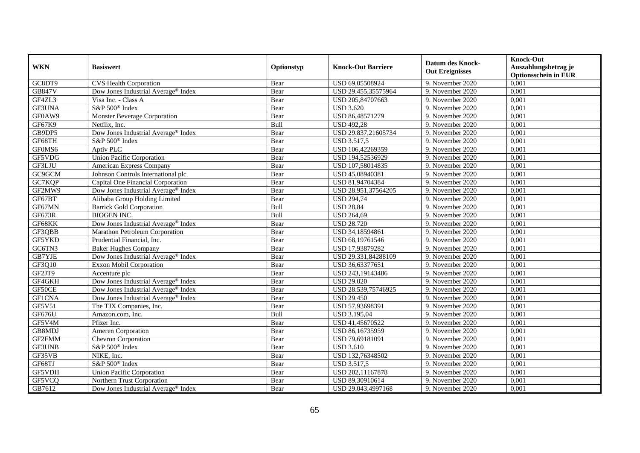| <b>WKN</b>    | <b>Basiswert</b>                                | Optionstyp | <b>Knock-Out Barriere</b> | <b>Datum des Knock-</b><br><b>Out Ereignisses</b> | <b>Knock-Out</b><br>Auszahlungsbetrag je<br><b>Optionsschein in EUR</b> |
|---------------|-------------------------------------------------|------------|---------------------------|---------------------------------------------------|-------------------------------------------------------------------------|
| GC8DT9        | CVS Health Corporation                          | Bear       | USD 69,05508924           | 9. November 2020                                  | 0,001                                                                   |
| <b>GB847V</b> | Dow Jones Industrial Average® Index             | Bear       | USD 29.455,35575964       | 9. November 2020                                  | 0,001                                                                   |
| GF4ZL3        | Visa Inc. - Class A                             | Bear       | USD 205,84707663          | 9. November 2020                                  | 0,001                                                                   |
| GF3UNA        | S&P 500 <sup>®</sup> Index                      | Bear       | <b>USD 3.620</b>          | 9. November 2020                                  | 0,001                                                                   |
| GF0AW9        | <b>Monster Beverage Corporation</b>             | Bear       | USD 86,48571279           | 9. November 2020                                  | 0,001                                                                   |
| GF67K9        | Netflix, Inc.                                   | Bull       | <b>USD 492,28</b>         | 9. November 2020                                  | 0,001                                                                   |
| GB9DP5        | Dow Jones Industrial Average® Index             | Bear       | USD 29.837,21605734       | 9. November 2020                                  | 0,001                                                                   |
| GF68TH        | S&P 500 <sup>®</sup> Index                      | Bear       | <b>USD 3.517,5</b>        | 9. November 2020                                  | 0,001                                                                   |
| GF0MS6        | Aptiv PLC                                       | Bear       | USD 106,42269359          | 9. November 2020                                  | 0,001                                                                   |
| GF5VDG        | <b>Union Pacific Corporation</b>                | Bear       | USD 194,52536929          | 9. November 2020                                  | 0,001                                                                   |
| GF3LJU        | American Express Company                        | Bear       | USD 107,58014835          | 9. November 2020                                  | 0,001                                                                   |
| GC9GCM        | Johnson Controls International plc              | Bear       | USD 45,08940381           | 9. November 2020                                  | 0,001                                                                   |
| GC7KQP        | Capital One Financial Corporation               | Bear       | USD 81,94704384           | 9. November 2020                                  | 0,001                                                                   |
| GF2MW9        | Dow Jones Industrial Average® Index             | Bear       | USD 28.951,37564205       | 9. November 2020                                  | 0,001                                                                   |
| GF67BT        | Alibaba Group Holding Limited                   | Bear       | <b>USD 294,74</b>         | 9. November 2020                                  | 0,001                                                                   |
| GF67MN        | <b>Barrick Gold Corporation</b>                 | Bull       | <b>USD 28,84</b>          | 9. November 2020                                  | 0,001                                                                   |
| GF673R        | <b>BIOGEN INC.</b>                              | Bull       | <b>USD 264,69</b>         | 9. November 2020                                  | 0,001                                                                   |
| GF68KK        | Dow Jones Industrial Average® Index             | Bear       | <b>USD 28.720</b>         | 9. November 2020                                  | 0,001                                                                   |
| GF3QBB        | Marathon Petroleum Corporation                  | Bear       | USD 34,18594861           | 9. November 2020                                  | 0,001                                                                   |
| GF5YKD        | Prudential Financial, Inc.                      | Bear       | USD 68,19761546           | 9. November 2020                                  | 0,001                                                                   |
| GC6TN3        | <b>Baker Hughes Company</b>                     | Bear       | USD 17,93879282           | 9. November 2020                                  | 0,001                                                                   |
| GB7YJE        | Dow Jones Industrial Average® Index             | Bear       | USD 29.331,84288109       | 9. November 2020                                  | 0,001                                                                   |
| GF3Q10        | Exxon Mobil Corporation                         | Bear       | USD 36,63377651           | 9. November 2020                                  | 0,001                                                                   |
| GF2JT9        | Accenture plc                                   | Bear       | USD 243,19143486          | 9. November 2020                                  | 0,001                                                                   |
| GF4GKH        | Dow Jones Industrial Average® Index             | Bear       | <b>USD 29.020</b>         | 9. November 2020                                  | 0,001                                                                   |
| GF50CE        | Dow Jones Industrial Average® Index             | Bear       | USD 28.539,75746925       | 9. November 2020                                  | 0,001                                                                   |
| <b>GF1CNA</b> | Dow Jones Industrial Average® Index             | Bear       | <b>USD 29.450</b>         | 9. November 2020                                  | 0,001                                                                   |
| <b>GF5V51</b> | The TJX Companies, Inc.                         | Bear       | USD 57,93698391           | 9. November 2020                                  | 0,001                                                                   |
| GF676U        | Amazon.com, Inc.                                | Bull       | <b>USD 3.195,04</b>       | 9. November 2020                                  | 0,001                                                                   |
| GF5V4M        | Pfizer Inc.                                     | Bear       | USD 41,45670522           | 9. November 2020                                  | 0,001                                                                   |
| GB8MDJ        | Ameren Corporation                              | Bear       | USD 86,16735959           | 9. November 2020                                  | 0,001                                                                   |
| GF2FMM        | Chevron Corporation                             | Bear       | USD 79,69181091           | 9. November 2020                                  | 0,001                                                                   |
| GF3UNB        | S&P 500 <sup>®</sup> Index                      | Bear       | <b>USD 3.610</b>          | 9. November 2020                                  | 0,001                                                                   |
| GF35VB        | NIKE, Inc.                                      | Bear       | USD 132,76348502          | 9. November 2020                                  | 0,001                                                                   |
| GF68TJ        | S&P 500 <sup>®</sup> Index                      | Bear       | <b>USD 3.517,5</b>        | 9. November 2020                                  | 0,001                                                                   |
| GF5VDH        | <b>Union Pacific Corporation</b>                | Bear       | USD 202,11167878          | 9. November 2020                                  | 0,001                                                                   |
| GF5VCQ        | Northern Trust Corporation                      | Bear       | USD 89,30910614           | 9. November 2020                                  | 0,001                                                                   |
| GB7612        | Dow Jones Industrial Average <sup>®</sup> Index | Bear       | USD 29.043,4997168        | 9. November 2020                                  | 0,001                                                                   |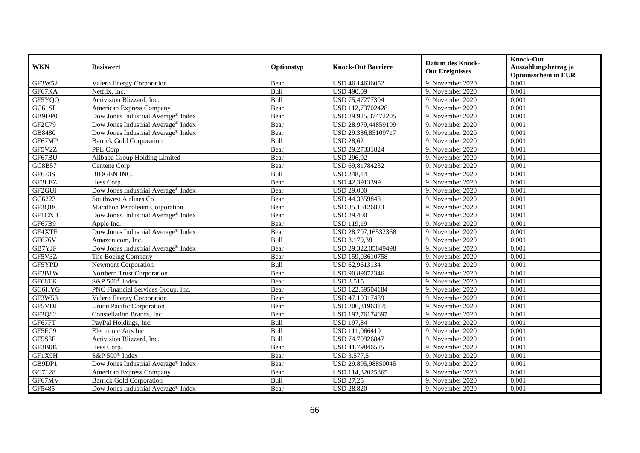| <b>WKN</b>    | <b>Basiswert</b>                                | Optionstyp | <b>Knock-Out Barriere</b> | <b>Datum des Knock-</b><br><b>Out Ereignisses</b> | <b>Knock-Out</b><br>Auszahlungsbetrag je<br><b>Optionsschein in EUR</b> |
|---------------|-------------------------------------------------|------------|---------------------------|---------------------------------------------------|-------------------------------------------------------------------------|
| GF3W52        | Valero Energy Corporation                       | Bear       | USD 46,14636052           | 9. November 2020                                  | 0,001                                                                   |
| GF67KA        | Netflix, Inc.                                   | Bull       | <b>USD 490,09</b>         | 9. November 2020                                  | 0,001                                                                   |
| GF5YQQ        | Activision Blizzard, Inc.                       | Bull       | USD 75,47277304           | 9. November 2020                                  | 0,001                                                                   |
| GC61SL        | American Express Company                        | Bear       | USD 112,73702428          | 9. November 2020                                  | 0,001                                                                   |
| GB9DP0        | Dow Jones Industrial Average <sup>®</sup> Index | Bear       | USD 29.925,37472205       | 9. November 2020                                  | 0,001                                                                   |
| GF2C79        | Dow Jones Industrial Average® Index             | Bear       | USD 28.979,44859199       | 9. November 2020                                  | 0,001                                                                   |
| GB8480        | Dow Jones Industrial Average® Index             | Bear       | USD 29.386,85109717       | 9. November 2020                                  | 0,001                                                                   |
| GF67MP        | <b>Barrick Gold Corporation</b>                 | Bull       | <b>USD 28,62</b>          | 9. November 2020                                  | 0,001                                                                   |
| GF5V2Z        | PPL Corp                                        | Bear       | USD 29,27331824           | 9. November 2020                                  | 0,001                                                                   |
| GF67BU        | Alibaba Group Holding Limited                   | Bear       | <b>USD 296,92</b>         | 9. November 2020                                  | 0,001                                                                   |
| GC8B57        | Centene Corp                                    | Bear       | USD 69,81784232           | 9. November 2020                                  | 0,001                                                                   |
| GF673S        | <b>BIOGEN INC.</b>                              | Bull       | <b>USD 248,14</b>         | 9. November 2020                                  | 0,001                                                                   |
| GF3LEZ        | Hess Corp.                                      | Bear       | USD 42,3913399            | 9. November 2020                                  | 0,001                                                                   |
| GF2GUJ        | Dow Jones Industrial Average® Index             | Bear       | <b>USD 29.000</b>         | 9. November 2020                                  | 0,001                                                                   |
| GC6223        | Southwest Airlines Co                           | Bear       | USD 44,3859848            | 9. November 2020                                  | 0,001                                                                   |
| GF3QBC        | Marathon Petroleum Corporation                  | Bear       | USD 35,16126823           | 9. November 2020                                  | 0,001                                                                   |
| <b>GF1CNB</b> | Dow Jones Industrial Average® Index             | Bear       | <b>USD 29.400</b>         | 9. November 2020                                  | 0,001                                                                   |
| GF67B9        | Apple Inc.                                      | Bear       | <b>USD 119,19</b>         | 9. November 2020                                  | 0,001                                                                   |
| GF4XTF        | Dow Jones Industrial Average® Index             | Bear       | USD 28.707,16532368       | 9. November 2020                                  | 0,001                                                                   |
| GF676V        | Amazon.com, Inc.                                | Bull       | USD 3.179,38              | 9. November 2020                                  | 0,001                                                                   |
| GB7YJF        | Dow Jones Industrial Average® Index             | Bear       | USD 29.322,05849498       | 9. November 2020                                  | 0,001                                                                   |
| GF5V3Z        | The Boeing Company                              | Bear       | USD 159,03610758          | 9. November 2020                                  | 0,001                                                                   |
| GF5YPD        | <b>Newmont Corporation</b>                      | Bull       | USD 62,9613134            | 9. November 2020                                  | 0,001                                                                   |
| GF3B1W        | Northern Trust Corporation                      | Bear       | USD 90,89072346           | 9. November 2020                                  | 0,001                                                                   |
| GF68TK        | S&P 500 <sup>®</sup> Index                      | Bear       | <b>USD 3.515</b>          | 9. November 2020                                  | 0,001                                                                   |
| GC6HYG        | PNC Financial Services Group, Inc.              | Bear       | USD 122,59504184          | 9. November 2020                                  | 0,001                                                                   |
| GF3W53        | Valero Energy Corporation                       | Bear       | USD 47,10317489           | 9. November 2020                                  | 0,001                                                                   |
| GF5VDJ        | <b>Union Pacific Corporation</b>                | Bear       | USD 206,31963175          | 9. November 2020                                  | 0,001                                                                   |
| GF3Q82        | Constellation Brands, Inc.                      | Bear       | USD 192,76174697          | 9. November 2020                                  | 0,001                                                                   |
| GF67FT        | PayPal Holdings, Inc.                           | Bull       | <b>USD 197,84</b>         | 9. November 2020                                  | 0,001                                                                   |
| GF5FC9        | Electronic Arts Inc.                            | Bull       | USD 111,066419            | 9. November 2020                                  | 0,001                                                                   |
| GF5S8F        | Activision Blizzard, Inc.                       | Bull       | USD 74,70926847           | 9. November 2020                                  | 0,001                                                                   |
| GF3B0K        | Hess Corp.                                      | Bear       | USD 41,79846525           | 9. November 2020                                  | 0,001                                                                   |
| GF1X9H        | S&P 500 <sup>®</sup> Index                      | Bear       | <b>USD 3.577,5</b>        | 9. November 2020                                  | 0,001                                                                   |
| GB9DP1        | Dow Jones Industrial Average® Index             | Bear       | USD 29.895,98850045       | 9. November 2020                                  | 0,001                                                                   |
| GC7128        | American Express Company                        | Bear       | USD 114,82025865          | 9. November 2020                                  | 0,001                                                                   |
| GF67MV        | <b>Barrick Gold Corporation</b>                 | Bull       | <b>USD 27,25</b>          | 9. November 2020                                  | 0,001                                                                   |
| GF5485        | Dow Jones Industrial Average <sup>®</sup> Index | Bear       | <b>USD 28.820</b>         | 9. November 2020                                  | 0,001                                                                   |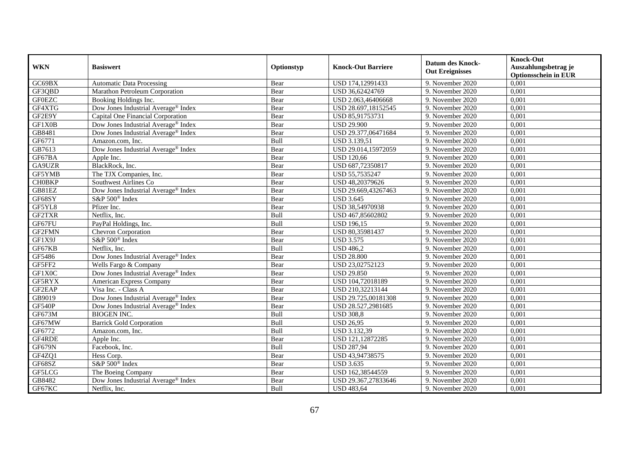| <b>WKN</b>    | <b>Basiswert</b>                                | Optionstyp | <b>Knock-Out Barriere</b> | <b>Datum des Knock-</b><br><b>Out Ereignisses</b> | <b>Knock-Out</b><br>Auszahlungsbetrag je<br><b>Optionsschein in EUR</b> |
|---------------|-------------------------------------------------|------------|---------------------------|---------------------------------------------------|-------------------------------------------------------------------------|
| GC69BX        | <b>Automatic Data Processing</b>                | Bear       | USD 174,12991433          | 9. November 2020                                  | 0,001                                                                   |
| GF3QBD        | Marathon Petroleum Corporation                  | Bear       | USD 36,62424769           | 9. November 2020                                  | 0,001                                                                   |
| <b>GF0EZC</b> | Booking Holdings Inc.                           | Bear       | USD 2.063,46406668        | 9. November 2020                                  | 0,001                                                                   |
| GF4XTG        | Dow Jones Industrial Average® Index             | Bear       | USD 28.697,18152545       | 9. November 2020                                  | 0,001                                                                   |
| GF2E9Y        | Capital One Financial Corporation               | Bear       | USD 85,91753731           | 9. November 2020                                  | 0,001                                                                   |
| GF1X0B        | Dow Jones Industrial Average® Index             | Bear       | <b>USD 29.900</b>         | 9. November 2020                                  | 0,001                                                                   |
| GB8481        | Dow Jones Industrial Average® Index             | Bear       | USD 29.377,06471684       | 9. November 2020                                  | 0,001                                                                   |
| GF6771        | Amazon.com, Inc.                                | Bull       | USD 3.139,51              | 9. November 2020                                  | 0,001                                                                   |
| GB7613        | Dow Jones Industrial Average® Index             | Bear       | USD 29.014,15972059       | 9. November 2020                                  | 0,001                                                                   |
| GF67BA        | Apple Inc.                                      | Bear       | <b>USD 120,66</b>         | 9. November 2020                                  | 0,001                                                                   |
| GA9UZR        | BlackRock, Inc.                                 | Bear       | USD 687,72350817          | 9. November 2020                                  | 0,001                                                                   |
| GF5YMB        | The TJX Companies, Inc.                         | Bear       | USD 55,7535247            | 9. November 2020                                  | 0,001                                                                   |
| <b>CH0BKP</b> | Southwest Airlines Co                           | Bear       | USD 48,20379626           | 9. November 2020                                  | 0,001                                                                   |
| GB81EZ        | Dow Jones Industrial Average® Index             | Bear       | USD 29.669,43267463       | 9. November 2020                                  | 0,001                                                                   |
| GF68SY        | S&P 500 <sup>®</sup> Index                      | Bear       | <b>USD 3.645</b>          | 9. November 2020                                  | 0,001                                                                   |
| GF5YL8        | Pfizer Inc.                                     | Bear       | USD 38,54970938           | 9. November 2020                                  | 0,001                                                                   |
| GF2TXR        | Netflix, Inc.                                   | Bull       | USD 467,85602802          | 9. November 2020                                  | 0,001                                                                   |
| GF67FU        | PayPal Holdings, Inc.                           | Bull       | <b>USD 196.15</b>         | 9. November 2020                                  | 0,001                                                                   |
| GF2FMN        | Chevron Corporation                             | Bear       | USD 80,35981437           | 9. November 2020                                  | 0,001                                                                   |
| GF1X9J        | S&P 500 <sup>®</sup> Index                      | Bear       | <b>USD 3.575</b>          | 9. November 2020                                  | 0,001                                                                   |
| GF67KB        | Netflix, Inc.                                   | Bull       | <b>USD 486,2</b>          | 9. November 2020                                  | 0,001                                                                   |
| GF5486        | Dow Jones Industrial Average® Index             | Bear       | <b>USD 28.800</b>         | 9. November 2020                                  | 0,001                                                                   |
| GF5FF2        | Wells Fargo & Company                           | Bear       | USD 23,02752123           | 9. November 2020                                  | 0,001                                                                   |
| GF1X0C        | Dow Jones Industrial Average® Index             | Bear       | <b>USD 29.850</b>         | 9. November 2020                                  | 0,001                                                                   |
| GF5RYX        | American Express Company                        | Bear       | USD 104,72018189          | 9. November 2020                                  | 0,001                                                                   |
| GF2EAP        | Visa Inc. - Class A                             | Bear       | USD 210,32213144          | 9. November 2020                                  | 0,001                                                                   |
| GB9019        | Dow Jones Industrial Average® Index             | Bear       | USD 29.725,00181308       | 9. November 2020                                  | 0,001                                                                   |
| GF540P        | Dow Jones Industrial Average <sup>®</sup> Index | Bear       | USD 28.527,2981685        | 9. November 2020                                  | 0,001                                                                   |
| GF673M        | <b>BIOGEN INC.</b>                              | Bull       | <b>USD 308,8</b>          | 9. November 2020                                  | 0,001                                                                   |
| GF67MW        | <b>Barrick Gold Corporation</b>                 | Bull       | <b>USD 26,95</b>          | 9. November 2020                                  | 0,001                                                                   |
| GF6772        | Amazon.com, Inc.                                | Bull       | USD 3.132,39              | 9. November 2020                                  | 0,001                                                                   |
| GF4RDE        | Apple Inc.                                      | Bear       | USD 121,12872285          | 9. November 2020                                  | 0,001                                                                   |
| GF679N        | Facebook, Inc.                                  | Bull       | <b>USD 287,94</b>         | 9. November 2020                                  | 0,001                                                                   |
| GF4ZQ1        | Hess Corp.                                      | Bear       | USD 43,94738575           | 9. November 2020                                  | 0,001                                                                   |
| GF68SZ        | S&P 500 <sup>®</sup> Index                      | Bear       | <b>USD 3.635</b>          | 9. November 2020                                  | 0,001                                                                   |
| GF5LCG        | The Boeing Company                              | Bear       | USD 162,38544559          | 9. November 2020                                  | 0,001                                                                   |
| GB8482        | Dow Jones Industrial Average® Index             | Bear       | USD 29.367,27833646       | 9. November 2020                                  | 0,001                                                                   |
| GF67KC        | Netflix, Inc.                                   | Bull       | <b>USD 483,64</b>         | 9. November 2020                                  | 0,001                                                                   |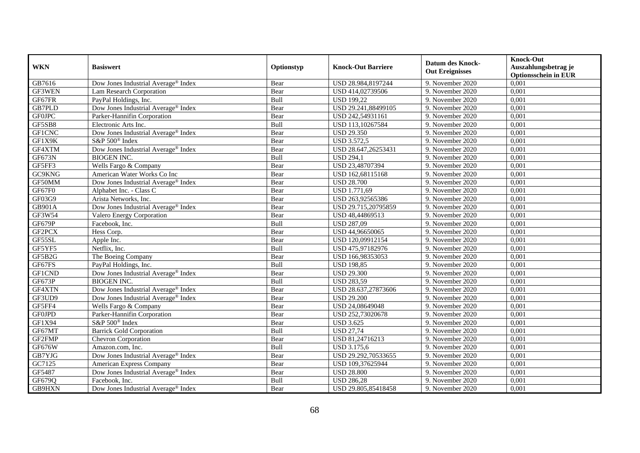| <b>WKN</b>    | <b>Basiswert</b>                                | Optionstyp | <b>Knock-Out Barriere</b> | <b>Datum des Knock-</b><br><b>Out Ereignisses</b> | <b>Knock-Out</b><br>Auszahlungsbetrag je<br><b>Optionsschein in EUR</b> |
|---------------|-------------------------------------------------|------------|---------------------------|---------------------------------------------------|-------------------------------------------------------------------------|
| GB7616        | Dow Jones Industrial Average <sup>®</sup> Index | Bear       | USD 28.984,8197244        | 9. November 2020                                  | 0,001                                                                   |
| GF3WEN        | Lam Research Corporation                        | Bear       | USD 414,02739506          | 9. November 2020                                  | 0,001                                                                   |
| GF67FR        | PayPal Holdings, Inc.                           | Bull       | <b>USD 199,22</b>         | 9. November 2020                                  | 0,001                                                                   |
| GB7PLD        | Dow Jones Industrial Average® Index             | Bear       | USD 29.241,88499105       | 9. November 2020                                  | 0,001                                                                   |
| <b>GF0JPC</b> | Parker-Hannifin Corporation                     | Bear       | USD 242,54931161          | 9. November 2020                                  | 0,001                                                                   |
| GF5SB8        | Electronic Arts Inc.                            | Bull       | USD 113,10267584          | 9. November 2020                                  | 0,001                                                                   |
| <b>GF1CNC</b> | Dow Jones Industrial Average® Index             | Bear       | <b>USD 29.350</b>         | 9. November 2020                                  | 0,001                                                                   |
| GF1X9K        | S&P 500 <sup>®</sup> Index                      | Bear       | <b>USD 3.572,5</b>        | 9. November 2020                                  | 0,001                                                                   |
| GF4XTM        | Dow Jones Industrial Average <sup>®</sup> Index | Bear       | USD 28.647,26253431       | 9. November 2020                                  | 0,001                                                                   |
| GF673N        | <b>BIOGEN INC.</b>                              | Bull       | <b>USD 294,1</b>          | 9. November 2020                                  | 0,001                                                                   |
| GF5FF3        | Wells Fargo & Company                           | Bear       | USD 23,48707394           | 9. November 2020                                  | 0,001                                                                   |
| GC9KNG        | American Water Works Co Inc                     | Bear       | USD 162,68115168          | 9. November 2020                                  | 0,001                                                                   |
| GF50MM        | Dow Jones Industrial Average® Index             | Bear       | <b>USD 28.700</b>         | 9. November 2020                                  | 0,001                                                                   |
| GF67F0        | Alphabet Inc. - Class C                         | Bear       | <b>USD 1.771,69</b>       | 9. November 2020                                  | 0,001                                                                   |
| GF03G9        | Arista Networks, Inc.                           | Bear       | USD 263,92565386          | 9. November 2020                                  | 0,001                                                                   |
| GB901A        | Dow Jones Industrial Average® Index             | Bear       | USD 29.715,20795859       | 9. November 2020                                  | 0,001                                                                   |
| GF3W54        | Valero Energy Corporation                       | Bear       | USD 48,44869513           | 9. November 2020                                  | 0,001                                                                   |
| GF679P        | Facebook, Inc.                                  | Bull       | <b>USD 287,09</b>         | 9. November 2020                                  | 0,001                                                                   |
| GF2PCX        | Hess Corp.                                      | Bear       | USD 44,96650065           | 9. November 2020                                  | 0,001                                                                   |
| GF55SL        | Apple Inc.                                      | Bear       | USD 120,09912154          | 9. November 2020                                  | 0,001                                                                   |
| GF5YF5        | Netflix, Inc.                                   | Bull       | USD 475,97182976          | 9. November 2020                                  | 0,001                                                                   |
| GF5B2G        | The Boeing Company                              | Bear       | USD 166,98353053          | 9. November 2020                                  | 0,001                                                                   |
| GF67FS        | PayPal Holdings, Inc.                           | Bull       | <b>USD 198,85</b>         | 9. November 2020                                  | 0,001                                                                   |
| <b>GF1CND</b> | Dow Jones Industrial Average® Index             | Bear       | <b>USD 29.300</b>         | 9. November 2020                                  | 0,001                                                                   |
| GF673P        | <b>BIOGEN INC.</b>                              | Bull       | <b>USD 283,59</b>         | 9. November 2020                                  | 0,001                                                                   |
| GF4XTN        | Dow Jones Industrial Average® Index             | Bear       | USD 28.637,27873606       | 9. November 2020                                  | 0,001                                                                   |
| GF3UD9        | Dow Jones Industrial Average® Index             | Bear       | <b>USD 29.200</b>         | 9. November 2020                                  | 0,001                                                                   |
| GF5FF4        | Wells Fargo & Company                           | Bear       | USD 24,08649048           | 9. November 2020                                  | 0,001                                                                   |
| <b>GF0JPD</b> | Parker-Hannifin Corporation                     | Bear       | USD 252,73020678          | 9. November 2020                                  | 0,001                                                                   |
| GF1X94        | $S\&P 500^{\circ}$ Index                        | Bear       | <b>USD 3.625</b>          | 9. November 2020                                  | 0,001                                                                   |
| GF67MT        | <b>Barrick Gold Corporation</b>                 | Bull       | <b>USD 27,74</b>          | 9. November 2020                                  | 0,001                                                                   |
| GF2FMP        | Chevron Corporation                             | Bear       | USD 81,24716213           | 9. November 2020                                  | 0,001                                                                   |
| GF676W        | Amazon.com, Inc.                                | Bull       | <b>USD 3.175,6</b>        | 9. November 2020                                  | 0,001                                                                   |
| GB7YJG        | Dow Jones Industrial Average® Index             | Bear       | USD 29.292,70533655       | 9. November 2020                                  | 0,001                                                                   |
| GC7125        | American Express Company                        | Bear       | USD 109,37625944          | 9. November 2020                                  | 0,001                                                                   |
| GF5487        | Dow Jones Industrial Average® Index             | Bear       | <b>USD 28.800</b>         | 9. November 2020                                  | 0,001                                                                   |
| GF679Q        | Facebook, Inc.                                  | Bull       | <b>USD 286,28</b>         | 9. November 2020                                  | 0,001                                                                   |
| GB9HXN        | Dow Jones Industrial Average® Index             | Bear       | USD 29.805,85418458       | 9. November 2020                                  | 0,001                                                                   |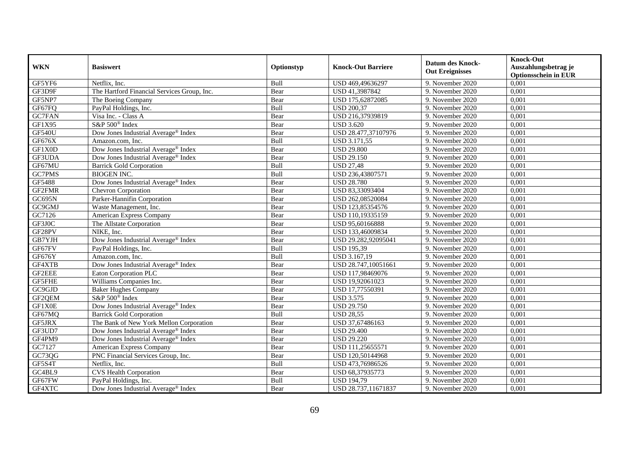| <b>WKN</b>    | <b>Basiswert</b>                                | Optionstyp | <b>Knock-Out Barriere</b> | <b>Datum des Knock-</b><br><b>Out Ereignisses</b> | <b>Knock-Out</b><br>Auszahlungsbetrag je<br><b>Optionsschein in EUR</b> |
|---------------|-------------------------------------------------|------------|---------------------------|---------------------------------------------------|-------------------------------------------------------------------------|
| GF5YF6        | Netflix, Inc.                                   | Bull       | USD 469,49636297          | 9. November 2020                                  | 0,001                                                                   |
| GF3D9F        | The Hartford Financial Services Group, Inc.     | Bear       | USD 41,3987842            | 9. November 2020                                  | 0,001                                                                   |
| GF5NP7        | The Boeing Company                              | Bear       | USD 175,62872085          | 9. November 2020                                  | 0,001                                                                   |
| GF67FQ        | PayPal Holdings, Inc.                           | Bull       | <b>USD 200,37</b>         | 9. November 2020                                  | 0,001                                                                   |
| <b>GC7FAN</b> | Visa Inc. - Class A                             | Bear       | USD 216,37939819          | 9. November 2020                                  | 0,001                                                                   |
| GF1X95        | S&P 500 <sup>®</sup> Index                      | Bear       | <b>USD 3.620</b>          | 9. November 2020                                  | 0,001                                                                   |
| <b>GF540U</b> | Dow Jones Industrial Average® Index             | Bear       | USD 28.477,37107976       | 9. November 2020                                  | 0,001                                                                   |
| GF676X        | Amazon.com, Inc.                                | Bull       | USD 3.171,55              | 9. November 2020                                  | 0,001                                                                   |
| GF1X0D        | Dow Jones Industrial Average® Index             | Bear       | <b>USD 29.800</b>         | 9. November 2020                                  | 0,001                                                                   |
| GF3UDA        | Dow Jones Industrial Average® Index             | Bear       | <b>USD 29.150</b>         | 9. November 2020                                  | 0,001                                                                   |
| GF67MU        | <b>Barrick Gold Corporation</b>                 | Bull       | <b>USD 27,48</b>          | 9. November 2020                                  | 0,001                                                                   |
| GC7PMS        | <b>BIOGEN INC.</b>                              | Bull       | USD 236,43807571          | 9. November 2020                                  | 0,001                                                                   |
| GF5488        | Dow Jones Industrial Average® Index             | Bear       | <b>USD 28.780</b>         | 9. November 2020                                  | 0,001                                                                   |
| GF2FMR        | Chevron Corporation                             | Bear       | USD 83,33093404           | 9. November 2020                                  | 0,001                                                                   |
| GC695N        | Parker-Hannifin Corporation                     | Bear       | USD 262,08520084          | 9. November 2020                                  | 0,001                                                                   |
| GC9GMJ        | Waste Management, Inc.                          | Bear       | USD 123,85354576          | 9. November 2020                                  | 0,001                                                                   |
| GC7126        | American Express Company                        | Bear       | USD 110,19335159          | 9. November 2020                                  | 0,001                                                                   |
| GF3J0C        | The Allstate Corporation                        | Bear       | USD 95,60166888           | 9. November 2020                                  | 0,001                                                                   |
| GF28PV        | NIKE, Inc.                                      | Bear       | USD 133,46009834          | 9. November 2020                                  | 0,001                                                                   |
| GB7YJH        | Dow Jones Industrial Average <sup>®</sup> Index | Bear       | USD 29.282,92095041       | 9. November 2020                                  | 0,001                                                                   |
| GF67FV        | PayPal Holdings, Inc.                           | Bull       | <b>USD 195,39</b>         | 9. November 2020                                  | 0,001                                                                   |
| GF676Y        | Amazon.com, Inc.                                | Bull       | USD 3.167,19              | 9. November 2020                                  | 0,001                                                                   |
| GF4XTB        | Dow Jones Industrial Average® Index             | Bear       | USD 28.747,10051661       | 9. November 2020                                  | 0,001                                                                   |
| GF2EEE        | Eaton Corporation PLC                           | Bear       | USD 117,98469076          | 9. November 2020                                  | 0,001                                                                   |
| GF5FHE        | Williams Companies Inc.                         | Bear       | USD 19,92061023           | 9. November 2020                                  | 0,001                                                                   |
| GC9GJD        | <b>Baker Hughes Company</b>                     | Bear       | USD 17,77550391           | 9. November 2020                                  | 0,001                                                                   |
| GF2QEM        | S&P 500 <sup>®</sup> Index                      | Bear       | <b>USD 3.575</b>          | 9. November 2020                                  | 0,001                                                                   |
| GF1X0E        | Dow Jones Industrial Average® Index             | Bear       | <b>USD 29.750</b>         | 9. November 2020                                  | 0,001                                                                   |
| GF67MQ        | <b>Barrick Gold Corporation</b>                 | Bull       | <b>USD 28,55</b>          | 9. November 2020                                  | 0,001                                                                   |
| GF5JRX        | The Bank of New York Mellon Corporation         | Bear       | USD 37,67486163           | 9. November 2020                                  | 0,001                                                                   |
| GF3UD7        | Dow Jones Industrial Average® Index             | Bear       | <b>USD 29.400</b>         | 9. November 2020                                  | 0,001                                                                   |
| GF4PM9        | Dow Jones Industrial Average <sup>®</sup> Index | Bear       | <b>USD 29.220</b>         | 9. November 2020                                  | 0,001                                                                   |
| GC7127        | American Express Company                        | Bear       | USD 111,25655571          | 9. November 2020                                  | 0,001                                                                   |
| GC73QG        | PNC Financial Services Group, Inc.              | Bear       | USD 120,50144968          | 9. November 2020                                  | 0,001                                                                   |
| GF5S4T        | Netflix, Inc.                                   | Bull       | USD 473,76986526          | 9. November 2020                                  | 0,001                                                                   |
| GC4BL9        | <b>CVS Health Corporation</b>                   | Bear       | USD 68,37935773           | 9. November 2020                                  | 0,001                                                                   |
| GF67FW        | PayPal Holdings, Inc.                           | Bull       | <b>USD 194,79</b>         | 9. November 2020                                  | 0,001                                                                   |
| GF4XTC        | Dow Jones Industrial Average <sup>®</sup> Index | Bear       | USD 28.737,11671837       | 9. November 2020                                  | 0,001                                                                   |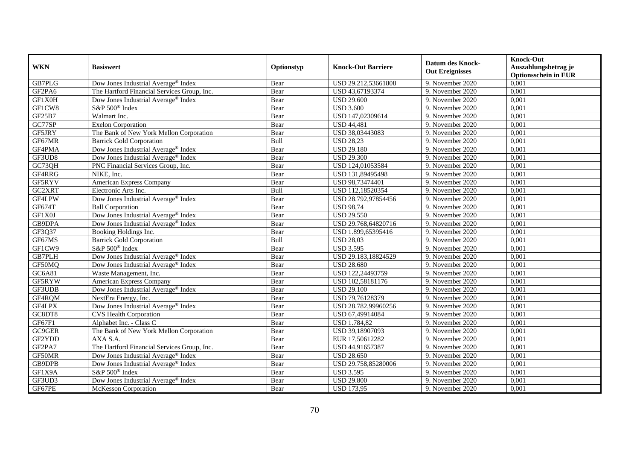| <b>WKN</b>    | <b>Basiswert</b>                                | Optionstyp | <b>Knock-Out Barriere</b> | <b>Datum des Knock-</b><br><b>Out Ereignisses</b> | <b>Knock-Out</b><br>Auszahlungsbetrag je<br><b>Optionsschein in EUR</b> |
|---------------|-------------------------------------------------|------------|---------------------------|---------------------------------------------------|-------------------------------------------------------------------------|
| GB7PLG        | Dow Jones Industrial Average® Index             | Bear       | USD 29.212,53661808       | 9. November 2020                                  | 0,001                                                                   |
| GF2PA6        | The Hartford Financial Services Group, Inc.     | Bear       | USD 43,67193374           | 9. November 2020                                  | 0,001                                                                   |
| GF1X0H        | Dow Jones Industrial Average® Index             | Bear       | <b>USD 29.600</b>         | 9. November 2020                                  | 0,001                                                                   |
| GF1CW8        | S&P 500 <sup>®</sup> Index                      | Bear       | <b>USD 3.600</b>          | 9. November 2020                                  | 0,001                                                                   |
| GF25B7        | Walmart Inc.                                    | Bear       | USD 147,02309614          | 9. November 2020                                  | 0,001                                                                   |
| GC77SP        | <b>Exelon Corporation</b>                       | Bear       | <b>USD 44,481</b>         | 9. November 2020                                  | 0,001                                                                   |
| GF5JRY        | The Bank of New York Mellon Corporation         | Bear       | USD 38,03443083           | 9. November 2020                                  | 0,001                                                                   |
| GF67MR        | <b>Barrick Gold Corporation</b>                 | Bull       | <b>USD 28,23</b>          | 9. November 2020                                  | 0,001                                                                   |
| GF4PMA        | Dow Jones Industrial Average <sup>®</sup> Index | Bear       | <b>USD 29.180</b>         | 9. November 2020                                  | 0,001                                                                   |
| GF3UD8        | Dow Jones Industrial Average® Index             | Bear       | <b>USD 29.300</b>         | 9. November 2020                                  | 0,001                                                                   |
| GC73QH        | PNC Financial Services Group, Inc.              | Bear       | USD 124,01053584          | 9. November 2020                                  | 0,001                                                                   |
| GF4RRG        | NIKE, Inc.                                      | Bear       | USD 131,89495498          | 9. November 2020                                  | 0,001                                                                   |
| GF5RYV        | <b>American Express Company</b>                 | Bear       | USD 98,73474401           | 9. November 2020                                  | 0,001                                                                   |
| GC2XRT        | Electronic Arts Inc.                            | Bull       | USD 112,18520354          | 9. November 2020                                  | 0,001                                                                   |
| GF4LPW        | Dow Jones Industrial Average® Index             | Bear       | USD 28.792,97854456       | 9. November 2020                                  | 0,001                                                                   |
| GF674T        | <b>Ball Corporation</b>                         | Bear       | <b>USD 98,74</b>          | 9. November 2020                                  | 0,001                                                                   |
| GF1X0J        | Dow Jones Industrial Average® Index             | Bear       | <b>USD 29.550</b>         | 9. November 2020                                  | 0,001                                                                   |
| GB9DPA        | Dow Jones Industrial Average <sup>®</sup> Index | Bear       | USD 29.768,64820716       | 9. November 2020                                  | 0,001                                                                   |
| GF3Q37        | Booking Holdings Inc.                           | Bear       | USD 1.899,65395416        | 9. November 2020                                  | 0,001                                                                   |
| GF67MS        | <b>Barrick Gold Corporation</b>                 | Bull       | <b>USD 28,03</b>          | 9. November 2020                                  | 0,001                                                                   |
| GF1CW9        | S&P 500 <sup>®</sup> Index                      | Bear       | <b>USD 3.595</b>          | 9. November 2020                                  | 0,001                                                                   |
| <b>GB7PLH</b> | Dow Jones Industrial Average <sup>®</sup> Index | Bear       | USD 29.183,18824529       | 9. November 2020                                  | 0,001                                                                   |
| GF50MQ        | Dow Jones Industrial Average® Index             | Bear       | <b>USD 28.680</b>         | 9. November 2020                                  | 0,001                                                                   |
| GC6A81        | Waste Management, Inc.                          | Bear       | USD 122,24493759          | 9. November 2020                                  | 0,001                                                                   |
| GF5RYW        | American Express Company                        | Bear       | USD 102,58181176          | 9. November 2020                                  | 0,001                                                                   |
| GF3UDB        | Dow Jones Industrial Average <sup>®</sup> Index | Bear       | <b>USD 29.100</b>         | 9. November 2020                                  | 0,001                                                                   |
| GF4RQM        | NextEra Energy, Inc.                            | Bear       | USD 79,76128379           | 9. November 2020                                  | 0,001                                                                   |
| GF4LPX        | Dow Jones Industrial Average® Index             | Bear       | USD 28.782,99960256       | 9. November 2020                                  | 0,001                                                                   |
| GC8DT8        | <b>CVS Health Corporation</b>                   | Bear       | USD 67,49914084           | 9. November 2020                                  | 0,001                                                                   |
| GF67F1        | Alphabet Inc. - Class C                         | Bear       | <b>USD 1.784,82</b>       | 9. November 2020                                  | 0,001                                                                   |
| GC9GER        | The Bank of New York Mellon Corporation         | Bear       | USD 39,18907093           | 9. November 2020                                  | 0,001                                                                   |
| GF2YDD        | AXA S.A.                                        | Bear       | EUR 17,50612282           | 9. November 2020                                  | 0,001                                                                   |
| GF2PA7        | The Hartford Financial Services Group, Inc.     | Bear       | USD 44,91657387           | 9. November 2020                                  | 0,001                                                                   |
| GF50MR        | Dow Jones Industrial Average® Index             | Bear       | <b>USD 28.650</b>         | 9. November 2020                                  | 0,001                                                                   |
| GB9DPB        | Dow Jones Industrial Average® Index             | Bear       | USD 29.758,85280006       | 9. November 2020                                  | 0,001                                                                   |
| GF1X9A        | S&P 500 <sup>®</sup> Index                      | Bear       | <b>USD 3.595</b>          | 9. November 2020                                  | 0,001                                                                   |
| GF3UD3        | Dow Jones Industrial Average® Index             | Bear       | <b>USD 29.800</b>         | 9. November 2020                                  | 0,001                                                                   |
| GF67PE        | McKesson Corporation                            | Bear       | <b>USD 173,95</b>         | 9. November 2020                                  | 0,001                                                                   |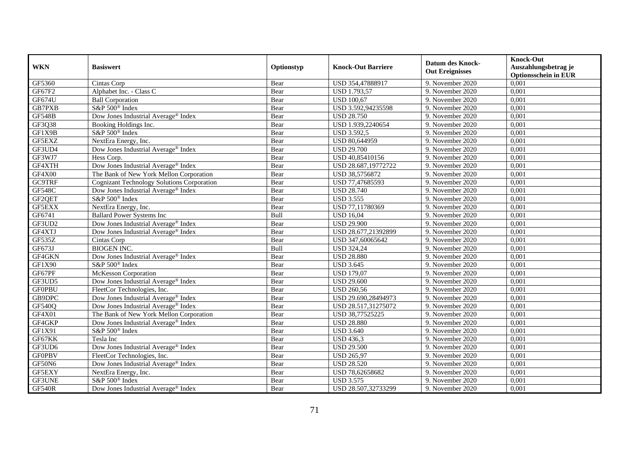| <b>WKN</b>    | <b>Basiswert</b>                                  | Optionstyp | <b>Knock-Out Barriere</b> | <b>Datum des Knock-</b><br><b>Out Ereignisses</b> | <b>Knock-Out</b><br>Auszahlungsbetrag je<br><b>Optionsschein in EUR</b> |
|---------------|---------------------------------------------------|------------|---------------------------|---------------------------------------------------|-------------------------------------------------------------------------|
| GF5360        | Cintas Corp                                       | Bear       | USD 354,47888917          | 9. November 2020                                  | 0,001                                                                   |
| GF67F2        | Alphabet Inc. - Class C                           | Bear       | <b>USD 1.793,57</b>       | 9. November 2020                                  | 0,001                                                                   |
| GF674U        | <b>Ball Corporation</b>                           | Bear       | <b>USD 100,67</b>         | 9. November 2020                                  | 0,001                                                                   |
| GB7PXB        | S&P 500 <sup>®</sup> Index                        | Bear       | USD 3.592,94235598        | 9. November 2020                                  | 0,001                                                                   |
| <b>GF548B</b> | Dow Jones Industrial Average® Index               | Bear       | <b>USD 28.750</b>         | 9. November 2020                                  | 0,001                                                                   |
| GF3Q38        | Booking Holdings Inc.                             | Bear       | USD 1.939,2240654         | 9. November 2020                                  | 0,001                                                                   |
| GF1X9B        | S&P 500 <sup>®</sup> Index                        | Bear       | <b>USD 3.592,5</b>        | 9. November 2020                                  | 0,001                                                                   |
| GF5EXZ        | NextEra Energy, Inc.                              | Bear       | USD 80,644959             | 9. November 2020                                  | 0,001                                                                   |
| GF3UD4        | Dow Jones Industrial Average <sup>®</sup> Index   | Bear       | <b>USD 29.700</b>         | 9. November 2020                                  | 0,001                                                                   |
| GF3WJ7        | Hess Corp.                                        | Bear       | USD 40,85410156           | 9. November 2020                                  | 0,001                                                                   |
| GF4XTH        | Dow Jones Industrial Average® Index               | Bear       | USD 28.687,19772722       | 9. November 2020                                  | 0,001                                                                   |
| GF4X00        | The Bank of New York Mellon Corporation           | Bear       | USD 38,5756872            | 9. November 2020                                  | 0,001                                                                   |
| <b>GC9TRF</b> | <b>Cognizant Technology Solutions Corporation</b> | Bear       | USD 77,47685593           | 9. November 2020                                  | 0,001                                                                   |
| <b>GF548C</b> | Dow Jones Industrial Average® Index               | Bear       | <b>USD 28.740</b>         | 9. November 2020                                  | 0,001                                                                   |
| GF2QET        | S&P 500 <sup>®</sup> Index                        | Bear       | <b>USD 3.555</b>          | 9. November 2020                                  | 0,001                                                                   |
| GF5EXX        | NextEra Energy, Inc.                              | Bear       | USD 77,11780369           | 9. November 2020                                  | 0,001                                                                   |
| GF6741        | <b>Ballard Power Systems Inc</b>                  | Bull       | <b>USD 16,04</b>          | 9. November 2020                                  | 0,001                                                                   |
| GF3UD2        | Dow Jones Industrial Average® Index               | Bear       | <b>USD 29.900</b>         | 9. November 2020                                  | 0,001                                                                   |
| GF4XTJ        | Dow Jones Industrial Average® Index               | Bear       | USD 28.677,21392899       | 9. November 2020                                  | 0,001                                                                   |
| GF535Z        | Cintas Corp                                       | Bear       | USD 347,60065642          | 9. November 2020                                  | 0,001                                                                   |
| GF673J        | <b>BIOGEN INC.</b>                                | Bull       | <b>USD 324,24</b>         | 9. November 2020                                  | 0,001                                                                   |
| GF4GKN        | Dow Jones Industrial Average® Index               | Bear       | <b>USD 28.880</b>         | 9. November 2020                                  | 0,001                                                                   |
| GF1X90        | S&P 500 <sup>®</sup> Index                        | Bear       | <b>USD 3.645</b>          | 9. November 2020                                  | 0,001                                                                   |
| GF67PF        | <b>McKesson Corporation</b>                       | Bear       | <b>USD 179,07</b>         | 9. November 2020                                  | 0,001                                                                   |
| GF3UD5        | Dow Jones Industrial Average® Index               | Bear       | <b>USD 29.600</b>         | 9. November 2020                                  | 0,001                                                                   |
| <b>GF0PBU</b> | FleetCor Technologies, Inc.                       | Bear       | <b>USD 260,56</b>         | 9. November 2020                                  | 0,001                                                                   |
| GB9DPC        | Dow Jones Industrial Average <sup>®</sup> Index   | Bear       | USD 29.690,28494973       | 9. November 2020                                  | 0,001                                                                   |
| <b>GF540Q</b> | Dow Jones Industrial Average® Index               | Bear       | USD 28.517,31275072       | 9. November 2020                                  | 0,001                                                                   |
| GF4X01        | The Bank of New York Mellon Corporation           | Bear       | USD 38,77525225           | 9. November 2020                                  | 0,001                                                                   |
| GF4GKP        | Dow Jones Industrial Average® Index               | Bear       | <b>USD 28.880</b>         | 9. November 2020                                  | 0,001                                                                   |
| GF1X91        | S&P 500 <sup>®</sup> Index                        | Bear       | <b>USD 3.640</b>          | 9. November 2020                                  | 0,001                                                                   |
| GF67KK        | Tesla Inc                                         | Bear       | <b>USD 436,3</b>          | 9. November 2020                                  | 0,001                                                                   |
| GF3UD6        | Dow Jones Industrial Average® Index               | Bear       | <b>USD 29.500</b>         | 9. November 2020                                  | 0,001                                                                   |
| <b>GFOPBV</b> | FleetCor Technologies, Inc.                       | Bear       | <b>USD 265,97</b>         | 9. November 2020                                  | 0,001                                                                   |
| GF50N6        | Dow Jones Industrial Average® Index               | Bear       | <b>USD 28.520</b>         | 9. November 2020                                  | 0,001                                                                   |
| GF5EXY        | NextEra Energy, Inc.                              | Bear       | USD 78,62658682           | 9. November 2020                                  | 0,001                                                                   |
| GF3UNE        | S&P 500 <sup>®</sup> Index                        | Bear       | <b>USD 3.575</b>          | 9. November 2020                                  | 0,001                                                                   |
| <b>GF540R</b> | Dow Jones Industrial Average <sup>®</sup> Index   | Bear       | USD 28.507,32733299       | 9. November 2020                                  | 0,001                                                                   |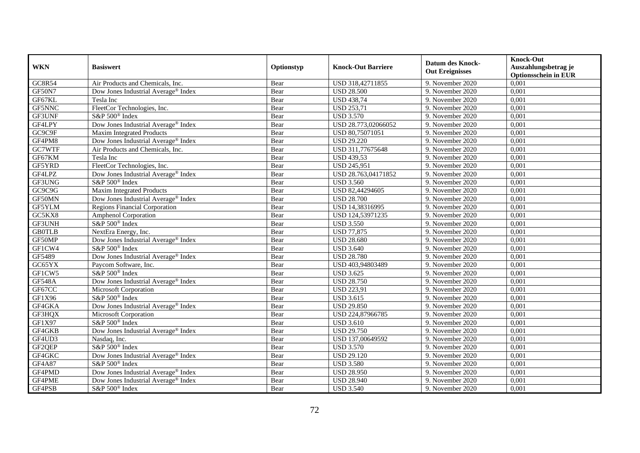| <b>WKN</b>    | <b>Basiswert</b>                                | Optionstyp | <b>Knock-Out Barriere</b> | <b>Datum des Knock-</b><br><b>Out Ereignisses</b> | <b>Knock-Out</b><br>Auszahlungsbetrag je<br><b>Optionsschein in EUR</b> |
|---------------|-------------------------------------------------|------------|---------------------------|---------------------------------------------------|-------------------------------------------------------------------------|
| <b>GC8R54</b> | Air Products and Chemicals, Inc.                | Bear       | USD 318,42711855          | 9. November 2020                                  | 0,001                                                                   |
| <b>GF50N7</b> | Dow Jones Industrial Average® Index             | Bear       | <b>USD 28.500</b>         | 9. November 2020                                  | 0,001                                                                   |
| GF67KL        | Tesla Inc                                       | Bear       | <b>USD 438,74</b>         | 9. November 2020                                  | 0,001                                                                   |
| GF5NNC        | FleetCor Technologies, Inc.                     | Bear       | <b>USD 253,71</b>         | 9. November 2020                                  | 0,001                                                                   |
| GF3UNF        | S&P 500 <sup>®</sup> Index                      | Bear       | <b>USD 3.570</b>          | 9. November 2020                                  | 0,001                                                                   |
| GF4LPY        | Dow Jones Industrial Average® Index             | Bear       | USD 28.773,02066052       | 9. November 2020                                  | 0,001                                                                   |
| GC9C9F        | <b>Maxim Integrated Products</b>                | Bear       | USD 80,75071051           | 9. November 2020                                  | 0,001                                                                   |
| GF4PM8        | Dow Jones Industrial Average® Index             | Bear       | <b>USD 29.220</b>         | 9. November 2020                                  | 0,001                                                                   |
| GC7WTF        | Air Products and Chemicals, Inc.                | Bear       | USD 311,77675648          | 9. November 2020                                  | 0,001                                                                   |
| GF67KM        | Tesla Inc                                       | Bear       | <b>USD 439,53</b>         | 9. November 2020                                  | 0,001                                                                   |
| GF5YRD        | FleetCor Technologies, Inc.                     | Bear       | <b>USD 245,951</b>        | 9. November 2020                                  | 0,001                                                                   |
| GF4LPZ        | Dow Jones Industrial Average® Index             | Bear       | USD 28.763,04171852       | 9. November 2020                                  | 0,001                                                                   |
| GF3UNG        | S&P 500 <sup>®</sup> Index                      | Bear       | <b>USD 3.560</b>          | 9. November 2020                                  | 0,001                                                                   |
| GC9C9G        | <b>Maxim Integrated Products</b>                | Bear       | USD 82,44294605           | 9. November 2020                                  | 0,001                                                                   |
| GF50MN        | Dow Jones Industrial Average® Index             | Bear       | <b>USD 28.700</b>         | 9. November 2020                                  | 0,001                                                                   |
| GF5YLM        | <b>Regions Financial Corporation</b>            | Bear       | USD 14,38316995           | 9. November 2020                                  | 0,001                                                                   |
| GC5KX8        | <b>Amphenol Corporation</b>                     | Bear       | USD 124,53971235          | 9. November 2020                                  | 0,001                                                                   |
| GF3UNH        | S&P 500 <sup>®</sup> Index                      | Bear       | <b>USD 3.550</b>          | 9. November 2020                                  | 0,001                                                                   |
| <b>GB0TLB</b> | NextEra Energy, Inc.                            | Bear       | <b>USD 77,875</b>         | 9. November 2020                                  | 0,001                                                                   |
| GF50MP        | Dow Jones Industrial Average <sup>®</sup> Index | Bear       | <b>USD 28.680</b>         | 9. November 2020                                  | 0,001                                                                   |
| GF1CW4        | S&P 500 <sup>®</sup> Index                      | Bear       | <b>USD 3.640</b>          | 9. November 2020                                  | 0,001                                                                   |
| GF5489        | Dow Jones Industrial Average <sup>®</sup> Index | Bear       | <b>USD 28.780</b>         | 9. November 2020                                  | 0,001                                                                   |
| GC65YX        | Paycom Software, Inc.                           | Bear       | USD 403,94803489          | 9. November 2020                                  | 0,001                                                                   |
| GF1CW5        | S&P 500 <sup>®</sup> Index                      | Bear       | <b>USD 3.625</b>          | 9. November 2020                                  | 0,001                                                                   |
| <b>GF548A</b> | Dow Jones Industrial Average® Index             | Bear       | <b>USD 28.750</b>         | 9. November 2020                                  | 0,001                                                                   |
| GF67CC        | Microsoft Corporation                           | Bear       | <b>USD 223,91</b>         | 9. November 2020                                  | 0,001                                                                   |
| GF1X96        | S&P 500 <sup>®</sup> Index                      | Bear       | <b>USD 3.615</b>          | 9. November 2020                                  | 0,001                                                                   |
| GF4GKA        | Dow Jones Industrial Average® Index             | Bear       | <b>USD 29.850</b>         | 9. November 2020                                  | 0,001                                                                   |
| GF3HQX        | Microsoft Corporation                           | Bear       | USD 224,87966785          | 9. November 2020                                  | 0,001                                                                   |
| GF1X97        | $S\&P 500^{\circ}$ Index                        | Bear       | <b>USD 3.610</b>          | 9. November 2020                                  | 0,001                                                                   |
| GF4GKB        | Dow Jones Industrial Average® Index             | Bear       | <b>USD 29.750</b>         | 9. November 2020                                  | 0,001                                                                   |
| GF4UD3        | Nasdaq, Inc.                                    | Bear       | USD 137,00649592          | 9. November 2020                                  | 0,001                                                                   |
| GF2QEP        | S&P 500 <sup>®</sup> Index                      | Bear       | <b>USD 3.570</b>          | 9. November 2020                                  | 0,001                                                                   |
| GF4GKC        | Dow Jones Industrial Average® Index             | Bear       | <b>USD 29.120</b>         | 9. November 2020                                  | 0,001                                                                   |
| GF4A87        | S&P 500 <sup>®</sup> Index                      | Bear       | <b>USD 3.580</b>          | 9. November 2020                                  | 0,001                                                                   |
| GF4PMD        | Dow Jones Industrial Average® Index             | Bear       | <b>USD 28.950</b>         | 9. November 2020                                  | 0,001                                                                   |
| GF4PME        | Dow Jones Industrial Average® Index             | Bear       | <b>USD 28.940</b>         | 9. November 2020                                  | 0,001                                                                   |
| GF4PSB        | S&P 500 <sup>®</sup> Index                      | Bear       | <b>USD 3.540</b>          | 9. November 2020                                  | 0,001                                                                   |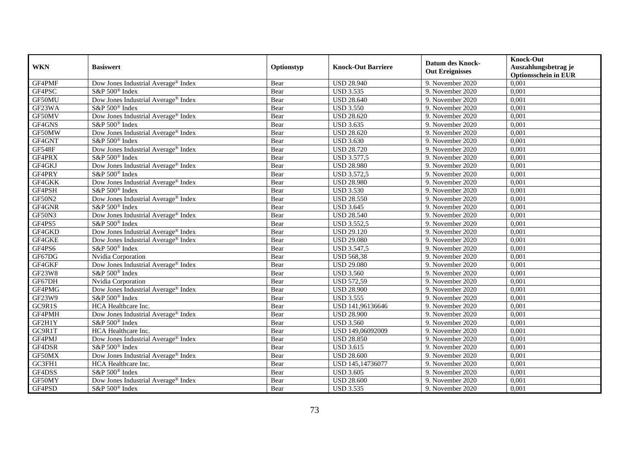|               | <b>Basiswert</b>                                | Optionstyp | <b>Knock-Out Barriere</b> | <b>Datum des Knock-</b><br><b>Out Ereignisses</b> | <b>Knock-Out</b>                     |
|---------------|-------------------------------------------------|------------|---------------------------|---------------------------------------------------|--------------------------------------|
| <b>WKN</b>    |                                                 |            |                           |                                                   | Auszahlungsbetrag je                 |
| GF4PMF        |                                                 |            | <b>USD 28.940</b>         |                                                   | <b>Optionsschein in EUR</b><br>0,001 |
| GF4PSC        | Dow Jones Industrial Average® Index             | Bear       | <b>USD 3.535</b>          | 9. November 2020                                  |                                      |
|               | S&P 500 <sup>®</sup> Index                      | Bear       |                           | 9. November 2020                                  | 0,001                                |
| GF50MU        | Dow Jones Industrial Average® Index             | Bear       | <b>USD 28.640</b>         | 9. November 2020                                  | 0,001                                |
| GF23WA        | S&P 500 <sup>®</sup> Index                      | Bear       | <b>USD 3.550</b>          | 9. November 2020                                  | 0,001                                |
| GF50MV        | Dow Jones Industrial Average® Index             | Bear       | <b>USD 28.620</b>         | 9. November 2020                                  | 0,001                                |
| GF4GNS        | S&P 500 <sup>®</sup> Index                      | Bear       | <b>USD 3.635</b>          | 9. November 2020                                  | 0,001                                |
| GF50MW        | Dow Jones Industrial Average® Index             | Bear       | <b>USD 28.620</b>         | 9. November 2020                                  | 0,001                                |
| GF4GNT        | S&P 500 <sup>®</sup> Index                      | Bear       | <b>USD 3.630</b>          | 9. November 2020                                  | 0,001                                |
| <b>GF548F</b> | Dow Jones Industrial Average® Index             | Bear       | <b>USD 28.720</b>         | 9. November 2020                                  | 0,001                                |
| GF4PRX        | S&P 500 <sup>®</sup> Index                      | Bear       | <b>USD 3.577,5</b>        | 9. November 2020                                  | 0,001                                |
| GF4GKJ        | Dow Jones Industrial Average® Index             | Bear       | <b>USD 28.980</b>         | 9. November 2020                                  | 0,001                                |
| GF4PRY        | S&P 500 <sup>®</sup> Index                      | Bear       | <b>USD 3.572,5</b>        | 9. November 2020                                  | 0,001                                |
| GF4GKK        | Dow Jones Industrial Average® Index             | Bear       | <b>USD 28.980</b>         | 9. November 2020                                  | 0,001                                |
| GF4PSH        | $S\&P 500^{\circ}$ Index                        | Bear       | <b>USD 3.530</b>          | 9. November 2020                                  | 0,001                                |
| <b>GF50N2</b> | Dow Jones Industrial Average <sup>®</sup> Index | Bear       | <b>USD 28.550</b>         | 9. November 2020                                  | 0,001                                |
| GF4GNR        | S&P 500 <sup>®</sup> Index                      | Bear       | <b>USD 3.645</b>          | 9. November 2020                                  | 0,001                                |
| GF50N3        | Dow Jones Industrial Average® Index             | Bear       | <b>USD 28.540</b>         | 9. November 2020                                  | 0,001                                |
| GF4PS5        | S&P 500 <sup>®</sup> Index                      | Bear       | <b>USD 3.552,5</b>        | 9. November 2020                                  | 0,001                                |
| GF4GKD        | Dow Jones Industrial Average® Index             | Bear       | <b>USD 29.120</b>         | 9. November 2020                                  | 0,001                                |
| GF4GKE        | Dow Jones Industrial Average® Index             | Bear       | <b>USD 29.080</b>         | 9. November 2020                                  | 0,001                                |
| GF4PS6        | S&P 500 <sup>®</sup> Index                      | Bear       | <b>USD 3.547,5</b>        | 9. November 2020                                  | 0,001                                |
| GF67DG        | Nvidia Corporation                              | Bear       | <b>USD 568,38</b>         | 9. November 2020                                  | 0,001                                |
| GF4GKF        | Dow Jones Industrial Average® Index             | Bear       | <b>USD 29.080</b>         | 9. November 2020                                  | 0,001                                |
| <b>GF23W8</b> | S&P 500 <sup>®</sup> Index                      | Bear       | <b>USD 3.560</b>          | 9. November 2020                                  | 0,001                                |
| GF67DH        | Nvidia Corporation                              | Bear       | <b>USD 572,59</b>         | 9. November 2020                                  | 0,001                                |
| GF4PMG        | Dow Jones Industrial Average® Index             | Bear       | <b>USD 28.900</b>         | 9. November 2020                                  | 0,001                                |
| GF23W9        | S&P 500 <sup>®</sup> Index                      | Bear       | <b>USD 3.555</b>          | 9. November 2020                                  | 0,001                                |
| GC9R1S        | HCA Healthcare Inc.                             | Bear       | USD 141,96136646          | 9. November 2020                                  | 0,001                                |
| GF4PMH        | Dow Jones Industrial Average® Index             | Bear       | <b>USD 28.900</b>         | 9. November 2020                                  | 0,001                                |
| GF2H1Y        | S&P 500 <sup>®</sup> Index                      | Bear       | <b>USD 3.560</b>          | 9. November 2020                                  | 0,001                                |
| GC9R1T        | HCA Healthcare Inc.                             | Bear       | USD 149,06092009          | 9. November 2020                                  | 0,001                                |
| GF4PMJ        | Dow Jones Industrial Average <sup>®</sup> Index | Bear       | <b>USD 28.850</b>         | 9. November 2020                                  | 0,001                                |
| GF4DSR        | S&P 500 <sup>®</sup> Index                      | Bear       | <b>USD 3.615</b>          | 9. November 2020                                  | 0,001                                |
| GF50MX        | Dow Jones Industrial Average <sup>®</sup> Index | Bear       | <b>USD 28.600</b>         | 9. November 2020                                  | 0,001                                |
| GC3FH1        | HCA Healthcare Inc.                             | Bear       | USD 145,14736077          | 9. November 2020                                  | 0,001                                |
| GF4DSS        | S&P 500 <sup>®</sup> Index                      | Bear       | <b>USD 3.605</b>          | 9. November 2020                                  | 0,001                                |
| GF50MY        | Dow Jones Industrial Average® Index             | Bear       | <b>USD 28.600</b>         | 9. November 2020                                  | 0,001                                |
| GF4PSD        | S&P 500 <sup>®</sup> Index                      | Bear       | <b>USD 3.535</b>          | 9. November 2020                                  | 0,001                                |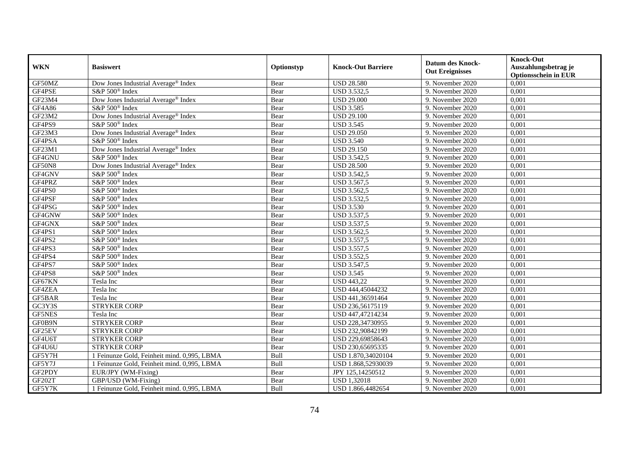|               | <b>Basiswert</b>                            | Optionstyp | <b>Knock-Out Barriere</b> | <b>Datum des Knock-</b><br><b>Out Ereignisses</b> | <b>Knock-Out</b>            |
|---------------|---------------------------------------------|------------|---------------------------|---------------------------------------------------|-----------------------------|
| <b>WKN</b>    |                                             |            |                           |                                                   | Auszahlungsbetrag je        |
|               |                                             |            |                           |                                                   | <b>Optionsschein in EUR</b> |
| GF50MZ        | Dow Jones Industrial Average® Index         | Bear       | <b>USD 28.580</b>         | 9. November 2020                                  | 0,001                       |
| GF4PSE        | S&P 500 <sup>®</sup> Index                  | Bear       | <b>USD 3.532,5</b>        | 9. November 2020                                  | 0,001                       |
| GF23M4        | Dow Jones Industrial Average® Index         | Bear       | <b>USD 29.000</b>         | 9. November 2020                                  | 0,001                       |
| GF4A86        | S&P 500 <sup>®</sup> Index                  | Bear       | <b>USD 3.585</b>          | 9. November 2020                                  | 0,001                       |
| GF23M2        | Dow Jones Industrial Average® Index         | Bear       | <b>USD 29.100</b>         | 9. November 2020                                  | 0,001                       |
| GF4PS9        | S&P 500 <sup>®</sup> Index                  | Bear       | <b>USD 3.545</b>          | 9. November 2020                                  | 0,001                       |
| GF23M3        | Dow Jones Industrial Average® Index         | Bear       | <b>USD 29.050</b>         | 9. November 2020                                  | 0,001                       |
| GF4PSA        | S&P 500 <sup>®</sup> Index                  | Bear       | <b>USD 3.540</b>          | 9. November 2020                                  | 0,001                       |
| GF23M1        | Dow Jones Industrial Average® Index         | Bear       | <b>USD 29.150</b>         | 9. November 2020                                  | 0,001                       |
| GF4GNU        | S&P 500 <sup>®</sup> Index                  | Bear       | <b>USD 3.542,5</b>        | 9. November 2020                                  | 0,001                       |
| GF50N8        | Dow Jones Industrial Average® Index         | Bear       | <b>USD 28.500</b>         | 9. November 2020                                  | 0,001                       |
| GF4GNV        | S&P 500 <sup>®</sup> Index                  | Bear       | <b>USD 3.542,5</b>        | 9. November 2020                                  | 0,001                       |
| GF4PRZ        | S&P 500 <sup>®</sup> Index                  | Bear       | <b>USD 3.567,5</b>        | 9. November 2020                                  | 0,001                       |
| GF4PS0        | S&P 500 <sup>®</sup> Index                  | Bear       | <b>USD 3.562,5</b>        | 9. November 2020                                  | 0,001                       |
| GF4PSF        | S&P 500 <sup>®</sup> Index                  | Bear       | <b>USD 3.532,5</b>        | 9. November 2020                                  | 0,001                       |
| GF4PSG        | S&P 500 <sup>®</sup> Index                  | Bear       | <b>USD 3.530</b>          | 9. November 2020                                  | 0,001                       |
| GF4GNW        | S&P 500 <sup>®</sup> Index                  | Bear       | <b>USD 3.537,5</b>        | 9. November 2020                                  | 0,001                       |
| GF4GNX        | S&P 500 <sup>®</sup> Index                  | Bear       | <b>USD 3.537.5</b>        | 9. November 2020                                  | 0,001                       |
| GF4PS1        | S&P 500 <sup>®</sup> Index                  | Bear       | <b>USD 3.562,5</b>        | 9. November 2020                                  | 0,001                       |
| GF4PS2        | S&P 500 <sup>®</sup> Index                  | Bear       | <b>USD 3.557,5</b>        | 9. November 2020                                  | 0,001                       |
| GF4PS3        | S&P 500 <sup>®</sup> Index                  | Bear       | <b>USD 3.557,5</b>        | 9. November 2020                                  | 0,001                       |
| GF4PS4        | S&P 500 <sup>®</sup> Index                  | Bear       | <b>USD 3.552,5</b>        | 9. November 2020                                  | 0,001                       |
| GF4PS7        | S&P 500 <sup>®</sup> Index                  | Bear       | <b>USD 3.547,5</b>        | 9. November 2020                                  | 0,001                       |
| GF4PS8        | S&P 500 <sup>®</sup> Index                  | Bear       | <b>USD 3.545</b>          | 9. November 2020                                  | 0,001                       |
| GF67KN        | Tesla Inc                                   | Bear       | <b>USD 443,22</b>         | 9. November 2020                                  | 0,001                       |
| GF4ZEA        | Tesla Inc                                   | Bear       | USD 444,45044232          | 9. November 2020                                  | 0,001                       |
| GF5BAR        | Tesla Inc                                   | Bear       | USD 441,36591464          | 9. November 2020                                  | 0,001                       |
| GC3Y3S        | <b>STRYKER CORP</b>                         | Bear       | USD 236,56175119          | 9. November 2020                                  | 0,001                       |
| <b>GF5NES</b> | Tesla Inc                                   | Bear       | USD 447,47214234          | 9. November 2020                                  | 0,001                       |
| GF0B9N        | <b>STRYKER CORP</b>                         | Bear       | USD 228,34730955          | 9. November 2020                                  | 0,001                       |
| GF25EV        | <b>STRYKER CORP</b>                         | Bear       | USD 232,90842199          | 9. November 2020                                  | 0,001                       |
| GF4U6T        | <b>STRYKER CORP</b>                         | Bear       | USD 229,69858643          | 9. November 2020                                  | 0,001                       |
| GF4U6U        | <b>STRYKER CORP</b>                         | Bear       | USD 230,65695335          | 9. November 2020                                  | 0,001                       |
| GF5Y7H        | 1 Feinunze Gold, Feinheit mind. 0,995, LBMA | Bull       | USD 1.870,34020104        | 9. November 2020                                  | 0,001                       |
| GF5Y7J        | 1 Feinunze Gold, Feinheit mind. 0,995, LBMA | Bull       | USD 1.868,52930039        | 9. November 2020                                  | 0,001                       |
| GF2PDY        | EUR/JPY (WM-Fixing)                         | Bear       | JPY 125,14250512          | 9. November 2020                                  | 0,001                       |
| GF202T        | GBP/USD (WM-Fixing)                         | Bear       | <b>USD 1,32018</b>        | 9. November 2020                                  | 0,001                       |
| GF5Y7K        | 1 Feinunze Gold, Feinheit mind. 0,995, LBMA | Bull       | USD 1.866,4482654         | 9. November 2020                                  | 0,001                       |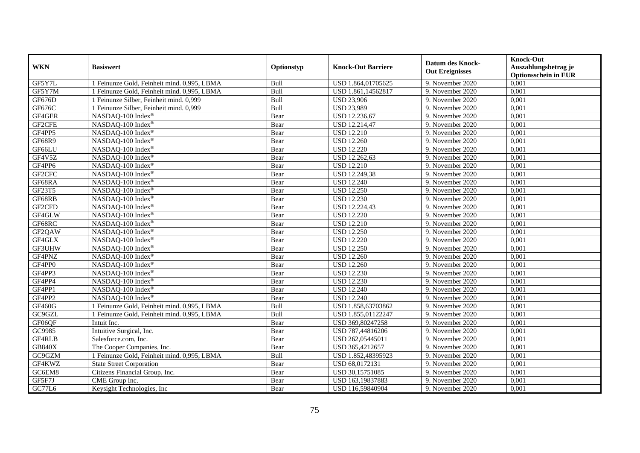|               | <b>Basiswert</b>                            | Optionstyp | <b>Knock-Out Barriere</b> | <b>Datum des Knock-</b> | <b>Knock-Out</b>            |
|---------------|---------------------------------------------|------------|---------------------------|-------------------------|-----------------------------|
| <b>WKN</b>    |                                             |            |                           |                         | Auszahlungsbetrag je        |
|               |                                             |            |                           | <b>Out Ereignisses</b>  | <b>Optionsschein in EUR</b> |
| GF5Y7L        | 1 Feinunze Gold, Feinheit mind. 0,995, LBMA | Bull       | USD 1.864,01705625        | 9. November 2020        | 0,001                       |
| GF5Y7M        | 1 Feinunze Gold, Feinheit mind. 0,995, LBMA | Bull       | USD 1.861,14562817        | 9. November 2020        | 0,001                       |
| GF676D        | 1 Feinunze Silber, Feinheit mind. 0,999     | Bull       | <b>USD 23,906</b>         | 9. November 2020        | 0,001                       |
| GF676C        | 1 Feinunze Silber, Feinheit mind. 0,999     | Bull       | <b>USD 23,989</b>         | 9. November 2020        | 0,001                       |
| GF4GER        | NASDAQ-100 Index®                           | Bear       | USD 12.236,67             | 9. November 2020        | 0,001                       |
| GF2CFE        | NASDAQ-100 Index®                           | Bear       | <b>USD 12.214,47</b>      | 9. November 2020        | 0,001                       |
| GF4PP5        | NASDAQ-100 Index®                           | Bear       | <b>USD 12.210</b>         | 9. November 2020        | 0,001                       |
| GF68R9        | NASDAQ-100 Index®                           | Bear       | <b>USD 12.260</b>         | 9. November 2020        | 0,001                       |
| GF66LU        | NASDAQ-100 Index®                           | Bear       | <b>USD 12.220</b>         | 9. November 2020        | 0,001                       |
| GF4V5Z        | NASDAQ-100 Index®                           | Bear       | USD 12.262,63             | 9. November 2020        | 0,001                       |
| GF4PP6        | NASDAQ-100 Index®                           | Bear       | <b>USD 12.210</b>         | 9. November 2020        | 0,001                       |
| GF2CFC        | NASDAQ-100 Index®                           | Bear       | USD 12.249,38             | 9. November 2020        | 0,001                       |
| GF68RA        | NASDAQ-100 Index®                           | Bear       | <b>USD 12.240</b>         | 9. November 2020        | 0,001                       |
| GF23T5        | NASDAQ-100 Index®                           | Bear       | <b>USD 12.250</b>         | 9. November 2020        | 0,001                       |
| GF68RB        | NASDAQ-100 Index®                           | Bear       | <b>USD 12.230</b>         | 9. November 2020        | 0,001                       |
| GF2CFD        | NASDAQ-100 Index®                           | Bear       | USD 12.224,43             | 9. November 2020        | 0,001                       |
| GF4GLW        | NASDAQ-100 Index®                           | Bear       | <b>USD 12.220</b>         | 9. November 2020        | 0,001                       |
| GF68RC        | NASDAQ-100 Index®                           | Bear       | <b>USD 12.210</b>         | 9. November 2020        | 0,001                       |
| GF2QAW        | NASDAQ-100 Index®                           | Bear       | <b>USD 12.250</b>         | 9. November 2020        | 0,001                       |
| GF4GLX        | NASDAQ-100 Index®                           | Bear       | <b>USD 12.220</b>         | 9. November 2020        | 0,001                       |
| GF3UHW        | NASDAQ-100 Index®                           | Bear       | <b>USD 12.250</b>         | 9. November 2020        | 0,001                       |
| GF4PNZ        | NASDAQ-100 Index®                           | Bear       | <b>USD 12.260</b>         | 9. November 2020        | 0,001                       |
| GF4PP0        | NASDAQ-100 Index®                           | Bear       | <b>USD 12.260</b>         | 9. November 2020        | 0,001                       |
| GF4PP3        | NASDAQ-100 Index®                           | Bear       | <b>USD 12.230</b>         | 9. November 2020        | 0,001                       |
| GF4PP4        | NASDAQ-100 Index®                           | Bear       | <b>USD 12.230</b>         | 9. November 2020        | 0.001                       |
| GF4PP1        | NASDAQ-100 Index®                           | Bear       | <b>USD 12.240</b>         | 9. November 2020        | 0,001                       |
| GF4PP2        | NASDAQ-100 Index®                           | Bear       | <b>USD 12.240</b>         | 9. November 2020        | 0,001                       |
| <b>GF460G</b> | 1 Feinunze Gold, Feinheit mind. 0,995, LBMA | Bull       | USD 1.858,63703862        | 9. November 2020        | 0,001                       |
| GC9GZL        | 1 Feinunze Gold, Feinheit mind. 0,995, LBMA | Bull       | USD 1.855,01122247        | 9. November 2020        | 0,001                       |
| GF06QF        | Intuit Inc.                                 | Bear       | USD 369,80247258          | 9. November 2020        | 0,001                       |
| GC9985        | Intuitive Surgical, Inc.                    | Bear       | USD 787,44816206          | 9. November 2020        | 0,001                       |
| GF4RLB        | Salesforce.com, Inc.                        | Bear       | USD 262,05445011          | 9. November 2020        | 0,001                       |
| <b>GB840X</b> | The Cooper Companies, Inc.                  | Bear       | USD 365,4212657           | 9. November 2020        | 0,001                       |
| GC9GZM        | 1 Feinunze Gold, Feinheit mind. 0,995, LBMA | Bull       | USD 1.852,48395923        | 9. November 2020        | 0,001                       |
| GF4KWZ        | <b>State Street Corporation</b>             | Bear       | USD 68,0172131            | 9. November 2020        | 0,001                       |
| GC6EM8        | Citizens Financial Group, Inc.              | Bear       | USD 30,15751085           | 9. November 2020        | 0,001                       |
| GF5F7J        | CME Group Inc.                              | Bear       | USD 163,19837883          | 9. November 2020        | 0,001                       |
| GC77L6        | Keysight Technologies, Inc.                 | Bear       | USD 116,59840904          | 9. November 2020        | 0,001                       |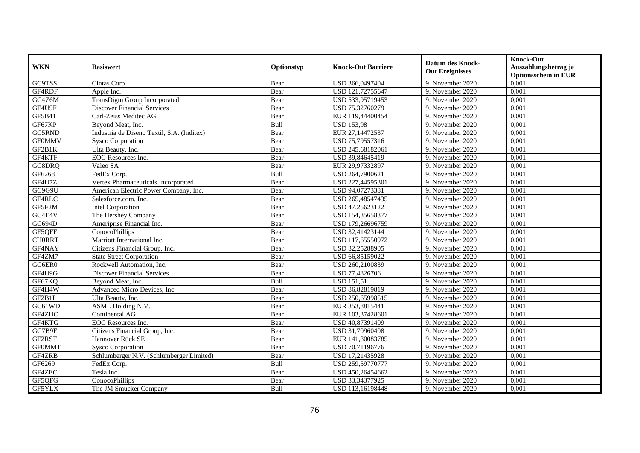| <b>WKN</b>    | <b>Basiswert</b>                           | Optionstyp | <b>Knock-Out Barriere</b> | <b>Datum des Knock-</b><br><b>Out Ereignisses</b> | <b>Knock-Out</b><br>Auszahlungsbetrag je<br><b>Optionsschein in EUR</b> |
|---------------|--------------------------------------------|------------|---------------------------|---------------------------------------------------|-------------------------------------------------------------------------|
| GC9TSS        | Cintas Corp                                | Bear       | USD 366,0497404           | 9. November 2020                                  | 0,001                                                                   |
| GF4RDF        | Apple Inc.                                 | Bear       | USD 121,72755647          | 9. November 2020                                  | 0,001                                                                   |
| GC4Z6M        | TransDigm Group Incorporated               | Bear       | USD 533,95719453          | 9. November 2020                                  | 0,001                                                                   |
| GF4U9F        | <b>Discover Financial Services</b>         | Bear       | USD 75,32760279           | 9. November 2020                                  | 0,001                                                                   |
| GF5B41        | Carl-Zeiss Meditec AG                      | Bear       | EUR 119,44400454          | 9. November 2020                                  | 0,001                                                                   |
| GF67KP        | Beyond Meat, Inc.                          | Bull       | <b>USD 153,98</b>         | 9. November 2020                                  | 0,001                                                                   |
| GC5RND        | Industria de Diseno Textil, S.A. (Inditex) | Bear       | EUR 27,14472537           | 9. November 2020                                  | 0,001                                                                   |
| <b>GF0MMV</b> | <b>Sysco Corporation</b>                   | Bear       | USD 75,79557316           | 9. November 2020                                  | 0,001                                                                   |
| GF2B1K        | Ulta Beauty, Inc.                          | Bear       | USD 245,68182061          | 9. November 2020                                  | 0,001                                                                   |
| GF4KTF        | EOG Resources Inc.                         | Bear       | USD 39,84645419           | 9. November 2020                                  | 0,001                                                                   |
| GC8DRQ        | Valeo SA                                   | Bear       | EUR 29,97332897           | 9. November 2020                                  | 0,001                                                                   |
| GF6268        | FedEx Corp.                                | Bull       | USD 264,7900621           | 9. November 2020                                  | 0,001                                                                   |
| GF4U7Z        | Vertex Pharmaceuticals Incorporated        | Bear       | USD 227,44595301          | 9. November 2020                                  | 0,001                                                                   |
| GC9G9U        | American Electric Power Company, Inc.      | Bear       | USD 94,07273381           | 9. November 2020                                  | 0,001                                                                   |
| GF4RLC        | Salesforce.com, Inc.                       | Bear       | USD 265,48547435          | 9. November 2020                                  | 0,001                                                                   |
| GF5F2M        | <b>Intel Corporation</b>                   | Bear       | USD 47,25623122           | 9. November 2020                                  | 0,001                                                                   |
| GC4E4V        | The Hershey Company                        | Bear       | USD 154,35658377          | 9. November 2020                                  | 0,001                                                                   |
| GC694D        | Ameriprise Financial Inc.                  | Bear       | USD 179.26696759          | 9. November 2020                                  | 0,001                                                                   |
| GF5QFF        | ConocoPhillips                             | Bear       | USD 32,41423144           | 9. November 2020                                  | 0,001                                                                   |
| <b>CHORRT</b> | Marriott International Inc.                | Bear       | USD 117,65550972          | 9. November 2020                                  | 0,001                                                                   |
| GF4NAY        | Citizens Financial Group, Inc.             | Bear       | USD 32,25288905           | 9. November 2020                                  | 0,001                                                                   |
| GF4ZM7        | <b>State Street Corporation</b>            | Bear       | USD 66,85159022           | 9. November 2020                                  | 0,001                                                                   |
| GC6ER0        | Rockwell Automation, Inc.                  | Bear       | USD 260,2100839           | 9. November 2020                                  | 0,001                                                                   |
| GF4U9G        | <b>Discover Financial Services</b>         | Bear       | USD 77,4826706            | 9. November 2020                                  | 0,001                                                                   |
| GF67KQ        | Beyond Meat, Inc.                          | Bull       | <b>USD 151,51</b>         | 9. November 2020                                  | 0,001                                                                   |
| GF4H4W        | Advanced Micro Devices, Inc.               | Bear       | USD 86,82819819           | 9. November 2020                                  | 0,001                                                                   |
| GF2B1L        | Ulta Beauty, Inc.                          | Bear       | USD 250,65998515          | 9. November 2020                                  | 0,001                                                                   |
| GC61WD        | ASML Holding N.V.                          | Bear       | EUR 353,8815441           | 9. November 2020                                  | 0,001                                                                   |
| GF4ZHC        | Continental AG                             | Bear       | EUR 103,37428601          | 9. November 2020                                  | 0,001                                                                   |
| GF4KTG        | EOG Resources Inc.                         | Bear       | USD 40,87391409           | 9. November 2020                                  | 0,001                                                                   |
| GC7B9F        | Citizens Financial Group, Inc.             | Bear       | USD 31,70960408           | 9. November 2020                                  | 0,001                                                                   |
| GF2RST        | Hannover Rück SE                           | Bear       | EUR 141,80083785          | 9. November 2020                                  | 0,001                                                                   |
| <b>GF0MMT</b> | <b>Sysco Corporation</b>                   | Bear       | USD 70,71196776           | 9. November 2020                                  | 0,001                                                                   |
| GF4ZRB        | Schlumberger N.V. (Schlumberger Limited)   | Bear       | USD 17,21435928           | 9. November 2020                                  | 0,001                                                                   |
| GF6269        | FedEx Corp.                                | Bull       | USD 259,59770777          | 9. November 2020                                  | 0,001                                                                   |
| GF4ZEC        | Tesla Inc                                  | Bear       | USD 450,26454662          | 9. November 2020                                  | 0,001                                                                   |
| GF5QFG        | ConocoPhillips                             | Bear       | USD 33,34377925           | 9. November 2020                                  | 0,001                                                                   |
| GF5YLX        | The JM Smucker Company                     | Bull       | USD 113,16198448          | 9. November 2020                                  | 0,001                                                                   |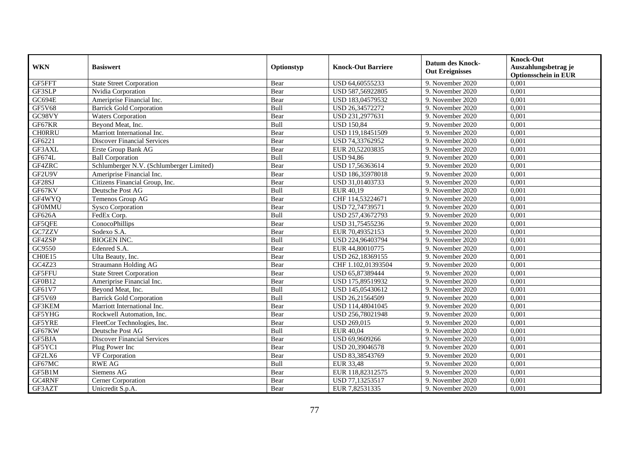| <b>WKN</b>    | <b>Basiswert</b>                         | Optionstyp | <b>Knock-Out Barriere</b> | <b>Datum des Knock-</b><br><b>Out Ereignisses</b> | <b>Knock-Out</b><br>Auszahlungsbetrag je<br><b>Optionsschein in EUR</b> |
|---------------|------------------------------------------|------------|---------------------------|---------------------------------------------------|-------------------------------------------------------------------------|
| GF5FFT        | <b>State Street Corporation</b>          | Bear       | USD 64,60555233           | 9. November 2020                                  | 0,001                                                                   |
| GF3SLP        | Nvidia Corporation                       | Bear       | USD 587,56922805          | 9. November 2020                                  | 0,001                                                                   |
| GC694E        | Ameriprise Financial Inc.                | Bear       | USD 183,04579532          | 9. November 2020                                  | 0,001                                                                   |
| <b>GF5V68</b> | <b>Barrick Gold Corporation</b>          | Bull       | USD 26,34572272           | 9. November 2020                                  | 0,001                                                                   |
| GC98VY        | <b>Waters Corporation</b>                | Bear       | USD 231,2977631           | 9. November 2020                                  | 0,001                                                                   |
| GF67KR        | Beyond Meat, Inc.                        | Bull       | <b>USD 150,84</b>         | 9. November 2020                                  | 0,001                                                                   |
| <b>CH0RRU</b> | Marriott International Inc.              | Bear       | USD 119,18451509          | 9. November 2020                                  | 0,001                                                                   |
| GF6221        | <b>Discover Financial Services</b>       | Bear       | USD 74,33762952           | 9. November 2020                                  | 0,001                                                                   |
| GF3AXL        | Erste Group Bank AG                      | Bear       | EUR 20,52203835           | 9. November 2020                                  | 0,001                                                                   |
| GF674L        | <b>Ball Corporation</b>                  | Bull       | <b>USD 94,86</b>          | 9. November 2020                                  | 0,001                                                                   |
| GF4ZRC        | Schlumberger N.V. (Schlumberger Limited) | Bear       | USD 17,56363614           | 9. November 2020                                  | 0,001                                                                   |
| GF2U9V        | Ameriprise Financial Inc.                | Bear       | USD 186,35978018          | 9. November 2020                                  | 0,001                                                                   |
| GF28SJ        | Citizens Financial Group, Inc.           | Bear       | USD 31,01403733           | 9. November 2020                                  | 0,001                                                                   |
| GF67KV        | Deutsche Post AG                         | Bull       | EUR 40,19                 | 9. November 2020                                  | 0,001                                                                   |
| GF4WYQ        | Temenos Group AG                         | Bear       | CHF 114,53224671          | 9. November 2020                                  | 0,001                                                                   |
| <b>GF0MMU</b> | <b>Sysco Corporation</b>                 | Bear       | USD 72,74739571           | 9. November 2020                                  | 0,001                                                                   |
| GF626A        | FedEx Corp.                              | Bull       | USD 257,43672793          | 9. November 2020                                  | 0,001                                                                   |
| GF5QFE        | ConocoPhillips                           | Bear       | USD 31,75455236           | 9. November 2020                                  | 0,001                                                                   |
| GC7ZZV        | Sodexo S.A.                              | Bear       | EUR 70,49352153           | 9. November 2020                                  | 0,001                                                                   |
| GF4ZSP        | <b>BIOGEN INC.</b>                       | Bull       | USD 224,96403794          | 9. November 2020                                  | 0,001                                                                   |
| GC9550        | Edenred S.A.                             | Bear       | EUR 44,80010775           | 9. November 2020                                  | 0,001                                                                   |
| CH0E15        | Ulta Beauty, Inc.                        | Bear       | USD 262,18369155          | 9. November 2020                                  | 0,001                                                                   |
| GC4Z23        | Straumann Holding AG                     | Bear       | CHF 1.102.01393504        | 9. November 2020                                  | 0,001                                                                   |
| GF5FFU        | <b>State Street Corporation</b>          | Bear       | USD 65,87389444           | 9. November 2020                                  | 0,001                                                                   |
| GF0B12        | Ameriprise Financial Inc.                | Bear       | USD 175,89519932          | 9. November 2020                                  | 0,001                                                                   |
| GF61V7        | Beyond Meat, Inc.                        | Bull       | USD 145,05430612          | 9. November 2020                                  | 0,001                                                                   |
| GF5V69        | <b>Barrick Gold Corporation</b>          | Bull       | USD 26,21564509           | 9. November 2020                                  | 0,001                                                                   |
| GF3KEM        | Marriott International Inc.              | Bear       | USD 114,48041045          | 9. November 2020                                  | 0.001                                                                   |
| GF5YHG        | Rockwell Automation, Inc.                | Bear       | USD 256,78021948          | 9. November 2020                                  | 0,001                                                                   |
| GF5YRE        | FleetCor Technologies, Inc.              | Bear       | <b>USD 269,015</b>        | 9. November 2020                                  | 0,001                                                                   |
| GF67KW        | Deutsche Post AG                         | Bull       | EUR 40,04                 | 9. November 2020                                  | 0,001                                                                   |
| GF5BJA        | <b>Discover Financial Services</b>       | Bear       | USD 69,9609266            | 9. November 2020                                  | 0,001                                                                   |
| GF5YC1        | Plug Power Inc                           | Bear       | USD 20,39046578           | 9. November 2020                                  | 0,001                                                                   |
| GF2LX6        | VF Corporation                           | Bear       | USD 83,38543769           | 9. November 2020                                  | 0,001                                                                   |
| GF67MC        | <b>RWE AG</b>                            | Bull       | <b>EUR 33,48</b>          | 9. November 2020                                  | 0,001                                                                   |
| GF5B1M        | Siemens AG                               | Bear       | EUR 118,82312575          | 9. November 2020                                  | 0,001                                                                   |
| GC4RNF        | Cerner Corporation                       | Bear       | USD 77,13253517           | 9. November 2020                                  | 0,001                                                                   |
| GF3AZT        | Unicredit S.p.A.                         | Bear       | EUR 7,82531335            | 9. November 2020                                  | 0,001                                                                   |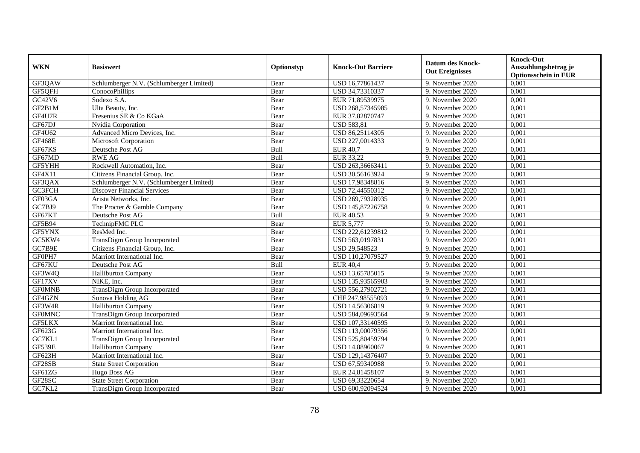| <b>WKN</b>    | <b>Basiswert</b>                         | Optionstyp | <b>Knock-Out Barriere</b> | <b>Datum des Knock-</b><br><b>Out Ereignisses</b> | <b>Knock-Out</b><br>Auszahlungsbetrag je<br><b>Optionsschein in EUR</b> |
|---------------|------------------------------------------|------------|---------------------------|---------------------------------------------------|-------------------------------------------------------------------------|
| GF3QAW        | Schlumberger N.V. (Schlumberger Limited) | Bear       | USD 16,77861437           | 9. November 2020                                  | 0,001                                                                   |
| GF5QFH        | ConocoPhillips                           | Bear       | USD 34,73310337           | 9. November 2020                                  | 0,001                                                                   |
| GC42V6        | Sodexo S.A.                              | Bear       | EUR 71,89539975           | 9. November 2020                                  | 0,001                                                                   |
| GF2B1M        | Ulta Beauty, Inc.                        | Bear       | USD 268,57345985          | 9. November 2020                                  | 0,001                                                                   |
| GF4U7R        | Fresenius SE & Co KGaA                   | Bear       | EUR 37,82870747           | 9. November 2020                                  | 0,001                                                                   |
| GF67DJ        | Nvidia Corporation                       | Bear       | <b>USD 583,81</b>         | 9. November 2020                                  | 0,001                                                                   |
| GF4U62        | Advanced Micro Devices, Inc.             | Bear       | USD 86,25114305           | 9. November 2020                                  | 0,001                                                                   |
| <b>GF468E</b> | Microsoft Corporation                    | Bear       | USD 227,0014333           | 9. November 2020                                  | 0,001                                                                   |
| GF67KS        | Deutsche Post AG                         | Bull       | <b>EUR 40,7</b>           | 9. November 2020                                  | 0,001                                                                   |
| GF67MD        | <b>RWE AG</b>                            | Bull       | EUR 33,22                 | 9. November 2020                                  | 0,001                                                                   |
| GF5YHH        | Rockwell Automation, Inc.                | Bear       | USD 263,36663411          | 9. November 2020                                  | 0,001                                                                   |
| GF4X11        | Citizens Financial Group, Inc.           | Bear       | USD 30,56163924           | 9. November 2020                                  | 0,001                                                                   |
| GF3QAX        | Schlumberger N.V. (Schlumberger Limited) | Bear       | USD 17,98348816           | 9. November 2020                                  | 0,001                                                                   |
| GC3FCH        | Discover Financial Services              | Bear       | USD 72,44550312           | 9. November 2020                                  | 0,001                                                                   |
| GF03GA        | Arista Networks, Inc.                    | Bear       | USD 269,79328935          | 9. November 2020                                  | 0,001                                                                   |
| GC7BJ9        | The Procter & Gamble Company             | Bear       | USD 145,87226758          | 9. November 2020                                  | 0,001                                                                   |
| GF67KT        | Deutsche Post AG                         | Bull       | EUR 40,53                 | 9. November 2020                                  | 0,001                                                                   |
| GF5B94        | TechnipFMC PLC                           | Bear       | EUR 5,777                 | 9. November 2020                                  | 0,001                                                                   |
| GF5YNX        | ResMed Inc.                              | Bear       | USD 222,61239812          | 9. November 2020                                  | 0,001                                                                   |
| GC5KW4        | TransDigm Group Incorporated             | Bear       | USD 563,0197831           | 9. November 2020                                  | 0,001                                                                   |
| GC7B9E        | Citizens Financial Group, Inc.           | Bear       | USD 29,548523             | 9. November 2020                                  | 0,001                                                                   |
| GF0PH7        | Marriott International Inc.              | Bear       | USD 110,27079527          | 9. November 2020                                  | 0,001                                                                   |
| GF67KU        | Deutsche Post AG                         | Bull       | <b>EUR 40,4</b>           | 9. November 2020                                  | 0,001                                                                   |
| GF3W4Q        | <b>Halliburton Company</b>               | Bear       | USD 13,65785015           | 9. November 2020                                  | 0,001                                                                   |
| GF17XV        | NIKE, Inc.                               | Bear       | USD 135,93565903          | 9. November 2020                                  | 0,001                                                                   |
| <b>GF0MNB</b> | TransDigm Group Incorporated             | Bear       | USD 556,27902721          | 9. November 2020                                  | 0,001                                                                   |
| GF4GZN        | Sonova Holding AG                        | Bear       | CHF 247,98555093          | 9. November 2020                                  | 0,001                                                                   |
| GF3W4R        | <b>Halliburton Company</b>               | Bear       | USD 14,56306819           | 9. November 2020                                  | 0,001                                                                   |
| <b>GF0MNC</b> | TransDigm Group Incorporated             | Bear       | USD 584,09693564          | 9. November 2020                                  | 0,001                                                                   |
| <b>GF5LKX</b> | Marriott International Inc.              | Bear       | USD 107,33140595          | 9. November 2020                                  | 0.001                                                                   |
| GF623G        | Marriott International Inc.              | Bear       | USD 113,00079356          | 9. November 2020                                  | 0,001                                                                   |
| GC7KL1        | TransDigm Group Incorporated             | Bear       | USD 525,80459794          | 9. November 2020                                  | 0,001                                                                   |
| <b>GF539E</b> | <b>Halliburton Company</b>               | Bear       | USD 14,88960067           | 9. November 2020                                  | 0,001                                                                   |
| GF623H        | Marriott International Inc.              | Bear       | USD 129,14376407          | 9. November 2020                                  | 0,001                                                                   |
| GF28SB        | <b>State Street Corporation</b>          | Bear       | USD 67,59340988           | 9. November 2020                                  | 0,001                                                                   |
| GF61ZG        | Hugo Boss AG                             | Bear       | EUR 24,81458107           | 9. November 2020                                  | 0,001                                                                   |
| GF28SC        | <b>State Street Corporation</b>          | Bear       | USD 69,33220654           | 9. November 2020                                  | 0,001                                                                   |
| GC7KL2        | TransDigm Group Incorporated             | Bear       | USD 600,92094524          | 9. November 2020                                  | 0,001                                                                   |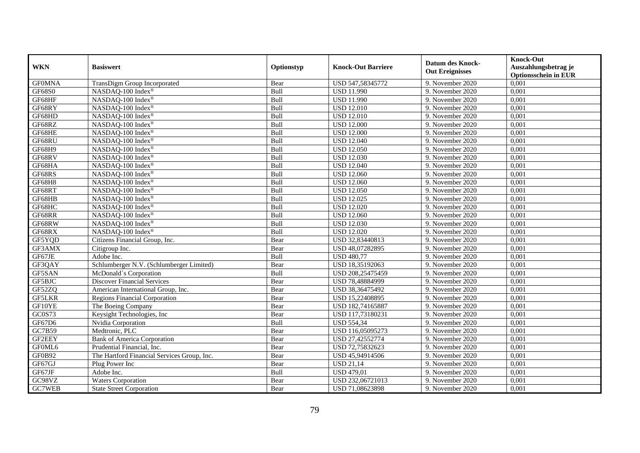| <b>WKN</b>    | <b>Basiswert</b>                            | Optionstyp  | <b>Knock-Out Barriere</b> | <b>Datum des Knock-</b><br><b>Out Ereignisses</b> | <b>Knock-Out</b><br>Auszahlungsbetrag je<br><b>Optionsschein in EUR</b> |
|---------------|---------------------------------------------|-------------|---------------------------|---------------------------------------------------|-------------------------------------------------------------------------|
| <b>GF0MNA</b> | TransDigm Group Incorporated                | Bear        | USD 547,58345772          | 9. November 2020                                  | 0,001                                                                   |
| <b>GF68S0</b> | NASDAQ-100 Index®                           | Bull        | <b>USD 11.990</b>         | 9. November 2020                                  | 0,001                                                                   |
| GF68HF        | NASDAQ-100 Index®                           | Bull        | <b>USD 11.990</b>         | 9. November 2020                                  | 0,001                                                                   |
| GF68RY        | NASDAQ-100 Index®                           | Bull        | <b>USD 12.010</b>         | 9. November 2020                                  | 0,001                                                                   |
| GF68HD        | NASDAQ-100 Index®                           | Bull        | <b>USD 12.010</b>         | 9. November 2020                                  | 0,001                                                                   |
| GF68RZ        | NASDAQ-100 Index®                           | Bull        | <b>USD 12.000</b>         | 9. November 2020                                  | 0,001                                                                   |
| GF68HE        | NASDAQ-100 Index®                           | Bull        | <b>USD 12.000</b>         | 9. November 2020                                  | 0,001                                                                   |
| GF68RU        | NASDAQ-100 Index®                           | Bull        | <b>USD 12.040</b>         | 9. November 2020                                  | 0,001                                                                   |
| GF68H9        | NASDAQ-100 Index®                           | Bull        | <b>USD 12.050</b>         | 9. November 2020                                  | 0,001                                                                   |
| GF68RV        | NASDAQ-100 Index®                           | Bull        | <b>USD 12.030</b>         | 9. November 2020                                  | 0,001                                                                   |
| GF68HA        | NASDAQ-100 Index®                           | Bull        | <b>USD 12.040</b>         | 9. November 2020                                  | 0,001                                                                   |
| GF68RS        | NASDAQ-100 Index®                           | Bull        | <b>USD 12.060</b>         | 9. November 2020                                  | 0,001                                                                   |
| GF68H8        | NASDAQ-100 Index®                           | Bull        | <b>USD 12.060</b>         | 9. November 2020                                  | 0,001                                                                   |
| GF68RT        | NASDAQ-100 Index®                           | Bull        | <b>USD 12.050</b>         | 9. November 2020                                  | 0,001                                                                   |
| GF68HB        | NASDAQ-100 Index®                           | Bull        | <b>USD 12.025</b>         | 9. November 2020                                  | 0,001                                                                   |
| GF68HC        | NASDAQ-100 Index®                           | Bull        | <b>USD 12.020</b>         | 9. November 2020                                  | 0,001                                                                   |
| GF68RR        | NASDAQ-100 Index®                           | Bull        | <b>USD 12.060</b>         | 9. November 2020                                  | 0,001                                                                   |
| GF68RW        | NASDAQ-100 Index®                           | <b>Bull</b> | <b>USD 12.030</b>         | 9. November 2020                                  | 0,001                                                                   |
| GF68RX        | NASDAQ-100 Index®                           | Bull        | <b>USD 12.020</b>         | 9. November 2020                                  | 0,001                                                                   |
| GF5YQD        | Citizens Financial Group, Inc.              | Bear        | USD 32,83440813           | 9. November 2020                                  | 0,001                                                                   |
| GF3AMX        | Citigroup Inc.                              | Bear        | USD 48,07282895           | 9. November 2020                                  | 0,001                                                                   |
| GF67JE        | Adobe Inc.                                  | Bull        | <b>USD 480,77</b>         | 9. November 2020                                  | 0,001                                                                   |
| GF3QAY        | Schlumberger N.V. (Schlumberger Limited)    | Bear        | USD 18,35192063           | 9. November 2020                                  | 0,001                                                                   |
| GF5SAN        | McDonald's Corporation                      | Bull        | USD 208,25475459          | 9. November 2020                                  | 0,001                                                                   |
| GF5BJC        | Discover Financial Services                 | Bear        | USD 78,48884999           | 9. November 2020                                  | 0,001                                                                   |
| GF52ZQ        | American International Group, Inc.          | Bear        | USD 38,36475492           | 9. November 2020                                  | 0,001                                                                   |
| <b>GF5LKR</b> | <b>Regions Financial Corporation</b>        | Bear        | USD 15,22408895           | 9. November 2020                                  | 0,001                                                                   |
| GF10YE        | The Boeing Company                          | Bear        | USD 182,74165887          | 9. November 2020                                  | 0,001                                                                   |
| GC0S73        | Keysight Technologies, Inc                  | Bear        | USD 117,73180231          | 9. November 2020                                  | 0,001                                                                   |
| GF67D6        | Nvidia Corporation                          | Bull        | <b>USD 554,34</b>         | 9. November 2020                                  | 0,001                                                                   |
| GC7B59        | Medtronic, PLC                              | Bear        | USD 116,05095273          | 9. November 2020                                  | 0,001                                                                   |
| GF2EEY        | <b>Bank of America Corporation</b>          | Bear        | USD 27,42552774           | 9. November 2020                                  | 0,001                                                                   |
| GF0ML6        | Prudential Financial, Inc.                  | Bear        | USD 72,75832623           | 9. November 2020                                  | 0,001                                                                   |
| GF0B92        | The Hartford Financial Services Group, Inc. | Bear        | USD 45,94914506           | 9. November 2020                                  | 0,001                                                                   |
| GF67GJ        | Plug Power Inc                              | Bear        | <b>USD 21,14</b>          | 9. November 2020                                  | 0,001                                                                   |
| GF67JF        | Adobe Inc.                                  | Bull        | <b>USD 479,01</b>         | 9. November 2020                                  | 0,001                                                                   |
| GC98VZ        | Waters Corporation                          | Bear        | USD 232,06721013          | 9. November 2020                                  | 0,001                                                                   |
| GC7WEB        | <b>State Street Corporation</b>             | Bear        | USD 71,08623898           | 9. November 2020                                  | 0,001                                                                   |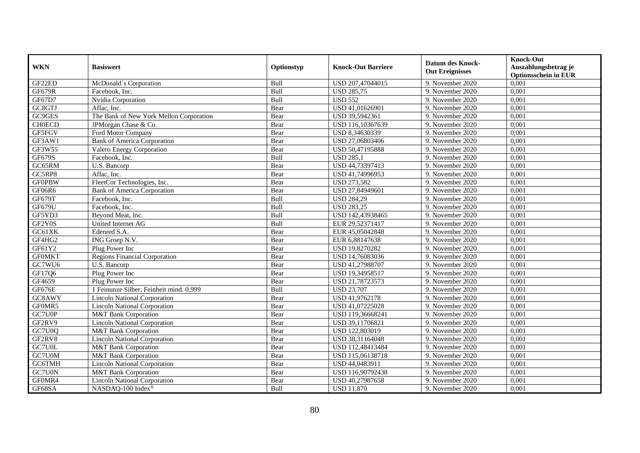| <b>WKN</b>    | <b>Basiswert</b>                        | Optionstyp | <b>Knock-Out Barriere</b> | <b>Datum des Knock-</b><br><b>Out Ereignisses</b> | <b>Knock-Out</b><br>Auszahlungsbetrag je<br><b>Optionsschein in EUR</b> |
|---------------|-----------------------------------------|------------|---------------------------|---------------------------------------------------|-------------------------------------------------------------------------|
| GF22ED        | McDonald's Corporation                  | Bull       | USD 207,47044015          | 9. November 2020                                  | 0,001                                                                   |
| <b>GF679R</b> | Facebook. Inc.                          | Bull       | <b>USD 285,75</b>         | 9. November 2020                                  | 0,001                                                                   |
| GF67D7        | Nvidia Corporation                      | Bull       | <b>USD 552</b>            | 9. November 2020                                  | 0,001                                                                   |
| GC8GTJ        | Aflac, Inc.                             | Bear       | USD 41,01626901           | 9. November 2020                                  | 0,001                                                                   |
| GC9GES        | The Bank of New York Mellon Corporation | Bear       | USD 39,5942361            | 9. November 2020                                  | 0,001                                                                   |
| <b>CH0ECD</b> | JPMorgan Chase & Co.                    | Bear       | USD 116,10367639          | 9. November 2020                                  | 0,001                                                                   |
| GF5FGV        | Ford Motor Company                      | Bear       | USD 8,34630339            | 9. November 2020                                  | 0,001                                                                   |
| GF3AW1        | <b>Bank of America Corporation</b>      | Bear       | USD 27,06803406           | 9. November 2020                                  | 0,001                                                                   |
| GF3W55        | Valero Energy Corporation               | Bear       | USD 50,47195888           | 9. November 2020                                  | 0,001                                                                   |
| GF679S        | Facebook, Inc.                          | Bull       | <b>USD 285,1</b>          | 9. November 2020                                  | 0,001                                                                   |
| GC65RM        | U.S. Bancorp                            | Bear       | USD 44,73397413           | 9. November 2020                                  | 0,001                                                                   |
| GC5RP8        | Aflac, Inc.                             | Bear       | USD 41,74996953           | 9. November 2020                                  | 0,001                                                                   |
| <b>GF0PBW</b> | FleetCor Technologies, Inc.             | Bear       | <b>USD 273,582</b>        | 9. November 2020                                  | 0,001                                                                   |
| GF06R6        | <b>Bank of America Corporation</b>      | Bear       | USD 27,84949601           | 9. November 2020                                  | 0,001                                                                   |
| GF679T        | Facebook, Inc.                          | Bull       | <b>USD 284,29</b>         | 9. November 2020                                  | 0,001                                                                   |
| GF679U        | Facebook, Inc.                          | Bull       | <b>USD 283,25</b>         | 9. November 2020                                  | 0,001                                                                   |
| GF5YD3        | Beyond Meat, Inc.                       | Bull       | USD 142,43938465          | 9. November 2020                                  | 0,001                                                                   |
| GF2Y0S        | United Internet AG                      | Bull       | EUR 29.52371417           | 9. November 2020                                  | 0,001                                                                   |
| GC61XK        | Edenred S.A.                            | Bear       | EUR 45,05042848           | 9. November 2020                                  | 0,001                                                                   |
| GF4HG2        | ING Groep N.V.                          | Bear       | EUR 6,88147638            | 9. November 2020                                  | 0,001                                                                   |
| GF61Y2        | Plug Power Inc                          | Bear       | USD 19,8270282            | 9. November 2020                                  | 0,001                                                                   |
| <b>GFOMKT</b> | <b>Regions Financial Corporation</b>    | Bear       | USD 14,76083036           | 9. November 2020                                  | 0,001                                                                   |
| GC7WU6        | U.S. Bancorp                            | Bear       | USD 41,27988707           | 9. November 2020                                  | 0,001                                                                   |
| GF17Q6        | Plug Power Inc                          | Bear       | USD 19,34958517           | 9. November 2020                                  | 0,001                                                                   |
| GF4659        | Plug Power Inc                          | Bear       | USD 21,78723573           | 9. November 2020                                  | 0,001                                                                   |
| GF676E        | 1 Feinunze Silber, Feinheit mind. 0,999 | Bull       | <b>USD 23,707</b>         | 9. November 2020                                  | 0,001                                                                   |
| GC8AWY        | <b>Lincoln National Corporation</b>     | Bear       | USD 41,9762178            | 9. November $2020$                                | 0,001                                                                   |
| GF0MR5        | <b>Lincoln National Corporation</b>     | Bear       | USD 41,07225028           | 9. November 2020                                  | 0.001                                                                   |
| GC7U0P        | M&T Bank Corporation                    | Bear       | USD 119,36668241          | 9. November 2020                                  | 0,001                                                                   |
| GF2RV9        | <b>Lincoln National Corporation</b>     | Bear       | USD 39,11706821           | 9. November 2020                                  | 0,001                                                                   |
| GC7U0Q        | M&T Bank Corporation                    | Bear       | USD 122,803019            | 9. November 2020                                  | 0,001                                                                   |
| GF2RV8        | <b>Lincoln National Corporation</b>     | Bear       | USD 38,31164048           | 9. November 2020                                  | 0,001                                                                   |
| GC7U0L        | M&T Bank Corporation                    | Bear       | USD 112,48413484          | 9. November 2020                                  | 0,001                                                                   |
| GC7U0M        | M&T Bank Corporation                    | Bear       | USD 115,06138718          | 9. November 2020                                  | 0,001                                                                   |
| GC6TMH        | <b>Lincoln National Corporation</b>     | Bear       | USD 44,0483911            | 9. November 2020                                  | 0,001                                                                   |
| GC7U0N        | M&T Bank Corporation                    | Bear       | USD 116,90792438          | 9. November 2020                                  | 0,001                                                                   |
| GF0MR4        | <b>Lincoln National Corporation</b>     | Bear       | USD 40,27987658           | 9. November 2020                                  | 0,001                                                                   |
| GF68SA        | NASDAQ-100 Index®                       | Bull       | <b>USD 11.870</b>         | 9. November 2020                                  | 0,001                                                                   |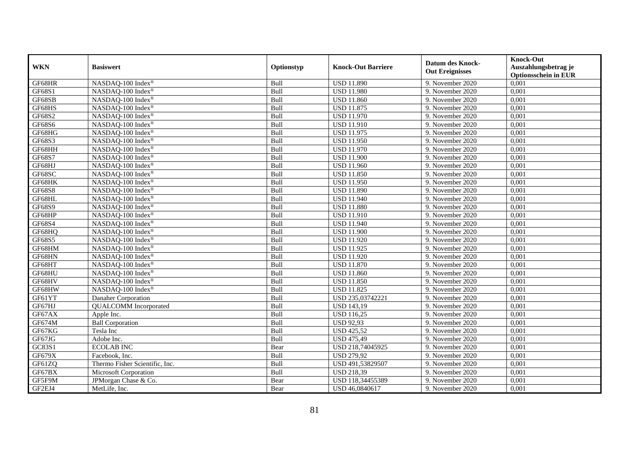|               | <b>Basiswert</b>               | Optionstyp  | <b>Knock-Out Barriere</b> | <b>Datum des Knock-</b> | <b>Knock-Out</b>            |
|---------------|--------------------------------|-------------|---------------------------|-------------------------|-----------------------------|
| <b>WKN</b>    |                                |             |                           |                         | Auszahlungsbetrag je        |
|               |                                |             |                           | <b>Out Ereignisses</b>  | <b>Optionsschein in EUR</b> |
| GF68HR        | NASDAQ-100 Index®              | Bull        | <b>USD 11.890</b>         | 9. November 2020        | 0,001                       |
| GF68S1        | NASDAQ-100 Index®              | Bull        | <b>USD 11.980</b>         | 9. November 2020        | 0,001                       |
| GF68SB        | NASDAQ-100 Index®              | Bull        | <b>USD 11.860</b>         | 9. November 2020        | 0,001                       |
| GF68HS        | NASDAQ-100 Index®              | Bull        | <b>USD 11.875</b>         | 9. November 2020        | 0,001                       |
| GF68S2        | NASDAQ-100 Index®              | Bull        | <b>USD 11.970</b>         | 9. November 2020        | 0,001                       |
| <b>GF68S6</b> | NASDAQ-100 Index®              | Bull        | <b>USD 11.910</b>         | 9. November 2020        | 0,001                       |
| GF68HG        | NASDAQ-100 Index®              | Bull        | <b>USD 11.975</b>         | 9. November 2020        | 0,001                       |
| GF68S3        | NASDAQ-100 Index®              | Bull        | <b>USD 11.950</b>         | 9. November 2020        | 0,001                       |
| GF68HH        | NASDAQ-100 Index®              | Bull        | <b>USD 11.970</b>         | 9. November 2020        | 0,001                       |
| GF68S7        | NASDAQ-100 Index®              | Bull        | <b>USD 11.900</b>         | 9. November 2020        | 0,001                       |
| GF68HJ        | NASDAQ-100 Index <sup>®</sup>  | Bull        | <b>USD 11.960</b>         | 9. November 2020        | 0,001                       |
| GF68SC        | NASDAQ-100 Index®              | Bull        | <b>USD 11.850</b>         | 9. November 2020        | 0,001                       |
| GF68HK        | NASDAQ-100 Index®              | Bull        | <b>USD 11.950</b>         | 9. November 2020        | 0,001                       |
| <b>GF68S8</b> | NASDAQ-100 Index®              | Bull        | <b>USD 11.890</b>         | 9. November 2020        | 0,001                       |
| GF68HL        | NASDAQ-100 Index®              | Bull        | <b>USD 11.940</b>         | 9. November 2020        | 0,001                       |
| GF68S9        | NASDAQ-100 Index®              | Bull        | <b>USD 11.880</b>         | 9. November 2020        | 0,001                       |
| GF68HP        | NASDAQ-100 Index®              | Bull        | <b>USD 11.910</b>         | 9. November 2020        | 0,001                       |
| GF68S4        | NASDAQ-100 Index <sup>®</sup>  | <b>Bull</b> | <b>USD 11.940</b>         | 9. November 2020        | 0,001                       |
| GF68HQ        | NASDAQ-100 Index®              | Bull        | <b>USD 11.900</b>         | 9. November 2020        | 0,001                       |
| GF68S5        | NASDAQ-100 Index®              | Bull        | <b>USD 11.920</b>         | 9. November 2020        | 0,001                       |
| GF68HM        | NASDAQ-100 Index®              | Bull        | <b>USD 11.925</b>         | 9. November 2020        | 0,001                       |
| GF68HN        | NASDAQ-100 Index®              | Bull        | <b>USD 11.920</b>         | 9. November 2020        | 0,001                       |
| GF68HT        | NASDAQ-100 Index®              | Bull        | <b>USD 11.870</b>         | 9. November 2020        | 0,001                       |
| GF68HU        | NASDAQ-100 Index®              | Bull        | <b>USD 11.860</b>         | 9. November 2020        | 0,001                       |
| GF68HV        | NASDAQ-100 Index®              | Bull        | <b>USD 11.850</b>         | 9. November 2020        | 0,001                       |
| GF68HW        | NASDAQ-100 Index®              | Bull        | <b>USD 11.825</b>         | 9. November 2020        | 0,001                       |
| GF61YT        | Danaher Corporation            | Bull        | USD 235,03742221          | 9. November 2020        | 0,001                       |
| GF67HJ        | <b>QUALCOMM</b> Incorporated   | Bull        | <b>USD 143,19</b>         | 9. November 2020        | 0,001                       |
| GF67AX        | Apple Inc.                     | Bull        | <b>USD</b> 116,25         | 9. November 2020        | 0,001                       |
| GF674M        | <b>Ball Corporation</b>        | Bull        | <b>USD 92,93</b>          | 9. November 2020        | 0,001                       |
| GF67KG        | Tesla Inc                      | Bull        | <b>USD 425,52</b>         | 9. November 2020        | 0,001                       |
| GF67JG        | Adobe Inc.                     | Bull        | <b>USD 475,49</b>         | 9. November 2020        | 0,001                       |
| GC83S1        | <b>ECOLAB INC</b>              | Bear        | USD 218,74045925          | 9. November 2020        | 0,001                       |
| GF679X        | Facebook, Inc.                 | Bull        | <b>USD 279,92</b>         | 9. November 2020        | 0,001                       |
| GF61ZQ        | Thermo Fisher Scientific, Inc. | Bull        | USD 491,53829507          | 9. November 2020        | 0,001                       |
| GF67BX        | Microsoft Corporation          | Bull        | <b>USD 218,39</b>         | 9. November 2020        | 0,001                       |
| GF5F9M        | JPMorgan Chase & Co.           | Bear        | USD 118,34455389          | 9. November 2020        | 0,001                       |
| GF2EJ4        | MetLife, Inc.                  | Bear        | USD 46,0840617            | 9. November 2020        | 0,001                       |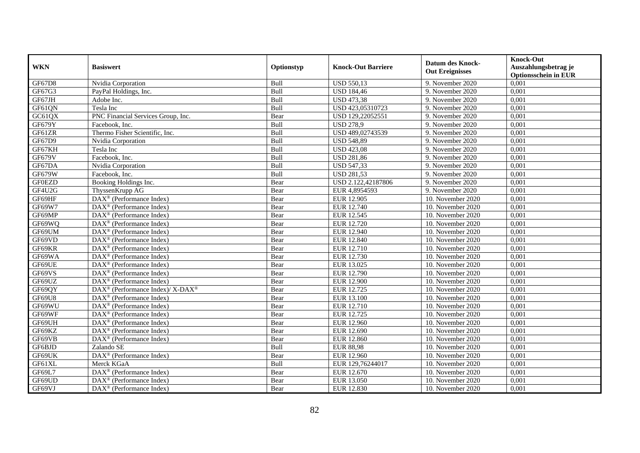| <b>WKN</b>    | <b>Basiswert</b>                                                | Optionstyp | <b>Knock-Out Barriere</b> | <b>Datum des Knock-</b><br><b>Out Ereignisses</b> | <b>Knock-Out</b><br>Auszahlungsbetrag je<br><b>Optionsschein in EUR</b> |
|---------------|-----------------------------------------------------------------|------------|---------------------------|---------------------------------------------------|-------------------------------------------------------------------------|
| <b>GF67D8</b> | Nvidia Corporation                                              | Bull       | <b>USD 550,13</b>         | 9. November 2020                                  | 0,001                                                                   |
| GF67G3        | PayPal Holdings, Inc.                                           | Bull       | <b>USD 184,46</b>         | 9. November 2020                                  | 0,001                                                                   |
| GF67JH        | Adobe Inc.                                                      | Bull       | <b>USD 473,38</b>         | 9. November 2020                                  | 0,001                                                                   |
| GF61QN        | Tesla Inc                                                       | Bull       | USD 423,05310723          | 9. November 2020                                  | 0,001                                                                   |
| GC61QX        | PNC Financial Services Group, Inc.                              | Bear       | USD 129,22052551          | 9. November $2020$                                | 0,001                                                                   |
| GF679Y        | Facebook, Inc.                                                  | Bull       | <b>USD 278,9</b>          | 9. November 2020                                  | 0,001                                                                   |
| GF61ZR        | Thermo Fisher Scientific, Inc.                                  | Bull       | USD 489,02743539          | 9. November 2020                                  | 0,001                                                                   |
| GF67D9        | Nvidia Corporation                                              | Bull       | <b>USD 548,89</b>         | 9. November 2020                                  | 0,001                                                                   |
| GF67KH        | Tesla Inc                                                       | Bull       | <b>USD 423,08</b>         | 9. November 2020                                  | 0,001                                                                   |
| GF679V        | Facebook, Inc.                                                  | Bull       | <b>USD 281,86</b>         | 9. November 2020                                  | 0,001                                                                   |
| GF67DA        | Nvidia Corporation                                              | Bull       | <b>USD 547,33</b>         | 9. November 2020                                  | 0,001                                                                   |
| <b>GF679W</b> | Facebook, Inc.                                                  | Bull       | <b>USD 281,53</b>         | 9. November 2020                                  | 0,001                                                                   |
| <b>GF0EZD</b> | Booking Holdings Inc.                                           | Bear       | USD 2.122,42187806        | 9. November 2020                                  | 0,001                                                                   |
| GF4U2G        | ThyssenKrupp AG                                                 | Bear       | EUR 4,8954593             | 9. November 2020                                  | 0,001                                                                   |
| GF69HF        | DAX <sup>®</sup> (Performance Index)                            | Bear       | EUR 12.905                | 10. November 2020                                 | 0,001                                                                   |
| GF69W7        | DAX <sup>®</sup> (Performance Index)                            | Bear       | EUR 12.740                | 10. November 2020                                 | 0,001                                                                   |
| GF69MP        | DAX <sup>®</sup> (Performance Index)                            | Bear       | EUR 12.545                | 10. November 2020                                 | 0,001                                                                   |
| GF69WO        | $\text{DAX}^{\circledR}$ (Performance Index)                    | Bear       | EUR 12.720                | 10. November 2020                                 | 0,001                                                                   |
| GF69UM        | $DAX^{\otimes}$ (Performance Index)                             | Bear       | <b>EUR 12.940</b>         | 10. November 2020                                 | 0,001                                                                   |
| GF69VD        | $\overline{\text{DAX}^{\otimes}}$ (Performance Index)           | Bear       | EUR 12.840                | 10. November 2020                                 | 0,001                                                                   |
| GF69KR        | $DAX^{\circledast}$ (Performance Index)                         | Bear       | EUR 12.710                | 10. November 2020                                 | 0,001                                                                   |
| GF69WA        | $DAX^{\circledast}$ (Performance Index)                         | Bear       | EUR 12.730                | 10. November 2020                                 | 0,001                                                                   |
| GF69UE        | $\overline{\text{DAX}^{\circledast}(\text{Performance Index})}$ | Bear       | EUR 13.025                | 10. November 2020                                 | 0,001                                                                   |
| GF69VS        | DAX <sup>®</sup> (Performance Index)                            | Bear       | <b>EUR 12.790</b>         | 10. November 2020                                 | 0,001                                                                   |
| GF69UZ        | $DAX^{\circledast}$ (Performance Index)                         | Bear       | <b>EUR 12.900</b>         | 10. November 2020                                 | 0,001                                                                   |
| GF69QY        | DAX <sup>®</sup> (Performance Index)/ X-DAX <sup>®</sup>        | Bear       | EUR 12.725                | 10. November 2020                                 | 0,001                                                                   |
| GF69U8        | DAX <sup>®</sup> (Performance Index)                            | Bear       | EUR 13.100                | 10. November 2020                                 | 0,001                                                                   |
| GF69WU        | $DAX^{\otimes}$ (Performance Index)                             | Bear       | EUR 12.710                | 10. November 2020                                 | 0.001                                                                   |
| GF69WF        | $DAX^{\otimes}$ (Performance Index)                             | Bear       | EUR 12.725                | 10. November 2020                                 | 0,001                                                                   |
| GF69UH        | $DAX^{\otimes}$ (Performance Index)                             | Bear       | <b>EUR 12.960</b>         | 10. November 2020                                 | 0,001                                                                   |
| GF69KZ        | $DAX^{\otimes}$ (Performance Index)                             | Bear       | EUR 12.690                | 10. November 2020                                 | 0,001                                                                   |
| GF69VB        | DAX <sup>®</sup> (Performance Index)                            | Bear       | EUR 12.860                | 10. November 2020                                 | 0,001                                                                   |
| GF6BJD        | Zalando SE                                                      | Bull       | <b>EUR 88,98</b>          | 10. November 2020                                 | 0,001                                                                   |
| GF69UK        | DAX <sup>®</sup> (Performance Index)                            | Bear       | EUR 12.960                | 10. November 2020                                 | 0,001                                                                   |
| GF61XL        | Merck KGaA                                                      | Bull       | EUR 129,76244017          | 10. November 2020                                 | 0,001                                                                   |
| GF69L7        | DAX <sup>®</sup> (Performance Index)                            | Bear       | EUR 12.670                | 10. November 2020                                 | 0,001                                                                   |
| GF69UD        | $\text{DAX}^{\otimes}$ (Performance Index)                      | Bear       | EUR 13.050                | 10. November 2020                                 | 0,001                                                                   |
| GF69VJ        | $\text{DAX}^{\textcircled{}}$ (Performance Index)               | Bear       | EUR 12.830                | 10. November 2020                                 | 0,001                                                                   |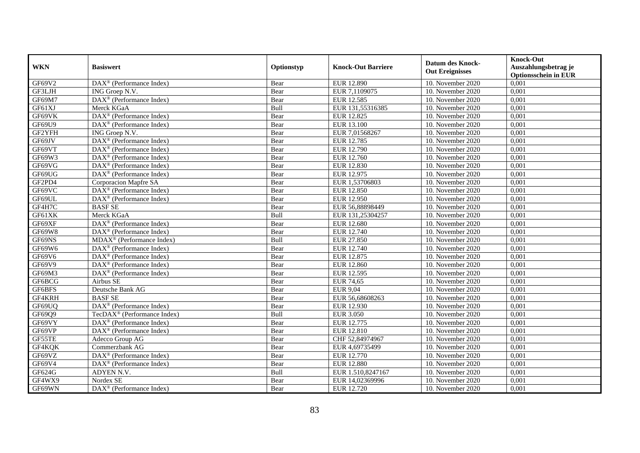|            | <b>Basiswert</b>                                                | Optionstyp | <b>Knock-Out Barriere</b> | <b>Datum des Knock-</b><br><b>Out Ereignisses</b> | <b>Knock-Out</b>                                    |
|------------|-----------------------------------------------------------------|------------|---------------------------|---------------------------------------------------|-----------------------------------------------------|
| <b>WKN</b> |                                                                 |            |                           |                                                   | Auszahlungsbetrag je<br><b>Optionsschein in EUR</b> |
| GF69V2     | DAX <sup>®</sup> (Performance Index)                            | Bear       | EUR 12.890                | 10. November 2020                                 | 0,001                                               |
| GF3LJH     | ING Groep N.V.                                                  | Bear       | EUR 7,1109075             | 10. November 2020                                 | 0,001                                               |
| GF69M7     | $DAX^{\circledR}$ (Performance Index)                           | Bear       | EUR 12.585                | 10. November 2020                                 | 0,001                                               |
| GF61XJ     | Merck KGaA                                                      | Bull       | EUR 131,55316385          | 10. November 2020                                 | 0,001                                               |
| GF69VK     | DAX <sup>®</sup> (Performance Index)                            | Bear       | EUR 12.825                | 10. November 2020                                 | 0,001                                               |
| GF69U9     | DAX <sup>®</sup> (Performance Index)                            | Bear       | EUR 13.100                | 10. November 2020                                 | 0,001                                               |
| GF2YFH     | ING Groep N.V.                                                  | Bear       | EUR 7,01568267            | 10. November 2020                                 | 0,001                                               |
| GF69JV     | DAX <sup>®</sup> (Performance Index)                            | Bear       | EUR 12.785                | 10. November 2020                                 | 0,001                                               |
| GF69VT     | DAX <sup>®</sup> (Performance Index)                            | Bear       | EUR 12.790                | 10. November 2020                                 | 0,001                                               |
| GF69W3     | $DAX^{\circledast}$ (Performance Index)                         | Bear       | <b>EUR 12.760</b>         | 10. November 2020                                 | 0,001                                               |
| GF69VG     | $DAX^{\otimes}$ (Performance Index)                             | Bear       | EUR 12.830                | 10. November 2020                                 | 0,001                                               |
| GF69UG     | $\overline{\text{DAX}^{\circledast}(\text{Performance Index})}$ | Bear       | EUR 12.975                | 10. November 2020                                 | 0,001                                               |
| GF2PD4     | Corporacion Mapfre SA                                           | Bear       | EUR 1,53706803            | 10. November 2020                                 | 0,001                                               |
| GF69VC     | $\text{DAX}^{\circledR}$ (Performance Index)                    | Bear       | EUR 12.850                | 10. November 2020                                 | 0,001                                               |
| GF69UL     | DAX <sup>®</sup> (Performance Index)                            | Bear       | EUR 12.950                | 10. November 2020                                 | 0,001                                               |
| GF4H7C     | <b>BASFSE</b>                                                   | Bear       | EUR 56,88898449           | 10. November 2020                                 | 0,001                                               |
| GF61XK     | Merck KGaA                                                      | Bull       | EUR 131,25304257          | 10. November 2020                                 | 0,001                                               |
| GF69XF     | $DAX^{\otimes}$ (Performance Index)                             | Bear       | <b>EUR 12.680</b>         | 10. November 2020                                 | 0,001                                               |
| GF69W8     | $\text{DAX}^{\circledR}$ (Performance Index)                    | Bear       | EUR 12.740                | 10. November 2020                                 | 0,001                                               |
| GF69NS     | $MDAX^{\circledR}$ (Performance Index)                          | Bull       | EUR 27.850                | 10. November 2020                                 | 0,001                                               |
| GF69W6     | DAX <sup>®</sup> (Performance Index)                            | Bear       | EUR 12.740                | 10. November 2020                                 | 0,001                                               |
| GF69V6     | DAX <sup>®</sup> (Performance Index)                            | Bear       | EUR 12.875                | 10. November 2020                                 | 0,001                                               |
| GF69V9     | $DAX^{\otimes}$ (Performance Index)                             | Bear       | <b>EUR 12.860</b>         | 10. November 2020                                 | 0,001                                               |
| GF69M3     | DAX <sup>®</sup> (Performance Index)                            | Bear       | EUR 12.595                | 10. November 2020                                 | 0,001                                               |
| GF6BCG     | Airbus SE                                                       | Bear       | <b>EUR 74,65</b>          | 10. November 2020                                 | 0,001                                               |
| GF6BFS     | Deutsche Bank AG                                                | Bear       | <b>EUR 9,04</b>           | 10. November 2020                                 | 0,001                                               |
| GF4KRH     | <b>BASFSE</b>                                                   | Bear       | EUR 56,68608263           | 10. November 2020                                 | 0,001                                               |
| GF69UQ     | DAX <sup>®</sup> (Performance Index)                            | Bear       | EUR 12.930                | 10. November 2020                                 | 0,001                                               |
| GF69Q9     | TecDAX <sup>®</sup> (Performance Index)                         | Bull       | <b>EUR 3.050</b>          | 10. November 2020                                 | 0,001                                               |
| GF69VY     | $\text{DAX}^{\otimes}$ (Performance Index)                      | Bear       | EUR 12.775                | 10. November 2020                                 | 0,001                                               |
| GF69VP     | $DAX^{\otimes}$ (Performance Index)                             | Bear       | EUR 12.810                | 10. November 2020                                 | 0,001                                               |
| GF55TE     | Adecco Group AG                                                 | Bear       | CHF 52,84974967           | 10. November 2020                                 | 0,001                                               |
| GF4KQK     | Commerzbank AG                                                  | Bear       | EUR 4,69735499            | 10. November 2020                                 | 0,001                                               |
| GF69VZ     | DAX <sup>®</sup> (Performance Index)                            | Bear       | EUR 12.770                | 10. November 2020                                 | 0,001                                               |
| GF69V4     | $\text{DAX}^{\otimes}$ (Performance Index)                      | Bear       | <b>EUR 12.880</b>         | 10. November 2020                                 | 0,001                                               |
| GF624G     | <b>ADYEN N.V.</b>                                               | Bull       | EUR 1.510,8247167         | 10. November 2020                                 | 0,001                                               |
| GF4WX9     | Nordex SE                                                       | Bear       | EUR 14,02369996           | 10. November 2020                                 | 0,001                                               |
| GF69WN     | DAX <sup>®</sup> (Performance Index)                            | Bear       | EUR 12.720                | 10. November 2020                                 | 0,001                                               |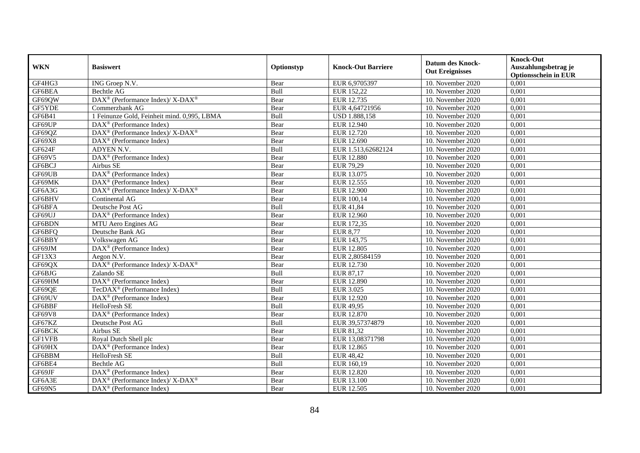|            | <b>Basiswert</b>                                                 | Optionstyp | <b>Knock-Out Barriere</b> | <b>Datum des Knock-</b><br><b>Out Ereignisses</b> | <b>Knock-Out</b>                                    |
|------------|------------------------------------------------------------------|------------|---------------------------|---------------------------------------------------|-----------------------------------------------------|
| <b>WKN</b> |                                                                  |            |                           |                                                   | Auszahlungsbetrag je<br><b>Optionsschein in EUR</b> |
| GF4HG3     | ING Groep N.V.                                                   | Bear       | EUR 6,9705397             | 10. November 2020                                 | 0,001                                               |
| GF6BEA     | Bechtle AG                                                       | Bull       | EUR 152,22                | 10. November 2020                                 | 0,001                                               |
| GF69QW     | DAX <sup>®</sup> (Performance Index)/ X-DAX <sup>®</sup>         | Bear       | EUR 12.735                | 10. November 2020                                 | 0,001                                               |
| GF5YDE     | Commerzbank AG                                                   | Bear       | EUR 4,64721956            | 10. November 2020                                 | 0,001                                               |
| GF6B41     | 1 Feinunze Gold, Feinheit mind. 0,995, LBMA                      | Bull       | <b>USD 1.888,158</b>      | 10. November 2020                                 | 0,001                                               |
| GF69UP     | $\text{DAX}^{\textcircled{}}$ (Performance Index)                | Bear       | EUR 12.940                | 10. November 2020                                 | 0,001                                               |
| GF69QZ     | $DAX^{\circledast}$ (Performance Index)/ X-DAX <sup>®</sup>      | Bear       | EUR 12.720                | 10. November 2020                                 | 0,001                                               |
| GF69X8     | $\overline{\text{DAX}}^{\textcirc}$ (Performance Index)          | Bear       | EUR 12.690                | 10. November 2020                                 | 0,001                                               |
| GF624F     | ADYEN N.V.                                                       | Bull       | EUR 1.513,62682124        | 10. November 2020                                 | 0,001                                               |
| GF69V5     | $\text{DAX}^{\circledast}$ (Performance Index)                   | Bear       | <b>EUR 12.880</b>         | 10. November 2020                                 | 0,001                                               |
| GF6BCJ     | Airbus SE                                                        | Bear       | EUR 79,29                 | 10. November 2020                                 | 0,001                                               |
| GF69UB     | DAX <sup>®</sup> (Performance Index)                             | Bear       | EUR 13.075                | 10. November 2020                                 | 0,001                                               |
| GF69MK     | $\text{DAX}^{\textcircled{}}$ (Performance Index)                | Bear       | EUR 12.555                | 10. November 2020                                 | 0,001                                               |
| GF6A3G     | $DAX^{\circledcirc}$ (Performance Index)/ X-DAX <sup>®</sup>     | Bear       | <b>EUR 12.900</b>         | 10. November 2020                                 | 0,001                                               |
| GF6BHV     | Continental AG                                                   | Bear       | EUR 100,14                | 10. November 2020                                 | 0,001                                               |
| GF6BFA     | Deutsche Post AG                                                 | Bull       | EUR 41,84                 | 10. November 2020                                 | 0,001                                               |
| GF69UJ     | DAX <sup>®</sup> (Performance Index)                             | Bear       | <b>EUR 12.960</b>         | 10. November 2020                                 | 0,001                                               |
| GF6BDN     | MTU Aero Engines AG                                              | Bear       | EUR 172,35                | 10. November 2020                                 | 0,001                                               |
| GF6BFQ     | Deutsche Bank AG                                                 | Bear       | <b>EUR 8,77</b>           | 10. November 2020                                 | 0,001                                               |
| GF6BBY     | Volkswagen AG                                                    | Bear       | EUR 143,75                | 10. November 2020                                 | 0,001                                               |
| GF69JM     | DAX <sup>®</sup> (Performance Index)                             | Bear       | <b>EUR 12.805</b>         | 10. November 2020                                 | 0,001                                               |
| GF13X3     | Aegon N.V.                                                       | Bear       | EUR 2.80584159            | 10. November 2020                                 | 0.001                                               |
| GF69QX     | DAX <sup>®</sup> (Performance Index)/X-DAX <sup>®</sup>          | Bear       | EUR 12.730                | 10. November 2020                                 | 0,001                                               |
| GF6BJG     | Zalando SE                                                       | Bull       | EUR 87,17                 | 10. November 2020                                 | 0,001                                               |
| GF69HM     | $\text{DAX}^{\textcircled{}}$ (Performance Index)                | Bear       | <b>EUR 12.890</b>         | 10. November 2020                                 | 0,001                                               |
| GF69QE     | TecDAX <sup>®</sup> (Performance Index)                          | Bull       | <b>EUR 3.025</b>          | 10. November 2020                                 | 0,001                                               |
| GF69UV     | DAX <sup>®</sup> (Performance Index)                             | Bear       | EUR 12.920                | $10.$ November 2020                               | 0,001                                               |
| GF6BBF     | HelloFresh SE                                                    | Bull       | EUR 49,95                 | 10. November 2020                                 | 0,001                                               |
| GF69V8     | $\text{DAX}^{\textcircled{}}$ (Performance Index)                | Bear       | EUR 12.870                | 10. November 2020                                 | 0,001                                               |
| GF67KZ     | Deutsche Post AG                                                 | Bull       | EUR 39,57374879           | 10. November 2020                                 | 0,001                                               |
| GF6BCK     | Airbus SE                                                        | Bear       | EUR 81,32                 | 10. November 2020                                 | 0,001                                               |
| GF1VFB     | Royal Dutch Shell plc                                            | Bear       | EUR 13,08371798           | 10. November 2020                                 | 0,001                                               |
| GF69HX     | $\text{DAX}^{\textcircled{}}$ (Performance Index)                | Bear       | EUR 12.865                | 10. November 2020                                 | 0,001                                               |
| GF6BBM     | HelloFresh SE                                                    | Bull       | <b>EUR 48,42</b>          | 10. November 2020                                 | 0,001                                               |
| GF6BE4     | Bechtle AG                                                       | Bull       | EUR 160,19                | 10. November 2020                                 | 0,001                                               |
| GF69JF     | DAX <sup>®</sup> (Performance Index)                             | Bear       | <b>EUR 12.820</b>         | 10. November 2020                                 | 0,001                                               |
| GF6A3E     | $\text{DAX}^{\circledR}$ (Performance Index)/ X-DAX <sup>®</sup> | Bear       | EUR 13.100                | 10. November 2020                                 | 0,001                                               |
| GF69N5     | $\text{DAX}^{\textcircled{}}$ (Performance Index)                | Bear       | EUR 12.505                | 10. November 2020                                 | 0,001                                               |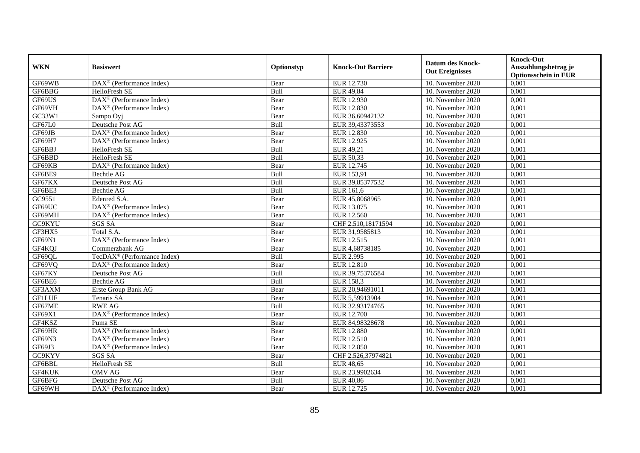|               | <b>Basiswert</b>                                      | Optionstyp | <b>Knock-Out Barriere</b> | <b>Datum des Knock-</b><br><b>Out Ereignisses</b> | <b>Knock-Out</b>            |
|---------------|-------------------------------------------------------|------------|---------------------------|---------------------------------------------------|-----------------------------|
| <b>WKN</b>    |                                                       |            |                           |                                                   | Auszahlungsbetrag je        |
|               |                                                       |            |                           |                                                   | <b>Optionsschein in EUR</b> |
| GF69WB        | DAX <sup>®</sup> (Performance Index)                  | Bear       | EUR 12.730                | 10. November 2020                                 | 0,001                       |
| GF6BBG        | HelloFresh SE                                         | Bull       | <b>EUR 49,84</b>          | 10. November 2020                                 | 0,001                       |
| GF69US        | $DAX^{\otimes}$ (Performance Index)                   | Bear       | EUR 12.930                | 10. November 2020                                 | 0,001                       |
| GF69VH        | $\text{DAX}^{\circledR}$ (Performance Index)          | Bear       | EUR 12.830                | 10. November 2020                                 | 0,001                       |
| GC33W1        | Sampo Oyj                                             | Bear       | EUR 36,60942132           | 10. November 2020                                 | 0,001                       |
| GF67L0        | Deutsche Post AG                                      | Bull       | EUR 39,43373553           | 10. November 2020                                 | 0,001                       |
| GF69JB        | DAX <sup>®</sup> (Performance Index)                  | Bear       | EUR 12.830                | $10.$ November 2020                               | 0,001                       |
| GF69H7        | DAX <sup>®</sup> (Performance Index)                  | Bear       | EUR 12.925                | 10. November 2020                                 | 0,001                       |
| GF6BBJ        | HelloFresh SE                                         | Bull       | EUR 49,21                 | 10. November 2020                                 | 0,001                       |
| GF6BBD        | HelloFresh SE                                         | Bull       | EUR 50,33                 | 10. November 2020                                 | 0,001                       |
| GF69KB        | $\overline{\text{DAX}^{\otimes}}$ (Performance Index) | Bear       | EUR 12.745                | 10. November 2020                                 | 0,001                       |
| GF6BE9        | <b>Bechtle AG</b>                                     | Bull       | EUR 153,91                | 10. November 2020                                 | 0,001                       |
| GF67KX        | Deutsche Post AG                                      | Bull       | EUR 39,85377532           | 10. November 2020                                 | 0,001                       |
| GF6BE3        | Bechtle AG                                            | Bull       | EUR 161,6                 | 10. November 2020                                 | 0,001                       |
| GC9551        | Edenred S.A.                                          | Bear       | EUR 45,8068965            | 10. November 2020                                 | 0,001                       |
| GF69UC        | DAX <sup>®</sup> (Performance Index)                  | Bear       | EUR 13.075                | 10. November 2020                                 | 0,001                       |
| GF69MH        | DAX <sup>®</sup> (Performance Index)                  | Bear       | EUR 12.560                | 10. November 2020                                 | 0,001                       |
| GC9KYU        | <b>SGS SA</b>                                         | Bear       | CHF 2.510,18171594        | 10. November 2020                                 | 0.001                       |
| GF3HX5        | Total S.A.                                            | Bear       | EUR 31,9585813            | 10. November 2020                                 | 0,001                       |
| GF69N1        | DAX <sup>®</sup> (Performance Index)                  | Bear       | EUR 12.515                | 10. November 2020                                 | 0,001                       |
| GF4KQJ        | Commerzbank AG                                        | Bear       | EUR 4,68738185            | $\overline{10}$ . November 2020                   | 0,001                       |
| GF69QL        | TecDAX <sup>®</sup> (Performance Index)               | Bull       | <b>EUR 2.995</b>          | 10. November 2020                                 | 0,001                       |
| GF69VQ        | DAX <sup>®</sup> (Performance Index)                  | Bear       | <b>EUR 12.810</b>         | 10. November 2020                                 | 0,001                       |
| GF67KY        | Deutsche Post AG                                      | Bull       | EUR 39,75376584           | 10. November 2020                                 | 0,001                       |
| GF6BE6        | Bechtle AG                                            | Bull       | <b>EUR 158.3</b>          | 10. November 2020                                 | 0,001                       |
| GF3AXM        | Erste Group Bank AG                                   | Bear       | EUR 20,94691011           | 10. November 2020                                 | 0,001                       |
| <b>GFILUF</b> | Tenaris SA                                            | Bear       | EUR 5,59913904            | 10. November 2020                                 | 0,001                       |
| GF67ME        | <b>RWE AG</b>                                         | Bull       | EUR 32,93174765           | 10. November 2020                                 | 0,001                       |
| GF69X1        | DAX <sup>®</sup> (Performance Index)                  | Bear       | EUR 12.700                | 10. November 2020                                 | 0,001                       |
| GF4KSZ        | Puma SE                                               | Bear       | EUR 84,98328678           | 10. November 2020                                 | 0,001                       |
| GF69HR        | DAX <sup>®</sup> (Performance Index)                  | Bear       | <b>EUR 12.880</b>         | 10. November 2020                                 | 0,001                       |
| GF69N3        | $DAX^{\otimes}$ (Performance Index)                   | Bear       | EUR 12.510                | 10. November 2020                                 | 0,001                       |
| GF69J3        | $DAX^{\otimes}$ (Performance Index)                   | Bear       | EUR 12.850                | 10. November 2020                                 | 0,001                       |
| GC9KYV        | <b>SGS SA</b>                                         | Bear       | CHF 2.526,37974821        | 10. November 2020                                 | 0,001                       |
| GF6BBL        | HelloFresh SE                                         | Bull       | <b>EUR 48,65</b>          | 10. November 2020                                 | 0,001                       |
| GF4KUK        | <b>OMV AG</b>                                         | Bear       | EUR 23,9902634            | 10. November 2020                                 | 0,001                       |
| GF6BFG        | Deutsche Post AG                                      | Bull       | <b>EUR 40,86</b>          | 10. November 2020                                 | 0,001                       |
| GF69WH        | $\overline{\text{DAX}^{\otimes}}$ (Performance Index) | Bear       | EUR 12.725                | 10. November 2020                                 | 0,001                       |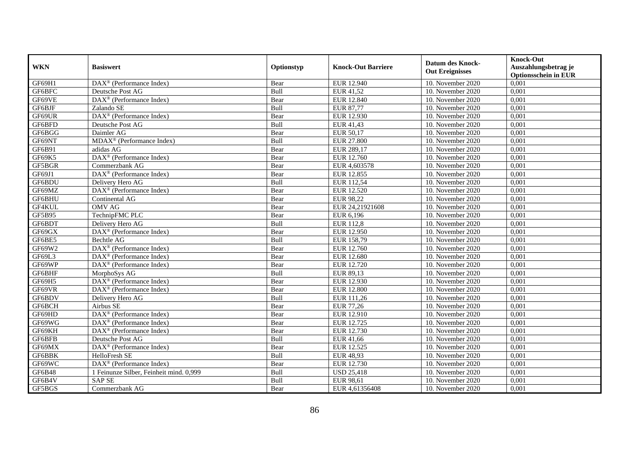|               | <b>Basiswert</b>                                             | Optionstyp | <b>Knock-Out Barriere</b> | <b>Datum des Knock-</b> | <b>Knock-Out</b>                                    |
|---------------|--------------------------------------------------------------|------------|---------------------------|-------------------------|-----------------------------------------------------|
| <b>WKN</b>    |                                                              |            |                           | <b>Out Ereignisses</b>  | Auszahlungsbetrag je<br><b>Optionsschein in EUR</b> |
| GF69H1        | $\overline{\text{DAX}}^{\textcircled{}}$ (Performance Index) | Bear       | EUR 12.940                | 10. November 2020       | 0,001                                               |
| GF6BFC        | Deutsche Post AG                                             | Bull       | EUR 41,52                 | 10. November 2020       | 0,001                                               |
| GF69VE        | $\text{DAX}^{\textcircled{}}$ (Performance Index)            | Bear       | EUR 12.840                | 10. November $2020$     | 0,001                                               |
| GF6BJF        | Zalando SE                                                   | Bull       | <b>EUR 87,77</b>          | 10. November 2020       | 0,001                                               |
| GF69UR        | DAX <sup>®</sup> (Performance Index)                         | Bear       | EUR 12.930                | 10. November 2020       | 0,001                                               |
| GF6BFD        | Deutsche Post AG                                             | Bull       | EUR 41,43                 | 10. November 2020       | 0,001                                               |
| GF6BGG        | Daimler AG                                                   | Bear       | EUR 50,17                 | 10. November 2020       | 0,001                                               |
| GF69NT        | MDAX <sup>®</sup> (Performance Index)                        | Bull       | <b>EUR 27.800</b>         | 10. November 2020       | 0,001                                               |
| GF6B91        | adidas AG                                                    | Bear       | EUR 289,17                | 10. November 2020       | 0,001                                               |
| GF69K5        | $\text{DAX}^{\circledast}$ (Performance Index)               | Bear       | EUR 12.760                | 10. November 2020       | 0,001                                               |
| GF5BGR        | Commerzbank AG                                               | Bear       | EUR 4,603578              | 10. November 2020       | 0,001                                               |
| GF69J1        | $\overline{\text{DAX}^{\otimes}}$ (Performance Index)        | Bear       | EUR 12.855                | 10. November 2020       | 0,001                                               |
| GF6BDU        | Delivery Hero AG                                             | Bull       | EUR 112,54                | 10. November 2020       | 0,001                                               |
| GF69MZ        | DAX <sup>®</sup> (Performance Index)                         | Bear       | EUR 12.520                | 10. November 2020       | 0,001                                               |
| GF6BHU        | Continental AG                                               | Bear       | <b>EUR 98,22</b>          | 10. November 2020       | 0,001                                               |
| GF4KUL        | <b>OMV AG</b>                                                | Bear       | EUR 24,21921608           | 10. November 2020       | 0,001                                               |
| <b>GF5B95</b> | TechnipFMC PLC                                               | Bear       | EUR 6,196                 | 10. November 2020       | 0,001                                               |
| GF6BDT        | Delivery Hero AG                                             | Bull       | <b>EUR 112,8</b>          | 10. November 2020       | 0,001                                               |
| GF69GX        | DAX <sup>®</sup> (Performance Index)                         | Bear       | <b>EUR 12.950</b>         | 10. November 2020       | 0,001                                               |
| GF6BE5        | Bechtle AG                                                   | Bull       | EUR 158,79                | 10. November 2020       | 0,001                                               |
| GF69W2        | DAX <sup>®</sup> (Performance Index)                         | Bear       | EUR 12.760                | 10. November 2020       | 0,001                                               |
| GF69L3        | $\overline{\text{DAX}^{\otimes}}$ (Performance Index)        | Bear       | EUR 12.680                | 10. November 2020       | 0,001                                               |
| GF69WP        | $\text{DAX}^{\textcircled{}}$ (Performance Index)            | Bear       | EUR 12.720                | 10. November 2020       | 0,001                                               |
| GF6BHF        | MorphoSys AG                                                 | Bull       | EUR 89,13                 | 10. November 2020       | 0,001                                               |
| GF69H5        | $\text{DAX}^{\textcircled{}}$ (Performance Index)            | Bear       | EUR 12.930                | 10. November 2020       | 0,001                                               |
| GF69VR        | $DAX^{\circledR}$ (Performance Index)                        | Bear       | <b>EUR 12.800</b>         | 10. November 2020       | 0,001                                               |
| GF6BDV        | Delivery Hero AG                                             | Bull       | EUR 111,26                | $10.$ November 2020     | 0,001                                               |
| GF6BCH        | Airbus SE                                                    | Bear       | <b>EUR 77,26</b>          | 10. November 2020       | 0,001                                               |
| GF69HD        | $\overline{\text{DAX}^{\otimes}}$ (Performance Index)        | Bear       | EUR 12.910                | 10. November 2020       | 0,001                                               |
| GF69WG        | $DAX^{\circledR}$ (Performance Index)                        | Bear       | EUR 12.725                | 10. November 2020       | 0,001                                               |
| GF69KH        | $\text{DAX}^{\textcircled{}}$ (Performance Index)            | Bear       | EUR 12.730                | 10. November 2020       | 0,001                                               |
| GF6BFB        | Deutsche Post AG                                             | Bull       | EUR 41,66                 | 10. November 2020       | 0,001                                               |
| GF69MX        | DAX <sup>®</sup> (Performance Index)                         | Bear       | EUR 12.525                | 10. November 2020       | 0,001                                               |
| GF6BBK        | HelloFresh SE                                                | Bull       | <b>EUR 48,93</b>          | 10. November 2020       | 0,001                                               |
| GF69WC        | $\text{DAX}^{\textcircled{}}$ (Performance Index)            | Bear       | EUR 12.730                | 10. November 2020       | 0,001                                               |
| <b>GF6B48</b> | 1 Feinunze Silber, Feinheit mind. 0,999                      | Bull       | <b>USD 25,418</b>         | 10. November 2020       | 0,001                                               |
| GF6B4V        | <b>SAPSE</b>                                                 | Bull       | EUR 98,61                 | 10. November 2020       | 0,001                                               |
| GF5BGS        | Commerzbank AG                                               | Bear       | EUR 4,61356408            | 10. November 2020       | 0,001                                               |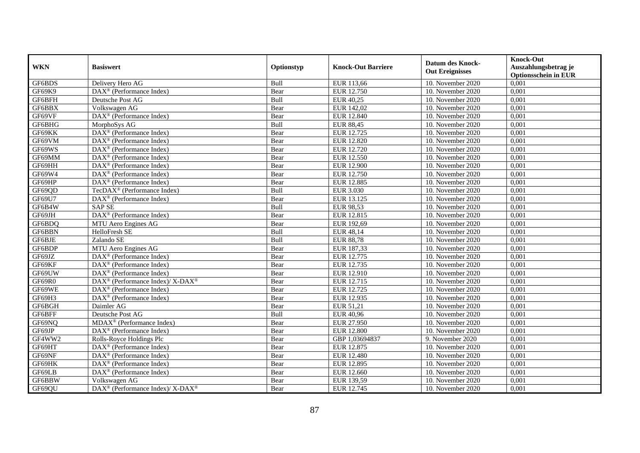| <b>WKN</b> | <b>Basiswert</b>                                                         | Optionstyp | <b>Knock-Out Barriere</b> | <b>Datum des Knock-</b><br><b>Out Ereignisses</b> | <b>Knock-Out</b><br>Auszahlungsbetrag je<br><b>Optionsschein in EUR</b> |
|------------|--------------------------------------------------------------------------|------------|---------------------------|---------------------------------------------------|-------------------------------------------------------------------------|
| GF6BDS     | Delivery Hero AG                                                         | Bull       | EUR 113,66                | 10. November 2020                                 | 0,001                                                                   |
| GF69K9     | $\overline{\text{DAX}^{\otimes}}$ (Performance Index)                    | Bear       | EUR 12.750                | 10. November 2020                                 | 0,001                                                                   |
| GF6BFH     | Deutsche Post AG                                                         | Bull       | <b>EUR 40,25</b>          | 10. November 2020                                 | 0,001                                                                   |
| GF6BBX     | Volkswagen AG                                                            | Bear       | EUR 142,02                | 10. November 2020                                 | 0,001                                                                   |
| GF69VF     | DAX <sup>®</sup> (Performance Index)                                     | Bear       | EUR 12.840                | 10. November 2020                                 | 0,001                                                                   |
| GF6BHG     | MorphoSys AG                                                             | Bull       | <b>EUR 88,45</b>          | 10. November 2020                                 | 0,001                                                                   |
| GF69KK     | $\overline{\text{DAX}^{\otimes}}$ (Performance Index)                    | Bear       | EUR 12.725                | 10. November 2020                                 | 0,001                                                                   |
| GF69VM     | $DAX^{\otimes}$ (Performance Index)                                      | Bear       | <b>EUR 12.820</b>         | 10. November 2020                                 | 0,001                                                                   |
| GF69WS     | $DAX^{\otimes}$ (Performance Index)                                      | Bear       | <b>EUR 12.720</b>         | 10. November 2020                                 | 0,001                                                                   |
| GF69MM     | DAX <sup>®</sup> (Performance Index)                                     | Bear       | EUR 12.550                | 10. November 2020                                 | 0,001                                                                   |
| GF69HH     | DAX <sup>®</sup> (Performance Index)                                     | Bear       | <b>EUR 12.900</b>         | 10. November 2020                                 | 0,001                                                                   |
| GF69W4     | DAX <sup>®</sup> (Performance Index)                                     | Bear       | EUR 12.750                | 10. November 2020                                 | 0,001                                                                   |
| GF69HP     | $\text{DAX}^{\otimes}$ (Performance Index)                               | Bear       | <b>EUR 12.885</b>         | 10. November 2020                                 | 0,001                                                                   |
| GF69QD     | TecDAX <sup>®</sup> (Performance Index)                                  | Bull       | <b>EUR 3.030</b>          | 10. November 2020                                 | 0,001                                                                   |
| GF69U7     | DAX <sup>®</sup> (Performance Index)                                     | Bear       | EUR 13.125                | 10. November 2020                                 | 0,001                                                                   |
| GF6B4W     | <b>SAPSE</b>                                                             | Bull       | <b>EUR 98,53</b>          | 10. November 2020                                 | 0,001                                                                   |
| GF69JH     | $\overline{\text{DAX}}^{\textcirc}$ (Performance Index)                  | Bear       | EUR 12.815                | 10. November 2020                                 | 0,001                                                                   |
| GF6BDQ     | MTU Aero Engines AG                                                      | Bear       | EUR 192,69                | 10. November 2020                                 | 0,001                                                                   |
| GF6BBN     | HelloFresh SE                                                            | Bull       | EUR 48,14                 | 10. November 2020                                 | 0,001                                                                   |
| GF6BJE     | Zalando SE                                                               | Bull       | <b>EUR 88,78</b>          | 10. November 2020                                 | 0,001                                                                   |
| GF6BDP     | MTU Aero Engines AG                                                      | Bear       | EUR 187,33                | 10. November 2020                                 | 0,001                                                                   |
| GF69JZ     | $\overline{\text{DAX}}^{\textcirc}$ (Performance Index)                  | Bear       | EUR 12.775                | 10. November 2020                                 | 0,001                                                                   |
| GF69KF     | DAX <sup>®</sup> (Performance Index)                                     | Bear       | EUR 12.735                | 10. November 2020                                 | 0,001                                                                   |
| GF69UW     | $DAX^{\circledast}$ (Performance Index)                                  | Bear       | EUR 12.910                | 10. November 2020                                 | 0,001                                                                   |
| GF69R0     | $DAX^{\circledast}$ (Performance Index)/ X-DAX <sup>®</sup>              | Bear       | EUR 12.715                | 10. November 2020                                 | 0,001                                                                   |
| GF69WE     | DAX <sup>®</sup> (Performance Index)                                     | Bear       | EUR 12.725                | 10. November 2020                                 | 0,001                                                                   |
| GF69H3     | DAX <sup>®</sup> (Performance Index)                                     | Bear       | EUR 12.935                | 10. November 2020                                 | 0,001                                                                   |
| GF6BGH     | Daimler AG                                                               | Bear       | EUR 51,21                 | 10. November 2020                                 | 0,001                                                                   |
| GF6BFF     | Deutsche Post AG                                                         | Bull       | EUR 40,96                 | 10. November 2020                                 | 0,001                                                                   |
| GF69NQ     | $MDAX^{\circledR}$ (Performance Index)                                   | Bear       | EUR 27.950                | 10. November 2020                                 | 0.001                                                                   |
| GF69JP     | $DAX^{\otimes}$ (Performance Index)                                      | Bear       | <b>EUR 12.800</b>         | 10. November 2020                                 | 0,001                                                                   |
| GF4WW2     | Rolls-Royce Holdings Plc                                                 | Bear       | GBP 1,03694837            | 9. November 2020                                  | 0,001                                                                   |
| GF69HT     | $\overline{\text{DAX}^{\otimes}}$ (Performance Index)                    | Bear       | EUR 12.875                | 10. November 2020                                 | 0,001                                                                   |
| GF69NF     | $\overline{\text{DAX}^{\circledast}(\text{Performance Index})}$          | Bear       | <b>EUR 12.480</b>         | 10. November 2020                                 | 0,001                                                                   |
| GF69HK     | DAX <sup>®</sup> (Performance Index)                                     | Bear       | EUR 12.895                | 10. November 2020                                 | 0,001                                                                   |
| GF69LB     | DAX <sup>®</sup> (Performance Index)                                     | Bear       | EUR 12.660                | 10. November 2020                                 | 0,001                                                                   |
| GF6BBW     | Volkswagen AG                                                            | Bear       | EUR 139,59                | 10. November 2020                                 | 0,001                                                                   |
| GF69QU     | $\overline{\text{DAX}^{\otimes}}$ (Performance Index)/X-DAX <sup>®</sup> | Bear       | EUR 12.745                | 10. November 2020                                 | 0,001                                                                   |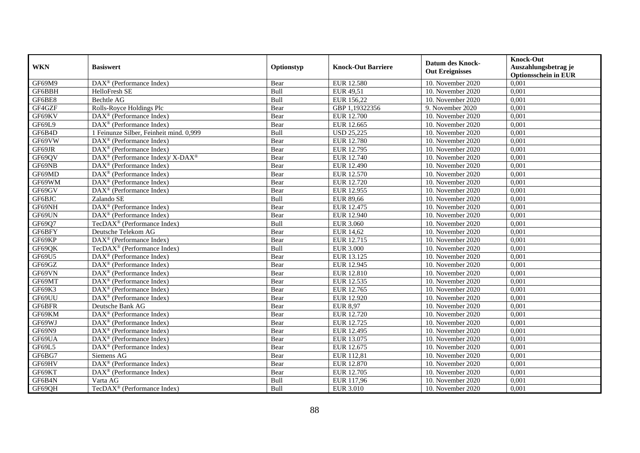| <b>WKN</b> | <b>Basiswert</b>                                             | Optionstyp | <b>Knock-Out Barriere</b> | <b>Datum des Knock-</b><br><b>Out Ereignisses</b> | <b>Knock-Out</b><br>Auszahlungsbetrag je<br><b>Optionsschein in EUR</b> |
|------------|--------------------------------------------------------------|------------|---------------------------|---------------------------------------------------|-------------------------------------------------------------------------|
| GF69M9     | $\overline{\text{DAX}^{\otimes}(\text{Performance Index})}$  | Bear       | <b>EUR 12.580</b>         | 10. November 2020                                 | 0,001                                                                   |
| GF6BBH     | HelloFresh SE                                                | Bull       | EUR 49,51                 | 10. November 2020                                 | 0,001                                                                   |
| GF6BE8     | Bechtle AG                                                   | Bull       | EUR 156,22                | 10. November 2020                                 | 0,001                                                                   |
| GF4GZF     | Rolls-Royce Holdings Plc                                     | Bear       | GBP 1,19322356            | 9. November 2020                                  | 0,001                                                                   |
| GF69KV     | DAX <sup>®</sup> (Performance Index)                         | Bear       | <b>EUR 12.700</b>         | 10. November $2020$                               | 0,001                                                                   |
| GF69L9     | $\overline{\text{DAX}^{\otimes}}$ (Performance Index)        | Bear       | EUR 12.665                | 10. November 2020                                 | 0,001                                                                   |
| GF6B4D     | 1 Feinunze Silber, Feinheit mind. 0,999                      | Bull       | <b>USD 25,225</b>         | 10. November 2020                                 | 0,001                                                                   |
| GF69VW     | $\text{DAX}^{\textcircled{}}$ (Performance Index)            | Bear       | <b>EUR 12.780</b>         | 10. November 2020                                 | 0,001                                                                   |
| GF69JR     | $\text{DAX}^{\textcircled{}}$ (Performance Index)            | Bear       | EUR 12.795                | 10. November 2020                                 | 0,001                                                                   |
| GF69QV     | $DAX^{\circledast}$ (Performance Index)/ X-DAX <sup>®</sup>  | Bear       | EUR 12.740                | 10. November 2020                                 | 0,001                                                                   |
| GF69NB     | DAX <sup>®</sup> (Performance Index)                         | Bear       | EUR 12.490                | 10. November 2020                                 | 0,001                                                                   |
| GF69MD     | DAX <sup>®</sup> (Performance Index)                         | Bear       | EUR 12.570                | 10. November 2020                                 | 0,001                                                                   |
| GF69WM     | DAX <sup>®</sup> (Performance Index)                         | Bear       | EUR 12.720                | 10. November 2020                                 | 0,001                                                                   |
| GF69GV     | DAX <sup>®</sup> (Performance Index)                         | Bear       | EUR 12.955                | 10. November 2020                                 | 0,001                                                                   |
| GF6BJC     | Zalando SE                                                   | Bull       | <b>EUR 89,66</b>          | 10. November 2020                                 | 0,001                                                                   |
| GF69NH     | $\overline{\text{DAX}^{\otimes}}$ (Performance Index)        | Bear       | EUR 12.475                | 10. November 2020                                 | 0,001                                                                   |
| GF69UN     | DAX <sup>®</sup> (Performance Index)                         | Bear       | EUR 12.940                | 10. November 2020                                 | 0,001                                                                   |
| GF6907     | TecDAX <sup>®</sup> (Performance Index)                      | Bull       | EUR 3.060                 | 10. November 2020                                 | 0,001                                                                   |
| GF6BFY     | Deutsche Telekom AG                                          | Bear       | <b>EUR 14,62</b>          | 10. November 2020                                 | 0,001                                                                   |
| GF69KP     | DAX <sup>®</sup> (Performance Index)                         | Bear       | EUR 12.715                | 10. November 2020                                 | 0,001                                                                   |
| GF69QK     | TecDAX <sup>®</sup> (Performance Index)                      | Bull       | <b>EUR 3.000</b>          | 10. November 2020                                 | 0,001                                                                   |
| GF69U5     | $\text{DAX}^{\textcircled{}}$ (Performance Index)            | Bear       | EUR 13.125                | 10. November 2020                                 | 0,001                                                                   |
| GF69GZ     | $\overline{\text{DAX}}^{\textcirc}$ (Performance Index)      | Bear       | <b>EUR 12.945</b>         | 10. November 2020                                 | 0,001                                                                   |
| GF69VN     | $\overline{\text{DAX}^{\otimes}}$ (Performance Index)        | Bear       | <b>EUR 12.810</b>         | 10. November 2020                                 | 0,001                                                                   |
| GF69MT     | DAX <sup>®</sup> (Performance Index)                         | Bear       | EUR 12.535                | 10. November 2020                                 | 0,001                                                                   |
| GF69K3     | DAX <sup>®</sup> (Performance Index)                         | Bear       | EUR 12.765                | 10. November 2020                                 | 0,001                                                                   |
| GF69UU     | $\overline{\text{DAX}}^{\textcircled{}}$ (Performance Index) | Bear       | EUR 12.920                | 10. November 2020                                 | 0,001                                                                   |
| GF6BFR     | Deutsche Bank AG                                             | Bear       | <b>EUR 8,97</b>           | 10. November 2020                                 | 0,001                                                                   |
| GF69KM     | $\text{DAX}^{\textcircled{}}$ (Performance Index)            | Bear       | EUR 12.720                | 10. November 2020                                 | 0,001                                                                   |
| GF69WJ     | $\text{DAX}^{\textcircled{}}$ (Performance Index)            | Bear       | EUR 12.725                | 10. November 2020                                 | 0,001                                                                   |
| GF69N9     | DAX <sup>®</sup> (Performance Index)                         | Bear       | EUR 12.495                | 10. November 2020                                 | 0,001                                                                   |
| GF69UA     | DAX <sup>®</sup> (Performance Index)                         | Bear       | EUR 13.075                | 10. November 2020                                 | 0,001                                                                   |
| GF69L5     | DAX <sup>®</sup> (Performance Index)                         | Bear       | EUR 12.675                | 10. November 2020                                 | 0,001                                                                   |
| GF6BG7     | Siemens AG                                                   | Bear       | EUR 112,81                | 10. November 2020                                 | 0,001                                                                   |
| GF69HV     | DAX <sup>®</sup> (Performance Index)                         | Bear       | <b>EUR 12.870</b>         | 10. November 2020                                 | 0,001                                                                   |
| GF69KT     | DAX <sup>®</sup> (Performance Index)                         | Bear       | EUR 12.705                | 10. November 2020                                 | 0,001                                                                   |
| GF6B4N     | Varta AG                                                     | Bull       | EUR 117,96                | 10. November 2020                                 | 0,001                                                                   |
| GF69QH     | TecDAX <sup>®</sup> (Performance Index)                      | Bull       | <b>EUR 3.010</b>          | 10. November 2020                                 | 0,001                                                                   |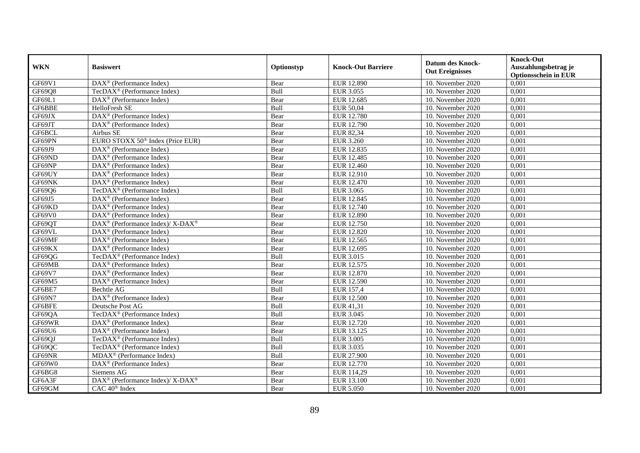|            | <b>Basiswert</b>                                            | Optionstyp  | <b>Knock-Out Barriere</b> | <b>Datum des Knock-</b><br><b>Out Ereignisses</b> | <b>Knock-Out</b>            |
|------------|-------------------------------------------------------------|-------------|---------------------------|---------------------------------------------------|-----------------------------|
| <b>WKN</b> |                                                             |             |                           |                                                   | Auszahlungsbetrag je        |
|            |                                                             |             |                           |                                                   | <b>Optionsschein in EUR</b> |
| GF69V1     | DAX <sup>®</sup> (Performance Index)                        | Bear        | EUR 12.890                | 10. November 2020                                 | 0,001                       |
| GF69Q8     | TecDAX <sup>®</sup> (Performance Index)                     | Bull        | <b>EUR 3.055</b>          | 10. November 2020                                 | 0,001                       |
| GF69L1     | $\text{DAX}^{\circledR}$ (Performance Index)                | Bear        | EUR 12.685                | 10. November 2020                                 | 0,001                       |
| GF6BBE     | HelloFresh SE                                               | Bull        | EUR 50,04                 | 10. November 2020                                 | 0,001                       |
| GF69JX     | DAX <sup>®</sup> (Performance Index)                        | Bear        | <b>EUR 12.780</b>         | 10. November 2020                                 | 0,001                       |
| GF69JT     | $DAX^{\otimes}$ (Performance Index)                         | Bear        | <b>EUR 12.790</b>         | 10. November 2020                                 | 0,001                       |
| GF6BCL     | Airbus SE                                                   | Bear        | EUR 82,34                 | 10. November 2020                                 | 0,001                       |
| GF69PN     | EURO STOXX 50 <sup>®</sup> Index (Price EUR)                | Bear        | <b>EUR 3.260</b>          | 10. November 2020                                 | 0,001                       |
| GF69J9     | $\text{DAX}^{\otimes}$ (Performance Index)                  | Bear        | EUR 12.835                | 10. November 2020                                 | 0,001                       |
| GF69ND     | $\text{DAX}^{\otimes}$ (Performance Index)                  | Bear        | EUR 12.485                | 10. November 2020                                 | 0,001                       |
| GF69NP     | $\text{DAX}^{\circledR}$ (Performance Index)                | Bear        | EUR 12.460                | 10. November 2020                                 | 0,001                       |
| GF69UY     | DAX <sup>®</sup> (Performance Index)                        | Bear        | EUR 12.910                | 10. November 2020                                 | 0,001                       |
| GF69NK     | $DAX^{\otimes}$ (Performance Index)                         | Bear        | <b>EUR 12.470</b>         | 10. November 2020                                 | 0,001                       |
| GF69Q6     | TecDAX <sup>®</sup> (Performance Index)                     | Bull        | <b>EUR 3.065</b>          | 10. November 2020                                 | 0,001                       |
| GF69J5     | $\text{DAX}^{\otimes}$ (Performance Index)                  | Bear        | EUR 12.845                | 10. November 2020                                 | 0,001                       |
| GF69KD     | DAX <sup>®</sup> (Performance Index)                        | Bear        | EUR 12.740                | 10. November 2020                                 | 0,001                       |
| GF69V0     | DAX <sup>®</sup> (Performance Index)                        | Bear        | <b>EUR 12.890</b>         | 10. November 2020                                 | 0,001                       |
| GF69QT     | $DAX^{\circledcirc}$ (Performance Index)/X-DAX <sup>®</sup> | Bear        | EUR 12.750                | 10. November 2020                                 | 0,001                       |
| GF69VL     | DAX <sup>®</sup> (Performance Index)                        | Bear        | <b>EUR 12.820</b>         | 10. November 2020                                 | 0,001                       |
| GF69MF     | DAX <sup>®</sup> (Performance Index)                        | Bear        | EUR 12.565                | 10. November 2020                                 | 0,001                       |
| GF69KX     | $DAX^{\otimes}$ (Performance Index)                         | Bear        | EUR 12.695                | 10. November 2020                                 | 0,001                       |
| GF69QG     | TecDA $X^{\circledR}$ (Performance Index)                   | Bull        | <b>EUR 3.015</b>          | 10. November $2020$                               | 0,001                       |
| GF69MB     | DAX <sup>®</sup> (Performance Index)                        | Bear        | EUR 12.575                | 10. November 2020                                 | 0,001                       |
| GF69V7     | DAX <sup>®</sup> (Performance Index)                        | Bear        | <b>EUR 12.870</b>         | 10. November 2020                                 | 0,001                       |
| GF69M5     | $\text{DAX}^{\circledR}$ (Performance Index)                | Bear        | <b>EUR 12.590</b>         | 10. November 2020                                 | 0,001                       |
| GF6BE7     | Bechtle AG                                                  | Bull        | <b>EUR 157,4</b>          | 10. November 2020                                 | 0,001                       |
| GF69N7     | DAX <sup>®</sup> (Performance Index)                        | Bear        | <b>EUR 12.500</b>         | 10. November 2020                                 | 0,001                       |
| GF6BFE     | Deutsche Post AG                                            | Bull        | EUR 41,31                 | 10. November 2020                                 | 0,001                       |
| GF69QA     | TecDAX <sup>®</sup> (Performance Index)                     | Bull        | <b>EUR 3.045</b>          | 10. November 2020                                 | 0,001                       |
| GF69WR     | $\text{DAX}^{\otimes}$ (Performance Index)                  | Bear        | EUR 12.720                | 10. November 2020                                 | 0,001                       |
| GF69U6     | $\text{DAX}^{\otimes}$ (Performance Index)                  | Bear        | EUR 13.125                | 10. November 2020                                 | 0,001                       |
| GF69QJ     | $TecDAX^{\otimes}$ (Performance Index)                      | <b>Bull</b> | <b>EUR 3.005</b>          | 10. November 2020                                 | 0,001                       |
| GF69QC     | TecDAX <sup>®</sup> (Performance Index)                     | Bull        | <b>EUR 3.035</b>          | 10. November 2020                                 | 0,001                       |
| GF69NR     | $MDAX^{\circledR}$ (Performance Index)                      | Bull        | <b>EUR 27.900</b>         | 10. November 2020                                 | 0,001                       |
| GF69W0     | DAX <sup>®</sup> (Performance Index)                        | Bear        | EUR 12.770                | 10. November 2020                                 | 0,001                       |
| GF6BG8     | Siemens AG                                                  | Bear        | EUR 114,29                | 10. November 2020                                 | 0,001                       |
| GF6A3F     | DAX <sup>®</sup> (Performance Index)/ X-DAX <sup>®</sup>    | Bear        | EUR 13.100                | 10. November 2020                                 | 0,001                       |
| GF69GM     | CAC 40 <sup>®</sup> Index                                   | Bear        | <b>EUR 5.050</b>          | 10. November 2020                                 | 0,001                       |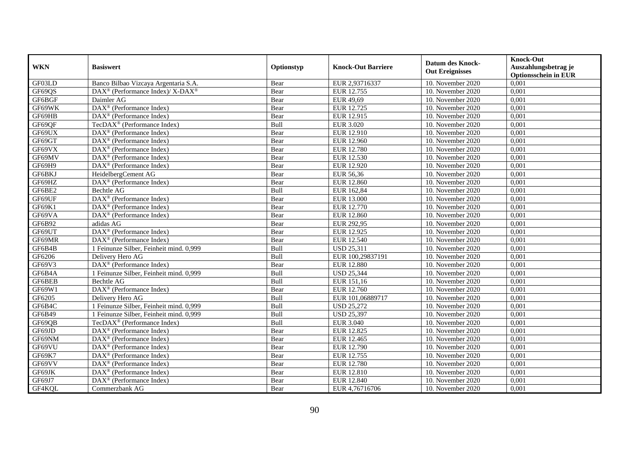| <b>WKN</b>    | <b>Basiswert</b>                                                | Optionstyp  | <b>Knock-Out Barriere</b> | <b>Datum des Knock-</b><br><b>Out Ereignisses</b> | <b>Knock-Out</b><br>Auszahlungsbetrag je<br><b>Optionsschein in EUR</b> |
|---------------|-----------------------------------------------------------------|-------------|---------------------------|---------------------------------------------------|-------------------------------------------------------------------------|
| GF03LD        | Banco Bilbao Vizcaya Argentaria S.A.                            | Bear        | EUR 2,93716337            | 10. November 2020                                 | 0,001                                                                   |
| GF69QS        | DAX <sup>®</sup> (Performance Index)/ X-DAX <sup>®</sup>        | Bear        | EUR 12.755                | 10. November 2020                                 | 0,001                                                                   |
| GF6BGF        | Daimler AG                                                      | Bear        | EUR 49,69                 | 10. November 2020                                 | 0,001                                                                   |
| GF69WK        | DAX <sup>®</sup> (Performance Index)                            | Bear        | EUR 12.725                | 10. November 2020                                 | 0,001                                                                   |
| GF69HB        | DAX <sup>®</sup> (Performance Index)                            | Bear        | EUR 12.915                | 10. November 2020                                 | 0,001                                                                   |
| GF69QF        | TecDAX <sup>®</sup> (Performance Index)                         | Bull        | <b>EUR 3.020</b>          | 10. November 2020                                 | 0,001                                                                   |
| GF69UX        | $\text{DAX}^{\otimes}$ (Performance Index)                      | Bear        | EUR 12.910                | 10. November 2020                                 | 0,001                                                                   |
| GF69GT        | $DAX^{\otimes}$ (Performance Index)                             | Bear        | <b>EUR 12.960</b>         | 10. November 2020                                 | 0,001                                                                   |
| GF69VX        | $DAX^{\otimes}$ (Performance Index)                             | Bear        | <b>EUR 12.780</b>         | 10. November 2020                                 | 0,001                                                                   |
| GF69MV        | $DAX^{\otimes}$ (Performance Index)                             | Bear        | EUR 12.530                | 10. November 2020                                 | 0,001                                                                   |
| GF69H9        | $\overline{\text{DAX}^{\circledast}(\text{Performance Index})}$ | Bear        | <b>EUR 12.920</b>         | 10. November 2020                                 | 0,001                                                                   |
| GF6BKJ        | HeidelbergCement AG                                             | Bear        | EUR 56,36                 | 10. November 2020                                 | 0,001                                                                   |
| GF69HZ        | DAX <sup>®</sup> (Performance Index)                            | Bear        | <b>EUR 12.860</b>         | 10. November 2020                                 | 0,001                                                                   |
| GF6BE2        | Bechtle AG                                                      | Bull        | EUR 162,84                | 10. November 2020                                 | 0,001                                                                   |
| GF69UF        | DAX <sup>®</sup> (Performance Index)                            | Bear        | EUR 13.000                | 10. November 2020                                 | 0,001                                                                   |
| GF69K1        | DAX <sup>®</sup> (Performance Index)                            | Bear        | <b>EUR 12.770</b>         | 10. November 2020                                 | 0,001                                                                   |
| GF69VA        | DAX <sup>®</sup> (Performance Index)                            | Bear        | EUR 12.860                | 10. November 2020                                 | 0,001                                                                   |
| GF6B92        | adidas AG                                                       | Bear        | EUR 292.95                | 10. November 2020                                 | 0,001                                                                   |
| GF69UT        | DAX <sup>®</sup> (Performance Index)                            | Bear        | EUR 12.925                | 10. November 2020                                 | 0,001                                                                   |
| GF69MR        | DAX <sup>®</sup> (Performance Index)                            | Bear        | EUR 12.540                | 10. November 2020                                 | 0,001                                                                   |
| GF6B4B        | 1 Feinunze Silber, Feinheit mind. 0,999                         | Bull        | <b>USD 25,311</b>         | 10. November 2020                                 | 0,001                                                                   |
| GF6206        | Delivery Hero AG                                                | Bull        | EUR 100,29837191          | 10. November 2020                                 | 0,001                                                                   |
| GF69V3        | DAX <sup>®</sup> (Performance Index)                            | Bear        | <b>EUR 12.880</b>         | 10. November 2020                                 | 0,001                                                                   |
| GF6B4A        | 1 Feinunze Silber, Feinheit mind. 0,999                         | Bull        | <b>USD 25,344</b>         | 10. November 2020                                 | 0,001                                                                   |
| GF6BEB        | <b>Bechtle AG</b>                                               | Bull        | EUR 151,16                | 10. November $2020$                               | 0,001                                                                   |
| GF69W1        | DAX <sup>®</sup> (Performance Index)                            | Bear        | EUR 12.760                | 10. November 2020                                 | 0,001                                                                   |
| GF6205        | Delivery Hero AG                                                | Bull        | EUR 101,06889717          | 10. November 2020                                 | 0,001                                                                   |
| GF6B4C        | 1 Feinunze Silber, Feinheit mind. 0,999                         | Bull        | <b>USD 25,272</b>         | 10. November 2020                                 | 0,001                                                                   |
| <b>GF6B49</b> | 1 Feinunze Silber, Feinheit mind. 0,999                         | <b>Bull</b> | <b>USD 25,397</b>         | 10. November 2020                                 | 0,001                                                                   |
| GF69QB        | TecDA $X^{\circledR}$ (Performance Index)                       | Bull        | <b>EUR 3.040</b>          | 10. November 2020                                 | 0,001                                                                   |
| GF69JD        | $\text{DAX}^{\otimes}$ (Performance Index)                      | Bear        | EUR 12.825                | 10. November 2020                                 | 0,001                                                                   |
| GF69NM        | DAX <sup>®</sup> (Performance Index)                            | Bear        | EUR 12.465                | 10. November 2020                                 | 0,001                                                                   |
| GF69VU        | $DAX^{\otimes}$ (Performance Index)                             | Bear        | <b>EUR 12.790</b>         | 10. November 2020                                 | 0,001                                                                   |
| GF69K7        | $\overline{\text{DAX}}^{\textcirc}$ (Performance Index)         | Bear        | EUR 12.755                | 10. November 2020                                 | 0,001                                                                   |
| GF69VV        | $\text{DAX}^{\otimes}$ (Performance Index)                      | Bear        | <b>EUR 12.780</b>         | 10. November 2020                                 | 0,001                                                                   |
| GF69JK        | $\text{DAX}^{\otimes}$ (Performance Index)                      | Bear        | EUR 12.810                | 10. November 2020                                 | 0,001                                                                   |
| GF69J7        | $DAX^{\circledast}$ (Performance Index)                         | Bear        | EUR 12.840                | 10. November 2020                                 | 0,001                                                                   |
| GF4KQL        | Commerzbank AG                                                  | Bear        | EUR 4,76716706            | 10. November 2020                                 | 0,001                                                                   |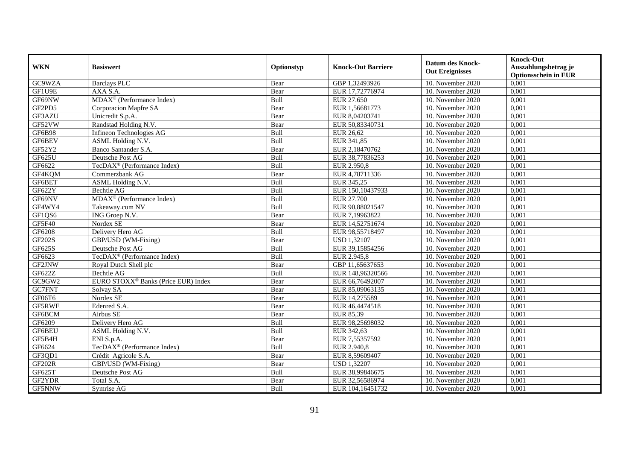| <b>WKN</b>    | <b>Basiswert</b>                                | Optionstyp | <b>Knock-Out Barriere</b> | <b>Datum des Knock-</b><br><b>Out Ereignisses</b> | <b>Knock-Out</b><br>Auszahlungsbetrag je<br><b>Optionsschein in EUR</b> |
|---------------|-------------------------------------------------|------------|---------------------------|---------------------------------------------------|-------------------------------------------------------------------------|
| GC9WZA        | <b>Barclays PLC</b>                             | Bear       | GBP 1,32493926            | 10. November 2020                                 | 0,001                                                                   |
| GF1U9E        | AXA S.A.                                        | Bear       | EUR 17,72776974           | 10. November 2020                                 | 0,001                                                                   |
| GF69NW        | MDAX <sup>®</sup> (Performance Index)           | Bull       | EUR 27.650                | 10. November 2020                                 | 0,001                                                                   |
| GF2PD5        | Corporacion Mapfre SA                           | Bear       | EUR 1,56681773            | 10. November 2020                                 | 0,001                                                                   |
| GF3AZU        | Unicredit S.p.A.                                | Bear       | EUR 8,04203741            | 10. November 2020                                 | 0,001                                                                   |
| GF52VW        | Randstad Holding N.V.                           | Bear       | EUR 50,83340731           | 10. November 2020                                 | 0,001                                                                   |
| <b>GF6B98</b> | Infineon Technologies AG                        | Bull       | <b>EUR 26,62</b>          | 10. November 2020                                 | 0,001                                                                   |
| GF6BEV        | <b>ASML Holding N.V.</b>                        | Bull       | EUR 341,85                | 10. November 2020                                 | 0,001                                                                   |
| GF52Y2        | Banco Santander S.A.                            | Bear       | EUR 2,18470762            | 10. November 2020                                 | 0,001                                                                   |
| GF625U        | Deutsche Post AG                                | Bull       | EUR 38,77836253           | 10. November 2020                                 | 0,001                                                                   |
| GF6622        | TecDAX <sup>®</sup> (Performance Index)         | Bull       | EUR 2.950,8               | 10. November 2020                                 | 0,001                                                                   |
| GF4KQM        | Commerzbank AG                                  | Bear       | EUR 4,78711336            | 10. November 2020                                 | 0,001                                                                   |
| GF6BET        | ASML Holding N.V.                               | Bull       | EUR 345,25                | 10. November 2020                                 | 0,001                                                                   |
| GF622Y        | Bechtle AG                                      | Bull       | EUR 150,10437933          | 10. November 2020                                 | 0,001                                                                   |
| GF69NV        | MDAX <sup>®</sup> (Performance Index)           | Bull       | <b>EUR 27.700</b>         | 10. November 2020                                 | 0,001                                                                   |
| GF4WY4        | Takeaway.com NV                                 | Bull       | EUR 90,88021547           | 10. November 2020                                 | 0,001                                                                   |
| GF1QS6        | ING Groep N.V.                                  | Bear       | EUR 7,19963822            | 10. November 2020                                 | 0,001                                                                   |
| GF5F40        | Nordex SE                                       | Bear       | EUR 14,52751674           | 10. November 2020                                 | 0,001                                                                   |
| GF6208        | Delivery Hero AG                                | Bull       | EUR 98,55718497           | 10. November 2020                                 | 0,001                                                                   |
| <b>GF202S</b> | GBP/USD (WM-Fixing)                             | Bear       | <b>USD 1,32107</b>        | 10. November 2020                                 | 0,001                                                                   |
| GF625S        | Deutsche Post AG                                | Bull       | EUR 39,15854256           | 10. November 2020                                 | 0,001                                                                   |
| GF6623        | TecDAX <sup>®</sup> (Performance Index)         | Bull       | EUR 2.945.8               | 10. November 2020                                 | 0,001                                                                   |
| GF2JNW        | Royal Dutch Shell plc                           | Bear       | GBP 11,65637653           | 10. November 2020                                 | 0,001                                                                   |
| GF622Z        | <b>Bechtle AG</b>                               | Bull       | EUR 148,96320566          | 10. November 2020                                 | 0,001                                                                   |
| GC9GW2        | EURO STOXX <sup>®</sup> Banks (Price EUR) Index | Bear       | EUR 66,76492007           | 10. November 2020                                 | 0,001                                                                   |
| GC7FNT        | Solvay SA                                       | Bear       | EUR 85,09063135           | 10. November 2020                                 | 0,001                                                                   |
| GF06T6        | Nordex SE                                       | Bear       | EUR 14,275589             | 10. November 2020                                 | 0,001                                                                   |
| GF5RWE        | Edenred S.A.                                    | Bear       | EUR 46,4474518            | 10. November 2020                                 | 0,001                                                                   |
| GF6BCM        | Airbus SE                                       | Bear       | EUR 85,39                 | 10. November 2020                                 | 0,001                                                                   |
| GF6209        | Delivery Hero AG                                | Bull       | EUR 98,25698032           | 10. November 2020                                 | 0.001                                                                   |
| GF6BEU        | ASML Holding N.V.                               | Bull       | EUR 342,63                | 10. November 2020                                 | 0,001                                                                   |
| GF5B4H        | ENI S.p.A.                                      | Bear       | EUR 7,55357592            | 10. November 2020                                 | 0,001                                                                   |
| GF6624        | TecDAX <sup>®</sup> (Performance Index)         | Bull       | EUR 2.940,8               | 10. November 2020                                 | 0,001                                                                   |
| GF3QD1        | Crédit Agricole S.A.                            | Bear       | EUR 8,59609407            | 10. November 2020                                 | 0,001                                                                   |
| <b>GF202R</b> | GBP/USD (WM-Fixing)                             | Bear       | <b>USD 1,32207</b>        | 10. November 2020                                 | 0,001                                                                   |
| GF625T        | Deutsche Post AG                                | Bull       | EUR 38,99846675           | 10. November 2020                                 | 0,001                                                                   |
| GF2YDR        | Total S.A.                                      | Bear       | EUR 32,56586974           | 10. November 2020                                 | 0,001                                                                   |
| GF5NNW        | Symrise AG                                      | Bull       | EUR 104,16451732          | 10. November 2020                                 | 0,001                                                                   |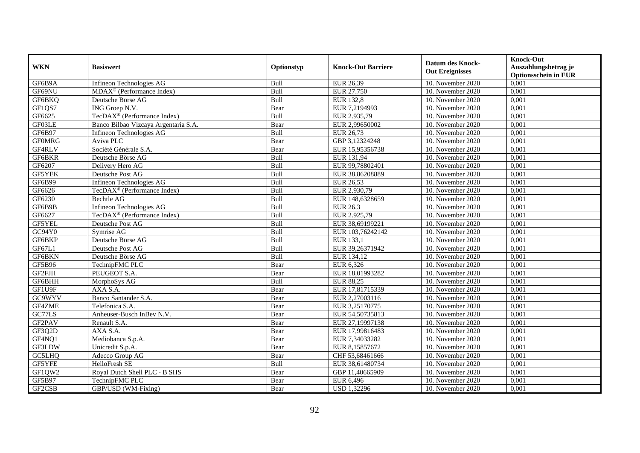|               | <b>Basiswert</b>                            | Optionstyp | <b>Knock-Out Barriere</b> | <b>Datum des Knock-</b> | <b>Knock-Out</b>                                    |
|---------------|---------------------------------------------|------------|---------------------------|-------------------------|-----------------------------------------------------|
| <b>WKN</b>    |                                             |            |                           | <b>Out Ereignisses</b>  | Auszahlungsbetrag je<br><b>Optionsschein in EUR</b> |
| GF6B9A        | Infineon Technologies AG                    | Bull       | EUR 26,39                 | 10. November 2020       | 0,001                                               |
| GF69NU        | $MDAX^{\circledcirc}$ (Performance Index)   | Bull       | EUR 27.750                | 10. November 2020       | 0,001                                               |
| GF6BKQ        | Deutsche Börse AG                           | Bull       | <b>EUR 132,8</b>          | 10. November 2020       | 0,001                                               |
| GF1QS7        | ING Groep N.V.                              | Bear       | EUR 7,2194993             | 10. November 2020       | 0,001                                               |
| GF6625        | TecDAX <sup>®</sup> (Performance Index)     | Bull       | EUR 2.935,79              | 10. November 2020       | 0,001                                               |
| GF03LE        | Banco Bilbao Vizcaya Argentaria S.A.        | Bear       | EUR 2,99650002            | 10. November 2020       | 0,001                                               |
| GF6B97        | Infineon Technologies AG                    | Bull       | EUR 26,73                 | 10. November 2020       | 0,001                                               |
| <b>GFOMRG</b> | Aviva PLC                                   | Bear       | GBP 3,12324248            | 10. November 2020       | 0,001                                               |
| GF4RLV        | Société Générale S.A.                       | Bear       | EUR 15,95356738           | 10. November 2020       | 0,001                                               |
| GF6BKR        | Deutsche Börse AG                           | Bull       | EUR 131,94                | 10. November 2020       | 0,001                                               |
| GF6207        | Delivery Hero AG                            | Bull       | EUR 99,78802401           | 10. November 2020       | 0,001                                               |
| <b>GF5YEK</b> | Deutsche Post AG                            | Bull       | EUR 38,86208889           | 10. November 2020       | 0,001                                               |
| GF6B99        | Infineon Technologies AG                    | Bull       | EUR 26,53                 | 10. November 2020       | 0,001                                               |
| GF6626        | $TecDAX^{\circledcirc}$ (Performance Index) | Bull       | EUR 2.930.79              | 10. November 2020       | 0.001                                               |
| GF6230        | Bechtle AG                                  | Bull       | EUR 148,6328659           | 10. November 2020       | 0,001                                               |
| GF6B9B        | Infineon Technologies AG                    | Bull       | <b>EUR 26,3</b>           | 10. November 2020       | 0,001                                               |
| GF6627        | TecDAX <sup>®</sup> (Performance Index)     | Bull       | EUR 2.925,79              | 10. November 2020       | 0,001                                               |
| GF5YEL        | Deutsche Post AG                            | Bull       | EUR 38,69199221           | 10. November 2020       | 0,001                                               |
| GC94Y0        | Symrise AG                                  | Bull       | EUR 103,76242142          | 10. November 2020       | 0,001                                               |
| GF6BKP        | Deutsche Börse AG                           | Bull       | EUR 133,1                 | 10. November 2020       | 0,001                                               |
| GF67L1        | Deutsche Post AG                            | Bull       | EUR 39,26371942           | 10. November 2020       | 0,001                                               |
| GF6BKN        | Deutsche Börse AG                           | Bull       | EUR 134.12                | 10. November 2020       | 0,001                                               |
| <b>GF5B96</b> | TechnipFMC PLC                              | Bear       | EUR 6,326                 | 10. November 2020       | 0,001                                               |
| GF2FJH        | PEUGEOT S.A.                                | Bear       | EUR 18,01993282           | 10. November 2020       | 0,001                                               |
| GF6BHH        | MorphoSys AG                                | Bull       | <b>EUR 88,25</b>          | 10. November 2020       | 0,001                                               |
| GF1U9F        | AXA S.A.                                    | Bear       | EUR 17,81715339           | 10. November 2020       | 0,001                                               |
| GC9WYV        | Banco Santander S.A.                        | Bear       | EUR 2,27003116            | 10. November 2020       | 0,001                                               |
| GF4ZME        | Telefonica S.A.                             | Bear       | EUR 3,25170775            | 10. November 2020       | 0,001                                               |
| GC77LS        | Anheuser-Busch InBev N.V.                   | Bear       | EUR 54,50735813           | 10. November 2020       | 0,001                                               |
| GF2PAV        | Renault S.A.                                | Bear       | EUR 27,19997138           | 10. November 2020       | 0,001                                               |
| GF3Q2D        | AXA S.A.                                    | Bear       | EUR 17,99816483           | 10. November 2020       | 0,001                                               |
| GF4NQ1        | Mediobanca S.p.A.                           | Bear       | EUR 7,34033282            | 10. November 2020       | 0,001                                               |
| GF3LDW        | Unicredit S.p.A.                            | Bear       | EUR 8,15857672            | 10. November 2020       | 0,001                                               |
| GC5LHQ        | Adecco Group AG                             | Bear       | CHF 53,68461666           | 10. November 2020       | 0,001                                               |
| GF5YFE        | HelloFresh SE                               | Bull       | EUR 38,61480734           | 10. November 2020       | 0,001                                               |
| GF1QW2        | Royal Dutch Shell PLC - B SHS               | Bear       | GBP 11,40665909           | 10. November 2020       | 0,001                                               |
| GF5B97        | TechnipFMC PLC                              | Bear       | EUR 6,496                 | 10. November 2020       | 0,001                                               |
| GF2CSB        | GBP/USD (WM-Fixing)                         | Bear       | <b>USD 1,32296</b>        | 10. November 2020       | 0,001                                               |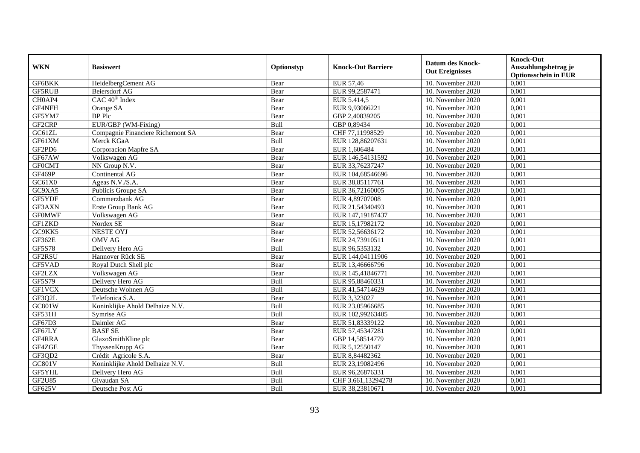| <b>WKN</b>    | <b>Basiswert</b>                  | Optionstyp | <b>Knock-Out Barriere</b> | <b>Datum des Knock-</b><br><b>Out Ereignisses</b> | <b>Knock-Out</b><br>Auszahlungsbetrag je<br><b>Optionsschein in EUR</b> |
|---------------|-----------------------------------|------------|---------------------------|---------------------------------------------------|-------------------------------------------------------------------------|
| GF6BKK        | HeidelbergCement AG               | Bear       | EUR 57,46                 | 10. November 2020                                 | 0,001                                                                   |
| <b>GF5RUB</b> | <b>Beiersdorf AG</b>              | Bear       | EUR 99,2587471            | 10. November 2020                                 | 0,001                                                                   |
| CH0AP4        | $CAC 40^{\circledast}$ Index      | Bear       | EUR 5.414,5               | 10. November 2020                                 | 0,001                                                                   |
| GF4NFH        | Orange SA                         | Bear       | EUR 9,93066221            | 10. November 2020                                 | 0,001                                                                   |
| GF5YM7        | BP Plc                            | Bear       | GBP 2,40839205            | 10. November 2020                                 | 0,001                                                                   |
| GF2CRP        | EUR/GBP (WM-Fixing)               | Bull       | GBP 0,89434               | 10. November 2020                                 | 0,001                                                                   |
| GC61ZL        | Compagnie Financiere Richemont SA | Bear       | CHF 77,11998529           | 10. November 2020                                 | 0,001                                                                   |
| GF61XM        | Merck KGaA                        | Bull       | EUR 128,86207631          | 10. November 2020                                 | 0,001                                                                   |
| GF2PD6        | Corporacion Mapfre SA             | Bear       | EUR 1,606484              | 10. November 2020                                 | 0,001                                                                   |
| GF67AW        | Volkswagen AG                     | Bear       | EUR 146,54131592          | 10. November 2020                                 | 0,001                                                                   |
| <b>GFOCMT</b> | NN Group N.V.                     | Bear       | EUR 33,76237247           | 10. November 2020                                 | 0,001                                                                   |
| GF469P        | Continental AG                    | Bear       | EUR 104,68546696          | 10. November 2020                                 | 0,001                                                                   |
| GC61X0        | Ageas N.V./S.A.                   | Bear       | EUR 38,85117761           | 10. November 2020                                 | 0,001                                                                   |
| GC9XA5        | Publicis Groupe SA                | Bear       | EUR 36,72160005           | 10. November 2020                                 | 0,001                                                                   |
| GF5YDF        | Commerzbank AG                    | Bear       | EUR 4,89707008            | 10. November 2020                                 | 0,001                                                                   |
| GF3AXN        | Erste Group Bank AG               | Bear       | EUR 21,54340493           | 10. November 2020                                 | 0,001                                                                   |
| <b>GF0MWF</b> | Volkswagen AG                     | Bear       | EUR 147,19187437          | 10. November 2020                                 | 0,001                                                                   |
| <b>GF1ZKD</b> | Nordex SE                         | Bear       | EUR 15,17982172           | 10. November 2020                                 | 0,001                                                                   |
| GC9KK5        | <b>NESTE OYJ</b>                  | Bear       | EUR 52,56636172           | 10. November 2020                                 | 0,001                                                                   |
| GF362E        | <b>OMV AG</b>                     | Bear       | EUR 24,73910511           | 10. November 2020                                 | 0,001                                                                   |
| <b>GF5S78</b> | Delivery Hero AG                  | Bull       | EUR 96,5353132            | 10. November 2020                                 | 0,001                                                                   |
| GF2RSU        | Hannover Rück SE                  | Bear       | EUR 144,04111906          | 10. November 2020                                 | 0,001                                                                   |
| GF5VAD        | Royal Dutch Shell plc             | Bear       | EUR 13,46666796           | 10. November 2020                                 | 0,001                                                                   |
| <b>GF2LZX</b> | Volkswagen AG                     | Bear       | EUR 145,41846771          | 10. November 2020                                 | 0,001                                                                   |
| GF5S79        | Delivery Hero AG                  | Bull       | EUR 95,88460331           | 10. November 2020                                 | 0,001                                                                   |
| <b>GF1VCX</b> | Deutsche Wohnen AG                | Bull       | EUR 41,54714629           | 10. November 2020                                 | 0,001                                                                   |
| GF3Q2L        | Telefonica S.A.                   | Bear       | EUR 3,323027              | 10. November 2020                                 | 0,001                                                                   |
| GC801W        | Koninklijke Ahold Delhaize N.V.   | Bull       | EUR 23,05966685           | 10. November 2020                                 | 0.001                                                                   |
| <b>GF531H</b> | Symrise AG                        | Bull       | EUR 102,99263405          | 10. November 2020                                 | 0,001                                                                   |
| GF67D3        | Daimler AG                        | Bear       | EUR 51,83339122           | 10. November 2020                                 | 0,001                                                                   |
| GF67LY        | <b>BASFSE</b>                     | Bear       | EUR 57,45347281           | 10. November 2020                                 | 0,001                                                                   |
| GF4RRA        | GlaxoSmithKline plc               | Bear       | GBP 14,58514779           | 10. November 2020                                 | 0,001                                                                   |
| GF4ZGE        | ThyssenKrupp AG                   | Bear       | EUR 5,12550147            | 10. November 2020                                 | 0,001                                                                   |
| GF3QD2        | Crédit Agricole S.A.              | Bear       | EUR 8,84482362            | 10. November 2020                                 | 0,001                                                                   |
| GC801V        | Koninklijke Ahold Delhaize N.V.   | Bull       | EUR 23,19082496           | 10. November 2020                                 | 0,001                                                                   |
| GF5YHL        | Delivery Hero AG                  | Bull       | EUR 96,26876331           | 10. November 2020                                 | 0,001                                                                   |
| GF2U85        | Givaudan SA                       | Bull       | CHF 3.661,13294278        | 10. November 2020                                 | 0,001                                                                   |
| GF625V        | Deutsche Post AG                  | Bull       | EUR 38,23810671           | 10. November 2020                                 | 0,001                                                                   |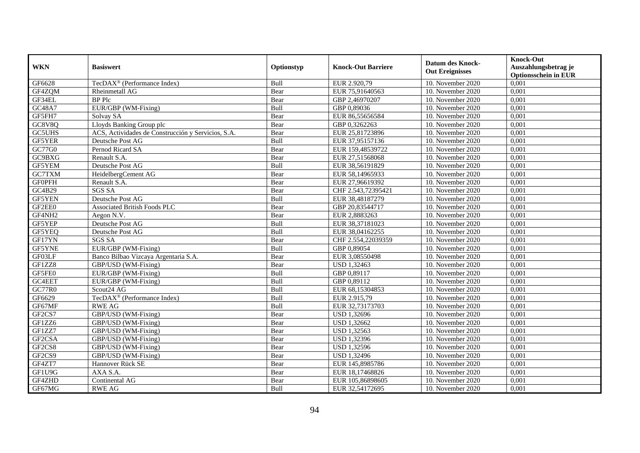|                    | <b>Basiswert</b>                                   | Optionstyp | <b>Knock-Out Barriere</b> | <b>Datum des Knock-</b>         | <b>Knock-Out</b>            |
|--------------------|----------------------------------------------------|------------|---------------------------|---------------------------------|-----------------------------|
| <b>WKN</b>         |                                                    |            |                           | <b>Out Ereignisses</b>          | Auszahlungsbetrag je        |
|                    |                                                    |            |                           |                                 | <b>Optionsschein in EUR</b> |
| GF6628             | TecDAX <sup>®</sup> (Performance Index)            | Bull       | EUR 2.920,79              | 10. November 2020               | 0,001                       |
| GF4ZQM             | Rheinmetall AG                                     | Bear       | EUR 75,91640563           | 10. November 2020               | 0,001                       |
| GF34EL             | <b>BP</b> Plc                                      | Bear       | GBP 2,46970207            | 10. November 2020               | 0,001                       |
| <b>GC48A7</b>      | EUR/GBP (WM-Fixing)                                | Bull       | GBP 0,89036               | 10. November 2020               | 0,001                       |
| GF5FH7             | Solvay SA                                          | Bear       | EUR 86,55656584           | 10. November 2020               | 0,001                       |
| GC8V8Q             | Lloyds Banking Group plc                           | Bear       | GBP 0,3262263             | 10. November 2020               | 0,001                       |
| GC5UHS             | ACS, Actividades de Construcción y Servicios, S.A. | Bear       | EUR 25,81723896           | 10. November 2020               | 0,001                       |
| GF5YER             | Deutsche Post AG                                   | Bull       | EUR 37,95157136           | 10. November 2020               | 0,001                       |
| GC77G0             | Pernod Ricard SA                                   | Bear       | EUR 159,48539722          | 10. November 2020               | 0,001                       |
| GC9BXG             | Renault S.A.                                       | Bear       | EUR 27,51568068           | 10. November 2020               | 0,001                       |
| GF5YEM             | Deutsche Post AG                                   | Bull       | EUR 38,56191829           | 10. November 2020               | 0,001                       |
| GC7TXM             | HeidelbergCement AG                                | Bear       | EUR 58,14965933           | 10. November 2020               | 0,001                       |
| <b>GFOPFH</b>      | Renault S.A.                                       | Bear       | EUR 27,96619392           | 10. November 2020               | 0,001                       |
| GC4B29             | <b>SGS SA</b>                                      | Bear       | CHF 2.543,72395421        | 10. November 2020               | 0,001                       |
| GF5YEN             | Deutsche Post AG                                   | Bull       | EUR 38,48187279           | 10. November 2020               | 0,001                       |
| GF2EE0             | <b>Associated British Foods PLC</b>                | Bear       | GBP 20,83544717           | 10. November 2020               | 0,001                       |
| GF4NH <sub>2</sub> | Aegon N.V.                                         | Bear       | EUR 2,8883263             | 10. November 2020               | 0,001                       |
| GF5YEP             | Deutsche Post AG                                   | Bull       | EUR 38.37181023           | 10. November 2020               | 0,001                       |
| GF5YEQ             | Deutsche Post AG                                   | Bull       | EUR 38,04162255           | 10. November 2020               | 0,001                       |
| GF17YN             | <b>SGS SA</b>                                      | Bear       | CHF 2.554,22039359        | 10. November 2020               | 0,001                       |
| GF5YNE             | EUR/GBP (WM-Fixing)                                | Bull       | GBP 0,89054               | $\overline{10}$ . November 2020 | 0,001                       |
| GF03LF             | Banco Bilbao Vizcaya Argentaria S.A.               | Bear       | EUR 3,08550498            | 10. November 2020               | 0,001                       |
| GF1ZZ8             | GBP/USD (WM-Fixing)                                | Bear       | USD 1,32463               | 10. November 2020               | 0,001                       |
| GF5FE0             | EUR/GBP (WM-Fixing)                                | Bull       | GBP 0,89117               | 10. November 2020               | 0,001                       |
| GC4EET             | EUR/GBP (WM-Fixing)                                | Bull       | GBP 0,89112               | 10. November 2020               | 0.001                       |
| <b>GC77R0</b>      | Scout24 AG                                         | Bull       | EUR 68,15304853           | 10. November 2020               | 0,001                       |
| GF6629             | TecDAX <sup>®</sup> (Performance Index)            | Bull       | EUR 2.915,79              | 10. November 2020               | 0,001                       |
| GF67MF             | <b>RWE AG</b>                                      | Bull       | EUR 32,73173703           | 10. November 2020               | 0,001                       |
| GF2CS7             | GBP/USD (WM-Fixing)                                | Bear       | <b>USD 1,32696</b>        | 10. November 2020               | 0,001                       |
| GF1ZZ6             | GBP/USD (WM-Fixing)                                | Bear       | USD 1,32662               | 10. November 2020               | 0,001                       |
| GF1ZZ7             | GBP/USD (WM-Fixing)                                | Bear       | USD 1,32563               | 10. November 2020               | 0,001                       |
| GF2CSA             | GBP/USD (WM-Fixing)                                | Bear       | <b>USD 1,32396</b>        | 10. November 2020               | 0,001                       |
| GF2CS8             | GBP/USD (WM-Fixing)                                | Bear       | <b>USD 1,32596</b>        | 10. November 2020               | 0,001                       |
| GF2CS9             | GBP/USD (WM-Fixing)                                | Bear       | <b>USD 1,32496</b>        | 10. November 2020               | 0,001                       |
| GF4ZT7             | Hannover Rück SE                                   | Bear       | EUR 145,8985786           | 10. November 2020               | 0,001                       |
| GF1U9G             | AXA S.A.                                           | Bear       | EUR 18,17468826           | 10. November 2020               | 0,001                       |
| GF4ZHD             | Continental AG                                     | Bear       | EUR 105,86898605          | 10. November 2020               | 0,001                       |
| GF67MG             | <b>RWE AG</b>                                      | Bull       | EUR 32,54172695           | 10. November 2020               | 0,001                       |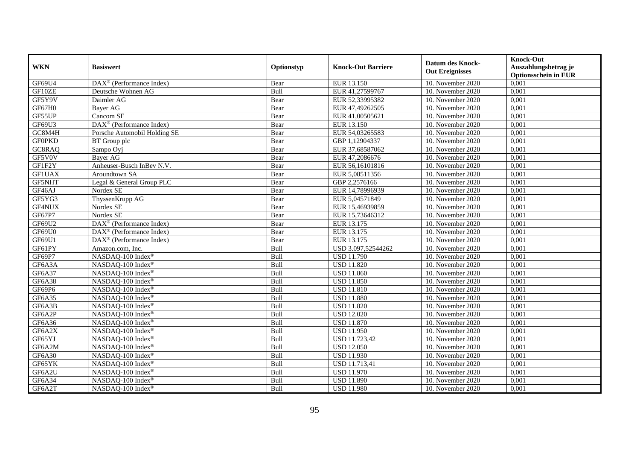|               | <b>Basiswert</b>                                      | Optionstyp | <b>Knock-Out Barriere</b> | <b>Datum des Knock-</b><br><b>Out Ereignisses</b> | <b>Knock-Out</b>                                    |
|---------------|-------------------------------------------------------|------------|---------------------------|---------------------------------------------------|-----------------------------------------------------|
| <b>WKN</b>    |                                                       |            |                           |                                                   | Auszahlungsbetrag je<br><b>Optionsschein in EUR</b> |
| GF69U4        | DAX <sup>®</sup> (Performance Index)                  | Bear       | EUR 13.150                | 10. November 2020                                 | 0,001                                               |
| GF10ZE        | Deutsche Wohnen AG                                    | Bull       | EUR 41,27599767           | 10. November 2020                                 | 0,001                                               |
| GF5Y9V        | Daimler AG                                            | Bear       | EUR 52,33995382           | 10. November 2020                                 | 0,001                                               |
| GF67H0        | Bayer AG                                              | Bear       | EUR 47,49262505           | 10. November 2020                                 | 0,001                                               |
| GF55UP        | Cancom SE                                             | Bear       | EUR 41,00505621           | 10. November 2020                                 | 0,001                                               |
| GF69U3        | DAX <sup>®</sup> (Performance Index)                  | Bear       | EUR 13.150                | 10. November 2020                                 | 0,001                                               |
| GC8M4H        | Porsche Automobil Holding SE                          | Bear       | EUR 54,03265583           | 10. November 2020                                 | 0,001                                               |
| <b>GF0PKD</b> | BT Group plc                                          | Bear       | GBP 1,12904337            | 10. November 2020                                 | 0,001                                               |
| GC8RAQ        | Sampo Oyj                                             | Bear       | EUR 37,68587062           | 10. November 2020                                 | 0,001                                               |
| GF5V0V        | <b>Bayer AG</b>                                       | Bear       | EUR 47,2086676            | 10. November 2020                                 | 0,001                                               |
| GF1F2Y        | Anheuser-Busch InBev N.V.                             | Bear       | EUR 56,16101816           | 10. November 2020                                 | 0,001                                               |
| <b>GF1UAX</b> | Aroundtown SA                                         | Bear       | EUR 5,08511356            | 10. November 2020                                 | 0,001                                               |
| GF5NHT        | Legal & General Group PLC                             | Bear       | GBP 2,2576166             | 10. November 2020                                 | 0,001                                               |
| GF46AJ        | Nordex SE                                             | Bear       | EUR 14,78996939           | 10. November 2020                                 | 0,001                                               |
| GF5YG3        | ThyssenKrupp AG                                       | Bear       | EUR 5,04571849            | 10. November 2020                                 | 0,001                                               |
| GF4NUX        | Nordex SE                                             | Bear       | EUR 15,46939859           | 10. November 2020                                 | 0,001                                               |
| GF67P7        | Nordex SE                                             | Bear       | EUR 15,73646312           | 10. November 2020                                 | 0,001                                               |
| GF69U2        | $DAX^{\circledR}$ (Performance Index)                 | Bear       | EUR 13.175                | 10. November 2020                                 | 0,001                                               |
| GF69U0        | $\overline{\text{DAX}^{\otimes}}$ (Performance Index) | Bear       | EUR 13.175                | 10. November 2020                                 | 0,001                                               |
| GF69U1        | DAX <sup>®</sup> (Performance Index)                  | Bear       | EUR 13.175                | 10. November 2020                                 | 0,001                                               |
| GF61PY        | Amazon.com, Inc.                                      | Bull       | USD 3.097,52544262        | 10. November 2020                                 | 0,001                                               |
| GF69P7        | NASDAQ-100 Index®                                     | Bull       | <b>USD 11.790</b>         | 10. November 2020                                 | 0,001                                               |
| GF6A3A        | NASDAQ-100 Index®                                     | Bull       | <b>USD 11.820</b>         | 10. November 2020                                 | 0,001                                               |
| GF6A37        | NASDAQ-100 Index®                                     | Bull       | <b>USD 11.860</b>         | 10. November 2020                                 | 0,001                                               |
| GF6A38        | NASDAQ-100 Index®                                     | Bull       | <b>USD 11.850</b>         | 10. November 2020                                 | 0,001                                               |
| GF69P6        | NASDAQ-100 Index®                                     | Bull       | <b>USD 11.810</b>         | 10. November 2020                                 | 0,001                                               |
| GF6A35        | NASDAQ-100 Index®                                     | Bull       | <b>USD 11.880</b>         | 10. November 2020                                 | 0,001                                               |
| GF6A3B        | NASDAQ-100 Index®                                     | Bull       | <b>USD 11.820</b>         | 10. November 2020                                 | 0,001                                               |
| GF6A2P        | NASDAQ-100 Index®                                     | Bull       | <b>USD 12.020</b>         | 10. November 2020                                 | 0,001                                               |
| GF6A36        | NASDAQ-100 Index <sup>®</sup>                         | Bull       | <b>USD 11.870</b>         | 10. November 2020                                 | 0,001                                               |
| GF6A2X        | NASDAQ-100 Index®                                     | Bull       | <b>USD 11.950</b>         | 10. November 2020                                 | 0,001                                               |
| GF65YJ        | NASDAQ-100 Index®                                     | Bull       | <b>USD 11.723,42</b>      | 10. November 2020                                 | 0,001                                               |
| GF6A2M        | NASDAQ-100 Index®                                     | Bull       | <b>USD 12.050</b>         | 10. November 2020                                 | 0,001                                               |
| <b>GF6A30</b> | NASDAQ-100 Index®                                     | Bull       | <b>USD 11.930</b>         | 10. November 2020                                 | 0,001                                               |
| GF65YK        | NASDAQ-100 Index®                                     | Bull       | USD 11.713,41             | 10. November 2020                                 | 0,001                                               |
| GF6A2U        | NASDAQ-100 Index®                                     | Bull       | <b>USD 11.970</b>         | 10. November 2020                                 | 0,001                                               |
| GF6A34        | NASDAQ-100 Index®                                     | Bull       | <b>USD 11.890</b>         | 10. November 2020                                 | 0,001                                               |
| GF6A2T        | NASDAQ-100 Index®                                     | Bull       | <b>USD 11.980</b>         | 10. November 2020                                 | 0,001                                               |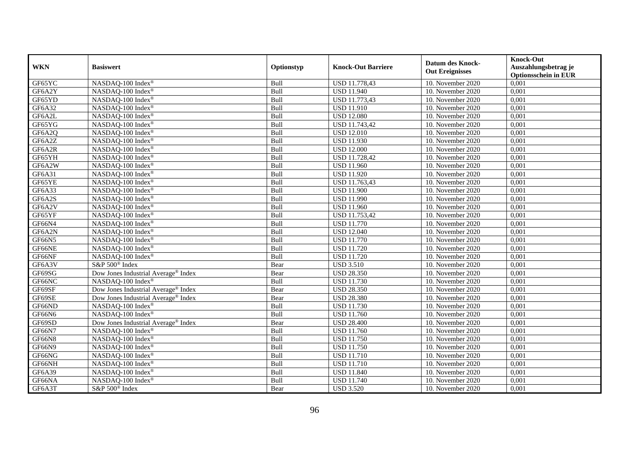| <b>WKN</b> | <b>Basiswert</b>                                | Optionstyp | <b>Knock-Out Barriere</b> | <b>Datum des Knock-</b><br><b>Out Ereignisses</b> | <b>Knock-Out</b><br>Auszahlungsbetrag je<br><b>Optionsschein in EUR</b> |
|------------|-------------------------------------------------|------------|---------------------------|---------------------------------------------------|-------------------------------------------------------------------------|
| GF65YC     | NASDAQ-100 Index®                               | Bull       | USD 11.778,43             | 10. November 2020                                 | 0,001                                                                   |
| GF6A2Y     | NASDAQ-100 Index®                               | Bull       | <b>USD 11.940</b>         | 10. November 2020                                 | 0,001                                                                   |
| GF65YD     | NASDAQ-100 Index®                               | Bull       | USD 11.773,43             | 10. November 2020                                 | 0,001                                                                   |
| GF6A32     | NASDAQ-100 Index®                               | Bull       | <b>USD 11.910</b>         | 10. November 2020                                 | 0,001                                                                   |
| GF6A2L     | NASDAQ-100 Index®                               | Bull       | <b>USD 12.080</b>         | 10. November 2020                                 | 0,001                                                                   |
| GF65YG     | NASDAQ-100 Index®                               | Bull       | USD 11.743,42             | 10. November 2020                                 | 0,001                                                                   |
| GF6A2Q     | NASDAQ-100 Index®                               | Bull       | <b>USD 12.010</b>         | 10. November 2020                                 | 0,001                                                                   |
| GF6A2Z     | NASDAQ-100 Index®                               | Bull       | <b>USD 11.930</b>         | 10. November 2020                                 | 0,001                                                                   |
| GF6A2R     | NASDAQ-100 Index®                               | Bull       | <b>USD 12.000</b>         | 10. November 2020                                 | 0,001                                                                   |
| GF65YH     | NASDAQ-100 Index®                               | Bull       | USD 11.728,42             | 10. November 2020                                 | 0,001                                                                   |
| GF6A2W     | NASDAQ-100 Index®                               | Bull       | <b>USD 11.960</b>         | 10. November 2020                                 | 0,001                                                                   |
| GF6A31     | NASDAQ-100 Index®                               | Bull       | <b>USD 11.920</b>         | 10. November 2020                                 | 0,001                                                                   |
| GF65YE     | NASDAQ-100 Index®                               | Bull       | USD 11.763,43             | 10. November 2020                                 | 0,001                                                                   |
| GF6A33     | NASDAQ-100 Index®                               | Bull       | <b>USD 11.900</b>         | 10. November 2020                                 | 0.001                                                                   |
| GF6A2S     | NASDAQ-100 Index®                               | Bull       | <b>USD 11.990</b>         | 10. November 2020                                 | 0,001                                                                   |
| GF6A2V     | NASDAQ-100 Index®                               | Bull       | <b>USD 11.960</b>         | 10. November 2020                                 | 0,001                                                                   |
| GF65YF     | NASDAQ-100 Index®                               | Bull       | USD 11.753,42             | 10. November 2020                                 | 0,001                                                                   |
| GF66N4     | NASDAQ-100 Index®                               | Bull       | <b>USD 11.770</b>         | 10. November 2020                                 | 0,001                                                                   |
| GF6A2N     | NASDAQ-100 Index®                               | Bull       | <b>USD 12.040</b>         | 10. November 2020                                 | 0,001                                                                   |
| GF66N5     | NASDAQ-100 Index®                               | Bull       | <b>USD 11.770</b>         | 10. November 2020                                 | 0,001                                                                   |
| GF66NE     | NASDAQ-100 Index®                               | Bull       | <b>USD 11.720</b>         | 10. November 2020                                 | 0,001                                                                   |
| GF66NF     | NASDAQ-100 Index®                               | Bull       | <b>USD 11.720</b>         | 10. November 2020                                 | 0,001                                                                   |
| GF6A3V     | S&P 500 <sup>®</sup> Index                      | Bear       | <b>USD 3.510</b>          | 10. November 2020                                 | 0,001                                                                   |
| GF69SG     | Dow Jones Industrial Average® Index             | Bear       | <b>USD 28.350</b>         | 10. November 2020                                 | 0,001                                                                   |
| GF66NC     | NASDAQ-100 Index®                               | Bull       | <b>USD 11.730</b>         | 10. November 2020                                 | 0,001                                                                   |
| GF69SF     | Dow Jones Industrial Average <sup>®</sup> Index | Bear       | <b>USD 28.350</b>         | 10. November 2020                                 | 0,001                                                                   |
| GF69SE     | Dow Jones Industrial Average® Index             | Bear       | <b>USD 28.380</b>         | 10. November 2020                                 | 0,001                                                                   |
| GF66ND     | NASDAQ-100 Index®                               | Bull       | <b>USD 11.730</b>         | 10. November 2020                                 | 0,001                                                                   |
| GF66N6     | NASDAQ-100 Index®                               | Bull       | <b>USD 11.760</b>         | 10. November 2020                                 | 0,001                                                                   |
| GF69SD     | Dow Jones Industrial Average <sup>®</sup> Index | Bear       | <b>USD 28.400</b>         | 10. November 2020                                 | 0,001                                                                   |
| GF66N7     | NASDAQ-100 Index®                               | Bull       | <b>USD 11.760</b>         | 10. November 2020                                 | 0,001                                                                   |
| GF66N8     | NASDAQ-100 Index®                               | Bull       | <b>USD 11.750</b>         | 10. November 2020                                 | 0,001                                                                   |
| GF66N9     | NASDAQ-100 Index®                               | Bull       | <b>USD 11.750</b>         | 10. November 2020                                 | 0,001                                                                   |
| GF66NG     | NASDAQ-100 Index®                               | Bull       | <b>USD 11.710</b>         | 10. November 2020                                 | 0,001                                                                   |
| GF66NH     | NASDAQ-100 Index®                               | Bull       | <b>USD 11.710</b>         | 10. November 2020                                 | 0,001                                                                   |
| GF6A39     | NASDAQ-100 Index®                               | Bull       | <b>USD 11.840</b>         | 10. November 2020                                 | 0,001                                                                   |
| GF66NA     | NASDAQ-100 Index®                               | Bull       | <b>USD 11.740</b>         | 10. November 2020                                 | 0,001                                                                   |
| GF6A3T     | S&P 500 <sup>®</sup> Index                      | Bear       | <b>USD 3.520</b>          | 10. November 2020                                 | 0,001                                                                   |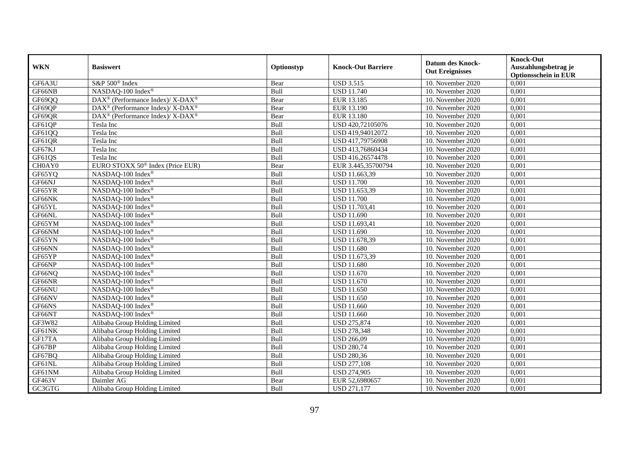| <b>WKN</b> | <b>Basiswert</b>                                         | Optionstyp | <b>Knock-Out Barriere</b> | <b>Datum des Knock-</b><br><b>Out Ereignisses</b> | <b>Knock-Out</b><br>Auszahlungsbetrag je<br><b>Optionsschein in EUR</b> |
|------------|----------------------------------------------------------|------------|---------------------------|---------------------------------------------------|-------------------------------------------------------------------------|
| GF6A3U     | S&P 500 <sup>®</sup> Index                               | Bear       | <b>USD 3.515</b>          | 10. November 2020                                 | 0,001                                                                   |
| GF66NB     | NASDAQ-100 Index®                                        | Bull       | <b>USD 11.740</b>         | 10. November 2020                                 | 0,001                                                                   |
| GF69QQ     | DAX <sup>®</sup> (Performance Index)/ X-DAX <sup>®</sup> | Bear       | EUR 13.185                | 10. November 2020                                 | 0,001                                                                   |
| GF69QP     | DAX <sup>®</sup> (Performance Index)/ X-DAX <sup>®</sup> | Bear       | EUR 13.190                | 10. November 2020                                 | 0,001                                                                   |
| GF69QR     | DAX <sup>®</sup> (Performance Index)/ X-DAX <sup>®</sup> | Bear       | EUR 13.180                | 10. November $2020$                               | 0,001                                                                   |
| GF61QP     | Tesla Inc                                                | Bull       | USD 420,72105076          | 10. November 2020                                 | 0,001                                                                   |
| GF61QQ     | Tesla Inc                                                | Bull       | USD 419,94012072          | 10. November 2020                                 | 0,001                                                                   |
| GF61QR     | Tesla Inc                                                | Bull       | USD 417,79756908          | 10. November 2020                                 | 0,001                                                                   |
| GF67KJ     | Tesla Inc                                                | Bull       | USD 413,76860434          | 10. November 2020                                 | 0,001                                                                   |
| GF61QS     | Tesla Inc                                                | Bull       | USD 416,26574478          | 10. November 2020                                 | 0,001                                                                   |
| CH0AY0     | EURO STOXX 50 <sup>®</sup> Index (Price EUR)             | Bear       | EUR 3.445,35700794        | 10. November 2020                                 | 0,001                                                                   |
| GF65YQ     | NASDAQ-100 Index®                                        | Bull       | USD 11.663,39             | 10. November 2020                                 | 0,001                                                                   |
| GF66NJ     | NASDAQ-100 Index®                                        | Bull       | <b>USD 11.700</b>         | 10. November 2020                                 | 0,001                                                                   |
| GF65YR     | NASDAQ-100 Index®                                        | Bull       | USD 11.653,39             | 10. November 2020                                 | 0,001                                                                   |
| GF66NK     | NASDAQ-100 Index®                                        | Bull       | <b>USD 11.700</b>         | 10. November 2020                                 | 0,001                                                                   |
| GF65YL     | NASDAQ-100 Index®                                        | Bull       | USD 11.703,41             | 10. November 2020                                 | 0,001                                                                   |
| GF66NL     | NASDAQ-100 Index®                                        | Bull       | <b>USD 11.690</b>         | 10. November 2020                                 | 0,001                                                                   |
| GF65YM     | NASDAQ-100 Index®                                        | Bull       | <b>USD 11.693.41</b>      | 10. November 2020                                 | 0,001                                                                   |
| GF66NM     | NASDAQ-100 Index®                                        | Bull       | <b>USD 11.690</b>         | 10. November 2020                                 | 0,001                                                                   |
| GF65YN     | NASDAQ-100 Index®                                        | Bull       | USD 11.678,39             | 10. November 2020                                 | 0,001                                                                   |
| GF66NN     | NASDAQ-100 Index®                                        | Bull       | <b>USD 11.680</b>         | 10. November 2020                                 | 0,001                                                                   |
| GF65YP     | NASDAQ-100 Index®                                        | Bull       | USD 11.673,39             | 10. November 2020                                 | 0,001                                                                   |
| GF66NP     | NASDAQ-100 Index®                                        | Bull       | <b>USD 11.680</b>         | 10. November 2020                                 | 0,001                                                                   |
| GF66NQ     | NASDAQ-100 Index®                                        | Bull       | <b>USD 11.670</b>         | 10. November 2020                                 | 0,001                                                                   |
| GF66NR     | NASDAQ-100 Index®                                        | Bull       | <b>USD 11.670</b>         | 10. November 2020                                 | 0,001                                                                   |
| GF66NU     | NASDAQ-100 Index®                                        | Bull       | <b>USD 11.650</b>         | 10. November 2020                                 | 0,001                                                                   |
| GF66NV     | NASDAQ-100 Index®                                        | Bull       | <b>USD 11.650</b>         | 10. November 2020                                 | 0,001                                                                   |
| GF66NS     | NASDAQ-100 Index®                                        | Bull       | <b>USD 11.660</b>         | 10. November 2020                                 | 0,001                                                                   |
| GF66NT     | NASDAQ-100 Index®                                        | Bull       | <b>USD 11.660</b>         | 10. November 2020                                 | 0,001                                                                   |
| GF3W82     | Alibaba Group Holding Limited                            | Bull       | <b>USD 275,874</b>        | 10. November 2020                                 | 0,001                                                                   |
| GF61NK     | Alibaba Group Holding Limited                            | Bull       | <b>USD 278,348</b>        | 10. November 2020                                 | 0,001                                                                   |
| GF17TA     | Alibaba Group Holding Limited                            | Bull       | <b>USD 266,09</b>         | 10. November 2020                                 | 0,001                                                                   |
| GF67BP     | Alibaba Group Holding Limited                            | Bull       | <b>USD 280,74</b>         | 10. November 2020                                 | 0,001                                                                   |
| GF67BQ     | Alibaba Group Holding Limited                            | Bull       | <b>USD 280,36</b>         | 10. November 2020                                 | 0,001                                                                   |
| GF61NL     | Alibaba Group Holding Limited                            | Bull       | <b>USD 277,108</b>        | 10. November 2020                                 | 0,001                                                                   |
| GF61NM     | Alibaba Group Holding Limited                            | Bull       | <b>USD 274,905</b>        | 10. November 2020                                 | 0,001                                                                   |
| GF463V     | Daimler AG                                               | Bear       | EUR 52,6980657            | 10. November 2020                                 | 0,001                                                                   |
| GC3GTG     | Alibaba Group Holding Limited                            | Bull       | <b>USD 271,177</b>        | 10. November 2020                                 | 0,001                                                                   |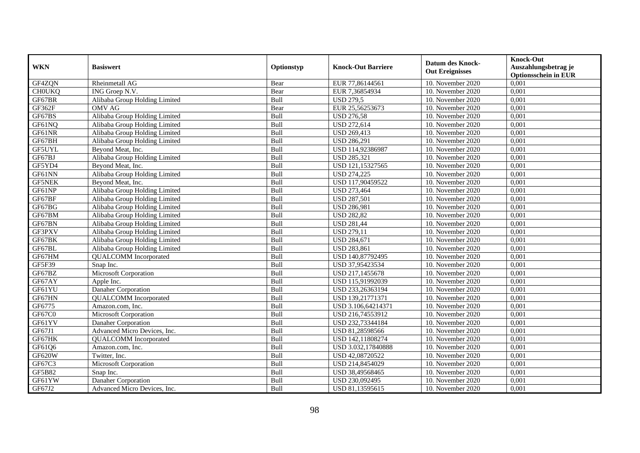| <b>WKN</b>    | <b>Basiswert</b>              | Optionstyp | <b>Knock-Out Barriere</b> | <b>Datum des Knock-</b><br><b>Out Ereignisses</b> | <b>Knock-Out</b><br>Auszahlungsbetrag je<br><b>Optionsschein in EUR</b> |
|---------------|-------------------------------|------------|---------------------------|---------------------------------------------------|-------------------------------------------------------------------------|
| GF4ZQN        | Rheinmetall AG                | Bear       | EUR 77,86144561           | 10. November 2020                                 | 0,001                                                                   |
| <b>CHOUKQ</b> | ING Groep N.V.                | Bear       | EUR 7,36854934            | 10. November 2020                                 | 0,001                                                                   |
| GF67BR        | Alibaba Group Holding Limited | Bull       | <b>USD 279,5</b>          | 10. November 2020                                 | 0,001                                                                   |
| GF362F        | <b>OMV AG</b>                 | Bear       | EUR 25,56253673           | 10. November 2020                                 | 0,001                                                                   |
| GF67BS        | Alibaba Group Holding Limited | Bull       | <b>USD 276,58</b>         | 10. November 2020                                 | 0,001                                                                   |
| GF61NQ        | Alibaba Group Holding Limited | Bull       | <b>USD 272,614</b>        | 10. November 2020                                 | 0,001                                                                   |
| GF61NR        | Alibaba Group Holding Limited | Bull       | <b>USD 269,413</b>        | 10. November 2020                                 | 0,001                                                                   |
| GF67BH        | Alibaba Group Holding Limited | Bull       | <b>USD 286,291</b>        | 10. November 2020                                 | 0,001                                                                   |
| GF5UYL        | Beyond Meat, Inc.             | Bull       | USD 114,92386987          | 10. November 2020                                 | 0,001                                                                   |
| GF67BJ        | Alibaba Group Holding Limited | Bull       | <b>USD 285,321</b>        | 10. November 2020                                 | 0,001                                                                   |
| GF5YD4        | Beyond Meat, Inc.             | Bull       | USD 121,15327565          | 10. November 2020                                 | 0,001                                                                   |
| GF61NN        | Alibaba Group Holding Limited | Bull       | <b>USD 274,225</b>        | 10. November 2020                                 | 0,001                                                                   |
| <b>GF5NEK</b> | Beyond Meat, Inc.             | Bull       | USD 117,90459522          | 10. November 2020                                 | 0,001                                                                   |
| GF61NP        | Alibaba Group Holding Limited | Bull       | <b>USD 273,464</b>        | 10. November 2020                                 | 0,001                                                                   |
| GF67BF        | Alibaba Group Holding Limited | Bull       | <b>USD 287,501</b>        | 10. November 2020                                 | 0,001                                                                   |
| GF67BG        | Alibaba Group Holding Limited | Bull       | <b>USD 286,981</b>        | 10. November 2020                                 | 0,001                                                                   |
| GF67BM        | Alibaba Group Holding Limited | Bull       | <b>USD 282,82</b>         | 10. November 2020                                 | 0,001                                                                   |
| GF67BN        | Alibaba Group Holding Limited | Bull       | <b>USD 281,44</b>         | 10. November 2020                                 | 0,001                                                                   |
| GF3PXV        | Alibaba Group Holding Limited | Bull       | <b>USD 279,11</b>         | 10. November 2020                                 | 0,001                                                                   |
| GF67BK        | Alibaba Group Holding Limited | Bull       | <b>USD 284,671</b>        | 10. November 2020                                 | 0,001                                                                   |
| GF67BL        | Alibaba Group Holding Limited | Bull       | <b>USD 283,861</b>        | 10. November 2020                                 | 0,001                                                                   |
| GF67HM        | <b>QUALCOMM</b> Incorporated  | Bull       | USD 140,87792495          | 10. November 2020                                 | 0,001                                                                   |
| <b>GF5F39</b> | Snap Inc.                     | Bull       | USD 37,95423534           | 10. November 2020                                 | 0,001                                                                   |
| GF67BZ        | Microsoft Corporation         | Bull       | USD 217,1455678           | 10. November 2020                                 | 0,001                                                                   |
| GF67AY        | Apple Inc.                    | Bull       | USD 115,91992039          | 10. November 2020                                 | 0,001                                                                   |
| GF61YU        | Danaher Corporation           | Bull       | USD 233,26363194          | 10. November 2020                                 | 0,001                                                                   |
| GF67HN        | <b>QUALCOMM</b> Incorporated  | Bull       | USD 139,21771371          | 10. November 2020                                 | 0,001                                                                   |
| GF6775        | Amazon.com. Inc.              | Bull       | USD 3.106,64214371        | 10. November 2020                                 | 0,001                                                                   |
| GF67C0        | Microsoft Corporation         | Bull       | USD 216,74553912          | 10. November 2020                                 | 0,001                                                                   |
| GF61YV        | Danaher Corporation           | Bull       | USD 232,73344184          | 10. November 2020                                 | 0.001                                                                   |
| GF67J1        | Advanced Micro Devices, Inc.  | Bull       | USD 81,28598566           | 10. November 2020                                 | 0,001                                                                   |
| GF67HK        | <b>OUALCOMM</b> Incorporated  | Bull       | USD 142,11808274          | 10. November 2020                                 | 0,001                                                                   |
| GF61Q6        | Amazon.com, Inc.              | Bull       | USD 3.032,17840888        | 10. November 2020                                 | 0,001                                                                   |
| GF620W        | Twitter, Inc.                 | Bull       | USD 42,08720522           | 10. November 2020                                 | 0,001                                                                   |
| GF67C3        | Microsoft Corporation         | Bull       | USD 214,8454029           | 10. November 2020                                 | 0,001                                                                   |
| GF5B82        | Snap Inc.                     | Bull       | USD 38,49568465           | 10. November 2020                                 | 0,001                                                                   |
| GF61YW        | Danaher Corporation           | Bull       | USD 230,092495            | 10. November 2020                                 | 0,001                                                                   |
| GF67J2        | Advanced Micro Devices, Inc.  | Bull       | USD 81,13595615           | 10. November 2020                                 | 0,001                                                                   |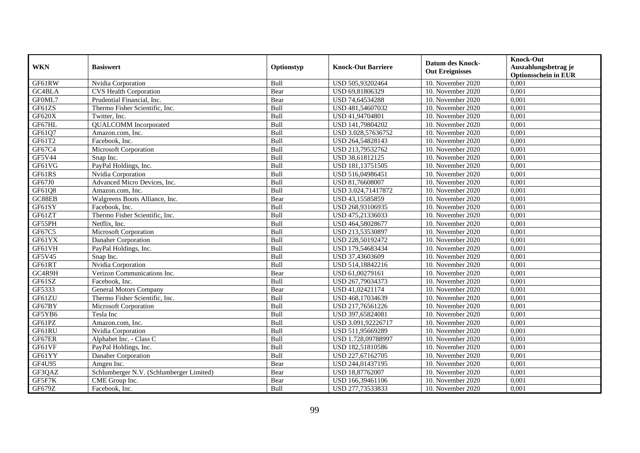| <b>WKN</b> | <b>Basiswert</b>                         | Optionstyp | <b>Knock-Out Barriere</b> | <b>Datum des Knock-</b><br><b>Out Ereignisses</b> | <b>Knock-Out</b><br>Auszahlungsbetrag je<br><b>Optionsschein in EUR</b> |
|------------|------------------------------------------|------------|---------------------------|---------------------------------------------------|-------------------------------------------------------------------------|
| GF61RW     | Nvidia Corporation                       | Bull       | USD 505,93202464          | 10. November 2020                                 | 0,001                                                                   |
| GC4BLA     | <b>CVS Health Corporation</b>            | Bear       | USD 69,81806329           | 10. November 2020                                 | 0,001                                                                   |
| GF0ML7     | Prudential Financial, Inc.               | Bear       | USD 74,64534288           | 10. November 2020                                 | 0,001                                                                   |
| GF61ZS     | Thermo Fisher Scientific, Inc.           | Bull       | USD 481,54607032          | 10. November 2020                                 | 0,001                                                                   |
| GF620X     | Twitter, Inc.                            | Bull       | USD 41,94704801           | 10. November 2020                                 | 0,001                                                                   |
| GF67HL     | <b>QUALCOMM</b> Incorporated             | Bull       | USD 141,79804202          | 10. November 2020                                 | 0,001                                                                   |
| GF61Q7     | Amazon.com, Inc.                         | Bull       | USD 3.028,57636752        | 10. November 2020                                 | 0,001                                                                   |
| GF61T2     | Facebook, Inc.                           | Bull       | USD 264,54828143          | 10. November 2020                                 | 0,001                                                                   |
| GF67C4     | Microsoft Corporation                    | Bull       | USD 213,79532762          | 10. November 2020                                 | 0,001                                                                   |
| GF5V44     | Snap Inc.                                | Bull       | USD 38,61812125           | 10. November 2020                                 | 0,001                                                                   |
| GF61VG     | PayPal Holdings, Inc.                    | Bull       | USD 181,13751505          | 10. November 2020                                 | 0,001                                                                   |
| GF61RS     | Nvidia Corporation                       | Bull       | USD 516,04986451          | 10. November 2020                                 | 0,001                                                                   |
| GF67J0     | Advanced Micro Devices, Inc.             | Bull       | USD 81,76608007           | 10. November 2020                                 | 0,001                                                                   |
| GF61Q8     | Amazon.com. Inc.                         | Bull       | USD 3.024,71417872        | 10. November 2020                                 | 0,001                                                                   |
| GC88EB     | Walgreens Boots Alliance, Inc.           | Bear       | USD 43,15585859           | 10. November 2020                                 | 0,001                                                                   |
| GF61SY     | Facebook, Inc.                           | Bull       | USD 268,93106935          | 10. November 2020                                 | 0,001                                                                   |
| GF61ZT     | Thermo Fisher Scientific, Inc.           | Bull       | USD 475,21336033          | 10. November 2020                                 | 0,001                                                                   |
| GF55PH     | Netflix. Inc.                            | Bull       | USD 464,58028677          | 10. November 2020                                 | 0,001                                                                   |
| GF67C5     | Microsoft Corporation                    | Bull       | USD 213,53530897          | 10. November 2020                                 | 0,001                                                                   |
| GF61YX     | Danaher Corporation                      | Bull       | USD 228,50192472          | 10. November 2020                                 | 0,001                                                                   |
| GF61VH     | PayPal Holdings, Inc.                    | Bull       | USD 179,54683434          | 10. November 2020                                 | 0,001                                                                   |
| GF5V45     | Snap Inc.                                | Bull       | USD 37,43603609           | 10. November 2020                                 | 0,001                                                                   |
| GF61RT     | Nvidia Corporation                       | Bull       | USD 514,18842216          | 10. November 2020                                 | 0,001                                                                   |
| GC4R9H     | Verizon Communications Inc.              | Bear       | USD 61,00279161           | 10. November 2020                                 | 0,001                                                                   |
| GF61SZ     | Facebook. Inc.                           | Bull       | USD 267,79034373          | 10. November 2020                                 | 0,001                                                                   |
| GF5333     | General Motors Company                   | Bear       | USD 41,02421174           | 10. November 2020                                 | 0,001                                                                   |
| GF61ZU     | Thermo Fisher Scientific, Inc.           | Bull       | USD 468,17034639          | 10. November 2020                                 | 0,001                                                                   |
| GF67BY     | Microsoft Corporation                    | Bull       | USD 217,76561226          | 10. November 2020                                 | 0.001                                                                   |
| GF5YB6     | Tesla Inc                                | Bull       | USD 397,65824081          | 10. November 2020                                 | 0,001                                                                   |
| GF61PZ     | Amazon.com, Inc.                         | Bull       | USD 3.091,92226717        | 10. November 2020                                 | 0,001                                                                   |
| GF61RU     | Nvidia Corporation                       | Bull       | USD 511,95669289          | 10. November 2020                                 | 0,001                                                                   |
| GF67ER     | Alphabet Inc. - Class C                  | Bull       | USD 1.728,09788997        | 10. November 2020                                 | 0,001                                                                   |
| GF61VF     | PayPal Holdings, Inc.                    | Bull       | USD 182,51810586          | 10. November 2020                                 | 0,001                                                                   |
| GF61YY     | Danaher Corporation                      | Bull       | USD 227,67162705          | 10. November 2020                                 | 0,001                                                                   |
| GF4U95     | Amgen Inc.                               | Bear       | USD 244,01437195          | 10. November 2020                                 | 0,001                                                                   |
| GF3QAZ     | Schlumberger N.V. (Schlumberger Limited) | Bear       | USD 18,87762007           | 10. November 2020                                 | 0,001                                                                   |
| GF5F7K     | CME Group Inc.                           | Bear       | USD 166,39461106          | 10. November 2020                                 | 0,001                                                                   |
| GF679Z     | Facebook, Inc.                           | Bull       | USD 277,73533833          | 10. November 2020                                 | 0,001                                                                   |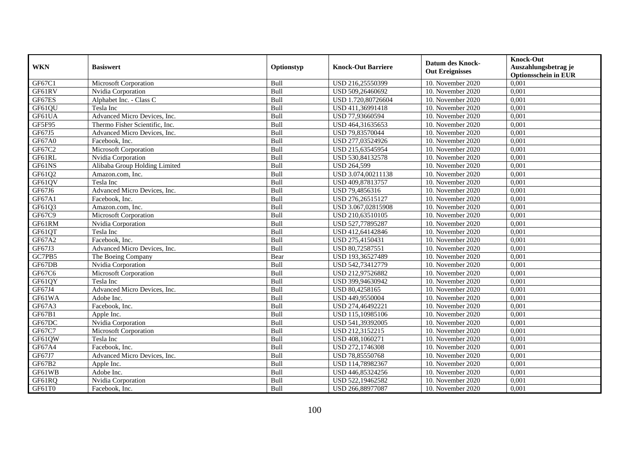| <b>WKN</b> | <b>Basiswert</b>               | Optionstyp | <b>Knock-Out Barriere</b> | <b>Datum des Knock-</b><br><b>Out Ereignisses</b> | <b>Knock-Out</b><br>Auszahlungsbetrag je<br><b>Optionsschein in EUR</b> |
|------------|--------------------------------|------------|---------------------------|---------------------------------------------------|-------------------------------------------------------------------------|
| GF67C1     | Microsoft Corporation          | Bull       | USD 216,25550399          | 10. November 2020                                 | 0,001                                                                   |
| GF61RV     | Nvidia Corporation             | Bull       | USD 509,26460692          | 10. November 2020                                 | 0,001                                                                   |
| GF67ES     | Alphabet Inc. - Class C        | Bull       | USD 1.720,80726604        | 10. November 2020                                 | 0,001                                                                   |
| GF61QU     | Tesla Inc                      | Bull       | USD 411,36991418          | 10. November 2020                                 | 0,001                                                                   |
| GF61UA     | Advanced Micro Devices, Inc.   | Bull       | USD 77,93660594           | 10. November 2020                                 | 0,001                                                                   |
| GF5F95     | Thermo Fisher Scientific, Inc. | Bull       | USD 464,31635653          | 10. November 2020                                 | 0,001                                                                   |
| GF67J5     | Advanced Micro Devices, Inc.   | Bull       | USD 79,83570044           | 10. November 2020                                 | 0,001                                                                   |
| GF67A0     | Facebook, Inc.                 | Bull       | USD 277,03524926          | 10. November 2020                                 | 0,001                                                                   |
| GF67C2     | <b>Microsoft Corporation</b>   | Bull       | USD 215,63545954          | 10. November 2020                                 | 0,001                                                                   |
| GF61RL     | Nvidia Corporation             | Bull       | USD 530,84132578          | 10. November 2020                                 | 0,001                                                                   |
| GF61NS     | Alibaba Group Holding Limited  | Bull       | <b>USD 264,599</b>        | 10. November 2020                                 | 0,001                                                                   |
| GF61Q2     | Amazon.com, Inc.               | Bull       | USD 3.074,00211138        | 10. November 2020                                 | 0,001                                                                   |
| GF61QV     | Tesla Inc                      | Bull       | USD 409,87813757          | 10. November 2020                                 | 0,001                                                                   |
| GF67J6     | Advanced Micro Devices, Inc.   | Bull       | USD 79,4856316            | 10. November 2020                                 | 0,001                                                                   |
| GF67A1     | Facebook, Inc.                 | Bull       | USD 276,26515127          | 10. November 2020                                 | 0,001                                                                   |
| GF61Q3     | Amazon.com, Inc.               | Bull       | USD 3.067,02815908        | 10. November 2020                                 | 0,001                                                                   |
| GF67C9     | Microsoft Corporation          | Bull       | USD 210,63510105          | 10. November 2020                                 | 0,001                                                                   |
| GF61RM     | Nvidia Corporation             | Bull       | USD 527,77895287          | 10. November 2020                                 | 0.001                                                                   |
| GF61QT     | Tesla Inc                      | Bull       | USD 412,64142846          | 10. November 2020                                 | 0,001                                                                   |
| GF67A2     | Facebook, Inc.                 | Bull       | USD 275,4150431           | 10. November 2020                                 | 0,001                                                                   |
| GF67J3     | Advanced Micro Devices, Inc.   | Bull       | USD 80,72587551           | 10. November 2020                                 | 0,001                                                                   |
| GC7PB5     | The Boeing Company             | Bear       | USD 193,36527489          | 10. November 2020                                 | 0,001                                                                   |
| GF67DB     | Nvidia Corporation             | Bull       | USD 542,73412779          | 10. November 2020                                 | 0,001                                                                   |
| GF67C6     | Microsoft Corporation          | Bull       | USD 212,97526882          | 10. November 2020                                 | 0,001                                                                   |
| GF61QY     | Tesla Inc                      | Bull       | USD 399,94630942          | 10. November 2020                                 | 0,001                                                                   |
| GF67J4     | Advanced Micro Devices, Inc.   | Bull       | USD 80,4258165            | 10. November 2020                                 | 0,001                                                                   |
| GF61WA     | Adobe Inc.                     | Bull       | USD 449,9550004           | 10. November 2020                                 | 0,001                                                                   |
| GF67A3     | Facebook, Inc.                 | Bull       | USD 274,46492221          | 10. November 2020                                 | 0,001                                                                   |
| GF67B1     | Apple Inc.                     | Bull       | USD 115,10985106          | 10. November 2020                                 | 0,001                                                                   |
| GF67DC     | Nvidia Corporation             | Bull       | USD 541,39392005          | 10. November 2020                                 | 0,001                                                                   |
| GF67C7     | Microsoft Corporation          | Bull       | USD 212,3152215           | 10. November 2020                                 | 0,001                                                                   |
| GF61QW     | Tesla Inc                      | Bull       | USD 408,1060271           | 10. November 2020                                 | 0,001                                                                   |
| GF67A4     | Facebook, Inc.                 | Bull       | USD 272,1746308           | 10. November 2020                                 | 0,001                                                                   |
| GF67J7     | Advanced Micro Devices, Inc.   | Bull       | USD 78,85550768           | 10. November 2020                                 | 0,001                                                                   |
| GF67B2     | Apple Inc.                     | Bull       | USD 114,78982367          | 10. November 2020                                 | 0,001                                                                   |
| GF61WB     | Adobe Inc.                     | Bull       | USD 446,85324256          | 10. November 2020                                 | 0,001                                                                   |
| GF61RQ     | Nvidia Corporation             | Bull       | USD 522,19462582          | 10. November 2020                                 | 0,001                                                                   |
| GF61T0     | Facebook, Inc.                 | Bull       | USD 266,88977087          | 10. November 2020                                 | 0,001                                                                   |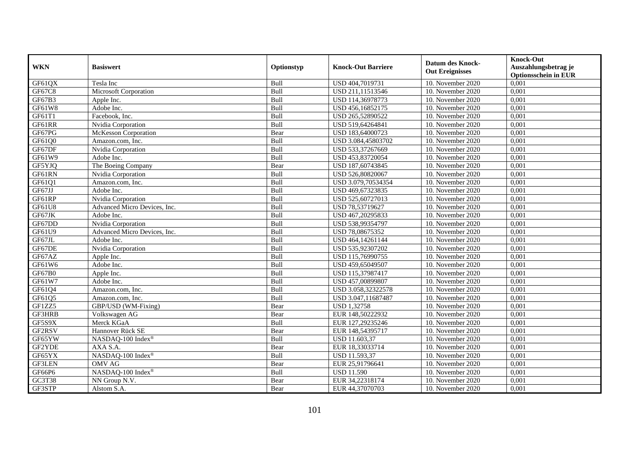| <b>WKN</b>    | <b>Basiswert</b>             | Optionstyp | <b>Knock-Out Barriere</b> | <b>Datum des Knock-</b><br><b>Out Ereignisses</b> | <b>Knock-Out</b><br>Auszahlungsbetrag je<br><b>Optionsschein in EUR</b> |
|---------------|------------------------------|------------|---------------------------|---------------------------------------------------|-------------------------------------------------------------------------|
| GF61QX        | Tesla Inc                    | Bull       | USD 404,7019731           | 10. November 2020                                 | 0,001                                                                   |
| GF67C8        | Microsoft Corporation        | Bull       | USD 211,11513546          | 10. November 2020                                 | 0,001                                                                   |
| GF67B3        | Apple Inc.                   | Bull       | USD 114,36978773          | 10. November 2020                                 | 0,001                                                                   |
| GF61W8        | Adobe Inc.                   | Bull       | USD 456,16852175          | 10. November 2020                                 | 0,001                                                                   |
| GF61T1        | Facebook, Inc.               | Bull       | USD 265,52890522          | 10. November 2020                                 | 0,001                                                                   |
| GF61RR        | Nvidia Corporation           | Bull       | USD 519,64264841          | 10. November 2020                                 | 0,001                                                                   |
| GF67PG        | McKesson Corporation         | Bear       | USD 183,64000723          | 10. November 2020                                 | 0,001                                                                   |
| GF61Q0        | Amazon.com, Inc.             | Bull       | USD 3.084,45803702        | 10. November 2020                                 | 0,001                                                                   |
| GF67DF        | Nvidia Corporation           | Bull       | USD 533,37267669          | 10. November 2020                                 | 0,001                                                                   |
| GF61W9        | Adobe Inc.                   | Bull       | USD 453,83720054          | 10. November 2020                                 | 0,001                                                                   |
| GF5YJQ        | The Boeing Company           | Bear       | USD 187,60743845          | 10. November 2020                                 | 0,001                                                                   |
| GF61RN        | Nvidia Corporation           | Bull       | USD 526,80820067          | 10. November 2020                                 | 0,001                                                                   |
| GF61Q1        | Amazon.com, Inc.             | Bull       | USD 3.079,70534354        | 10. November 2020                                 | 0,001                                                                   |
| GF67JJ        | Adobe Inc.                   | Bull       | USD 469,67323835          | 10. November 2020                                 | 0,001                                                                   |
| GF61RP        | Nvidia Corporation           | Bull       | USD 525,60727013          | 10. November 2020                                 | 0,001                                                                   |
| GF61U8        | Advanced Micro Devices, Inc. | Bull       | USD 78,53719627           | 10. November 2020                                 | 0,001                                                                   |
| GF67JK        | Adobe Inc.                   | Bull       | USD 467,20295833          | 10. November 2020                                 | 0,001                                                                   |
| GF67DD        | Nvidia Corporation           | Bull       | USD 538,99354797          | 10. November 2020                                 | 0,001                                                                   |
| GF61U9        | Advanced Micro Devices, Inc. | Bull       | USD 78,08675352           | 10. November 2020                                 | 0,001                                                                   |
| GF67JL        | Adobe Inc.                   | Bull       | USD 464,14261144          | 10. November 2020                                 | 0,001                                                                   |
| GF67DE        | Nvidia Corporation           | Bull       | USD 535,92307202          | 10. November 2020                                 | 0,001                                                                   |
| GF67AZ        | Apple Inc.                   | Bull       | USD 115,76990755          | 10. November 2020                                 | 0,001                                                                   |
| GF61W6        | Adobe Inc.                   | Bull       | USD 459,65049507          | 10. November 2020                                 | 0,001                                                                   |
| GF67B0        | Apple Inc.                   | Bull       | USD 115,37987417          | 10. November 2020                                 | 0,001                                                                   |
| GF61W7        | Adobe Inc.                   | Bull       | USD 457,00899807          | 10. November 2020                                 | 0,001                                                                   |
| GF61Q4        | Amazon.com, Inc.             | Bull       | USD 3.058,32322578        | 10. November 2020                                 | 0,001                                                                   |
| GF61Q5        | Amazon.com, Inc.             | Bull       | USD 3.047,11687487        | 10. November 2020                                 | 0,001                                                                   |
| GF1ZZ5        | GBP/USD (WM-Fixing)          | Bear       | <b>USD 1,32758</b>        | 10. November 2020                                 | 0.001                                                                   |
| GF3HRB        | Volkswagen AG                | Bear       | EUR 148,50222932          | 10. November 2020                                 | 0,001                                                                   |
| GF5S9X        | Merck KGaA                   | Bull       | EUR 127,29235246          | 10. November 2020                                 | 0,001                                                                   |
| GF2RSV        | Hannover Rück SE             | Bear       | EUR 148,54395717          | 10. November 2020                                 | 0,001                                                                   |
| GF65YW        | NASDAQ-100 Index®            | Bull       | USD 11.603,37             | 10. November 2020                                 | 0,001                                                                   |
| GF2YDE        | AXA S.A.                     | Bear       | EUR 18,33033714           | 10. November 2020                                 | 0,001                                                                   |
| GF65YX        | NASDAQ-100 Index®            | Bull       | USD 11.593,37             | 10. November 2020                                 | 0,001                                                                   |
| <b>GF3LEN</b> | <b>OMV AG</b>                | Bear       | EUR 25,91796641           | 10. November 2020                                 | 0,001                                                                   |
| GF66P6        | NASDAQ-100 Index®            | Bull       | <b>USD 11.590</b>         | 10. November 2020                                 | 0,001                                                                   |
| GC3T38        | NN Group N.V.                | Bear       | EUR 34,22318174           | 10. November 2020                                 | 0,001                                                                   |
| GF3STP        | Alstom S.A.                  | Bear       | EUR 44,37070703           | 10. November 2020                                 | 0,001                                                                   |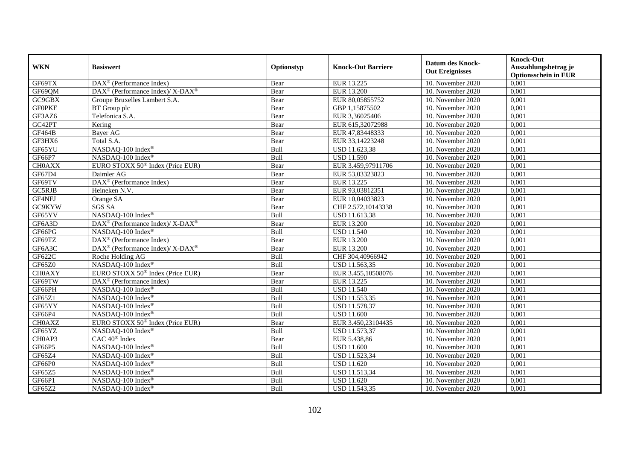|               | <b>Basiswert</b>                                         | Optionstyp  | <b>Knock-Out Barriere</b> | <b>Datum des Knock-</b><br><b>Out Ereignisses</b> | <b>Knock-Out</b>                                    |
|---------------|----------------------------------------------------------|-------------|---------------------------|---------------------------------------------------|-----------------------------------------------------|
| <b>WKN</b>    |                                                          |             |                           |                                                   | Auszahlungsbetrag je<br><b>Optionsschein in EUR</b> |
| GF69TX        | $\overline{\text{DAX}^{\otimes}}$ (Performance Index)    | Bear        | EUR 13.225                | 10. November 2020                                 | 0,001                                               |
| GF69QM        | DAX <sup>®</sup> (Performance Index)/ X-DAX <sup>®</sup> | Bear        | <b>EUR 13.200</b>         | 10. November 2020                                 | 0,001                                               |
| GC9GBX        | Groupe Bruxelles Lambert S.A.                            | Bear        | EUR 80,05855752           | 10. November 2020                                 | 0,001                                               |
| <b>GFOPKE</b> | BT Group plc                                             | Bear        | GBP 1,15875502            | 10. November 2020                                 | 0,001                                               |
| GF3AZ6        | Telefonica S.A.                                          | Bear        | EUR 3,36025406            | 10. November 2020                                 | 0,001                                               |
| GC42PT        | Kering                                                   | Bear        | EUR 615,32072988          | 10. November 2020                                 | 0,001                                               |
| GF464B        | <b>Baver AG</b>                                          | Bear        | EUR 47,83448333           | 10. November 2020                                 | 0,001                                               |
| GF3HX6        | Total S.A.                                               | Bear        | EUR 33,14223248           | 10. November 2020                                 | 0,001                                               |
| GF65YU        | NASDAQ-100 Index®                                        | Bull        | USD 11.623,38             | 10. November 2020                                 | 0,001                                               |
| GF66P7        | NASDAQ-100 Index®                                        | Bull        | <b>USD 11.590</b>         | 10. November 2020                                 | 0,001                                               |
| <b>CHOAXX</b> | EURO STOXX 50 <sup>®</sup> Index (Price EUR)             | Bear        | EUR 3.459,97911706        | 10. November 2020                                 | 0,001                                               |
| GF67D4        | Daimler AG                                               | Bear        | EUR 53,03323823           | 10. November 2020                                 | 0,001                                               |
| GF69TV        | $\overline{\text{DAX}^{\otimes}}$ (Performance Index)    | Bear        | EUR 13.225                | 10. November 2020                                 | 0,001                                               |
| GC5RJB        | Heineken N.V.                                            | Bear        | EUR 93.03812351           | 10. November 2020                                 | 0,001                                               |
| GF4NFJ        | Orange SA                                                | Bear        | EUR 10,04033823           | 10. November 2020                                 | 0,001                                               |
| GC9KYW        | <b>SGS SA</b>                                            | Bear        | CHF 2.572,10143338        | 10. November 2020                                 | 0,001                                               |
| GF65YV        | NASDAQ-100 Index®                                        | Bull        | USD 11.613,38             | 10. November 2020                                 | 0,001                                               |
| GF6A3D        | DAX <sup>®</sup> (Performance Index)/ X-DAX <sup>®</sup> | Bear        | <b>EUR 13.200</b>         | 10. November 2020                                 | 0,001                                               |
| GF66PG        | NASDAQ-100 Index®                                        | Bull        | <b>USD 11.540</b>         | 10. November 2020                                 | 0,001                                               |
| GF69TZ        | DAX <sup>®</sup> (Performance Index)                     | Bear        | EUR 13.200                | 10. November 2020                                 | 0,001                                               |
| GF6A3C        | DAX <sup>®</sup> (Performance Index)/ X-DAX <sup>®</sup> | Bear        | <b>EUR 13.200</b>         | 10. November 2020                                 | 0,001                                               |
| <b>GF622C</b> | Roche Holding AG                                         | <b>Bull</b> | CHF 304,40966942          | 10. November 2020                                 | 0.001                                               |
| GF65Z0        | NASDAQ-100 Index®                                        | Bull        | USD 11.563,35             | 10. November 2020                                 | 0,001                                               |
| <b>CH0AXY</b> | EURO STOXX 50 <sup>®</sup> Index (Price EUR)             | Bear        | EUR 3.455,10508076        | 10. November 2020                                 | 0,001                                               |
| GF69TW        | $\text{DAX}^{\otimes}$ (Performance Index)               | Bear        | EUR 13.225                | 10. November 2020                                 | 0,001                                               |
| GF66PH        | NASDAQ-100 Index®                                        | Bull        | <b>USD 11.540</b>         | 10. November 2020                                 | 0,001                                               |
| GF65Z1        | NASDAQ-100 Index®                                        | Bull        | USD 11.553,35             | 10. November 2020                                 | 0,001                                               |
| GF65YY        | NASDAQ-100 Index®                                        | Bull        | USD 11.578,37             | 10. November 2020                                 | 0,001                                               |
| GF66P4        | NASDAQ-100 Index®                                        | Bull        | <b>USD 11.600</b>         | 10. November 2020                                 | 0,001                                               |
| <b>CH0AXZ</b> | EURO STOXX 50 <sup>®</sup> Index (Price EUR)             | Bear        | EUR 3.450,23104435        | 10. November 2020                                 | 0,001                                               |
| GF65YZ        | NASDAQ-100 Index®                                        | Bull        | USD 11.573,37             | 10. November 2020                                 | 0,001                                               |
| CH0AP3        | CAC 40 <sup>®</sup> Index                                | Bear        | EUR 5.438,86              | 10. November 2020                                 | 0,001                                               |
| GF66P5        | NASDAQ-100 Index®                                        | Bull        | <b>USD 11.600</b>         | 10. November 2020                                 | 0,001                                               |
| GF65Z4        | NASDAQ-100 Index®                                        | Bull        | USD 11.523,34             | 10. November 2020                                 | 0,001                                               |
| GF66P0        | NASDAQ-100 Index®                                        | Bull        | <b>USD 11.620</b>         | 10. November 2020                                 | 0,001                                               |
| GF65Z5        | NASDAQ-100 Index®                                        | Bull        | USD 11.513,34             | 10. November 2020                                 | 0,001                                               |
| GF66P1        | NASDAQ-100 Index®                                        | Bull        | <b>USD 11.620</b>         | 10. November 2020                                 | 0,001                                               |
| GF65Z2        | NASDAQ-100 Index®                                        | Bull        | USD 11.543,35             | 10. November 2020                                 | 0,001                                               |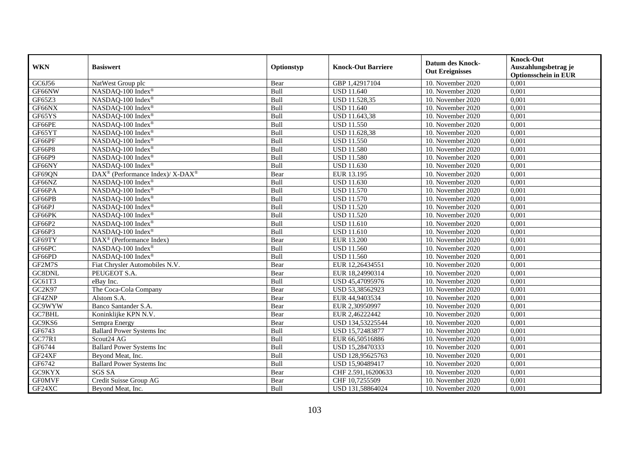| <b>WKN</b>    | <b>Basiswert</b>                                         | Optionstyp  | <b>Knock-Out Barriere</b> | <b>Datum des Knock-</b><br><b>Out Ereignisses</b> | <b>Knock-Out</b><br>Auszahlungsbetrag je<br><b>Optionsschein in EUR</b> |
|---------------|----------------------------------------------------------|-------------|---------------------------|---------------------------------------------------|-------------------------------------------------------------------------|
| GC6J56        | NatWest Group plc                                        | Bear        | GBP 1,42917104            | 10. November 2020                                 | 0,001                                                                   |
| GF66NW        | NASDAQ-100 Index®                                        | Bull        | <b>USD 11.640</b>         | 10. November 2020                                 | 0,001                                                                   |
| GF65Z3        | NASDAQ-100 Index®                                        | Bull        | USD 11.528,35             | 10. November 2020                                 | 0,001                                                                   |
| GF66NX        | NASDAQ-100 Index®                                        | Bull        | <b>USD 11.640</b>         | 10. November 2020                                 | 0,001                                                                   |
| GF65YS        | NASDAQ-100 Index®                                        | Bull        | USD 11.643,38             | 10. November $2020$                               | 0,001                                                                   |
| GF66PE        | NASDAQ-100 Index®                                        | Bull        | <b>USD 11.550</b>         | 10. November 2020                                 | 0,001                                                                   |
| GF65YT        | NASDAQ-100 Index®                                        | Bull        | USD 11.628,38             | 10. November 2020                                 | 0,001                                                                   |
| GF66PF        | NASDAQ-100 Index®                                        | Bull        | <b>USD 11.550</b>         | 10. November 2020                                 | 0,001                                                                   |
| <b>GF66P8</b> | NASDAQ-100 Index®                                        | Bull        | <b>USD 11.580</b>         | 10. November 2020                                 | 0,001                                                                   |
| GF66P9        | NASDAQ-100 Index®                                        | Bull        | <b>USD 11.580</b>         | 10. November 2020                                 | 0,001                                                                   |
| GF66NY        | NASDAQ-100 Index®                                        | Bull        | <b>USD 11.630</b>         | 10. November 2020                                 | 0,001                                                                   |
| GF69QN        | DAX <sup>®</sup> (Performance Index)/ X-DAX <sup>®</sup> | Bear        | EUR 13.195                | 10. November 2020                                 | 0,001                                                                   |
| GF66NZ        | NASDAQ-100 Index <sup>®</sup>                            | Bull        | <b>USD</b> 11.630         | 10. November 2020                                 | 0,001                                                                   |
| GF66PA        | NASDAQ-100 Index®                                        | Bull        | <b>USD 11.570</b>         | 10. November 2020                                 | 0,001                                                                   |
| GF66PB        | NASDAQ-100 Index®                                        | Bull        | <b>USD 11.570</b>         | 10. November 2020                                 | 0,001                                                                   |
| GF66PJ        | NASDAQ-100 Index®                                        | Bull        | <b>USD 11.520</b>         | 10. November 2020                                 | 0,001                                                                   |
| GF66PK        | NASDAQ-100 Index®                                        | Bull        | <b>USD 11.520</b>         | 10. November 2020                                 | 0,001                                                                   |
| GF66P2        | NASDAQ-100 Index®                                        | <b>Bull</b> | <b>USD</b> 11.610         | 10. November 2020                                 | 0,001                                                                   |
| GF66P3        | NASDAQ-100 Index®                                        | Bull        | <b>USD 11.610</b>         | 10. November 2020                                 | 0,001                                                                   |
| GF69TY        | DAX <sup>®</sup> (Performance Index)                     | Bear        | EUR 13.200                | 10. November 2020                                 | 0,001                                                                   |
| GF66PC        | NASDAQ-100 Index®                                        | Bull        | <b>USD 11.560</b>         | 10. November 2020                                 | 0,001                                                                   |
| GF66PD        | NASDAQ-100 Index®                                        | Bull        | <b>USD 11.560</b>         | 10. November 2020                                 | 0,001                                                                   |
| GF2M7S        | Fiat Chrysler Automobiles N.V.                           | Bear        | EUR 12,26434551           | 10. November 2020                                 | 0,001                                                                   |
| GC8DNL        | PEUGEOT S.A.                                             | Bear        | EUR 18,24990314           | 10. November 2020                                 | 0,001                                                                   |
| GC61T3        | eBay Inc.                                                | Bull        | USD 45,47095976           | 10. November 2020                                 | 0,001                                                                   |
| GC2K97        | The Coca-Cola Company                                    | Bear        | USD 53,38562923           | 10. November 2020                                 | 0,001                                                                   |
| GF4ZNP        | Alstom S.A.                                              | Bear        | EUR 44,9403534            | 10. November 2020                                 | 0,001                                                                   |
| GC9WYW        | Banco Santander S.A.                                     | Bear        | EUR 2,30950997            | 10. November 2020                                 | 0,001                                                                   |
| GC7BHL        | Koninklijke KPN N.V.                                     | Bear        | EUR 2,46222442            | 10. November 2020                                 | 0,001                                                                   |
| GC9KS6        | Sempra Energy                                            | Bear        | USD 134,53225544          | 10. November 2020                                 | 0,001                                                                   |
| GF6743        | <b>Ballard Power Systems Inc</b>                         | Bull        | USD 15,72483877           | 10. November 2020                                 | 0,001                                                                   |
| GC77R1        | Scout <sub>24</sub> AG                                   | Bull        | EUR 66,50516886           | 10. November 2020                                 | 0,001                                                                   |
| GF6744        | <b>Ballard Power Systems Inc</b>                         | Bull        | USD 15,28470333           | 10. November 2020                                 | 0,001                                                                   |
| GF24XF        | Beyond Meat, Inc.                                        | Bull        | USD 128,95625763          | 10. November 2020                                 | 0,001                                                                   |
| GF6742        | <b>Ballard Power Systems Inc</b>                         | Bull        | USD 15,90489417           | 10. November 2020                                 | 0,001                                                                   |
| GC9KYX        | <b>SGS SA</b>                                            | Bear        | CHF 2.591,16200633        | 10. November 2020                                 | 0,001                                                                   |
| <b>GFOMVF</b> | Credit Suisse Group AG                                   | Bear        | CHF 10,7255509            | 10. November 2020                                 | 0,001                                                                   |
| GF24XC        | Beyond Meat, Inc.                                        | Bull        | USD 131,58864024          | 10. November 2020                                 | 0,001                                                                   |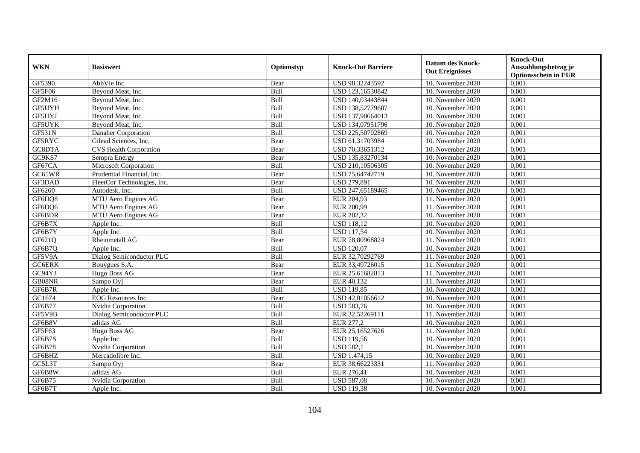| <b>WKN</b>    | <b>Basiswert</b>              | Optionstyp | <b>Knock-Out Barriere</b> | <b>Datum des Knock-</b><br><b>Out Ereignisses</b> | <b>Knock-Out</b><br>Auszahlungsbetrag je<br><b>Optionsschein in EUR</b> |
|---------------|-------------------------------|------------|---------------------------|---------------------------------------------------|-------------------------------------------------------------------------|
| GF5390        | AbbVie Inc.                   | Bear       | USD 98,32243592           | 10. November 2020                                 | 0,001                                                                   |
| <b>GF5F06</b> | Bevond Meat, Inc.             | Bull       | USD 123,16530842          | 10. November 2020                                 | 0,001                                                                   |
| GF2M16        | Beyond Meat, Inc.             | Bull       | USD 140,03443844          | 10. November 2020                                 | 0,001                                                                   |
| GF5UYH        | Beyond Meat, Inc.             | Bull       | USD 138,52779607          | 10. November 2020                                 | 0,001                                                                   |
| GF5UYJ        | Beyond Meat, Inc.             | Bull       | USD 137,90664013          | 10. November 2020                                 | 0,001                                                                   |
| <b>GF5UYK</b> | Beyond Meat, Inc.             | Bull       | USD 134,07951796          | 10. November 2020                                 | 0,001                                                                   |
| <b>GF531N</b> | Danaher Corporation           | Bull       | USD 225,50702869          | 10. November 2020                                 | 0,001                                                                   |
| GF5RYC        | Gilead Sciences, Inc.         | Bear       | USD 61,31703984           | 10. November 2020                                 | 0,001                                                                   |
| GC8DTA        | <b>CVS Health Corporation</b> | Bear       | USD 70,33651312           | 10. November 2020                                 | 0,001                                                                   |
| GC9KS7        | Sempra Energy                 | Bear       | USD 135,83270134          | 10. November 2020                                 | 0,001                                                                   |
| GF67CA        | Microsoft Corporation         | Bull       | USD 210,10506305          | 10. November 2020                                 | 0,001                                                                   |
| GC65WR        | Prudential Financial, Inc.    | Bear       | USD 75,64742719           | 10. November 2020                                 | 0,001                                                                   |
| GF3DAD        | FleetCor Technologies, Inc.   | Bear       | <b>USD 279,891</b>        | 10. November 2020                                 | 0,001                                                                   |
| GF6260        | Autodesk, Inc.                | Bull       | USD 247,65189465          | 10. November 2020                                 | 0,001                                                                   |
| GF6DQ8        | MTU Aero Engines AG           | Bear       | EUR 204,93                | 11. November 2020                                 | 0,001                                                                   |
| GF6DQ6        | MTU Aero Engines AG           | Bear       | EUR 200,99                | 11. November 2020                                 | 0,001                                                                   |
| GF6BDR        | MTU Aero Engines AG           | Bear       | EUR 202,32                | 10. November 2020                                 | 0,001                                                                   |
| GF6B7X        | Apple Inc.                    | Bull       | <b>USD 118,12</b>         | 10. November 2020                                 | 0,001                                                                   |
| GF6B7Y        | Apple Inc.                    | Bull       | <b>USD 117,54</b>         | 10. November 2020                                 | 0,001                                                                   |
| GF621Q        | Rheinmetall AG                | Bear       | EUR 78,80968824           | 11. November 2020                                 | 0,001                                                                   |
| GF6B7Q        | Apple Inc.                    | Bull       | <b>USD 120,07</b>         | 10. November 2020                                 | 0,001                                                                   |
| GF5V9A        | Dialog Semiconductor PLC      | Bull       | EUR 32,70292769           | 11. November 2020                                 | 0,001                                                                   |
| <b>GC6ERK</b> | Bouygues S.A.                 | Bear       | EUR 33,49726015           | 11. November 2020                                 | 0,001                                                                   |
| GC94YJ        | Hugo Boss AG                  | Bear       | EUR 25,61682813           | 11. November 2020                                 | 0,001                                                                   |
| GB08NR        | Sampo Ovi                     | Bear       | EUR 40,132                | 11. November 2020                                 | 0.001                                                                   |
| GF6B7R        | Apple Inc.                    | Bull       | <b>USD 119,85</b>         | 10. November 2020                                 | 0,001                                                                   |
| GC1674        | <b>EOG</b> Resources Inc.     | Bear       | USD 42,01056612           | 10. November 2020                                 | 0,001                                                                   |
| GF6B77        | Nvidia Corporation            | Bull       | <b>USD 583,76</b>         | 10. November 2020                                 | 0,001                                                                   |
| GF5V9B        | Dialog Semiconductor PLC      | Bull       | EUR 32,52269111           | 11. November 2020                                 | 0,001                                                                   |
| GF6B8V        | adidas AG                     | Bull       | EUR 277,2                 | 10. November 2020                                 | 0,001                                                                   |
| GF5F63        | Hugo Boss AG                  | Bear       | EUR 25,16527626           | 11. November 2020                                 | 0,001                                                                   |
| GF6B7S        | Apple Inc.                    | Bull       | <b>USD 119,56</b>         | 10. November 2020                                 | 0,001                                                                   |
| GF6B78        | Nvidia Corporation            | Bull       | <b>USD 582,1</b>          | 10. November 2020                                 | 0,001                                                                   |
| GF6BHZ        | Mercadolibre Inc.             | Bull       | <b>USD 1.474,15</b>       | 10. November 2020                                 | 0,001                                                                   |
| GC5L3T        | Sampo Oyj                     | Bear       | EUR 38,66223331           | 11. November 2020                                 | 0,001                                                                   |
| GF6B8W        | adidas AG                     | Bull       | EUR 276,41                | 10. November 2020                                 | 0,001                                                                   |
| GF6B75        | Nvidia Corporation            | Bull       | <b>USD 587,08</b>         | 10. November 2020                                 | 0,001                                                                   |
| GF6B7T        | Apple Inc.                    | Bull       | <b>USD 119,38</b>         | 10. November 2020                                 | 0,001                                                                   |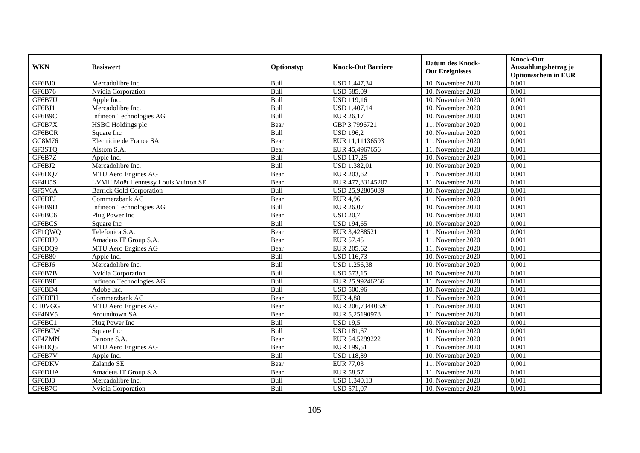| <b>WKN</b>          | <b>Basiswert</b>                    | Optionstyp | <b>Knock-Out Barriere</b> | <b>Datum des Knock-</b><br><b>Out Ereignisses</b> | <b>Knock-Out</b><br>Auszahlungsbetrag je<br><b>Optionsschein in EUR</b> |
|---------------------|-------------------------------------|------------|---------------------------|---------------------------------------------------|-------------------------------------------------------------------------|
| GF6BJ0              | Mercadolibre Inc.                   | Bull       | USD 1.447,34              | 10. November 2020                                 | 0,001                                                                   |
| GF6B76              | Nvidia Corporation                  | Bull       | <b>USD 585,09</b>         | 10. November 2020                                 | 0,001                                                                   |
| GF6B7U              | Apple Inc.                          | Bull       | <b>USD 119,16</b>         | 10. November 2020                                 | 0,001                                                                   |
| GF6BJ1              | Mercadolibre Inc.                   | Bull       | USD 1.407,14              | 10. November 2020                                 | 0,001                                                                   |
| GF6B9C              | Infineon Technologies AG            | Bull       | EUR 26,17                 | 10. November 2020                                 | 0,001                                                                   |
| GF0B7X              | <b>HSBC</b> Holdings plc            | Bear       | GBP 3,7996721             | 11. November 2020                                 | 0,001                                                                   |
| GF6BCR              | Square Inc                          | Bull       | <b>USD 196,2</b>          | 10. November 2020                                 | 0,001                                                                   |
| GC8M76              | Electricite de France SA            | Bear       | EUR 11,11136593           | 11. November 2020                                 | 0,001                                                                   |
| GF3STQ              | Alstom S.A.                         | Bear       | EUR 45,4967656            | 11. November 2020                                 | 0,001                                                                   |
| GF6B7Z              | Apple Inc.                          | Bull       | <b>USD 117,25</b>         | 10. November 2020                                 | 0,001                                                                   |
| GF6BJ2              | Mercadolibre Inc.                   | Bull       | <b>USD 1.382,01</b>       | 10. November 2020                                 | 0,001                                                                   |
| GF6DQ7              | MTU Aero Engines AG                 | Bear       | EUR 203,62                | 11. November 2020                                 | 0,001                                                                   |
| GF4U5S              | LVMH Moët Hennessy Louis Vuitton SE | Bear       | EUR 477,83145207          | 11. November 2020                                 | 0,001                                                                   |
| GF5V6A              | <b>Barrick Gold Corporation</b>     | Bull       | USD 25,92805089           | 10. November 2020                                 | 0,001                                                                   |
| GF6DFJ              | Commerzbank AG                      | Bear       | <b>EUR 4,96</b>           | 11. November 2020                                 | 0,001                                                                   |
| GF6B9D              | Infineon Technologies AG            | Bull       | EUR 26,07                 | 10. November 2020                                 | 0,001                                                                   |
| GF6BC6              | Plug Power Inc                      | Bear       | <b>USD 20,7</b>           | 10. November 2020                                 | 0,001                                                                   |
| GF6BCS              | Square Inc                          | Bull       | <b>USD 194,65</b>         | 10. November 2020                                 | 0,001                                                                   |
| GF1QWQ              | Telefonica S.A.                     | Bear       | EUR 3,4288521             | 11. November 2020                                 | 0,001                                                                   |
| GF6DU9              | Amadeus IT Group S.A.               | Bear       | <b>EUR 57,45</b>          | 11. November 2020                                 | 0,001                                                                   |
| GF6DQ9              | MTU Aero Engines AG                 | Bear       | EUR 205,62                | 11. November 2020                                 | 0,001                                                                   |
| <b>GF6B80</b>       | Apple Inc.                          | Bull       | <b>USD 116,73</b>         | 10. November 2020                                 | 0,001                                                                   |
| GF6BJ6              | Mercadolibre Inc.                   | Bull       | <b>USD 1.256,38</b>       | 10. November 2020                                 | 0,001                                                                   |
| GF6B7B              | Nvidia Corporation                  | Bull       | <b>USD 573,15</b>         | 10. November 2020                                 | 0,001                                                                   |
| GF6B9E              | Infineon Technologies AG            | Bull       | EUR 25,99246266           | 11. November 2020                                 | 0,001                                                                   |
| GF6BD4              | Adobe Inc.                          | Bull       | <b>USD 500,96</b>         | 10. November 2020                                 | 0,001                                                                   |
| GF6DFH              | Commerzbank AG                      | Bear       | <b>EUR 4,88</b>           | 11. November 2020                                 | 0,001                                                                   |
| $CH0\overline{VGG}$ | MTU Aero Engines AG                 | Bear       | EUR 206,73440626          | 11. November 2020                                 | 0.001                                                                   |
| GF4NV5              | Aroundtown SA                       | Bear       | EUR 5,25190978            | 11. November 2020                                 | 0,001                                                                   |
| GF6BC1              | Plug Power Inc                      | Bull       | <b>USD 19.5</b>           | 10. November 2020                                 | 0,001                                                                   |
| GF6BCW              | Square Inc                          | Bull       | <b>USD 181,67</b>         | 10. November 2020                                 | 0,001                                                                   |
| GF4ZMN              | Danone S.A.                         | Bear       | EUR 54,5299222            | 11. November 2020                                 | 0,001                                                                   |
| GF6DQ5              | MTU Aero Engines AG                 | Bear       | EUR 199,51                | 11. November 2020                                 | 0,001                                                                   |
| GF6B7V              | Apple Inc.                          | Bull       | <b>USD 118,89</b>         | 10. November 2020                                 | 0,001                                                                   |
| GF6DKV              | Zalando SE                          | Bear       | EUR 77,03                 | 11. November 2020                                 | 0,001                                                                   |
| GF6DUA              | Amadeus IT Group S.A.               | Bear       | <b>EUR 58,57</b>          | 11. November 2020                                 | 0,001                                                                   |
| GF6BJ3              | Mercadolibre Inc.                   | Bull       | USD 1.340,13              | 10. November 2020                                 | 0,001                                                                   |
| GF6B7C              | Nvidia Corporation                  | Bull       | <b>USD 571,07</b>         | 10. November 2020                                 | 0,001                                                                   |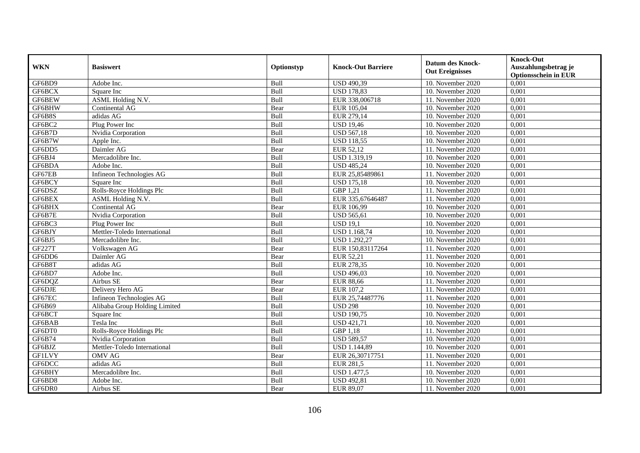| <b>WKN</b>    | <b>Basiswert</b>              | Optionstyp | <b>Knock-Out Barriere</b> | <b>Datum des Knock-</b><br><b>Out Ereignisses</b> | <b>Knock-Out</b><br>Auszahlungsbetrag je<br><b>Optionsschein in EUR</b> |
|---------------|-------------------------------|------------|---------------------------|---------------------------------------------------|-------------------------------------------------------------------------|
| GF6BD9        | Adobe Inc.                    | Bull       | <b>USD 490,39</b>         | 10. November 2020                                 | 0,001                                                                   |
| GF6BCX        | Square Inc                    | Bull       | <b>USD 178,83</b>         | 10. November 2020                                 | 0,001                                                                   |
| GF6BEW        | ASML Holding N.V.             | Bull       | EUR 338,006718            | 11. November 2020                                 | 0,001                                                                   |
| GF6BHW        | Continental AG                | Bear       | EUR 105,04                | 10. November 2020                                 | 0,001                                                                   |
| GF6B8S        | adidas AG                     | Bull       | EUR 279,14                | 10. November $2020$                               | 0,001                                                                   |
| GF6BC2        | Plug Power Inc                | Bull       | <b>USD 19,46</b>          | 10. November 2020                                 | 0,001                                                                   |
| GF6B7D        | Nvidia Corporation            | Bull       | <b>USD 567,18</b>         | 10. November 2020                                 | 0,001                                                                   |
| GF6B7W        | Apple Inc.                    | Bull       | <b>USD 118,55</b>         | 10. November 2020                                 | 0,001                                                                   |
| GF6DD5        | Daimler AG                    | Bear       | EUR 52,12                 | 11. November 2020                                 | 0,001                                                                   |
| GF6BJ4        | Mercadolibre Inc.             | Bull       | USD 1.319,19              | 10. November 2020                                 | 0,001                                                                   |
| GF6BDA        | Adobe Inc.                    | Bull       | <b>USD 485,24</b>         | 10. November 2020                                 | 0,001                                                                   |
| GF67EB        | Infineon Technologies AG      | Bull       | EUR 25,85489861           | 11. November 2020                                 | 0,001                                                                   |
| GF6BCY        | Square Inc                    | Bull       | <b>USD 175,18</b>         | 10. November 2020                                 | 0,001                                                                   |
| GF6DSZ        | Rolls-Royce Holdings Plc      | Bull       | GBP 1,21                  | 11. November 2020                                 | 0,001                                                                   |
| GF6BEX        | ASML Holding N.V.             | Bull       | EUR 335,67646487          | 11. November 2020                                 | 0,001                                                                   |
| GF6BHX        | Continental AG                | Bear       | EUR 106,99                | 10. November 2020                                 | 0,001                                                                   |
| GF6B7E        | Nvidia Corporation            | Bull       | <b>USD 565,61</b>         | 10. November 2020                                 | 0,001                                                                   |
| GF6BC3        | Plug Power Inc                | Bull       | $\overline{$ USD 19,1     | 10. November 2020                                 | 0,001                                                                   |
| GF6BJY        | Mettler-Toledo International  | Bull       | <b>USD 1.168,74</b>       | 10. November 2020                                 | 0,001                                                                   |
| GF6BJ5        | Mercadolibre Inc.             | Bull       | <b>USD 1.292,27</b>       | 10. November 2020                                 | 0,001                                                                   |
| <b>GF227T</b> | Volkswagen AG                 | Bear       | EUR 150,83117264          | 11. November 2020                                 | 0,001                                                                   |
| GF6DD6        | Daimler AG                    | Bear       | EUR 52,21                 | 11. November 2020                                 | 0,001                                                                   |
| GF6B8T        | adidas AG                     | Bull       | EUR 278,35                | 10. November 2020                                 | 0,001                                                                   |
| GF6BD7        | Adobe Inc.                    | Bull       | <b>USD 496,03</b>         | 10. November 2020                                 | 0,001                                                                   |
| GF6DQZ        | Airbus SE                     | Bear       | <b>EUR 88,66</b>          | 11. November $2020$                               | 0,001                                                                   |
| GF6DJE        | Delivery Hero AG              | Bear       | EUR 107,2                 | 11. November 2020                                 | 0,001                                                                   |
| GF67EC        | Infineon Technologies AG      | Bull       | EUR 25,74487776           | 11. November 2020                                 | 0,001                                                                   |
| GF6B69        | Alibaba Group Holding Limited | Bull       | <b>USD 298</b>            | 10. November 2020                                 | 0,001                                                                   |
| GF6BCT        | Square Inc                    | Bull       | <b>USD 190.75</b>         | 10. November 2020                                 | 0,001                                                                   |
| GF6BAB        | Tesla Inc                     | Bull       | <b>USD 421,71</b>         | 10. November 2020                                 | 0,001                                                                   |
| GF6DT0        | Rolls-Royce Holdings Plc      | Bull       | GBP 1,18                  | 11. November 2020                                 | 0,001                                                                   |
| GF6B74        | Nvidia Corporation            | Bull       | <b>USD 589,57</b>         | 10. November 2020                                 | 0,001                                                                   |
| GF6BJZ        | Mettler-Toledo International  | Bull       | <b>USD 1.144,89</b>       | 10. November 2020                                 | 0,001                                                                   |
| <b>GF1LVY</b> | <b>OMV AG</b>                 | Bear       | EUR 26,30717751           | 11. November 2020                                 | 0,001                                                                   |
| GF6DCC        | adidas AG                     | Bull       | <b>EUR 281,5</b>          | 11. November 2020                                 | 0,001                                                                   |
| GF6BHY        | Mercadolibre Inc.             | Bull       | <b>USD 1.477,5</b>        | 10. November 2020                                 | 0,001                                                                   |
| GF6BD8        | Adobe Inc.                    | Bull       | <b>USD 492,81</b>         | 10. November 2020                                 | 0,001                                                                   |
| GF6DR0        | Airbus SE                     | Bear       | EUR 89,07                 | 11. November 2020                                 | 0,001                                                                   |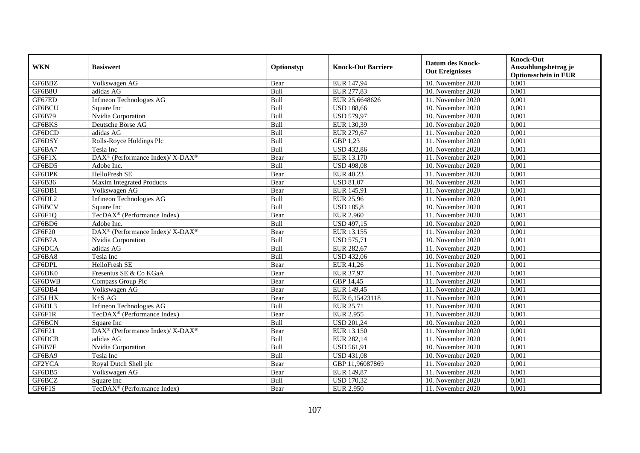| <b>WKN</b>    | <b>Basiswert</b>                                                         | Optionstyp | <b>Knock-Out Barriere</b> | <b>Datum des Knock-</b><br><b>Out Ereignisses</b> | <b>Knock-Out</b><br>Auszahlungsbetrag je<br><b>Optionsschein in EUR</b> |
|---------------|--------------------------------------------------------------------------|------------|---------------------------|---------------------------------------------------|-------------------------------------------------------------------------|
| GF6BBZ        | Volkswagen AG                                                            | Bear       | EUR 147,94                | 10. November 2020                                 | 0,001                                                                   |
| GF6B8U        | adidas AG                                                                | Bull       | EUR 277,83                | 10. November 2020                                 | 0,001                                                                   |
| GF67ED        | Infineon Technologies AG                                                 | Bull       | EUR 25,6648626            | 11. November 2020                                 | 0,001                                                                   |
| GF6BCU        | Square Inc                                                               | Bull       | <b>USD 188,66</b>         | 10. November 2020                                 | 0,001                                                                   |
| GF6B79        | Nvidia Corporation                                                       | Bull       | <b>USD 579,97</b>         | 10. November 2020                                 | 0,001                                                                   |
| GF6BKS        | Deutsche Börse AG                                                        | Bull       | EUR 130,39                | 10. November 2020                                 | 0,001                                                                   |
| GF6DCD        | adidas AG                                                                | Bull       | EUR 279,67                | 11. November 2020                                 | 0,001                                                                   |
| GF6DSY        | Rolls-Royce Holdings Plc                                                 | Bull       | GBP 1,23                  | 11. November 2020                                 | 0,001                                                                   |
| GF6BA7        | Tesla Inc                                                                | Bull       | <b>USD 432,86</b>         | 10. November 2020                                 | 0,001                                                                   |
| GF6F1X        | DAX <sup>®</sup> (Performance Index)/ X-DAX <sup>®</sup>                 | Bear       | EUR 13.170                | 11. November 2020                                 | 0,001                                                                   |
| GF6BD5        | Adobe Inc.                                                               | Bull       | <b>USD 498,08</b>         | 10. November 2020                                 | 0,001                                                                   |
| GF6DPK        | HelloFresh SE                                                            | Bear       | EUR 40,23                 | 11. November 2020                                 | 0,001                                                                   |
| GF6B36        | <b>Maxim Integrated Products</b>                                         | Bear       | <b>USD 81,07</b>          | 10. November 2020                                 | 0,001                                                                   |
| GF6DB1        | Volkswagen AG                                                            | Bear       | EUR 145,91                | 11. November 2020                                 | 0,001                                                                   |
| GF6DL2        | Infineon Technologies AG                                                 | Bull       | <b>EUR 25,96</b>          | 11. November 2020                                 | 0,001                                                                   |
| GF6BCV        | Square Inc                                                               | Bull       | <b>USD 185,8</b>          | 10. November 2020                                 | 0,001                                                                   |
| GF6F1Q        | TecDAX <sup>®</sup> (Performance Index)                                  | Bear       | <b>EUR 2.960</b>          | 11. November 2020                                 | 0,001                                                                   |
| GF6BD6        | Adobe Inc.                                                               | Bull       | <b>USD 497,15</b>         | 10. November 2020                                 | 0,001                                                                   |
| GF6F20        | $\overline{\text{DAX}^{\otimes}}$ (Performance Index)/X-DAX <sup>®</sup> | Bear       | EUR 13.155                | 11. November 2020                                 | 0,001                                                                   |
| GF6B7A        | Nvidia Corporation                                                       | Bull       | <b>USD 575,71</b>         | 10. November 2020                                 | 0,001                                                                   |
| GF6DCA        | adidas AG                                                                | Bull       | EUR 282,67                | 11. November 2020                                 | 0,001                                                                   |
| GF6BA8        | Tesla Inc                                                                | Bull       | <b>USD 432,06</b>         | 10. November 2020                                 | 0,001                                                                   |
| GF6DPL        | HelloFresh SE                                                            | Bear       | EUR 41,26                 | 11. November 2020                                 | 0,001                                                                   |
| GF6DK0        | Fresenius SE & Co KGaA                                                   | Bear       | EUR 37,97                 | 11. November 2020                                 | 0,001                                                                   |
| GF6DWB        | Compass Group Plc                                                        | Bear       | GBP 14,45                 | 11. November $2020$                               | 0,001                                                                   |
| GF6DB4        | Volkswagen AG                                                            | Bear       | EUR 149,45                | 11. November 2020                                 | 0,001                                                                   |
| <b>GF5LHX</b> | $K+SAG$                                                                  | Bear       | EUR 6,15423118            | 11. November 2020                                 | 0,001                                                                   |
| GF6DL3        | Infineon Technologies AG                                                 | Bull       | EUR 25,71                 | 11. November 2020                                 | 0,001                                                                   |
| GF6F1R        | TecDAX <sup>®</sup> (Performance Index)                                  | Bear       | <b>EUR 2.955</b>          | 11. November 2020                                 | 0,001                                                                   |
| GF6BCN        | Square Inc                                                               | Bull       | <b>USD 201,24</b>         | 10. November 2020                                 | 0,001                                                                   |
| GF6F21        | $\text{DAX}^{\circledR}$ (Performance Index)/ X-DAX <sup>®</sup>         | Bear       | EUR 13.150                | 11. November 2020                                 | 0,001                                                                   |
| GF6DCB        | adidas AG                                                                | Bull       | EUR 282,14                | 11. November 2020                                 | 0,001                                                                   |
| GF6B7F        | Nvidia Corporation                                                       | Bull       | <b>USD 561,91</b>         | 10. November 2020                                 | 0,001                                                                   |
| GF6BA9        | Tesla Inc                                                                | Bull       | <b>USD 431,08</b>         | 10. November 2020                                 | 0,001                                                                   |
| GF2YCA        | Royal Dutch Shell plc                                                    | Bear       | GBP 11,96087869           | 11. November 2020                                 | 0,001                                                                   |
| GF6DB5        | Volkswagen AG                                                            | Bear       | EUR 149,87                | 11. November 2020                                 | 0,001                                                                   |
| GF6BCZ        | Square Inc                                                               | Bull       | <b>USD 170,32</b>         | 10. November 2020                                 | 0,001                                                                   |
| GF6F1S        | TecDAX <sup>®</sup> (Performance Index)                                  | Bear       | <b>EUR 2.950</b>          | 11. November 2020                                 | 0,001                                                                   |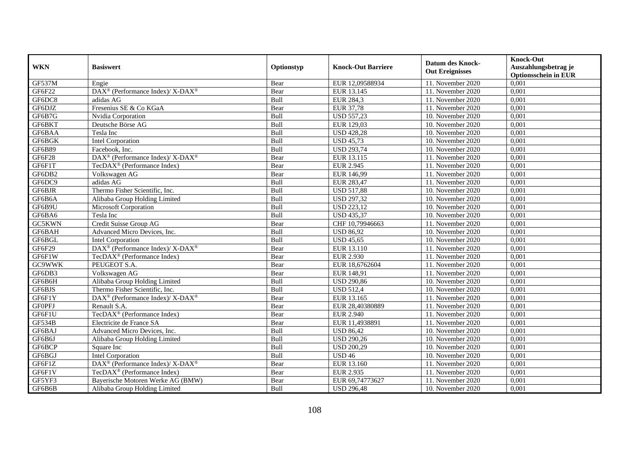| <b>WKN</b>    | <b>Basiswert</b>                                                         | Optionstyp | <b>Knock-Out Barriere</b> | <b>Datum des Knock-</b><br><b>Out Ereignisses</b> | <b>Knock-Out</b><br>Auszahlungsbetrag je<br><b>Optionsschein in EUR</b> |
|---------------|--------------------------------------------------------------------------|------------|---------------------------|---------------------------------------------------|-------------------------------------------------------------------------|
| GF537M        | Engie                                                                    | Bear       | EUR 12,09588934           | 11. November 2020                                 | 0,001                                                                   |
| GF6F22        | DAX <sup>®</sup> (Performance Index)/ X-DAX <sup>®</sup>                 | Bear       | EUR 13.145                | 11. November 2020                                 | 0,001                                                                   |
| GF6DC8        | adidas AG                                                                | Bull       | <b>EUR 284,3</b>          | 11. November 2020                                 | 0,001                                                                   |
| GF6DJZ        | Fresenius SE & Co KGaA                                                   | Bear       | EUR 37,78                 | 11. November 2020                                 | 0,001                                                                   |
| GF6B7G        | Nvidia Corporation                                                       | Bull       | <b>USD 557,23</b>         | 10. November 2020                                 | 0,001                                                                   |
| GF6BKT        | Deutsche Börse AG                                                        | Bull       | EUR 129,03                | 10. November 2020                                 | 0,001                                                                   |
| GF6BAA        | Tesla Inc                                                                | Bull       | <b>USD 428,28</b>         | 10. November 2020                                 | 0,001                                                                   |
| GF6BGK        | Intel Corporation                                                        | Bull       | <b>USD 45,73</b>          | 10. November 2020                                 | 0,001                                                                   |
| GF6B89        | Facebook, Inc.                                                           | Bull       | <b>USD 293,74</b>         | 10. November 2020                                 | 0,001                                                                   |
| GF6F28        | $\overline{\text{DAX}^{\otimes}}$ (Performance Index)/X-DAX <sup>®</sup> | Bear       | EUR 13.115                | 11. November 2020                                 | 0,001                                                                   |
| GF6F1T        | TecDAX <sup>®</sup> (Performance Index)                                  | Bear       | <b>EUR 2.945</b>          | 11. November 2020                                 | 0,001                                                                   |
| GF6DB2        | Volkswagen AG                                                            | Bear       | EUR 146,99                | 11. November 2020                                 | 0,001                                                                   |
| GF6DC9        | adidas AG                                                                | Bull       | EUR 283,47                | 11. November 2020                                 | 0,001                                                                   |
| GF6BJR        | Thermo Fisher Scientific, Inc.                                           | Bull       | <b>USD 517,88</b>         | 10. November 2020                                 | 0,001                                                                   |
| GF6B6A        | Alibaba Group Holding Limited                                            | Bull       | <b>USD 297,32</b>         | 10. November 2020                                 | 0,001                                                                   |
| GF6B9U        | Microsoft Corporation                                                    | Bull       | <b>USD 223,12</b>         | 10. November 2020                                 | 0,001                                                                   |
| GF6BA6        | Tesla Inc                                                                | Bull       | <b>USD 435,37</b>         | 10. November 2020                                 | 0,001                                                                   |
| GC5KWN        | Credit Suisse Group AG                                                   | Bear       | CHF 10.79946663           | 11. November 2020                                 | 0,001                                                                   |
| GF6BAH        | Advanced Micro Devices, Inc.                                             | Bull       | <b>USD 86,92</b>          | 10. November 2020                                 | 0,001                                                                   |
| GF6BGL        | Intel Corporation                                                        | Bull       | <b>USD 45,65</b>          | 10. November 2020                                 | 0,001                                                                   |
| GF6F29        | DAX <sup>®</sup> (Performance Index)/ X-DAX <sup>®</sup>                 | Bear       | EUR 13.110                | 11. November 2020                                 | 0,001                                                                   |
| GF6F1W        | TecDAX <sup>®</sup> (Performance Index)                                  | Bear       | <b>EUR 2.930</b>          | 11. November 2020                                 | 0,001                                                                   |
| GC9WWK        | PEUGEOT S.A.                                                             | Bear       | EUR 18,6762604            | 11. November 2020                                 | 0,001                                                                   |
| GF6DB3        | Volkswagen AG                                                            | Bear       | EUR 148,91                | 11. November 2020                                 | 0,001                                                                   |
| GF6B6H        | Alibaba Group Holding Limited                                            | Bull       | <b>USD 290,86</b>         | 10. November 2020                                 | 0,001                                                                   |
| GF6BJS        | Thermo Fisher Scientific, Inc.                                           | Bull       | <b>USD 512,4</b>          | 10. November 2020                                 | 0,001                                                                   |
| GF6F1Y        | DAX <sup>®</sup> (Performance Index)/ X-DAX <sup>®</sup>                 | Bear       | EUR 13.165                | 11. November 2020                                 | 0,001                                                                   |
| <b>GFOPFJ</b> | Renault S.A.                                                             | Bear       | EUR 28,40380889           | 11. November 2020                                 | 0,001                                                                   |
| GF6F1U        | TecDAX <sup>®</sup> (Performance Index)                                  | Bear       | <b>EUR 2.940</b>          | 11. November 2020                                 | 0,001                                                                   |
| <b>GF534B</b> | Electricite de France SA                                                 | Bear       | EUR 11,4938891            | 11. November 2020                                 | 0,001                                                                   |
| GF6BAJ        | Advanced Micro Devices, Inc.                                             | Bull       | <b>USD 86,42</b>          | 10. November 2020                                 | 0,001                                                                   |
| GF6B6J        | Alibaba Group Holding Limited                                            | Bull       | <b>USD 290,26</b>         | 10. November 2020                                 | 0,001                                                                   |
| GF6BCP        | Square Inc                                                               | Bull       | <b>USD 200,29</b>         | 10. November 2020                                 | 0,001                                                                   |
| GF6BGJ        | Intel Corporation                                                        | Bull       | <b>USD 46</b>             | 10. November 2020                                 | 0,001                                                                   |
| GF6F1Z        | DAX <sup>®</sup> (Performance Index)/ X-DAX <sup>®</sup>                 | Bear       | EUR 13.160                | 11. November 2020                                 | 0,001                                                                   |
| GF6F1V        | TecDAX <sup>®</sup> (Performance Index)                                  | Bear       | <b>EUR 2.935</b>          | 11. November 2020                                 | 0,001                                                                   |
| GF5YF3        | Bayerische Motoren Werke AG (BMW)                                        | Bear       | EUR 69,74773627           | 11. November 2020                                 | 0,001                                                                   |
| GF6B6B        | Alibaba Group Holding Limited                                            | Bull       | <b>USD 296,48</b>         | 10. November 2020                                 | 0,001                                                                   |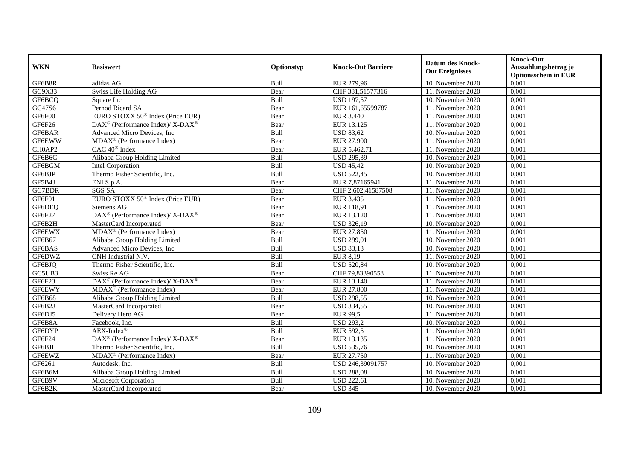| <b>WKN</b>    | <b>Basiswert</b>                                           | Optionstyp | <b>Knock-Out Barriere</b> | <b>Datum des Knock-</b><br><b>Out Ereignisses</b> | <b>Knock-Out</b><br>Auszahlungsbetrag je<br><b>Optionsschein in EUR</b> |
|---------------|------------------------------------------------------------|------------|---------------------------|---------------------------------------------------|-------------------------------------------------------------------------|
| GF6B8R        | adidas AG                                                  | Bull       | EUR 279,96                | 10. November 2020                                 | 0,001                                                                   |
| GC9X33        | Swiss Life Holding AG                                      | Bear       | CHF 381,51577316          | 11. November 2020                                 | 0,001                                                                   |
| GF6BCQ        | Square Inc                                                 | Bull       | <b>USD 197,57</b>         | 10. November 2020                                 | 0,001                                                                   |
| GC47S6        | Pernod Ricard SA                                           | Bear       | EUR 161,65599787          | 11. November 2020                                 | 0,001                                                                   |
| GF6F00        | EURO STOXX 50 <sup>®</sup> Index (Price EUR)               | Bear       | <b>EUR 3.440</b>          | 11. November 2020                                 | 0,001                                                                   |
| GF6F26        | DAX <sup>®</sup> (Performance Index)/ X-DAX <sup>®</sup>   | Bear       | EUR 13.125                | 11. November 2020                                 | 0,001                                                                   |
| GF6BAR        | Advanced Micro Devices, Inc.                               | Bull       | <b>USD 83,62</b>          | 10. November 2020                                 | 0,001                                                                   |
| <b>GF6EWW</b> | MDAX <sup>®</sup> (Performance Index)                      | Bear       | <b>EUR 27.900</b>         | 11. November 2020                                 | 0,001                                                                   |
| CH0AP2        | $CAC 40^{\circledast}$ Index                               | Bear       | EUR 5.462,71              | 11. November 2020                                 | 0,001                                                                   |
| GF6B6C        | Alibaba Group Holding Limited                              | Bull       | <b>USD 295,39</b>         | 10. November 2020                                 | 0,001                                                                   |
| GF6BGM        | Intel Corporation                                          | Bull       | <b>USD 45,42</b>          | 10. November 2020                                 | 0,001                                                                   |
| GF6BJP        | Thermo Fisher Scientific, Inc.                             | Bull       | <b>USD 522,45</b>         | 10. November 2020                                 | 0,001                                                                   |
| GF5B4J        | ENI S.p.A.                                                 | Bear       | EUR 7,87165941            | 11. November 2020                                 | 0,001                                                                   |
| GC7BDR        | <b>SGS SA</b>                                              | Bear       | CHF 2.602,41587508        | 11. November 2020                                 | 0,001                                                                   |
| GF6F01        | EURO STOXX 50 <sup>®</sup> Index (Price EUR)               | Bear       | EUR 3.435                 | 11. November 2020                                 | 0,001                                                                   |
| GF6DEQ        | Siemens AG                                                 | Bear       | EUR 118,91                | 11. November 2020                                 | 0,001                                                                   |
| GF6F27        | DAX <sup>®</sup> (Performance Index)/ X-DAX <sup>®</sup>   | Bear       | EUR 13.120                | 11. November 2020                                 | 0,001                                                                   |
| GF6B2H        | MasterCard Incorporated                                    | Bear       | <b>USD 326.19</b>         | 10. November 2020                                 | 0,001                                                                   |
| <b>GF6EWX</b> | $\overline{\text{MD}}$ AX <sup>®</sup> (Performance Index) | Bear       | EUR 27.850                | 11. November 2020                                 | 0,001                                                                   |
| GF6B67        | Alibaba Group Holding Limited                              | Bull       | <b>USD 299,01</b>         | 10. November 2020                                 | 0,001                                                                   |
| GF6BAS        | Advanced Micro Devices, Inc.                               | Bull       | <b>USD 83,13</b>          | 10. November 2020                                 | 0,001                                                                   |
| GF6DWZ        | CNH Industrial N.V.                                        | Bull       | <b>EUR 8,19</b>           | 11. November 2020                                 | 0,001                                                                   |
| GF6BJQ        | Thermo Fisher Scientific, Inc.                             | Bull       | <b>USD 520,84</b>         | 10. November 2020                                 | 0,001                                                                   |
| GC5UB3        | Swiss Re AG                                                | Bear       | CHF 79,83390558           | 11. November 2020                                 | 0,001                                                                   |
| GF6F23        | DAX <sup>®</sup> (Performance Index)/ X-DAX <sup>®</sup>   | Bear       | EUR 13.140                | 11. November $2020$                               | 0,001                                                                   |
| GF6EWY        | MDAX <sup>®</sup> (Performance Index)                      | Bear       | <b>EUR 27.800</b>         | 11. November 2020                                 | 0,001                                                                   |
| GF6B68        | Alibaba Group Holding Limited                              | Bull       | <b>USD 298,55</b>         | 10. November 2020                                 | 0,001                                                                   |
| GF6B2J        | MasterCard Incorporated                                    | Bear       | <b>USD 334,55</b>         | 10. November 2020                                 | 0,001                                                                   |
| GF6DJ5        | Delivery Hero AG                                           | Bear       | <b>EUR 99,5</b>           | 11. November 2020                                 | 0,001                                                                   |
| GF6B8A        | Facebook. Inc.                                             | Bull       | <b>USD 293,2</b>          | 10. November 2020                                 | 0,001                                                                   |
| GF6DYP        | $AEX-Index^{\circledR}$                                    | Bull       | <b>EUR 592,5</b>          | 11. November 2020                                 | 0,001                                                                   |
| GF6F24        | DAX <sup>®</sup> (Performance Index)/ X-DAX <sup>®</sup>   | Bear       | EUR 13.135                | 11. November 2020                                 | 0,001                                                                   |
| GF6BJL        | Thermo Fisher Scientific, Inc.                             | Bull       | <b>USD 535,76</b>         | 10. November 2020                                 | 0,001                                                                   |
| GF6EWZ        | MDAX <sup>®</sup> (Performance Index)                      | Bear       | EUR 27.750                | 11. November 2020                                 | 0,001                                                                   |
| GF6261        | Autodesk, Inc.                                             | Bull       | USD 246,39091757          | 10. November 2020                                 | 0,001                                                                   |
| GF6B6M        | Alibaba Group Holding Limited                              | Bull       | <b>USD 288,08</b>         | 10. November 2020                                 | 0,001                                                                   |
| GF6B9V        | Microsoft Corporation                                      | Bull       | <b>USD 222,61</b>         | 10. November 2020                                 | 0,001                                                                   |
| GF6B2K        | MasterCard Incorporated                                    | Bear       | <b>USD 345</b>            | 10. November 2020                                 | 0,001                                                                   |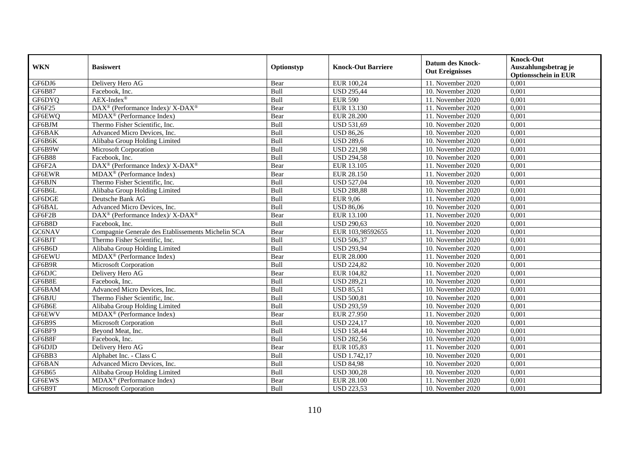| <b>WKN</b>    | <b>Basiswert</b>                                          | Optionstyp  | <b>Knock-Out Barriere</b> | <b>Datum des Knock-</b><br><b>Out Ereignisses</b> | <b>Knock-Out</b><br>Auszahlungsbetrag je<br><b>Optionsschein in EUR</b> |
|---------------|-----------------------------------------------------------|-------------|---------------------------|---------------------------------------------------|-------------------------------------------------------------------------|
| GF6DJ6        | Delivery Hero AG                                          | Bear        | EUR 100,24                | 11. November 2020                                 | 0,001                                                                   |
| GF6B87        | Facebook. Inc.                                            | Bull        | <b>USD 295,44</b>         | 10. November 2020                                 | 0,001                                                                   |
| GF6DYQ        | $AEX-Index^{\circledR}$                                   | Bull        | <b>EUR 590</b>            | 11. November 2020                                 | 0,001                                                                   |
| GF6F25        | DAX <sup>®</sup> (Performance Index)/ X-DAX <sup>®</sup>  | Bear        | EUR 13.130                | 11. November 2020                                 | 0,001                                                                   |
| GF6EWQ        | MDAX <sup>®</sup> (Performance Index)                     | Bear        | <b>EUR 28.200</b>         | 11. November 2020                                 | 0,001                                                                   |
| GF6BJM        | Thermo Fisher Scientific, Inc.                            | Bull        | <b>USD 531,69</b>         | 10. November 2020                                 | 0,001                                                                   |
| GF6BAK        | Advanced Micro Devices, Inc.                              | Bull        | <b>USD 86,26</b>          | 10. November 2020                                 | 0,001                                                                   |
| GF6B6K        | Alibaba Group Holding Limited                             | Bull        | <b>USD 289,6</b>          | 10. November 2020                                 | 0,001                                                                   |
| GF6B9W        | Microsoft Corporation                                     | Bull        | <b>USD 221,98</b>         | 10. November 2020                                 | 0,001                                                                   |
| <b>GF6B88</b> | Facebook. Inc.                                            | Bull        | <b>USD 294,58</b>         | 10. November 2020                                 | 0,001                                                                   |
| GF6F2A        | DAX <sup>®</sup> (Performance Index)/X-DAX <sup>®</sup>   | Bear        | EUR 13.105                | 11. November 2020                                 | 0,001                                                                   |
| GF6EWR        | MDAX <sup>®</sup> (Performance Index)                     | Bear        | EUR 28.150                | 11. November 2020                                 | 0,001                                                                   |
| GF6BJN        | Thermo Fisher Scientific, Inc.                            | Bull        | <b>USD 527,04</b>         | 10. November 2020                                 | 0,001                                                                   |
| GF6B6L        | Alibaba Group Holding Limited                             | Bull        | <b>USD 288,88</b>         | 10. November 2020                                 | 0,001                                                                   |
| GF6DGE        | Deutsche Bank AG                                          | Bull        | <b>EUR 9,06</b>           | 11. November 2020                                 | 0,001                                                                   |
| GF6BAL        | Advanced Micro Devices, Inc.                              | Bull        | <b>USD 86,06</b>          | 10. November 2020                                 | 0,001                                                                   |
| GF6F2B        | DAX <sup>®</sup> (Performance Index)/ X-DAX <sup>®</sup>  | Bear        | EUR 13.100                | 11. November 2020                                 | 0,001                                                                   |
| GF6B8D        | Facebook, Inc.                                            | <b>Bull</b> | <b>USD 290.63</b>         | 10. November 2020                                 | 0,001                                                                   |
| GC6NAV        | Compagnie Generale des Etablissements Michelin SCA        | Bear        | EUR 103,98592655          | 11. November 2020                                 | 0,001                                                                   |
| GF6BJT        | Thermo Fisher Scientific, Inc.                            | Bull        | <b>USD 506,37</b>         | 10. November 2020                                 | 0,001                                                                   |
| GF6B6D        | Alibaba Group Holding Limited                             | Bull        | <b>USD 293,94</b>         | 10. November 2020                                 | 0,001                                                                   |
| <b>GF6EWU</b> | MDAX <sup>®</sup> (Performance Index)                     | Bear        | <b>EUR 28.000</b>         | 11. November 2020                                 | 0,001                                                                   |
| GF6B9R        | Microsoft Corporation                                     | Bull        | <b>USD 224,82</b>         | 10. November 2020                                 | 0,001                                                                   |
| GF6DJC        | Delivery Hero AG                                          | Bear        | EUR 104,82                | 11. November 2020                                 | 0,001                                                                   |
| GF6B8E        | Facebook. Inc.                                            | Bull        | <b>USD 289,21</b>         | 10. November $2020$                               | 0,001                                                                   |
| GF6BAM        | Advanced Micro Devices, Inc.                              | Bull        | <b>USD 85,51</b>          | 10. November 2020                                 | 0,001                                                                   |
| GF6BJU        | Thermo Fisher Scientific, Inc.                            | Bull        | <b>USD 500,81</b>         | 10. November 2020                                 | 0,001                                                                   |
| GF6B6E        | Alibaba Group Holding Limited                             | Bull        | <b>USD 293,59</b>         | 10. November 2020                                 | 0,001                                                                   |
| GF6EWV        | $\overline{\text{MDAX}^{\circledast}$ (Performance Index) | Bear        | EUR 27.950                | 11. November 2020                                 | 0,001                                                                   |
| GF6B9S        | Microsoft Corporation                                     | Bull        | <b>USD 224,17</b>         | 10. November 2020                                 | 0,001                                                                   |
| GF6BF9        | Beyond Meat, Inc.                                         | Bull        | <b>USD 158,44</b>         | 10. November 2020                                 | 0,001                                                                   |
| GF6B8F        | Facebook, Inc.                                            | Bull        | <b>USD 282,56</b>         | 10. November 2020                                 | 0,001                                                                   |
| GF6DJD        | Delivery Hero AG                                          | Bear        | EUR 105,83                | 11. November 2020                                 | 0,001                                                                   |
| GF6BB3        | Alphabet Inc. - Class C                                   | Bull        | <b>USD 1.742,17</b>       | 10. November 2020                                 | 0,001                                                                   |
| GF6BAN        | Advanced Micro Devices, Inc.                              | Bull        | <b>USD 84,98</b>          | 10. November 2020                                 | 0,001                                                                   |
| GF6B65        | Alibaba Group Holding Limited                             | Bull        | <b>USD 300,28</b>         | 10. November 2020                                 | 0,001                                                                   |
| GF6EWS        | MDAX <sup>®</sup> (Performance Index)                     | Bear        | <b>EUR 28.100</b>         | 11. November 2020                                 | 0,001                                                                   |
| GF6B9T        | Microsoft Corporation                                     | Bull        | <b>USD 223,53</b>         | 10. November 2020                                 | 0,001                                                                   |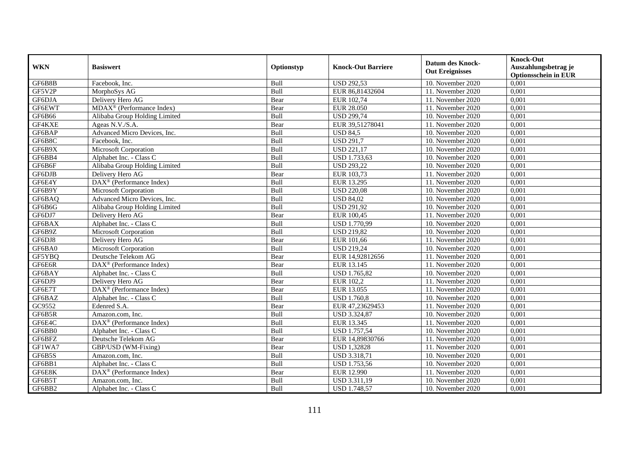| <b>WKN</b> | <b>Basiswert</b>                      | Optionstyp  | <b>Knock-Out Barriere</b> | <b>Datum des Knock-</b><br><b>Out Ereignisses</b> | <b>Knock-Out</b><br>Auszahlungsbetrag je<br><b>Optionsschein in EUR</b> |
|------------|---------------------------------------|-------------|---------------------------|---------------------------------------------------|-------------------------------------------------------------------------|
| GF6B8B     | Facebook. Inc.                        | Bull        | <b>USD 292,53</b>         | 10. November 2020                                 | 0,001                                                                   |
| GF5V2P     | MorphoSys AG                          | Bull        | EUR 86,81432604           | 11. November 2020                                 | 0,001                                                                   |
| GF6DJA     | Delivery Hero AG                      | Bear        | EUR 102,74                | 11. November 2020                                 | 0,001                                                                   |
| GF6EWT     | MDAX <sup>®</sup> (Performance Index) | Bear        | <b>EUR 28.050</b>         | 11. November 2020                                 | 0,001                                                                   |
| GF6B66     | Alibaba Group Holding Limited         | Bull        | <b>USD 299,74</b>         | 10. November 2020                                 | 0,001                                                                   |
| GF4KXE     | Ageas N.V./S.A.                       | Bear        | EUR 39,51278041           | 11. November 2020                                 | 0,001                                                                   |
| GF6BAP     | Advanced Micro Devices, Inc.          | Bull        | $\overline{$ USD 84,5     | 10. November 2020                                 | 0,001                                                                   |
| GF6B8C     | Facebook, Inc.                        | Bull        | <b>USD 291,7</b>          | 10. November 2020                                 | 0,001                                                                   |
| GF6B9X     | <b>Microsoft Corporation</b>          | Bull        | <b>USD 221,17</b>         | 10. November 2020                                 | 0,001                                                                   |
| GF6BB4     | Alphabet Inc. - Class C               | Bull        | USD 1.733,63              | 10. November 2020                                 | 0,001                                                                   |
| GF6B6F     | Alibaba Group Holding Limited         | Bull        | <b>USD 293,22</b>         | 10. November 2020                                 | 0,001                                                                   |
| GF6DJB     | Delivery Hero AG                      | Bear        | EUR 103,73                | 11. November 2020                                 | 0,001                                                                   |
| GF6E4Y     | DAX <sup>®</sup> (Performance Index)  | Bull        | EUR 13.295                | 11. November 2020                                 | 0,001                                                                   |
| GF6B9Y     | Microsoft Corporation                 | Bull        | <b>USD 220,08</b>         | 10. November 2020                                 | 0,001                                                                   |
| GF6BAQ     | Advanced Micro Devices, Inc.          | Bull        | <b>USD 84,02</b>          | 10. November 2020                                 | 0,001                                                                   |
| GF6B6G     | Alibaba Group Holding Limited         | Bull        | <b>USD 291,92</b>         | 10. November 2020                                 | 0,001                                                                   |
| GF6DJ7     | Delivery Hero AG                      | Bear        | EUR 100,45                | 11. November 2020                                 | 0,001                                                                   |
| GF6BAX     | Alphabet Inc. - Class C               | <b>Bull</b> | <b>USD 1.770.99</b>       | 10. November 2020                                 | 0,001                                                                   |
| GF6B9Z     | <b>Microsoft Corporation</b>          | Bull        | <b>USD 219,82</b>         | 10. November 2020                                 | 0,001                                                                   |
| GF6DJ8     | Delivery Hero AG                      | Bear        | EUR 101,66                | 11. November 2020                                 | 0,001                                                                   |
| GF6BA0     | Microsoft Corporation                 | Bull        | <b>USD 219,24</b>         | 10. November 2020                                 | 0,001                                                                   |
| GF5YBQ     | Deutsche Telekom AG                   | Bear        | EUR 14,92812656           | 11. November 2020                                 | 0,001                                                                   |
| GF6E6R     | DAX <sup>®</sup> (Performance Index)  | Bear        | EUR 13.145                | 11. November 2020                                 | 0,001                                                                   |
| GF6BAY     | Alphabet Inc. - Class C               | Bull        | <b>USD 1.765,82</b>       | 10. November 2020                                 | 0,001                                                                   |
| GF6DJ9     | Delivery Hero AG                      | Bear        | EUR 102,2                 | 11. November $2020$                               | 0,001                                                                   |
| GF6E7T     | DAX <sup>®</sup> (Performance Index)  | Bear        | EUR 13.055                | 11. November 2020                                 | 0,001                                                                   |
| GF6BAZ     | Alphabet Inc. - Class C               | Bull        | <b>USD 1.760,8</b>        | 10. November 2020                                 | 0,001                                                                   |
| GC9552     | Edenred S.A.                          | Bear        | EUR 47,23629453           | 11. November 2020                                 | 0,001                                                                   |
| GF6B5R     | Amazon.com, Inc.                      | Bull        | <b>USD 3.324,87</b>       | 10. November 2020                                 | 0,001                                                                   |
| GF6E4C     | DAX <sup>®</sup> (Performance Index)  | Bull        | EUR 13.345                | 11. November 2020                                 | 0,001                                                                   |
| GF6BB0     | Alphabet Inc. - Class C               | Bull        | <b>USD 1.757,54</b>       | 10. November 2020                                 | 0,001                                                                   |
| GF6BFZ     | Deutsche Telekom AG                   | Bear        | EUR 14,89830766           | 11. November 2020                                 | 0,001                                                                   |
| GF1WA7     | GBP/USD (WM-Fixing)                   | Bear        | <b>USD 1,32828</b>        | 11. November 2020                                 | 0,001                                                                   |
| GF6B5S     | Amazon.com, Inc.                      | Bull        | USD 3.318,71              | 10. November 2020                                 | 0,001                                                                   |
| GF6BB1     | Alphabet Inc. - Class C               | Bull        | <b>USD 1.753,56</b>       | 10. November 2020                                 | 0,001                                                                   |
| GF6E8K     | DAX <sup>®</sup> (Performance Index)  | Bear        | EUR 12.990                | 11. November 2020                                 | 0,001                                                                   |
| GF6B5T     | Amazon.com, Inc.                      | Bull        | USD 3.311,19              | 10. November 2020                                 | 0,001                                                                   |
| GF6BB2     | Alphabet Inc. - Class C               | Bull        | <b>USD 1.748,57</b>       | 10. November 2020                                 | 0,001                                                                   |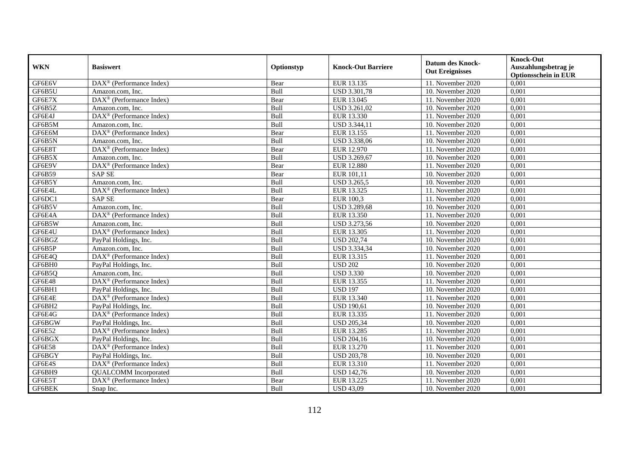| <b>WKN</b> | <b>Basiswert</b>                                      | Optionstyp  | <b>Knock-Out Barriere</b> | <b>Datum des Knock-</b><br><b>Out Ereignisses</b> | <b>Knock-Out</b><br>Auszahlungsbetrag je<br><b>Optionsschein in EUR</b> |
|------------|-------------------------------------------------------|-------------|---------------------------|---------------------------------------------------|-------------------------------------------------------------------------|
| GF6E6V     | $DAX^{\otimes}$ (Performance Index)                   | Bear        | EUR 13.135                | 11. November 2020                                 | 0,001                                                                   |
| GF6B5U     | Amazon.com. Inc.                                      | Bull        | <b>USD 3.301,78</b>       | 10. November 2020                                 | 0,001                                                                   |
| GF6E7X     | $\overline{\text{DAX}^{\otimes}}$ (Performance Index) | Bear        | EUR 13.045                | 11. November 2020                                 | 0,001                                                                   |
| GF6B5Z     | Amazon.com, Inc.                                      | Bull        | USD 3.261,02              | 10. November 2020                                 | 0,001                                                                   |
| GF6E4J     | DAX <sup>®</sup> (Performance Index)                  | Bull        | EUR 13.330                | 11. November 2020                                 | 0,001                                                                   |
| GF6B5M     | Amazon.com, Inc.                                      | Bull        | USD 3.344,11              | 10. November 2020                                 | 0,001                                                                   |
| GF6E6M     | $\overline{\text{DAX}^{\otimes}}$ (Performance Index) | Bear        | EUR 13.155                | 11. November 2020                                 | 0,001                                                                   |
| GF6B5N     | Amazon.com. Inc.                                      | Bull        | USD 3.338,06              | 10. November 2020                                 | 0,001                                                                   |
| GF6E8T     | $DAX^{\otimes}$ (Performance Index)                   | Bear        | EUR 12.970                | 11. November 2020                                 | 0,001                                                                   |
| GF6B5X     | Amazon.com, Inc.                                      | Bull        | USD 3.269,67              | 10. November 2020                                 | 0,001                                                                   |
| GF6E9V     | DAX <sup>®</sup> (Performance Index)                  | Bear        | <b>EUR 12.880</b>         | 11. November 2020                                 | 0,001                                                                   |
| GF6B59     | <b>SAPSE</b>                                          | Bear        | EUR 101,11                | 10. November 2020                                 | 0,001                                                                   |
| GF6B5Y     | Amazon.com, Inc.                                      | Bull        | <b>USD 3.265,5</b>        | 10. November 2020                                 | 0,001                                                                   |
| GF6E4L     | DAX <sup>®</sup> (Performance Index)                  | Bull        | EUR 13.325                | 11. November 2020                                 | 0,001                                                                   |
| GF6DC1     | <b>SAPSE</b>                                          | Bear        | EUR 100,3                 | 11. November 2020                                 | 0,001                                                                   |
| GF6B5V     | Amazon.com, Inc.                                      | Bull        | <b>USD 3.289,68</b>       | 10. November 2020                                 | 0,001                                                                   |
| GF6E4A     | $\overline{\text{DAX}^{\otimes}}$ (Performance Index) | Bull        | EUR 13.350                | 11. November 2020                                 | 0,001                                                                   |
| GF6B5W     | Amazon.com. Inc.                                      | <b>Bull</b> | USD 3.273.56              | 10. November 2020                                 | 0,001                                                                   |
| GF6E4U     | DAX <sup>®</sup> (Performance Index)                  | Bull        | EUR 13.305                | 11. November 2020                                 | 0,001                                                                   |
| GF6BGZ     | PayPal Holdings, Inc.                                 | Bull        | <b>USD 202,74</b>         | 10. November 2020                                 | 0,001                                                                   |
| GF6B5P     | Amazon.com, Inc.                                      | Bull        | USD 3.334,34              | 10. November 2020                                 | 0,001                                                                   |
| GF6E4Q     | DAX <sup>®</sup> (Performance Index)                  | Bull        | EUR 13.315                | 11. November 2020                                 | 0,001                                                                   |
| GF6BH0     | PayPal Holdings, Inc.                                 | Bull        | <b>USD 202</b>            | 10. November 2020                                 | 0,001                                                                   |
| GF6B5Q     | Amazon.com, Inc.                                      | Bull        | <b>USD 3.330</b>          | 10. November 2020                                 | 0,001                                                                   |
| GF6E48     | $DAX^{\otimes}$ (Performance Index)                   | Bull        | EUR 13.355                | 11. November $2020$                               | 0,001                                                                   |
| GF6BH1     | PayPal Holdings, Inc.                                 | Bull        | <b>USD 197</b>            | 10. November 2020                                 | 0,001                                                                   |
| GF6E4E     | DAX <sup>®</sup> (Performance Index)                  | Bull        | EUR 13.340                | 11. November $2020$                               | 0,001                                                                   |
| GF6BH2     | PayPal Holdings, Inc.                                 | Bull        | <b>USD 190,61</b>         | 10. November 2020                                 | 0,001                                                                   |
| GF6E4G     | DAX <sup>®</sup> (Performance Index)                  | <b>Bull</b> | EUR 13.335                | 11. November 2020                                 | 0,001                                                                   |
| GF6BGW     | PayPal Holdings, Inc.                                 | Bull        | <b>USD 205,34</b>         | 10. November 2020                                 | 0,001                                                                   |
| GF6E52     | DAX <sup>®</sup> (Performance Index)                  | Bull        | EUR 13.285                | 11. November 2020                                 | 0,001                                                                   |
| GF6BGX     | PayPal Holdings, Inc.                                 | Bull        | <b>USD 204,16</b>         | 10. November 2020                                 | 0,001                                                                   |
| GF6E58     | DAX <sup>®</sup> (Performance Index)                  | Bull        | EUR 13.270                | 11. November 2020                                 | 0,001                                                                   |
| GF6BGY     | PayPal Holdings, Inc.                                 | Bull        | <b>USD 203,78</b>         | 10. November 2020                                 | 0,001                                                                   |
| GF6E4S     | $\text{DAX}^{\otimes}$ (Performance Index)            | Bull        | EUR 13.310                | 11. November 2020                                 | 0,001                                                                   |
| GF6BH9     | <b>QUALCOMM</b> Incorporated                          | Bull        | <b>USD 142,76</b>         | 10. November 2020                                 | 0,001                                                                   |
| GF6E5T     | $DAX^{\circledast}$ (Performance Index)               | Bear        | EUR 13.225                | 11. November 2020                                 | 0,001                                                                   |
| GF6BEK     | Snap Inc.                                             | Bull        | <b>USD 43,09</b>          | 10. November 2020                                 | 0,001                                                                   |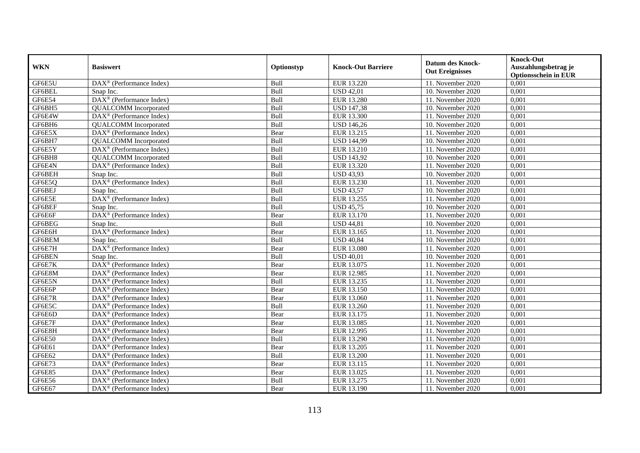|               | <b>Basiswert</b>                                                | Optionstyp | <b>Knock-Out Barriere</b> | <b>Datum des Knock-</b><br><b>Out Ereignisses</b> | <b>Knock-Out</b>            |
|---------------|-----------------------------------------------------------------|------------|---------------------------|---------------------------------------------------|-----------------------------|
| <b>WKN</b>    |                                                                 |            |                           |                                                   | Auszahlungsbetrag je        |
|               |                                                                 |            |                           |                                                   | <b>Optionsschein in EUR</b> |
| GF6E5U        | DAX <sup>®</sup> (Performance Index)                            | Bull       | EUR 13.220                | 11. November 2020                                 | 0,001                       |
| GF6BEL        | Snap Inc.                                                       | Bull       | <b>USD 42,01</b>          | 10. November 2020                                 | 0,001                       |
| GF6E54        | $DAX^{\otimes}$ (Performance Index)                             | Bull       | <b>EUR 13.280</b>         | 11. November 2020                                 | 0,001                       |
| GF6BH5        | <b>QUALCOMM</b> Incorporated                                    | Bull       | <b>USD 147,38</b>         | 10. November 2020                                 | 0,001                       |
| GF6E4W        | DAX <sup>®</sup> (Performance Index)                            | Bull       | <b>EUR 13.300</b>         | 11. November 2020                                 | 0,001                       |
| GF6BH6        | <b>QUALCOMM</b> Incorporated                                    | Bull       | <b>USD 146,26</b>         | 10. November 2020                                 | 0,001                       |
| GF6E5X        | $\overline{\text{DAX}^{\otimes}}$ (Performance Index)           | Bear       | EUR 13.215                | 11. November 2020                                 | 0,001                       |
| GF6BH7        | <b>QUALCOMM</b> Incorporated                                    | Bull       | <b>USD 144,99</b>         | 10. November 2020                                 | 0,001                       |
| GF6E5Y        | $\text{DAX}^{\otimes}$ (Performance Index)                      | Bull       | EUR 13.210                | 11. November 2020                                 | 0,001                       |
| GF6BH8        | <b>QUALCOMM</b> Incorporated                                    | Bull       | <b>USD 143,92</b>         | 10. November 2020                                 | 0,001                       |
| GF6E4N        | $\text{DAX}^{\otimes}$ (Performance Index)                      | Bull       | EUR 13.320                | 11. November 2020                                 | 0,001                       |
| GF6BEH        | Snap Inc.                                                       | Bull       | <b>USD 43,93</b>          | 10. November 2020                                 | 0,001                       |
| GF6E5Q        | DAX <sup>®</sup> (Performance Index)                            | Bull       | EUR 13.230                | 11. November 2020                                 | 0,001                       |
| GF6BEJ        | Snap Inc.                                                       | Bull       | <b>USD 43,57</b>          | 10. November 2020                                 | 0,001                       |
| GF6E5E        | DAX <sup>®</sup> (Performance Index)                            | Bull       | EUR 13.255                | 11. November 2020                                 | 0,001                       |
| GF6BEF        | Snap Inc.                                                       | Bull       | <b>USD 45,75</b>          | 10. November 2020                                 | 0,001                       |
| GF6E6F        | DAX <sup>®</sup> (Performance Index)                            | Bear       | EUR 13.170                | 11. November 2020                                 | 0,001                       |
| GF6BEG        | Snap Inc.                                                       | Bull       | $\overline{USD}$ 44,81    | 10. November 2020                                 | 0,001                       |
| GF6E6H        | DAX <sup>®</sup> (Performance Index)                            | Bear       | EUR 13.165                | 11. November 2020                                 | 0,001                       |
| GF6BEM        | Snap Inc.                                                       | Bull       | <b>USD 40,84</b>          | 10. November 2020                                 | 0,001                       |
| GF6E7H        | DAX <sup>®</sup> (Performance Index)                            | Bear       | <b>EUR 13.080</b>         | $\overline{11}$ . November 2020                   | 0,001                       |
| <b>GF6BEN</b> | Snap Inc.                                                       | Bull       | <b>USD 40,01</b>          | 10. November 2020                                 | 0,001                       |
| GF6E7K        | DAX <sup>®</sup> (Performance Index)                            | Bear       | EUR 13.075                | 11. November 2020                                 | 0,001                       |
| GF6E8M        | $\text{DAX}^{\otimes}$ (Performance Index)                      | Bear       | EUR 12.985                | 11. November 2020                                 | 0,001                       |
| GF6E5N        | $\overline{\text{DAX}}^{\textcirc}$ (Performance Index)         | Bull       | EUR 13.235                | 11. November 2020                                 | 0,001                       |
| GF6E6P        | DAX <sup>®</sup> (Performance Index)                            | Bear       | EUR 13.150                | 11. November 2020                                 | 0,001                       |
| GF6E7R        | DAX <sup>®</sup> (Performance Index)                            | Bear       | <b>EUR 13.060</b>         | 11. November 2020                                 | 0,001                       |
| GF6E5C        | $\overline{\text{DAX}^{\otimes}}$ (Performance Index)           | Bull       | EUR 13.260                | 11. November 2020                                 | 0,001                       |
| GF6E6D        | $\overline{\text{DAX}^{\otimes}}$ (Performance Index)           | Bear       | EUR 13.175                | 11. November 2020                                 | 0,001                       |
| GF6E7F        | $\text{DAX}^{\otimes}$ (Performance Index)                      | Bear       | EUR 13.085                | 11. November 2020                                 | 0,001                       |
| GF6E8H        | $\text{DAX}^{\otimes}$ (Performance Index)                      | Bear       | EUR 12.995                | 11. November 2020                                 | 0,001                       |
| GF6E50        | $DAX^{\circledR}$ (Performance Index)                           | Bull       | EUR 13.290                | 11. November 2020                                 | 0,001                       |
| GF6E61        | $\overline{\text{DAX}^{\otimes}}$ (Performance Index)           | Bear       | EUR 13.205                | 11. November 2020                                 | 0,001                       |
| GF6E62        | $\overline{\text{DAX}^{\circledast}(\text{Performance Index})}$ | Bull       | <b>EUR 13.200</b>         | 11. November 2020                                 | 0,001                       |
| GF6E73        | DAX <sup>®</sup> (Performance Index)                            | Bear       | EUR 13.115                | 11. November 2020                                 | 0,001                       |
| <b>GF6E85</b> | $DAX^{\otimes}$ (Performance Index)                             | Bear       | EUR 13.025                | 11. November 2020                                 | 0,001                       |
| GF6E56        | $\text{DAX}^{\otimes}$ (Performance Index)                      | Bull       | EUR 13.275                | 11. November 2020                                 | 0,001                       |
| GF6E67        | $\overline{\text{DAX}^{\otimes}(\text{Performance Index})}$     | Bear       | EUR 13.190                | 11. November 2020                                 | 0,001                       |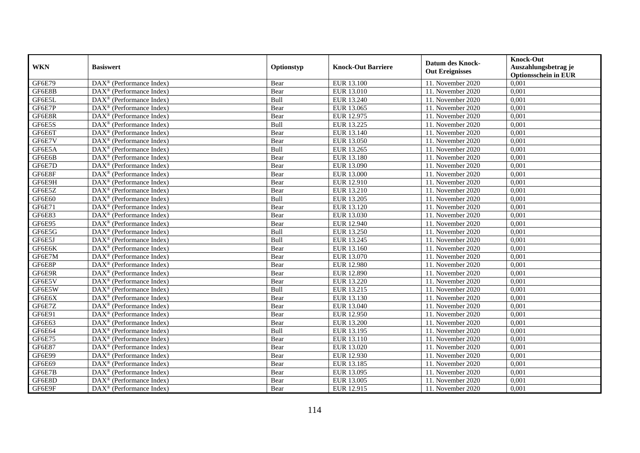|            | <b>Basiswert</b>                                                | Optionstyp | <b>Knock-Out Barriere</b> | <b>Datum des Knock-</b><br><b>Out Ereignisses</b> | <b>Knock-Out</b>            |
|------------|-----------------------------------------------------------------|------------|---------------------------|---------------------------------------------------|-----------------------------|
| <b>WKN</b> |                                                                 |            |                           |                                                   | Auszahlungsbetrag je        |
|            |                                                                 |            |                           |                                                   | <b>Optionsschein in EUR</b> |
| GF6E79     | DAX <sup>®</sup> (Performance Index)                            | Bear       | EUR 13.100                | 11. November 2020                                 | 0,001                       |
| GF6E8B     | $\overline{\text{DAX}^{\otimes}}$ (Performance Index)           | Bear       | EUR 13.010                | 11. November 2020                                 | 0,001                       |
| GF6E5L     | $\text{DAX}^{\circledR}$ (Performance Index)                    | Bull       | EUR 13.240                | 11. November 2020                                 | 0,001                       |
| GF6E7P     | $\text{DAX}^{\otimes}$ (Performance Index)                      | Bear       | EUR 13.065                | 11. November 2020                                 | 0,001                       |
| GF6E8R     | $\overline{\text{DAX}}^{\textcirc}$ (Performance Index)         | Bear       | EUR 12.975                | 11. November 2020                                 | 0,001                       |
| GF6E5S     | $\text{DAX}^{\textcircled{}}$ (Performance Index)               | Bull       | EUR 13.225                | 11. November 2020                                 | 0,001                       |
| GF6E6T     | $\overline{\text{DAX}^{\otimes}}$ (Performance Index)           | Bear       | EUR 13.140                | 11. November 2020                                 | 0,001                       |
| GF6E7V     | $\overline{\text{DAX}^{\otimes}}$ (Performance Index)           | Bear       | EUR 13.050                | 11. November 2020                                 | 0,001                       |
| GF6E5A     | $\text{DAX}^{\otimes}$ (Performance Index)                      | Bull       | EUR 13.265                | 11. November 2020                                 | 0,001                       |
| GF6E6B     | $\text{DAX}^{\circledast}$ (Performance Index)                  | Bear       | EUR 13.180                | 11. November 2020                                 | 0,001                       |
| GF6E7D     | DAX <sup>®</sup> (Performance Index)                            | Bear       | EUR 13.090                | 11. November 2020                                 | 0,001                       |
| GF6E8F     | DAX <sup>®</sup> (Performance Index)                            | Bear       | <b>EUR 13.000</b>         | 11. November 2020                                 | 0,001                       |
| GF6E9H     | DAX <sup>®</sup> (Performance Index)                            | Bear       | EUR 12.910                | 11. November 2020                                 | 0,001                       |
| GF6E5Z     | $DAX^{\otimes}$ (Performance Index)                             | Bear       | EUR 13.210                | 11. November 2020                                 | 0,001                       |
| GF6E60     | $\text{DAX}^{\otimes}$ (Performance Index)                      | Bull       | EUR 13.205                | 11. November 2020                                 | 0,001                       |
| GF6E71     | DAX <sup>®</sup> (Performance Index)                            | Bear       | EUR 13.120                | 11. November 2020                                 | 0,001                       |
| GF6E83     | DAX <sup>®</sup> (Performance Index)                            | Bear       | EUR 13.030                | 11. November 2020                                 | 0,001                       |
| GF6E95     | $\text{DAX}^{\circledR}$ (Performance Index)                    | Bear       | EUR 12.940                | 11. November 2020                                 | 0,001                       |
| GF6E5G     | $DAX^{\otimes}$ (Performance Index)                             | Bull       | EUR 13.250                | 11. November 2020                                 | 0,001                       |
| GF6E5J     | DAX <sup>®</sup> (Performance Index)                            | Bull       | EUR 13.245                | 11. November 2020                                 | 0,001                       |
| GF6E6K     | $\overline{\text{DAX}}^{\textcirc}$ (Performance Index)         | Bear       | EUR 13.160                | 11. November 2020                                 | 0,001                       |
| GF6E7M     | $\overline{\text{DAX}^{\otimes}}$ (Performance Index)           | Bear       | EUR 13.070                | 11. November 2020                                 | 0,001                       |
| GF6E8P     | $\text{DAX}^{\otimes}$ (Performance Index)                      | Bear       | EUR 12.980                | 11. November 2020                                 | 0,001                       |
| GF6E9R     | $\text{DAX}^{\otimes}$ (Performance Index)                      | Bear       | <b>EUR 12.890</b>         | 11. November 2020                                 | 0,001                       |
| GF6E5V     | DAX <sup>®</sup> (Performance Index)                            | Bear       | EUR 13.220                | 11. November 2020                                 | 0,001                       |
| GF6E5W     | DAX <sup>®</sup> (Performance Index)                            | Bull       | EUR 13.215                | 11. November 2020                                 | 0,001                       |
| GF6E6X     | DAX <sup>®</sup> (Performance Index)                            | Bear       | EUR 13.130                | 11. November 2020                                 | 0,001                       |
| GF6E7Z     | $\overline{\text{DAX}^{\otimes}}$ (Performance Index)           | Bear       | EUR 13.040                | 11. November 2020                                 | 0,001                       |
| GF6E91     | $\overline{\text{DAX}^{\otimes}}$ (Performance Index)           | Bear       | EUR 12.950                | 11. November 2020                                 | 0,001                       |
| GF6E63     | DAX <sup>®</sup> (Performance Index)                            | Bear       | EUR 13.200                | 11. November 2020                                 | 0,001                       |
| GF6E64     | $\text{DAX}^{\otimes}$ (Performance Index)                      | Bull       | EUR 13.195                | 11. November 2020                                 | 0,001                       |
| GF6E75     | $DAX^{\circledR}$ (Performance Index)                           | Bear       | EUR 13.110                | 11. November 2020                                 | 0,001                       |
| GF6E87     | $\overline{\text{DAX}^{\otimes}}$ (Performance Index)           | Bear       | EUR 13.020                | 11. November 2020                                 | 0,001                       |
| GF6E99     | $\overline{\text{DAX}^{\circledast}(\text{Performance Index})}$ | Bear       | EUR 12.930                | 11. November 2020                                 | 0,001                       |
| GF6E69     | $\overline{\text{DAX}^{\otimes}}$ (Performance Index)           | Bear       | EUR 13.185                | 11. November 2020                                 | 0,001                       |
| GF6E7B     | $\text{DAX}^{\circledR}$ (Performance Index)                    | Bear       | EUR 13.095                | 11. November 2020                                 | 0,001                       |
| GF6E8D     | $\text{DAX}^{\circledast}$ (Performance Index)                  | Bear       | EUR 13.005                | 11. November 2020                                 | 0,001                       |
| GF6E9F     | $\overline{\text{DAX}^{\otimes}(\text{Performance Index})}$     | Bear       | EUR 12.915                | 11. November 2020                                 | 0,001                       |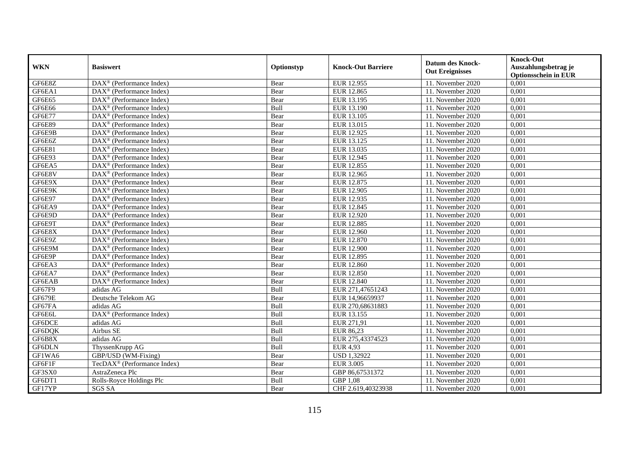|            |                                                         |             |                           | <b>Datum des Knock-</b> | <b>Knock-Out</b>                     |
|------------|---------------------------------------------------------|-------------|---------------------------|-------------------------|--------------------------------------|
| <b>WKN</b> | <b>Basiswert</b>                                        | Optionstyp  | <b>Knock-Out Barriere</b> | <b>Out Ereignisses</b>  | Auszahlungsbetrag je                 |
| GF6E8Z     | $\overline{\text{DAX}}^{\textcirc}$ (Performance Index) |             |                           |                         | <b>Optionsschein in EUR</b><br>0,001 |
|            |                                                         | Bear        | EUR 12.955                | 11. November 2020       |                                      |
| GF6EA1     | $\overline{\text{DAX}^{\otimes}}$ (Performance Index)   | Bear        | EUR 12.865                | 11. November $2020$     | 0,001                                |
| GF6E65     | $\text{DAX}^{\circledR}$ (Performance Index)            | Bear        | EUR 13.195                | 11. November 2020       | 0,001                                |
| GF6E66     | $\text{DAX}^{\circledR}$ (Performance Index)            | Bull        | EUR 13.190                | 11. November 2020       | 0,001                                |
| GF6E77     | $\overline{\text{DAX}}^{\textcirc}$ (Performance Index) | Bear        | EUR 13.105                | 11. November 2020       | 0,001                                |
| GF6E89     | $\text{DAX}^{\otimes}$ (Performance Index)              | Bear        | EUR 13.015                | 11. November 2020       | 0,001                                |
| GF6E9B     | $\text{DAX}^{\otimes}$ (Performance Index)              | Bear        | EUR 12.925                | 11. November 2020       | 0,001                                |
| GF6E6Z     | $\overline{\text{DAX}^{\otimes}}$ (Performance Index)   | Bear        | EUR 13.125                | 11. November 2020       | 0,001                                |
| GF6E81     | $\text{DAX}^{\otimes}$ (Performance Index)              | Bear        | EUR 13.035                | 11. November 2020       | 0,001                                |
| GF6E93     | $\text{DAX}^{\otimes}$ (Performance Index)              | Bear        | EUR 12.945                | 11. November 2020       | 0,001                                |
| GF6EA5     | $DAX^{\otimes}$ (Performance Index)                     | Bear        | EUR 12.855                | 11. November 2020       | 0,001                                |
| GF6E8V     | DAX <sup>®</sup> (Performance Index)                    | Bear        | <b>EUR 12.965</b>         | 11. November 2020       | 0,001                                |
| GF6E9X     | $DAX^{\otimes}$ (Performance Index)                     | Bear        | EUR 12.875                | 11. November 2020       | 0,001                                |
| GF6E9K     | $DAX^{\otimes}$ (Performance Index)                     | Bear        | <b>EUR 12.905</b>         | 11. November 2020       | 0,001                                |
| GF6E97     | $\text{DAX}^{\otimes}$ (Performance Index)              | Bear        | EUR 12.935                | 11. November 2020       | 0,001                                |
| GF6EA9     | DAX <sup>®</sup> (Performance Index)                    | Bear        | <b>EUR 12.845</b>         | 11. November 2020       | 0,001                                |
| GF6E9D     | DAX <sup>®</sup> (Performance Index)                    | Bear        | EUR 12.920                | 11. November 2020       | 0,001                                |
| GF6E9T     | $\text{DAX}^{\circledR}$ (Performance Index)            | Bear        | EUR 12.885                | 11. November 2020       | 0,001                                |
| GF6E8X     | $\overline{\text{DAX}}^{\textcirc}$ (Performance Index) | Bear        | EUR 12.960                | 11. November 2020       | 0,001                                |
| GF6E9Z     | $\overline{\text{DAX}^{\otimes}}$ (Performance Index)   | Bear        | EUR 12.870                | 11. November 2020       | 0,001                                |
| GF6E9M     | $\text{DAX}^{\otimes}$ (Performance Index)              | Bear        | <b>EUR 12.900</b>         | 11. November 2020       | 0,001                                |
| GF6E9P     | $\overline{\text{DAX}^{\otimes}}$ (Performance Index)   | Bear        | EUR 12.895                | 11. November 2020       | 0,001                                |
| GF6EA3     | $\overline{\text{DAX}^{\otimes}}$ (Performance Index)   | Bear        | <b>EUR 12.860</b>         | 11. November 2020       | 0,001                                |
| GF6EA7     | DAX <sup>®</sup> (Performance Index)                    | Bear        | EUR 12.850                | 11. November 2020       | 0,001                                |
| GF6EAB     | $\text{DAX}^{\circledR}$ (Performance Index)            | Bear        | EUR 12.840                | 11. November 2020       | 0,001                                |
| GF67F9     | adidas AG                                               | Bull        | EUR 271,47651243          | 11. November 2020       | 0,001                                |
| GF679E     | Deutsche Telekom AG                                     | Bear        | EUR 14,96659937           | 11. November 2020       | 0,001                                |
| GF67FA     | adidas AG                                               | Bull        | EUR 270,68631883          | 11. November 2020       | 0,001                                |
| GF6E6L     | DAX <sup>®</sup> (Performance Index)                    | Bull        | EUR 13.155                | 11. November 2020       | 0,001                                |
| GF6DCE     | adidas AG                                               | Bull        | EUR 271,91                | 11. November 2020       | 0,001                                |
| GF6DQK     | Airbus SE                                               | Bull        | EUR 86,23                 | 11. November 2020       | 0,001                                |
| GF6B8X     | adidas AG                                               | <b>Bull</b> | EUR 275,43374523          | 11. November 2020       | 0,001                                |
| GF6DLN     | ThyssenKrupp AG                                         | Bull        | <b>EUR 4,93</b>           | 11. November 2020       | 0,001                                |
| GF1WA6     | GBP/USD (WM-Fixing)                                     | Bear        | <b>USD 1,32922</b>        | 11. November 2020       | 0,001                                |
| GF6F1F     | TecDAX <sup>®</sup> (Performance Index)                 | Bear        | <b>EUR 3.005</b>          | 11. November 2020       | 0,001                                |
| GF3SX0     | AstraZeneca Plc                                         | Bear        | GBP 86,67531372           | 11. November 2020       | 0,001                                |
| GF6DT1     | Rolls-Royce Holdings Plc                                | Bull        | GBP 1,08                  | 11. November 2020       | 0,001                                |
| GF17YP     | SGS SA                                                  | Bear        | CHF 2.619,40323938        | 11. November 2020       | 0,001                                |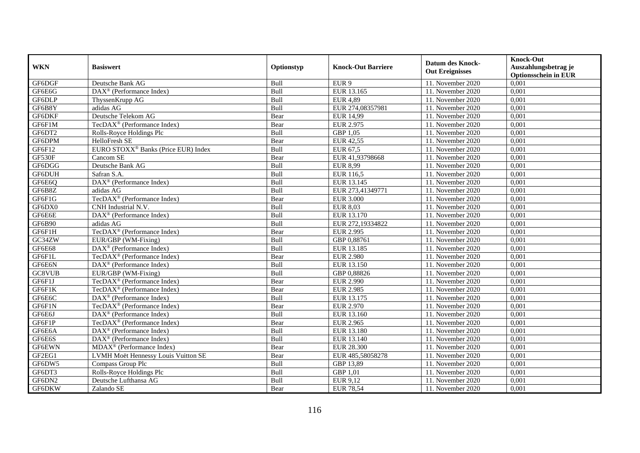|               | <b>Basiswert</b>                                      | Optionstyp  | <b>Knock-Out Barriere</b> | <b>Datum des Knock-</b> | <b>Knock-Out</b>                                    |
|---------------|-------------------------------------------------------|-------------|---------------------------|-------------------------|-----------------------------------------------------|
| <b>WKN</b>    |                                                       |             |                           | <b>Out Ereignisses</b>  | Auszahlungsbetrag je<br><b>Optionsschein in EUR</b> |
| GF6DGF        | Deutsche Bank AG                                      | Bull        | EUR <sub>9</sub>          | 11. November 2020       | 0,001                                               |
| GF6E6G        | $\overline{\text{DAX}^{\otimes}}$ (Performance Index) | Bull        | EUR 13.165                | 11. November 2020       | 0,001                                               |
| GF6DLP        | ThyssenKrupp AG                                       | Bull        | <b>EUR 4,89</b>           | 11. November 2020       | 0,001                                               |
| GF6B8Y        | adidas AG                                             | Bull        | EUR 274,08357981          | 11. November 2020       | 0,001                                               |
| GF6DKF        | Deutsche Telekom AG                                   | Bear        | <b>EUR 14,99</b>          | 11. November 2020       | 0,001                                               |
| GF6F1M        | TecDAX <sup>®</sup> (Performance Index)               | Bear        | <b>EUR 2.975</b>          | 11. November 2020       | 0,001                                               |
| GF6DT2        | Rolls-Royce Holdings Plc                              | Bull        | GBP 1,05                  | 11. November 2020       | 0,001                                               |
| GF6DPM        | HelloFresh SE                                         | Bear        | <b>EUR 42,55</b>          | 11. November 2020       | 0,001                                               |
| GF6F12        | EURO STOXX <sup>®</sup> Banks (Price EUR) Index       | Bull        | EUR 67,5                  | 11. November $2020$     | 0,001                                               |
| GF530F        | Cancom SE                                             | Bear        | EUR 41,93798668           | 11. November 2020       | 0,001                                               |
| GF6DGG        | Deutsche Bank AG                                      | Bull        | <b>EUR 8,99</b>           | 11. November 2020       | 0,001                                               |
| <b>GF6DUH</b> | Safran S.A.                                           | Bull        | <b>EUR 116.5</b>          | 11. November 2020       | 0,001                                               |
| GF6E6Q        | $DAX^{\otimes}$ (Performance Index)                   | Bull        | EUR 13.145                | 11. November 2020       | 0,001                                               |
| GF6B8Z        | adidas AG                                             | Bull        | EUR 273,41349771          | 11. November 2020       | 0,001                                               |
| GF6F1G        | TecDAX <sup>®</sup> (Performance Index)               | Bear        | <b>EUR 3.000</b>          | 11. November 2020       | 0,001                                               |
| GF6DX0        | CNH Industrial N.V.                                   | Bull        | <b>EUR 8,03</b>           | 11. November $2020$     | 0,001                                               |
| GF6E6E        | DAX <sup>®</sup> (Performance Index)                  | Bull        | EUR 13.170                | 11. November 2020       | 0,001                                               |
| <b>GF6B90</b> | adidas AG                                             | <b>Bull</b> | EUR 272,19334822          | 11. November 2020       | 0,001                                               |
| GF6F1H        | TecDAX <sup>®</sup> (Performance Index)               | Bear        | <b>EUR 2.995</b>          | 11. November 2020       | 0,001                                               |
| GC34ZW        | EUR/GBP (WM-Fixing)                                   | Bull        | GBP 0,88761               | 11. November 2020       | 0,001                                               |
| GF6E68        | DAX <sup>®</sup> (Performance Index)                  | Bull        | EUR 13.185                | 11. November 2020       | 0,001                                               |
| GF6F1L        | TecDA $X^{\circledR}$ (Performance Index)             | Bear        | <b>EUR 2.980</b>          | 11. November 2020       | 0,001                                               |
| GF6E6N        | DAX <sup>®</sup> (Performance Index)                  | Bull        | EUR 13.150                | 11. November 2020       | 0,001                                               |
| GC8VUB        | EUR/GBP (WM-Fixing)                                   | Bull        | GBP 0,88826               | 11. November 2020       | 0,001                                               |
| GF6F1J        | $TecDAX^{\circledcirc}$ (Performance Index)           | Bear        | <b>EUR 2.990</b>          | 11. November 2020       | 0,001                                               |
| GF6F1K        | TecDAX <sup>®</sup> (Performance Index)               | Bear        | <b>EUR 2.985</b>          | 11. November 2020       | 0,001                                               |
| GF6E6C        | DAX <sup>®</sup> (Performance Index)                  | Bull        | EUR 13.175                | 11. November 2020       | 0,001                                               |
| GF6F1N        | TecDAX <sup>®</sup> (Performance Index)               | Bear        | <b>EUR 2.970</b>          | 11. November 2020       | 0,001                                               |
| GF6E6J        | DAX <sup>®</sup> (Performance Index)                  | Bull        | EUR 13.160                | 11. November 2020       | 0,001                                               |
| GF6F1P        | TecDAX <sup>®</sup> (Performance Index)               | Bear        | <b>EUR 2.965</b>          | 11. November 2020       | 0,001                                               |
| GF6E6A        | $\text{DAX}^{\otimes}$ (Performance Index)            | Bull        | EUR 13.180                | 11. November 2020       | 0,001                                               |
| GF6E6S        | $DAX^{\otimes}$ (Performance Index)                   | <b>Bull</b> | EUR 13.140                | 11. November 2020       | 0,001                                               |
| GF6EWN        | $MDAX^{\circledR}$ (Performance Index)                | Bear        | <b>EUR 28.300</b>         | 11. November 2020       | 0,001                                               |
| GF2EG1        | LVMH Moët Hennessy Louis Vuitton SE                   | Bear        | EUR 485,58058278          | 11. November 2020       | 0,001                                               |
| GF6DW5        | Compass Group Plc                                     | Bull        | GBP 13,89                 | 11. November 2020       | 0,001                                               |
| GF6DT3        | Rolls-Royce Holdings Plc                              | Bull        | GBP 1.01                  | 11. November 2020       | 0,001                                               |
| GF6DN2        | Deutsche Lufthansa AG                                 | Bull        | EUR 9,12                  | 11. November 2020       | 0,001                                               |
| GF6DKW        | Zalando SE                                            | Bear        | <b>EUR 78,54</b>          | 11. November 2020       | 0,001                                               |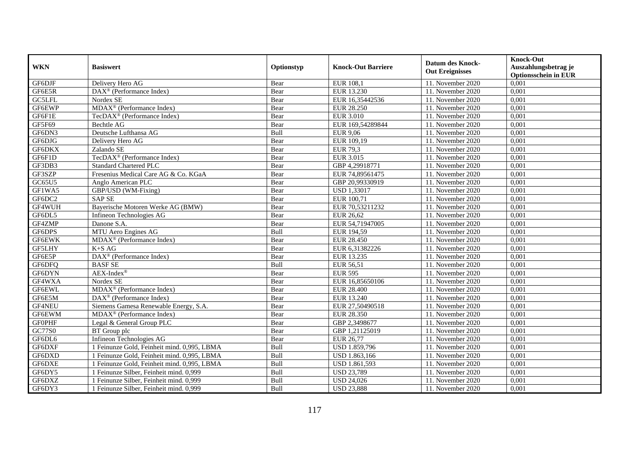|                     | <b>Basiswert</b>                                                          | Optionstyp | <b>Knock-Out Barriere</b> | <b>Datum des Knock-</b><br><b>Out Ereignisses</b> | <b>Knock-Out</b>                     |
|---------------------|---------------------------------------------------------------------------|------------|---------------------------|---------------------------------------------------|--------------------------------------|
| <b>WKN</b>          |                                                                           |            |                           |                                                   | Auszahlungsbetrag je                 |
| GF6DJF              |                                                                           |            |                           |                                                   | <b>Optionsschein in EUR</b><br>0,001 |
| GF6E5R              | Delivery Hero AG<br>$\overline{\text{DAX}^{\otimes}}$ (Performance Index) | Bear       | EUR 108,1<br>EUR 13.230   | 11. November 2020<br>11. November 2020            | 0,001                                |
|                     |                                                                           | Bear       |                           |                                                   |                                      |
| GC5LFL              | Nordex SE                                                                 | Bear       | EUR 16,35442536           | 11. November 2020                                 | 0,001                                |
| GF6EWP              | MDAX <sup>®</sup> (Performance Index)                                     | Bear       | <b>EUR 28.250</b>         | 11. November 2020                                 | 0,001                                |
| GF6F1E              | TecDAX <sup>®</sup> (Performance Index)                                   | Bear       | <b>EUR 3.010</b>          | 11. November 2020                                 | 0,001                                |
| GF5F69              | Bechtle AG                                                                | Bear       | EUR 169,54289844          | 11. November 2020                                 | 0,001                                |
| GF6DN3              | Deutsche Lufthansa AG                                                     | Bull       | <b>EUR 9,06</b>           | 11. November 2020                                 | 0,001                                |
| GF6DJG              | Delivery Hero AG                                                          | Bear       | EUR 109,19                | 11. November 2020                                 | 0,001                                |
| GF6DKX              | Zalando SE                                                                | Bear       | <b>EUR 79,3</b>           | 11. November 2020                                 | 0,001                                |
| GF6F1D              | TecDAX <sup>®</sup> (Performance Index)                                   | Bear       | <b>EUR 3.015</b>          | 11. November 2020                                 | 0,001                                |
| GF3DB3              | <b>Standard Chartered PLC</b>                                             | Bear       | GBP 4,29918771            | 11. November 2020                                 | 0,001                                |
| GF3SZP              | Fresenius Medical Care AG & Co. KGaA                                      | Bear       | EUR 74,89561475           | 11. November 2020                                 | 0,001                                |
| GC65U5              | Anglo American PLC                                                        | Bear       | GBP 20,99330919           | 11. November 2020                                 | 0,001                                |
| $GF1W\overline{A5}$ | GBP/USD (WM-Fixing)                                                       | Bear       | <b>USD 1,33017</b>        | 11. November 2020                                 | 0,001                                |
| GF6DC2              | <b>SAPSE</b>                                                              | Bear       | EUR 100,71                | 11. November 2020                                 | 0,001                                |
| GF4WUH              | Bayerische Motoren Werke AG (BMW)                                         | Bear       | EUR 70,53211232           | 11. November 2020                                 | 0,001                                |
| GF6DL5              | Infineon Technologies AG                                                  | Bear       | <b>EUR 26,62</b>          | 11. November 2020                                 | 0,001                                |
| GF4ZMP              | Danone S.A.                                                               | Bear       | EUR 54,71947005           | 11. November 2020                                 | 0,001                                |
| GF6DPS              | MTU Aero Engines AG                                                       | Bull       | EUR 194,59                | 11. November 2020                                 | 0,001                                |
| <b>GF6EWK</b>       | MDAX <sup>®</sup> (Performance Index)                                     | Bear       | <b>EUR 28.450</b>         | 11. November 2020                                 | 0,001                                |
| <b>GF5LHY</b>       | $K+SAG$                                                                   | Bear       | EUR 6,31382226            | 11. November 2020                                 | 0,001                                |
| GF6E5P              | DAX <sup>®</sup> (Performance Index)                                      | Bear       | EUR 13.235                | 11. November 2020                                 | 0,001                                |
| GF6DFQ              | <b>BASFSE</b>                                                             | Bull       | EUR 56,51                 | 11. November 2020                                 | 0,001                                |
| GF6DYN              | $AEX-Index^{\circledR}$                                                   | Bear       | <b>EUR 595</b>            | 11. November 2020                                 | 0,001                                |
| GF4WXA              | Nordex SE                                                                 | Bear       | EUR 16.85650106           | 11. November 2020                                 | 0,001                                |
| GF6EWL              | MDAX <sup>®</sup> (Performance Index)                                     | Bear       | <b>EUR 28.400</b>         | 11. November 2020                                 | 0,001                                |
| GF6E5M              | $DAX^{\otimes}$ (Performance Index)                                       | Bear       | EUR 13.240                | 11. November 2020                                 | 0,001                                |
| GF4NEU              | Siemens Gamesa Renewable Energy, S.A.                                     | Bear       | EUR 27,50490518           | 11. November 2020                                 | 0,001                                |
| GF6EWM              | $MDAX^{\circledR}$ (Performance Index)                                    | Bear       | <b>EUR 28.350</b>         | 11. November 2020                                 | 0,001                                |
| <b>GFOPHF</b>       | Legal & General Group PLC                                                 | Bear       | GBP 2,3498677             | 11. November 2020                                 | 0,001                                |
| GC77S0              | BT Group plc                                                              | Bear       | GBP 1,21125019            | 11. November 2020                                 | 0,001                                |
| GF6DL6              | Infineon Technologies AG                                                  | Bear       | <b>EUR 26,77</b>          | 11. November 2020                                 | 0,001                                |
| GF6DXF              | 1 Feinunze Gold, Feinheit mind. 0,995, LBMA                               | Bull       | <b>USD 1.859,796</b>      | 11. November 2020                                 | 0,001                                |
| GF6DXD              | 1 Feinunze Gold, Feinheit mind. 0,995, LBMA                               | Bull       | USD 1.863,166             | 11. November 2020                                 | 0,001                                |
| GF6DXE              | 1 Feinunze Gold, Feinheit mind. 0,995, LBMA                               | Bull       | USD 1.861,593             | 11. November 2020                                 | 0,001                                |
| GF6DY5              | 1 Feinunze Silber, Feinheit mind. 0,999                                   | Bull       | <b>USD 23,789</b>         | 11. November 2020                                 | 0,001                                |
| GF6DXZ              | 1 Feinunze Silber, Feinheit mind. 0,999                                   | Bull       | <b>USD 24,026</b>         | 11. November 2020                                 | 0,001                                |
| GF6DY3              | 1 Feinunze Silber, Feinheit mind. 0,999                                   | Bull       | <b>USD 23,888</b>         | 11. November 2020                                 | 0,001                                |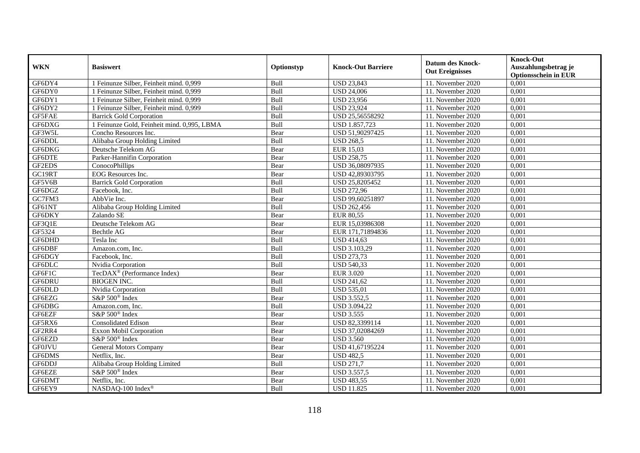|               | <b>Basiswert</b>                            | Optionstyp  | <b>Knock-Out Barriere</b> | <b>Datum des Knock-</b><br><b>Out Ereignisses</b> | <b>Knock-Out</b>                                    |
|---------------|---------------------------------------------|-------------|---------------------------|---------------------------------------------------|-----------------------------------------------------|
| <b>WKN</b>    |                                             |             |                           |                                                   | Auszahlungsbetrag je<br><b>Optionsschein in EUR</b> |
| GF6DY4        | 1 Feinunze Silber, Feinheit mind. 0,999     | Bull        | <b>USD 23,843</b>         | 11. November 2020                                 | 0,001                                               |
| GF6DY0        | 1 Feinunze Silber, Feinheit mind. 0,999     | Bull        | <b>USD 24,006</b>         | 11. November 2020                                 | 0,001                                               |
| GF6DY1        | 1 Feinunze Silber, Feinheit mind. 0,999     | Bull        | <b>USD 23,956</b>         | 11. November 2020                                 | 0,001                                               |
| GF6DY2        | 1 Feinunze Silber, Feinheit mind. 0,999     | Bull        | <b>USD 23,924</b>         | 11. November 2020                                 | 0,001                                               |
| GF5FAE        | <b>Barrick Gold Corporation</b>             | Bull        | USD 25,56558292           | 11. November 2020                                 | 0,001                                               |
| GF6DXG        | 1 Feinunze Gold, Feinheit mind. 0,995, LBMA | Bull        | USD 1.857,723             | 11. November 2020                                 | 0,001                                               |
| GF3W5L        | Concho Resources Inc.                       | Bear        | USD 51,90297425           | 11. November 2020                                 | 0,001                                               |
| GF6DDL        | Alibaba Group Holding Limited               | Bull        | <b>USD 268,5</b>          | 11. November 2020                                 | 0,001                                               |
| GF6DKG        | Deutsche Telekom AG                         | Bear        | EUR 15,03                 | 11. November 2020                                 | 0,001                                               |
| GF6DTE        | Parker-Hannifin Corporation                 | Bear        | <b>USD 258.75</b>         | 11. November 2020                                 | 0,001                                               |
| GF2EDS        | ConocoPhillips                              | Bear        | USD 36,08097935           | 11. November 2020                                 | 0,001                                               |
| GC19RT        | EOG Resources Inc.                          | Bear        | USD 42,89303795           | 11. November 2020                                 | 0,001                                               |
| GF5V6B        | <b>Barrick Gold Corporation</b>             | Bull        | USD 25,8205452            | 11. November 2020                                 | 0,001                                               |
| GF6DGZ        | Facebook. Inc.                              | <b>Bull</b> | <b>USD 272.96</b>         | 11. November 2020                                 | 0,001                                               |
| GC7FM3        | AbbVie Inc.                                 | Bear        | USD 99,60251897           | 11. November 2020                                 | 0,001                                               |
| GF61NT        | Alibaba Group Holding Limited               | Bull        | <b>USD 262,456</b>        | 11. November 2020                                 | 0,001                                               |
| GF6DKY        | Zalando SE                                  | Bear        | <b>EUR 80,55</b>          | 11. November 2020                                 | 0,001                                               |
| GF3Q1E        | Deutsche Telekom AG                         | Bear        | EUR 15,03986308           | 11. November 2020                                 | 0,001                                               |
| GF5324        | Bechtle AG                                  | Bear        | EUR 171,71894836          | 11. November 2020                                 | 0,001                                               |
| GF6DHD        | Tesla Inc                                   | Bull        | <b>USD 414,63</b>         | 11. November 2020                                 | 0,001                                               |
| GF6DBF        | Amazon.com, Inc.                            | Bull        | USD 3.103,29              | 11. November 2020                                 | 0,001                                               |
| GF6DGY        | Facebook. Inc.                              | Bull        | <b>USD 273,73</b>         | 11. November 2020                                 | 0.001                                               |
| GF6DLC        | Nvidia Corporation                          | Bull        | <b>USD 540,33</b>         | 11. November 2020                                 | 0,001                                               |
| GF6F1C        | TecDAX <sup>®</sup> (Performance Index)     | Bear        | <b>EUR 3.020</b>          | 11. November 2020                                 | 0,001                                               |
| GF6DRU        | <b>BIOGEN INC.</b>                          | Bull        | <b>USD 241,62</b>         | 11. November 2020                                 | 0,001                                               |
| GF6DLD        | Nvidia Corporation                          | Bull        | <b>USD 535,01</b>         | 11. November 2020                                 | 0,001                                               |
| GF6EZG        | S&P 500 <sup>®</sup> Index                  | Bear        | <b>USD 3.552,5</b>        | 11. November 2020                                 | 0,001                                               |
| GF6DBG        | Amazon.com, Inc.                            | Bull        | USD 3.094,22              | 11. November 2020                                 | 0,001                                               |
| GF6EZF        | S&P 500 <sup>®</sup> Index                  | Bear        | <b>USD 3.555</b>          | 11. November 2020                                 | 0,001                                               |
| GF5RX6        | <b>Consolidated Edison</b>                  | Bear        | USD 82,3399114            | 11. November 2020                                 | 0,001                                               |
| GF2RR4        | Exxon Mobil Corporation                     | Bear        | USD 37,02084269           | 11. November 2020                                 | 0,001                                               |
| GF6EZD        | S&P 500 <sup>®</sup> Index                  | Bear        | <b>USD 3.560</b>          | 11. November 2020                                 | 0,001                                               |
| <b>GF0JVU</b> | <b>General Motors Company</b>               | Bear        | USD 41,67195224           | 11. November 2020                                 | 0,001                                               |
| GF6DMS        | Netflix, Inc.                               | Bear        | <b>USD 482,5</b>          | 11. November 2020                                 | 0,001                                               |
| GF6DDJ        | Alibaba Group Holding Limited               | Bull        | <b>USD 271,7</b>          | 11. November 2020                                 | 0,001                                               |
| GF6EZE        | S&P 500 <sup>®</sup> Index                  | Bear        | <b>USD 3.557,5</b>        | 11. November 2020                                 | 0,001                                               |
| GF6DMT        | Netflix, Inc.                               | Bear        | <b>USD 483,55</b>         | 11. November 2020                                 | 0,001                                               |
| GF6EY9        | NASDAQ-100 Index®                           | Bull        | <b>USD 11.825</b>         | 11. November 2020                                 | 0,001                                               |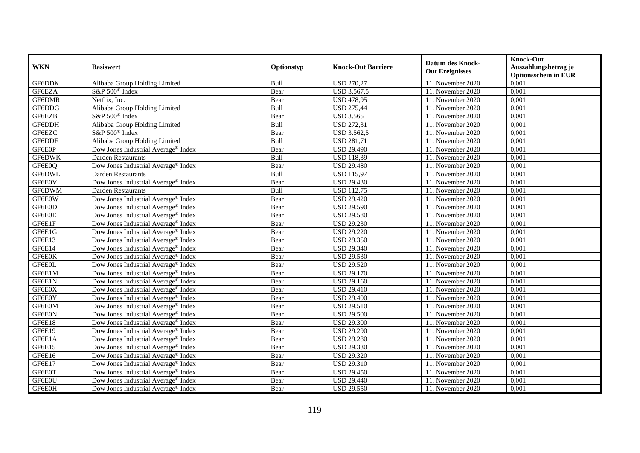| <b>WKN</b>    | <b>Basiswert</b>                                | Optionstyp | <b>Knock-Out Barriere</b> | <b>Datum des Knock-</b><br><b>Out Ereignisses</b> | <b>Knock-Out</b><br>Auszahlungsbetrag je<br><b>Optionsschein in EUR</b> |
|---------------|-------------------------------------------------|------------|---------------------------|---------------------------------------------------|-------------------------------------------------------------------------|
| GF6DDK        | Alibaba Group Holding Limited                   | Bull       | <b>USD 270,27</b>         | 11. November 2020                                 | 0,001                                                                   |
| GF6EZA        | S&P 500 <sup>®</sup> Index                      | Bear       | USD 3.567,5               | 11. November 2020                                 | 0,001                                                                   |
| GF6DMR        | Netflix, Inc.                                   | Bear       | <b>USD 478,95</b>         | 11. November 2020                                 | 0,001                                                                   |
| GF6DDG        | Alibaba Group Holding Limited                   | Bull       | <b>USD 275,44</b>         | 11. November 2020                                 | 0,001                                                                   |
| GF6EZB        | S&P 500 <sup>®</sup> Index                      | Bear       | <b>USD 3.565</b>          | 11. November 2020                                 | 0,001                                                                   |
| GF6DDH        | Alibaba Group Holding Limited                   | Bull       | <b>USD 272,31</b>         | 11. November 2020                                 | 0,001                                                                   |
| GF6EZC        | S&P 500 <sup>®</sup> Index                      | Bear       | <b>USD 3.562,5</b>        | 11. November 2020                                 | 0,001                                                                   |
| GF6DDF        | Alibaba Group Holding Limited                   | Bull       | <b>USD 281,71</b>         | 11. November 2020                                 | 0,001                                                                   |
| GF6E0P        | Dow Jones Industrial Average® Index             | Bear       | <b>USD 29.490</b>         | 11. November 2020                                 | 0,001                                                                   |
| <b>GF6DWK</b> | Darden Restaurants                              | Bull       | <b>USD 118,39</b>         | 11. November 2020                                 | 0,001                                                                   |
| GF6E0Q        | Dow Jones Industrial Average® Index             | Bear       | <b>USD 29.480</b>         | 11. November 2020                                 | 0,001                                                                   |
| <b>GF6DWL</b> | Darden Restaurants                              | Bull       | <b>USD 115,97</b>         | 11. November 2020                                 | 0,001                                                                   |
| GF6E0V        | Dow Jones Industrial Average® Index             | Bear       | <b>USD 29.430</b>         | 11. November 2020                                 | 0,001                                                                   |
| GF6DWM        | <b>Darden Restaurants</b>                       | Bull       | <b>USD 112,75</b>         | 11. November 2020                                 | 0,001                                                                   |
| GF6E0W        | Dow Jones Industrial Average® Index             | Bear       | <b>USD 29.420</b>         | 11. November 2020                                 | 0,001                                                                   |
| GF6E0D        | Dow Jones Industrial Average® Index             | Bear       | <b>USD 29.590</b>         | 11. November 2020                                 | 0,001                                                                   |
| GF6E0E        | Dow Jones Industrial Average <sup>®</sup> Index | Bear       | <b>USD 29.580</b>         | 11. November 2020                                 | 0,001                                                                   |
| GF6E1F        | Dow Jones Industrial Average® Index             | Bear       | <b>USD 29.230</b>         | 11. November 2020                                 | 0,001                                                                   |
| GF6E1G        | Dow Jones Industrial Average® Index             | Bear       | <b>USD 29.220</b>         | 11. November 2020                                 | 0,001                                                                   |
| GF6E13        | Dow Jones Industrial Average <sup>®</sup> Index | Bear       | <b>USD 29.350</b>         | 11. November 2020                                 | 0,001                                                                   |
| GF6E14        | Dow Jones Industrial Average® Index             | Bear       | <b>USD 29.340</b>         | 11. November 2020                                 | 0,001                                                                   |
| GF6E0K        | Dow Jones Industrial Average <sup>®</sup> Index | Bear       | <b>USD 29.530</b>         | 11. November 2020                                 | 0,001                                                                   |
| GF6E0L        | Dow Jones Industrial Average® Index             | Bear       | <b>USD 29.520</b>         | 11. November 2020                                 | 0,001                                                                   |
| GF6E1M        | Dow Jones Industrial Average® Index             | Bear       | <b>USD 29.170</b>         | 11. November 2020                                 | 0,001                                                                   |
| GF6E1N        | Dow Jones Industrial Average <sup>®</sup> Index | Bear       | <b>USD 29.160</b>         | 11. November 2020                                 | 0,001                                                                   |
| GF6E0X        | Dow Jones Industrial Average® Index             | Bear       | <b>USD 29.410</b>         | 11. November 2020                                 | 0,001                                                                   |
| GF6E0Y        | Dow Jones Industrial Average® Index             | Bear       | <b>USD 29.400</b>         | 11. November 2020                                 | 0,001                                                                   |
| GF6E0M        | Dow Jones Industrial Average® Index             | Bear       | <b>USD 29.510</b>         | 11. November 2020                                 | 0,001                                                                   |
| GF6E0N        | Dow Jones Industrial Average® Index             | Bear       | <b>USD 29.500</b>         | 11. November 2020                                 | 0,001                                                                   |
| GF6E18        | Dow Jones Industrial Average <sup>®</sup> Index | Bear       | <b>USD 29.300</b>         | 11. November 2020                                 | 0,001                                                                   |
| GF6E19        | Dow Jones Industrial Average <sup>®</sup> Index | Bear       | <b>USD 29.290</b>         | 11. November 2020                                 | 0,001                                                                   |
| GF6E1A        | Dow Jones Industrial Average® Index             | Bear       | <b>USD 29.280</b>         | 11. November 2020                                 | 0,001                                                                   |
| GF6E15        | Dow Jones Industrial Average® Index             | Bear       | <b>USD 29.330</b>         | 11. November 2020                                 | 0,001                                                                   |
| GF6E16        | Dow Jones Industrial Average® Index             | Bear       | <b>USD 29.320</b>         | 11. November 2020                                 | 0,001                                                                   |
| GF6E17        | Dow Jones Industrial Average® Index             | Bear       | <b>USD 29.310</b>         | 11. November 2020                                 | 0,001                                                                   |
| GF6E0T        | Dow Jones Industrial Average® Index             | Bear       | <b>USD 29.450</b>         | 11. November 2020                                 | 0,001                                                                   |
| GF6E0U        | Dow Jones Industrial Average® Index             | Bear       | <b>USD 29.440</b>         | 11. November 2020                                 | 0,001                                                                   |
| GF6E0H        | Dow Jones Industrial Average® Index             | Bear       | <b>USD 29.550</b>         | 11. November 2020                                 | 0,001                                                                   |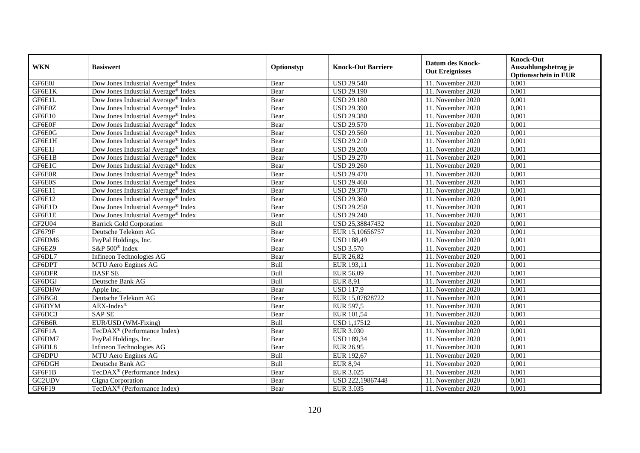| <b>WKN</b>    | <b>Basiswert</b>                                | Optionstyp  | <b>Knock-Out Barriere</b> | <b>Datum des Knock-</b><br><b>Out Ereignisses</b> | <b>Knock-Out</b><br>Auszahlungsbetrag je<br><b>Optionsschein in EUR</b> |
|---------------|-------------------------------------------------|-------------|---------------------------|---------------------------------------------------|-------------------------------------------------------------------------|
| GF6E0J        | Dow Jones Industrial Average <sup>®</sup> Index | Bear        | <b>USD 29.540</b>         | 11. November 2020                                 | 0,001                                                                   |
| GF6E1K        | Dow Jones Industrial Average <sup>®</sup> Index | Bear        | <b>USD 29.190</b>         | 11. November 2020                                 | 0,001                                                                   |
| GF6E1L        | Dow Jones Industrial Average <sup>®</sup> Index | Bear        | <b>USD 29.180</b>         | 11. November 2020                                 | 0,001                                                                   |
| GF6E0Z        | Dow Jones Industrial Average <sup>®</sup> Index | Bear        | <b>USD 29.390</b>         | 11. November 2020                                 | 0,001                                                                   |
| GF6E10        | Dow Jones Industrial Average® Index             | Bear        | <b>USD 29.380</b>         | 11. November 2020                                 | 0,001                                                                   |
| GF6E0F        | Dow Jones Industrial Average <sup>®</sup> Index | Bear        | <b>USD 29.570</b>         | 11. November 2020                                 | 0,001                                                                   |
| GF6E0G        | Dow Jones Industrial Average® Index             | Bear        | <b>USD 29.560</b>         | 11. November 2020                                 | 0,001                                                                   |
| GF6E1H        | Dow Jones Industrial Average® Index             | Bear        | <b>USD 29.210</b>         | 11. November 2020                                 | 0,001                                                                   |
| GF6E1J        | Dow Jones Industrial Average® Index             | Bear        | <b>USD 29.200</b>         | 11. November 2020                                 | 0,001                                                                   |
| GF6E1B        | Dow Jones Industrial Average <sup>®</sup> Index | Bear        | <b>USD 29.270</b>         | 11. November 2020                                 | 0,001                                                                   |
| GF6E1C        | Dow Jones Industrial Average <sup>®</sup> Index | Bear        | <b>USD 29.260</b>         | 11. November 2020                                 | 0,001                                                                   |
| GF6E0R        | Dow Jones Industrial Average <sup>®</sup> Index | Bear        | <b>USD 29.470</b>         | 11. November 2020                                 | 0,001                                                                   |
| GF6E0S        | Dow Jones Industrial Average <sup>®</sup> Index | Bear        | <b>USD 29.460</b>         | 11. November 2020                                 | 0,001                                                                   |
| GF6E11        | Dow Jones Industrial Average <sup>®</sup> Index | Bear        | <b>USD 29.370</b>         | 11. November 2020                                 | 0,001                                                                   |
| GF6E12        | Dow Jones Industrial Average® Index             | Bear        | <b>USD 29.360</b>         | 11. November 2020                                 | 0,001                                                                   |
| GF6E1D        | Dow Jones Industrial Average® Index             | Bear        | <b>USD 29.250</b>         | 11. November 2020                                 | 0,001                                                                   |
| GF6E1E        | Dow Jones Industrial Average <sup>®</sup> Index | Bear        | <b>USD 29.240</b>         | 11. November 2020                                 | 0,001                                                                   |
| <b>GF2U04</b> | <b>Barrick Gold Corporation</b>                 | <b>Bull</b> | USD 25,38847432           | 11. November 2020                                 | 0,001                                                                   |
| GF679F        | Deutsche Telekom AG                             | Bear        | EUR 15,10656757           | 11. November 2020                                 | 0,001                                                                   |
| GF6DM6        | PayPal Holdings, Inc.                           | Bear        | <b>USD 188,49</b>         | 11. November 2020                                 | 0,001                                                                   |
| GF6EZ9        | S&P 500 <sup>®</sup> Index                      | Bear        | <b>USD 3.570</b>          | 11. November 2020                                 | 0,001                                                                   |
| GF6DL7        | Infineon Technologies AG                        | Bear        | <b>EUR 26,82</b>          | 11. November 2020                                 | 0,001                                                                   |
| GF6DPT        | MTU Aero Engines AG                             | Bull        | EUR 193,11                | 11. November 2020                                 | 0,001                                                                   |
| GF6DFR        | <b>BASFSE</b>                                   | Bull        | EUR 56,09                 | 11. November 2020                                 | 0,001                                                                   |
| GF6DGJ        | Deutsche Bank AG                                | Bull        | <b>EUR 8,91</b>           | 11. November $2020$                               | 0,001                                                                   |
| GF6DHW        | Apple Inc.                                      | Bear        | <b>USD 117,9</b>          | 11. November 2020                                 | 0,001                                                                   |
| GF6BG0        | Deutsche Telekom AG                             | Bear        | EUR 15,07828722           | 11. November 2020                                 | 0,001                                                                   |
| GF6DYM        | $AEX-Index^{\circledR}$                         | Bear        | EUR 597,5                 | 11. November 2020                                 | 0,001                                                                   |
| GF6DC3        | <b>SAP SE</b>                                   | Bear        | EUR 101,54                | 11. November 2020                                 | 0,001                                                                   |
| GF6B6R        | EUR/USD (WM-Fixing)                             | Bull        | <b>USD 1,17512</b>        | 11. November 2020                                 | 0,001                                                                   |
| GF6F1A        | TecDAX <sup>®</sup> (Performance Index)         | Bear        | <b>EUR 3.030</b>          | 11. November 2020                                 | 0,001                                                                   |
| GF6DM7        | PayPal Holdings, Inc.                           | Bear        | <b>USD 189,34</b>         | 11. November 2020                                 | 0,001                                                                   |
| GF6DL8        | Infineon Technologies AG                        | Bear        | <b>EUR 26,95</b>          | 11. November 2020                                 | 0,001                                                                   |
| GF6DPU        | MTU Aero Engines AG                             | Bull        | EUR 192,67                | 11. November 2020                                 | 0,001                                                                   |
| GF6DGH        | Deutsche Bank AG                                | Bull        | <b>EUR 8,94</b>           | 11. November 2020                                 | 0,001                                                                   |
| GF6F1B        | TecDAX <sup>®</sup> (Performance Index)         | Bear        | <b>EUR 3.025</b>          | 11. November 2020                                 | 0,001                                                                   |
| GC2UDV        | Cigna Corporation                               | Bear        | USD 222,19867448          | 11. November 2020                                 | 0,001                                                                   |
| GF6F19        | TecDAX <sup>®</sup> (Performance Index)         | Bear        | EUR 3.035                 | 11. November 2020                                 | 0,001                                                                   |